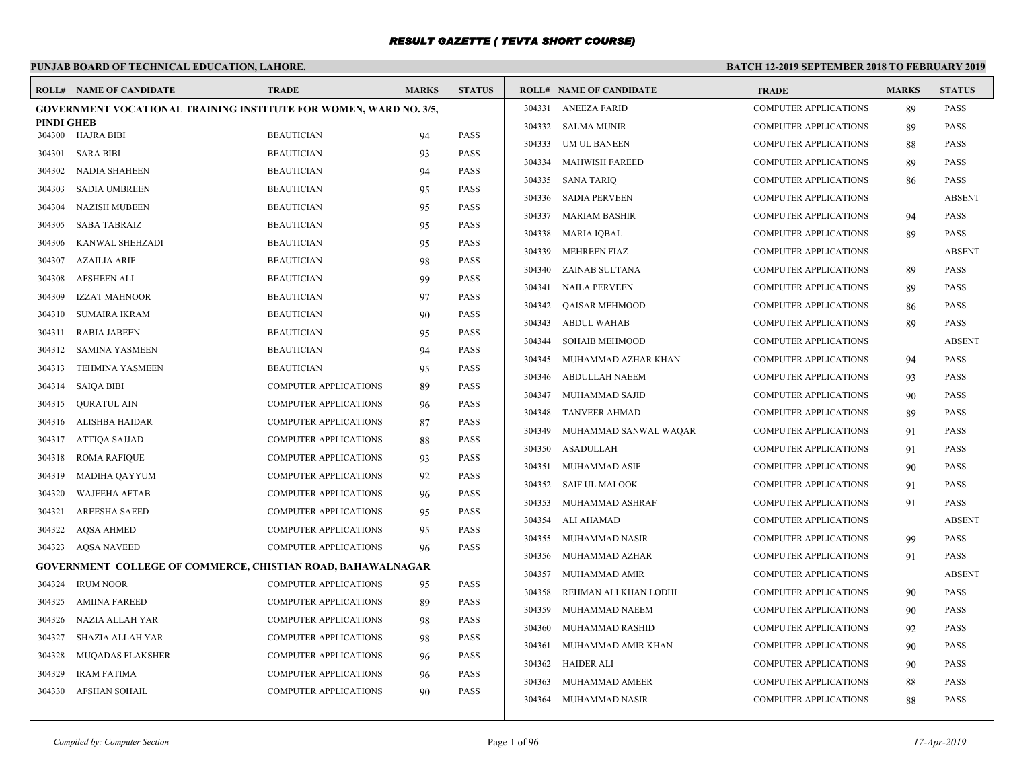# **PUNJAB BOARD OF TECHNICAL EDUCATION, LAHORE.**

|                   | <b>ROLL# NAME OF CANDIDATE</b>                                           | <b>TRADE</b>                 | <b>MARKS</b> | <b>STATUS</b> |        | <b>ROLL# NAME OF CANDIDATE</b> | <b>TRADE</b>                 | <b>MARKS</b> | <b>STATUS</b> |
|-------------------|--------------------------------------------------------------------------|------------------------------|--------------|---------------|--------|--------------------------------|------------------------------|--------------|---------------|
|                   | <b>GOVERNMENT VOCATIONAL TRAINING INSTITUTE FOR WOMEN, WARD NO. 3/5,</b> |                              |              |               |        | 304331 ANEEZA FARID            | <b>COMPUTER APPLICATIONS</b> | 89           | <b>PASS</b>   |
| <b>PINDI GHEB</b> | 304300 HAJRA BIBI                                                        | <b>BEAUTICIAN</b>            |              | <b>PASS</b>   |        | 304332 SALMA MUNIR             | <b>COMPUTER APPLICATIONS</b> | 89           | <b>PASS</b>   |
|                   |                                                                          | <b>BEAUTICIAN</b>            | 94           |               | 304333 | UM UL BANEEN                   | <b>COMPUTER APPLICATIONS</b> | 88           | <b>PASS</b>   |
| 304301            | <b>SARA BIBI</b>                                                         | <b>BEAUTICIAN</b>            | 93           | <b>PASS</b>   | 304334 | <b>MAHWISH FAREED</b>          | <b>COMPUTER APPLICATIONS</b> | 89           | <b>PASS</b>   |
| 304302            | <b>NADIA SHAHEEN</b>                                                     |                              | 94           | <b>PASS</b>   | 304335 | <b>SANA TARIO</b>              | <b>COMPUTER APPLICATIONS</b> | 86           | <b>PASS</b>   |
| 304303            | SADIA UMBREEN                                                            | <b>BEAUTICIAN</b>            | 95           | <b>PASS</b>   | 304336 | <b>SADIA PERVEEN</b>           | <b>COMPUTER APPLICATIONS</b> |              | <b>ABSENT</b> |
| 304304            | NAZISH MUBEEN                                                            | <b>BEAUTICIAN</b>            | 95           | <b>PASS</b>   | 304337 | <b>MARIAM BASHIR</b>           | <b>COMPUTER APPLICATIONS</b> | 94           | <b>PASS</b>   |
| 304305            | SABA TABRAIZ                                                             | <b>BEAUTICIAN</b>            | 95           | <b>PASS</b>   | 304338 | <b>MARIA IQBAL</b>             | <b>COMPUTER APPLICATIONS</b> | 89           | <b>PASS</b>   |
| 304306            | KANWAL SHEHZADI                                                          | <b>BEAUTICIAN</b>            | 95           | <b>PASS</b>   | 304339 | <b>MEHREEN FIAZ</b>            | <b>COMPUTER APPLICATIONS</b> |              | <b>ABSENT</b> |
| 304307            | AZAILIA ARIF                                                             | <b>BEAUTICIAN</b>            | 98           | <b>PASS</b>   | 304340 | ZAINAB SULTANA                 | <b>COMPUTER APPLICATIONS</b> | 89           | <b>PASS</b>   |
| 304308            | <b>AFSHEEN ALI</b>                                                       | <b>BEAUTICIAN</b>            | 99           | <b>PASS</b>   | 304341 | <b>NAILA PERVEEN</b>           | <b>COMPUTER APPLICATIONS</b> | 89           | <b>PASS</b>   |
| 304309            | <b>IZZAT MAHNOOR</b>                                                     | <b>BEAUTICIAN</b>            | 97           | <b>PASS</b>   | 304342 | QAISAR MEHMOOD                 | <b>COMPUTER APPLICATIONS</b> | 86           | <b>PASS</b>   |
| 304310            | SUMAIRA IKRAM                                                            | <b>BEAUTICIAN</b>            | 90           | <b>PASS</b>   | 304343 | <b>ABDUL WAHAB</b>             | <b>COMPUTER APPLICATIONS</b> | 89           | <b>PASS</b>   |
| 304311            | <b>RABIA JABEEN</b>                                                      | <b>BEAUTICIAN</b>            | 95           | <b>PASS</b>   | 304344 | <b>SOHAIB MEHMOOD</b>          | <b>COMPUTER APPLICATIONS</b> |              | <b>ABSENT</b> |
| 304312            | <b>SAMINA YASMEEN</b>                                                    | <b>BEAUTICIAN</b>            | 94           | <b>PASS</b>   | 304345 | MUHAMMAD AZHAR KHAN            | COMPUTER APPLICATIONS        | 94           | <b>PASS</b>   |
| 304313            | <b>TEHMINA YASMEEN</b>                                                   | <b>BEAUTICIAN</b>            | 95           | <b>PASS</b>   | 304346 | <b>ABDULLAH NAEEM</b>          | <b>COMPUTER APPLICATIONS</b> | 93           | <b>PASS</b>   |
| 304314            | <b>SAIOA BIBI</b>                                                        | <b>COMPUTER APPLICATIONS</b> | 89           | <b>PASS</b>   | 304347 | MUHAMMAD SAJID                 | <b>COMPUTER APPLICATIONS</b> | 90           | <b>PASS</b>   |
| 304315            | <b>OURATUL AIN</b>                                                       | <b>COMPUTER APPLICATIONS</b> | 96           | <b>PASS</b>   | 304348 | <b>TANVEER AHMAD</b>           | <b>COMPUTER APPLICATIONS</b> | 89           | <b>PASS</b>   |
| 304316            | ALISHBA HAIDAR                                                           | <b>COMPUTER APPLICATIONS</b> | 87           | <b>PASS</b>   | 304349 | MUHAMMAD SANWAL WAQAR          | <b>COMPUTER APPLICATIONS</b> | 91           | <b>PASS</b>   |
| 304317            | ATTIQA SAJJAD                                                            | COMPUTER APPLICATIONS        | 88           | <b>PASS</b>   | 304350 | ASADULLAH                      | <b>COMPUTER APPLICATIONS</b> | 91           | <b>PASS</b>   |
| 304318            | ROMA RAFIQUE                                                             | <b>COMPUTER APPLICATIONS</b> | 93           | <b>PASS</b>   | 304351 | MUHAMMAD ASIF                  | <b>COMPUTER APPLICATIONS</b> | 90           | <b>PASS</b>   |
| 304319            | MADIHA QAYYUM                                                            | COMPUTER APPLICATIONS        | 92           | <b>PASS</b>   | 304352 | <b>SAIF UL MALOOK</b>          | <b>COMPUTER APPLICATIONS</b> | 91           | <b>PASS</b>   |
| 304320            | WAJEEHA AFTAB                                                            | COMPUTER APPLICATIONS        | 96           | <b>PASS</b>   | 304353 | MUHAMMAD ASHRAF                | <b>COMPUTER APPLICATIONS</b> | 91           | <b>PASS</b>   |
| 304321            | <b>AREESHA SAEED</b>                                                     | <b>COMPUTER APPLICATIONS</b> | 95           | <b>PASS</b>   | 304354 | ALI AHAMAD                     | <b>COMPUTER APPLICATIONS</b> |              | <b>ABSENT</b> |
| 304322            | <b>AQSA AHMED</b>                                                        | <b>COMPUTER APPLICATIONS</b> | 95           | <b>PASS</b>   | 304355 |                                |                              |              | <b>PASS</b>   |
|                   | 304323 AOSA NAVEED                                                       | <b>COMPUTER APPLICATIONS</b> | 96           | <b>PASS</b>   |        | MUHAMMAD NASIR                 | <b>COMPUTER APPLICATIONS</b> | 99           |               |
|                   | <b>GOVERNMENT COLLEGE OF COMMERCE, CHISTIAN ROAD, BAHAWALNAGAR</b>       |                              |              |               | 304356 | MUHAMMAD AZHAR                 | <b>COMPUTER APPLICATIONS</b> | 91           | <b>PASS</b>   |
| 304324            | <b>IRUM NOOR</b>                                                         | <b>COMPUTER APPLICATIONS</b> | 95           | <b>PASS</b>   | 304357 | MUHAMMAD AMIR                  | <b>COMPUTER APPLICATIONS</b> |              | <b>ABSENT</b> |
| 304325            | <b>AMIINA FAREED</b>                                                     | <b>COMPUTER APPLICATIONS</b> | 89           | <b>PASS</b>   | 304358 | REHMAN ALI KHAN LODHI          | <b>COMPUTER APPLICATIONS</b> | 90           | <b>PASS</b>   |
| 304326            | NAZIA ALLAH YAR                                                          | COMPUTER APPLICATIONS        | 98           | <b>PASS</b>   | 304359 | MUHAMMAD NAEEM                 | <b>COMPUTER APPLICATIONS</b> | 90           | PASS          |
| 304327            | SHAZIA ALLAH YAR                                                         | COMPUTER APPLICATIONS        | 98           | <b>PASS</b>   | 304360 | MUHAMMAD RASHID                | <b>COMPUTER APPLICATIONS</b> | 92           | <b>PASS</b>   |
| 304328            | <b>MUQADAS FLAKSHER</b>                                                  | <b>COMPUTER APPLICATIONS</b> | 96           | <b>PASS</b>   | 304361 | MUHAMMAD AMIR KHAN             | <b>COMPUTER APPLICATIONS</b> | 90           | <b>PASS</b>   |
| 304329            | <b>IRAM FATIMA</b>                                                       | COMPUTER APPLICATIONS        | 96           | <b>PASS</b>   | 304362 | <b>HAIDER ALI</b>              | <b>COMPUTER APPLICATIONS</b> | 90           | <b>PASS</b>   |
|                   | 304330 AFSHAN SOHAIL                                                     | COMPUTER APPLICATIONS        | 90           | <b>PASS</b>   | 304363 | MUHAMMAD AMEER                 | <b>COMPUTER APPLICATIONS</b> | 88           | <b>PASS</b>   |
|                   |                                                                          |                              |              |               |        | 304364 MUHAMMAD NASIR          | <b>COMPUTER APPLICATIONS</b> | 88           | <b>PASS</b>   |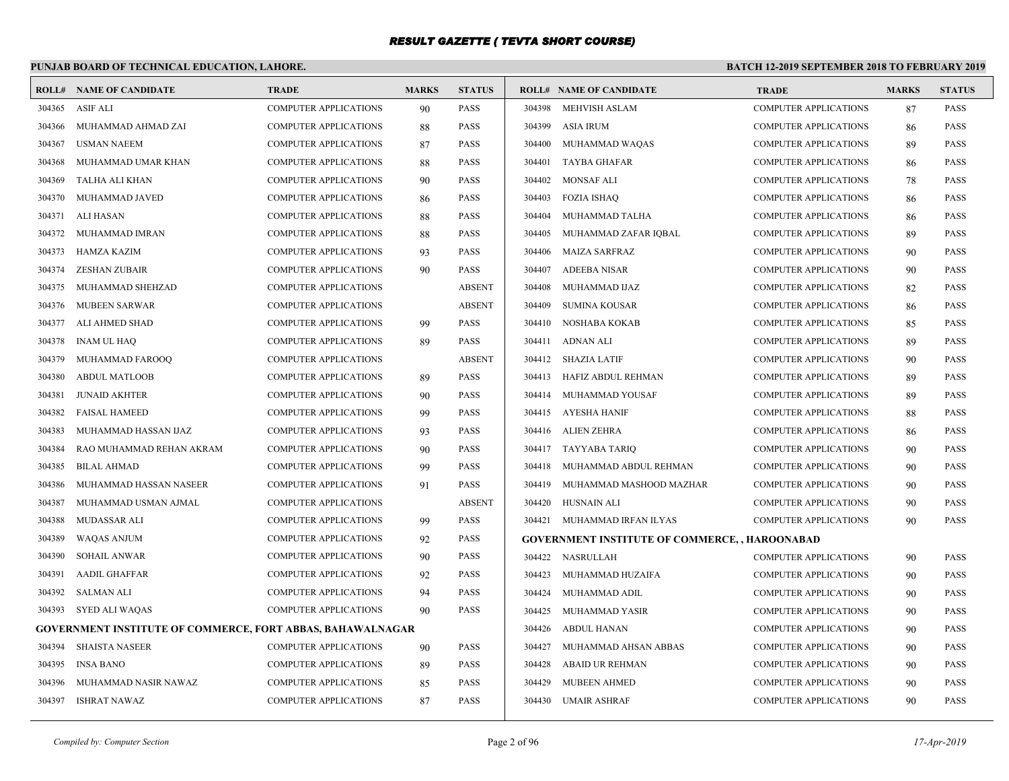# **PUNJAB BOARD OF TECHNICAL EDUCATION, LAHORE.**

|        | <b>ROLL# NAME OF CANDIDATE</b>                                    | <b>TRADE</b>                 | <b>MARKS</b> | <b>STATUS</b> |        | <b>ROLL# NAME OF CANDIDATE</b>                        | <b>TRADE</b>                 | <b>MARKS</b> | <b>STATUS</b> |
|--------|-------------------------------------------------------------------|------------------------------|--------------|---------------|--------|-------------------------------------------------------|------------------------------|--------------|---------------|
|        | 304365 ASIF ALI                                                   | <b>COMPUTER APPLICATIONS</b> | 90           | <b>PASS</b>   |        | 304398 MEHVISH ASLAM                                  | <b>COMPUTER APPLICATIONS</b> | 87           | PASS          |
| 304366 | MUHAMMAD AHMAD ZAI                                                | <b>COMPUTER APPLICATIONS</b> | 88           | <b>PASS</b>   | 304399 | <b>ASIA IRUM</b>                                      | <b>COMPUTER APPLICATIONS</b> | -86          | <b>PASS</b>   |
| 304367 | <b>USMAN NAEEM</b>                                                | COMPUTER APPLICATIONS        | 87           | PASS          | 304400 | MUHAMMAD WAQAS                                        | <b>COMPUTER APPLICATIONS</b> | 89           | <b>PASS</b>   |
| 304368 | MUHAMMAD UMAR KHAN                                                | <b>COMPUTER APPLICATIONS</b> | 88           | <b>PASS</b>   | 304401 | <b>TAYBA GHAFAR</b>                                   | <b>COMPUTER APPLICATIONS</b> | 86           | <b>PASS</b>   |
| 304369 | TALHA ALI KHAN                                                    | <b>COMPUTER APPLICATIONS</b> | 90           | <b>PASS</b>   | 304402 | <b>MONSAF ALI</b>                                     | <b>COMPUTER APPLICATIONS</b> | 78           | <b>PASS</b>   |
| 304370 | MUHAMMAD JAVED                                                    | <b>COMPUTER APPLICATIONS</b> | 86           | <b>PASS</b>   | 304403 | <b>FOZIA ISHAQ</b>                                    | <b>COMPUTER APPLICATIONS</b> | 86           | PASS          |
| 304371 | ALI HASAN                                                         | COMPUTER APPLICATIONS        | 88           | PASS          | 304404 | MUHAMMAD TALHA                                        | <b>COMPUTER APPLICATIONS</b> | 86           | <b>PASS</b>   |
| 304372 | MUHAMMAD IMRAN                                                    | COMPUTER APPLICATIONS        | 88           | PASS          | 304405 | MUHAMMAD ZAFAR IQBAL                                  | <b>COMPUTER APPLICATIONS</b> | 89           | <b>PASS</b>   |
| 304373 | HAMZA KAZIM                                                       | <b>COMPUTER APPLICATIONS</b> | 93           | <b>PASS</b>   | 304406 | <b>MAIZA SARFRAZ</b>                                  | <b>COMPUTER APPLICATIONS</b> | 90           | <b>PASS</b>   |
| 304374 | ZESHAN ZUBAIR                                                     | <b>COMPUTER APPLICATIONS</b> | 90           | <b>PASS</b>   | 304407 | <b>ADEEBA NISAR</b>                                   | <b>COMPUTER APPLICATIONS</b> | 90           | <b>PASS</b>   |
| 304375 | MUHAMMAD SHEHZAD                                                  | <b>COMPUTER APPLICATIONS</b> |              | <b>ABSENT</b> | 304408 | MUHAMMAD IJAZ                                         | <b>COMPUTER APPLICATIONS</b> | 82           | <b>PASS</b>   |
| 304376 | <b>MUBEEN SARWAR</b>                                              | COMPUTER APPLICATIONS        |              | <b>ABSENT</b> | 304409 | <b>SUMINA KOUSAR</b>                                  | <b>COMPUTER APPLICATIONS</b> | 86           | <b>PASS</b>   |
| 304377 | ALI AHMED SHAD                                                    | <b>COMPUTER APPLICATIONS</b> | 99           | <b>PASS</b>   | 304410 | NOSHABA KOKAB                                         | <b>COMPUTER APPLICATIONS</b> | 85           | PASS          |
| 304378 | <b>INAM UL HAQ</b>                                                | COMPUTER APPLICATIONS        | 89           | <b>PASS</b>   | 304411 | ADNAN ALI                                             | <b>COMPUTER APPLICATIONS</b> | 89           | <b>PASS</b>   |
| 304379 | MUHAMMAD FAROOO                                                   | <b>COMPUTER APPLICATIONS</b> |              | <b>ABSENT</b> |        | 304412 SHAZIA LATIF                                   | <b>COMPUTER APPLICATIONS</b> | 90           | <b>PASS</b>   |
| 304380 | <b>ABDUL MATLOOB</b>                                              | COMPUTER APPLICATIONS        | 89           | PASS          | 304413 | HAFIZ ABDUL REHMAN                                    | <b>COMPUTER APPLICATIONS</b> | 89           | <b>PASS</b>   |
| 304381 | <b>JUNAID AKHTER</b>                                              | COMPUTER APPLICATIONS        | 90           | PASS          | 304414 | MUHAMMAD YOUSAF                                       | <b>COMPUTER APPLICATIONS</b> | -89          | <b>PASS</b>   |
| 304382 | <b>FAISAL HAMEED</b>                                              | <b>COMPUTER APPLICATIONS</b> | 99           | <b>PASS</b>   | 304415 | AYESHA HANIF                                          | <b>COMPUTER APPLICATIONS</b> | 88           | <b>PASS</b>   |
| 304383 | MUHAMMAD HASSAN IJAZ                                              | <b>COMPUTER APPLICATIONS</b> | 93           | <b>PASS</b>   |        | 304416 ALIEN ZEHRA                                    | <b>COMPUTER APPLICATIONS</b> | 86           | <b>PASS</b>   |
| 304384 | RAO MUHAMMAD REHAN AKRAM                                          | <b>COMPUTER APPLICATIONS</b> | 90           | <b>PASS</b>   | 304417 | TAYYABA TARIQ                                         | <b>COMPUTER APPLICATIONS</b> | 90           | PASS          |
| 304385 | <b>BILAL AHMAD</b>                                                | COMPUTER APPLICATIONS        | 99           | PASS          | 304418 | MUHAMMAD ABDUL REHMAN                                 | <b>COMPUTER APPLICATIONS</b> | 90           | <b>PASS</b>   |
| 304386 | MUHAMMAD HASSAN NASEER                                            | COMPUTER APPLICATIONS        | 91           | <b>PASS</b>   | 304419 | MUHAMMAD MASHOOD MAZHAR                               | <b>COMPUTER APPLICATIONS</b> | 90           | PASS          |
| 304387 | MUHAMMAD USMAN AJMAL                                              | <b>COMPUTER APPLICATIONS</b> |              | <b>ABSENT</b> | 304420 | HUSNAIN ALI                                           | <b>COMPUTER APPLICATIONS</b> | 90           | PASS          |
| 304388 | MUDASSAR ALI                                                      | <b>COMPUTER APPLICATIONS</b> | 99           | <b>PASS</b>   |        | 304421 MUHAMMAD IRFAN ILYAS                           | <b>COMPUTER APPLICATIONS</b> | 90           | PASS          |
| 304389 | <b>WAQAS ANJUM</b>                                                | COMPUTER APPLICATIONS        | 92           | PASS          |        | <b>GOVERNMENT INSTITUTE OF COMMERCE, , HAROONABAD</b> |                              |              |               |
| 304390 | <b>SOHAIL ANWAR</b>                                               | COMPUTER APPLICATIONS        | 90           | PASS          |        | 304422 NASRULLAH                                      | <b>COMPUTER APPLICATIONS</b> | 90           | <b>PASS</b>   |
| 304391 | AADIL GHAFFAR                                                     | <b>COMPUTER APPLICATIONS</b> | 92           | <b>PASS</b>   | 304423 | MUHAMMAD HUZAIFA                                      | <b>COMPUTER APPLICATIONS</b> | 90           | <b>PASS</b>   |
| 304392 | SALMAN ALI                                                        | <b>COMPUTER APPLICATIONS</b> | 94           | <b>PASS</b>   | 304424 | MUHAMMAD ADIL                                         | <b>COMPUTER APPLICATIONS</b> | 90           | <b>PASS</b>   |
|        | 304393 SYED ALI WAQAS                                             | COMPUTER APPLICATIONS        | 90           | <b>PASS</b>   | 304425 | MUHAMMAD YASIR                                        | <b>COMPUTER APPLICATIONS</b> | 90           | <b>PASS</b>   |
|        | <b>GOVERNMENT INSTITUTE OF COMMERCE, FORT ABBAS, BAHAWALNAGAR</b> |                              |              |               | 304426 | ABDUL HANAN                                           | <b>COMPUTER APPLICATIONS</b> | 90           | <b>PASS</b>   |
| 304394 | <b>SHAISTA NASEER</b>                                             | <b>COMPUTER APPLICATIONS</b> | 90           | <b>PASS</b>   | 304427 | MUHAMMAD AHSAN ABBAS                                  | <b>COMPUTER APPLICATIONS</b> | 90           | <b>PASS</b>   |
| 304395 | <b>INSA BANO</b>                                                  | <b>COMPUTER APPLICATIONS</b> | 89           | <b>PASS</b>   | 304428 | <b>ABAID UR REHMAN</b>                                | <b>COMPUTER APPLICATIONS</b> | 90           | <b>PASS</b>   |
| 304396 | MUHAMMAD NASIR NAWAZ                                              | COMPUTER APPLICATIONS        | 85           | PASS          | 304429 | MUBEEN AHMED                                          | <b>COMPUTER APPLICATIONS</b> | 90           | PASS          |
|        | 304397 ISHRAT NAWAZ                                               | <b>COMPUTER APPLICATIONS</b> | 87           | <b>PASS</b>   | 304430 | <b>UMAIR ASHRAF</b>                                   | <b>COMPUTER APPLICATIONS</b> | 90           | PASS          |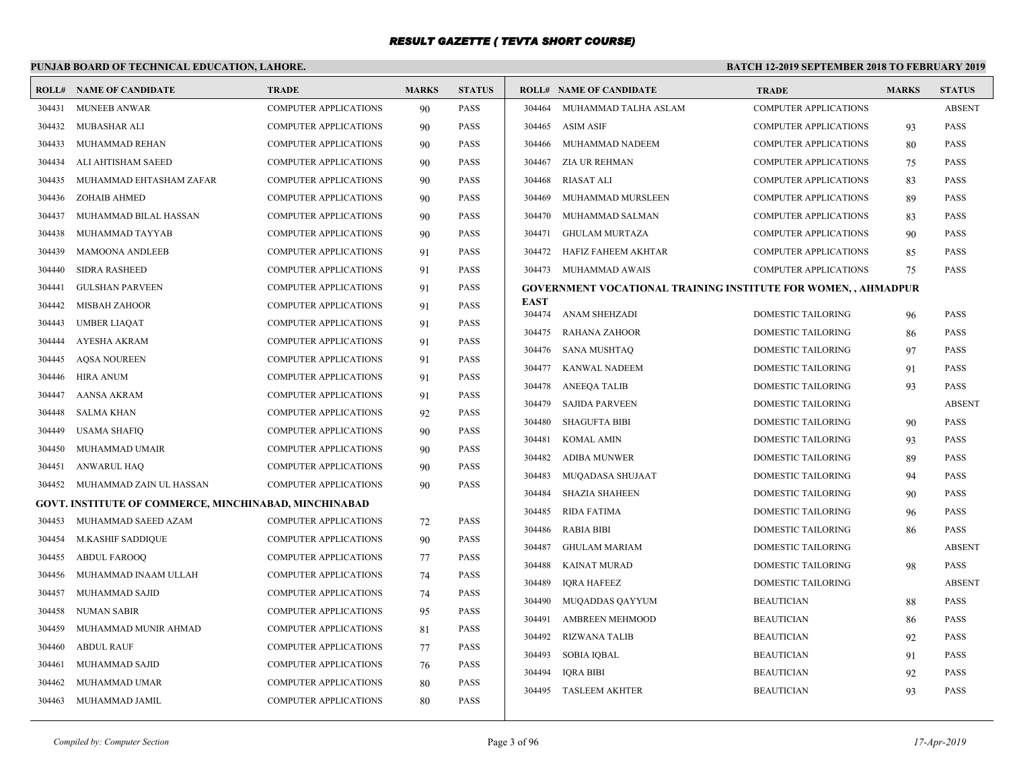# **PUNJAB BOARD OF TECHNICAL EDUCATION, LAHORE.**

|        | <b>ROLL# NAME OF CANDIDATE</b>                        | <b>TRADE</b>                 | <b>MARKS</b> | <b>STATUS</b> |                       | <b>ROLL# NAME OF CANDIDATE</b>                                 | <b>TRADE</b>                 | <b>MARKS</b> | <b>STATUS</b> |
|--------|-------------------------------------------------------|------------------------------|--------------|---------------|-----------------------|----------------------------------------------------------------|------------------------------|--------------|---------------|
| 304431 | <b>MUNEEB ANWAR</b>                                   | <b>COMPUTER APPLICATIONS</b> | 90           | <b>PASS</b>   | 304464                | MUHAMMAD TALHA ASLAM                                           | <b>COMPUTER APPLICATIONS</b> |              | <b>ABSENT</b> |
| 304432 | MUBASHAR ALI                                          | COMPUTER APPLICATIONS        | 90           | PASS          | 304465                | <b>ASIM ASIF</b>                                               | <b>COMPUTER APPLICATIONS</b> | 93           | <b>PASS</b>   |
| 304433 | MUHAMMAD REHAN                                        | <b>COMPUTER APPLICATIONS</b> | 90           | PASS          | 304466                | MUHAMMAD NADEEM                                                | <b>COMPUTER APPLICATIONS</b> | 80           | <b>PASS</b>   |
| 304434 | ALI AHTISHAM SAEED                                    | <b>COMPUTER APPLICATIONS</b> | 90           | <b>PASS</b>   | 304467                | ZIA UR REHMAN                                                  | <b>COMPUTER APPLICATIONS</b> | 75           | <b>PASS</b>   |
| 304435 | MUHAMMAD EHTASHAM ZAFAR                               | <b>COMPUTER APPLICATIONS</b> | 90           | <b>PASS</b>   | 304468                | <b>RIASAT ALI</b>                                              | <b>COMPUTER APPLICATIONS</b> | 83           | <b>PASS</b>   |
| 304436 | <b>ZOHAIB AHMED</b>                                   | COMPUTER APPLICATIONS        | 90           | PASS          | 304469                | MUHAMMAD MURSLEEN                                              | <b>COMPUTER APPLICATIONS</b> | 89           | <b>PASS</b>   |
| 304437 | MUHAMMAD BILAL HASSAN                                 | <b>COMPUTER APPLICATIONS</b> | 90           | PASS          | 304470                | MUHAMMAD SALMAN                                                | <b>COMPUTER APPLICATIONS</b> | 83           | <b>PASS</b>   |
| 304438 | MUHAMMAD TAYYAB                                       | <b>COMPUTER APPLICATIONS</b> | 90           | <b>PASS</b>   | 304471                | <b>GHULAM MURTAZA</b>                                          | <b>COMPUTER APPLICATIONS</b> | 90           | <b>PASS</b>   |
| 304439 | <b>MAMOONA ANDLEEB</b>                                | <b>COMPUTER APPLICATIONS</b> | 91           | <b>PASS</b>   | 304472                | HAFIZ FAHEEM AKHTAR                                            | <b>COMPUTER APPLICATIONS</b> | 85           | <b>PASS</b>   |
| 304440 | <b>SIDRA RASHEED</b>                                  | <b>COMPUTER APPLICATIONS</b> | 91           | <b>PASS</b>   | 304473                | MUHAMMAD AWAIS                                                 | <b>COMPUTER APPLICATIONS</b> | 75           | <b>PASS</b>   |
| 304441 | <b>GULSHAN PARVEEN</b>                                | COMPUTER APPLICATIONS        | 91           | PASS          |                       | GOVERNMENT VOCATIONAL TRAINING INSTITUTE FOR WOMEN, , AHMADPUR |                              |              |               |
| 304442 | <b>MISBAH ZAHOOR</b>                                  | <b>COMPUTER APPLICATIONS</b> | 91           | <b>PASS</b>   | <b>EAST</b><br>304474 | ANAM SHEHZADI                                                  | DOMESTIC TAILORING           |              | <b>PASS</b>   |
| 304443 | <b>UMBER LIAQAT</b>                                   | <b>COMPUTER APPLICATIONS</b> | 91           | <b>PASS</b>   | 304475                | RAHANA ZAHOOR                                                  | <b>DOMESTIC TAILORING</b>    | 96           | <b>PASS</b>   |
| 304444 | <b>AYESHA AKRAM</b>                                   | <b>COMPUTER APPLICATIONS</b> | 91           | <b>PASS</b>   | 304476                | <b>SANA MUSHTAQ</b>                                            | DOMESTIC TAILORING           | 86<br>97     | <b>PASS</b>   |
| 304445 | <b>AQSA NOUREEN</b>                                   | COMPUTER APPLICATIONS        | 91           | PASS          | 304477                | KANWAL NADEEM                                                  | <b>DOMESTIC TAILORING</b>    | 91           | <b>PASS</b>   |
| 304446 | <b>HIRA ANUM</b>                                      | <b>COMPUTER APPLICATIONS</b> | 91           | PASS          | 304478                | <b>ANEEOA TALIB</b>                                            | <b>DOMESTIC TAILORING</b>    | 93           | <b>PASS</b>   |
| 304447 | AANSA AKRAM                                           | <b>COMPUTER APPLICATIONS</b> | 91           | <b>PASS</b>   | 304479                | <b>SAJIDA PARVEEN</b>                                          | DOMESTIC TAILORING           |              | <b>ABSENT</b> |
| 304448 | <b>SALMA KHAN</b>                                     | <b>COMPUTER APPLICATIONS</b> | 92           | <b>PASS</b>   | 304480                | <b>SHAGUFTA BIBI</b>                                           | <b>DOMESTIC TAILORING</b>    | 90           | <b>PASS</b>   |
| 304449 | <b>USAMA SHAFIQ</b>                                   | COMPUTER APPLICATIONS        | 90           | <b>PASS</b>   | 304481                | KOMAL AMIN                                                     | <b>DOMESTIC TAILORING</b>    | 93           | <b>PASS</b>   |
| 304450 | MUHAMMAD UMAIR                                        | COMPUTER APPLICATIONS        | 90           | PASS          | 304482                | <b>ADIBA MUNWER</b>                                            | <b>DOMESTIC TAILORING</b>    | 89           | <b>PASS</b>   |
| 304451 | ANWARUL HAQ                                           | COMPUTER APPLICATIONS        | 90           | <b>PASS</b>   | 304483                | MUQADASA SHUJAAT                                               | DOMESTIC TAILORING           | 94           | <b>PASS</b>   |
| 304452 | MUHAMMAD ZAIN UL HASSAN                               | <b>COMPUTER APPLICATIONS</b> | 90           | <b>PASS</b>   | 304484                | <b>SHAZIA SHAHEEN</b>                                          | DOMESTIC TAILORING           | 90           | <b>PASS</b>   |
|        | GOVT. INSTITUTE OF COMMERCE, MINCHINABAD, MINCHINABAD |                              |              |               | 304485                | <b>RIDA FATIMA</b>                                             | DOMESTIC TAILORING           | 96           | <b>PASS</b>   |
| 304453 | MUHAMMAD SAEED AZAM                                   | <b>COMPUTER APPLICATIONS</b> | 72           | PASS          | 304486                | <b>RABIA BIBI</b>                                              | DOMESTIC TAILORING           | 86           | <b>PASS</b>   |
| 304454 | M.KASHIF SADDIQUE                                     | <b>COMPUTER APPLICATIONS</b> | 90           | <b>PASS</b>   | 304487                | <b>GHULAM MARIAM</b>                                           | <b>DOMESTIC TAILORING</b>    |              | <b>ABSENT</b> |
| 304455 | <b>ABDUL FAROOQ</b>                                   | COMPUTER APPLICATIONS        | 77           | <b>PASS</b>   | 304488                | <b>KAINAT MURAD</b>                                            | DOMESTIC TAILORING           | 98           | <b>PASS</b>   |
| 304456 | MUHAMMAD INAAM ULLAH                                  | <b>COMPUTER APPLICATIONS</b> | 74           | <b>PASS</b>   | 304489                | <b>IQRA HAFEEZ</b>                                             | <b>DOMESTIC TAILORING</b>    |              | <b>ABSENT</b> |
| 304457 | MUHAMMAD SAJID                                        | COMPUTER APPLICATIONS        | 74           | PASS          | 304490                | MUQADDAS QAYYUM                                                | <b>BEAUTICIAN</b>            | 88           | <b>PASS</b>   |
| 304458 | NUMAN SABIR                                           | <b>COMPUTER APPLICATIONS</b> | 95           | <b>PASS</b>   | 304491                | <b>AMBREEN MEHMOOD</b>                                         | <b>BEAUTICIAN</b>            | 86           | <b>PASS</b>   |
| 304459 | MUHAMMAD MUNIR AHMAD                                  | <b>COMPUTER APPLICATIONS</b> | 81           | <b>PASS</b>   | 304492                | <b>RIZWANA TALIB</b>                                           | <b>BEAUTICIAN</b>            | 92           | PASS          |
| 304460 | <b>ABDUL RAUF</b>                                     | <b>COMPUTER APPLICATIONS</b> | 77           | <b>PASS</b>   | 304493                | <b>SOBIA IQBAL</b>                                             | <b>BEAUTICIAN</b>            | 91           | <b>PASS</b>   |
| 304461 | MUHAMMAD SAJID                                        | COMPUTER APPLICATIONS        | 76           | PASS          | 304494                | <b>IQRA BIBI</b>                                               | <b>BEAUTICIAN</b>            | 92           | <b>PASS</b>   |
| 304462 | MUHAMMAD UMAR                                         | <b>COMPUTER APPLICATIONS</b> | 80           | PASS          | 304495                | <b>TASLEEM AKHTER</b>                                          | <b>BEAUTICIAN</b>            | 93           | <b>PASS</b>   |
|        | 304463 MUHAMMAD JAMIL                                 | <b>COMPUTER APPLICATIONS</b> | 80           | <b>PASS</b>   |                       |                                                                |                              |              |               |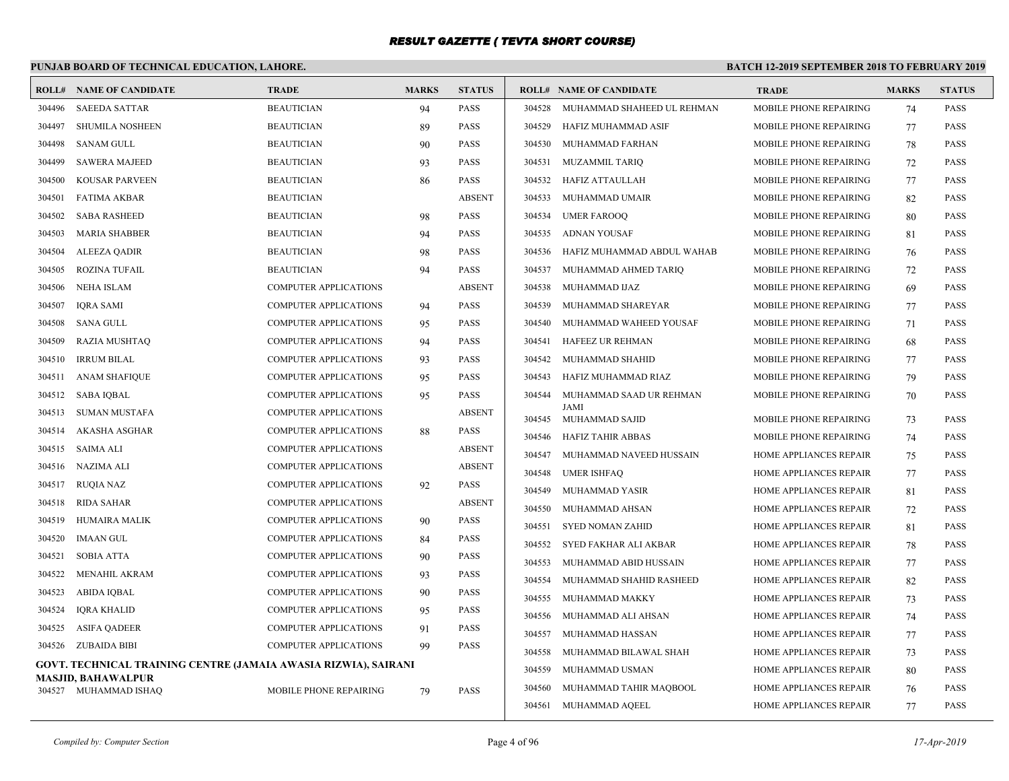# **PUNJAB BOARD OF TECHNICAL EDUCATION, LAHORE.**

| <b>SAEEDA SATTAR</b><br><b>BEAUTICIAN</b><br><b>PASS</b><br>MUHAMMAD SHAHEED UL REHMAN<br>MOBILE PHONE REPAIRING<br><b>PASS</b><br>304496<br>94<br>304528<br>74<br><b>SHUMILA NOSHEEN</b><br><b>BEAUTICIAN</b><br>89<br><b>PASS</b><br>304529<br>HAFIZ MUHAMMAD ASIF<br>MOBILE PHONE REPAIRING<br><b>PASS</b><br>304497<br>77<br><b>BEAUTICIAN</b><br><b>PASS</b><br>304498<br><b>SANAM GULL</b><br>304530<br>MUHAMMAD FARHAN<br>MOBILE PHONE REPAIRING<br><b>PASS</b><br>90<br>78<br>304499<br><b>SAWERA MAJEED</b><br><b>BEAUTICIAN</b><br>93<br><b>PASS</b><br>304531<br><b>MUZAMMIL TARIO</b><br>MOBILE PHONE REPAIRING<br><b>PASS</b><br>72<br><b>PASS</b><br>304500<br>KOUSAR PARVEEN<br><b>BEAUTICIAN</b><br>304532<br>HAFIZ ATTAULLAH<br>MOBILE PHONE REPAIRING<br><b>PASS</b><br>86<br>77<br><b>BEAUTICIAN</b><br><b>ABSENT</b><br>304533<br>MUHAMMAD UMAIR<br>MOBILE PHONE REPAIRING<br>304501<br>FATIMA AKBAR<br>82<br><b>PASS</b><br><b>PASS</b><br>304502<br><b>SABA RASHEED</b><br><b>BEAUTICIAN</b><br>304534<br><b>UMER FAROOQ</b><br>MOBILE PHONE REPAIRING<br><b>PASS</b><br>98<br>80<br><b>BEAUTICIAN</b><br><b>PASS</b><br>304535<br><b>ADNAN YOUSAF</b><br>MOBILE PHONE REPAIRING<br>304503<br>MARIA SHABBER<br><b>PASS</b><br>94<br>81<br><b>BEAUTICIAN</b><br><b>PASS</b><br>MOBILE PHONE REPAIRING<br>304504<br><b>ALEEZA QADIR</b><br>98<br>304536<br>HAFIZ MUHAMMAD ABDUL WAHAB<br><b>PASS</b><br>76<br><b>ROZINA TUFAIL</b><br><b>BEAUTICIAN</b><br><b>PASS</b><br>304505<br>94<br>304537<br>MUHAMMAD AHMED TARIQ<br>MOBILE PHONE REPAIRING<br><b>PASS</b><br>72<br><b>ABSENT</b><br>304506<br><b>NEHA ISLAM</b><br><b>COMPUTER APPLICATIONS</b><br>304538<br>MUHAMMAD IJAZ<br>MOBILE PHONE REPAIRING<br>69<br><b>PASS</b><br><b>PASS</b><br>304507<br><b>IQRA SAMI</b><br><b>COMPUTER APPLICATIONS</b><br>304539<br>MUHAMMAD SHAREYAR<br>MOBILE PHONE REPAIRING<br>77<br><b>PASS</b><br>94<br>304508<br><b>COMPUTER APPLICATIONS</b><br><b>PASS</b><br>304540<br>MUHAMMAD WAHEED YOUSAF<br>MOBILE PHONE REPAIRING<br><b>PASS</b><br>SANA GULL<br>95<br>71<br>304509<br><b>RAZIA MUSHTAQ</b><br>COMPUTER APPLICATIONS<br><b>PASS</b><br>304541<br>HAFEEZ UR REHMAN<br>MOBILE PHONE REPAIRING<br><b>PASS</b><br>94<br>68<br><b>IRRUM BILAL</b><br><b>COMPUTER APPLICATIONS</b><br><b>PASS</b><br>304542<br>MUHAMMAD SHAHID<br>MOBILE PHONE REPAIRING<br><b>PASS</b><br>304510<br>93<br>77<br>304511<br><b>ANAM SHAFIQUE</b><br>COMPUTER APPLICATIONS<br><b>PASS</b><br>304543<br>HAFIZ MUHAMMAD RIAZ<br>MOBILE PHONE REPAIRING<br><b>PASS</b><br>95<br>79<br>304512<br><b>SABA IQBAL</b><br><b>COMPUTER APPLICATIONS</b><br>95<br><b>PASS</b><br>304544<br>MUHAMMAD SAAD UR REHMAN<br>MOBILE PHONE REPAIRING<br>70<br><b>PASS</b><br>JAMI<br>304513<br>SUMAN MUSTAFA<br>COMPUTER APPLICATIONS<br><b>ABSENT</b><br>304545 MUHAMMAD SAJID<br>MOBILE PHONE REPAIRING<br><b>PASS</b><br>73<br>304514<br>AKASHA ASGHAR<br><b>COMPUTER APPLICATIONS</b><br><b>PASS</b><br>88<br>304546<br>HAFIZ TAHIR ABBAS<br>MOBILE PHONE REPAIRING<br><b>PASS</b><br>74<br><b>ABSENT</b><br>304515<br><b>SAIMA ALI</b><br><b>COMPUTER APPLICATIONS</b><br>304547<br>MUHAMMAD NAVEED HUSSAIN<br>HOME APPLIANCES REPAIR<br><b>PASS</b><br>75<br>NAZIMA ALI<br><b>COMPUTER APPLICATIONS</b><br><b>ABSENT</b><br>304516<br>304548<br><b>UMER ISHFAQ</b><br>HOME APPLIANCES REPAIR<br><b>PASS</b><br>77<br><b>RUQIA NAZ</b><br><b>COMPUTER APPLICATIONS</b><br><b>PASS</b><br>304517<br>92<br>304549<br>MUHAMMAD YASIR<br>HOME APPLIANCES REPAIR<br>81<br><b>PASS</b><br>COMPUTER APPLICATIONS<br><b>ABSENT</b><br>304518<br><b>RIDA SAHAR</b><br>304550<br>MUHAMMAD AHSAN<br>HOME APPLIANCES REPAIR<br><b>PASS</b><br>72<br>304519<br><b>HUMAIRA MALIK</b><br><b>COMPUTER APPLICATIONS</b><br><b>PASS</b><br>90<br>304551<br>SYED NOMAN ZAHID<br>HOME APPLIANCES REPAIR<br><b>PASS</b><br>81<br>304520<br><b>IMAAN GUL</b><br>COMPUTER APPLICATIONS<br><b>PASS</b><br>84<br>304552<br>SYED FAKHAR ALI AKBAR<br>HOME APPLIANCES REPAIR<br><b>PASS</b><br>78<br>304521<br><b>SOBIA ATTA</b><br><b>COMPUTER APPLICATIONS</b><br><b>PASS</b><br>90<br>304553<br>MUHAMMAD ABID HUSSAIN<br>HOME APPLIANCES REPAIR<br><b>PASS</b><br>77<br>304522<br>COMPUTER APPLICATIONS<br><b>PASS</b><br>MENAHIL AKRAM<br>93<br>304554<br>MUHAMMAD SHAHID RASHEED<br>HOME APPLIANCES REPAIR<br><b>PASS</b><br>82<br>304523<br>ABIDA IQBAL<br><b>COMPUTER APPLICATIONS</b><br><b>PASS</b><br>90<br>304555<br>MUHAMMAD MAKKY<br>HOME APPLIANCES REPAIR<br>73<br><b>PASS</b><br>COMPUTER APPLICATIONS<br><b>PASS</b><br>304524<br><b>IQRA KHALID</b><br>95<br>304556<br>MUHAMMAD ALI AHSAN<br>HOME APPLIANCES REPAIR<br><b>PASS</b><br>74<br><b>ASIFA QADEER</b><br><b>COMPUTER APPLICATIONS</b><br><b>PASS</b><br>304525<br>91<br>304557<br>MUHAMMAD HASSAN<br>HOME APPLIANCES REPAIR<br><b>PASS</b><br>77<br><b>PASS</b><br>304526 ZUBAIDA BIBI<br>COMPUTER APPLICATIONS<br>99<br>304558<br>MUHAMMAD BILAWAL SHAH<br>HOME APPLIANCES REPAIR<br><b>PASS</b><br>73<br>GOVT. TECHNICAL TRAINING CENTRE (JAMAIA AWASIA RIZWIA), SAIRANI<br>304559<br>MUHAMMAD USMAN<br>HOME APPLIANCES REPAIR<br>80<br><b>PASS</b><br>MASJID, BAHAWALPUR<br>304560<br>MUHAMMAD TAHIR MAQBOOL<br>HOME APPLIANCES REPAIR<br><b>PASS</b><br>76<br>304527 MUHAMMAD ISHAO<br>MOBILE PHONE REPAIRING<br>79<br><b>PASS</b> | ROLL# | <b>NAME OF CANDIDATE</b> | <b>TRADE</b> | <b>MARKS</b> | <b>STATUS</b> |        | <b>ROLL# NAME OF CANDIDATE</b> | <b>TRADE</b>           | <b>MARKS</b> | <b>STATUS</b> |
|--------------------------------------------------------------------------------------------------------------------------------------------------------------------------------------------------------------------------------------------------------------------------------------------------------------------------------------------------------------------------------------------------------------------------------------------------------------------------------------------------------------------------------------------------------------------------------------------------------------------------------------------------------------------------------------------------------------------------------------------------------------------------------------------------------------------------------------------------------------------------------------------------------------------------------------------------------------------------------------------------------------------------------------------------------------------------------------------------------------------------------------------------------------------------------------------------------------------------------------------------------------------------------------------------------------------------------------------------------------------------------------------------------------------------------------------------------------------------------------------------------------------------------------------------------------------------------------------------------------------------------------------------------------------------------------------------------------------------------------------------------------------------------------------------------------------------------------------------------------------------------------------------------------------------------------------------------------------------------------------------------------------------------------------------------------------------------------------------------------------------------------------------------------------------------------------------------------------------------------------------------------------------------------------------------------------------------------------------------------------------------------------------------------------------------------------------------------------------------------------------------------------------------------------------------------------------------------------------------------------------------------------------------------------------------------------------------------------------------------------------------------------------------------------------------------------------------------------------------------------------------------------------------------------------------------------------------------------------------------------------------------------------------------------------------------------------------------------------------------------------------------------------------------------------------------------------------------------------------------------------------------------------------------------------------------------------------------------------------------------------------------------------------------------------------------------------------------------------------------------------------------------------------------------------------------------------------------------------------------------------------------------------------------------------------------------------------------------------------------------------------------------------------------------------------------------------------------------------------------------------------------------------------------------------------------------------------------------------------------------------------------------------------------------------------------------------------------------------------------------------------------------------------------------------------------------------------------------------------------------------------------------------------------------------------------------------------------------------------------------------------------------------------------------------------------------------------------------------------------------------------------------------------------------------------------------------------------------------------------------------------------------------------------------------------------------------------------------------------------------------------------------------------------------------------------------------------------------------------------------------------------------------------------------------------------------------------------------------------------------------------------------------------------------------------------------------------------------------------------------------------------------------------------------------------------------------------------------------------------------------------------------------------------------------------------------------------------------------------------------------------|-------|--------------------------|--------------|--------------|---------------|--------|--------------------------------|------------------------|--------------|---------------|
|                                                                                                                                                                                                                                                                                                                                                                                                                                                                                                                                                                                                                                                                                                                                                                                                                                                                                                                                                                                                                                                                                                                                                                                                                                                                                                                                                                                                                                                                                                                                                                                                                                                                                                                                                                                                                                                                                                                                                                                                                                                                                                                                                                                                                                                                                                                                                                                                                                                                                                                                                                                                                                                                                                                                                                                                                                                                                                                                                                                                                                                                                                                                                                                                                                                                                                                                                                                                                                                                                                                                                                                                                                                                                                                                                                                                                                                                                                                                                                                                                                                                                                                                                                                                                                                                                                                                                                                                                                                                                                                                                                                                                                                                                                                                                                                                                                                                                                                                                                                                                                                                                                                                                                                                                                                                                                                                                                                |       |                          |              |              |               |        |                                |                        |              |               |
|                                                                                                                                                                                                                                                                                                                                                                                                                                                                                                                                                                                                                                                                                                                                                                                                                                                                                                                                                                                                                                                                                                                                                                                                                                                                                                                                                                                                                                                                                                                                                                                                                                                                                                                                                                                                                                                                                                                                                                                                                                                                                                                                                                                                                                                                                                                                                                                                                                                                                                                                                                                                                                                                                                                                                                                                                                                                                                                                                                                                                                                                                                                                                                                                                                                                                                                                                                                                                                                                                                                                                                                                                                                                                                                                                                                                                                                                                                                                                                                                                                                                                                                                                                                                                                                                                                                                                                                                                                                                                                                                                                                                                                                                                                                                                                                                                                                                                                                                                                                                                                                                                                                                                                                                                                                                                                                                                                                |       |                          |              |              |               |        |                                |                        |              |               |
|                                                                                                                                                                                                                                                                                                                                                                                                                                                                                                                                                                                                                                                                                                                                                                                                                                                                                                                                                                                                                                                                                                                                                                                                                                                                                                                                                                                                                                                                                                                                                                                                                                                                                                                                                                                                                                                                                                                                                                                                                                                                                                                                                                                                                                                                                                                                                                                                                                                                                                                                                                                                                                                                                                                                                                                                                                                                                                                                                                                                                                                                                                                                                                                                                                                                                                                                                                                                                                                                                                                                                                                                                                                                                                                                                                                                                                                                                                                                                                                                                                                                                                                                                                                                                                                                                                                                                                                                                                                                                                                                                                                                                                                                                                                                                                                                                                                                                                                                                                                                                                                                                                                                                                                                                                                                                                                                                                                |       |                          |              |              |               |        |                                |                        |              |               |
|                                                                                                                                                                                                                                                                                                                                                                                                                                                                                                                                                                                                                                                                                                                                                                                                                                                                                                                                                                                                                                                                                                                                                                                                                                                                                                                                                                                                                                                                                                                                                                                                                                                                                                                                                                                                                                                                                                                                                                                                                                                                                                                                                                                                                                                                                                                                                                                                                                                                                                                                                                                                                                                                                                                                                                                                                                                                                                                                                                                                                                                                                                                                                                                                                                                                                                                                                                                                                                                                                                                                                                                                                                                                                                                                                                                                                                                                                                                                                                                                                                                                                                                                                                                                                                                                                                                                                                                                                                                                                                                                                                                                                                                                                                                                                                                                                                                                                                                                                                                                                                                                                                                                                                                                                                                                                                                                                                                |       |                          |              |              |               |        |                                |                        |              |               |
|                                                                                                                                                                                                                                                                                                                                                                                                                                                                                                                                                                                                                                                                                                                                                                                                                                                                                                                                                                                                                                                                                                                                                                                                                                                                                                                                                                                                                                                                                                                                                                                                                                                                                                                                                                                                                                                                                                                                                                                                                                                                                                                                                                                                                                                                                                                                                                                                                                                                                                                                                                                                                                                                                                                                                                                                                                                                                                                                                                                                                                                                                                                                                                                                                                                                                                                                                                                                                                                                                                                                                                                                                                                                                                                                                                                                                                                                                                                                                                                                                                                                                                                                                                                                                                                                                                                                                                                                                                                                                                                                                                                                                                                                                                                                                                                                                                                                                                                                                                                                                                                                                                                                                                                                                                                                                                                                                                                |       |                          |              |              |               |        |                                |                        |              |               |
|                                                                                                                                                                                                                                                                                                                                                                                                                                                                                                                                                                                                                                                                                                                                                                                                                                                                                                                                                                                                                                                                                                                                                                                                                                                                                                                                                                                                                                                                                                                                                                                                                                                                                                                                                                                                                                                                                                                                                                                                                                                                                                                                                                                                                                                                                                                                                                                                                                                                                                                                                                                                                                                                                                                                                                                                                                                                                                                                                                                                                                                                                                                                                                                                                                                                                                                                                                                                                                                                                                                                                                                                                                                                                                                                                                                                                                                                                                                                                                                                                                                                                                                                                                                                                                                                                                                                                                                                                                                                                                                                                                                                                                                                                                                                                                                                                                                                                                                                                                                                                                                                                                                                                                                                                                                                                                                                                                                |       |                          |              |              |               |        |                                |                        |              |               |
|                                                                                                                                                                                                                                                                                                                                                                                                                                                                                                                                                                                                                                                                                                                                                                                                                                                                                                                                                                                                                                                                                                                                                                                                                                                                                                                                                                                                                                                                                                                                                                                                                                                                                                                                                                                                                                                                                                                                                                                                                                                                                                                                                                                                                                                                                                                                                                                                                                                                                                                                                                                                                                                                                                                                                                                                                                                                                                                                                                                                                                                                                                                                                                                                                                                                                                                                                                                                                                                                                                                                                                                                                                                                                                                                                                                                                                                                                                                                                                                                                                                                                                                                                                                                                                                                                                                                                                                                                                                                                                                                                                                                                                                                                                                                                                                                                                                                                                                                                                                                                                                                                                                                                                                                                                                                                                                                                                                |       |                          |              |              |               |        |                                |                        |              |               |
|                                                                                                                                                                                                                                                                                                                                                                                                                                                                                                                                                                                                                                                                                                                                                                                                                                                                                                                                                                                                                                                                                                                                                                                                                                                                                                                                                                                                                                                                                                                                                                                                                                                                                                                                                                                                                                                                                                                                                                                                                                                                                                                                                                                                                                                                                                                                                                                                                                                                                                                                                                                                                                                                                                                                                                                                                                                                                                                                                                                                                                                                                                                                                                                                                                                                                                                                                                                                                                                                                                                                                                                                                                                                                                                                                                                                                                                                                                                                                                                                                                                                                                                                                                                                                                                                                                                                                                                                                                                                                                                                                                                                                                                                                                                                                                                                                                                                                                                                                                                                                                                                                                                                                                                                                                                                                                                                                                                |       |                          |              |              |               |        |                                |                        |              |               |
|                                                                                                                                                                                                                                                                                                                                                                                                                                                                                                                                                                                                                                                                                                                                                                                                                                                                                                                                                                                                                                                                                                                                                                                                                                                                                                                                                                                                                                                                                                                                                                                                                                                                                                                                                                                                                                                                                                                                                                                                                                                                                                                                                                                                                                                                                                                                                                                                                                                                                                                                                                                                                                                                                                                                                                                                                                                                                                                                                                                                                                                                                                                                                                                                                                                                                                                                                                                                                                                                                                                                                                                                                                                                                                                                                                                                                                                                                                                                                                                                                                                                                                                                                                                                                                                                                                                                                                                                                                                                                                                                                                                                                                                                                                                                                                                                                                                                                                                                                                                                                                                                                                                                                                                                                                                                                                                                                                                |       |                          |              |              |               |        |                                |                        |              |               |
|                                                                                                                                                                                                                                                                                                                                                                                                                                                                                                                                                                                                                                                                                                                                                                                                                                                                                                                                                                                                                                                                                                                                                                                                                                                                                                                                                                                                                                                                                                                                                                                                                                                                                                                                                                                                                                                                                                                                                                                                                                                                                                                                                                                                                                                                                                                                                                                                                                                                                                                                                                                                                                                                                                                                                                                                                                                                                                                                                                                                                                                                                                                                                                                                                                                                                                                                                                                                                                                                                                                                                                                                                                                                                                                                                                                                                                                                                                                                                                                                                                                                                                                                                                                                                                                                                                                                                                                                                                                                                                                                                                                                                                                                                                                                                                                                                                                                                                                                                                                                                                                                                                                                                                                                                                                                                                                                                                                |       |                          |              |              |               |        |                                |                        |              |               |
|                                                                                                                                                                                                                                                                                                                                                                                                                                                                                                                                                                                                                                                                                                                                                                                                                                                                                                                                                                                                                                                                                                                                                                                                                                                                                                                                                                                                                                                                                                                                                                                                                                                                                                                                                                                                                                                                                                                                                                                                                                                                                                                                                                                                                                                                                                                                                                                                                                                                                                                                                                                                                                                                                                                                                                                                                                                                                                                                                                                                                                                                                                                                                                                                                                                                                                                                                                                                                                                                                                                                                                                                                                                                                                                                                                                                                                                                                                                                                                                                                                                                                                                                                                                                                                                                                                                                                                                                                                                                                                                                                                                                                                                                                                                                                                                                                                                                                                                                                                                                                                                                                                                                                                                                                                                                                                                                                                                |       |                          |              |              |               |        |                                |                        |              |               |
|                                                                                                                                                                                                                                                                                                                                                                                                                                                                                                                                                                                                                                                                                                                                                                                                                                                                                                                                                                                                                                                                                                                                                                                                                                                                                                                                                                                                                                                                                                                                                                                                                                                                                                                                                                                                                                                                                                                                                                                                                                                                                                                                                                                                                                                                                                                                                                                                                                                                                                                                                                                                                                                                                                                                                                                                                                                                                                                                                                                                                                                                                                                                                                                                                                                                                                                                                                                                                                                                                                                                                                                                                                                                                                                                                                                                                                                                                                                                                                                                                                                                                                                                                                                                                                                                                                                                                                                                                                                                                                                                                                                                                                                                                                                                                                                                                                                                                                                                                                                                                                                                                                                                                                                                                                                                                                                                                                                |       |                          |              |              |               |        |                                |                        |              |               |
|                                                                                                                                                                                                                                                                                                                                                                                                                                                                                                                                                                                                                                                                                                                                                                                                                                                                                                                                                                                                                                                                                                                                                                                                                                                                                                                                                                                                                                                                                                                                                                                                                                                                                                                                                                                                                                                                                                                                                                                                                                                                                                                                                                                                                                                                                                                                                                                                                                                                                                                                                                                                                                                                                                                                                                                                                                                                                                                                                                                                                                                                                                                                                                                                                                                                                                                                                                                                                                                                                                                                                                                                                                                                                                                                                                                                                                                                                                                                                                                                                                                                                                                                                                                                                                                                                                                                                                                                                                                                                                                                                                                                                                                                                                                                                                                                                                                                                                                                                                                                                                                                                                                                                                                                                                                                                                                                                                                |       |                          |              |              |               |        |                                |                        |              |               |
|                                                                                                                                                                                                                                                                                                                                                                                                                                                                                                                                                                                                                                                                                                                                                                                                                                                                                                                                                                                                                                                                                                                                                                                                                                                                                                                                                                                                                                                                                                                                                                                                                                                                                                                                                                                                                                                                                                                                                                                                                                                                                                                                                                                                                                                                                                                                                                                                                                                                                                                                                                                                                                                                                                                                                                                                                                                                                                                                                                                                                                                                                                                                                                                                                                                                                                                                                                                                                                                                                                                                                                                                                                                                                                                                                                                                                                                                                                                                                                                                                                                                                                                                                                                                                                                                                                                                                                                                                                                                                                                                                                                                                                                                                                                                                                                                                                                                                                                                                                                                                                                                                                                                                                                                                                                                                                                                                                                |       |                          |              |              |               |        |                                |                        |              |               |
|                                                                                                                                                                                                                                                                                                                                                                                                                                                                                                                                                                                                                                                                                                                                                                                                                                                                                                                                                                                                                                                                                                                                                                                                                                                                                                                                                                                                                                                                                                                                                                                                                                                                                                                                                                                                                                                                                                                                                                                                                                                                                                                                                                                                                                                                                                                                                                                                                                                                                                                                                                                                                                                                                                                                                                                                                                                                                                                                                                                                                                                                                                                                                                                                                                                                                                                                                                                                                                                                                                                                                                                                                                                                                                                                                                                                                                                                                                                                                                                                                                                                                                                                                                                                                                                                                                                                                                                                                                                                                                                                                                                                                                                                                                                                                                                                                                                                                                                                                                                                                                                                                                                                                                                                                                                                                                                                                                                |       |                          |              |              |               |        |                                |                        |              |               |
|                                                                                                                                                                                                                                                                                                                                                                                                                                                                                                                                                                                                                                                                                                                                                                                                                                                                                                                                                                                                                                                                                                                                                                                                                                                                                                                                                                                                                                                                                                                                                                                                                                                                                                                                                                                                                                                                                                                                                                                                                                                                                                                                                                                                                                                                                                                                                                                                                                                                                                                                                                                                                                                                                                                                                                                                                                                                                                                                                                                                                                                                                                                                                                                                                                                                                                                                                                                                                                                                                                                                                                                                                                                                                                                                                                                                                                                                                                                                                                                                                                                                                                                                                                                                                                                                                                                                                                                                                                                                                                                                                                                                                                                                                                                                                                                                                                                                                                                                                                                                                                                                                                                                                                                                                                                                                                                                                                                |       |                          |              |              |               |        |                                |                        |              |               |
|                                                                                                                                                                                                                                                                                                                                                                                                                                                                                                                                                                                                                                                                                                                                                                                                                                                                                                                                                                                                                                                                                                                                                                                                                                                                                                                                                                                                                                                                                                                                                                                                                                                                                                                                                                                                                                                                                                                                                                                                                                                                                                                                                                                                                                                                                                                                                                                                                                                                                                                                                                                                                                                                                                                                                                                                                                                                                                                                                                                                                                                                                                                                                                                                                                                                                                                                                                                                                                                                                                                                                                                                                                                                                                                                                                                                                                                                                                                                                                                                                                                                                                                                                                                                                                                                                                                                                                                                                                                                                                                                                                                                                                                                                                                                                                                                                                                                                                                                                                                                                                                                                                                                                                                                                                                                                                                                                                                |       |                          |              |              |               |        |                                |                        |              |               |
|                                                                                                                                                                                                                                                                                                                                                                                                                                                                                                                                                                                                                                                                                                                                                                                                                                                                                                                                                                                                                                                                                                                                                                                                                                                                                                                                                                                                                                                                                                                                                                                                                                                                                                                                                                                                                                                                                                                                                                                                                                                                                                                                                                                                                                                                                                                                                                                                                                                                                                                                                                                                                                                                                                                                                                                                                                                                                                                                                                                                                                                                                                                                                                                                                                                                                                                                                                                                                                                                                                                                                                                                                                                                                                                                                                                                                                                                                                                                                                                                                                                                                                                                                                                                                                                                                                                                                                                                                                                                                                                                                                                                                                                                                                                                                                                                                                                                                                                                                                                                                                                                                                                                                                                                                                                                                                                                                                                |       |                          |              |              |               |        |                                |                        |              |               |
|                                                                                                                                                                                                                                                                                                                                                                                                                                                                                                                                                                                                                                                                                                                                                                                                                                                                                                                                                                                                                                                                                                                                                                                                                                                                                                                                                                                                                                                                                                                                                                                                                                                                                                                                                                                                                                                                                                                                                                                                                                                                                                                                                                                                                                                                                                                                                                                                                                                                                                                                                                                                                                                                                                                                                                                                                                                                                                                                                                                                                                                                                                                                                                                                                                                                                                                                                                                                                                                                                                                                                                                                                                                                                                                                                                                                                                                                                                                                                                                                                                                                                                                                                                                                                                                                                                                                                                                                                                                                                                                                                                                                                                                                                                                                                                                                                                                                                                                                                                                                                                                                                                                                                                                                                                                                                                                                                                                |       |                          |              |              |               |        |                                |                        |              |               |
|                                                                                                                                                                                                                                                                                                                                                                                                                                                                                                                                                                                                                                                                                                                                                                                                                                                                                                                                                                                                                                                                                                                                                                                                                                                                                                                                                                                                                                                                                                                                                                                                                                                                                                                                                                                                                                                                                                                                                                                                                                                                                                                                                                                                                                                                                                                                                                                                                                                                                                                                                                                                                                                                                                                                                                                                                                                                                                                                                                                                                                                                                                                                                                                                                                                                                                                                                                                                                                                                                                                                                                                                                                                                                                                                                                                                                                                                                                                                                                                                                                                                                                                                                                                                                                                                                                                                                                                                                                                                                                                                                                                                                                                                                                                                                                                                                                                                                                                                                                                                                                                                                                                                                                                                                                                                                                                                                                                |       |                          |              |              |               |        |                                |                        |              |               |
|                                                                                                                                                                                                                                                                                                                                                                                                                                                                                                                                                                                                                                                                                                                                                                                                                                                                                                                                                                                                                                                                                                                                                                                                                                                                                                                                                                                                                                                                                                                                                                                                                                                                                                                                                                                                                                                                                                                                                                                                                                                                                                                                                                                                                                                                                                                                                                                                                                                                                                                                                                                                                                                                                                                                                                                                                                                                                                                                                                                                                                                                                                                                                                                                                                                                                                                                                                                                                                                                                                                                                                                                                                                                                                                                                                                                                                                                                                                                                                                                                                                                                                                                                                                                                                                                                                                                                                                                                                                                                                                                                                                                                                                                                                                                                                                                                                                                                                                                                                                                                                                                                                                                                                                                                                                                                                                                                                                |       |                          |              |              |               |        |                                |                        |              |               |
|                                                                                                                                                                                                                                                                                                                                                                                                                                                                                                                                                                                                                                                                                                                                                                                                                                                                                                                                                                                                                                                                                                                                                                                                                                                                                                                                                                                                                                                                                                                                                                                                                                                                                                                                                                                                                                                                                                                                                                                                                                                                                                                                                                                                                                                                                                                                                                                                                                                                                                                                                                                                                                                                                                                                                                                                                                                                                                                                                                                                                                                                                                                                                                                                                                                                                                                                                                                                                                                                                                                                                                                                                                                                                                                                                                                                                                                                                                                                                                                                                                                                                                                                                                                                                                                                                                                                                                                                                                                                                                                                                                                                                                                                                                                                                                                                                                                                                                                                                                                                                                                                                                                                                                                                                                                                                                                                                                                |       |                          |              |              |               |        |                                |                        |              |               |
|                                                                                                                                                                                                                                                                                                                                                                                                                                                                                                                                                                                                                                                                                                                                                                                                                                                                                                                                                                                                                                                                                                                                                                                                                                                                                                                                                                                                                                                                                                                                                                                                                                                                                                                                                                                                                                                                                                                                                                                                                                                                                                                                                                                                                                                                                                                                                                                                                                                                                                                                                                                                                                                                                                                                                                                                                                                                                                                                                                                                                                                                                                                                                                                                                                                                                                                                                                                                                                                                                                                                                                                                                                                                                                                                                                                                                                                                                                                                                                                                                                                                                                                                                                                                                                                                                                                                                                                                                                                                                                                                                                                                                                                                                                                                                                                                                                                                                                                                                                                                                                                                                                                                                                                                                                                                                                                                                                                |       |                          |              |              |               |        |                                |                        |              |               |
|                                                                                                                                                                                                                                                                                                                                                                                                                                                                                                                                                                                                                                                                                                                                                                                                                                                                                                                                                                                                                                                                                                                                                                                                                                                                                                                                                                                                                                                                                                                                                                                                                                                                                                                                                                                                                                                                                                                                                                                                                                                                                                                                                                                                                                                                                                                                                                                                                                                                                                                                                                                                                                                                                                                                                                                                                                                                                                                                                                                                                                                                                                                                                                                                                                                                                                                                                                                                                                                                                                                                                                                                                                                                                                                                                                                                                                                                                                                                                                                                                                                                                                                                                                                                                                                                                                                                                                                                                                                                                                                                                                                                                                                                                                                                                                                                                                                                                                                                                                                                                                                                                                                                                                                                                                                                                                                                                                                |       |                          |              |              |               |        |                                |                        |              |               |
|                                                                                                                                                                                                                                                                                                                                                                                                                                                                                                                                                                                                                                                                                                                                                                                                                                                                                                                                                                                                                                                                                                                                                                                                                                                                                                                                                                                                                                                                                                                                                                                                                                                                                                                                                                                                                                                                                                                                                                                                                                                                                                                                                                                                                                                                                                                                                                                                                                                                                                                                                                                                                                                                                                                                                                                                                                                                                                                                                                                                                                                                                                                                                                                                                                                                                                                                                                                                                                                                                                                                                                                                                                                                                                                                                                                                                                                                                                                                                                                                                                                                                                                                                                                                                                                                                                                                                                                                                                                                                                                                                                                                                                                                                                                                                                                                                                                                                                                                                                                                                                                                                                                                                                                                                                                                                                                                                                                |       |                          |              |              |               |        |                                |                        |              |               |
|                                                                                                                                                                                                                                                                                                                                                                                                                                                                                                                                                                                                                                                                                                                                                                                                                                                                                                                                                                                                                                                                                                                                                                                                                                                                                                                                                                                                                                                                                                                                                                                                                                                                                                                                                                                                                                                                                                                                                                                                                                                                                                                                                                                                                                                                                                                                                                                                                                                                                                                                                                                                                                                                                                                                                                                                                                                                                                                                                                                                                                                                                                                                                                                                                                                                                                                                                                                                                                                                                                                                                                                                                                                                                                                                                                                                                                                                                                                                                                                                                                                                                                                                                                                                                                                                                                                                                                                                                                                                                                                                                                                                                                                                                                                                                                                                                                                                                                                                                                                                                                                                                                                                                                                                                                                                                                                                                                                |       |                          |              |              |               |        |                                |                        |              |               |
|                                                                                                                                                                                                                                                                                                                                                                                                                                                                                                                                                                                                                                                                                                                                                                                                                                                                                                                                                                                                                                                                                                                                                                                                                                                                                                                                                                                                                                                                                                                                                                                                                                                                                                                                                                                                                                                                                                                                                                                                                                                                                                                                                                                                                                                                                                                                                                                                                                                                                                                                                                                                                                                                                                                                                                                                                                                                                                                                                                                                                                                                                                                                                                                                                                                                                                                                                                                                                                                                                                                                                                                                                                                                                                                                                                                                                                                                                                                                                                                                                                                                                                                                                                                                                                                                                                                                                                                                                                                                                                                                                                                                                                                                                                                                                                                                                                                                                                                                                                                                                                                                                                                                                                                                                                                                                                                                                                                |       |                          |              |              |               |        |                                |                        |              |               |
|                                                                                                                                                                                                                                                                                                                                                                                                                                                                                                                                                                                                                                                                                                                                                                                                                                                                                                                                                                                                                                                                                                                                                                                                                                                                                                                                                                                                                                                                                                                                                                                                                                                                                                                                                                                                                                                                                                                                                                                                                                                                                                                                                                                                                                                                                                                                                                                                                                                                                                                                                                                                                                                                                                                                                                                                                                                                                                                                                                                                                                                                                                                                                                                                                                                                                                                                                                                                                                                                                                                                                                                                                                                                                                                                                                                                                                                                                                                                                                                                                                                                                                                                                                                                                                                                                                                                                                                                                                                                                                                                                                                                                                                                                                                                                                                                                                                                                                                                                                                                                                                                                                                                                                                                                                                                                                                                                                                |       |                          |              |              |               |        |                                |                        |              |               |
|                                                                                                                                                                                                                                                                                                                                                                                                                                                                                                                                                                                                                                                                                                                                                                                                                                                                                                                                                                                                                                                                                                                                                                                                                                                                                                                                                                                                                                                                                                                                                                                                                                                                                                                                                                                                                                                                                                                                                                                                                                                                                                                                                                                                                                                                                                                                                                                                                                                                                                                                                                                                                                                                                                                                                                                                                                                                                                                                                                                                                                                                                                                                                                                                                                                                                                                                                                                                                                                                                                                                                                                                                                                                                                                                                                                                                                                                                                                                                                                                                                                                                                                                                                                                                                                                                                                                                                                                                                                                                                                                                                                                                                                                                                                                                                                                                                                                                                                                                                                                                                                                                                                                                                                                                                                                                                                                                                                |       |                          |              |              |               |        |                                |                        |              |               |
|                                                                                                                                                                                                                                                                                                                                                                                                                                                                                                                                                                                                                                                                                                                                                                                                                                                                                                                                                                                                                                                                                                                                                                                                                                                                                                                                                                                                                                                                                                                                                                                                                                                                                                                                                                                                                                                                                                                                                                                                                                                                                                                                                                                                                                                                                                                                                                                                                                                                                                                                                                                                                                                                                                                                                                                                                                                                                                                                                                                                                                                                                                                                                                                                                                                                                                                                                                                                                                                                                                                                                                                                                                                                                                                                                                                                                                                                                                                                                                                                                                                                                                                                                                                                                                                                                                                                                                                                                                                                                                                                                                                                                                                                                                                                                                                                                                                                                                                                                                                                                                                                                                                                                                                                                                                                                                                                                                                |       |                          |              |              |               |        |                                |                        |              |               |
|                                                                                                                                                                                                                                                                                                                                                                                                                                                                                                                                                                                                                                                                                                                                                                                                                                                                                                                                                                                                                                                                                                                                                                                                                                                                                                                                                                                                                                                                                                                                                                                                                                                                                                                                                                                                                                                                                                                                                                                                                                                                                                                                                                                                                                                                                                                                                                                                                                                                                                                                                                                                                                                                                                                                                                                                                                                                                                                                                                                                                                                                                                                                                                                                                                                                                                                                                                                                                                                                                                                                                                                                                                                                                                                                                                                                                                                                                                                                                                                                                                                                                                                                                                                                                                                                                                                                                                                                                                                                                                                                                                                                                                                                                                                                                                                                                                                                                                                                                                                                                                                                                                                                                                                                                                                                                                                                                                                |       |                          |              |              |               |        |                                |                        |              |               |
|                                                                                                                                                                                                                                                                                                                                                                                                                                                                                                                                                                                                                                                                                                                                                                                                                                                                                                                                                                                                                                                                                                                                                                                                                                                                                                                                                                                                                                                                                                                                                                                                                                                                                                                                                                                                                                                                                                                                                                                                                                                                                                                                                                                                                                                                                                                                                                                                                                                                                                                                                                                                                                                                                                                                                                                                                                                                                                                                                                                                                                                                                                                                                                                                                                                                                                                                                                                                                                                                                                                                                                                                                                                                                                                                                                                                                                                                                                                                                                                                                                                                                                                                                                                                                                                                                                                                                                                                                                                                                                                                                                                                                                                                                                                                                                                                                                                                                                                                                                                                                                                                                                                                                                                                                                                                                                                                                                                |       |                          |              |              |               |        |                                |                        |              |               |
|                                                                                                                                                                                                                                                                                                                                                                                                                                                                                                                                                                                                                                                                                                                                                                                                                                                                                                                                                                                                                                                                                                                                                                                                                                                                                                                                                                                                                                                                                                                                                                                                                                                                                                                                                                                                                                                                                                                                                                                                                                                                                                                                                                                                                                                                                                                                                                                                                                                                                                                                                                                                                                                                                                                                                                                                                                                                                                                                                                                                                                                                                                                                                                                                                                                                                                                                                                                                                                                                                                                                                                                                                                                                                                                                                                                                                                                                                                                                                                                                                                                                                                                                                                                                                                                                                                                                                                                                                                                                                                                                                                                                                                                                                                                                                                                                                                                                                                                                                                                                                                                                                                                                                                                                                                                                                                                                                                                |       |                          |              |              |               |        |                                |                        |              |               |
|                                                                                                                                                                                                                                                                                                                                                                                                                                                                                                                                                                                                                                                                                                                                                                                                                                                                                                                                                                                                                                                                                                                                                                                                                                                                                                                                                                                                                                                                                                                                                                                                                                                                                                                                                                                                                                                                                                                                                                                                                                                                                                                                                                                                                                                                                                                                                                                                                                                                                                                                                                                                                                                                                                                                                                                                                                                                                                                                                                                                                                                                                                                                                                                                                                                                                                                                                                                                                                                                                                                                                                                                                                                                                                                                                                                                                                                                                                                                                                                                                                                                                                                                                                                                                                                                                                                                                                                                                                                                                                                                                                                                                                                                                                                                                                                                                                                                                                                                                                                                                                                                                                                                                                                                                                                                                                                                                                                |       |                          |              |              |               | 304561 | MUHAMMAD AQEEL                 | HOME APPLIANCES REPAIR | 77           | <b>PASS</b>   |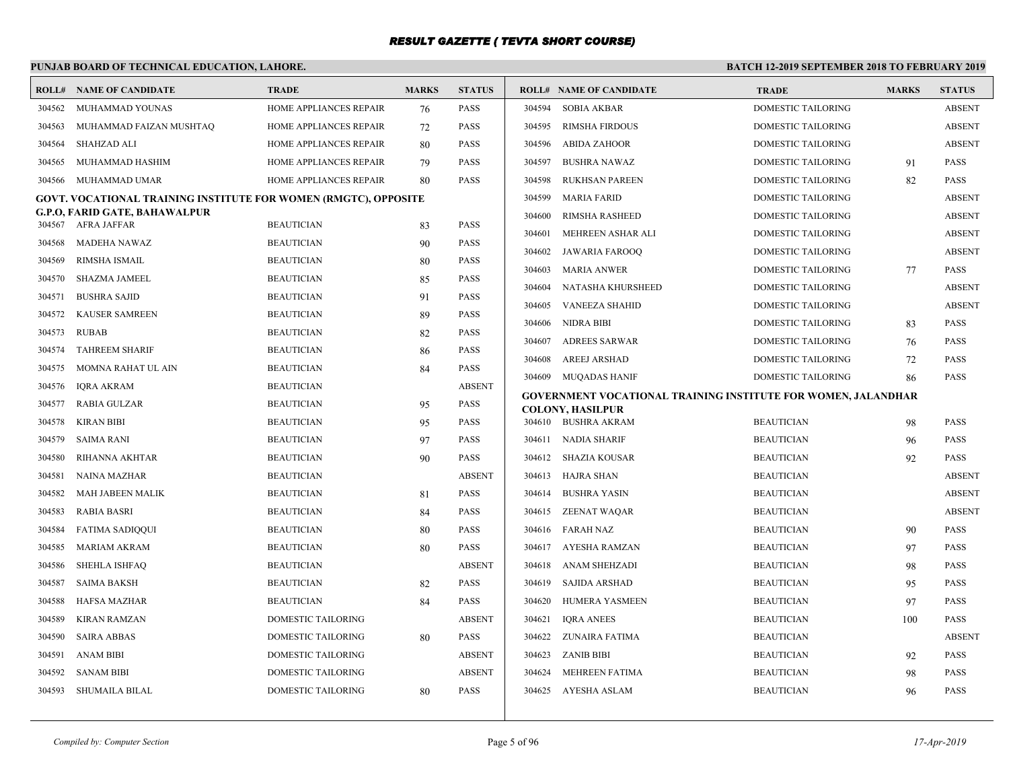# **PUNJAB BOARD OF TECHNICAL EDUCATION, LAHORE.**

|                  | <b>ROLL# NAME OF CANDIDATE</b>                                         | <b>TRADE</b>                           | <b>MARKS</b> | <b>STATUS</b> |        | <b>ROLL# NAME OF CANDIDATE</b>                                       | <b>TRADE</b>              | <b>MARKS</b> | <b>STATUS</b> |
|------------------|------------------------------------------------------------------------|----------------------------------------|--------------|---------------|--------|----------------------------------------------------------------------|---------------------------|--------------|---------------|
| 304562           | MUHAMMAD YOUNAS                                                        | HOME APPLIANCES REPAIR                 | 76           | PASS          | 304594 | SOBIA AKBAR                                                          | <b>DOMESTIC TAILORING</b> |              | <b>ABSENT</b> |
| 304563           | MUHAMMAD FAIZAN MUSHTAQ                                                | HOME APPLIANCES REPAIR                 | 72           | <b>PASS</b>   | 304595 | <b>RIMSHA FIRDOUS</b>                                                | <b>DOMESTIC TAILORING</b> |              | <b>ABSENT</b> |
| 304564           | <b>SHAHZAD ALI</b>                                                     | HOME APPLIANCES REPAIR                 | 80           | PASS          | 304596 | <b>ABIDA ZAHOOR</b>                                                  | DOMESTIC TAILORING        |              | <b>ABSENT</b> |
| 304565           | MUHAMMAD HASHIM                                                        | HOME APPLIANCES REPAIR                 | 79           | PASS          | 304597 | <b>BUSHRA NAWAZ</b>                                                  | DOMESTIC TAILORING        | 91           | <b>PASS</b>   |
| 304566           | MUHAMMAD UMAR                                                          | HOME APPLIANCES REPAIR                 | 80           | PASS          | 304598 | RUKHSAN PAREEN                                                       | DOMESTIC TAILORING        | 82           | PASS          |
|                  | <b>GOVT. VOCATIONAL TRAINING INSTITUTE FOR WOMEN (RMGTC), OPPOSITE</b> |                                        |              |               | 304599 | <b>MARIA FARID</b>                                                   | DOMESTIC TAILORING        |              | <b>ABSENT</b> |
|                  | G.P.O, FARID GATE, BAHAWALPUR<br>304567 AFRA JAFFAR                    | <b>BEAUTICIAN</b>                      | 83           | PASS          | 304600 | <b>RIMSHA RASHEED</b>                                                | DOMESTIC TAILORING        |              | <b>ABSENT</b> |
| 304568           | <b>MADEHA NAWAZ</b>                                                    | <b>BEAUTICIAN</b>                      | 90           | PASS          | 304601 | MEHREEN ASHAR ALI                                                    | <b>DOMESTIC TAILORING</b> |              | <b>ABSENT</b> |
| 304569           | RIMSHA ISMAIL                                                          | <b>BEAUTICIAN</b>                      |              | PASS          | 304602 | JAWARIA FAROOQ                                                       | <b>DOMESTIC TAILORING</b> |              | <b>ABSENT</b> |
| 304570           | SHAZMA JAMEEL                                                          | <b>BEAUTICIAN</b>                      | 80           | PASS          | 304603 | <b>MARIA ANWER</b>                                                   | DOMESTIC TAILORING        | 77           | <b>PASS</b>   |
|                  |                                                                        |                                        | 85           | PASS          | 304604 | NATASHA KHURSHEED                                                    | DOMESTIC TAILORING        |              | <b>ABSENT</b> |
| 304571           | <b>BUSHRA SAJID</b>                                                    | <b>BEAUTICIAN</b><br><b>BEAUTICIAN</b> | 91           | PASS          | 304605 | <b>VANEEZA SHAHID</b>                                                | DOMESTIC TAILORING        |              | <b>ABSENT</b> |
| 304572           | <b>KAUSER SAMREEN</b>                                                  |                                        | 89           |               | 304606 | NIDRA BIBI                                                           | DOMESTIC TAILORING        | 83           | <b>PASS</b>   |
| 304573           | <b>RUBAB</b><br><b>TAHREEM SHARIF</b>                                  | <b>BEAUTICIAN</b><br><b>BEAUTICIAN</b> | 82           | PASS          | 304607 | <b>ADREES SARWAR</b>                                                 | DOMESTIC TAILORING        | 76           | <b>PASS</b>   |
| 304574<br>304575 | MOMNA RAHAT UL AIN                                                     | <b>BEAUTICIAN</b>                      | 86           | PASS<br>PASS  | 304608 | <b>AREEJ ARSHAD</b>                                                  | DOMESTIC TAILORING        | 72           | PASS          |
| 304576           | <b>IQRA AKRAM</b>                                                      | <b>BEAUTICIAN</b>                      | 84           | <b>ABSENT</b> |        | 304609 MUQADAS HANIF                                                 | DOMESTIC TAILORING        | 86           | <b>PASS</b>   |
| 304577           | RABIA GULZAR                                                           | <b>BEAUTICIAN</b>                      | 95           | <b>PASS</b>   |        | <b>GOVERNMENT VOCATIONAL TRAINING INSTITUTE FOR WOMEN, JALANDHAR</b> |                           |              |               |
| 304578           | <b>KIRAN BIBI</b>                                                      | <b>BEAUTICIAN</b>                      |              | <b>PASS</b>   |        | <b>COLONY, HASILPUR</b><br>304610 BUSHRA AKRAM                       | <b>BEAUTICIAN</b>         |              | <b>PASS</b>   |
|                  | <b>SAIMA RANI</b>                                                      | <b>BEAUTICIAN</b>                      | 95           | PASS          |        | 304611 NADIA SHARIF                                                  | <b>BEAUTICIAN</b>         | 98           | <b>PASS</b>   |
| 304579<br>304580 | RIHANNA AKHTAR                                                         | <b>BEAUTICIAN</b>                      | 97<br>90     | PASS          |        | 304612 SHAZIA KOUSAR                                                 | <b>BEAUTICIAN</b>         | 96<br>92     | <b>PASS</b>   |
|                  |                                                                        |                                        |              |               |        |                                                                      |                           |              | <b>ABSENT</b> |
| 304581           | <b>NAINA MAZHAR</b>                                                    | <b>BEAUTICIAN</b>                      |              | <b>ABSENT</b> |        | 304613 HAJRA SHAN                                                    | <b>BEAUTICIAN</b>         |              |               |
| 304582           | MAH JABEEN MALIK                                                       | <b>BEAUTICIAN</b>                      | 81           | <b>PASS</b>   | 304614 | <b>BUSHRA YASIN</b>                                                  | <b>BEAUTICIAN</b>         |              | <b>ABSENT</b> |
| 304583           | <b>RABIA BASRI</b>                                                     | <b>BEAUTICIAN</b>                      | 84           | PASS          | 304615 | ZEENAT WAQAR                                                         | <b>BEAUTICIAN</b>         |              | <b>ABSENT</b> |
| 304584           | <b>FATIMA SADIQQUI</b>                                                 | <b>BEAUTICIAN</b>                      | 80           | PASS          | 304616 | <b>FARAH NAZ</b>                                                     | <b>BEAUTICIAN</b>         | 90           | <b>PASS</b>   |
| 304585           | <b>MARIAM AKRAM</b>                                                    | <b>BEAUTICIAN</b>                      | 80           | PASS          | 304617 | AYESHA RAMZAN                                                        | <b>BEAUTICIAN</b>         | 97           | <b>PASS</b>   |
| 304586           | <b>SHEHLA ISHFAQ</b>                                                   | <b>BEAUTICIAN</b>                      |              | <b>ABSENT</b> | 304618 | ANAM SHEHZADI                                                        | <b>BEAUTICIAN</b>         | 98           | <b>PASS</b>   |
| 304587           | <b>SAIMA BAKSH</b>                                                     | <b>BEAUTICIAN</b>                      | 82           | PASS          | 304619 | SAJIDA ARSHAD                                                        | <b>BEAUTICIAN</b>         | 95           | PASS          |
| 304588           | <b>HAFSA MAZHAR</b>                                                    | <b>BEAUTICIAN</b>                      | 84           | <b>PASS</b>   | 304620 | <b>HUMERA YASMEEN</b>                                                | <b>BEAUTICIAN</b>         | 97           | <b>PASS</b>   |
| 304589           | <b>KIRAN RAMZAN</b>                                                    | <b>DOMESTIC TAILORING</b>              |              | <b>ABSENT</b> | 304621 | <b>IORA ANEES</b>                                                    | <b>BEAUTICIAN</b>         | 100          | <b>PASS</b>   |
| 304590           | <b>SAIRA ABBAS</b>                                                     | DOMESTIC TAILORING                     | 80           | <b>PASS</b>   | 304622 | ZUNAIRA FATIMA                                                       | <b>BEAUTICIAN</b>         |              | <b>ABSENT</b> |
| 304591           | <b>ANAM BIBI</b>                                                       | DOMESTIC TAILORING                     |              | <b>ABSENT</b> | 304623 | <b>ZANIB BIBI</b>                                                    | <b>BEAUTICIAN</b>         | 92           | PASS          |
| 304592           | <b>SANAM BIBI</b>                                                      | DOMESTIC TAILORING                     |              | <b>ABSENT</b> | 304624 | <b>MEHREEN FATIMA</b>                                                | <b>BEAUTICIAN</b>         | 98           | <b>PASS</b>   |
| 304593           | SHUMAILA BILAL                                                         | DOMESTIC TAILORING                     | 80           | PASS          |        | 304625 AYESHA ASLAM                                                  | <b>BEAUTICIAN</b>         | 96           | <b>PASS</b>   |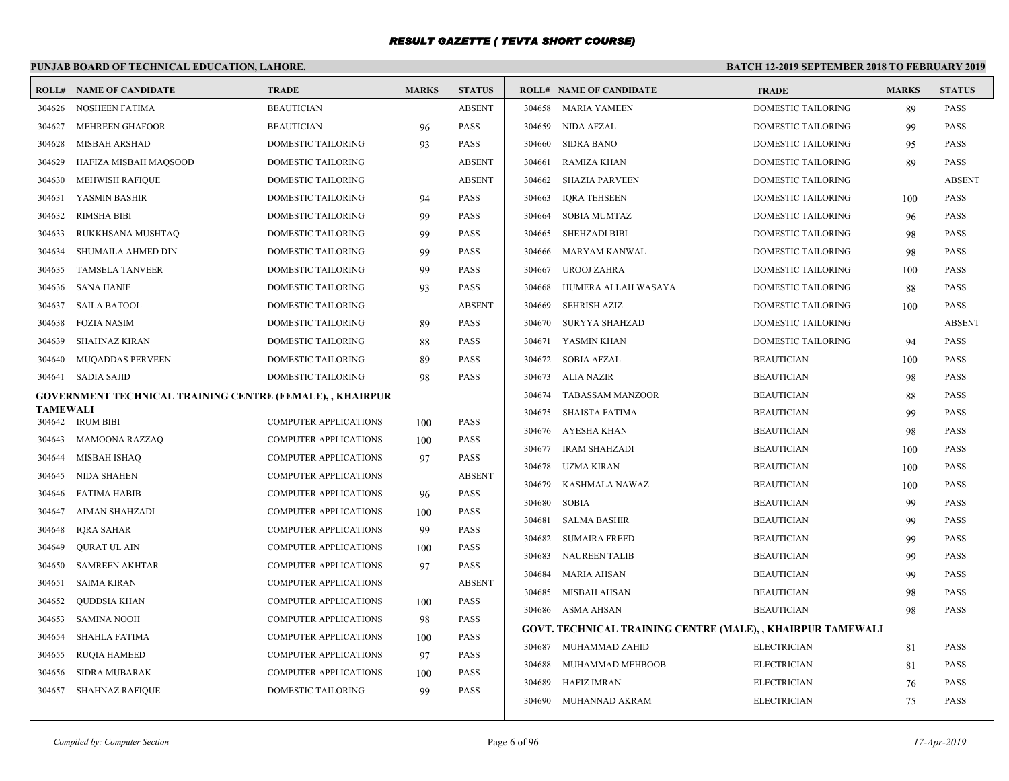# **PUNJAB BOARD OF TECHNICAL EDUCATION, LAHORE.**

| <b>ROLL#</b>              | NAME OF CANDIDATE                                         | <b>TRADE</b>                 | <b>MARKS</b> | <b>STATUS</b> |        | <b>ROLL# NAME OF CANDIDATE</b>                              | <b>TRADE</b>              | <b>MARKS</b> | <b>STATUS</b> |
|---------------------------|-----------------------------------------------------------|------------------------------|--------------|---------------|--------|-------------------------------------------------------------|---------------------------|--------------|---------------|
| 304626                    | <b>NOSHEEN FATIMA</b>                                     | <b>BEAUTICIAN</b>            |              | <b>ABSENT</b> | 304658 | MARIA YAMEEN                                                | <b>DOMESTIC TAILORING</b> | 89           | <b>PASS</b>   |
| 304627                    | <b>MEHREEN GHAFOOR</b>                                    | <b>BEAUTICIAN</b>            | 96           | <b>PASS</b>   | 304659 | NIDA AFZAL                                                  | DOMESTIC TAILORING        | 99           | <b>PASS</b>   |
| 304628                    | <b>MISBAH ARSHAD</b>                                      | DOMESTIC TAILORING           | 93           | <b>PASS</b>   | 304660 | <b>SIDRA BANO</b>                                           | DOMESTIC TAILORING        | 95           | <b>PASS</b>   |
| 304629                    | HAFIZA MISBAH MAQSOOD                                     | DOMESTIC TAILORING           |              | <b>ABSENT</b> | 304661 | RAMIZA KHAN                                                 | DOMESTIC TAILORING        | 89           | <b>PASS</b>   |
| 304630                    | <b>MEHWISH RAFIOUE</b>                                    | <b>DOMESTIC TAILORING</b>    |              | <b>ABSENT</b> | 304662 | SHAZIA PARVEEN                                              | DOMESTIC TAILORING        |              | <b>ABSENT</b> |
| 304631                    | YASMIN BASHIR                                             | DOMESTIC TAILORING           | 94           | PASS          | 304663 | <b>IQRA TEHSEEN</b>                                         | DOMESTIC TAILORING        | 100          | <b>PASS</b>   |
| 304632                    | <b>RIMSHA BIBI</b>                                        | <b>DOMESTIC TAILORING</b>    | 99           | PASS          | 304664 | <b>SOBIA MUMTAZ</b>                                         | DOMESTIC TAILORING        | 96           | <b>PASS</b>   |
| 304633                    | RUKKHSANA MUSHTAQ                                         | <b>DOMESTIC TAILORING</b>    | 99           | PASS          | 304665 | <b>SHEHZADI BIBI</b>                                        | DOMESTIC TAILORING        | 98           | <b>PASS</b>   |
| 304634                    | SHUMAILA AHMED DIN                                        | DOMESTIC TAILORING           | 99           | PASS          | 304666 | MARYAM KANWAL                                               | DOMESTIC TAILORING        | 98           | <b>PASS</b>   |
| 304635                    | <b>TAMSELA TANVEER</b>                                    | DOMESTIC TAILORING           | 99           | <b>PASS</b>   | 304667 | <b>UROOJ ZAHRA</b>                                          | DOMESTIC TAILORING        | 100          | <b>PASS</b>   |
| 304636                    | <b>SANA HANIF</b>                                         | DOMESTIC TAILORING           | 93           | PASS          | 304668 | HUMERA ALLAH WASAYA                                         | DOMESTIC TAILORING        | 88           | <b>PASS</b>   |
| 304637                    | <b>SAILA BATOOL</b>                                       | <b>DOMESTIC TAILORING</b>    |              | <b>ABSENT</b> | 304669 | <b>SEHRISH AZIZ</b>                                         | DOMESTIC TAILORING        | 100          | PASS          |
| 304638                    | <b>FOZIA NASIM</b>                                        | <b>DOMESTIC TAILORING</b>    | 89           | <b>PASS</b>   | 304670 | SURYYA SHAHZAD                                              | DOMESTIC TAILORING        |              | <b>ABSENT</b> |
| 304639                    | <b>SHAHNAZ KIRAN</b>                                      | <b>DOMESTIC TAILORING</b>    | 88           | PASS          | 304671 | YASMIN KHAN                                                 | DOMESTIC TAILORING        | 94           | <b>PASS</b>   |
| 304640                    | MUQADDAS PERVEEN                                          | DOMESTIC TAILORING           | 89           | PASS          | 304672 | SOBIA AFZAL                                                 | <b>BEAUTICIAN</b>         | 100          | <b>PASS</b>   |
| 304641                    | SADIA SAJID                                               | DOMESTIC TAILORING           | 98           | PASS          | 304673 | ALIA NAZIR                                                  | <b>BEAUTICIAN</b>         | 98           | PASS          |
|                           | GOVERNMENT TECHNICAL TRAINING CENTRE (FEMALE), , KHAIRPUR |                              |              |               | 304674 | <b>TABASSAM MANZOOR</b>                                     | <b>BEAUTICIAN</b>         | 88           | <b>PASS</b>   |
| <b>TAMEWALI</b><br>304642 | <b>IRUM BIBI</b>                                          | <b>COMPUTER APPLICATIONS</b> | 100          | PASS          | 304675 | SHAISTA FATIMA                                              | <b>BEAUTICIAN</b>         | 99           | <b>PASS</b>   |
| 304643                    | <b>MAMOONA RAZZAQ</b>                                     | <b>COMPUTER APPLICATIONS</b> | 100          | PASS          | 304676 | AYESHA KHAN                                                 | <b>BEAUTICIAN</b>         | 98           | <b>PASS</b>   |
| 304644                    | MISBAH ISHAO                                              | <b>COMPUTER APPLICATIONS</b> | 97           | <b>PASS</b>   | 304677 | <b>IRAM SHAHZADI</b>                                        | <b>BEAUTICIAN</b>         | 100          | <b>PASS</b>   |
| 304645                    | NIDA SHAHEN                                               | <b>COMPUTER APPLICATIONS</b> |              | <b>ABSENT</b> | 304678 | UZMA KIRAN                                                  | <b>BEAUTICIAN</b>         | 100          | <b>PASS</b>   |
| 304646                    | FATIMA HABIB                                              | <b>COMPUTER APPLICATIONS</b> | 96           | PASS          | 304679 | KASHMALA NAWAZ                                              | <b>BEAUTICIAN</b>         | 100          | <b>PASS</b>   |
| 304647                    | AIMAN SHAHZADI                                            | <b>COMPUTER APPLICATIONS</b> | 100          | <b>PASS</b>   | 304680 | <b>SOBIA</b>                                                | <b>BEAUTICIAN</b>         | 99           | <b>PASS</b>   |
| 304648                    | IQRA SAHAR                                                | <b>COMPUTER APPLICATIONS</b> | 99           | <b>PASS</b>   | 304681 | <b>SALMA BASHIR</b>                                         | <b>BEAUTICIAN</b>         | 99           | <b>PASS</b>   |
| 304649                    | <b>OURAT UL AIN</b>                                       | <b>COMPUTER APPLICATIONS</b> | 100          | PASS          | 304682 | <b>SUMAIRA FREED</b>                                        | <b>BEAUTICIAN</b>         | 99           | <b>PASS</b>   |
| 304650                    | <b>SAMREEN AKHTAR</b>                                     | <b>COMPUTER APPLICATIONS</b> | 97           | PASS          | 304683 | <b>NAUREEN TALIB</b>                                        | <b>BEAUTICIAN</b>         | 99           | <b>PASS</b>   |
| 304651                    | <b>SAIMA KIRAN</b>                                        | <b>COMPUTER APPLICATIONS</b> |              | <b>ABSENT</b> | 304684 | <b>MARIA AHSAN</b>                                          | <b>BEAUTICIAN</b>         | 99           | PASS          |
| 304652                    | <b>QUDDSIA KHAN</b>                                       | <b>COMPUTER APPLICATIONS</b> | 100          | PASS          | 304685 | MISBAH AHSAN                                                | <b>BEAUTICIAN</b>         | 98           | <b>PASS</b>   |
| 304653                    | <b>SAMINA NOOH</b>                                        | <b>COMPUTER APPLICATIONS</b> | 98           | PASS          |        | 304686 ASMA AHSAN                                           | <b>BEAUTICIAN</b>         | 98           | <b>PASS</b>   |
| 304654                    | <b>SHAHLA FATIMA</b>                                      | <b>COMPUTER APPLICATIONS</b> | 100          | PASS          |        | GOVT. TECHNICAL TRAINING CENTRE (MALE), , KHAIRPUR TAMEWALI |                           |              |               |
| 304655                    | <b>RUOIA HAMEED</b>                                       | <b>COMPUTER APPLICATIONS</b> | 97           | PASS          | 304687 | MUHAMMAD ZAHID                                              | <b>ELECTRICIAN</b>        | 81           | <b>PASS</b>   |
| 304656                    | <b>SIDRA MUBARAK</b>                                      | <b>COMPUTER APPLICATIONS</b> | 100          | PASS          | 304688 | MUHAMMAD MEHBOOB                                            | <b>ELECTRICIAN</b>        | 81           | PASS          |
| 304657                    | <b>SHAHNAZ RAFIQUE</b>                                    | <b>DOMESTIC TAILORING</b>    | 99           | PASS          | 304689 | HAFIZ IMRAN                                                 | <b>ELECTRICIAN</b>        | 76           | PASS          |
|                           |                                                           |                              |              |               | 304690 | MUHANNAD AKRAM                                              | <b>ELECTRICIAN</b>        | 75           | <b>PASS</b>   |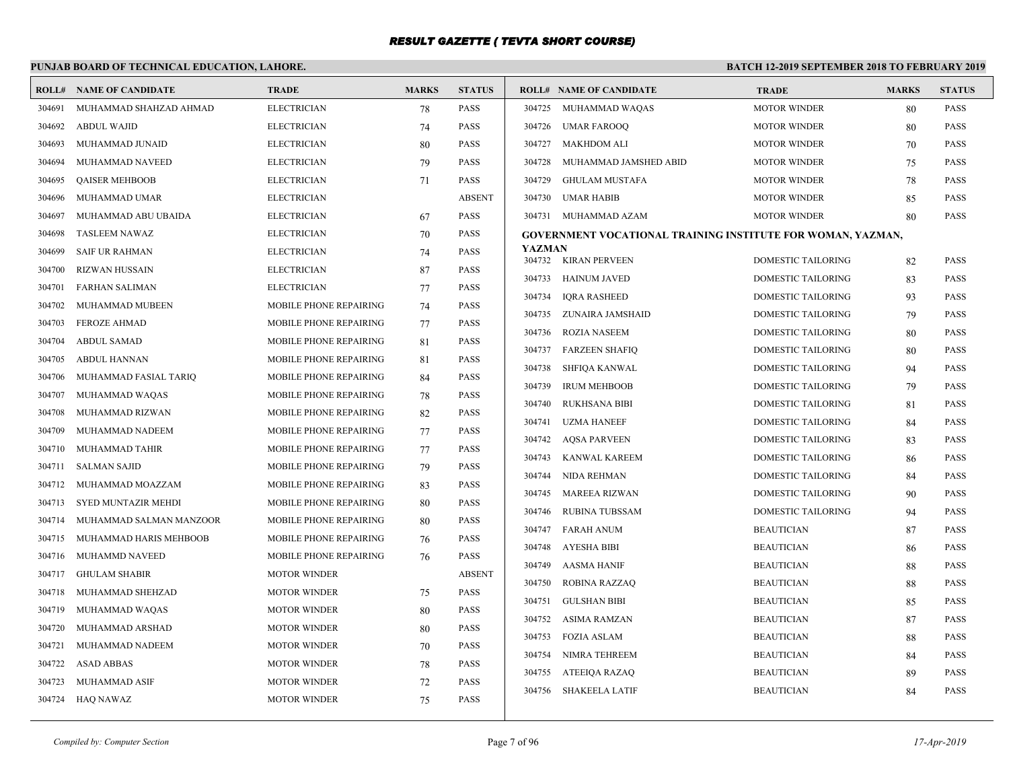#### **PUNJAB BOARD OF TECHNICAL EDUCATION, LAHORE. BATCH 12-2019 SEPTEMBER 2018 TO FEBRUARY 2019 ROLL# NAME OF CANDIDATE TRADE MARKS STATUS ROLL# NAME OF CANDIDATE TRADE MARKS STATUS** 304691 MUHAMMAD SHAHZAD AHMAD ELECTRICIAN 78 PASS 304692 ABDUL WAJID ELECTRICIAN 74 PASS 304693 MUHAMMAD JUNAID ELECTRICIAN 80 PASS 304694 MUHAMMAD NAVEED ELECTRICIAN 79 PASS 304695 QAISER MEHBOOB ELECTRICIAN 71 PASS 304696 MUHAMMAD UMAR ELECTRICIAN ABSENT 304697 MUHAMMAD ABU UBAIDA ELECTRICIAN 67 PASS 304698 TASLEEM NAWAZ ELECTRICIAN 504698 TASLEEM NAWAZ 304699 SAIF UR RAHMAN ELECTRICIAN 74 PASS 304700 RIZWAN HUSSAIN ELECTRICIAN 87 PASS 304701 FARHAN SALIMAN ELECTRICIAN 77 PASS 304702 MUHAMMAD MUBEEN MOBILE PHONE REPAIRING 74 PASS 304703 FEROZE AHMAD MOBILE PHONE REPAIRING 77 PASS 304704 ABDUL SAMAD MOBILE PHONE REPAIRING 81 PASS 304705 ABDUL HANNAN MOBILE PHONE REPAIRING 81 PASS 304706 MUHAMMAD FASIAL TARIO MOBILE PHONE REPAIRING 84 PASS 304707 MUHAMMAD WAQAS MOBILE PHONE REPAIRING 78 PASS 304708 MUHAMMAD RIZWAN MOBILE PHONE REPAIRING 82 PASS 304709 MUHAMMAD NADEEM MOBILE PHONE REPAIRING 77 PASS 304710 MUHAMMAD TAHIR MOBILE PHONE REPAIRING 77 PASS 304711 SALMAN SAJID MOBILE PHONE REPAIRING 79 PASS 304712 MUHAMMAD MOAZZAM MOBILE PHONE REPAIRING 83 PASS 304713 SYED MUNTAZIR MEHDI MOBILE PHONE REPAIRING 80 PASS 304714 MUHAMMAD SALMAN MANZOOR MOBILE PHONE REPAIRING 80 PASS 304715 MUHAMMAD HARIS MEHBOOB MOBILE PHONE REPAIRING 76 PASS 304716 MUHAMMD NAVEED MOBILE PHONE REPAIRING 76 PASS 304717 GHULAM SHABIR MOTOR WINDER ABSENT 304718 MUHAMMAD SHEHZAD MOTOR WINDER 75 PASS 304719 MUHAMMAD WAOAS MOTOR WINDER 80 PASS 304720 MUHAMMAD ARSHAD MOTOR WINDER 80 PASS 304721 MUHAMMAD NADEEM MOTOR WINDER 70 PASS 304722 ASAD ABBAS MOTOR WINDER 78 PASS 304723 MUHAMMAD ASIF MOTOR WINDER 72 PASS 304724 HAO NAWAZ MOTOR WINDER 75 PASS 304725 MUHAMMAD WAQAS MOTOR WINDER 80 PASS 304726 UMAR FAROOQ MOTOR WINDER 80 PASS 304727 MAKHDOM ALI MOTOR WINDER 70 PASS 304728 MUHAMMAD JAMSHED ABID MOTOR WINDER 75 PASS 304729 GHULAM MUSTAFA MOTOR WINDER 78 PASS 304730 UMAR HABIB MOTOR WINDER 85 PASS 304731 MUHAMMAD AZAM MOTOR WINDER 80 PASS **GOVERNMENT VOCATIONAL TRAINING INSTITUTE FOR WOMAN, YAZMAN, YAZMAN** 304732 KIRAN PERVEEN DOMESTIC TAILORING 82 PASS 304733 HAINUM JAVED DOMESTIC TAILORING 83 PASS 304734 IQRA RASHEED DOMESTIC TAILORING 93 PASS 304735 ZUNAIRA JAMSHAID DOMESTIC TAILORING 79 PASS 304736 ROZIA NASEEM DOMESTIC TAILORING 80 PASS 304737 FARZEEN SHAFIQ DOMESTIC TAILORING 80 PASS 304738 SHFIQA KANWAL DOMESTIC TAILORING 94 PASS 304739 IRUM MEHBOOB DOMESTIC TAILORING 79 PASS 304740 RUKHSANA BIBI DOMESTIC TAILORING 81 PASS 304741 UZMA HANEEF DOMESTIC TAILORING 84 PASS 304742 AQSA PARVEEN DOMESTIC TAILORING 83 PASS 304743 KANWAL KAREEM DOMESTIC TAILORING 86 PASS 304744 NIDA REHMAN DOMESTIC TAILORING 84 PASS 304745 MAREEA RIZWAN DOMESTIC TAILORING 90 PASS 304746 RUBINA TUBSSAM DOMESTIC TAILORING 94 PASS 304747 FARAH ANUM BEAUTICIAN 87 PASS 304748 AYESHA BIBI BEAUTICIAN 86 PASS 304749 AASMA HANIF BEAUTICIAN 88 PASS 304750 ROBINA RAZZAQ BEAUTICIAN 88 PASS 304751 GULSHAN BIBI BEAUTICIAN 85 PASS 304752 ASIMA RAMZAN BEAUTICIAN 87 PASS 304753 FOZIA ASLAM BEAUTICIAN 88 PASS 304754 NIMRA TEHREEM BEAUTICIAN 84 PASS 304755 ATEEIQA RAZAQ BEAUTICIAN 89 PASS 304756 SHAKEELA LATIF BEAUTICIAN 84 PASS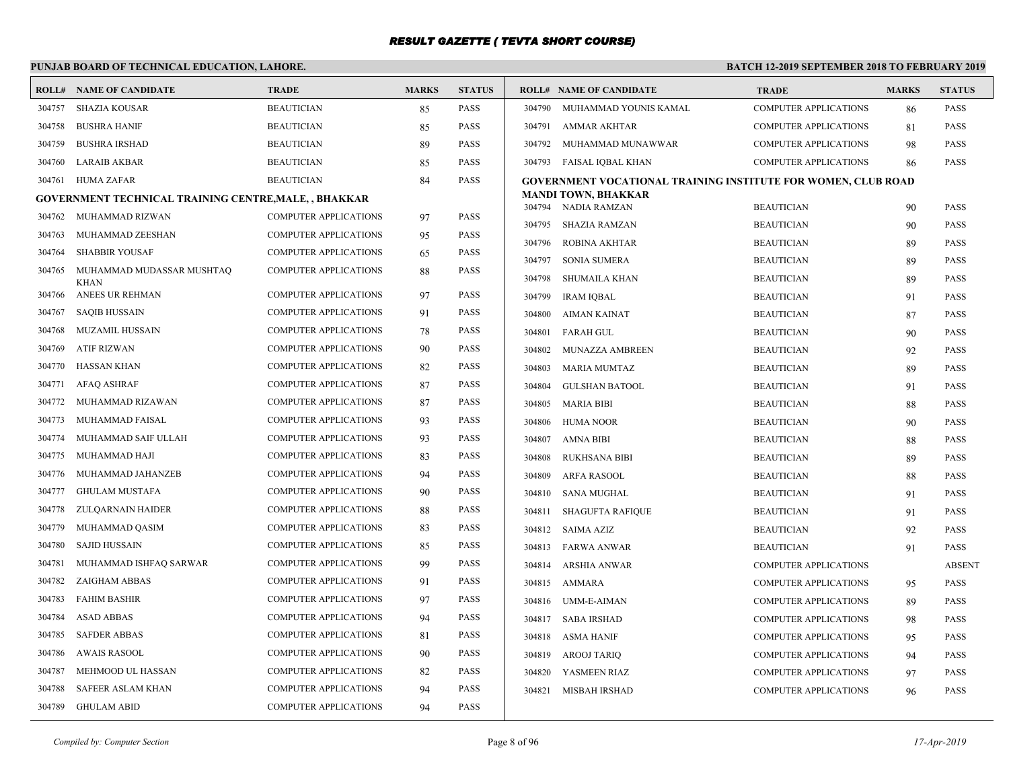# **PUNJAB BOARD OF TECHNICAL EDUCATION, LAHORE.**

|        | <b>ROLL# NAME OF CANDIDATE</b>                              | TRADE                        | <b>MARKS</b> | <b>STATUS</b> |                  | <b>ROLL# NAME OF CANDIDATE</b>                                       | <b>TRADE</b>                           | <b>MARKS</b> | <b>STATUS</b>              |
|--------|-------------------------------------------------------------|------------------------------|--------------|---------------|------------------|----------------------------------------------------------------------|----------------------------------------|--------------|----------------------------|
| 304757 | <b>SHAZIA KOUSAR</b>                                        | <b>BEAUTICIAN</b>            | 85           | <b>PASS</b>   | 304790           | MUHAMMAD YOUNIS KAMAL                                                | <b>COMPUTER APPLICATIONS</b>           | 86           | <b>PASS</b>                |
| 304758 | <b>BUSHRA HANIF</b>                                         | <b>BEAUTICIAN</b>            | 85           | <b>PASS</b>   | 304791           | AMMAR AKHTAR                                                         | <b>COMPUTER APPLICATIONS</b>           | 81           | <b>PASS</b>                |
| 304759 | <b>BUSHRA IRSHAD</b>                                        | <b>BEAUTICIAN</b>            | 89           | <b>PASS</b>   | 304792           | MUHAMMAD MUNAWWAR                                                    | <b>COMPUTER APPLICATIONS</b>           | 98           | <b>PASS</b>                |
| 304760 | <b>LARAIB AKBAR</b>                                         | <b>BEAUTICIAN</b>            | 85           | <b>PASS</b>   |                  | 304793 FAISAL IQBAL KHAN                                             | <b>COMPUTER APPLICATIONS</b>           | 86           | <b>PASS</b>                |
| 304761 | <b>HUMA ZAFAR</b>                                           | <b>BEAUTICIAN</b>            | 84           | <b>PASS</b>   |                  | <b>GOVERNMENT VOCATIONAL TRAINING INSTITUTE FOR WOMEN, CLUB ROAD</b> |                                        |              |                            |
|        | <b>GOVERNMENT TECHNICAL TRAINING CENTRE, MALE,, BHAKKAR</b> |                              |              |               |                  | <b>MANDI TOWN, BHAKKAR</b>                                           |                                        |              |                            |
| 304762 | MUHAMMAD RIZWAN                                             | <b>COMPUTER APPLICATIONS</b> | 97           | <b>PASS</b>   |                  | 304794 NADIA RAMZAN                                                  | <b>BEAUTICIAN</b>                      | 90           | <b>PASS</b>                |
| 304763 | MUHAMMAD ZEESHAN                                            | <b>COMPUTER APPLICATIONS</b> | 95           | <b>PASS</b>   | 304795<br>304796 | SHAZIA RAMZAN<br>ROBINA AKHTAR                                       | <b>BEAUTICIAN</b><br><b>BEAUTICIAN</b> | 90           | <b>PASS</b><br><b>PASS</b> |
| 304764 | <b>SHABBIR YOUSAF</b>                                       | <b>COMPUTER APPLICATIONS</b> | 65           | <b>PASS</b>   | 304797           | <b>SONIA SUMERA</b>                                                  | <b>BEAUTICIAN</b>                      | 89           | <b>PASS</b>                |
| 304765 | MUHAMMAD MUDASSAR MUSHTAQ                                   | <b>COMPUTER APPLICATIONS</b> | 88           | <b>PASS</b>   | 304798           | SHUMAILA KHAN                                                        | <b>BEAUTICIAN</b>                      | 89           | <b>PASS</b>                |
| 304766 | <b>KHAN</b><br>ANEES UR REHMAN                              | <b>COMPUTER APPLICATIONS</b> | 97           | <b>PASS</b>   | 304799           | IRAM IOBAL                                                           | <b>BEAUTICIAN</b>                      | 89<br>91     | <b>PASS</b>                |
| 304767 | <b>SAOIB HUSSAIN</b>                                        | <b>COMPUTER APPLICATIONS</b> | 91           | <b>PASS</b>   | 304800           | AIMAN KAINAT                                                         | <b>BEAUTICIAN</b>                      | 87           | <b>PASS</b>                |
| 304768 | MUZAMIL HUSSAIN                                             | <b>COMPUTER APPLICATIONS</b> | 78           | <b>PASS</b>   | 304801           | FARAH GUL                                                            | <b>BEAUTICIAN</b>                      | 90           | <b>PASS</b>                |
| 304769 | <b>ATIF RIZWAN</b>                                          | <b>COMPUTER APPLICATIONS</b> | 90           | <b>PASS</b>   | 304802           | MUNAZZA AMBREEN                                                      | <b>BEAUTICIAN</b>                      | 92           | <b>PASS</b>                |
| 304770 | <b>HASSAN KHAN</b>                                          | <b>COMPUTER APPLICATIONS</b> | 82           | <b>PASS</b>   | 304803           | <b>MARIA MUMTAZ</b>                                                  | <b>BEAUTICIAN</b>                      | 89           | PASS                       |
| 304771 | AFAQ ASHRAF                                                 | <b>COMPUTER APPLICATIONS</b> | 87           | <b>PASS</b>   | 304804           | <b>GULSHAN BATOOL</b>                                                | <b>BEAUTICIAN</b>                      | 91           | <b>PASS</b>                |
| 304772 | MUHAMMAD RIZAWAN                                            | <b>COMPUTER APPLICATIONS</b> | 87           | <b>PASS</b>   | 304805           | MARIA BIBI                                                           | <b>BEAUTICIAN</b>                      | 88           | <b>PASS</b>                |
| 304773 | MUHAMMAD FAISAL                                             | <b>COMPUTER APPLICATIONS</b> | 93           | <b>PASS</b>   | 304806           | <b>HUMA NOOR</b>                                                     | <b>BEAUTICIAN</b>                      | 90           | <b>PASS</b>                |
| 304774 | MUHAMMAD SAIF ULLAH                                         | <b>COMPUTER APPLICATIONS</b> | 93           | <b>PASS</b>   | 304807           | AMNA BIBI                                                            | <b>BEAUTICIAN</b>                      | 88           | <b>PASS</b>                |
| 304775 | MUHAMMAD HAJI                                               | <b>COMPUTER APPLICATIONS</b> | 83           | <b>PASS</b>   | 304808           | <b>RUKHSANA BIBI</b>                                                 | <b>BEAUTICIAN</b>                      | 89           | <b>PASS</b>                |
| 304776 | MUHAMMAD JAHANZEB                                           | <b>COMPUTER APPLICATIONS</b> | 94           | <b>PASS</b>   | 304809           | ARFA RASOOL                                                          | <b>BEAUTICIAN</b>                      | 88           | <b>PASS</b>                |
| 304777 | <b>GHULAM MUSTAFA</b>                                       | <b>COMPUTER APPLICATIONS</b> | 90           | <b>PASS</b>   | 304810           | SANA MUGHAL                                                          | <b>BEAUTICIAN</b>                      | 91           | <b>PASS</b>                |
| 304778 | ZULQARNAIN HAIDER                                           | COMPUTER APPLICATIONS        | 88           | <b>PASS</b>   | 304811           | SHAGUFTA RAFIQUE                                                     | <b>BEAUTICIAN</b>                      | 91           | <b>PASS</b>                |
| 304779 | MUHAMMAD QASIM                                              | <b>COMPUTER APPLICATIONS</b> | 83           | <b>PASS</b>   | 304812           | SAIMA AZIZ                                                           | <b>BEAUTICIAN</b>                      | 92           | PASS                       |
| 304780 | <b>SAJID HUSSAIN</b>                                        | <b>COMPUTER APPLICATIONS</b> | 85           | <b>PASS</b>   | 304813           | FARWA ANWAR                                                          | <b>BEAUTICIAN</b>                      | 91           | <b>PASS</b>                |
| 304781 | MUHAMMAD ISHFAQ SARWAR                                      | <b>COMPUTER APPLICATIONS</b> | 99           | <b>PASS</b>   |                  | 304814 ARSHIA ANWAR                                                  | <b>COMPUTER APPLICATIONS</b>           |              | <b>ABSENT</b>              |
| 304782 | ZAIGHAM ABBAS                                               | <b>COMPUTER APPLICATIONS</b> | 91           | <b>PASS</b>   | 304815           | AMMARA                                                               | <b>COMPUTER APPLICATIONS</b>           | 95           | <b>PASS</b>                |
| 304783 | <b>FAHIM BASHIR</b>                                         | <b>COMPUTER APPLICATIONS</b> | 97           | <b>PASS</b>   | 304816           | UMM-E-AIMAN                                                          | <b>COMPUTER APPLICATIONS</b>           | 89           | <b>PASS</b>                |
| 304784 | <b>ASAD ABBAS</b>                                           | <b>COMPUTER APPLICATIONS</b> | 94           | <b>PASS</b>   | 304817           | SABA IRSHAD                                                          | <b>COMPUTER APPLICATIONS</b>           | 98           | <b>PASS</b>                |
| 304785 | <b>SAFDER ABBAS</b>                                         | <b>COMPUTER APPLICATIONS</b> | 81           | <b>PASS</b>   | 304818           | ASMA HANIF                                                           | <b>COMPUTER APPLICATIONS</b>           | 95           | <b>PASS</b>                |
| 304786 | <b>AWAIS RASOOL</b>                                         | <b>COMPUTER APPLICATIONS</b> | 90           | <b>PASS</b>   | 304819           | AROOJ TARIO                                                          | <b>COMPUTER APPLICATIONS</b>           | 94           | <b>PASS</b>                |
| 304787 | MEHMOOD UL HASSAN                                           | <b>COMPUTER APPLICATIONS</b> | 82           | <b>PASS</b>   | 304820           | YASMEEN RIAZ                                                         | <b>COMPUTER APPLICATIONS</b>           | 97           | PASS                       |
| 304788 | <b>SAFEER ASLAM KHAN</b>                                    | <b>COMPUTER APPLICATIONS</b> | 94           | <b>PASS</b>   | 304821           | MISBAH IRSHAD                                                        | <b>COMPUTER APPLICATIONS</b>           | 96           | PASS                       |
| 304789 | <b>GHULAM ABID</b>                                          | <b>COMPUTER APPLICATIONS</b> | 94           | <b>PASS</b>   |                  |                                                                      |                                        |              |                            |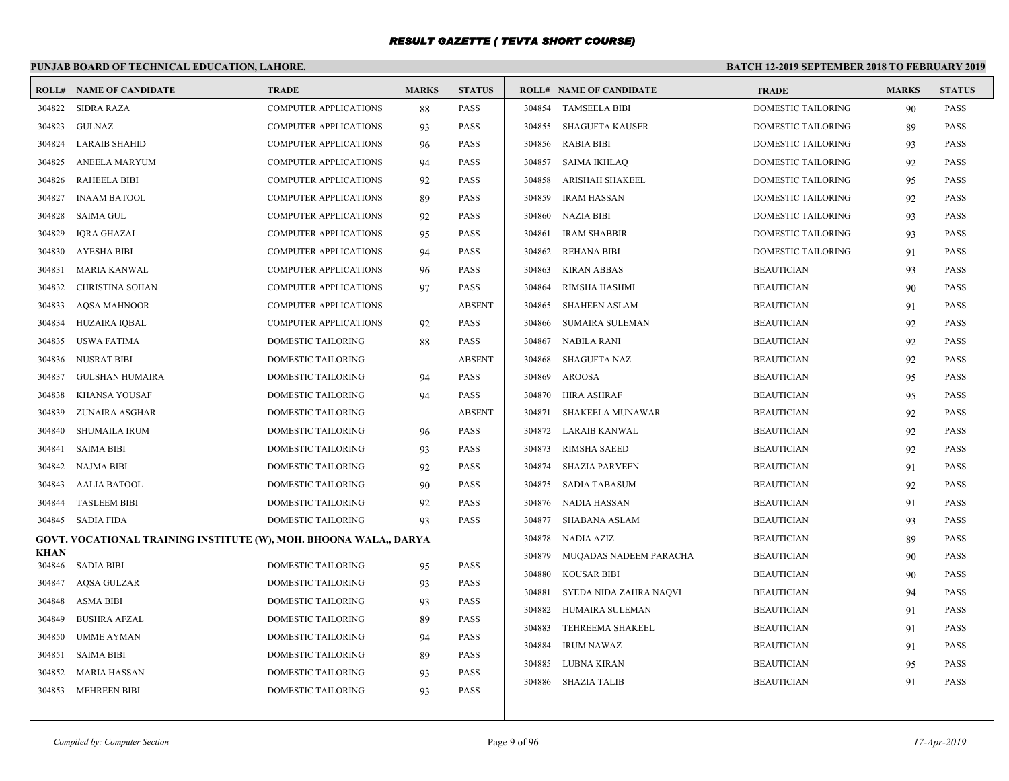# **PUNJAB BOARD OF TECHNICAL EDUCATION, LAHORE.**

| ROLL#          | NAME OF CANDIDATE                                                 | <b>TRADE</b>                 | <b>MARKS</b> | <b>STATUS</b> |        | <b>ROLL# NAME OF CANDIDATE</b> | <b>TRADE</b>              | <b>MARKS</b> | <b>STATUS</b> |
|----------------|-------------------------------------------------------------------|------------------------------|--------------|---------------|--------|--------------------------------|---------------------------|--------------|---------------|
| 304822         | <b>SIDRA RAZA</b>                                                 | <b>COMPUTER APPLICATIONS</b> | 88           | <b>PASS</b>   | 304854 | <b>TAMSEELA BIBI</b>           | <b>DOMESTIC TAILORING</b> | 90           | <b>PASS</b>   |
| 304823         | GULNAZ                                                            | <b>COMPUTER APPLICATIONS</b> | 93           | <b>PASS</b>   | 304855 | SHAGUFTA KAUSER                | <b>DOMESTIC TAILORING</b> | 89           | <b>PASS</b>   |
| 304824         | <b>LARAIB SHAHID</b>                                              | <b>COMPUTER APPLICATIONS</b> | 96           | <b>PASS</b>   | 304856 | RABIA BIBI                     | DOMESTIC TAILORING        | 93           | <b>PASS</b>   |
| 304825         | ANEELA MARYUM                                                     | <b>COMPUTER APPLICATIONS</b> | 94           | <b>PASS</b>   |        | 304857 SAIMA IKHLAQ            | <b>DOMESTIC TAILORING</b> | 92           | <b>PASS</b>   |
| 304826         | <b>RAHEELA BIBI</b>                                               | <b>COMPUTER APPLICATIONS</b> | 92           | <b>PASS</b>   | 304858 | ARISHAH SHAKEEL                | DOMESTIC TAILORING        | 95           | <b>PASS</b>   |
| 304827         | <b>INAAM BATOOL</b>                                               | COMPUTER APPLICATIONS        | 89           | <b>PASS</b>   | 304859 | <b>IRAM HASSAN</b>             | DOMESTIC TAILORING        | 92           | PASS          |
| 304828         | <b>SAIMA GUL</b>                                                  | COMPUTER APPLICATIONS        | 92           | <b>PASS</b>   | 304860 | NAZIA BIBI                     | <b>DOMESTIC TAILORING</b> | 93           | <b>PASS</b>   |
| 304829         | IQRA GHAZAL                                                       | <b>COMPUTER APPLICATIONS</b> | 95           | <b>PASS</b>   | 304861 | <b>IRAM SHABBIR</b>            | DOMESTIC TAILORING        | 93           | <b>PASS</b>   |
| 304830         | <b>AYESHA BIBI</b>                                                | <b>COMPUTER APPLICATIONS</b> | 94           | <b>PASS</b>   | 304862 | <b>REHANA BIBI</b>             | <b>DOMESTIC TAILORING</b> | 91           | <b>PASS</b>   |
| 304831         | MARIA KANWAL                                                      | <b>COMPUTER APPLICATIONS</b> | 96           | <b>PASS</b>   | 304863 | KIRAN ABBAS                    | <b>BEAUTICIAN</b>         | 93           | <b>PASS</b>   |
| 304832         | CHRISTINA SOHAN                                                   | <b>COMPUTER APPLICATIONS</b> | 97           | <b>PASS</b>   | 304864 | RIMSHA HASHMI                  | <b>BEAUTICIAN</b>         | 90           | <b>PASS</b>   |
| 304833         | <b>AOSA MAHNOOR</b>                                               | <b>COMPUTER APPLICATIONS</b> |              | <b>ABSENT</b> | 304865 | <b>SHAHEEN ASLAM</b>           | <b>BEAUTICIAN</b>         | 91           | <b>PASS</b>   |
| 304834         | HUZAIRA IQBAL                                                     | COMPUTER APPLICATIONS        | 92           | <b>PASS</b>   | 304866 | SUMAIRA SULEMAN                | <b>BEAUTICIAN</b>         | 92           | <b>PASS</b>   |
| 304835         | USWA FATIMA                                                       | DOMESTIC TAILORING           | 88           | <b>PASS</b>   | 304867 | NABILA RANI                    | <b>BEAUTICIAN</b>         | 92           | <b>PASS</b>   |
| 304836         | <b>NUSRAT BIBI</b>                                                | DOMESTIC TAILORING           |              | <b>ABSENT</b> | 304868 | SHAGUFTA NAZ                   | <b>BEAUTICIAN</b>         | 92           | <b>PASS</b>   |
| 304837         | <b>GULSHAN HUMAIRA</b>                                            | DOMESTIC TAILORING           | 94           | <b>PASS</b>   | 304869 | AROOSA                         | <b>BEAUTICIAN</b>         | 95           | <b>PASS</b>   |
| 304838         | KHANSA YOUSAF                                                     | DOMESTIC TAILORING           | 94           | <b>PASS</b>   |        | 304870 HIRA ASHRAF             | <b>BEAUTICIAN</b>         | 95           | <b>PASS</b>   |
| 304839         | ZUNAIRA ASGHAR                                                    | DOMESTIC TAILORING           |              | <b>ABSENT</b> | 304871 | SHAKEELA MUNAWAR               | <b>BEAUTICIAN</b>         | 92           | <b>PASS</b>   |
| 304840         | <b>SHUMAILA IRUM</b>                                              | DOMESTIC TAILORING           | 96           | <b>PASS</b>   | 304872 | LARAIB KANWAL                  | <b>BEAUTICIAN</b>         | 92           | <b>PASS</b>   |
| 304841         | <b>SAIMA BIBI</b>                                                 | DOMESTIC TAILORING           | 93           | <b>PASS</b>   | 304873 | <b>RIMSHA SAEED</b>            | <b>BEAUTICIAN</b>         | 92           | <b>PASS</b>   |
| 304842         | NAJMA BIBI                                                        | DOMESTIC TAILORING           | 92           | <b>PASS</b>   | 304874 | <b>SHAZIA PARVEEN</b>          | <b>BEAUTICIAN</b>         | 91           | <b>PASS</b>   |
| 304843         | AALIA BATOOL                                                      | DOMESTIC TAILORING           | 90           | <b>PASS</b>   | 304875 | SADIA TABASUM                  | <b>BEAUTICIAN</b>         | 92           | <b>PASS</b>   |
| 304844         | <b>TASLEEM BIBI</b>                                               | DOMESTIC TAILORING           | 92           | <b>PASS</b>   |        | 304876 NADIA HASSAN            | <b>BEAUTICIAN</b>         | 91           | <b>PASS</b>   |
| 304845         | SADIA FIDA                                                        | DOMESTIC TAILORING           | 93           | <b>PASS</b>   |        | 304877 SHABANA ASLAM           | <b>BEAUTICIAN</b>         | 93           | <b>PASS</b>   |
|                | GOVT. VOCATIONAL TRAINING INSTITUTE (W), MOH. BHOONA WALA., DARYA |                              |              |               | 304878 | NADIA AZIZ                     | <b>BEAUTICIAN</b>         | 89           | <b>PASS</b>   |
| KHAN<br>304846 | SADIA BIBI                                                        | DOMESTIC TAILORING           | 95           | <b>PASS</b>   | 304879 | MUQADAS NADEEM PARACHA         | <b>BEAUTICIAN</b>         | 90           | <b>PASS</b>   |
| 304847         | <b>AOSA GULZAR</b>                                                | <b>DOMESTIC TAILORING</b>    | 93           | <b>PASS</b>   | 304880 | KOUSAR BIBI                    | <b>BEAUTICIAN</b>         | 90           | <b>PASS</b>   |
| 304848         | <b>ASMA BIBI</b>                                                  | DOMESTIC TAILORING           | 93           | <b>PASS</b>   | 304881 | SYEDA NIDA ZAHRA NAQVI         | <b>BEAUTICIAN</b>         | 94           | <b>PASS</b>   |
| 304849         | <b>BUSHRA AFZAL</b>                                               | DOMESTIC TAILORING           | 89           | <b>PASS</b>   | 304882 | HUMAIRA SULEMAN                | <b>BEAUTICIAN</b>         | 91           | <b>PASS</b>   |
| 304850         | <b>UMME AYMAN</b>                                                 | DOMESTIC TAILORING           | 94           | <b>PASS</b>   | 304883 | TEHREEMA SHAKEEL               | <b>BEAUTICIAN</b>         | 91           | <b>PASS</b>   |
| 304851         | <b>SAIMA BIBI</b>                                                 | DOMESTIC TAILORING           | 89           | <b>PASS</b>   | 304884 | <b>IRUM NAWAZ</b>              | <b>BEAUTICIAN</b>         | 91           | <b>PASS</b>   |
| 304852         | MARIA HASSAN                                                      | DOMESTIC TAILORING           | 93           | <b>PASS</b>   | 304885 | LUBNA KIRAN                    | <b>BEAUTICIAN</b>         | 95           | <b>PASS</b>   |
|                | 304853 MEHREEN BIBI                                               | DOMESTIC TAILORING           | 93           | <b>PASS</b>   |        | 304886 SHAZIA TALIB            | <b>BEAUTICIAN</b>         | 91           | <b>PASS</b>   |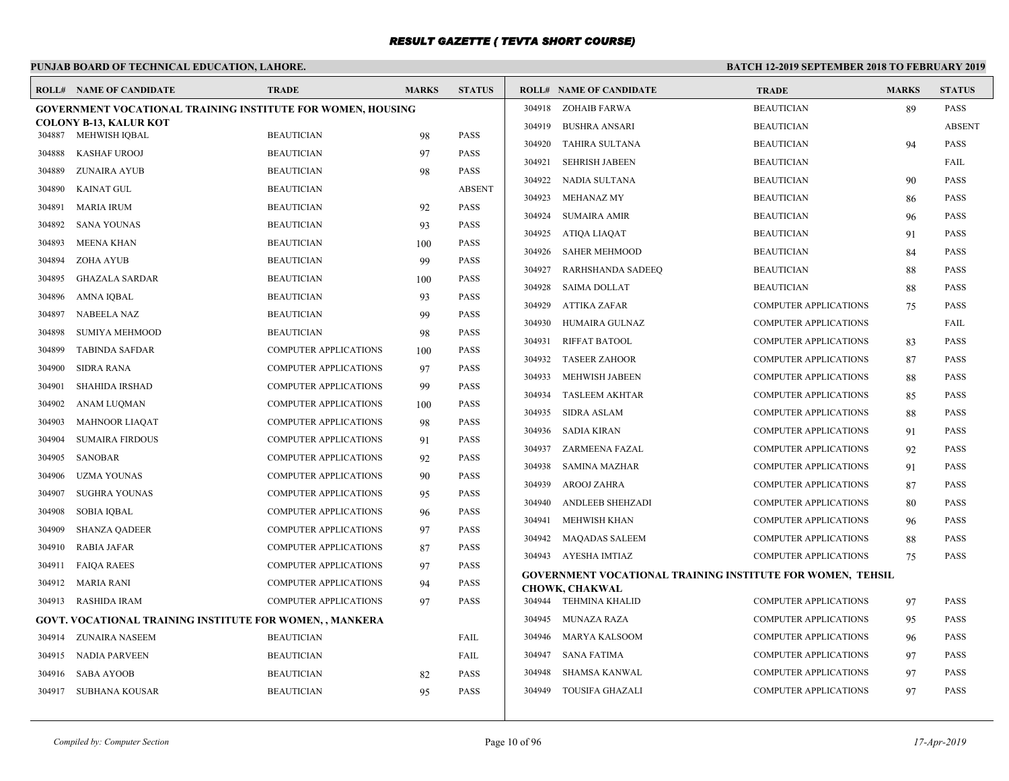# **PUNJAB BOARD OF TECHNICAL EDUCATION, LAHORE.**

|        | <b>ROLL# NAME OF CANDIDATE</b>                                     | <b>TRADE</b>                 | <b>MARKS</b> | <b>STATUS</b> |        | <b>ROLL# NAME OF CANDIDATE</b>                                                             | <b>TRADE</b>                 | <b>MARKS</b> | <b>STATUS</b> |
|--------|--------------------------------------------------------------------|------------------------------|--------------|---------------|--------|--------------------------------------------------------------------------------------------|------------------------------|--------------|---------------|
|        | <b>GOVERNMENT VOCATIONAL TRAINING INSTITUTE FOR WOMEN, HOUSING</b> |                              |              |               |        | 304918 ZOHAIB FARWA                                                                        | <b>BEAUTICIAN</b>            | 89           | <b>PASS</b>   |
|        | <b>COLONY B-13, KALUR KOT</b><br>MEHWISH IQBAL                     | <b>BEAUTICIAN</b>            |              | <b>PASS</b>   | 304919 | <b>BUSHRA ANSARI</b>                                                                       | <b>BEAUTICIAN</b>            |              | <b>ABSENT</b> |
| 304887 |                                                                    |                              | 98           |               | 304920 | TAHIRA SULTANA                                                                             | <b>BEAUTICIAN</b>            | 94           | <b>PASS</b>   |
| 304888 | <b>KASHAF UROOJ</b>                                                | <b>BEAUTICIAN</b>            | 97           | <b>PASS</b>   | 304921 | <b>SEHRISH JABEEN</b>                                                                      | <b>BEAUTICIAN</b>            |              | FAIL          |
| 304889 | ZUNAIRA AYUB                                                       | <b>BEAUTICIAN</b>            | 98           | <b>PASS</b>   |        | 304922 NADIA SULTANA                                                                       | <b>BEAUTICIAN</b>            | 90           | <b>PASS</b>   |
| 304890 | KAINAT GUL                                                         | <b>BEAUTICIAN</b>            |              | <b>ABSENT</b> | 304923 | MEHANAZ MY                                                                                 | <b>BEAUTICIAN</b>            | 86           | <b>PASS</b>   |
| 304891 | <b>MARIA IRUM</b>                                                  | <b>BEAUTICIAN</b>            | 92           | <b>PASS</b>   | 304924 | <b>SUMAIRA AMIR</b>                                                                        | <b>BEAUTICIAN</b>            | 96           | <b>PASS</b>   |
| 304892 | <b>SANA YOUNAS</b>                                                 | <b>BEAUTICIAN</b>            | 93           | <b>PASS</b>   |        | 304925 ATIQA LIAQAT                                                                        | <b>BEAUTICIAN</b>            | 91           | <b>PASS</b>   |
| 304893 | <b>MEENA KHAN</b>                                                  | <b>BEAUTICIAN</b>            | 100          | <b>PASS</b>   | 304926 | <b>SAHER MEHMOOD</b>                                                                       | <b>BEAUTICIAN</b>            | 84           | <b>PASS</b>   |
| 304894 | ZOHA AYUB                                                          | <b>BEAUTICIAN</b>            | 99           | <b>PASS</b>   | 304927 | RARHSHANDA SADEEQ                                                                          | <b>BEAUTICIAN</b>            | 88           | <b>PASS</b>   |
| 304895 | <b>GHAZALA SARDAR</b>                                              | <b>BEAUTICIAN</b>            | 100          | <b>PASS</b>   | 304928 | SAIMA DOLLAT                                                                               | <b>BEAUTICIAN</b>            | 88           | <b>PASS</b>   |
| 304896 | AMNA IQBAL                                                         | <b>BEAUTICIAN</b>            | 93           | <b>PASS</b>   | 304929 | ATTIKA ZAFAR                                                                               | <b>COMPUTER APPLICATIONS</b> | 75           | <b>PASS</b>   |
| 304897 | <b>NABEELA NAZ</b>                                                 | <b>BEAUTICIAN</b>            | 99           | <b>PASS</b>   |        | 304930 HUMAIRA GULNAZ                                                                      | <b>COMPUTER APPLICATIONS</b> |              | FAIL          |
| 304898 | <b>SUMIYA MEHMOOD</b>                                              | <b>BEAUTICIAN</b>            | 98           | <b>PASS</b>   | 304931 | <b>RIFFAT BATOOL</b>                                                                       | <b>COMPUTER APPLICATIONS</b> | 83           | <b>PASS</b>   |
| 304899 | <b>TABINDA SAFDAR</b>                                              | <b>COMPUTER APPLICATIONS</b> | 100          | <b>PASS</b>   | 304932 | <b>TASEER ZAHOOR</b>                                                                       | <b>COMPUTER APPLICATIONS</b> | 87           | <b>PASS</b>   |
| 304900 | <b>SIDRA RANA</b>                                                  | <b>COMPUTER APPLICATIONS</b> | 97           | <b>PASS</b>   | 304933 | <b>MEHWISH JABEEN</b>                                                                      | <b>COMPUTER APPLICATIONS</b> | 88           | <b>PASS</b>   |
| 304901 | <b>SHAHIDA IRSHAD</b>                                              | <b>COMPUTER APPLICATIONS</b> | 99           | <b>PASS</b>   | 304934 | <b>TASLEEM AKHTAR</b>                                                                      | <b>COMPUTER APPLICATIONS</b> | 85           | <b>PASS</b>   |
| 304902 | ANAM LUQMAN                                                        | <b>COMPUTER APPLICATIONS</b> | 100          | <b>PASS</b>   | 304935 | SIDRA ASLAM                                                                                | <b>COMPUTER APPLICATIONS</b> | 88           | <b>PASS</b>   |
| 304903 | MAHNOOR LIAQAT                                                     | COMPUTER APPLICATIONS        | 98           | <b>PASS</b>   | 304936 | SADIA KIRAN                                                                                | <b>COMPUTER APPLICATIONS</b> | 91           | <b>PASS</b>   |
| 304904 | <b>SUMAIRA FIRDOUS</b>                                             | <b>COMPUTER APPLICATIONS</b> | 91           | <b>PASS</b>   | 304937 | ZARMEENA FAZAL                                                                             | <b>COMPUTER APPLICATIONS</b> | 92           | <b>PASS</b>   |
| 304905 | SANOBAR                                                            | <b>COMPUTER APPLICATIONS</b> | 92           | <b>PASS</b>   |        |                                                                                            |                              |              |               |
| 304906 | <b>UZMA YOUNAS</b>                                                 | <b>COMPUTER APPLICATIONS</b> | 90           | <b>PASS</b>   | 304938 | SAMINA MAZHAR                                                                              | <b>COMPUTER APPLICATIONS</b> | 91           | <b>PASS</b>   |
| 304907 | <b>SUGHRA YOUNAS</b>                                               | <b>COMPUTER APPLICATIONS</b> | 95           | <b>PASS</b>   | 304939 | AROOJ ZAHRA                                                                                | <b>COMPUTER APPLICATIONS</b> | 87           | PASS          |
| 304908 | <b>SOBIA IQBAL</b>                                                 | <b>COMPUTER APPLICATIONS</b> | 96           | <b>PASS</b>   | 304940 | <b>ANDLEEB SHEHZADI</b>                                                                    | <b>COMPUTER APPLICATIONS</b> | 80           | <b>PASS</b>   |
| 304909 | <b>SHANZA QADEER</b>                                               | <b>COMPUTER APPLICATIONS</b> | 97           | <b>PASS</b>   | 304941 | MEHWISH KHAN                                                                               | <b>COMPUTER APPLICATIONS</b> | 96           | <b>PASS</b>   |
| 304910 | <b>RABIA JAFAR</b>                                                 | <b>COMPUTER APPLICATIONS</b> | 87           | <b>PASS</b>   |        | 304942 MAQADAS SALEEM                                                                      | <b>COMPUTER APPLICATIONS</b> | 88           | <b>PASS</b>   |
| 304911 | <b>FAIQA RAEES</b>                                                 | <b>COMPUTER APPLICATIONS</b> | 97           | <b>PASS</b>   |        | 304943 AYESHA IMTIAZ                                                                       | <b>COMPUTER APPLICATIONS</b> | 75           | <b>PASS</b>   |
| 304912 | MARIA RANI                                                         | <b>COMPUTER APPLICATIONS</b> | 94           | <b>PASS</b>   |        | <b>GOVERNMENT VOCATIONAL TRAINING INSTITUTE FOR WOMEN, TEHSIL</b><br><b>CHOWK, CHAKWAL</b> |                              |              |               |
| 304913 | RASHIDA IRAM                                                       | <b>COMPUTER APPLICATIONS</b> | 97           | <b>PASS</b>   |        | 304944 TEHMINA KHALID                                                                      | <b>COMPUTER APPLICATIONS</b> | 97           | <b>PASS</b>   |
|        | <b>GOVT. VOCATIONAL TRAINING INSTITUTE FOR WOMEN, , MANKERA</b>    |                              |              |               | 304945 | MUNAZA RAZA                                                                                | <b>COMPUTER APPLICATIONS</b> | 95           | <b>PASS</b>   |
| 304914 | ZUNAIRA NASEEM                                                     | <b>BEAUTICIAN</b>            |              | FAIL          | 304946 | MARYA KALSOOM                                                                              | <b>COMPUTER APPLICATIONS</b> | 96           | <b>PASS</b>   |
| 304915 | NADIA PARVEEN                                                      | <b>BEAUTICIAN</b>            |              | FAIL          | 304947 | <b>SANA FATIMA</b>                                                                         | <b>COMPUTER APPLICATIONS</b> | 97           | <b>PASS</b>   |
| 304916 | <b>SABA AYOOB</b>                                                  | <b>BEAUTICIAN</b>            | 82           | <b>PASS</b>   | 304948 | SHAMSA KANWAL                                                                              | <b>COMPUTER APPLICATIONS</b> | 97           | <b>PASS</b>   |
| 304917 | SUBHANA KOUSAR                                                     | <b>BEAUTICIAN</b>            | 95           | <b>PASS</b>   |        | 304949 TOUSIFA GHAZALI                                                                     | <b>COMPUTER APPLICATIONS</b> | 97           | <b>PASS</b>   |
|        |                                                                    |                              |              |               |        |                                                                                            |                              |              |               |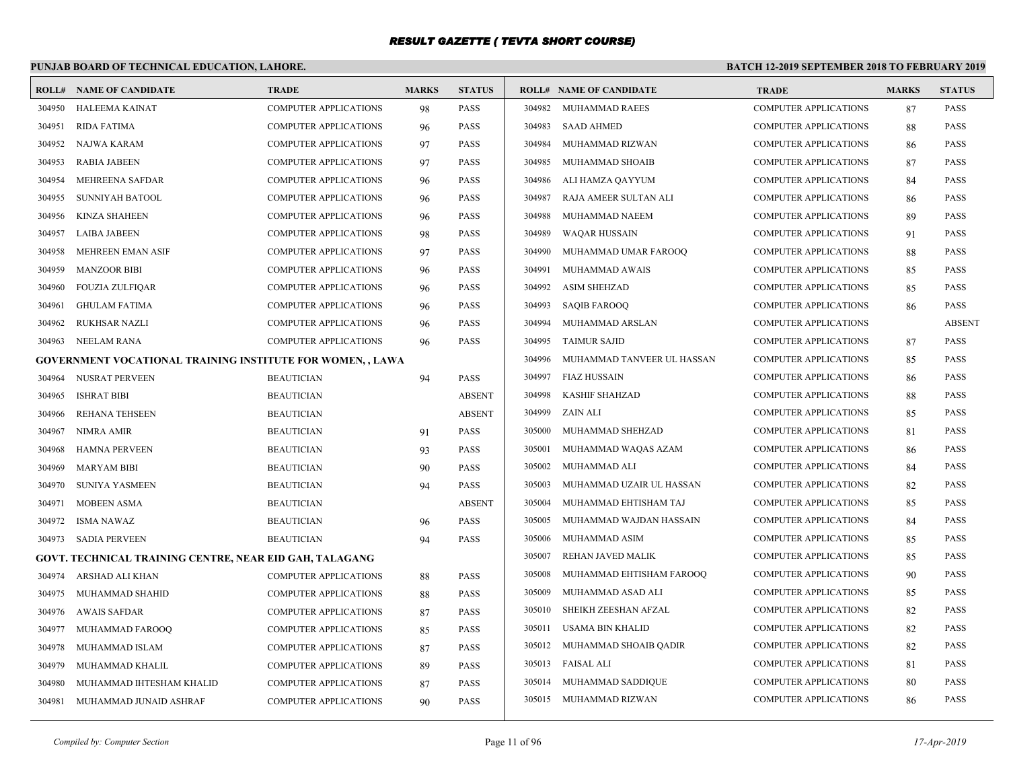# **PUNJAB BOARD OF TECHNICAL EDUCATION, LAHORE.**

|        | <b>ROLL# NAME OF CANDIDATE</b>                             | <b>TRADE</b>                 | <b>MARKS</b> | <b>STATUS</b> |        | <b>ROLL# NAME OF CANDIDATE</b> | <b>TRADE</b>                 | <b>MARKS</b> | <b>STATUS</b> |
|--------|------------------------------------------------------------|------------------------------|--------------|---------------|--------|--------------------------------|------------------------------|--------------|---------------|
| 304950 | HALEEMA KAINAT                                             | <b>COMPUTER APPLICATIONS</b> | 98           | <b>PASS</b>   | 304982 | MUHAMMAD RAEES                 | <b>COMPUTER APPLICATIONS</b> | 87           | <b>PASS</b>   |
| 304951 | <b>RIDA FATIMA</b>                                         | <b>COMPUTER APPLICATIONS</b> | 96           | <b>PASS</b>   | 304983 | <b>SAAD AHMED</b>              | <b>COMPUTER APPLICATIONS</b> | 88           | PASS          |
| 304952 | NAJWA KARAM                                                | <b>COMPUTER APPLICATIONS</b> | 97           | <b>PASS</b>   | 304984 | MUHAMMAD RIZWAN                | <b>COMPUTER APPLICATIONS</b> | 86           | PASS          |
| 304953 | <b>RABIA JABEEN</b>                                        | <b>COMPUTER APPLICATIONS</b> | 97           | <b>PASS</b>   | 304985 | MUHAMMAD SHOAIB                | <b>COMPUTER APPLICATIONS</b> | 87           | <b>PASS</b>   |
| 304954 | MEHREENA SAFDAR                                            | <b>COMPUTER APPLICATIONS</b> | 96           | <b>PASS</b>   | 304986 | ALI HAMZA QAYYUM               | <b>COMPUTER APPLICATIONS</b> | 84           | <b>PASS</b>   |
| 304955 | SUNNIYAH BATOOL                                            | <b>COMPUTER APPLICATIONS</b> | 96           | PASS          | 304987 | RAJA AMEER SULTAN ALI          | <b>COMPUTER APPLICATIONS</b> | 86           | PASS          |
| 304956 | KINZA SHAHEEN                                              | <b>COMPUTER APPLICATIONS</b> | 96           | <b>PASS</b>   | 304988 | MUHAMMAD NAEEM                 | <b>COMPUTER APPLICATIONS</b> | 89           | PASS          |
| 304957 | <b>LAIBA JABEEN</b>                                        | <b>COMPUTER APPLICATIONS</b> | 98           | <b>PASS</b>   | 304989 | <b>WAQAR HUSSAIN</b>           | <b>COMPUTER APPLICATIONS</b> | 91           | <b>PASS</b>   |
| 304958 | <b>MEHREEN EMAN ASIF</b>                                   | <b>COMPUTER APPLICATIONS</b> | 97           | <b>PASS</b>   | 304990 | MUHAMMAD UMAR FAROOQ           | <b>COMPUTER APPLICATIONS</b> | 88           | <b>PASS</b>   |
| 304959 | <b>MANZOOR BIBI</b>                                        | COMPUTER APPLICATIONS        | 96           | PASS          | 304991 | MUHAMMAD AWAIS                 | <b>COMPUTER APPLICATIONS</b> | 85           | PASS          |
| 304960 | <b>FOUZIA ZULFIQAR</b>                                     | <b>COMPUTER APPLICATIONS</b> | 96           | <b>PASS</b>   | 304992 | <b>ASIM SHEHZAD</b>            | <b>COMPUTER APPLICATIONS</b> | 85           | <b>PASS</b>   |
| 304961 | <b>GHULAM FATIMA</b>                                       | <b>COMPUTER APPLICATIONS</b> | 96           | <b>PASS</b>   | 304993 | <b>SAQIB FAROOQ</b>            | <b>COMPUTER APPLICATIONS</b> | 86           | <b>PASS</b>   |
| 304962 | <b>RUKHSAR NAZLI</b>                                       | <b>COMPUTER APPLICATIONS</b> | 96           | <b>PASS</b>   | 304994 | MUHAMMAD ARSLAN                | <b>COMPUTER APPLICATIONS</b> |              | <b>ABSENT</b> |
| 304963 | NEELAM RANA                                                | <b>COMPUTER APPLICATIONS</b> | 96           | <b>PASS</b>   | 304995 | <b>TAIMUR SAJID</b>            | <b>COMPUTER APPLICATIONS</b> | 87           | <b>PASS</b>   |
|        | GOVERNMENT VOCATIONAL TRAINING INSTITUTE FOR WOMEN, , LAWA |                              |              |               | 304996 | MUHAMMAD TANVEER UL HASSAN     | <b>COMPUTER APPLICATIONS</b> | 85           | <b>PASS</b>   |
| 304964 | NUSRAT PERVEEN                                             | <b>BEAUTICIAN</b>            | 94           | <b>PASS</b>   | 304997 | <b>FIAZ HUSSAIN</b>            | <b>COMPUTER APPLICATIONS</b> | 86           | PASS          |
| 304965 | <b>ISHRAT BIBI</b>                                         | <b>BEAUTICIAN</b>            |              | <b>ABSENT</b> | 304998 | <b>KASHIF SHAHZAD</b>          | <b>COMPUTER APPLICATIONS</b> | 88           | <b>PASS</b>   |
| 304966 | REHANA TEHSEEN                                             | <b>BEAUTICIAN</b>            |              | <b>ABSENT</b> | 304999 | <b>ZAIN ALI</b>                | <b>COMPUTER APPLICATIONS</b> | 85           | <b>PASS</b>   |
| 304967 | NIMRA AMIR                                                 | <b>BEAUTICIAN</b>            | 91           | <b>PASS</b>   | 305000 | MUHAMMAD SHEHZAD               | <b>COMPUTER APPLICATIONS</b> | 81           | <b>PASS</b>   |
| 304968 | HAMNA PERVEEN                                              | <b>BEAUTICIAN</b>            | 93           | <b>PASS</b>   | 305001 | MUHAMMAD WAQAS AZAM            | <b>COMPUTER APPLICATIONS</b> | 86           | <b>PASS</b>   |
| 304969 | <b>MARYAM BIBI</b>                                         | <b>BEAUTICIAN</b>            | 90           | <b>PASS</b>   | 305002 | MUHAMMAD ALI                   | <b>COMPUTER APPLICATIONS</b> | 84           | <b>PASS</b>   |
| 304970 | <b>SUNIYA YASMEEN</b>                                      | <b>BEAUTICIAN</b>            | 94           | <b>PASS</b>   | 305003 | MUHAMMAD UZAIR UL HASSAN       | <b>COMPUTER APPLICATIONS</b> | 82           | PASS          |
| 304971 | <b>MOBEEN ASMA</b>                                         | <b>BEAUTICIAN</b>            |              | <b>ABSENT</b> | 305004 | MUHAMMAD EHTISHAM TAJ          | <b>COMPUTER APPLICATIONS</b> | 85           | <b>PASS</b>   |
| 304972 | <b>ISMA NAWAZ</b>                                          | <b>BEAUTICIAN</b>            | 96           | <b>PASS</b>   | 305005 | MUHAMMAD WAJDAN HASSAIN        | <b>COMPUTER APPLICATIONS</b> | 84           | <b>PASS</b>   |
| 304973 | <b>SADIA PERVEEN</b>                                       | <b>BEAUTICIAN</b>            | 94           | PASS          | 305006 | MUHAMMAD ASIM                  | <b>COMPUTER APPLICATIONS</b> | 85           | <b>PASS</b>   |
|        | GOVT. TECHNICAL TRAINING CENTRE, NEAR EID GAH, TALAGANG    |                              |              |               | 305007 | REHAN JAVED MALIK              | <b>COMPUTER APPLICATIONS</b> | 85           | PASS          |
| 304974 | ARSHAD ALI KHAN                                            | <b>COMPUTER APPLICATIONS</b> | 88           | <b>PASS</b>   | 305008 | MUHAMMAD EHTISHAM FAROOQ       | <b>COMPUTER APPLICATIONS</b> | 90           | <b>PASS</b>   |
| 304975 | MUHAMMAD SHAHID                                            | <b>COMPUTER APPLICATIONS</b> | 88           | PASS          | 305009 | MUHAMMAD ASAD ALI              | <b>COMPUTER APPLICATIONS</b> | 85           | <b>PASS</b>   |
| 304976 | <b>AWAIS SAFDAR</b>                                        | COMPUTER APPLICATIONS        | 87           | <b>PASS</b>   | 305010 | SHEIKH ZEESHAN AFZAL           | <b>COMPUTER APPLICATIONS</b> | 82           | <b>PASS</b>   |
| 304977 | MUHAMMAD FAROOQ                                            | <b>COMPUTER APPLICATIONS</b> | 85           | <b>PASS</b>   | 305011 | USAMA BIN KHALID               | <b>COMPUTER APPLICATIONS</b> | 82           | <b>PASS</b>   |
| 304978 | MUHAMMAD ISLAM                                             | <b>COMPUTER APPLICATIONS</b> | 87           | <b>PASS</b>   | 305012 | MUHAMMAD SHOAIB QADIR          | <b>COMPUTER APPLICATIONS</b> | 82           | <b>PASS</b>   |
| 304979 | MUHAMMAD KHALIL                                            | <b>COMPUTER APPLICATIONS</b> | 89           | <b>PASS</b>   | 305013 | FAISAL ALI                     | <b>COMPUTER APPLICATIONS</b> | 81           | PASS          |
| 304980 | MUHAMMAD IHTESHAM KHALID                                   | <b>COMPUTER APPLICATIONS</b> | 87           | PASS          | 305014 | MUHAMMAD SADDIQUE              | <b>COMPUTER APPLICATIONS</b> | 80           | <b>PASS</b>   |
| 304981 | MUHAMMAD JUNAID ASHRAF                                     | <b>COMPUTER APPLICATIONS</b> | 90           | <b>PASS</b>   |        | 305015 MUHAMMAD RIZWAN         | <b>COMPUTER APPLICATIONS</b> | 86           | <b>PASS</b>   |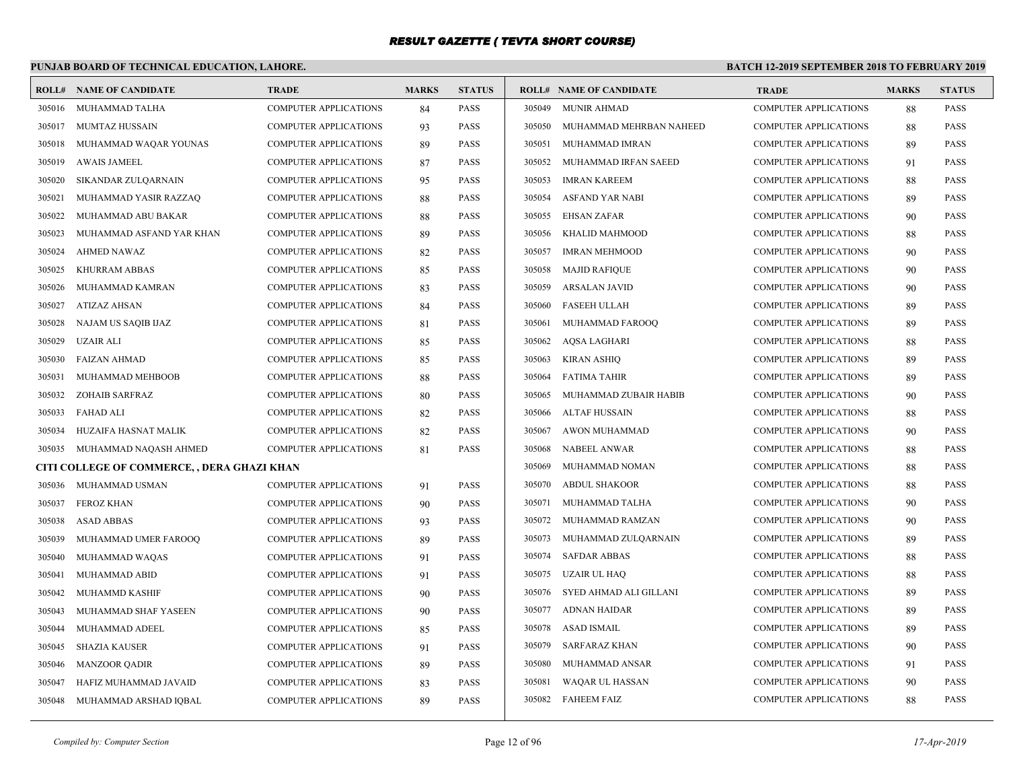# **PUNJAB BOARD OF TECHNICAL EDUCATION, LAHORE.**

|        | <b>ROLL# NAME OF CANDIDATE</b>              | <b>TRADE</b>                 | <b>MARKS</b> | <b>STATUS</b> |        | <b>ROLL# NAME OF CANDIDATE</b> | <b>TRADE</b>                 | <b>MARKS</b> | <b>STATUS</b> |
|--------|---------------------------------------------|------------------------------|--------------|---------------|--------|--------------------------------|------------------------------|--------------|---------------|
| 305016 | MUHAMMAD TALHA                              | COMPUTER APPLICATIONS        | 84           | <b>PASS</b>   |        | 305049 MUNIR AHMAD             | COMPUTER APPLICATIONS        | 88           | <b>PASS</b>   |
| 305017 | MUMTAZ HUSSAIN                              | <b>COMPUTER APPLICATIONS</b> | 93           | <b>PASS</b>   | 305050 | MUHAMMAD MEHRBAN NAHEED        | <b>COMPUTER APPLICATIONS</b> | 88           | <b>PASS</b>   |
| 305018 | MUHAMMAD WAQAR YOUNAS                       | <b>COMPUTER APPLICATIONS</b> | 89           | <b>PASS</b>   | 305051 | MUHAMMAD IMRAN                 | <b>COMPUTER APPLICATIONS</b> | 89           | <b>PASS</b>   |
| 305019 | <b>AWAIS JAMEEL</b>                         | <b>COMPUTER APPLICATIONS</b> | 87           | <b>PASS</b>   | 305052 | MUHAMMAD IRFAN SAEED           | <b>COMPUTER APPLICATIONS</b> | 91           | <b>PASS</b>   |
| 305020 | SIKANDAR ZULQARNAIN                         | <b>COMPUTER APPLICATIONS</b> | 95           | <b>PASS</b>   | 305053 | <b>IMRAN KAREEM</b>            | COMPUTER APPLICATIONS        | 88           | <b>PASS</b>   |
| 305021 | MUHAMMAD YASIR RAZZAQ                       | <b>COMPUTER APPLICATIONS</b> | 88           | <b>PASS</b>   | 305054 | ASFAND YAR NABI                | <b>COMPUTER APPLICATIONS</b> | -89          | <b>PASS</b>   |
| 305022 | MUHAMMAD ABU BAKAR                          | <b>COMPUTER APPLICATIONS</b> | 88           | <b>PASS</b>   | 305055 | EHSAN ZAFAR                    | <b>COMPUTER APPLICATIONS</b> | 90           | <b>PASS</b>   |
| 305023 | MUHAMMAD ASFAND YAR KHAN                    | <b>COMPUTER APPLICATIONS</b> | 89           | <b>PASS</b>   | 305056 | KHALID MAHMOOD                 | <b>COMPUTER APPLICATIONS</b> | 88           | <b>PASS</b>   |
| 305024 | AHMED NAWAZ                                 | <b>COMPUTER APPLICATIONS</b> | 82           | <b>PASS</b>   | 305057 | <b>IMRAN MEHMOOD</b>           | <b>COMPUTER APPLICATIONS</b> | 90           | PASS          |
| 305025 | <b>KHURRAM ABBAS</b>                        | <b>COMPUTER APPLICATIONS</b> | 85           | <b>PASS</b>   | 305058 | <b>MAJID RAFIQUE</b>           | <b>COMPUTER APPLICATIONS</b> | 90           | <b>PASS</b>   |
| 305026 | MUHAMMAD KAMRAN                             | <b>COMPUTER APPLICATIONS</b> | 83           | <b>PASS</b>   | 305059 | ARSALAN JAVID                  | <b>COMPUTER APPLICATIONS</b> | 90           | <b>PASS</b>   |
| 305027 | <b>ATIZAZ AHSAN</b>                         | <b>COMPUTER APPLICATIONS</b> | 84           | <b>PASS</b>   | 305060 | <b>FASEEH ULLAH</b>            | <b>COMPUTER APPLICATIONS</b> | 89           | <b>PASS</b>   |
| 305028 | NAJAM US SAQIB IJAZ                         | COMPUTER APPLICATIONS        | 81           | <b>PASS</b>   | 305061 | MUHAMMAD FAROOQ                | COMPUTER APPLICATIONS        | 89           | <b>PASS</b>   |
| 305029 | <b>UZAIR ALI</b>                            | <b>COMPUTER APPLICATIONS</b> | 85           | <b>PASS</b>   |        | 305062 AQSA LAGHARI            | <b>COMPUTER APPLICATIONS</b> | 88           | <b>PASS</b>   |
| 305030 | <b>FAIZAN AHMAD</b>                         | <b>COMPUTER APPLICATIONS</b> | 85           | <b>PASS</b>   |        | 305063 KIRAN ASHIQ             | <b>COMPUTER APPLICATIONS</b> | 89           | <b>PASS</b>   |
| 305031 | MUHAMMAD MEHBOOB                            | <b>COMPUTER APPLICATIONS</b> | 88           | <b>PASS</b>   | 305064 | FATIMA TAHIR                   | <b>COMPUTER APPLICATIONS</b> | 89           | <b>PASS</b>   |
| 305032 | <b>ZOHAIB SARFRAZ</b>                       | <b>COMPUTER APPLICATIONS</b> | 80           | <b>PASS</b>   | 305065 | MUHAMMAD ZUBAIR HABIB          | <b>COMPUTER APPLICATIONS</b> | 90           | <b>PASS</b>   |
| 305033 | <b>FAHAD ALI</b>                            | <b>COMPUTER APPLICATIONS</b> | 82           | <b>PASS</b>   | 305066 | ALTAF HUSSAIN                  | <b>COMPUTER APPLICATIONS</b> | 88           | <b>PASS</b>   |
| 305034 | HUZAIFA HASNAT MALIK                        | COMPUTER APPLICATIONS        | 82           | <b>PASS</b>   | 305067 | AWON MUHAMMAD                  | <b>COMPUTER APPLICATIONS</b> | 90           | <b>PASS</b>   |
| 305035 | MUHAMMAD NAQASH AHMED                       | <b>COMPUTER APPLICATIONS</b> | 81           | <b>PASS</b>   | 305068 | NABEEL ANWAR                   | <b>COMPUTER APPLICATIONS</b> | 88           | PASS          |
|        | CITI COLLEGE OF COMMERCE, , DERA GHAZI KHAN |                              |              |               | 305069 | MUHAMMAD NOMAN                 | <b>COMPUTER APPLICATIONS</b> | 88           | <b>PASS</b>   |
| 305036 | MUHAMMAD USMAN                              | <b>COMPUTER APPLICATIONS</b> | 91           | <b>PASS</b>   | 305070 | ABDUL SHAKOOR                  | <b>COMPUTER APPLICATIONS</b> | 88           | <b>PASS</b>   |
| 305037 | <b>FEROZ KHAN</b>                           | COMPUTER APPLICATIONS        | 90           | <b>PASS</b>   | 305071 | MUHAMMAD TALHA                 | COMPUTER APPLICATIONS        | 90           | <b>PASS</b>   |
| 305038 | <b>ASAD ABBAS</b>                           | <b>COMPUTER APPLICATIONS</b> | 93           | <b>PASS</b>   | 305072 | MUHAMMAD RAMZAN                | COMPUTER APPLICATIONS        | 90           | <b>PASS</b>   |
| 305039 | MUHAMMAD UMER FAROOQ                        | <b>COMPUTER APPLICATIONS</b> | 89           | <b>PASS</b>   | 305073 | MUHAMMAD ZULQARNAIN            | <b>COMPUTER APPLICATIONS</b> | 89           | <b>PASS</b>   |
| 305040 | MUHAMMAD WAQAS                              | <b>COMPUTER APPLICATIONS</b> | 91           | <b>PASS</b>   | 305074 | <b>SAFDAR ABBAS</b>            | <b>COMPUTER APPLICATIONS</b> | 88           | <b>PASS</b>   |
| 305041 | MUHAMMAD ABID                               | COMPUTER APPLICATIONS        | 91           | <b>PASS</b>   | 305075 | UZAIR UL HAQ                   | COMPUTER APPLICATIONS        | 88           | <b>PASS</b>   |
| 305042 | MUHAMMD KASHIF                              | <b>COMPUTER APPLICATIONS</b> | 90           | <b>PASS</b>   | 305076 | SYED AHMAD ALI GILLANI         | <b>COMPUTER APPLICATIONS</b> | -89          | <b>PASS</b>   |
| 305043 | MUHAMMAD SHAF YASEEN                        | <b>COMPUTER APPLICATIONS</b> | 90           | <b>PASS</b>   | 305077 | ADNAN HAIDAR                   | <b>COMPUTER APPLICATIONS</b> | 89           | <b>PASS</b>   |
| 305044 | MUHAMMAD ADEEL                              | COMPUTER APPLICATIONS        | 85           | <b>PASS</b>   | 305078 | ASAD ISMAIL                    | COMPUTER APPLICATIONS        | 89           | <b>PASS</b>   |
| 305045 | <b>SHAZIA KAUSER</b>                        | <b>COMPUTER APPLICATIONS</b> | 91           | <b>PASS</b>   | 305079 | SARFARAZ KHAN                  | <b>COMPUTER APPLICATIONS</b> | 90           | <b>PASS</b>   |
| 305046 | <b>MANZOOR QADIR</b>                        | <b>COMPUTER APPLICATIONS</b> | 89           | <b>PASS</b>   | 305080 | MUHAMMAD ANSAR                 | <b>COMPUTER APPLICATIONS</b> | 91           | <b>PASS</b>   |
| 305047 | HAFIZ MUHAMMAD JAVAID                       | <b>COMPUTER APPLICATIONS</b> | 83           | <b>PASS</b>   | 305081 | WAQAR UL HASSAN                | <b>COMPUTER APPLICATIONS</b> | 90           | <b>PASS</b>   |
| 305048 | MUHAMMAD ARSHAD IQBAL                       | <b>COMPUTER APPLICATIONS</b> | 89           | <b>PASS</b>   |        | 305082 FAHEEM FAIZ             | <b>COMPUTER APPLICATIONS</b> | 88           | <b>PASS</b>   |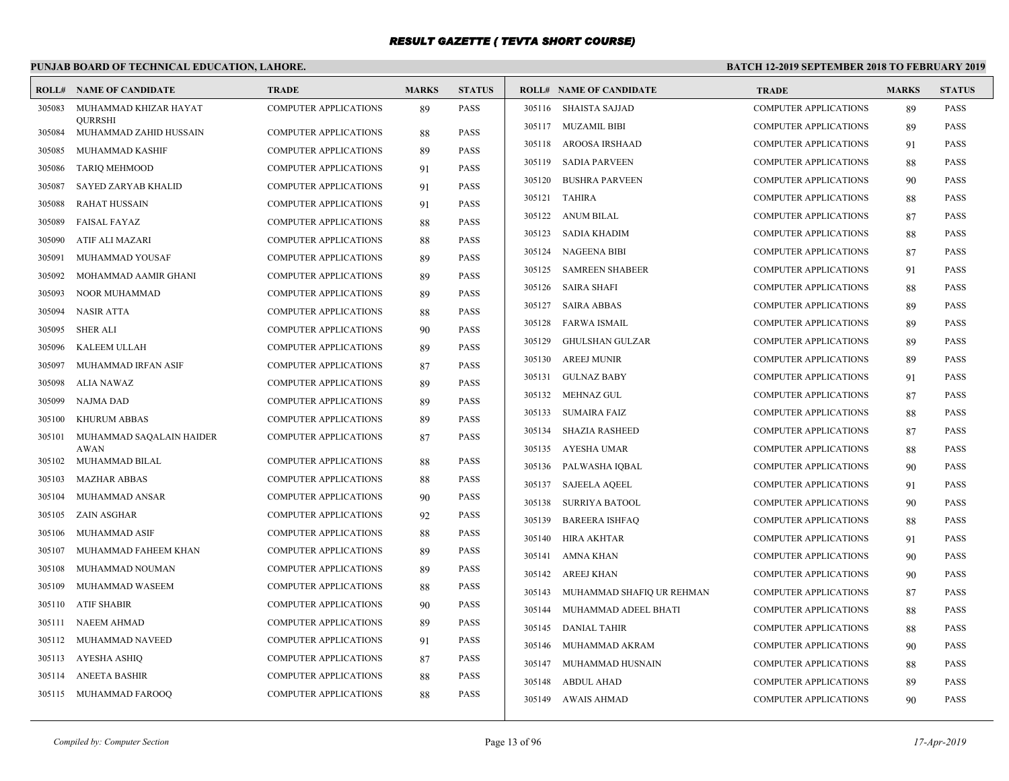# **PUNJAB BOARD OF TECHNICAL EDUCATION, LAHORE.**

| <b>ROLL#</b> | NAME OF CANDIDATE                        | <b>TRADE</b>                 | <b>MARKS</b> | <b>STATUS</b> |        | <b>ROLL# NAME OF CANDIDATE</b> | <b>TRADE</b>                 | <b>MARKS</b> | <b>STATUS</b> |
|--------------|------------------------------------------|------------------------------|--------------|---------------|--------|--------------------------------|------------------------------|--------------|---------------|
| 305083       | MUHAMMAD KHIZAR HAYAT                    | <b>COMPUTER APPLICATIONS</b> | 89           | <b>PASS</b>   |        | 305116 SHAISTA SAJJAD          | <b>COMPUTER APPLICATIONS</b> | 89           | <b>PASS</b>   |
| 305084       | <b>OURRSHI</b><br>MUHAMMAD ZAHID HUSSAIN | <b>COMPUTER APPLICATIONS</b> | 88           | <b>PASS</b>   |        | 305117 MUZAMIL BIBI            | <b>COMPUTER APPLICATIONS</b> | 89           | <b>PASS</b>   |
| 305085       | MUHAMMAD KASHIF                          | <b>COMPUTER APPLICATIONS</b> | 89           | <b>PASS</b>   |        | 305118 AROOSA IRSHAAD          | <b>COMPUTER APPLICATIONS</b> | 91           | <b>PASS</b>   |
| 305086       | <b>TARIQ MEHMOOD</b>                     | <b>COMPUTER APPLICATIONS</b> | 91           | <b>PASS</b>   | 305119 | <b>SADIA PARVEEN</b>           | <b>COMPUTER APPLICATIONS</b> | 88           | <b>PASS</b>   |
| 305087       | <b>SAYED ZARYAB KHALID</b>               | <b>COMPUTER APPLICATIONS</b> | 91           | <b>PASS</b>   | 305120 | <b>BUSHRA PARVEEN</b>          | <b>COMPUTER APPLICATIONS</b> | 90           | <b>PASS</b>   |
| 305088       | <b>RAHAT HUSSAIN</b>                     | <b>COMPUTER APPLICATIONS</b> | 91           | <b>PASS</b>   |        | 305121 TAHIRA                  | <b>COMPUTER APPLICATIONS</b> | 88           | <b>PASS</b>   |
| 305089       | <b>FAISAL FAYAZ</b>                      | <b>COMPUTER APPLICATIONS</b> | 88           | <b>PASS</b>   |        | 305122 ANUM BILAL              | <b>COMPUTER APPLICATIONS</b> | 87           | <b>PASS</b>   |
| 305090       | ATIF ALI MAZARI                          | <b>COMPUTER APPLICATIONS</b> | 88           | <b>PASS</b>   | 305123 | SADIA KHADIM                   | <b>COMPUTER APPLICATIONS</b> | 88           | <b>PASS</b>   |
| 305091       | MUHAMMAD YOUSAF                          | <b>COMPUTER APPLICATIONS</b> | 89           | <b>PASS</b>   |        | 305124 NAGEENA BIBI            | <b>COMPUTER APPLICATIONS</b> | 87           | <b>PASS</b>   |
| 305092       | MOHAMMAD AAMIR GHANI                     | <b>COMPUTER APPLICATIONS</b> | 89           | <b>PASS</b>   | 305125 | <b>SAMREEN SHABEER</b>         | <b>COMPUTER APPLICATIONS</b> | 91           | <b>PASS</b>   |
| 305093       | NOOR MUHAMMAD                            | COMPUTER APPLICATIONS        | 89           | <b>PASS</b>   | 305126 | <b>SAIRA SHAFI</b>             | COMPUTER APPLICATIONS        | 88           | PASS          |
| 305094       | <b>NASIR ATTA</b>                        | <b>COMPUTER APPLICATIONS</b> | 88           | <b>PASS</b>   | 305127 | <b>SAIRA ABBAS</b>             | <b>COMPUTER APPLICATIONS</b> | 89           | <b>PASS</b>   |
| 305095       | <b>SHER ALI</b>                          | <b>COMPUTER APPLICATIONS</b> | 90           | <b>PASS</b>   |        | 305128 FARWA ISMAIL            | <b>COMPUTER APPLICATIONS</b> | 89           | PASS          |
| 305096       | KALEEM ULLAH                             | <b>COMPUTER APPLICATIONS</b> | 89           | <b>PASS</b>   | 305129 | <b>GHULSHAN GULZAR</b>         | <b>COMPUTER APPLICATIONS</b> | 89           | <b>PASS</b>   |
| 305097       | MUHAMMAD IRFAN ASIF                      | <b>COMPUTER APPLICATIONS</b> | 87           | <b>PASS</b>   | 305130 | <b>AREEJ MUNIR</b>             | <b>COMPUTER APPLICATIONS</b> | 89           | <b>PASS</b>   |
| 305098       | ALIA NAWAZ                               | <b>COMPUTER APPLICATIONS</b> | 89           | <b>PASS</b>   | 305131 | <b>GULNAZ BABY</b>             | <b>COMPUTER APPLICATIONS</b> | 91           | <b>PASS</b>   |
| 305099       | <b>NAJMA DAD</b>                         | <b>COMPUTER APPLICATIONS</b> | 89           | <b>PASS</b>   | 305132 | MEHNAZ GUL                     | <b>COMPUTER APPLICATIONS</b> | 87           | <b>PASS</b>   |
| 305100       | <b>KHURUM ABBAS</b>                      | <b>COMPUTER APPLICATIONS</b> | 89           | <b>PASS</b>   | 305133 | <b>SUMAIRA FAIZ</b>            | <b>COMPUTER APPLICATIONS</b> | 88           | <b>PASS</b>   |
| 305101       | MUHAMMAD SAQALAIN HAIDER                 | <b>COMPUTER APPLICATIONS</b> | 87           | <b>PASS</b>   | 305134 | <b>SHAZIA RASHEED</b>          | <b>COMPUTER APPLICATIONS</b> | 87           | <b>PASS</b>   |
|              | <b>AWAN</b>                              |                              |              |               | 305135 | AYESHA UMAR                    | <b>COMPUTER APPLICATIONS</b> | 88           | <b>PASS</b>   |
| 305102       | MUHAMMAD BILAL                           | <b>COMPUTER APPLICATIONS</b> | 88           | <b>PASS</b>   | 305136 | PALWASHA IQBAL                 | <b>COMPUTER APPLICATIONS</b> | 90           | <b>PASS</b>   |
| 305103       | <b>MAZHAR ABBAS</b>                      | <b>COMPUTER APPLICATIONS</b> | 88           | <b>PASS</b>   | 305137 | <b>SAJEELA AQEEL</b>           | <b>COMPUTER APPLICATIONS</b> | 91           | <b>PASS</b>   |
| 305104       | MUHAMMAD ANSAR                           | <b>COMPUTER APPLICATIONS</b> | 90           | <b>PASS</b>   | 305138 | <b>SURRIYA BATOOL</b>          | <b>COMPUTER APPLICATIONS</b> | 90           | <b>PASS</b>   |
| 305105       | ZAIN ASGHAR                              | <b>COMPUTER APPLICATIONS</b> | 92           | <b>PASS</b>   | 305139 | <b>BAREERA ISHFAQ</b>          | <b>COMPUTER APPLICATIONS</b> | 88           | <b>PASS</b>   |
| 305106       | MUHAMMAD ASIF                            | <b>COMPUTER APPLICATIONS</b> | 88           | <b>PASS</b>   | 305140 | HIRA AKHTAR                    | COMPUTER APPLICATIONS        | 91           | PASS          |
| 305107       | MUHAMMAD FAHEEM KHAN                     | <b>COMPUTER APPLICATIONS</b> | 89           | <b>PASS</b>   | 305141 | AMNA KHAN                      | COMPUTER APPLICATIONS        | 90           | PASS          |
| 305108       | MUHAMMAD NOUMAN                          | <b>COMPUTER APPLICATIONS</b> | 89           | <b>PASS</b>   | 305142 | AREEJ KHAN                     | COMPUTER APPLICATIONS        | 90           | <b>PASS</b>   |
| 305109       | MUHAMMAD WASEEM                          | <b>COMPUTER APPLICATIONS</b> | 88           | <b>PASS</b>   | 305143 | MUHAMMAD SHAFIQ UR REHMAN      | <b>COMPUTER APPLICATIONS</b> | 87           | PASS          |
| 305110       | <b>ATIF SHABIR</b>                       | <b>COMPUTER APPLICATIONS</b> | 90           | <b>PASS</b>   | 305144 | MUHAMMAD ADEEL BHATI           | <b>COMPUTER APPLICATIONS</b> | 88           | <b>PASS</b>   |
| 305111       | NAEEM AHMAD                              | <b>COMPUTER APPLICATIONS</b> | 89           | <b>PASS</b>   | 305145 | <b>DANIAL TAHIR</b>            | <b>COMPUTER APPLICATIONS</b> | 88           | <b>PASS</b>   |
| 305112       | MUHAMMAD NAVEED                          | <b>COMPUTER APPLICATIONS</b> | 91           | <b>PASS</b>   | 305146 | MUHAMMAD AKRAM                 | COMPUTER APPLICATIONS        | 90           | <b>PASS</b>   |
| 305113       | AYESHA ASHIQ                             | <b>COMPUTER APPLICATIONS</b> | 87           | <b>PASS</b>   | 305147 | MUHAMMAD HUSNAIN               | <b>COMPUTER APPLICATIONS</b> | 88           | <b>PASS</b>   |
| 305114       | <b>ANEETA BASHIR</b>                     | <b>COMPUTER APPLICATIONS</b> | 88           | <b>PASS</b>   |        | 305148 ABDUL AHAD              | COMPUTER APPLICATIONS        | 89           | <b>PASS</b>   |
|              | 305115 MUHAMMAD FAROOQ                   | <b>COMPUTER APPLICATIONS</b> | 88           | <b>PASS</b>   |        | 305149 AWAIS AHMAD             | <b>COMPUTER APPLICATIONS</b> | 90           | <b>PASS</b>   |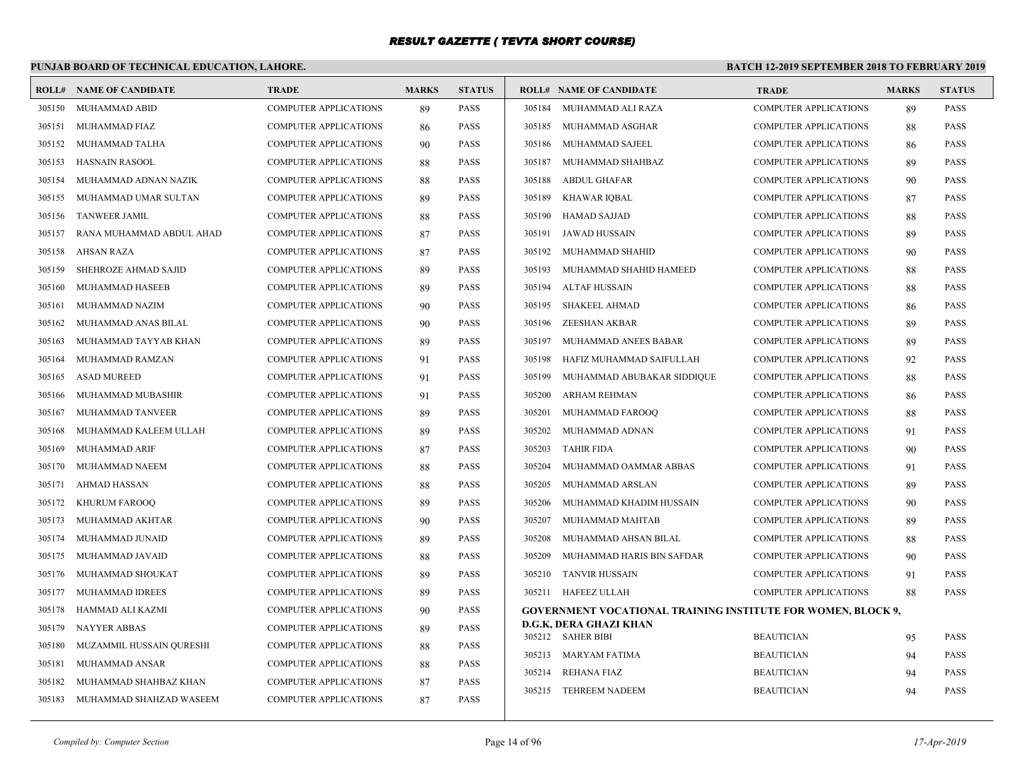# **PUNJAB BOARD OF TECHNICAL EDUCATION, LAHORE.**

|        | <b>ROLL# NAME OF CANDIDATE</b> | <b>TRADE</b>                 | <b>MARKS</b> | <b>STATUS</b> |        | <b>ROLL# NAME OF CANDIDATE</b>                                      | <b>TRADE</b>                 | <b>MARKS</b> | <b>STATUS</b> |
|--------|--------------------------------|------------------------------|--------------|---------------|--------|---------------------------------------------------------------------|------------------------------|--------------|---------------|
|        | 305150 MUHAMMAD ABID           | <b>COMPUTER APPLICATIONS</b> | 89           | <b>PASS</b>   |        | 305184 MUHAMMAD ALI RAZA                                            | <b>COMPUTER APPLICATIONS</b> | 89           | <b>PASS</b>   |
| 305151 | MUHAMMAD FIAZ                  | <b>COMPUTER APPLICATIONS</b> | 86           | <b>PASS</b>   |        | 305185 MUHAMMAD ASGHAR                                              | COMPUTER APPLICATIONS        | 88           | <b>PASS</b>   |
| 305152 | MUHAMMAD TALHA                 | COMPUTER APPLICATIONS        | 90           | <b>PASS</b>   | 305186 | MUHAMMAD SAJEEL                                                     | <b>COMPUTER APPLICATIONS</b> | 86           | <b>PASS</b>   |
| 305153 | <b>HASNAIN RASOOL</b>          | <b>COMPUTER APPLICATIONS</b> | 88           | <b>PASS</b>   |        | 305187 MUHAMMAD SHAHBAZ                                             | <b>COMPUTER APPLICATIONS</b> | 89           | <b>PASS</b>   |
| 305154 | MUHAMMAD ADNAN NAZIK           | COMPUTER APPLICATIONS        | 88           | <b>PASS</b>   | 305188 | ABDUL GHAFAR                                                        | <b>COMPUTER APPLICATIONS</b> | 90           | <b>PASS</b>   |
| 305155 | MUHAMMAD UMAR SULTAN           | <b>COMPUTER APPLICATIONS</b> | 89           | <b>PASS</b>   | 305189 | KHAWAR IQBAL                                                        | <b>COMPUTER APPLICATIONS</b> | 87           | <b>PASS</b>   |
| 305156 | <b>TANWEER JAMIL</b>           | <b>COMPUTER APPLICATIONS</b> | 88           | <b>PASS</b>   | 305190 | <b>HAMAD SAJJAD</b>                                                 | <b>COMPUTER APPLICATIONS</b> | 88           | <b>PASS</b>   |
| 305157 | RANA MUHAMMAD ABDUL AHAD       | COMPUTER APPLICATIONS        | 87           | <b>PASS</b>   |        | 305191 JAWAD HUSSAIN                                                | <b>COMPUTER APPLICATIONS</b> | 89           | <b>PASS</b>   |
| 305158 | AHSAN RAZA                     | <b>COMPUTER APPLICATIONS</b> | 87           | <b>PASS</b>   | 305192 | MUHAMMAD SHAHID                                                     | <b>COMPUTER APPLICATIONS</b> | 90           | <b>PASS</b>   |
| 305159 | SHEHROZE AHMAD SAJID           | <b>COMPUTER APPLICATIONS</b> | 89           | <b>PASS</b>   |        | 305193 MUHAMMAD SHAHID HAMEED                                       | <b>COMPUTER APPLICATIONS</b> | 88           | <b>PASS</b>   |
| 305160 | <b>MUHAMMAD HASEEB</b>         | <b>COMPUTER APPLICATIONS</b> | 89           | <b>PASS</b>   | 305194 | ALTAF HUSSAIN                                                       | <b>COMPUTER APPLICATIONS</b> | 88           | <b>PASS</b>   |
| 305161 | MUHAMMAD NAZIM                 | <b>COMPUTER APPLICATIONS</b> | 90           | <b>PASS</b>   | 305195 | SHAKEEL AHMAD                                                       | <b>COMPUTER APPLICATIONS</b> | 86           | <b>PASS</b>   |
| 305162 | MUHAMMAD ANAS BILAL            | <b>COMPUTER APPLICATIONS</b> | 90           | <b>PASS</b>   | 305196 | ZEESHAN AKBAR                                                       | <b>COMPUTER APPLICATIONS</b> | -89          | <b>PASS</b>   |
| 305163 | MUHAMMAD TAYYAB KHAN           | <b>COMPUTER APPLICATIONS</b> | 89           | <b>PASS</b>   | 305197 | MUHAMMAD ANEES BABAR                                                | <b>COMPUTER APPLICATIONS</b> | 89           | <b>PASS</b>   |
| 305164 | MUHAMMAD RAMZAN                | <b>COMPUTER APPLICATIONS</b> | 91           | <b>PASS</b>   | 305198 | HAFIZ MUHAMMAD SAIFULLAH                                            | COMPUTER APPLICATIONS        | 92           | <b>PASS</b>   |
| 305165 | <b>ASAD MUREED</b>             | <b>COMPUTER APPLICATIONS</b> | 91           | <b>PASS</b>   |        | 305199 MUHAMMAD ABUBAKAR SIDDIQUE                                   | <b>COMPUTER APPLICATIONS</b> | 88           | <b>PASS</b>   |
| 305166 | MUHAMMAD MUBASHIR              | <b>COMPUTER APPLICATIONS</b> | 91           | <b>PASS</b>   | 305200 | ARHAM REHMAN                                                        | <b>COMPUTER APPLICATIONS</b> | 86           | <b>PASS</b>   |
| 305167 | MUHAMMAD TANVEER               | <b>COMPUTER APPLICATIONS</b> | 89           | <b>PASS</b>   | 305201 | MUHAMMAD FAROOQ                                                     | <b>COMPUTER APPLICATIONS</b> | 88           | <b>PASS</b>   |
| 305168 | MUHAMMAD KALEEM ULLAH          | COMPUTER APPLICATIONS        | 89           | <b>PASS</b>   | 305202 | MUHAMMAD ADNAN                                                      | <b>COMPUTER APPLICATIONS</b> | 91           | <b>PASS</b>   |
| 305169 | MUHAMMAD ARIF                  | <b>COMPUTER APPLICATIONS</b> | 87           | <b>PASS</b>   | 305203 | TAHIR FIDA                                                          | <b>COMPUTER APPLICATIONS</b> | 90           | <b>PASS</b>   |
| 305170 | MUHAMMAD NAEEM                 | COMPUTER APPLICATIONS        | 88           | <b>PASS</b>   | 305204 | MUHAMMAD OAMMAR ABBAS                                               | <b>COMPUTER APPLICATIONS</b> | 91           | <b>PASS</b>   |
| 305171 | AHMAD HASSAN                   | COMPUTER APPLICATIONS        | 88           | <b>PASS</b>   | 305205 | MUHAMMAD ARSLAN                                                     | COMPUTER APPLICATIONS        | -89          | <b>PASS</b>   |
| 305172 | <b>KHURUM FAROOQ</b>           | <b>COMPUTER APPLICATIONS</b> | 89           | <b>PASS</b>   | 305206 | MUHAMMAD KHADIM HUSSAIN                                             | <b>COMPUTER APPLICATIONS</b> | 90           | <b>PASS</b>   |
| 305173 | MUHAMMAD AKHTAR                | <b>COMPUTER APPLICATIONS</b> | 90           | <b>PASS</b>   | 305207 | MUHAMMAD MAHTAB                                                     | <b>COMPUTER APPLICATIONS</b> | -89          | <b>PASS</b>   |
| 305174 | MUHAMMAD JUNAID                | COMPUTER APPLICATIONS        | 89           | <b>PASS</b>   | 305208 | MUHAMMAD AHSAN BILAL                                                | <b>COMPUTER APPLICATIONS</b> | 88           | <b>PASS</b>   |
| 305175 | MUHAMMAD JAVAID                | <b>COMPUTER APPLICATIONS</b> | 88           | <b>PASS</b>   | 305209 | MUHAMMAD HARIS BIN SAFDAR                                           | <b>COMPUTER APPLICATIONS</b> | 90           | <b>PASS</b>   |
| 305176 | MUHAMMAD SHOUKAT               | <b>COMPUTER APPLICATIONS</b> | 89           | <b>PASS</b>   |        | 305210 TANVIR HUSSAIN                                               | <b>COMPUTER APPLICATIONS</b> | 91           | <b>PASS</b>   |
| 305177 | MUHAMMAD IDREES                | COMPUTER APPLICATIONS        | 89           | <b>PASS</b>   |        | 305211 HAFEEZ ULLAH                                                 | <b>COMPUTER APPLICATIONS</b> | 88           | <b>PASS</b>   |
| 305178 | HAMMAD ALI KAZMI               | COMPUTER APPLICATIONS        | 90           | <b>PASS</b>   |        | <b>GOVERNMENT VOCATIONAL TRAINING INSTITUTE FOR WOMEN, BLOCK 9,</b> |                              |              |               |
| 305179 | NAYYER ABBAS                   | <b>COMPUTER APPLICATIONS</b> | 89           | <b>PASS</b>   |        | D.G.K, DERA GHAZI KHAN                                              |                              |              |               |
| 305180 | MUZAMMIL HUSSAIN QURESHI       | <b>COMPUTER APPLICATIONS</b> | 88           | <b>PASS</b>   |        | 305212 SAHER BIBI                                                   | <b>BEAUTICIAN</b>            | 95           | <b>PASS</b>   |
| 305181 | MUHAMMAD ANSAR                 | <b>COMPUTER APPLICATIONS</b> | 88           | <b>PASS</b>   |        | 305213 MARYAM FATIMA                                                | <b>BEAUTICIAN</b>            | 94           | <b>PASS</b>   |
| 305182 | MUHAMMAD SHAHBAZ KHAN          | <b>COMPUTER APPLICATIONS</b> | 87           | <b>PASS</b>   | 305214 | REHANA FIAZ                                                         | <b>BEAUTICIAN</b>            | 94           | <b>PASS</b>   |
|        | 305183 MUHAMMAD SHAHZAD WASEEM | <b>COMPUTER APPLICATIONS</b> | 87           | <b>PASS</b>   |        | 305215 TEHREEM NADEEM                                               | <b>BEAUTICIAN</b>            | 94           | <b>PASS</b>   |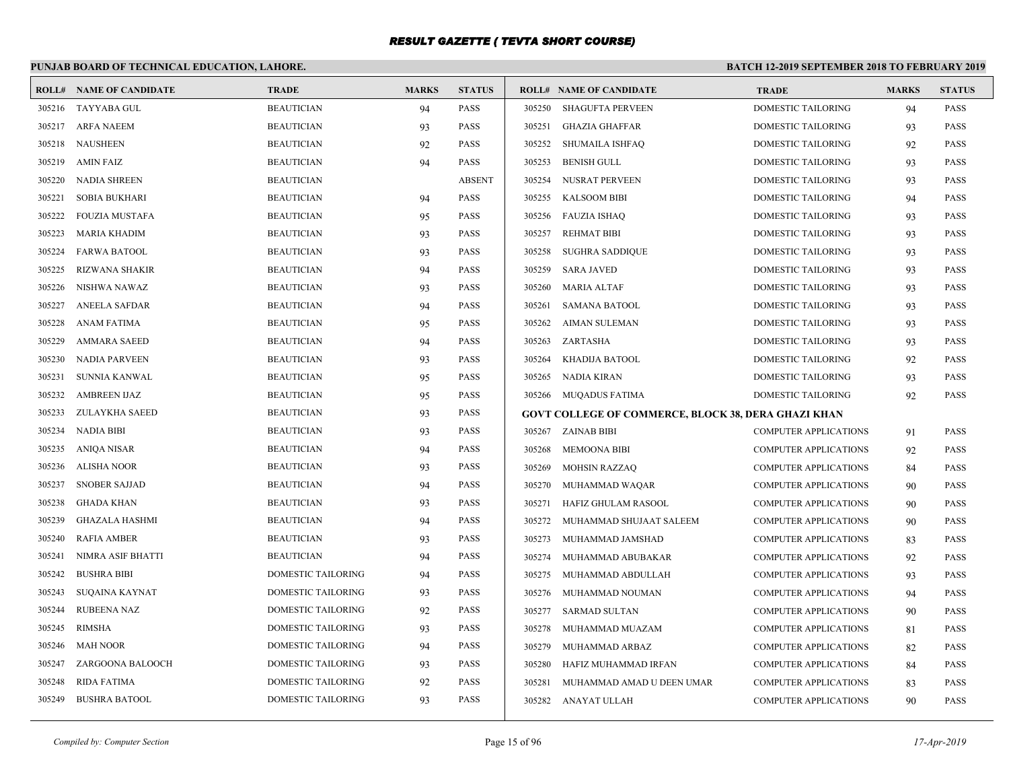# **PUNJAB BOARD OF TECHNICAL EDUCATION, LAHORE.**

| ROLL#  | <b>NAME OF CANDIDATE</b> | <b>TRADE</b>              | <b>MARKS</b> | <b>STATUS</b> |        | <b>ROLL# NAME OF CANDIDATE</b>                      | <b>TRADE</b>                 | <b>MARKS</b> | <b>STATUS</b> |
|--------|--------------------------|---------------------------|--------------|---------------|--------|-----------------------------------------------------|------------------------------|--------------|---------------|
| 305216 | TAYYABA GUL              | <b>BEAUTICIAN</b>         | 94           | <b>PASS</b>   | 305250 | <b>SHAGUFTA PERVEEN</b>                             | DOMESTIC TAILORING           | 94           | <b>PASS</b>   |
| 305217 | <b>ARFA NAEEM</b>        | <b>BEAUTICIAN</b>         | 93           | <b>PASS</b>   | 305251 | <b>GHAZIA GHAFFAR</b>                               | <b>DOMESTIC TAILORING</b>    | 93           | <b>PASS</b>   |
| 305218 | NAUSHEEN                 | <b>BEAUTICIAN</b>         | 92           | <b>PASS</b>   | 305252 | SHUMAILA ISHFAO                                     | <b>DOMESTIC TAILORING</b>    | 92           | <b>PASS</b>   |
| 305219 | AMIN FAIZ                | <b>BEAUTICIAN</b>         | 94           | <b>PASS</b>   | 305253 | <b>BENISH GULL</b>                                  | <b>DOMESTIC TAILORING</b>    | 93           | <b>PASS</b>   |
| 305220 | NADIA SHREEN             | <b>BEAUTICIAN</b>         |              | <b>ABSENT</b> | 305254 | NUSRAT PERVEEN                                      | <b>DOMESTIC TAILORING</b>    | 93           | <b>PASS</b>   |
| 305221 | <b>SOBIA BUKHARI</b>     | <b>BEAUTICIAN</b>         | 94           | <b>PASS</b>   | 305255 | <b>KALSOOM BIBI</b>                                 | DOMESTIC TAILORING           | 94           | <b>PASS</b>   |
| 305222 | <b>FOUZIA MUSTAFA</b>    | <b>BEAUTICIAN</b>         | 95           | <b>PASS</b>   |        | 305256 FAUZIA ISHAQ                                 | DOMESTIC TAILORING           | 93           | PASS          |
| 305223 | MARIA KHADIM             | <b>BEAUTICIAN</b>         | 93           | <b>PASS</b>   | 305257 | REHMAT BIBI                                         | <b>DOMESTIC TAILORING</b>    | 93           | <b>PASS</b>   |
| 305224 | <b>FARWA BATOOL</b>      | <b>BEAUTICIAN</b>         | 93           | <b>PASS</b>   | 305258 | <b>SUGHRA SADDIQUE</b>                              | DOMESTIC TAILORING           | 93           | <b>PASS</b>   |
| 305225 | <b>RIZWANA SHAKIR</b>    | <b>BEAUTICIAN</b>         | 94           | <b>PASS</b>   | 305259 | SARA JAVED                                          | <b>DOMESTIC TAILORING</b>    | 93           | <b>PASS</b>   |
| 305226 | NISHWA NAWAZ             | <b>BEAUTICIAN</b>         | 93           | <b>PASS</b>   | 305260 | MARIA ALTAF                                         | DOMESTIC TAILORING           | 93           | <b>PASS</b>   |
| 305227 | ANEELA SAFDAR            | <b>BEAUTICIAN</b>         | 94           | <b>PASS</b>   | 305261 | <b>SAMANA BATOOL</b>                                | <b>DOMESTIC TAILORING</b>    | 93           | <b>PASS</b>   |
| 305228 | ANAM FATIMA              | <b>BEAUTICIAN</b>         | 95           | <b>PASS</b>   | 305262 | AIMAN SULEMAN                                       | DOMESTIC TAILORING           | 93           | <b>PASS</b>   |
| 305229 | <b>AMMARA SAEED</b>      | <b>BEAUTICIAN</b>         | 94           | <b>PASS</b>   |        | 305263 ZARTASHA                                     | <b>DOMESTIC TAILORING</b>    | 93           | <b>PASS</b>   |
| 305230 | NADIA PARVEEN            | <b>BEAUTICIAN</b>         | 93           | <b>PASS</b>   |        | 305264 KHADIJA BATOOL                               | DOMESTIC TAILORING           | 92           | <b>PASS</b>   |
| 305231 | SUNNIA KANWAL            | <b>BEAUTICIAN</b>         | 95           | <b>PASS</b>   |        | 305265 NADIA KIRAN                                  | <b>DOMESTIC TAILORING</b>    | 93           | <b>PASS</b>   |
| 305232 | <b>AMBREEN IJAZ</b>      | <b>BEAUTICIAN</b>         | 95           | <b>PASS</b>   |        | 305266 MUQADUS FATIMA                               | <b>DOMESTIC TAILORING</b>    | 92           | <b>PASS</b>   |
| 305233 | ZULAYKHA SAEED           | <b>BEAUTICIAN</b>         | 93           | <b>PASS</b>   |        | GOVT COLLEGE OF COMMERCE, BLOCK 38, DERA GHAZI KHAN |                              |              |               |
| 305234 | <b>NADIA BIBI</b>        | <b>BEAUTICIAN</b>         | 93           | <b>PASS</b>   |        | 305267 ZAINAB BIBI                                  | <b>COMPUTER APPLICATIONS</b> | 91           | <b>PASS</b>   |
| 305235 | ANIQA NISAR              | <b>BEAUTICIAN</b>         | 94           | <b>PASS</b>   | 305268 | <b>MEMOONA BIBI</b>                                 | <b>COMPUTER APPLICATIONS</b> | 92           | <b>PASS</b>   |
| 305236 | <b>ALISHA NOOR</b>       | <b>BEAUTICIAN</b>         | 93           | <b>PASS</b>   | 305269 | <b>MOHSIN RAZZAQ</b>                                | <b>COMPUTER APPLICATIONS</b> | 84           | <b>PASS</b>   |
| 305237 | <b>SNOBER SAJJAD</b>     | <b>BEAUTICIAN</b>         | 94           | <b>PASS</b>   | 305270 | MUHAMMAD WAQAR                                      | <b>COMPUTER APPLICATIONS</b> | 90           | <b>PASS</b>   |
| 305238 | <b>GHADA KHAN</b>        | <b>BEAUTICIAN</b>         | 93           | <b>PASS</b>   | 305271 | HAFIZ GHULAM RASOOL                                 | <b>COMPUTER APPLICATIONS</b> | 90           | <b>PASS</b>   |
| 305239 | <b>GHAZALA HASHMI</b>    | <b>BEAUTICIAN</b>         | 94           | <b>PASS</b>   | 305272 | MUHAMMAD SHUJAAT SALEEM                             | <b>COMPUTER APPLICATIONS</b> | 90           | <b>PASS</b>   |
| 305240 | <b>RAFIA AMBER</b>       | <b>BEAUTICIAN</b>         | 93           | <b>PASS</b>   | 305273 | MUHAMMAD JAMSHAD                                    | <b>COMPUTER APPLICATIONS</b> | 83           | <b>PASS</b>   |
| 305241 | NIMRA ASIF BHATTI        | <b>BEAUTICIAN</b>         | 94           | <b>PASS</b>   | 305274 | MUHAMMAD ABUBAKAR                                   | <b>COMPUTER APPLICATIONS</b> | 92           | <b>PASS</b>   |
| 305242 | <b>BUSHRA BIBI</b>       | DOMESTIC TAILORING        | 94           | <b>PASS</b>   | 305275 | MUHAMMAD ABDULLAH                                   | <b>COMPUTER APPLICATIONS</b> | 93           | <b>PASS</b>   |
| 305243 | SUQAINA KAYNAT           | <b>DOMESTIC TAILORING</b> | 93           | <b>PASS</b>   | 305276 | MUHAMMAD NOUMAN                                     | <b>COMPUTER APPLICATIONS</b> | 94           | <b>PASS</b>   |
| 305244 | <b>RUBEENA NAZ</b>       | DOMESTIC TAILORING        | 92           | <b>PASS</b>   | 305277 | SARMAD SULTAN                                       | <b>COMPUTER APPLICATIONS</b> | 90           | PASS          |
| 305245 | RIMSHA                   | DOMESTIC TAILORING        | 93           | <b>PASS</b>   | 305278 | MUHAMMAD MUAZAM                                     | <b>COMPUTER APPLICATIONS</b> | 81           | <b>PASS</b>   |
| 305246 | MAH NOOR                 | DOMESTIC TAILORING        | 94           | <b>PASS</b>   | 305279 | MUHAMMAD ARBAZ                                      | <b>COMPUTER APPLICATIONS</b> | 82           | <b>PASS</b>   |
| 305247 | ZARGOONA BALOOCH         | DOMESTIC TAILORING        | 93           | <b>PASS</b>   | 305280 | HAFIZ MUHAMMAD IRFAN                                | <b>COMPUTER APPLICATIONS</b> | 84           | <b>PASS</b>   |
| 305248 | RIDA FATIMA              | DOMESTIC TAILORING        | 92           | <b>PASS</b>   | 305281 | MUHAMMAD AMAD U DEEN UMAR                           | <b>COMPUTER APPLICATIONS</b> | 83           | <b>PASS</b>   |
| 305249 | <b>BUSHRA BATOOL</b>     | DOMESTIC TAILORING        | 93           | <b>PASS</b>   |        | 305282 ANAYAT ULLAH                                 | <b>COMPUTER APPLICATIONS</b> | 90           | <b>PASS</b>   |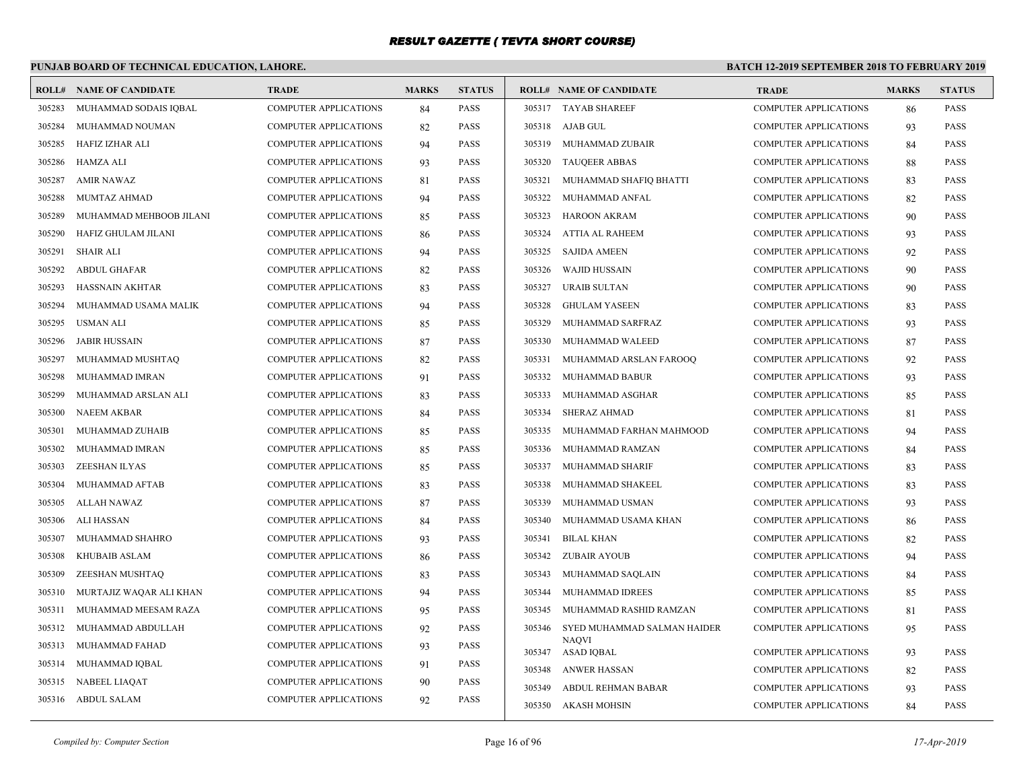# **PUNJAB BOARD OF TECHNICAL EDUCATION, LAHORE.**

| ROLL#  | <b>NAME OF CANDIDATE</b> | <b>TRADE</b>                 | <b>MARKS</b> | <b>STATUS</b> |        | <b>ROLL# NAME OF CANDIDATE</b>    | <b>TRADE</b>                 | <b>MARKS</b> | <b>STATUS</b> |
|--------|--------------------------|------------------------------|--------------|---------------|--------|-----------------------------------|------------------------------|--------------|---------------|
| 305283 | MUHAMMAD SODAIS IQBAL    | <b>COMPUTER APPLICATIONS</b> | 84           | <b>PASS</b>   |        | 305317 TAYAB SHAREEF              | COMPUTER APPLICATIONS        | 86           | <b>PASS</b>   |
| 305284 | MUHAMMAD NOUMAN          | <b>COMPUTER APPLICATIONS</b> | 82           | <b>PASS</b>   |        | 305318 AJAB GUL                   | <b>COMPUTER APPLICATIONS</b> | 93           | <b>PASS</b>   |
| 305285 | HAFIZ IZHAR ALI          | <b>COMPUTER APPLICATIONS</b> | 94           | <b>PASS</b>   |        | 305319 MUHAMMAD ZUBAIR            | COMPUTER APPLICATIONS        | 84           | <b>PASS</b>   |
| 305286 | HAMZA ALI                | <b>COMPUTER APPLICATIONS</b> | 93           | <b>PASS</b>   | 305320 | <b>TAUQEER ABBAS</b>              | <b>COMPUTER APPLICATIONS</b> | 88           | <b>PASS</b>   |
| 305287 | <b>AMIR NAWAZ</b>        | <b>COMPUTER APPLICATIONS</b> | 81           | <b>PASS</b>   | 305321 | MUHAMMAD SHAFIQ BHATTI            | <b>COMPUTER APPLICATIONS</b> | 83           | <b>PASS</b>   |
| 305288 | MUMTAZ AHMAD             | <b>COMPUTER APPLICATIONS</b> | 94           | <b>PASS</b>   |        | 305322 MUHAMMAD ANFAL             | <b>COMPUTER APPLICATIONS</b> | 82           | <b>PASS</b>   |
| 305289 | MUHAMMAD MEHBOOB JILANI  | <b>COMPUTER APPLICATIONS</b> | 85           | <b>PASS</b>   | 305323 | HAROON AKRAM                      | COMPUTER APPLICATIONS        | 90           | <b>PASS</b>   |
| 305290 | HAFIZ GHULAM JILANI      | <b>COMPUTER APPLICATIONS</b> | 86           | PASS          | 305324 | ATTIA AL RAHEEM                   | <b>COMPUTER APPLICATIONS</b> | 93           | <b>PASS</b>   |
| 305291 | SHAIR ALI                | <b>COMPUTER APPLICATIONS</b> | 94           | <b>PASS</b>   | 305325 | <b>SAJIDA AMEEN</b>               | COMPUTER APPLICATIONS        | 92           | <b>PASS</b>   |
| 305292 | ABDUL GHAFAR             | <b>COMPUTER APPLICATIONS</b> | 82           | PASS          | 305326 | <b>WAJID HUSSAIN</b>              | COMPUTER APPLICATIONS        | 90           | <b>PASS</b>   |
| 305293 | HASSNAIN AKHTAR          | <b>COMPUTER APPLICATIONS</b> | 83           | <b>PASS</b>   | 305327 | URAIB SULTAN                      | <b>COMPUTER APPLICATIONS</b> | 90           | <b>PASS</b>   |
| 305294 | MUHAMMAD USAMA MALIK     | <b>COMPUTER APPLICATIONS</b> | 94           | <b>PASS</b>   | 305328 | <b>GHULAM YASEEN</b>              | <b>COMPUTER APPLICATIONS</b> | 83           | <b>PASS</b>   |
| 305295 | <b>USMAN ALI</b>         | <b>COMPUTER APPLICATIONS</b> | 85           | PASS          | 305329 | MUHAMMAD SARFRAZ                  | <b>COMPUTER APPLICATIONS</b> | 93           | <b>PASS</b>   |
| 305296 | JABIR HUSSAIN            | <b>COMPUTER APPLICATIONS</b> | 87           | <b>PASS</b>   | 305330 | MUHAMMAD WALEED                   | <b>COMPUTER APPLICATIONS</b> | 87           | <b>PASS</b>   |
| 305297 | MUHAMMAD MUSHTAQ         | <b>COMPUTER APPLICATIONS</b> | 82           | PASS          | 305331 | MUHAMMAD ARSLAN FAROOQ            | <b>COMPUTER APPLICATIONS</b> | 92           | <b>PASS</b>   |
| 305298 | MUHAMMAD IMRAN           | <b>COMPUTER APPLICATIONS</b> | 91           | <b>PASS</b>   |        | 305332 MUHAMMAD BABUR             | COMPUTER APPLICATIONS        | 93           | <b>PASS</b>   |
| 305299 | MUHAMMAD ARSLAN ALI      | <b>COMPUTER APPLICATIONS</b> | 83           | PASS          |        | 305333 MUHAMMAD ASGHAR            | COMPUTER APPLICATIONS        | 85           | <b>PASS</b>   |
| 305300 | NAEEM AKBAR              | <b>COMPUTER APPLICATIONS</b> | 84           | <b>PASS</b>   | 305334 | <b>SHERAZ AHMAD</b>               | <b>COMPUTER APPLICATIONS</b> | 81           | <b>PASS</b>   |
| 305301 | MUHAMMAD ZUHAIB          | <b>COMPUTER APPLICATIONS</b> | 85           | <b>PASS</b>   | 305335 | MUHAMMAD FARHAN MAHMOOD           | <b>COMPUTER APPLICATIONS</b> | 94           | <b>PASS</b>   |
| 305302 | MUHAMMAD IMRAN           | <b>COMPUTER APPLICATIONS</b> | 85           | <b>PASS</b>   | 305336 | MUHAMMAD RAMZAN                   | <b>COMPUTER APPLICATIONS</b> | -84          | <b>PASS</b>   |
| 305303 | ZEESHAN ILYAS            | <b>COMPUTER APPLICATIONS</b> | 85           | <b>PASS</b>   | 305337 | MUHAMMAD SHARIF                   | <b>COMPUTER APPLICATIONS</b> | 83           | <b>PASS</b>   |
| 305304 | MUHAMMAD AFTAB           | <b>COMPUTER APPLICATIONS</b> | 83           | <b>PASS</b>   | 305338 | MUHAMMAD SHAKEEL                  | <b>COMPUTER APPLICATIONS</b> | 83           | <b>PASS</b>   |
| 305305 | ALLAH NAWAZ              | <b>COMPUTER APPLICATIONS</b> | 87           | <b>PASS</b>   | 305339 | MUHAMMAD USMAN                    | <b>COMPUTER APPLICATIONS</b> | 93           | <b>PASS</b>   |
| 305306 | ALI HASSAN               | <b>COMPUTER APPLICATIONS</b> | 84           | PASS          | 305340 | MUHAMMAD USAMA KHAN               | COMPUTER APPLICATIONS        | 86           | <b>PASS</b>   |
| 305307 | MUHAMMAD SHAHRO          | <b>COMPUTER APPLICATIONS</b> | 93           | <b>PASS</b>   | 305341 | <b>BILAL KHAN</b>                 | COMPUTER APPLICATIONS        | 82           | <b>PASS</b>   |
| 305308 | KHUBAIB ASLAM            | <b>COMPUTER APPLICATIONS</b> | 86           | <b>PASS</b>   |        | 305342 ZUBAIR AYOUB               | <b>COMPUTER APPLICATIONS</b> | 94           | <b>PASS</b>   |
| 305309 | ZEESHAN MUSHTAQ          | <b>COMPUTER APPLICATIONS</b> | 83           | PASS          | 305343 | MUHAMMAD SAQLAIN                  | COMPUTER APPLICATIONS        | -84          | <b>PASS</b>   |
| 305310 | MURTAJIZ WAQAR ALI KHAN  | <b>COMPUTER APPLICATIONS</b> | 94           | <b>PASS</b>   | 305344 | MUHAMMAD IDREES                   | <b>COMPUTER APPLICATIONS</b> | 85           | <b>PASS</b>   |
| 305311 | MUHAMMAD MEESAM RAZA     | <b>COMPUTER APPLICATIONS</b> | 95           | PASS          | 305345 | MUHAMMAD RASHID RAMZAN            | <b>COMPUTER APPLICATIONS</b> | 81           | <b>PASS</b>   |
| 305312 | MUHAMMAD ABDULLAH        | <b>COMPUTER APPLICATIONS</b> | 92           | <b>PASS</b>   | 305346 | SYED MUHAMMAD SALMAN HAIDER       | COMPUTER APPLICATIONS        | 95           | <b>PASS</b>   |
| 305313 | MUHAMMAD FAHAD           | <b>COMPUTER APPLICATIONS</b> | 93           | PASS          |        | <b>NAOVI</b><br>305347 ASAD IQBAL | <b>COMPUTER APPLICATIONS</b> | 93           | <b>PASS</b>   |
| 305314 | MUHAMMAD IQBAL           | <b>COMPUTER APPLICATIONS</b> | 91           | <b>PASS</b>   |        | 305348 ANWER HASSAN               | <b>COMPUTER APPLICATIONS</b> | 82           | <b>PASS</b>   |
| 305315 | NABEEL LIAQAT            | <b>COMPUTER APPLICATIONS</b> | 90           | <b>PASS</b>   | 305349 | ABDUL REHMAN BABAR                | <b>COMPUTER APPLICATIONS</b> | 93           | <b>PASS</b>   |
|        | 305316 ABDUL SALAM       | <b>COMPUTER APPLICATIONS</b> | 92           | <b>PASS</b>   |        | 305350 AKASH MOHSIN               | <b>COMPUTER APPLICATIONS</b> | 84           | <b>PASS</b>   |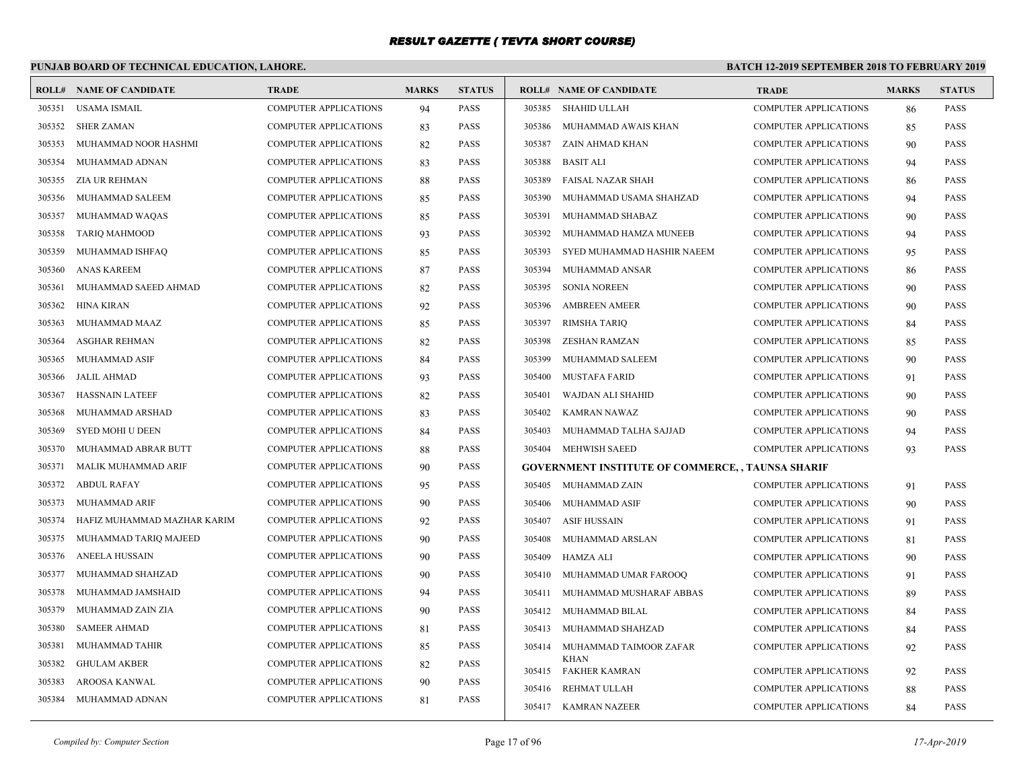# **PUNJAB BOARD OF TECHNICAL EDUCATION, LAHORE.**

|        | <b>ROLL# NAME OF CANDIDATE</b> | <b>TRADE</b>                 | <b>MARKS</b> | <b>STATUS</b> |        | <b>ROLL# NAME OF CANDIDATE</b>                           | <b>TRADE</b>                 | <b>MARKS</b> | <b>STATUS</b> |
|--------|--------------------------------|------------------------------|--------------|---------------|--------|----------------------------------------------------------|------------------------------|--------------|---------------|
| 305351 | <b>USAMA ISMAIL</b>            | <b>COMPUTER APPLICATIONS</b> | 94           | <b>PASS</b>   | 305385 | SHAHID ULLAH                                             | <b>COMPUTER APPLICATIONS</b> | 86           | <b>PASS</b>   |
| 305352 | <b>SHER ZAMAN</b>              | <b>COMPUTER APPLICATIONS</b> | 83           | <b>PASS</b>   | 305386 | MUHAMMAD AWAIS KHAN                                      | <b>COMPUTER APPLICATIONS</b> | 85           | <b>PASS</b>   |
| 305353 | MUHAMMAD NOOR HASHMI           | <b>COMPUTER APPLICATIONS</b> | 82           | <b>PASS</b>   | 305387 | ZAIN AHMAD KHAN                                          | COMPUTER APPLICATIONS        | 90           | <b>PASS</b>   |
| 305354 | MUHAMMAD ADNAN                 | COMPUTER APPLICATIONS        | 83           | <b>PASS</b>   | 305388 | <b>BASIT ALI</b>                                         | COMPUTER APPLICATIONS        | 94           | <b>PASS</b>   |
| 305355 | ZIA UR REHMAN                  | <b>COMPUTER APPLICATIONS</b> | 88           | <b>PASS</b>   | 305389 | FAISAL NAZAR SHAH                                        | <b>COMPUTER APPLICATIONS</b> | 86           | <b>PASS</b>   |
| 305356 | MUHAMMAD SALEEM                | <b>COMPUTER APPLICATIONS</b> | 85           | <b>PASS</b>   | 305390 | MUHAMMAD USAMA SHAHZAD                                   | <b>COMPUTER APPLICATIONS</b> | 94           | PASS          |
| 305357 | MUHAMMAD WAQAS                 | <b>COMPUTER APPLICATIONS</b> | 85           | <b>PASS</b>   | 305391 | MUHAMMAD SHABAZ                                          | <b>COMPUTER APPLICATIONS</b> | 90           | <b>PASS</b>   |
| 305358 | <b>TARIQ MAHMOOD</b>           | <b>COMPUTER APPLICATIONS</b> | 93           | <b>PASS</b>   | 305392 | MUHAMMAD HAMZA MUNEEB                                    | <b>COMPUTER APPLICATIONS</b> | 94           | <b>PASS</b>   |
| 305359 | MUHAMMAD ISHFAQ                | <b>COMPUTER APPLICATIONS</b> | 85           | <b>PASS</b>   | 305393 | SYED MUHAMMAD HASHIR NAEEM                               | <b>COMPUTER APPLICATIONS</b> | 95           | <b>PASS</b>   |
| 305360 | <b>ANAS KAREEM</b>             | <b>COMPUTER APPLICATIONS</b> | 87           | <b>PASS</b>   | 305394 | MUHAMMAD ANSAR                                           | <b>COMPUTER APPLICATIONS</b> | 86           | <b>PASS</b>   |
| 305361 | MUHAMMAD SAEED AHMAD           | <b>COMPUTER APPLICATIONS</b> | 82           | <b>PASS</b>   | 305395 | <b>SONIA NOREEN</b>                                      | <b>COMPUTER APPLICATIONS</b> | 90           | <b>PASS</b>   |
| 305362 | <b>HINA KIRAN</b>              | <b>COMPUTER APPLICATIONS</b> | 92           | <b>PASS</b>   | 305396 | <b>AMBREEN AMEER</b>                                     | <b>COMPUTER APPLICATIONS</b> | 90           | <b>PASS</b>   |
| 305363 | MUHAMMAD MAAZ                  | <b>COMPUTER APPLICATIONS</b> | 85           | <b>PASS</b>   | 305397 | <b>RIMSHA TARIQ</b>                                      | <b>COMPUTER APPLICATIONS</b> | -84          | <b>PASS</b>   |
| 305364 | ASGHAR REHMAN                  | <b>COMPUTER APPLICATIONS</b> | 82           | <b>PASS</b>   | 305398 | <b>ZESHAN RAMZAN</b>                                     | <b>COMPUTER APPLICATIONS</b> | 85           | <b>PASS</b>   |
| 305365 | MUHAMMAD ASIF                  | <b>COMPUTER APPLICATIONS</b> | 84           | <b>PASS</b>   | 305399 | MUHAMMAD SALEEM                                          | <b>COMPUTER APPLICATIONS</b> | 90           | <b>PASS</b>   |
| 305366 | JALIL AHMAD                    | COMPUTER APPLICATIONS        | 93           | <b>PASS</b>   | 305400 | MUSTAFA FARID                                            | <b>COMPUTER APPLICATIONS</b> | 91           | <b>PASS</b>   |
| 305367 | <b>HASSNAIN LATEEF</b>         | <b>COMPUTER APPLICATIONS</b> | 82           | <b>PASS</b>   | 305401 | WAJDAN ALI SHAHID                                        | <b>COMPUTER APPLICATIONS</b> | 90           | <b>PASS</b>   |
| 305368 | MUHAMMAD ARSHAD                | COMPUTER APPLICATIONS        | 83           | <b>PASS</b>   | 305402 | KAMRAN NAWAZ                                             | <b>COMPUTER APPLICATIONS</b> | 90           | <b>PASS</b>   |
| 305369 | <b>SYED MOHI U DEEN</b>        | <b>COMPUTER APPLICATIONS</b> | 84           | <b>PASS</b>   | 305403 | MUHAMMAD TALHA SAJJAD                                    | <b>COMPUTER APPLICATIONS</b> | 94           | <b>PASS</b>   |
| 305370 | MUHAMMAD ABRAR BUTT            | <b>COMPUTER APPLICATIONS</b> | 88           | <b>PASS</b>   | 305404 | <b>MEHWISH SAEED</b>                                     | <b>COMPUTER APPLICATIONS</b> | 93           | <b>PASS</b>   |
| 305371 | MALIK MUHAMMAD ARIF            | <b>COMPUTER APPLICATIONS</b> | 90           | <b>PASS</b>   |        | <b>GOVERNMENT INSTITUTE OF COMMERCE, , TAUNSA SHARIF</b> |                              |              |               |
| 305372 | <b>ABDUL RAFAY</b>             | <b>COMPUTER APPLICATIONS</b> | 95           | <b>PASS</b>   | 305405 | MUHAMMAD ZAIN                                            | <b>COMPUTER APPLICATIONS</b> | 91           | <b>PASS</b>   |
| 305373 | MUHAMMAD ARIF                  | <b>COMPUTER APPLICATIONS</b> | 90           | <b>PASS</b>   | 305406 | MUHAMMAD ASIF                                            | <b>COMPUTER APPLICATIONS</b> | 90           | <b>PASS</b>   |
| 305374 | HAFIZ MUHAMMAD MAZHAR KARIM    | <b>COMPUTER APPLICATIONS</b> | 92           | <b>PASS</b>   | 305407 | ASIF HUSSAIN                                             | <b>COMPUTER APPLICATIONS</b> | 91           | <b>PASS</b>   |
| 305375 | MUHAMMAD TARIQ MAJEED          | COMPUTER APPLICATIONS        | 90           | <b>PASS</b>   | 305408 | MUHAMMAD ARSLAN                                          | <b>COMPUTER APPLICATIONS</b> | 81           | <b>PASS</b>   |
| 305376 | <b>ANEELA HUSSAIN</b>          | <b>COMPUTER APPLICATIONS</b> | 90           | <b>PASS</b>   | 305409 | HAMZA ALI                                                | <b>COMPUTER APPLICATIONS</b> | 90           | <b>PASS</b>   |
| 305377 | MUHAMMAD SHAHZAD               | <b>COMPUTER APPLICATIONS</b> | 90           | <b>PASS</b>   | 305410 | MUHAMMAD UMAR FAROOQ                                     | <b>COMPUTER APPLICATIONS</b> | 91           | <b>PASS</b>   |
| 305378 | MUHAMMAD JAMSHAID              | <b>COMPUTER APPLICATIONS</b> | 94           | <b>PASS</b>   | 305411 | MUHAMMAD MUSHARAF ABBAS                                  | <b>COMPUTER APPLICATIONS</b> | 89           | <b>PASS</b>   |
| 305379 | MUHAMMAD ZAIN ZIA              | COMPUTER APPLICATIONS        | 90           | <b>PASS</b>   | 305412 | MUHAMMAD BILAL                                           | <b>COMPUTER APPLICATIONS</b> | 84           | <b>PASS</b>   |
| 305380 | <b>SAMEER AHMAD</b>            | <b>COMPUTER APPLICATIONS</b> | 81           | <b>PASS</b>   | 305413 | MUHAMMAD SHAHZAD                                         | COMPUTER APPLICATIONS        | 84           | <b>PASS</b>   |
| 305381 | MUHAMMAD TAHIR                 | <b>COMPUTER APPLICATIONS</b> | 85           | <b>PASS</b>   | 305414 | MUHAMMAD TAIMOOR ZAFAR                                   | <b>COMPUTER APPLICATIONS</b> | 92           | <b>PASS</b>   |
| 305382 | <b>GHULAM AKBER</b>            | <b>COMPUTER APPLICATIONS</b> | 82           | <b>PASS</b>   |        | <b>KHAN</b><br>305415 FAKHER KAMRAN                      | <b>COMPUTER APPLICATIONS</b> | 92           | <b>PASS</b>   |
| 305383 | AROOSA KANWAL                  | <b>COMPUTER APPLICATIONS</b> | 90           | <b>PASS</b>   | 305416 | REHMAT ULLAH                                             | COMPUTER APPLICATIONS        | 88           | <b>PASS</b>   |
| 305384 | MUHAMMAD ADNAN                 | COMPUTER APPLICATIONS        | 81           | <b>PASS</b>   |        | 305417 KAMRAN NAZEER                                     | <b>COMPUTER APPLICATIONS</b> | 84           | <b>PASS</b>   |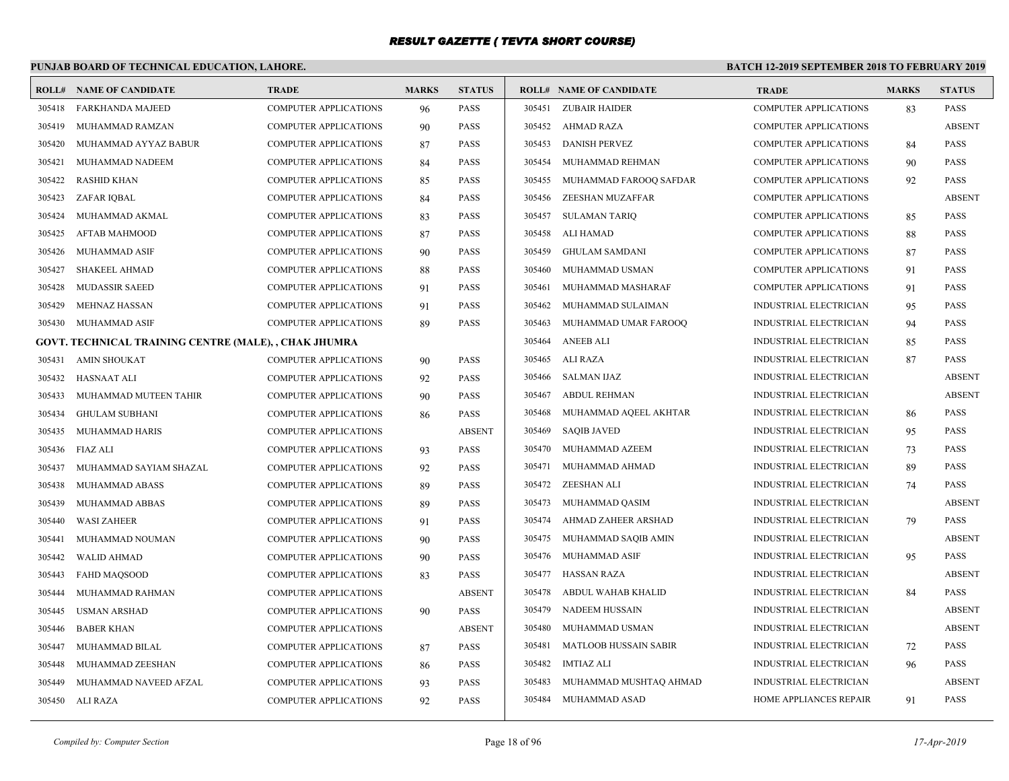# **PUNJAB BOARD OF TECHNICAL EDUCATION, LAHORE.**

| ROLL#  | <b>NAME OF CANDIDATE</b>                              | <b>TRADE</b>                 | <b>MARKS</b> | <b>STATUS</b> |        | <b>ROLL# NAME OF CANDIDATE</b> | <b>TRADE</b>                  | <b>MARKS</b> | <b>STATUS</b> |
|--------|-------------------------------------------------------|------------------------------|--------------|---------------|--------|--------------------------------|-------------------------------|--------------|---------------|
| 305418 | <b>FARKHANDA MAJEED</b>                               | <b>COMPUTER APPLICATIONS</b> | 96           | PASS          |        | 305451 ZUBAIR HAIDER           | <b>COMPUTER APPLICATIONS</b>  | 83           | <b>PASS</b>   |
| 305419 | MUHAMMAD RAMZAN                                       | <b>COMPUTER APPLICATIONS</b> | 90           | PASS          |        | 305452 AHMAD RAZA              | <b>COMPUTER APPLICATIONS</b>  |              | <b>ABSENT</b> |
| 305420 | MUHAMMAD AYYAZ BABUR                                  | COMPUTER APPLICATIONS        | 87           | PASS          | 305453 | <b>DANISH PERVEZ</b>           | <b>COMPUTER APPLICATIONS</b>  | 84           | PASS          |
| 305421 | MUHAMMAD NADEEM                                       | <b>COMPUTER APPLICATIONS</b> | 84           | PASS          | 305454 | MUHAMMAD REHMAN                | <b>COMPUTER APPLICATIONS</b>  | 90           | <b>PASS</b>   |
| 305422 | <b>RASHID KHAN</b>                                    | COMPUTER APPLICATIONS        | 85           | PASS          | 305455 | MUHAMMAD FAROOQ SAFDAR         | COMPUTER APPLICATIONS         | 92           | PASS          |
| 305423 | ZAFAR IQBAL                                           | <b>COMPUTER APPLICATIONS</b> | 84           | PASS          | 305456 | ZEESHAN MUZAFFAR               | <b>COMPUTER APPLICATIONS</b>  |              | <b>ABSENT</b> |
| 305424 | MUHAMMAD AKMAL                                        | COMPUTER APPLICATIONS        | 83           | PASS          | 305457 | <b>SULAMAN TARIQ</b>           | <b>COMPUTER APPLICATIONS</b>  | 85           | PASS          |
| 305425 | AFTAB MAHMOOD                                         | COMPUTER APPLICATIONS        | 87           | PASS          | 305458 | ALI HAMAD                      | COMPUTER APPLICATIONS         | 88           | PASS          |
| 305426 | MUHAMMAD ASIF                                         | <b>COMPUTER APPLICATIONS</b> | 90           | PASS          | 305459 | <b>GHULAM SAMDANI</b>          | <b>COMPUTER APPLICATIONS</b>  | 87           | <b>PASS</b>   |
| 305427 | <b>SHAKEEL AHMAD</b>                                  | <b>COMPUTER APPLICATIONS</b> | 88           | PASS          | 305460 | MUHAMMAD USMAN                 | <b>COMPUTER APPLICATIONS</b>  | 91           | <b>PASS</b>   |
| 305428 | <b>MUDASSIR SAEED</b>                                 | <b>COMPUTER APPLICATIONS</b> | 91           | PASS          | 305461 | MUHAMMAD MASHARAF              | <b>COMPUTER APPLICATIONS</b>  | 91           | <b>PASS</b>   |
| 305429 | MEHNAZ HASSAN                                         | <b>COMPUTER APPLICATIONS</b> | 91           | PASS          | 305462 | MUHAMMAD SULAIMAN              | INDUSTRIAL ELECTRICIAN        | 95           | <b>PASS</b>   |
| 305430 | MUHAMMAD ASIF                                         | <b>COMPUTER APPLICATIONS</b> | 89           | PASS          | 305463 | MUHAMMAD UMAR FAROOQ           | INDUSTRIAL ELECTRICIAN        | 94           | <b>PASS</b>   |
|        | GOVT. TECHNICAL TRAINING CENTRE (MALE), , CHAK JHUMRA |                              |              |               | 305464 | <b>ANEEB ALI</b>               | INDUSTRIAL ELECTRICIAN        | 85           | <b>PASS</b>   |
| 305431 | <b>AMIN SHOUKAT</b>                                   | <b>COMPUTER APPLICATIONS</b> | 90           | PASS          | 305465 | ALI RAZA                       | INDUSTRIAL ELECTRICIAN        | 87           | <b>PASS</b>   |
| 305432 | <b>HASNAAT ALI</b>                                    | <b>COMPUTER APPLICATIONS</b> | 92           | PASS          | 305466 | <b>SALMAN IJAZ</b>             | <b>INDUSTRIAL ELECTRICIAN</b> |              | <b>ABSENT</b> |
| 305433 | MUHAMMAD MUTEEN TAHIR                                 | <b>COMPUTER APPLICATIONS</b> | 90           | PASS          | 305467 | <b>ABDUL REHMAN</b>            | INDUSTRIAL ELECTRICIAN        |              | <b>ABSENT</b> |
| 305434 | <b>GHULAM SUBHANI</b>                                 | <b>COMPUTER APPLICATIONS</b> | 86           | PASS          | 305468 | MUHAMMAD AQEEL AKHTAR          | INDUSTRIAL ELECTRICIAN        | 86           | <b>PASS</b>   |
| 305435 | MUHAMMAD HARIS                                        | <b>COMPUTER APPLICATIONS</b> |              | <b>ABSENT</b> | 305469 | <b>SAQIB JAVED</b>             | <b>INDUSTRIAL ELECTRICIAN</b> | 95           | <b>PASS</b>   |
| 305436 | FIAZ ALI                                              | COMPUTER APPLICATIONS        | 93           | PASS          | 305470 | MUHAMMAD AZEEM                 | INDUSTRIAL ELECTRICIAN        | 73           | PASS          |
| 305437 | MUHAMMAD SAYIAM SHAZAL                                | <b>COMPUTER APPLICATIONS</b> | 92           | PASS          | 305471 | MUHAMMAD AHMAD                 | <b>INDUSTRIAL ELECTRICIAN</b> | 89           | <b>PASS</b>   |
| 305438 | MUHAMMAD ABASS                                        | <b>COMPUTER APPLICATIONS</b> | 89           | PASS          | 305472 | ZEESHAN ALI                    | INDUSTRIAL ELECTRICIAN        | 74           | PASS          |
| 305439 | MUHAMMAD ABBAS                                        | COMPUTER APPLICATIONS        | 89           | PASS          | 305473 | MUHAMMAD QASIM                 | <b>INDUSTRIAL ELECTRICIAN</b> |              | <b>ABSENT</b> |
| 305440 | <b>WASI ZAHEER</b>                                    | <b>COMPUTER APPLICATIONS</b> | 91           | PASS          | 305474 | AHMAD ZAHEER ARSHAD            | <b>INDUSTRIAL ELECTRICIAN</b> | 79           | <b>PASS</b>   |
| 305441 | MUHAMMAD NOUMAN                                       | <b>COMPUTER APPLICATIONS</b> | 90           | PASS          | 305475 | MUHAMMAD SAQIB AMIN            | INDUSTRIAL ELECTRICIAN        |              | <b>ABSENT</b> |
| 305442 | <b>WALID AHMAD</b>                                    | <b>COMPUTER APPLICATIONS</b> | 90           | PASS          | 305476 | MUHAMMAD ASIF                  | <b>INDUSTRIAL ELECTRICIAN</b> | 95           | <b>PASS</b>   |
| 305443 | <b>FAHD MAQSOOD</b>                                   | COMPUTER APPLICATIONS        | 83           | PASS          | 305477 | <b>HASSAN RAZA</b>             | INDUSTRIAL ELECTRICIAN        |              | <b>ABSENT</b> |
| 305444 | MUHAMMAD RAHMAN                                       | <b>COMPUTER APPLICATIONS</b> |              | <b>ABSENT</b> | 305478 | ABDUL WAHAB KHALID             | INDUSTRIAL ELECTRICIAN        | 84           | <b>PASS</b>   |
| 305445 | <b>USMAN ARSHAD</b>                                   | COMPUTER APPLICATIONS        | 90           | PASS          | 305479 | <b>NADEEM HUSSAIN</b>          | <b>INDUSTRIAL ELECTRICIAN</b> |              | <b>ABSENT</b> |
| 305446 | <b>BABER KHAN</b>                                     | <b>COMPUTER APPLICATIONS</b> |              | <b>ABSENT</b> | 305480 | MUHAMMAD USMAN                 | INDUSTRIAL ELECTRICIAN        |              | <b>ABSENT</b> |
| 305447 | MUHAMMAD BILAL                                        | <b>COMPUTER APPLICATIONS</b> | 87           | PASS          | 305481 | <b>MATLOOB HUSSAIN SABIR</b>   | INDUSTRIAL ELECTRICIAN        | 72           | <b>PASS</b>   |
| 305448 | MUHAMMAD ZEESHAN                                      | <b>COMPUTER APPLICATIONS</b> | 86           | PASS          | 305482 | <b>IMTIAZ ALI</b>              | INDUSTRIAL ELECTRICIAN        | 96           | PASS          |
| 305449 | MUHAMMAD NAVEED AFZAL                                 | <b>COMPUTER APPLICATIONS</b> | 93           | PASS          | 305483 | MUHAMMAD MUSHTAQ AHMAD         | <b>INDUSTRIAL ELECTRICIAN</b> |              | <b>ABSENT</b> |
|        | 305450 ALI RAZA                                       | COMPUTER APPLICATIONS        | 92           | PASS          | 305484 | MUHAMMAD ASAD                  | HOME APPLIANCES REPAIR        | 91           | PASS          |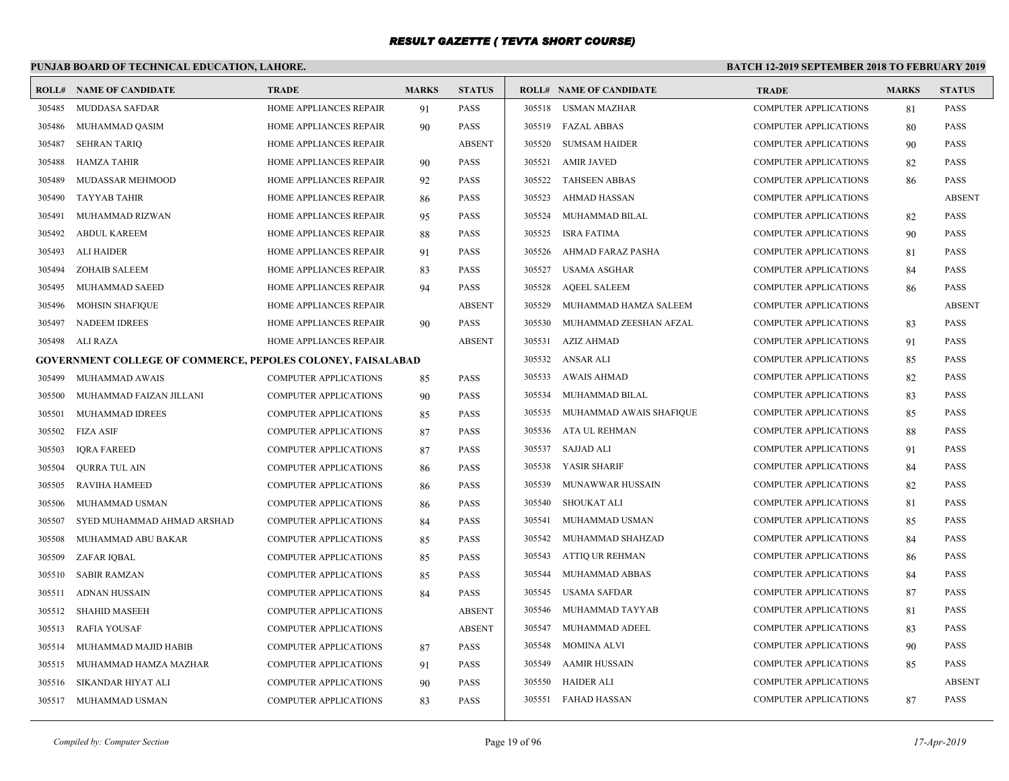# **PUNJAB BOARD OF TECHNICAL EDUCATION, LAHORE.**

| ROLL#  | <b>NAME OF CANDIDATE</b>                                           | <b>TRADE</b>                  | <b>MARKS</b> | <b>STATUS</b> |        | <b>ROLL# NAME OF CANDIDATE</b> | <b>TRADE</b>                 | <b>MARKS</b> | <b>STATUS</b> |
|--------|--------------------------------------------------------------------|-------------------------------|--------------|---------------|--------|--------------------------------|------------------------------|--------------|---------------|
| 305485 | MUDDASA SAFDAR                                                     | HOME APPLIANCES REPAIR        | 91           | <b>PASS</b>   |        | 305518 USMAN MAZHAR            | <b>COMPUTER APPLICATIONS</b> | 81           | <b>PASS</b>   |
| 305486 | MUHAMMAD QASIM                                                     | HOME APPLIANCES REPAIR        | 90           | <b>PASS</b>   |        | 305519 FAZAL ABBAS             | <b>COMPUTER APPLICATIONS</b> | 80           | <b>PASS</b>   |
| 305487 | <b>SEHRAN TARIQ</b>                                                | HOME APPLIANCES REPAIR        |              | <b>ABSENT</b> | 305520 | <b>SUMSAM HAIDER</b>           | <b>COMPUTER APPLICATIONS</b> | 90           | <b>PASS</b>   |
| 305488 | HAMZA TAHIR                                                        | <b>HOME APPLIANCES REPAIR</b> | 90           | <b>PASS</b>   | 305521 | AMIR JAVED                     | <b>COMPUTER APPLICATIONS</b> | 82           | <b>PASS</b>   |
| 305489 | MUDASSAR MEHMOOD                                                   | HOME APPLIANCES REPAIR        | 92           | <b>PASS</b>   |        | 305522 TAHSEEN ABBAS           | <b>COMPUTER APPLICATIONS</b> | 86           | <b>PASS</b>   |
| 305490 | <b>TAYYAB TAHIR</b>                                                | HOME APPLIANCES REPAIR        | 86           | <b>PASS</b>   | 305523 | AHMAD HASSAN                   | <b>COMPUTER APPLICATIONS</b> |              | <b>ABSENT</b> |
| 305491 | MUHAMMAD RIZWAN                                                    | HOME APPLIANCES REPAIR        | 95           | <b>PASS</b>   | 305524 | MUHAMMAD BILAL                 | <b>COMPUTER APPLICATIONS</b> | 82           | <b>PASS</b>   |
| 305492 | <b>ABDUL KAREEM</b>                                                | HOME APPLIANCES REPAIR        | 88           | <b>PASS</b>   | 305525 | <b>ISRA FATIMA</b>             | <b>COMPUTER APPLICATIONS</b> | 90           | <b>PASS</b>   |
| 305493 | <b>ALI HAIDER</b>                                                  | HOME APPLIANCES REPAIR        | 91           | PASS          | 305526 | AHMAD FARAZ PASHA              | <b>COMPUTER APPLICATIONS</b> | 81           | <b>PASS</b>   |
| 305494 | <b>ZOHAIB SALEEM</b>                                               | HOME APPLIANCES REPAIR        | 83           | PASS          | 305527 | USAMA ASGHAR                   | <b>COMPUTER APPLICATIONS</b> | 84           | <b>PASS</b>   |
| 305495 | MUHAMMAD SAEED                                                     | HOME APPLIANCES REPAIR        | 94           | <b>PASS</b>   | 305528 | <b>AQEEL SALEEM</b>            | <b>COMPUTER APPLICATIONS</b> | 86           | <b>PASS</b>   |
| 305496 | <b>MOHSIN SHAFIQUE</b>                                             | HOME APPLIANCES REPAIR        |              | <b>ABSENT</b> | 305529 | MUHAMMAD HAMZA SALEEM          | <b>COMPUTER APPLICATIONS</b> |              | <b>ABSENT</b> |
| 305497 | <b>NADEEM IDREES</b>                                               | HOME APPLIANCES REPAIR        | 90           | <b>PASS</b>   | 305530 | MUHAMMAD ZEESHAN AFZAL         | <b>COMPUTER APPLICATIONS</b> | 83           | <b>PASS</b>   |
| 305498 | ALI RAZA                                                           | HOME APPLIANCES REPAIR        |              | <b>ABSENT</b> | 305531 | <b>AZIZ AHMAD</b>              | <b>COMPUTER APPLICATIONS</b> | 91           | <b>PASS</b>   |
|        | <b>GOVERNMENT COLLEGE OF COMMERCE, PEPOLES COLONEY, FAISALABAD</b> |                               |              |               |        | 305532 ANSAR ALI               | <b>COMPUTER APPLICATIONS</b> | 85           | <b>PASS</b>   |
| 305499 | MUHAMMAD AWAIS                                                     | <b>COMPUTER APPLICATIONS</b>  | 85           | <b>PASS</b>   | 305533 | AWAIS AHMAD                    | <b>COMPUTER APPLICATIONS</b> | 82           | <b>PASS</b>   |
| 305500 | MUHAMMAD FAIZAN JILLANI                                            | <b>COMPUTER APPLICATIONS</b>  | 90           | <b>PASS</b>   | 305534 | MUHAMMAD BILAL                 | <b>COMPUTER APPLICATIONS</b> | 83           | <b>PASS</b>   |
| 305501 | MUHAMMAD IDREES                                                    | <b>COMPUTER APPLICATIONS</b>  | 85           | <b>PASS</b>   | 305535 | MUHAMMAD AWAIS SHAFIQUE        | <b>COMPUTER APPLICATIONS</b> | 85           | <b>PASS</b>   |
| 305502 | <b>FIZA ASIF</b>                                                   | <b>COMPUTER APPLICATIONS</b>  | 87           | <b>PASS</b>   | 305536 | ATA UL REHMAN                  | <b>COMPUTER APPLICATIONS</b> | 88           | <b>PASS</b>   |
| 305503 | <b>IQRA FAREED</b>                                                 | COMPUTER APPLICATIONS         | 87           | PASS          | 305537 | SAJJAD ALI                     | <b>COMPUTER APPLICATIONS</b> | 91           | <b>PASS</b>   |
| 305504 | <b>OURRA TUL AIN</b>                                               | COMPUTER APPLICATIONS         | 86           | <b>PASS</b>   | 305538 | YASIR SHARIF                   | <b>COMPUTER APPLICATIONS</b> | 84           | <b>PASS</b>   |
| 305505 | <b>RAVIHA HAMEED</b>                                               | <b>COMPUTER APPLICATIONS</b>  | 86           | <b>PASS</b>   | 305539 | MUNAWWAR HUSSAIN               | <b>COMPUTER APPLICATIONS</b> | 82           | <b>PASS</b>   |
| 305506 | MUHAMMAD USMAN                                                     | COMPUTER APPLICATIONS         | 86           | PASS          | 305540 | <b>SHOUKAT ALI</b>             | <b>COMPUTER APPLICATIONS</b> | 81           | <b>PASS</b>   |
| 305507 | SYED MUHAMMAD AHMAD ARSHAD                                         | <b>COMPUTER APPLICATIONS</b>  | 84           | <b>PASS</b>   | 305541 | MUHAMMAD USMAN                 | <b>COMPUTER APPLICATIONS</b> | 85           | <b>PASS</b>   |
| 305508 | MUHAMMAD ABU BAKAR                                                 | <b>COMPUTER APPLICATIONS</b>  | 85           | PASS          | 305542 | MUHAMMAD SHAHZAD               | <b>COMPUTER APPLICATIONS</b> | 84           | <b>PASS</b>   |
| 305509 | ZAFAR IQBAL                                                        | <b>COMPUTER APPLICATIONS</b>  | 85           | <b>PASS</b>   | 305543 | <b>ATTIQ UR REHMAN</b>         | <b>COMPUTER APPLICATIONS</b> | 86           | <b>PASS</b>   |
| 305510 | <b>SABIR RAMZAN</b>                                                | <b>COMPUTER APPLICATIONS</b>  | 85           | <b>PASS</b>   | 305544 | MUHAMMAD ABBAS                 | <b>COMPUTER APPLICATIONS</b> | 84           | <b>PASS</b>   |
| 305511 | <b>ADNAN HUSSAIN</b>                                               | COMPUTER APPLICATIONS         | 84           | <b>PASS</b>   | 305545 | <b>USAMA SAFDAR</b>            | <b>COMPUTER APPLICATIONS</b> | 87           | <b>PASS</b>   |
| 305512 | <b>SHAHID MASEEH</b>                                               | COMPUTER APPLICATIONS         |              | <b>ABSENT</b> | 305546 | MUHAMMAD TAYYAB                | <b>COMPUTER APPLICATIONS</b> | 81           | <b>PASS</b>   |
| 305513 | <b>RAFIA YOUSAF</b>                                                | <b>COMPUTER APPLICATIONS</b>  |              | <b>ABSENT</b> | 305547 | MUHAMMAD ADEEL                 | <b>COMPUTER APPLICATIONS</b> | 83           | <b>PASS</b>   |
| 305514 | MUHAMMAD MAJID HABIB                                               | COMPUTER APPLICATIONS         | 87           | PASS          | 305548 | <b>MOMINA ALVI</b>             | <b>COMPUTER APPLICATIONS</b> | 90           | <b>PASS</b>   |
| 305515 | MUHAMMAD HAMZA MAZHAR                                              | <b>COMPUTER APPLICATIONS</b>  | 91           | <b>PASS</b>   | 305549 | <b>AAMIR HUSSAIN</b>           | <b>COMPUTER APPLICATIONS</b> | 85           | <b>PASS</b>   |
| 305516 | SIKANDAR HIYAT ALI                                                 | <b>COMPUTER APPLICATIONS</b>  | 90           | <b>PASS</b>   | 305550 | <b>HAIDER ALI</b>              | <b>COMPUTER APPLICATIONS</b> |              | <b>ABSENT</b> |
|        | 305517 MUHAMMAD USMAN                                              | <b>COMPUTER APPLICATIONS</b>  | 83           | <b>PASS</b>   | 305551 | FAHAD HASSAN                   | <b>COMPUTER APPLICATIONS</b> | 87           | <b>PASS</b>   |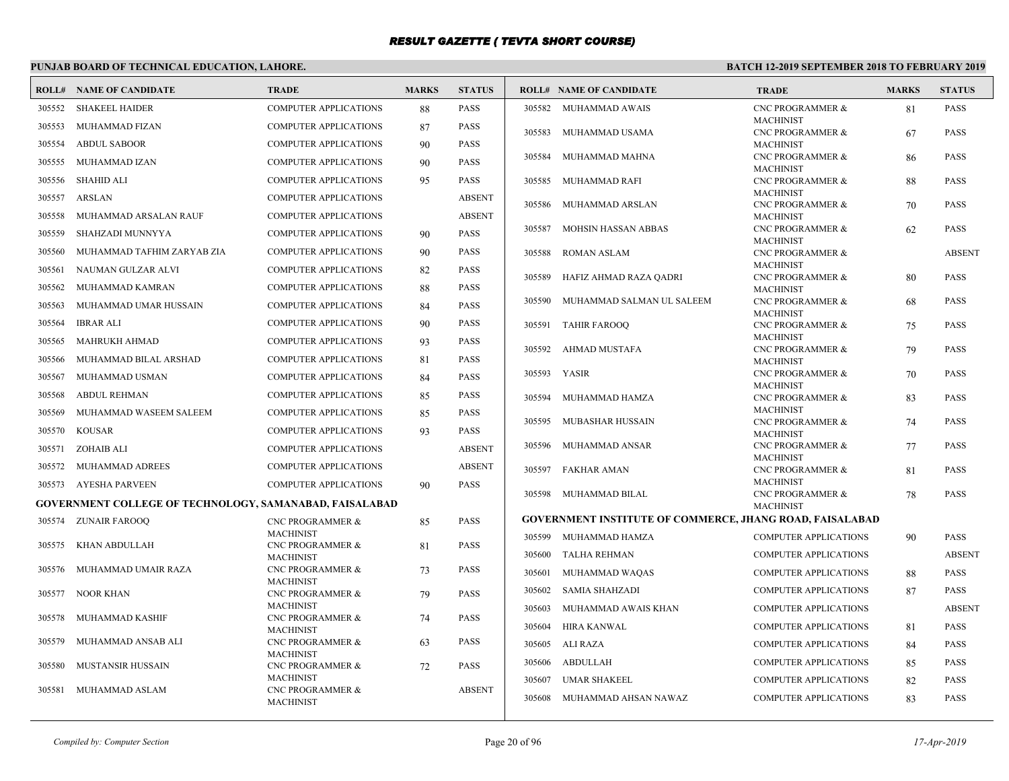# **PUNJAB BOARD OF TECHNICAL EDUCATION, LAHORE.**

|        | <b>ROLL# NAME OF CANDIDATE</b>                                 | <b>TRADE</b>                                    | <b>MARKS</b> | <b>STATUS</b> |        | <b>ROLL# NAME OF CANDIDATE</b>                                  | <b>TRADE</b>                                    | <b>MARKS</b> | <b>STATUS</b> |
|--------|----------------------------------------------------------------|-------------------------------------------------|--------------|---------------|--------|-----------------------------------------------------------------|-------------------------------------------------|--------------|---------------|
|        | 305552 SHAKEEL HAIDER                                          | <b>COMPUTER APPLICATIONS</b>                    | 88           | PASS          |        | 305582 MUHAMMAD AWAIS                                           | <b>CNC PROGRAMMER &amp;</b>                     | 81           | <b>PASS</b>   |
| 305553 | MUHAMMAD FIZAN                                                 | COMPUTER APPLICATIONS                           | 87           | PASS          | 305583 | MUHAMMAD USAMA                                                  | <b>MACHINIST</b><br><b>CNC PROGRAMMER &amp;</b> |              | <b>PASS</b>   |
| 305554 | <b>ABDUL SABOOR</b>                                            | COMPUTER APPLICATIONS                           | 90           | PASS          |        |                                                                 | <b>MACHINIST</b>                                | 67           |               |
| 305555 | MUHAMMAD IZAN                                                  | <b>COMPUTER APPLICATIONS</b>                    | 90           | PASS          | 305584 | MUHAMMAD MAHNA                                                  | CNC PROGRAMMER &                                | 86           | <b>PASS</b>   |
|        |                                                                |                                                 |              |               |        |                                                                 | <b>MACHINIST</b>                                |              |               |
| 305556 | <b>SHAHID ALI</b>                                              | <b>COMPUTER APPLICATIONS</b>                    | 95           | PASS          | 305585 | MUHAMMAD RAFI                                                   | <b>CNC PROGRAMMER &amp;</b><br><b>MACHINIST</b> | 88           | <b>PASS</b>   |
| 305557 | <b>ARSLAN</b>                                                  | COMPUTER APPLICATIONS                           |              | <b>ABSENT</b> | 305586 | MUHAMMAD ARSLAN                                                 | CNC PROGRAMMER &                                | 70           | <b>PASS</b>   |
| 305558 | MUHAMMAD ARSALAN RAUF                                          | <b>COMPUTER APPLICATIONS</b>                    |              | <b>ABSENT</b> |        |                                                                 | <b>MACHINIST</b>                                |              |               |
| 305559 | SHAHZADI MUNNYYA                                               | <b>COMPUTER APPLICATIONS</b>                    | 90           | PASS          | 305587 | MOHSIN HASSAN ABBAS                                             | <b>CNC PROGRAMMER &amp;</b><br><b>MACHINIST</b> | 62           | <b>PASS</b>   |
| 305560 | MUHAMMAD TAFHIM ZARYAB ZIA                                     | <b>COMPUTER APPLICATIONS</b>                    | 90           | PASS          | 305588 | <b>ROMAN ASLAM</b>                                              | <b>CNC PROGRAMMER &amp;</b>                     |              | <b>ABSENT</b> |
| 305561 | NAUMAN GULZAR ALVI                                             | <b>COMPUTER APPLICATIONS</b>                    | 82           | PASS          |        |                                                                 | <b>MACHINIST</b>                                |              |               |
| 305562 | MUHAMMAD KAMRAN                                                | <b>COMPUTER APPLICATIONS</b>                    | 88           | PASS          | 305589 | HAFIZ AHMAD RAZA QADRI                                          | <b>CNC PROGRAMMER &amp;</b><br><b>MACHINIST</b> | 80           | <b>PASS</b>   |
| 305563 | MUHAMMAD UMAR HUSSAIN                                          | <b>COMPUTER APPLICATIONS</b>                    | 84           | PASS          | 305590 | MUHAMMAD SALMAN UL SALEEM                                       | <b>CNC PROGRAMMER &amp;</b>                     | 68           | PASS          |
|        |                                                                |                                                 |              |               |        |                                                                 | <b>MACHINIST</b>                                |              |               |
| 305564 | <b>IBRAR ALI</b>                                               | <b>COMPUTER APPLICATIONS</b>                    | 90           | PASS          | 305591 | TAHIR FAROOO                                                    | <b>CNC PROGRAMMER &amp;</b>                     | 75           | <b>PASS</b>   |
| 305565 | <b>MAHRUKH AHMAD</b>                                           | COMPUTER APPLICATIONS                           | 93           | PASS          | 305592 | AHMAD MUSTAFA                                                   | <b>MACHINIST</b><br><b>CNC PROGRAMMER &amp;</b> | 79           | <b>PASS</b>   |
| 305566 | MUHAMMAD BILAL ARSHAD                                          | <b>COMPUTER APPLICATIONS</b>                    | 81           | PASS          |        |                                                                 | <b>MACHINIST</b>                                |              |               |
| 305567 | MUHAMMAD USMAN                                                 | COMPUTER APPLICATIONS                           | 84           | PASS          | 305593 | YASIR                                                           | <b>CNC PROGRAMMER &amp;</b>                     | 70           | <b>PASS</b>   |
| 305568 | <b>ABDUL REHMAN</b>                                            | <b>COMPUTER APPLICATIONS</b>                    | 85           | PASS          | 305594 | MUHAMMAD HAMZA                                                  | <b>MACHINIST</b><br><b>CNC PROGRAMMER &amp;</b> |              | <b>PASS</b>   |
| 305569 | MUHAMMAD WASEEM SALEEM                                         | <b>COMPUTER APPLICATIONS</b>                    |              | PASS          |        |                                                                 | <b>MACHINIST</b>                                | 83           |               |
|        |                                                                |                                                 | 85           |               | 305595 | <b>MUBASHAR HUSSAIN</b>                                         | <b>CNC PROGRAMMER &amp;</b>                     | 74           | <b>PASS</b>   |
| 305570 | <b>KOUSAR</b>                                                  | <b>COMPUTER APPLICATIONS</b>                    | 93           | PASS          |        |                                                                 | <b>MACHINIST</b>                                |              |               |
| 305571 | ZOHAIB ALI                                                     | <b>COMPUTER APPLICATIONS</b>                    |              | <b>ABSENT</b> | 305596 | MUHAMMAD ANSAR                                                  | CNC PROGRAMMER &<br><b>MACHINIST</b>            | 77           | <b>PASS</b>   |
| 305572 | MUHAMMAD ADREES                                                | <b>COMPUTER APPLICATIONS</b>                    |              | <b>ABSENT</b> | 305597 | <b>FAKHAR AMAN</b>                                              | <b>CNC PROGRAMMER &amp;</b>                     | 81           | <b>PASS</b>   |
|        | 305573 AYESHA PARVEEN                                          | <b>COMPUTER APPLICATIONS</b>                    | 90           | PASS          |        |                                                                 | <b>MACHINIST</b>                                |              |               |
|        | <b>GOVERNMENT COLLEGE OF TECHNOLOGY, SAMANABAD, FAISALABAD</b> |                                                 |              |               |        | 305598 MUHAMMAD BILAL                                           | CNC PROGRAMMER &<br><b>MACHINIST</b>            | 78           | <b>PASS</b>   |
| 305574 | <b>ZUNAIR FAROOQ</b>                                           | CNC PROGRAMMER &                                | 85           | PASS          |        | <b>GOVERNMENT INSTITUTE OF COMMERCE, JHANG ROAD, FAISALABAD</b> |                                                 |              |               |
|        |                                                                | <b>MACHINIST</b>                                |              |               |        | 305599 MUHAMMAD HAMZA                                           | <b>COMPUTER APPLICATIONS</b>                    | 90           | <b>PASS</b>   |
| 305575 | KHAN ABDULLAH                                                  | <b>CNC PROGRAMMER &amp;</b>                     | 81           | PASS          |        | 305600 TALHA REHMAN                                             | <b>COMPUTER APPLICATIONS</b>                    |              | <b>ABSENT</b> |
| 305576 | MUHAMMAD UMAIR RAZA                                            | <b>MACHINIST</b><br>CNC PROGRAMMER &            | 73           | PASS          |        |                                                                 |                                                 |              |               |
|        |                                                                | <b>MACHINIST</b>                                |              |               | 305601 | MUHAMMAD WAQAS                                                  | <b>COMPUTER APPLICATIONS</b>                    | 88           | <b>PASS</b>   |
| 305577 | NOOR KHAN                                                      | CNC PROGRAMMER &                                | 79           | PASS          | 305602 | <b>SAMIA SHAHZADI</b>                                           | <b>COMPUTER APPLICATIONS</b>                    | 87           | PASS          |
| 305578 | MUHAMMAD KASHIF                                                | <b>MACHINIST</b><br>CNC PROGRAMMER &            | 74           | PASS          | 305603 | MUHAMMAD AWAIS KHAN                                             | <b>COMPUTER APPLICATIONS</b>                    |              | <b>ABSENT</b> |
|        |                                                                | <b>MACHINIST</b>                                |              |               | 305604 | HIRA KANWAL                                                     | <b>COMPUTER APPLICATIONS</b>                    | 81           | <b>PASS</b>   |
| 305579 | MUHAMMAD ANSAB ALI                                             | <b>CNC PROGRAMMER &amp;</b>                     | 63           | PASS          |        | 305605 ALI RAZA                                                 | <b>COMPUTER APPLICATIONS</b>                    | 84           | <b>PASS</b>   |
| 305580 | <b>MUSTANSIR HUSSAIN</b>                                       | <b>MACHINIST</b><br><b>CNC PROGRAMMER &amp;</b> | 72           | PASS          | 305606 | <b>ABDULLAH</b>                                                 | <b>COMPUTER APPLICATIONS</b>                    | 85           | <b>PASS</b>   |
|        |                                                                | <b>MACHINIST</b>                                |              |               | 305607 | UMAR SHAKEEL                                                    | <b>COMPUTER APPLICATIONS</b>                    | 82           | <b>PASS</b>   |
| 305581 | MUHAMMAD ASLAM                                                 | CNC PROGRAMMER &                                |              | <b>ABSENT</b> |        | 305608 MUHAMMAD AHSAN NAWAZ                                     | <b>COMPUTER APPLICATIONS</b>                    |              | <b>PASS</b>   |
|        |                                                                | <b>MACHINIST</b>                                |              |               |        |                                                                 |                                                 | 83           |               |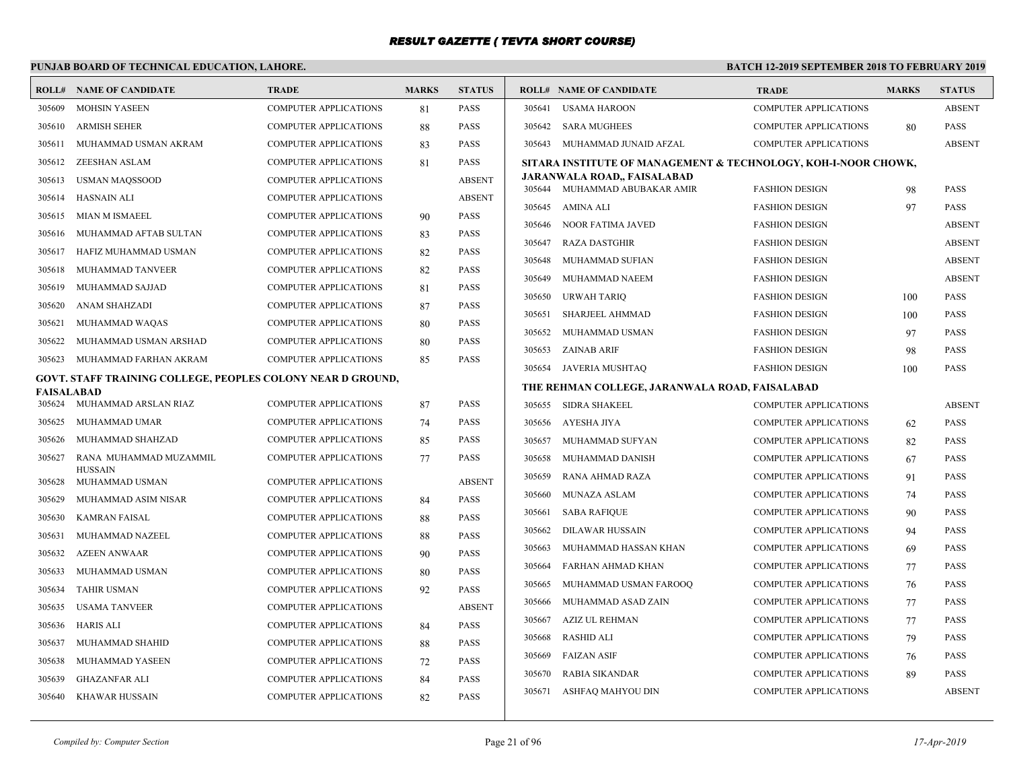# **PUNJAB BOARD OF TECHNICAL EDUCATION, LAHORE.**

|            | <b>ROLL# NAME OF CANDIDATE</b>                              | <b>TRADE</b>                 | <b>MARKS</b> | <b>STATUS</b> |        | <b>ROLL# NAME OF CANDIDATE</b>                                 | <b>TRADE</b>                 | <b>MARKS</b> | <b>STATUS</b> |
|------------|-------------------------------------------------------------|------------------------------|--------------|---------------|--------|----------------------------------------------------------------|------------------------------|--------------|---------------|
| 305609     | <b>MOHSIN YASEEN</b>                                        | <b>COMPUTER APPLICATIONS</b> | 81           | <b>PASS</b>   | 305641 | <b>USAMA HAROON</b>                                            | <b>COMPUTER APPLICATIONS</b> |              | <b>ABSENT</b> |
| 305610     | <b>ARMISH SEHER</b>                                         | <b>COMPUTER APPLICATIONS</b> | 88           | <b>PASS</b>   | 305642 | <b>SARA MUGHEES</b>                                            | <b>COMPUTER APPLICATIONS</b> | 80           | <b>PASS</b>   |
| 305611     | MUHAMMAD USMAN AKRAM                                        | <b>COMPUTER APPLICATIONS</b> | 83           | <b>PASS</b>   | 305643 | MUHAMMAD JUNAID AFZAL                                          | <b>COMPUTER APPLICATIONS</b> |              | <b>ABSENT</b> |
| 305612     | ZEESHAN ASLAM                                               | <b>COMPUTER APPLICATIONS</b> | 81           | <b>PASS</b>   |        | SITARA INSTITUTE OF MANAGEMENT & TECHNOLOGY, KOH-I-NOOR CHOWK, |                              |              |               |
| 305613     | <b>USMAN MAQSSOOD</b>                                       | <b>COMPUTER APPLICATIONS</b> |              | <b>ABSENT</b> |        | JARANWALA ROAD., FAISALABAD                                    | <b>FASHION DESIGN</b>        |              | <b>PASS</b>   |
| 305614     | <b>HASNAIN ALI</b>                                          | <b>COMPUTER APPLICATIONS</b> |              | <b>ABSENT</b> | 305645 | 305644 MUHAMMAD ABUBAKAR AMIR<br>AMINA ALI                     | <b>FASHION DESIGN</b>        | 98<br>97     | <b>PASS</b>   |
| 305615     | <b>MIAN M ISMAEEL</b>                                       | <b>COMPUTER APPLICATIONS</b> | 90           | <b>PASS</b>   |        | 305646 NOOR FATIMA JAVED                                       | <b>FASHION DESIGN</b>        |              | <b>ABSENT</b> |
| 305616     | MUHAMMAD AFTAB SULTAN                                       | <b>COMPUTER APPLICATIONS</b> | 83           | <b>PASS</b>   | 305647 | <b>RAZA DASTGHIR</b>                                           | <b>FASHION DESIGN</b>        |              | <b>ABSENT</b> |
| 305617     | HAFIZ MUHAMMAD USMAN                                        | <b>COMPUTER APPLICATIONS</b> | 82           | <b>PASS</b>   | 305648 | MUHAMMAD SUFIAN                                                | <b>FASHION DESIGN</b>        |              | <b>ABSENT</b> |
| 305618     | MUHAMMAD TANVEER                                            | COMPUTER APPLICATIONS        | 82           | PASS          | 305649 | MUHAMMAD NAEEM                                                 | <b>FASHION DESIGN</b>        |              | <b>ABSENT</b> |
| 305619     | MUHAMMAD SAJJAD                                             | <b>COMPUTER APPLICATIONS</b> | 81           | PASS          | 305650 | URWAH TARIO                                                    | <b>FASHION DESIGN</b>        | 100          | <b>PASS</b>   |
| 305620     | ANAM SHAHZADI                                               | <b>COMPUTER APPLICATIONS</b> | 87           | <b>PASS</b>   | 305651 | SHARJEEL AHMMAD                                                | <b>FASHION DESIGN</b>        | 100          | <b>PASS</b>   |
| 305621     | MUHAMMAD WAQAS                                              | <b>COMPUTER APPLICATIONS</b> | 80           | <b>PASS</b>   | 305652 | MUHAMMAD USMAN                                                 | <b>FASHION DESIGN</b>        | 97           | <b>PASS</b>   |
| 305622     | MUHAMMAD USMAN ARSHAD                                       | <b>COMPUTER APPLICATIONS</b> | 80           | <b>PASS</b>   | 305653 | <b>ZAINAB ARIF</b>                                             | <b>FASHION DESIGN</b>        | 98           | <b>PASS</b>   |
| 305623     | MUHAMMAD FARHAN AKRAM                                       | <b>COMPUTER APPLICATIONS</b> | 85           | PASS          | 305654 | JAVERIA MUSHTAQ                                                | <b>FASHION DESIGN</b>        | 100          | <b>PASS</b>   |
|            | GOVT. STAFF TRAINING COLLEGE, PEOPLES COLONY NEAR D GROUND, |                              |              |               |        | THE REHMAN COLLEGE, JARANWALA ROAD, FAISALABAD                 |                              |              |               |
| FAISALABAD | 305624 MUHAMMAD ARSLAN RIAZ                                 | <b>COMPUTER APPLICATIONS</b> | 87           | <b>PASS</b>   |        | 305655 SIDRA SHAKEEL                                           | <b>COMPUTER APPLICATIONS</b> |              | <b>ABSENT</b> |
| 305625     | MUHAMMAD UMAR                                               | COMPUTER APPLICATIONS        | 74           | PASS          |        | 305656 AYESHA JIYA                                             | <b>COMPUTER APPLICATIONS</b> | 62           | <b>PASS</b>   |
| 305626     | MUHAMMAD SHAHZAD                                            | <b>COMPUTER APPLICATIONS</b> | 85           | <b>PASS</b>   | 305657 | MUHAMMAD SUFYAN                                                | <b>COMPUTER APPLICATIONS</b> | 82           | <b>PASS</b>   |
| 305627     | RANA MUHAMMAD MUZAMMIL                                      | <b>COMPUTER APPLICATIONS</b> | 77           | <b>PASS</b>   | 305658 | MUHAMMAD DANISH                                                | <b>COMPUTER APPLICATIONS</b> | 67           | <b>PASS</b>   |
|            | <b>HUSSAIN</b>                                              |                              |              |               | 305659 | RANA AHMAD RAZA                                                | <b>COMPUTER APPLICATIONS</b> | 91           | <b>PASS</b>   |
| 305628     | MUHAMMAD USMAN                                              | <b>COMPUTER APPLICATIONS</b> |              | <b>ABSENT</b> | 305660 | MUNAZA ASLAM                                                   | <b>COMPUTER APPLICATIONS</b> | 74           | PASS          |
| 305629     | MUHAMMAD ASIM NISAR                                         | COMPUTER APPLICATIONS        | 84           | PASS          | 305661 | <b>SABA RAFIQUE</b>                                            | <b>COMPUTER APPLICATIONS</b> | 90           | PASS          |
| 305630     | <b>KAMRAN FAISAL</b>                                        | <b>COMPUTER APPLICATIONS</b> | 88           | PASS          | 305662 | <b>DILAWAR HUSSAIN</b>                                         | <b>COMPUTER APPLICATIONS</b> | 94           | <b>PASS</b>   |
| 305631     | MUHAMMAD NAZEEL                                             | <b>COMPUTER APPLICATIONS</b> | 88           | <b>PASS</b>   | 305663 | MUHAMMAD HASSAN KHAN                                           | <b>COMPUTER APPLICATIONS</b> | 69           | <b>PASS</b>   |
| 305632     | <b>AZEEN ANWAAR</b>                                         | <b>COMPUTER APPLICATIONS</b> | 90           | <b>PASS</b>   | 305664 | FARHAN AHMAD KHAN                                              | <b>COMPUTER APPLICATIONS</b> | 77           | <b>PASS</b>   |
| 305633     | MUHAMMAD USMAN                                              | <b>COMPUTER APPLICATIONS</b> | 80           | <b>PASS</b>   | 305665 | MUHAMMAD USMAN FAROOQ                                          | <b>COMPUTER APPLICATIONS</b> | 76           | <b>PASS</b>   |
| 305634     | <b>TAHIR USMAN</b>                                          | COMPUTER APPLICATIONS        | 92           | <b>PASS</b>   | 305666 | MUHAMMAD ASAD ZAIN                                             | <b>COMPUTER APPLICATIONS</b> | 77           | PASS          |
| 305635     | <b>USAMA TANVEER</b>                                        | <b>COMPUTER APPLICATIONS</b> |              | <b>ABSENT</b> | 305667 | AZIZ UL REHMAN                                                 | <b>COMPUTER APPLICATIONS</b> | 77           | <b>PASS</b>   |
| 305636     | <b>HARIS ALI</b>                                            | <b>COMPUTER APPLICATIONS</b> | 84           | <b>PASS</b>   | 305668 | <b>RASHID ALI</b>                                              | <b>COMPUTER APPLICATIONS</b> | 79           | <b>PASS</b>   |
| 305637     | MUHAMMAD SHAHID                                             | <b>COMPUTER APPLICATIONS</b> | 88           | <b>PASS</b>   | 305669 | <b>FAIZAN ASIF</b>                                             | <b>COMPUTER APPLICATIONS</b> | 76           | <b>PASS</b>   |
| 305638     | MUHAMMAD YASEEN                                             | <b>COMPUTER APPLICATIONS</b> | 72           | <b>PASS</b>   | 305670 | <b>RABIA SIKANDAR</b>                                          | <b>COMPUTER APPLICATIONS</b> | 89           | <b>PASS</b>   |
| 305639     | <b>GHAZANFAR ALI</b>                                        | <b>COMPUTER APPLICATIONS</b> | 84           | PASS          |        | 305671 ASHFAQ MAHYOU DIN                                       | <b>COMPUTER APPLICATIONS</b> |              | <b>ABSENT</b> |
|            | 305640 KHAWAR HUSSAIN                                       | <b>COMPUTER APPLICATIONS</b> | 82           | <b>PASS</b>   |        |                                                                |                              |              |               |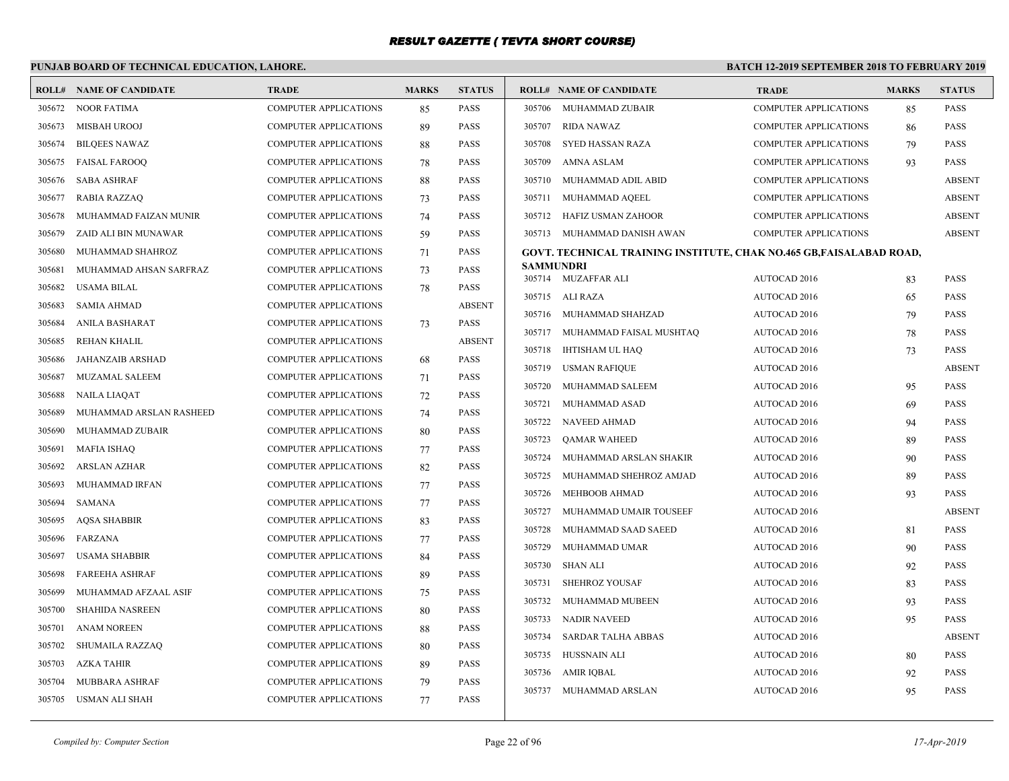# **PUNJAB BOARD OF TECHNICAL EDUCATION, LAHORE.**

|        | <b>ROLL# NAME OF CANDIDATE</b> | <b>TRADE</b>                 | <b>MARKS</b> | <b>STATUS</b> |                 | <b>ROLL# NAME OF CANDIDATE</b>                                      | <b>TRADE</b>                 | <b>MARKS</b> | <b>STATUS</b> |
|--------|--------------------------------|------------------------------|--------------|---------------|-----------------|---------------------------------------------------------------------|------------------------------|--------------|---------------|
| 305672 | <b>NOOR FATIMA</b>             | <b>COMPUTER APPLICATIONS</b> | 85           | <b>PASS</b>   | 305706          | MUHAMMAD ZUBAIR                                                     | <b>COMPUTER APPLICATIONS</b> | 85           | <b>PASS</b>   |
| 305673 | <b>MISBAH UROOJ</b>            | <b>COMPUTER APPLICATIONS</b> | 89           | PASS          | 305707          | <b>RIDA NAWAZ</b>                                                   | <b>COMPUTER APPLICATIONS</b> | 86           | <b>PASS</b>   |
| 305674 | <b>BILOEES NAWAZ</b>           | <b>COMPUTER APPLICATIONS</b> | 88           | <b>PASS</b>   | 305708          | <b>SYED HASSAN RAZA</b>                                             | <b>COMPUTER APPLICATIONS</b> | 79           | <b>PASS</b>   |
| 305675 | <b>FAISAL FAROOO</b>           | <b>COMPUTER APPLICATIONS</b> | 78           | <b>PASS</b>   | 305709          | AMNA ASLAM                                                          | <b>COMPUTER APPLICATIONS</b> | 93           | <b>PASS</b>   |
| 305676 | <b>SABA ASHRAF</b>             | COMPUTER APPLICATIONS        | 88           | <b>PASS</b>   | 305710          | MUHAMMAD ADIL ABID                                                  | <b>COMPUTER APPLICATIONS</b> |              | <b>ABSENT</b> |
| 305677 | RABIA RAZZAQ                   | <b>COMPUTER APPLICATIONS</b> | 73           | <b>PASS</b>   | 305711          | MUHAMMAD AQEEL                                                      | COMPUTER APPLICATIONS        |              | <b>ABSENT</b> |
| 305678 | MUHAMMAD FAIZAN MUNIR          | <b>COMPUTER APPLICATIONS</b> | 74           | <b>PASS</b>   | 305712          | HAFIZ USMAN ZAHOOR                                                  | <b>COMPUTER APPLICATIONS</b> |              | <b>ABSENT</b> |
| 305679 | ZAID ALI BIN MUNAWAR           | <b>COMPUTER APPLICATIONS</b> | 59           | <b>PASS</b>   |                 | 305713 MUHAMMAD DANISH AWAN                                         | <b>COMPUTER APPLICATIONS</b> |              | <b>ABSENT</b> |
| 305680 | MUHAMMAD SHAHROZ               | COMPUTER APPLICATIONS        | 71           | PASS          |                 | GOVT. TECHNICAL TRAINING INSTITUTE, CHAK NO.465 GB,FAISALABAD ROAD, |                              |              |               |
| 305681 | MUHAMMAD AHSAN SARFRAZ         | <b>COMPUTER APPLICATIONS</b> | 73           | <b>PASS</b>   | SAMMUNDRI       |                                                                     |                              |              |               |
| 305682 | <b>USAMA BILAL</b>             | <b>COMPUTER APPLICATIONS</b> | 78           | <b>PASS</b>   |                 | 305714 MUZAFFAR ALI                                                 | AUTOCAD 2016                 | 83           | <b>PASS</b>   |
| 305683 | SAMIA AHMAD                    | COMPUTER APPLICATIONS        |              | <b>ABSENT</b> | 305715 ALI RAZA |                                                                     | AUTOCAD 2016                 | 65           | <b>PASS</b>   |
| 305684 | ANILA BASHARAT                 | <b>COMPUTER APPLICATIONS</b> | 73           | <b>PASS</b>   |                 | 305716 MUHAMMAD SHAHZAD                                             | AUTOCAD 2016                 | 79           | <b>PASS</b>   |
| 305685 | REHAN KHALIL                   | <b>COMPUTER APPLICATIONS</b> |              | <b>ABSENT</b> | 305717          | MUHAMMAD FAISAL MUSHTAQ                                             | AUTOCAD 2016                 | 78           | <b>PASS</b>   |
| 305686 | <b>JAHANZAIB ARSHAD</b>        | <b>COMPUTER APPLICATIONS</b> | 68           | <b>PASS</b>   | 305718          | IHTISHAM UL HAQ                                                     | <b>AUTOCAD 2016</b>          | 73           | <b>PASS</b>   |
| 305687 | MUZAMAL SALEEM                 | COMPUTER APPLICATIONS        | 71           | PASS          | 305719          | <b>USMAN RAFIQUE</b>                                                | AUTOCAD 2016                 |              | <b>ABSENT</b> |
| 305688 | NAILA LIAQAT                   | <b>COMPUTER APPLICATIONS</b> | 72           | <b>PASS</b>   | 305720          | MUHAMMAD SALEEM                                                     | AUTOCAD 2016                 | 95           | <b>PASS</b>   |
| 305689 | MUHAMMAD ARSLAN RASHEED        | <b>COMPUTER APPLICATIONS</b> | 74           | <b>PASS</b>   | 305721          | <b>MUHAMMAD ASAD</b>                                                | AUTOCAD 2016                 | 69           | <b>PASS</b>   |
| 305690 | MUHAMMAD ZUBAIR                | <b>COMPUTER APPLICATIONS</b> | 80           | <b>PASS</b>   | 305722          | NAVEED AHMAD                                                        | AUTOCAD 2016                 | 94           | <b>PASS</b>   |
| 305691 | <b>MAFIA ISHAQ</b>             | <b>COMPUTER APPLICATIONS</b> | 77           | PASS          | 305723          | <b>OAMAR WAHEED</b>                                                 | AUTOCAD 2016                 | 89           | <b>PASS</b>   |
| 305692 | <b>ARSLAN AZHAR</b>            | <b>COMPUTER APPLICATIONS</b> | 82           | <b>PASS</b>   | 305724          | MUHAMMAD ARSLAN SHAKIR                                              | AUTOCAD 2016                 | 90           | <b>PASS</b>   |
| 305693 | MUHAMMAD IRFAN                 | <b>COMPUTER APPLICATIONS</b> | 77           | <b>PASS</b>   | 305725          | MUHAMMAD SHEHROZ AMJAD                                              | AUTOCAD 2016                 | 89           | <b>PASS</b>   |
| 305694 | SAMANA                         | COMPUTER APPLICATIONS        | 77           | PASS          | 305726          | <b>MEHBOOB AHMAD</b>                                                | AUTOCAD 2016                 | 93           | <b>PASS</b>   |
| 305695 | <b>AQSA SHABBIR</b>            | <b>COMPUTER APPLICATIONS</b> | 83           | <b>PASS</b>   | 305727          | MUHAMMAD UMAIR TOUSEEF                                              | AUTOCAD 2016                 |              | <b>ABSENT</b> |
| 305696 | <b>FARZANA</b>                 | <b>COMPUTER APPLICATIONS</b> | 77           | <b>PASS</b>   | 305728          | MUHAMMAD SAAD SAEED                                                 | AUTOCAD 2016                 | 81           | <b>PASS</b>   |
| 305697 | <b>USAMA SHABBIR</b>           | <b>COMPUTER APPLICATIONS</b> | 84           | <b>PASS</b>   | 305729          | MUHAMMAD UMAR                                                       | AUTOCAD 2016                 | 90           | <b>PASS</b>   |
| 305698 | <b>FAREEHA ASHRAF</b>          | <b>COMPUTER APPLICATIONS</b> | 89           | <b>PASS</b>   | 305730          | <b>SHAN ALI</b>                                                     | AUTOCAD 2016                 | 92           | <b>PASS</b>   |
| 305699 | MUHAMMAD AFZAAL ASIF           | <b>COMPUTER APPLICATIONS</b> | 75           | <b>PASS</b>   | 305731          | <b>SHEHROZ YOUSAF</b>                                               | AUTOCAD 2016                 | 83           | <b>PASS</b>   |
| 305700 | <b>SHAHIDA NASREEN</b>         | <b>COMPUTER APPLICATIONS</b> | 80           | <b>PASS</b>   | 305732          | MUHAMMAD MUBEEN                                                     | AUTOCAD 2016                 | 93           | <b>PASS</b>   |
| 305701 | <b>ANAM NOREEN</b>             | COMPUTER APPLICATIONS        | 88           | PASS          | 305733          | <b>NADIR NAVEED</b>                                                 | AUTOCAD 2016                 | 95           | <b>PASS</b>   |
| 305702 | SHUMAILA RAZZAQ                | <b>COMPUTER APPLICATIONS</b> | 80           | <b>PASS</b>   | 305734          | <b>SARDAR TALHA ABBAS</b>                                           | AUTOCAD 2016                 |              | <b>ABSENT</b> |
| 305703 | AZKA TAHIR                     | <b>COMPUTER APPLICATIONS</b> | 89           | <b>PASS</b>   | 305735          | HUSSNAIN ALI                                                        | AUTOCAD 2016                 | 80           | <b>PASS</b>   |
| 305704 | MUBBARA ASHRAF                 | <b>COMPUTER APPLICATIONS</b> | 79           | <b>PASS</b>   | 305736          | AMIR IQBAL                                                          | AUTOCAD 2016                 | 92           | <b>PASS</b>   |
| 305705 | USMAN ALI SHAH                 | <b>COMPUTER APPLICATIONS</b> | 77           | <b>PASS</b>   | 305737          | MUHAMMAD ARSLAN                                                     | AUTOCAD 2016                 | 95           | <b>PASS</b>   |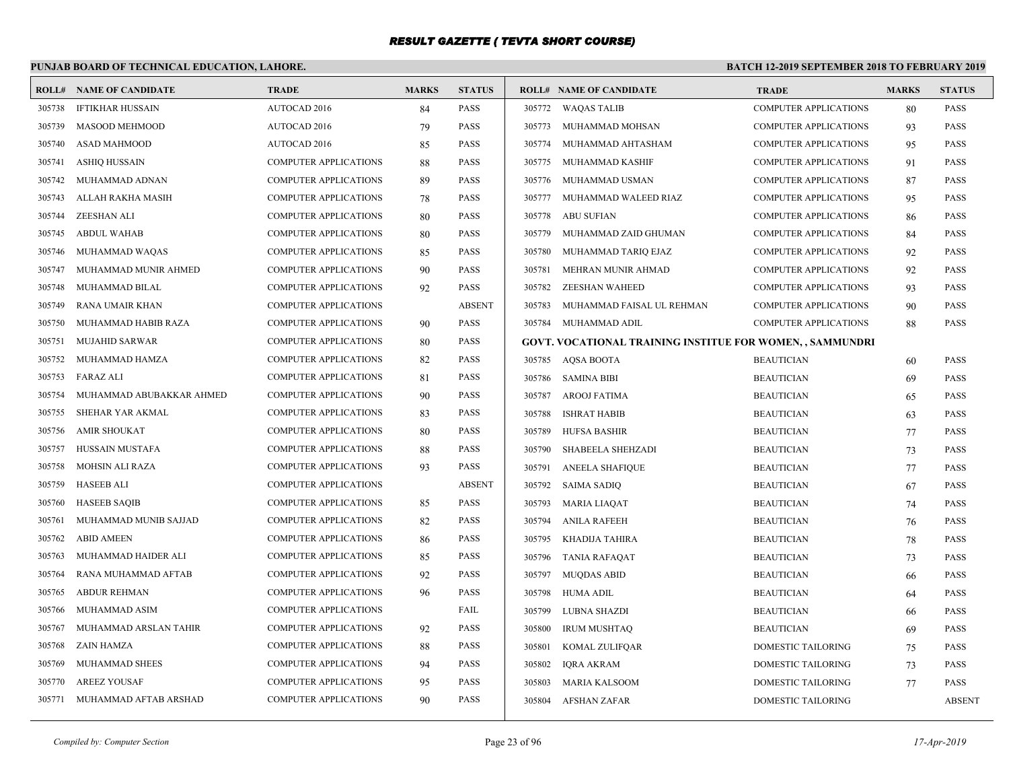# **PUNJAB BOARD OF TECHNICAL EDUCATION, LAHORE.**

|        | <b>ROLL# NAME OF CANDIDATE</b> | <b>TRADE</b>                 | <b>MARKS</b> | <b>STATUS</b> |        | <b>ROLL# NAME OF CANDIDATE</b>                            | <b>TRADE</b>                 | <b>MARKS</b> | <b>STATUS</b> |
|--------|--------------------------------|------------------------------|--------------|---------------|--------|-----------------------------------------------------------|------------------------------|--------------|---------------|
| 305738 | <b>IFTIKHAR HUSSAIN</b>        | AUTOCAD 2016                 | 84           | <b>PASS</b>   |        | 305772 WAQAS TALIB                                        | COMPUTER APPLICATIONS        | 80           | <b>PASS</b>   |
| 305739 | MASOOD MEHMOOD                 | <b>AUTOCAD 2016</b>          | 79           | <b>PASS</b>   | 305773 | MUHAMMAD MOHSAN                                           | <b>COMPUTER APPLICATIONS</b> | 93           | <b>PASS</b>   |
| 305740 | <b>ASAD MAHMOOD</b>            | AUTOCAD 2016                 | 85           | <b>PASS</b>   | 305774 | MUHAMMAD AHTASHAM                                         | <b>COMPUTER APPLICATIONS</b> | 95           | <b>PASS</b>   |
| 305741 | <b>ASHIQ HUSSAIN</b>           | <b>COMPUTER APPLICATIONS</b> | 88           | <b>PASS</b>   | 305775 | MUHAMMAD KASHIF                                           | COMPUTER APPLICATIONS        | 91           | <b>PASS</b>   |
| 305742 | MUHAMMAD ADNAN                 | <b>COMPUTER APPLICATIONS</b> | 89           | <b>PASS</b>   | 305776 | MUHAMMAD USMAN                                            | <b>COMPUTER APPLICATIONS</b> | 87           | <b>PASS</b>   |
| 305743 | ALLAH RAKHA MASIH              | <b>COMPUTER APPLICATIONS</b> | 78           | <b>PASS</b>   | 305777 | MUHAMMAD WALEED RIAZ                                      | <b>COMPUTER APPLICATIONS</b> | 95           | <b>PASS</b>   |
| 305744 | <b>ZEESHAN ALI</b>             | <b>COMPUTER APPLICATIONS</b> | 80           | <b>PASS</b>   | 305778 | ABU SUFIAN                                                | <b>COMPUTER APPLICATIONS</b> | 86           | <b>PASS</b>   |
| 305745 | <b>ABDUL WAHAB</b>             | COMPUTER APPLICATIONS        | 80           | <b>PASS</b>   | 305779 | MUHAMMAD ZAID GHUMAN                                      | <b>COMPUTER APPLICATIONS</b> | 84           | PASS          |
| 305746 | MUHAMMAD WAQAS                 | <b>COMPUTER APPLICATIONS</b> | 85           | <b>PASS</b>   | 305780 | MUHAMMAD TARIQ EJAZ                                       | <b>COMPUTER APPLICATIONS</b> | 92           | <b>PASS</b>   |
| 305747 | MUHAMMAD MUNIR AHMED           | <b>COMPUTER APPLICATIONS</b> | 90           | <b>PASS</b>   | 305781 | MEHRAN MUNIR AHMAD                                        | <b>COMPUTER APPLICATIONS</b> | 92           | <b>PASS</b>   |
| 305748 | MUHAMMAD BILAL                 | COMPUTER APPLICATIONS        | 92           | <b>PASS</b>   | 305782 | <b>ZEESHAN WAHEED</b>                                     | COMPUTER APPLICATIONS        | 93           | <b>PASS</b>   |
| 305749 | RANA UMAIR KHAN                | <b>COMPUTER APPLICATIONS</b> |              | <b>ABSENT</b> | 305783 | MUHAMMAD FAISAL UL REHMAN                                 | <b>COMPUTER APPLICATIONS</b> | 90           | <b>PASS</b>   |
| 305750 | MUHAMMAD HABIB RAZA            | <b>COMPUTER APPLICATIONS</b> | 90           | <b>PASS</b>   | 305784 | MUHAMMAD ADIL                                             | <b>COMPUTER APPLICATIONS</b> | 88           | <b>PASS</b>   |
| 305751 | <b>MUJAHID SARWAR</b>          | <b>COMPUTER APPLICATIONS</b> | 80           | <b>PASS</b>   |        | GOVT. VOCATIONAL TRAINING INSTITUE FOR WOMEN, , SAMMUNDRI |                              |              |               |
| 305752 | MUHAMMAD HAMZA                 | COMPUTER APPLICATIONS        | 82           | <b>PASS</b>   |        | 305785 AQSA BOOTA                                         | <b>BEAUTICIAN</b>            | 60           | <b>PASS</b>   |
| 305753 | FARAZ ALI                      | <b>COMPUTER APPLICATIONS</b> | 81           | <b>PASS</b>   |        | 305786 SAMINA BIBI                                        | <b>BEAUTICIAN</b>            | 69           | <b>PASS</b>   |
| 305754 | MUHAMMAD ABUBAKKAR AHMED       | <b>COMPUTER APPLICATIONS</b> | 90           | <b>PASS</b>   | 305787 | <b>AROOJ FATIMA</b>                                       | <b>BEAUTICIAN</b>            | 65           | <b>PASS</b>   |
| 305755 | SHEHAR YAR AKMAL               | <b>COMPUTER APPLICATIONS</b> | 83           | <b>PASS</b>   | 305788 | <b>ISHRAT HABIB</b>                                       | <b>BEAUTICIAN</b>            | 63           | <b>PASS</b>   |
| 305756 | <b>AMIR SHOUKAT</b>            | <b>COMPUTER APPLICATIONS</b> | 80           | <b>PASS</b>   | 305789 | <b>HUFSA BASHIR</b>                                       | <b>BEAUTICIAN</b>            | 77           | <b>PASS</b>   |
| 305757 | HUSSAIN MUSTAFA                | <b>COMPUTER APPLICATIONS</b> | 88           | <b>PASS</b>   | 305790 | SHABEELA SHEHZADI                                         | <b>BEAUTICIAN</b>            | 73           | PASS          |
| 305758 | <b>MOHSIN ALI RAZA</b>         | COMPUTER APPLICATIONS        | 93           | <b>PASS</b>   | 305791 | <b>ANEELA SHAFIQUE</b>                                    | <b>BEAUTICIAN</b>            | 77           | <b>PASS</b>   |
| 305759 | <b>HASEEB ALI</b>              | <b>COMPUTER APPLICATIONS</b> |              | <b>ABSENT</b> | 305792 | <b>SAIMA SADIQ</b>                                        | <b>BEAUTICIAN</b>            | 67           | <b>PASS</b>   |
| 305760 | <b>HASEEB SAQIB</b>            | <b>COMPUTER APPLICATIONS</b> | 85           | <b>PASS</b>   | 305793 | <b>MARIA LIAQAT</b>                                       | <b>BEAUTICIAN</b>            | 74           | <b>PASS</b>   |
| 305761 | MUHAMMAD MUNIB SAJJAD          | COMPUTER APPLICATIONS        | 82           | <b>PASS</b>   | 305794 | <b>ANILA RAFEEH</b>                                       | <b>BEAUTICIAN</b>            | 76           | <b>PASS</b>   |
| 305762 | <b>ABID AMEEN</b>              | <b>COMPUTER APPLICATIONS</b> | 86           | <b>PASS</b>   | 305795 | KHADIJA TAHIRA                                            | <b>BEAUTICIAN</b>            | 78           | <b>PASS</b>   |
| 305763 | MUHAMMAD HAIDER ALI            | <b>COMPUTER APPLICATIONS</b> | 85           | <b>PASS</b>   | 305796 | <b>TANIA RAFAQAT</b>                                      | <b>BEAUTICIAN</b>            | 73           | <b>PASS</b>   |
| 305764 | RANA MUHAMMAD AFTAB            | <b>COMPUTER APPLICATIONS</b> | 92           | <b>PASS</b>   | 305797 | <b>MUQDAS ABID</b>                                        | <b>BEAUTICIAN</b>            | 66           | <b>PASS</b>   |
| 305765 | <b>ABDUR REHMAN</b>            | COMPUTER APPLICATIONS        | 96           | <b>PASS</b>   | 305798 | HUMA ADIL                                                 | <b>BEAUTICIAN</b>            | 64           | <b>PASS</b>   |
| 305766 | MUHAMMAD ASIM                  | <b>COMPUTER APPLICATIONS</b> |              | FAIL          | 305799 | LUBNA SHAZDI                                              | <b>BEAUTICIAN</b>            | -66          | <b>PASS</b>   |
| 305767 | MUHAMMAD ARSLAN TAHIR          | <b>COMPUTER APPLICATIONS</b> | 92           | <b>PASS</b>   | 305800 | <b>IRUM MUSHTAQ</b>                                       | <b>BEAUTICIAN</b>            | 69           | <b>PASS</b>   |
| 305768 | ZAIN HAMZA                     | COMPUTER APPLICATIONS        | 88           | <b>PASS</b>   | 305801 | KOMAL ZULIFQAR                                            | DOMESTIC TAILORING           | 75           | PASS          |
| 305769 | MUHAMMAD SHEES                 | <b>COMPUTER APPLICATIONS</b> | 94           | <b>PASS</b>   | 305802 | <b>IQRA AKRAM</b>                                         | <b>DOMESTIC TAILORING</b>    | 73           | <b>PASS</b>   |
| 305770 | <b>AREEZ YOUSAF</b>            | <b>COMPUTER APPLICATIONS</b> | 95           | <b>PASS</b>   | 305803 | <b>MARIA KALSOOM</b>                                      | <b>DOMESTIC TAILORING</b>    | 77           | PASS          |
| 305771 | MUHAMMAD AFTAB ARSHAD          | <b>COMPUTER APPLICATIONS</b> | 90           | <b>PASS</b>   | 305804 | AFSHAN ZAFAR                                              | <b>DOMESTIC TAILORING</b>    |              | <b>ABSENT</b> |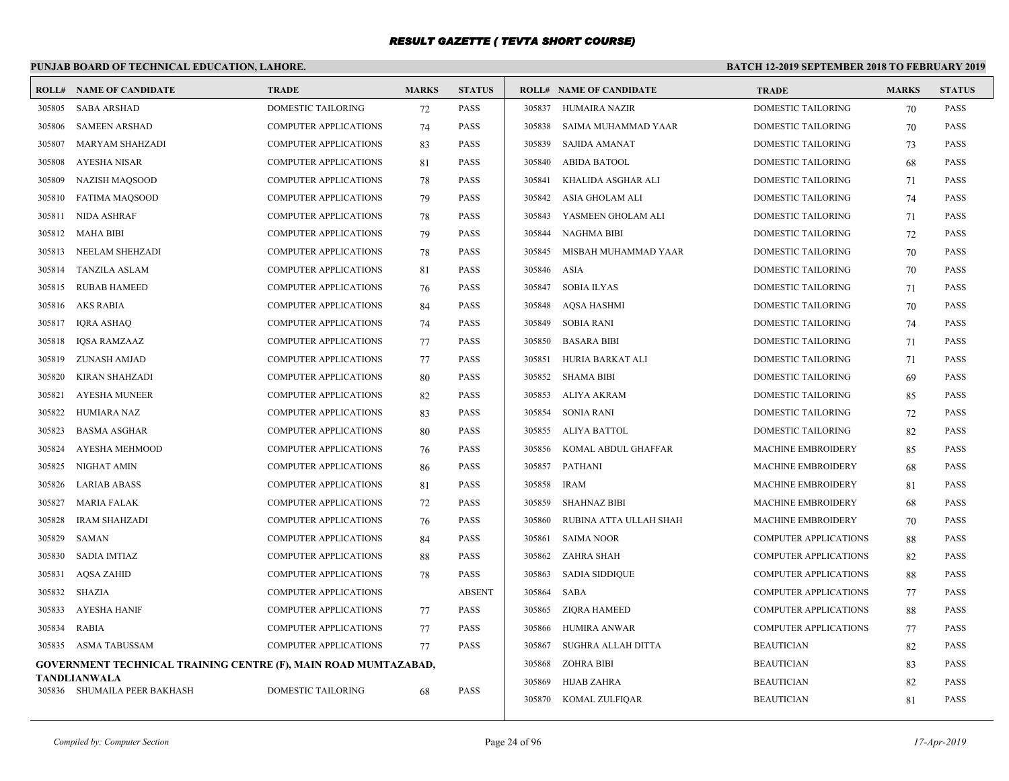# **PUNJAB BOARD OF TECHNICAL EDUCATION, LAHORE.**

| ROLL#  | NAME OF CANDIDATE                                               | <b>TRADE</b>                 | <b>MARKS</b> | <b>STATUS</b> |        | <b>ROLL# NAME OF CANDIDATE</b> | <b>TRADE</b>                 | <b>MARKS</b> | <b>STATUS</b> |
|--------|-----------------------------------------------------------------|------------------------------|--------------|---------------|--------|--------------------------------|------------------------------|--------------|---------------|
| 305805 | <b>SABA ARSHAD</b>                                              | <b>DOMESTIC TAILORING</b>    | 72           | <b>PASS</b>   | 305837 | HUMAIRA NAZIR                  | <b>DOMESTIC TAILORING</b>    | 70           | <b>PASS</b>   |
| 305806 | <b>SAMEEN ARSHAD</b>                                            | <b>COMPUTER APPLICATIONS</b> | 74           | <b>PASS</b>   | 305838 | SAIMA MUHAMMAD YAAR            | <b>DOMESTIC TAILORING</b>    | 70           | <b>PASS</b>   |
| 305807 | <b>MARYAM SHAHZADI</b>                                          | COMPUTER APPLICATIONS        | 83           | <b>PASS</b>   | 305839 | <b>SAJIDA AMANAT</b>           | DOMESTIC TAILORING           | 73           | <b>PASS</b>   |
| 305808 | AYESHA NISAR                                                    | <b>COMPUTER APPLICATIONS</b> | 81           | <b>PASS</b>   | 305840 | <b>ABIDA BATOOL</b>            | <b>DOMESTIC TAILORING</b>    | 68           | <b>PASS</b>   |
| 305809 | <b>NAZISH MAQSOOD</b>                                           | COMPUTER APPLICATIONS        | 78           | <b>PASS</b>   | 305841 | KHALIDA ASGHAR ALI             | DOMESTIC TAILORING           | 71           | PASS          |
| 305810 | <b>FATIMA MAQSOOD</b>                                           | <b>COMPUTER APPLICATIONS</b> | 79           | <b>PASS</b>   | 305842 | ASIA GHOLAM ALI                | <b>DOMESTIC TAILORING</b>    | 74           | <b>PASS</b>   |
| 305811 | NIDA ASHRAF                                                     | <b>COMPUTER APPLICATIONS</b> | 78           | <b>PASS</b>   | 305843 | YASMEEN GHOLAM ALI             | DOMESTIC TAILORING           | 71           | <b>PASS</b>   |
| 305812 | MAHA BIBI                                                       | <b>COMPUTER APPLICATIONS</b> | 79           | <b>PASS</b>   | 305844 | NAGHMA BIBI                    | <b>DOMESTIC TAILORING</b>    | 72           | <b>PASS</b>   |
| 305813 | NEELAM SHEHZADI                                                 | <b>COMPUTER APPLICATIONS</b> | 78           | <b>PASS</b>   | 305845 | MISBAH MUHAMMAD YAAR           | <b>DOMESTIC TAILORING</b>    | 70           | <b>PASS</b>   |
| 305814 | <b>TANZILA ASLAM</b>                                            | COMPUTER APPLICATIONS        | 81           | <b>PASS</b>   | 305846 | ASIA                           | DOMESTIC TAILORING           | 70           | <b>PASS</b>   |
| 305815 | <b>RUBAB HAMEED</b>                                             | <b>COMPUTER APPLICATIONS</b> | 76           | <b>PASS</b>   | 305847 | <b>SOBIA ILYAS</b>             | <b>DOMESTIC TAILORING</b>    | 71           | <b>PASS</b>   |
| 305816 | AKS RABIA                                                       | COMPUTER APPLICATIONS        | 84           | <b>PASS</b>   | 305848 | AQSA HASHMI                    | DOMESTIC TAILORING           | 70           | PASS          |
| 305817 | <b>IQRA ASHAQ</b>                                               | <b>COMPUTER APPLICATIONS</b> | 74           | <b>PASS</b>   | 305849 | <b>SOBIA RANI</b>              | DOMESTIC TAILORING           | 74           | <b>PASS</b>   |
| 305818 | <b>IQSA RAMZAAZ</b>                                             | <b>COMPUTER APPLICATIONS</b> | 77           | <b>PASS</b>   | 305850 | <b>BASARA BIBI</b>             | DOMESTIC TAILORING           | 71           | <b>PASS</b>   |
| 305819 | <b>ZUNASH AMJAD</b>                                             | <b>COMPUTER APPLICATIONS</b> | 77           | <b>PASS</b>   | 305851 | HURIA BARKAT ALI               | <b>DOMESTIC TAILORING</b>    | 71           | <b>PASS</b>   |
| 305820 | <b>KIRAN SHAHZADI</b>                                           | <b>COMPUTER APPLICATIONS</b> | 80           | <b>PASS</b>   | 305852 | <b>SHAMA BIBI</b>              | <b>DOMESTIC TAILORING</b>    | 69           | <b>PASS</b>   |
| 305821 | <b>AYESHA MUNEER</b>                                            | <b>COMPUTER APPLICATIONS</b> | 82           | PASS          | 305853 | <b>ALIYA AKRAM</b>             | DOMESTIC TAILORING           | 85           | <b>PASS</b>   |
| 305822 | HUMIARA NAZ                                                     | <b>COMPUTER APPLICATIONS</b> | 83           | PASS          | 305854 | SONIA RANI                     | <b>DOMESTIC TAILORING</b>    | 72           | <b>PASS</b>   |
| 305823 | <b>BASMA ASGHAR</b>                                             | COMPUTER APPLICATIONS        | 80           | <b>PASS</b>   | 305855 | ALIYA BATTOL                   | DOMESTIC TAILORING           | 82           | <b>PASS</b>   |
| 305824 | <b>AYESHA MEHMOOD</b>                                           | <b>COMPUTER APPLICATIONS</b> | 76           | <b>PASS</b>   | 305856 | KOMAL ABDUL GHAFFAR            | <b>MACHINE EMBROIDERY</b>    | 85           | <b>PASS</b>   |
| 305825 | NIGHAT AMIN                                                     | <b>COMPUTER APPLICATIONS</b> | 86           | <b>PASS</b>   | 305857 | <b>PATHANI</b>                 | <b>MACHINE EMBROIDERY</b>    | 68           | <b>PASS</b>   |
| 305826 | <b>LARIAB ABASS</b>                                             | <b>COMPUTER APPLICATIONS</b> | 81           | <b>PASS</b>   | 305858 | <b>IRAM</b>                    | <b>MACHINE EMBROIDERY</b>    | 81           | <b>PASS</b>   |
| 305827 | <b>MARIA FALAK</b>                                              | <b>COMPUTER APPLICATIONS</b> | 72           | <b>PASS</b>   | 305859 | <b>SHAHNAZ BIBI</b>            | <b>MACHINE EMBROIDERY</b>    | 68           | <b>PASS</b>   |
| 305828 | <b>IRAM SHAHZADI</b>                                            | COMPUTER APPLICATIONS        | 76           | <b>PASS</b>   | 305860 | RUBINA ATTA ULLAH SHAH         | MACHINE EMBROIDERY           | 70           | <b>PASS</b>   |
| 305829 | SAMAN                                                           | <b>COMPUTER APPLICATIONS</b> | 84           | <b>PASS</b>   | 305861 | <b>SAIMA NOOR</b>              | <b>COMPUTER APPLICATIONS</b> | 88           | <b>PASS</b>   |
| 305830 | <b>SADIA IMTIAZ</b>                                             | COMPUTER APPLICATIONS        | 88           | <b>PASS</b>   | 305862 | ZAHRA SHAH                     | <b>COMPUTER APPLICATIONS</b> | 82           | <b>PASS</b>   |
| 305831 | <b>AQSA ZAHID</b>                                               | <b>COMPUTER APPLICATIONS</b> | 78           | <b>PASS</b>   | 305863 | <b>SADIA SIDDIQUE</b>          | <b>COMPUTER APPLICATIONS</b> | 88           | <b>PASS</b>   |
| 305832 | SHAZIA                                                          | <b>COMPUTER APPLICATIONS</b> |              | <b>ABSENT</b> | 305864 | SABA                           | <b>COMPUTER APPLICATIONS</b> | 77           | <b>PASS</b>   |
| 305833 | <b>AYESHA HANIF</b>                                             | <b>COMPUTER APPLICATIONS</b> | 77           | <b>PASS</b>   | 305865 | ZIQRA HAMEED                   | <b>COMPUTER APPLICATIONS</b> | 88           | <b>PASS</b>   |
| 305834 | <b>RABIA</b>                                                    | <b>COMPUTER APPLICATIONS</b> | 77           | <b>PASS</b>   | 305866 | <b>HUMIRA ANWAR</b>            | <b>COMPUTER APPLICATIONS</b> | 77           | <b>PASS</b>   |
| 305835 | ASMA TABUSSAM                                                   | <b>COMPUTER APPLICATIONS</b> | 77           | PASS          | 305867 | SUGHRA ALLAH DITTA             | <b>BEAUTICIAN</b>            | 82           | <b>PASS</b>   |
|        | GOVERNMENT TECHNICAL TRAINING CENTRE (F), MAIN ROAD MUMTAZABAD, |                              |              |               | 305868 | <b>ZOHRA BIBI</b>              | <b>BEAUTICIAN</b>            | 83           | <b>PASS</b>   |
|        | TANDLIANWALA                                                    |                              |              |               | 305869 | HIJAB ZAHRA                    | <b>BEAUTICIAN</b>            | 82           | <b>PASS</b>   |
|        | 305836 SHUMAILA PEER BAKHASH                                    | <b>DOMESTIC TAILORING</b>    | 68           | <b>PASS</b>   | 305870 | KOMAL ZULFIQAR                 | <b>BEAUTICIAN</b>            | 81           | <b>PASS</b>   |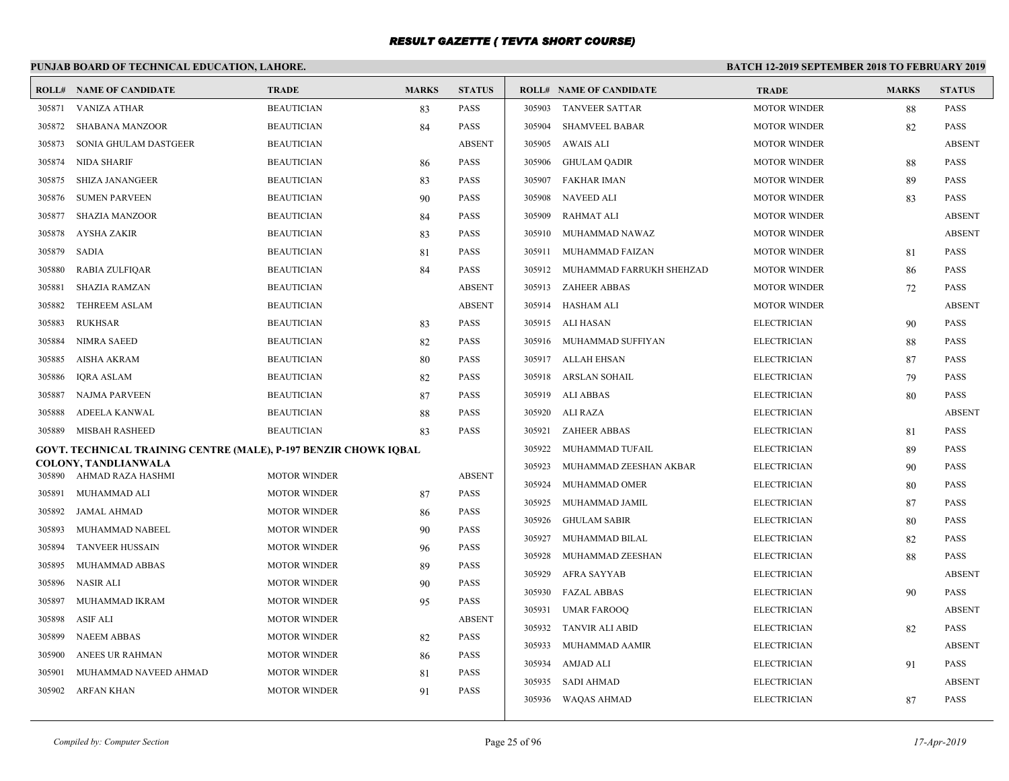# **PUNJAB BOARD OF TECHNICAL EDUCATION, LAHORE.**

|        | <b>ROLL# NAME OF CANDIDATE</b>                                   | <b>TRADE</b>        | <b>MARKS</b> | <b>STATUS</b> |        | <b>ROLL# NAME OF CANDIDATE</b> | <b>TRADE</b>        | <b>MARKS</b> | <b>STATUS</b> |
|--------|------------------------------------------------------------------|---------------------|--------------|---------------|--------|--------------------------------|---------------------|--------------|---------------|
| 305871 | VANIZA ATHAR                                                     | <b>BEAUTICIAN</b>   | 83           | <b>PASS</b>   | 305903 | TANVEER SATTAR                 | <b>MOTOR WINDER</b> | 88           | <b>PASS</b>   |
| 305872 | <b>SHABANA MANZOOR</b>                                           | <b>BEAUTICIAN</b>   | 84           | PASS          | 305904 | <b>SHAMVEEL BABAR</b>          | <b>MOTOR WINDER</b> | 82           | <b>PASS</b>   |
| 305873 | SONIA GHULAM DASTGEER                                            | <b>BEAUTICIAN</b>   |              | <b>ABSENT</b> | 305905 | AWAIS ALI                      | <b>MOTOR WINDER</b> |              | <b>ABSENT</b> |
| 305874 | <b>NIDA SHARIF</b>                                               | <b>BEAUTICIAN</b>   | 86           | PASS          | 305906 | GHULAM QADIR                   | <b>MOTOR WINDER</b> | 88           | <b>PASS</b>   |
| 305875 | SHIZA JANANGEER                                                  | <b>BEAUTICIAN</b>   | 83           | PASS          | 305907 | <b>FAKHAR IMAN</b>             | <b>MOTOR WINDER</b> | 89           | <b>PASS</b>   |
| 305876 | <b>SUMEN PARVEEN</b>                                             | <b>BEAUTICIAN</b>   | 90           | PASS          | 305908 | NAVEED ALI                     | <b>MOTOR WINDER</b> | 83           | <b>PASS</b>   |
| 305877 | <b>SHAZIA MANZOOR</b>                                            | <b>BEAUTICIAN</b>   | 84           | PASS          | 305909 | <b>RAHMAT ALI</b>              | <b>MOTOR WINDER</b> |              | <b>ABSENT</b> |
| 305878 | <b>AYSHA ZAKIR</b>                                               | <b>BEAUTICIAN</b>   | 83           | PASS          | 305910 | MUHAMMAD NAWAZ                 | <b>MOTOR WINDER</b> |              | <b>ABSENT</b> |
| 305879 | <b>SADIA</b>                                                     | <b>BEAUTICIAN</b>   | 81           | PASS          | 305911 | MUHAMMAD FAIZAN                | <b>MOTOR WINDER</b> | 81           | <b>PASS</b>   |
| 305880 | RABIA ZULFIQAR                                                   | <b>BEAUTICIAN</b>   | 84           | PASS          | 305912 | MUHAMMAD FARRUKH SHEHZAD       | <b>MOTOR WINDER</b> | 86           | PASS          |
| 305881 | SHAZIA RAMZAN                                                    | <b>BEAUTICIAN</b>   |              | <b>ABSENT</b> | 305913 | ZAHEER ABBAS                   | <b>MOTOR WINDER</b> | 72           | <b>PASS</b>   |
| 305882 | <b>TEHREEM ASLAM</b>                                             | <b>BEAUTICIAN</b>   |              | <b>ABSENT</b> |        | 305914 HASHAM ALI              | <b>MOTOR WINDER</b> |              | <b>ABSENT</b> |
| 305883 | <b>RUKHSAR</b>                                                   | <b>BEAUTICIAN</b>   | 83           | PASS          |        | 305915 ALI HASAN               | <b>ELECTRICIAN</b>  | 90           | <b>PASS</b>   |
| 305884 | <b>NIMRA SAEED</b>                                               | <b>BEAUTICIAN</b>   | 82           | PASS          |        | 305916 MUHAMMAD SUFFIYAN       | <b>ELECTRICIAN</b>  | 88           | PASS          |
| 305885 | AISHA AKRAM                                                      | <b>BEAUTICIAN</b>   | 80           | PASS          |        | 305917 ALLAH EHSAN             | <b>ELECTRICIAN</b>  | 87           | <b>PASS</b>   |
| 305886 | <b>IORA ASLAM</b>                                                | <b>BEAUTICIAN</b>   | 82           | PASS          |        | 305918 ARSLAN SOHAIL           | <b>ELECTRICIAN</b>  | 79           | <b>PASS</b>   |
| 305887 | NAJMA PARVEEN                                                    | <b>BEAUTICIAN</b>   | 87           | PASS          |        | 305919 ALI ABBAS               | <b>ELECTRICIAN</b>  | 80           | PASS          |
| 305888 | ADEELA KANWAL                                                    | <b>BEAUTICIAN</b>   | 88           | PASS          | 305920 | ALI RAZA                       | <b>ELECTRICIAN</b>  |              | <b>ABSENT</b> |
| 305889 | <b>MISBAH RASHEED</b>                                            | <b>BEAUTICIAN</b>   | 83           | PASS          | 305921 | <b>ZAHEER ABBAS</b>            | <b>ELECTRICIAN</b>  | 81           | <b>PASS</b>   |
|        | GOVT. TECHNICAL TRAINING CENTRE (MALE), P-197 BENZIR CHOWK IQBAL |                     |              |               | 305922 | MUHAMMAD TUFAIL                | <b>ELECTRICIAN</b>  | 89           | <b>PASS</b>   |
|        | COLONY, TANDLIANWALA<br>305890 AHMAD RAZA HASHMI                 | <b>MOTOR WINDER</b> |              | <b>ABSENT</b> | 305923 | MUHAMMAD ZEESHAN AKBAR         | <b>ELECTRICIAN</b>  | 90           | <b>PASS</b>   |
| 305891 | MUHAMMAD ALI                                                     | <b>MOTOR WINDER</b> | 87           | PASS          | 305924 | MUHAMMAD OMER                  | <b>ELECTRICIAN</b>  | 80           | PASS          |
| 305892 | <b>JAMAL AHMAD</b>                                               | <b>MOTOR WINDER</b> | 86           | PASS          | 305925 | MUHAMMAD JAMIL                 | <b>ELECTRICIAN</b>  | 87           | <b>PASS</b>   |
| 305893 | MUHAMMAD NABEEL                                                  | <b>MOTOR WINDER</b> | 90           | PASS          | 305926 | <b>GHULAM SABIR</b>            | <b>ELECTRICIAN</b>  | 80           | <b>PASS</b>   |
| 305894 | <b>TANVEER HUSSAIN</b>                                           | <b>MOTOR WINDER</b> | 96           | PASS          | 305927 | MUHAMMAD BILAL                 | <b>ELECTRICIAN</b>  | 82           | <b>PASS</b>   |
| 305895 | MUHAMMAD ABBAS                                                   | <b>MOTOR WINDER</b> | 89           | PASS          | 305928 | MUHAMMAD ZEESHAN               | <b>ELECTRICIAN</b>  | 88           | <b>PASS</b>   |
| 305896 | <b>NASIR ALI</b>                                                 | <b>MOTOR WINDER</b> | 90           | PASS          | 305929 | AFRA SAYYAB                    | <b>ELECTRICIAN</b>  |              | <b>ABSENT</b> |
| 305897 | MUHAMMAD IKRAM                                                   | <b>MOTOR WINDER</b> | 95           | PASS          | 305930 | <b>FAZAL ABBAS</b>             | <b>ELECTRICIAN</b>  | 90           | <b>PASS</b>   |
| 305898 | ASIF ALI                                                         | <b>MOTOR WINDER</b> |              | <b>ABSENT</b> | 305931 | <b>UMAR FAROOQ</b>             | <b>ELECTRICIAN</b>  |              | <b>ABSENT</b> |
| 305899 | <b>NAEEM ABBAS</b>                                               | <b>MOTOR WINDER</b> | 82           | PASS          | 305932 | <b>TANVIR ALI ABID</b>         | <b>ELECTRICIAN</b>  | 82           | <b>PASS</b>   |
| 305900 | ANEES UR RAHMAN                                                  | <b>MOTOR WINDER</b> | 86           | PASS          | 305933 | MUHAMMAD AAMIR                 | <b>ELECTRICIAN</b>  |              | <b>ABSENT</b> |
| 305901 | MUHAMMAD NAVEED AHMAD                                            | <b>MOTOR WINDER</b> | 81           | PASS          | 305934 | <b>AMJAD ALI</b>               | <b>ELECTRICIAN</b>  | 91           | PASS          |
| 305902 | ARFAN KHAN                                                       | <b>MOTOR WINDER</b> | 91           | PASS          | 305935 | <b>SADI AHMAD</b>              | <b>ELECTRICIAN</b>  |              | <b>ABSENT</b> |
|        |                                                                  |                     |              |               | 305936 | WAQAS AHMAD                    | <b>ELECTRICIAN</b>  | 87           | <b>PASS</b>   |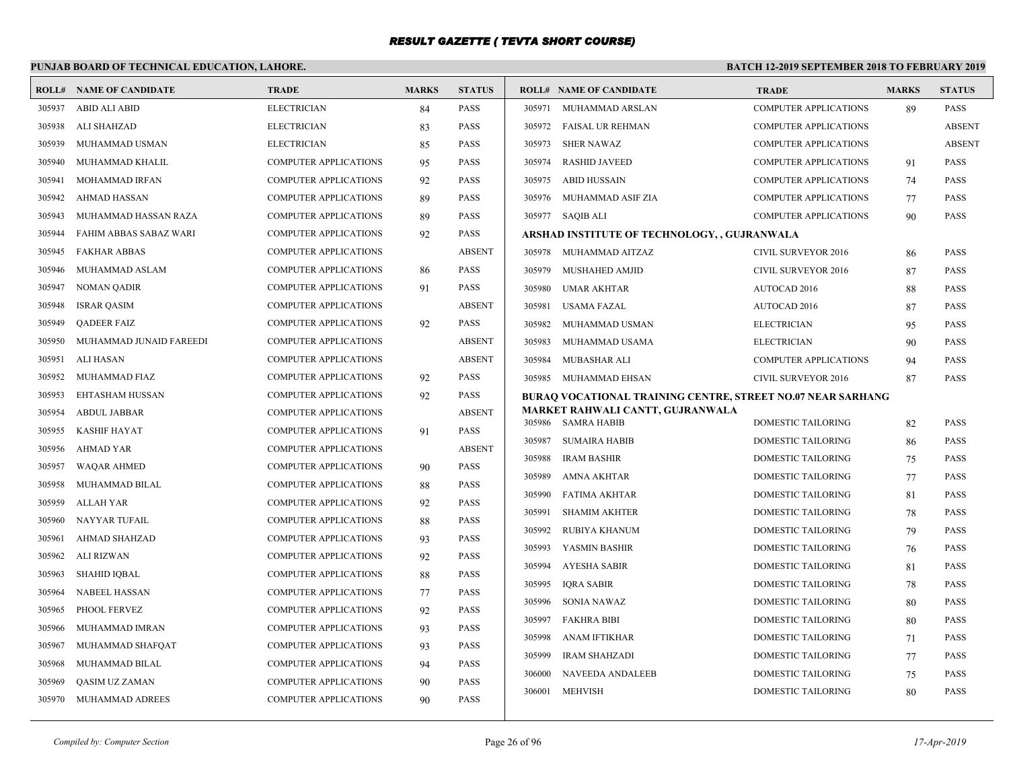# **PUNJAB BOARD OF TECHNICAL EDUCATION, LAHORE.**

|        | <b>ROLL# NAME OF CANDIDATE</b> | <b>TRADE</b>                 | <b>MARKS</b> | <b>STATUS</b> |        | <b>ROLL# NAME OF CANDIDATE</b>                                     | <b>TRADE</b>                 | <b>MARKS</b> | <b>STATUS</b> |
|--------|--------------------------------|------------------------------|--------------|---------------|--------|--------------------------------------------------------------------|------------------------------|--------------|---------------|
| 305937 | <b>ABID ALI ABID</b>           | <b>ELECTRICIAN</b>           | 84           | <b>PASS</b>   |        | 305971 MUHAMMAD ARSLAN                                             | <b>COMPUTER APPLICATIONS</b> | 89           | <b>PASS</b>   |
| 305938 | ALI SHAHZAD                    | <b>ELECTRICIAN</b>           | 83           | <b>PASS</b>   |        | 305972 FAISAL UR REHMAN                                            | <b>COMPUTER APPLICATIONS</b> |              | <b>ABSENT</b> |
| 305939 | MUHAMMAD USMAN                 | <b>ELECTRICIAN</b>           | 85           | <b>PASS</b>   | 305973 | <b>SHER NAWAZ</b>                                                  | <b>COMPUTER APPLICATIONS</b> |              | <b>ABSENT</b> |
| 305940 | MUHAMMAD KHALIL                | <b>COMPUTER APPLICATIONS</b> | 95           | <b>PASS</b>   | 305974 | <b>RASHID JAVEED</b>                                               | <b>COMPUTER APPLICATIONS</b> | 91           | <b>PASS</b>   |
| 305941 | MOHAMMAD IRFAN                 | COMPUTER APPLICATIONS        | 92           | <b>PASS</b>   | 305975 | ABID HUSSAIN                                                       | <b>COMPUTER APPLICATIONS</b> | 74           | <b>PASS</b>   |
| 305942 | <b>AHMAD HASSAN</b>            | <b>COMPUTER APPLICATIONS</b> | 89           | <b>PASS</b>   |        | 305976 MUHAMMAD ASIF ZIA                                           | <b>COMPUTER APPLICATIONS</b> | 77           | <b>PASS</b>   |
| 305943 | MUHAMMAD HASSAN RAZA           | <b>COMPUTER APPLICATIONS</b> | 89           | <b>PASS</b>   |        | 305977 SAQIB ALI                                                   | <b>COMPUTER APPLICATIONS</b> | 90           | <b>PASS</b>   |
| 305944 | FAHIM ABBAS SABAZ WARI         | COMPUTER APPLICATIONS        | 92           | <b>PASS</b>   |        | ARSHAD INSTITUTE OF TECHNOLOGY, , GUJRANWALA                       |                              |              |               |
| 305945 | <b>FAKHAR ABBAS</b>            | <b>COMPUTER APPLICATIONS</b> |              | <b>ABSENT</b> |        | 305978 MUHAMMAD AITZAZ                                             | <b>CIVIL SURVEYOR 2016</b>   | 86           | <b>PASS</b>   |
| 305946 | MUHAMMAD ASLAM                 | <b>COMPUTER APPLICATIONS</b> | 86           | <b>PASS</b>   | 305979 | MUSHAHED AMJID                                                     | CIVIL SURVEYOR 2016          | 87           | PASS          |
| 305947 | <b>NOMAN QADIR</b>             | <b>COMPUTER APPLICATIONS</b> | 91           | <b>PASS</b>   | 305980 | UMAR AKHTAR                                                        | AUTOCAD 2016                 | 88           | <b>PASS</b>   |
| 305948 | <b>ISRAR QASIM</b>             | <b>COMPUTER APPLICATIONS</b> |              | <b>ABSENT</b> | 305981 | USAMA FAZAL                                                        | <b>AUTOCAD 2016</b>          | 87           | <b>PASS</b>   |
| 305949 | <b>QADEER FAIZ</b>             | COMPUTER APPLICATIONS        | 92           | <b>PASS</b>   |        | 305982 MUHAMMAD USMAN                                              | <b>ELECTRICIAN</b>           | 95           | <b>PASS</b>   |
| 305950 | MUHAMMAD JUNAID FAREEDI        | <b>COMPUTER APPLICATIONS</b> |              | <b>ABSENT</b> | 305983 | MUHAMMAD USAMA                                                     | <b>ELECTRICIAN</b>           | 90           | <b>PASS</b>   |
| 305951 | ALI HASAN                      | <b>COMPUTER APPLICATIONS</b> |              | <b>ABSENT</b> | 305984 | MUBASHAR ALI                                                       | <b>COMPUTER APPLICATIONS</b> | 94           | <b>PASS</b>   |
| 305952 | MUHAMMAD FIAZ                  | COMPUTER APPLICATIONS        | 92           | <b>PASS</b>   |        | 305985 MUHAMMAD EHSAN                                              | CIVIL SURVEYOR 2016          | 87           | <b>PASS</b>   |
| 305953 | EHTASHAM HUSSAN                | <b>COMPUTER APPLICATIONS</b> | 92           | <b>PASS</b>   |        | <b>BURAQ VOCATIONAL TRAINING CENTRE, STREET NO.07 NEAR SARHANG</b> |                              |              |               |
| 305954 | <b>ABDUL JABBAR</b>            | <b>COMPUTER APPLICATIONS</b> |              | <b>ABSENT</b> |        | MARKET RAHWALI CANTT, GUJRANWALA                                   |                              |              |               |
| 305955 | KASHIF HAYAT                   | <b>COMPUTER APPLICATIONS</b> | 91           | <b>PASS</b>   |        | 305986 SAMRA HABIB                                                 | <b>DOMESTIC TAILORING</b>    | 82           | <b>PASS</b>   |
| 305956 | AHMAD YAR                      | COMPUTER APPLICATIONS        |              | <b>ABSENT</b> | 305987 | <b>SUMAIRA HABIB</b>                                               | DOMESTIC TAILORING           | 86           | PASS          |
| 305957 | <b>WAQAR AHMED</b>             | <b>COMPUTER APPLICATIONS</b> | 90           | <b>PASS</b>   | 305988 | <b>IRAM BASHIR</b>                                                 | <b>DOMESTIC TAILORING</b>    | 75           | <b>PASS</b>   |
| 305958 | MUHAMMAD BILAL                 | <b>COMPUTER APPLICATIONS</b> | 88           | <b>PASS</b>   | 305989 | AMNA AKHTAR                                                        | <b>DOMESTIC TAILORING</b>    | 77           | <b>PASS</b>   |
| 305959 | ALLAH YAR                      | <b>COMPUTER APPLICATIONS</b> | 92           | <b>PASS</b>   | 305990 | FATIMA AKHTAR                                                      | DOMESTIC TAILORING           | 81           | <b>PASS</b>   |
| 305960 | NAYYAR TUFAIL                  | <b>COMPUTER APPLICATIONS</b> | 88           | <b>PASS</b>   | 305991 | <b>SHAMIM AKHTER</b>                                               | <b>DOMESTIC TAILORING</b>    | 78           | <b>PASS</b>   |
| 305961 | AHMAD SHAHZAD                  | <b>COMPUTER APPLICATIONS</b> | 93           | <b>PASS</b>   | 305992 | RUBIYA KHANUM                                                      | DOMESTIC TAILORING           | 79           | <b>PASS</b>   |
| 305962 | <b>ALI RIZWAN</b>              | COMPUTER APPLICATIONS        | 92           | <b>PASS</b>   | 305993 | YASMIN BASHIR                                                      | <b>DOMESTIC TAILORING</b>    | 76           | <b>PASS</b>   |
| 305963 | SHAHID IQBAL                   | <b>COMPUTER APPLICATIONS</b> | 88           | <b>PASS</b>   | 305994 | AYESHA SABIR                                                       | <b>DOMESTIC TAILORING</b>    | 81           | <b>PASS</b>   |
| 305964 | <b>NABEEL HASSAN</b>           | <b>COMPUTER APPLICATIONS</b> | 77           | <b>PASS</b>   | 305995 | <b>IQRA SABIR</b>                                                  | DOMESTIC TAILORING           | 78           | <b>PASS</b>   |
| 305965 | PHOOL FERVEZ                   | <b>COMPUTER APPLICATIONS</b> | 92           | <b>PASS</b>   | 305996 | SONIA NAWAZ                                                        | DOMESTIC TAILORING           | 80           | <b>PASS</b>   |
| 305966 | MUHAMMAD IMRAN                 | <b>COMPUTER APPLICATIONS</b> | 93           | <b>PASS</b>   | 305997 | <b>FAKHRA BIBI</b>                                                 | DOMESTIC TAILORING           | 80           | <b>PASS</b>   |
| 305967 | MUHAMMAD SHAFQAT               | <b>COMPUTER APPLICATIONS</b> | 93           | <b>PASS</b>   | 305998 | ANAM IFTIKHAR                                                      | DOMESTIC TAILORING           | 71           | <b>PASS</b>   |
| 305968 | MUHAMMAD BILAL                 | <b>COMPUTER APPLICATIONS</b> | 94           | <b>PASS</b>   | 305999 | <b>IRAM SHAHZADI</b>                                               | <b>DOMESTIC TAILORING</b>    | 77           | <b>PASS</b>   |
| 305969 | QASIM UZ ZAMAN                 | <b>COMPUTER APPLICATIONS</b> | 90           | <b>PASS</b>   | 306000 | NAVEEDA ANDALEEB                                                   | DOMESTIC TAILORING           | 75           | <b>PASS</b>   |
| 305970 | MUHAMMAD ADREES                | <b>COMPUTER APPLICATIONS</b> | 90           | <b>PASS</b>   | 306001 | MEHVISH                                                            | <b>DOMESTIC TAILORING</b>    | 80           | <b>PASS</b>   |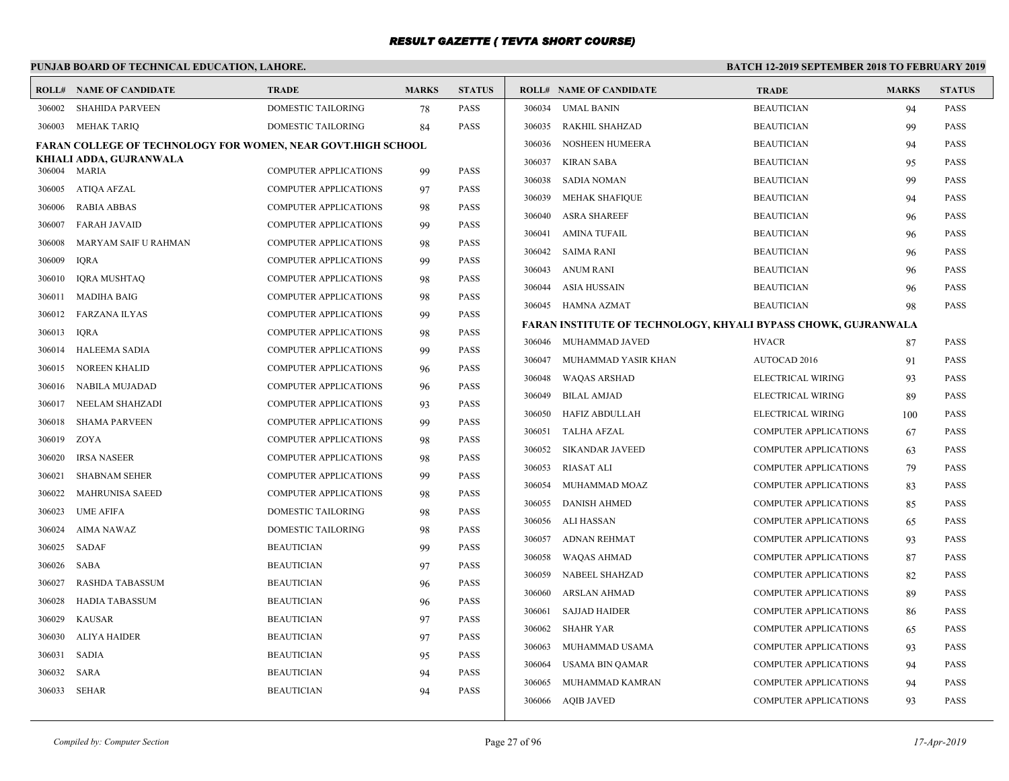# **PUNJAB BOARD OF TECHNICAL EDUCATION, LAHORE.**

|        | <b>ROLL# NAME OF CANDIDATE</b>                                      | <b>TRADE</b>                                                 | <b>MARKS</b> | <b>STATUS</b>              |        | <b>ROLL# NAME OF CANDIDATE</b>                                 | <b>TRADE</b>                 | <b>MARKS</b> | <b>STATUS</b> |
|--------|---------------------------------------------------------------------|--------------------------------------------------------------|--------------|----------------------------|--------|----------------------------------------------------------------|------------------------------|--------------|---------------|
| 306002 | <b>SHAHIDA PARVEEN</b>                                              | DOMESTIC TAILORING                                           | 78           | <b>PASS</b>                | 306034 | <b>UMAL BANIN</b>                                              | <b>BEAUTICIAN</b>            | 94           | <b>PASS</b>   |
| 306003 | MEHAK TARIQ                                                         | <b>DOMESTIC TAILORING</b>                                    | 84           | <b>PASS</b>                | 306035 | RAKHIL SHAHZAD                                                 | <b>BEAUTICIAN</b>            | 99           | <b>PASS</b>   |
|        | <b>FARAN COLLEGE OF TECHNOLOGY FOR WOMEN, NEAR GOVT.HIGH SCHOOL</b> |                                                              |              |                            | 306036 | NOSHEEN HUMEERA                                                | <b>BEAUTICIAN</b>            | 94           | <b>PASS</b>   |
| 306004 | KHIALI ADDA, GUJRANWALA<br>MARIA                                    | <b>COMPUTER APPLICATIONS</b>                                 |              | <b>PASS</b>                | 306037 | KIRAN SABA                                                     | <b>BEAUTICIAN</b>            | 95           | <b>PASS</b>   |
|        |                                                                     |                                                              | 99           |                            | 306038 | SADIA NOMAN                                                    | <b>BEAUTICIAN</b>            | 99           | <b>PASS</b>   |
| 306005 | ATIQA AFZAL                                                         | COMPUTER APPLICATIONS                                        | 97           | <b>PASS</b><br><b>PASS</b> | 306039 | MEHAK SHAFIQUE                                                 | <b>BEAUTICIAN</b>            | 94           | <b>PASS</b>   |
| 306006 | RABIA ABBAS                                                         | <b>COMPUTER APPLICATIONS</b>                                 | 98           |                            | 306040 | <b>ASRA SHAREEF</b>                                            | <b>BEAUTICIAN</b>            | 96           | <b>PASS</b>   |
| 306007 | <b>FARAH JAVAID</b><br>MARYAM SAIF U RAHMAN                         | <b>COMPUTER APPLICATIONS</b><br><b>COMPUTER APPLICATIONS</b> | 99           | <b>PASS</b><br><b>PASS</b> | 306041 | <b>AMINA TUFAIL</b>                                            | <b>BEAUTICIAN</b>            | 96           | <b>PASS</b>   |
| 306008 |                                                                     |                                                              | 98           |                            | 306042 | SAIMA RANI                                                     | <b>BEAUTICIAN</b>            | 96           | <b>PASS</b>   |
| 306009 | <b>IQRA</b>                                                         | COMPUTER APPLICATIONS                                        | 99           | PASS                       | 306043 | ANUM RANI                                                      | <b>BEAUTICIAN</b>            | 96           | <b>PASS</b>   |
| 306010 | <b>IQRA MUSHTAQ</b>                                                 | <b>COMPUTER APPLICATIONS</b>                                 | 98           | <b>PASS</b>                | 306044 | ASIA HUSSAIN                                                   | <b>BEAUTICIAN</b>            | 96           | <b>PASS</b>   |
| 306011 | <b>MADIHA BAIG</b>                                                  | <b>COMPUTER APPLICATIONS</b>                                 | 98           | <b>PASS</b>                |        | 306045 HAMNA AZMAT                                             | <b>BEAUTICIAN</b>            | 98           | PASS          |
| 306012 | <b>FARZANA ILYAS</b>                                                | <b>COMPUTER APPLICATIONS</b>                                 | 99           | <b>PASS</b>                |        | FARAN INSTITUTE OF TECHNOLOGY, KHYALI BYPASS CHOWK, GUJRANWALA |                              |              |               |
| 306013 | IQRA                                                                | COMPUTER APPLICATIONS                                        | 98           | <b>PASS</b>                |        | 306046 MUHAMMAD JAVED                                          | <b>HVACR</b>                 | 87           | <b>PASS</b>   |
| 306014 | <b>HALEEMA SADIA</b>                                                | <b>COMPUTER APPLICATIONS</b>                                 | 99           | <b>PASS</b>                | 306047 | MUHAMMAD YASIR KHAN                                            | AUTOCAD 2016                 | 91           | <b>PASS</b>   |
| 306015 | <b>NOREEN KHALID</b>                                                | <b>COMPUTER APPLICATIONS</b>                                 | 96           | <b>PASS</b>                | 306048 | WAQAS ARSHAD                                                   | ELECTRICAL WIRING            | 93           | <b>PASS</b>   |
| 306016 | NABILA MUJADAD                                                      | <b>COMPUTER APPLICATIONS</b>                                 | 96           | PASS                       | 306049 | BILAL AMJAD                                                    | ELECTRICAL WIRING            | 89           | <b>PASS</b>   |
| 306017 | NEELAM SHAHZADI                                                     | COMPUTER APPLICATIONS                                        | 93           | <b>PASS</b>                | 306050 | HAFIZ ABDULLAH                                                 | ELECTRICAL WIRING            | 100          | <b>PASS</b>   |
| 306018 | <b>SHAMA PARVEEN</b>                                                | <b>COMPUTER APPLICATIONS</b>                                 | 99           | <b>PASS</b>                | 306051 | TALHA AFZAL                                                    | <b>COMPUTER APPLICATIONS</b> | 67           | <b>PASS</b>   |
| 306019 | ZOYA                                                                | <b>COMPUTER APPLICATIONS</b>                                 | 98           | <b>PASS</b>                | 306052 | SIKANDAR JAVEED                                                | <b>COMPUTER APPLICATIONS</b> | 63           | <b>PASS</b>   |
| 306020 | <b>IRSA NASEER</b>                                                  | COMPUTER APPLICATIONS                                        | 98           | <b>PASS</b>                | 306053 | RIASAT ALI                                                     | <b>COMPUTER APPLICATIONS</b> | 79           | <b>PASS</b>   |
| 306021 | <b>SHABNAM SEHER</b>                                                | <b>COMPUTER APPLICATIONS</b>                                 | 99           | <b>PASS</b>                | 306054 | MUHAMMAD MOAZ                                                  | <b>COMPUTER APPLICATIONS</b> | 83           | PASS          |
| 306022 | <b>MAHRUNISA SAEED</b>                                              | <b>COMPUTER APPLICATIONS</b>                                 | 98           | <b>PASS</b>                | 306055 | <b>DANISH AHMED</b>                                            | <b>COMPUTER APPLICATIONS</b> | 85           | <b>PASS</b>   |
| 306023 | <b>UME AFIFA</b>                                                    | DOMESTIC TAILORING                                           | 98           | PASS                       | 306056 | ALI HASSAN                                                     | <b>COMPUTER APPLICATIONS</b> | 65           | <b>PASS</b>   |
| 306024 | AIMA NAWAZ                                                          | DOMESTIC TAILORING                                           | 98           | <b>PASS</b>                | 306057 | ADNAN REHMAT                                                   | <b>COMPUTER APPLICATIONS</b> | 93           | <b>PASS</b>   |
| 306025 | SADAF                                                               | <b>BEAUTICIAN</b>                                            | 99           | <b>PASS</b>                | 306058 | WAQAS AHMAD                                                    | <b>COMPUTER APPLICATIONS</b> | 87           | <b>PASS</b>   |
| 306026 | SABA                                                                | <b>BEAUTICIAN</b>                                            | 97           | <b>PASS</b>                | 306059 | NABEEL SHAHZAD                                                 | <b>COMPUTER APPLICATIONS</b> | 82           | <b>PASS</b>   |
| 306027 | <b>RASHDA TABASSUM</b>                                              | <b>BEAUTICIAN</b>                                            | 96           | <b>PASS</b>                | 306060 | ARSLAN AHMAD                                                   | <b>COMPUTER APPLICATIONS</b> | 89           | <b>PASS</b>   |
| 306028 | HADIA TABASSUM                                                      | <b>BEAUTICIAN</b>                                            | 96           | <b>PASS</b>                | 306061 | <b>SAJJAD HAIDER</b>                                           | <b>COMPUTER APPLICATIONS</b> | 86           | <b>PASS</b>   |
| 306029 | <b>KAUSAR</b>                                                       | <b>BEAUTICIAN</b>                                            | 97           | <b>PASS</b>                | 306062 | SHAHR YAR                                                      | <b>COMPUTER APPLICATIONS</b> | 65           | <b>PASS</b>   |
| 306030 | <b>ALIYA HAIDER</b>                                                 | <b>BEAUTICIAN</b>                                            | 97           | PASS                       | 306063 | MUHAMMAD USAMA                                                 | <b>COMPUTER APPLICATIONS</b> | 93           | <b>PASS</b>   |
| 306031 | <b>SADIA</b>                                                        | <b>BEAUTICIAN</b>                                            | 95           | PASS                       | 306064 | USAMA BIN QAMAR                                                | <b>COMPUTER APPLICATIONS</b> | 94           | <b>PASS</b>   |
| 306032 | SARA                                                                | <b>BEAUTICIAN</b>                                            | 94           | <b>PASS</b>                | 306065 | MUHAMMAD KAMRAN                                                | <b>COMPUTER APPLICATIONS</b> | 94           | <b>PASS</b>   |
| 306033 | SEHAR                                                               | <b>BEAUTICIAN</b>                                            | 94           | <b>PASS</b>                |        | 306066 AOIB JAVED                                              | <b>COMPUTER APPLICATIONS</b> | 93           | <b>PASS</b>   |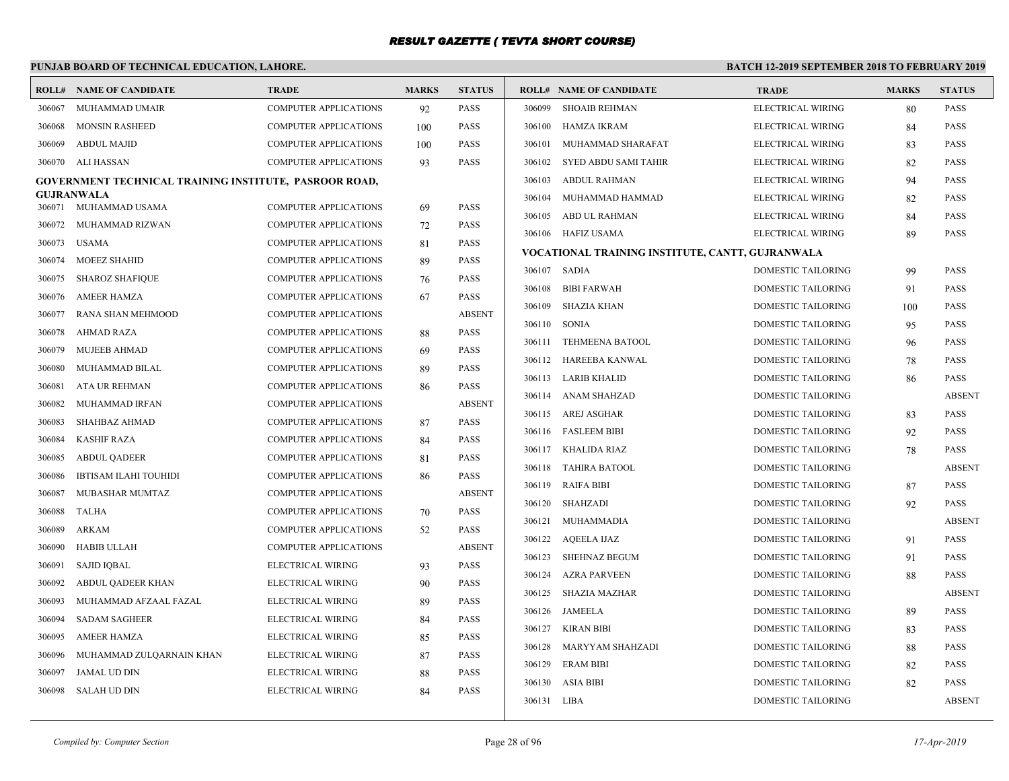# **PUNJAB BOARD OF TECHNICAL EDUCATION, LAHORE.**

| ROLL#            | NAME OF CANDIDATE                                      | <b>TRADE</b>                                                 | <b>MARKS</b> | <b>STATUS</b>                |             | <b>ROLL# NAME OF CANDIDATE</b>                   | <b>TRADE</b>              | <b>MARKS</b> | <b>STATUS</b> |
|------------------|--------------------------------------------------------|--------------------------------------------------------------|--------------|------------------------------|-------------|--------------------------------------------------|---------------------------|--------------|---------------|
| 306067           | MUHAMMAD UMAIR                                         | <b>COMPUTER APPLICATIONS</b>                                 | 92           | <b>PASS</b>                  | 306099      | <b>SHOAIB REHMAN</b>                             | ELECTRICAL WIRING         | 80           | PASS          |
| 306068           | <b>MONSIN RASHEED</b>                                  | <b>COMPUTER APPLICATIONS</b>                                 | 100          | <b>PASS</b>                  | 306100      | <b>HAMZA IKRAM</b>                               | ELECTRICAL WIRING         | 84           | <b>PASS</b>   |
| 306069           | <b>ABDUL MAJID</b>                                     | <b>COMPUTER APPLICATIONS</b>                                 | 100          | <b>PASS</b>                  | 306101      | MUHAMMAD SHARAFAT                                | ELECTRICAL WIRING         | 83           | <b>PASS</b>   |
| 306070           | ALI HASSAN                                             | <b>COMPUTER APPLICATIONS</b>                                 | 93           | <b>PASS</b>                  | 306102      | SYED ABDU SAMI TAHIR                             | ELECTRICAL WIRING         | 82           | <b>PASS</b>   |
|                  | GOVERNMENT TECHNICAL TRAINING INSTITUTE, PASROOR ROAD, |                                                              |              |                              | 306103      | <b>ABDUL RAHMAN</b>                              | ELECTRICAL WIRING         | 94           | <b>PASS</b>   |
|                  | GUJRANWALA<br>306071 MUHAMMAD USAMA                    | <b>COMPUTER APPLICATIONS</b>                                 |              | <b>PASS</b>                  | 306104      | MUHAMMAD HAMMAD                                  | ELECTRICAL WIRING         | 82           | <b>PASS</b>   |
| 306072           | MUHAMMAD RIZWAN                                        | <b>COMPUTER APPLICATIONS</b>                                 | 69<br>72     | <b>PASS</b>                  | 306105      | ABD UL RAHMAN                                    | ELECTRICAL WIRING         | 84           | <b>PASS</b>   |
| 306073           | USAMA                                                  | <b>COMPUTER APPLICATIONS</b>                                 |              | <b>PASS</b>                  |             | 306106 HAFIZ USAMA                               | ELECTRICAL WIRING         | 89           | PASS          |
| 306074           | MOEEZ SHAHID                                           | <b>COMPUTER APPLICATIONS</b>                                 | 81<br>89     | <b>PASS</b>                  |             | VOCATIONAL TRAINING INSTITUTE, CANTT, GUJRANWALA |                           |              |               |
| 306075           | <b>SHAROZ SHAFIQUE</b>                                 | <b>COMPUTER APPLICATIONS</b>                                 |              | <b>PASS</b>                  |             | 306107 SADIA                                     | DOMESTIC TAILORING        | 99           | <b>PASS</b>   |
|                  |                                                        |                                                              | 76           |                              | 306108      | <b>BIBI FARWAH</b>                               | <b>DOMESTIC TAILORING</b> | 91           | <b>PASS</b>   |
| 306076           | <b>AMEER HAMZA</b><br>RANA SHAN MEHMOOD                | COMPUTER APPLICATIONS                                        | 67           | <b>PASS</b><br><b>ABSENT</b> | 306109      | <b>SHAZIA KHAN</b>                               | DOMESTIC TAILORING        | 100          | <b>PASS</b>   |
| 306077           | <b>AHMAD RAZA</b>                                      | <b>COMPUTER APPLICATIONS</b><br><b>COMPUTER APPLICATIONS</b> |              | <b>PASS</b>                  | 306110      | <b>SONIA</b>                                     | DOMESTIC TAILORING        | 95           | <b>PASS</b>   |
| 306078<br>306079 | <b>MUJEEB AHMAD</b>                                    | <b>COMPUTER APPLICATIONS</b>                                 | 88           | <b>PASS</b>                  |             | 306111 TEHMEENA BATOOL                           | DOMESTIC TAILORING        | 96           | <b>PASS</b>   |
| 306080           | MUHAMMAD BILAL                                         | <b>COMPUTER APPLICATIONS</b>                                 | 69           | <b>PASS</b>                  |             | 306112 HAREEBA KANWAL                            | DOMESTIC TAILORING        | 78           | <b>PASS</b>   |
| 306081           | ATA UR REHMAN                                          | <b>COMPUTER APPLICATIONS</b>                                 | 89           | <b>PASS</b>                  | 306113      | LARIB KHALID                                     | DOMESTIC TAILORING        | 86           | <b>PASS</b>   |
| 306082           | <b>MUHAMMAD IRFAN</b>                                  | <b>COMPUTER APPLICATIONS</b>                                 | 86           | <b>ABSENT</b>                | 306114      | ANAM SHAHZAD                                     | <b>DOMESTIC TAILORING</b> |              | <b>ABSENT</b> |
|                  |                                                        |                                                              |              | <b>PASS</b>                  |             | 306115 AREJ ASGHAR                               | DOMESTIC TAILORING        | 83           | PASS          |
| 306083<br>306084 | SHAHBAZ AHMAD<br><b>KASHIF RAZA</b>                    | <b>COMPUTER APPLICATIONS</b><br><b>COMPUTER APPLICATIONS</b> | 87           | <b>PASS</b>                  |             | 306116 FASLEEM BIBI                              | DOMESTIC TAILORING        | 92           | <b>PASS</b>   |
| 306085           | <b>ABDUL OADEER</b>                                    | <b>COMPUTER APPLICATIONS</b>                                 | 84           | <b>PASS</b>                  |             | 306117 KHALIDA RIAZ                              | <b>DOMESTIC TAILORING</b> | 78           | <b>PASS</b>   |
| 306086           | <b>IBTISAM ILAHI TOUHIDI</b>                           | <b>COMPUTER APPLICATIONS</b>                                 | 81           | <b>PASS</b>                  |             | 306118 TAHIRA BATOOL                             | DOMESTIC TAILORING        |              | <b>ABSENT</b> |
|                  |                                                        |                                                              | 86           | <b>ABSENT</b>                | 306119      | <b>RAIFA BIBI</b>                                | <b>DOMESTIC TAILORING</b> | 87           | <b>PASS</b>   |
| 306087           | MUBASHAR MUMTAZ<br><b>TALHA</b>                        | <b>COMPUTER APPLICATIONS</b>                                 |              | <b>PASS</b>                  | 306120      | SHAHZADI                                         | DOMESTIC TAILORING        | 92           | <b>PASS</b>   |
| 306088           |                                                        | <b>COMPUTER APPLICATIONS</b>                                 | 70           | <b>PASS</b>                  |             | 306121 MUHAMMADIA                                | DOMESTIC TAILORING        |              | <b>ABSENT</b> |
| 306089           | ARKAM<br><b>HABIB ULLAH</b>                            | <b>COMPUTER APPLICATIONS</b><br><b>COMPUTER APPLICATIONS</b> | 52           | <b>ABSENT</b>                |             | 306122 AQEELA IJAZ                               | DOMESTIC TAILORING        | 91           | PASS          |
| 306090           |                                                        |                                                              |              |                              | 306123      | <b>SHEHNAZ BEGUM</b>                             | DOMESTIC TAILORING        | 91           | <b>PASS</b>   |
| 306091           | <b>SAJID IOBAL</b>                                     | ELECTRICAL WIRING                                            | 93           | <b>PASS</b>                  | 306124      | <b>AZRA PARVEEN</b>                              | <b>DOMESTIC TAILORING</b> | 88           | <b>PASS</b>   |
| 306092           | ABDUL QADEER KHAN                                      | ELECTRICAL WIRING                                            | 90           | PASS                         | 306125      | SHAZIA MAZHAR                                    | DOMESTIC TAILORING        |              | <b>ABSENT</b> |
| 306093           | MUHAMMAD AFZAAL FAZAL                                  | ELECTRICAL WIRING                                            | 89           | PASS                         |             | 306126 JAMEELA                                   | <b>DOMESTIC TAILORING</b> | 89           | <b>PASS</b>   |
| 306094           | <b>SADAM SAGHEER</b>                                   | ELECTRICAL WIRING                                            | 84           | <b>PASS</b>                  | 306127      | <b>KIRAN BIBI</b>                                | DOMESTIC TAILORING        | 83           | PASS          |
| 306095           | <b>AMEER HAMZA</b>                                     | ELECTRICAL WIRING                                            | 85           | <b>PASS</b>                  | 306128      | MARYYAM SHAHZADI                                 | DOMESTIC TAILORING        | 88           | <b>PASS</b>   |
| 306096           | MUHAMMAD ZULQARNAIN KHAN                               | ELECTRICAL WIRING                                            | 87           | <b>PASS</b>                  | 306129      | <b>ERAM BIBI</b>                                 | DOMESTIC TAILORING        | 82           | <b>PASS</b>   |
| 306097           | JAMAL UD DIN                                           | ELECTRICAL WIRING                                            | 88           | <b>PASS</b>                  |             | 306130 ASIA BIBI                                 | <b>DOMESTIC TAILORING</b> | 82           | <b>PASS</b>   |
| 306098           | SALAH UD DIN                                           | ELECTRICAL WIRING                                            | 84           | <b>PASS</b>                  | 306131 LIBA |                                                  | <b>DOMESTIC TAILORING</b> |              | <b>ABSENT</b> |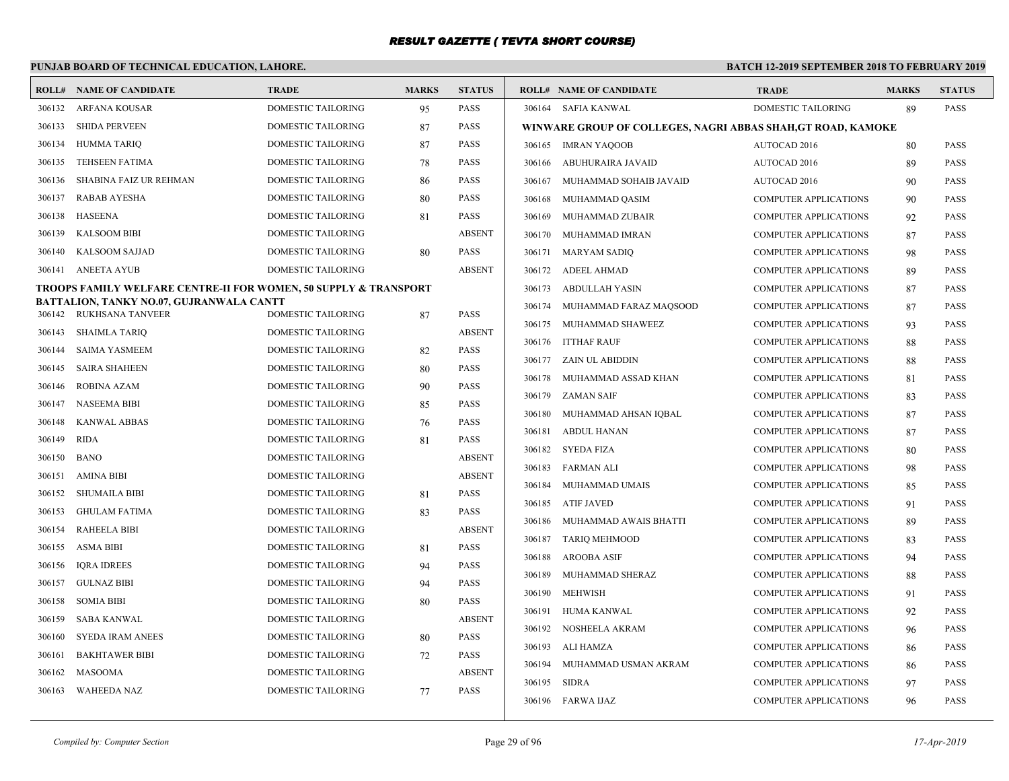# **PUNJAB BOARD OF TECHNICAL EDUCATION, LAHORE.**

|        | <b>ROLL# NAME OF CANDIDATE</b>                                   | <b>TRADE</b>              | <b>MARKS</b> | <b>STATUS</b> |        | <b>ROLL# NAME OF CANDIDATE</b>                               | <b>TRADE</b>                 | <b>MARKS</b> | <b>STATUS</b> |
|--------|------------------------------------------------------------------|---------------------------|--------------|---------------|--------|--------------------------------------------------------------|------------------------------|--------------|---------------|
| 306132 | <b>ARFANA KOUSAR</b>                                             | DOMESTIC TAILORING        | 95           | <b>PASS</b>   |        | 306164 SAFIA KANWAL                                          | <b>DOMESTIC TAILORING</b>    | 89           | <b>PASS</b>   |
| 306133 | <b>SHIDA PERVEEN</b>                                             | <b>DOMESTIC TAILORING</b> | 87           | <b>PASS</b>   |        | WINWARE GROUP OF COLLEGES, NAGRI ABBAS SHAH, GT ROAD, KAMOKE |                              |              |               |
| 306134 | <b>HUMMA TARIO</b>                                               | <b>DOMESTIC TAILORING</b> | 87           | <b>PASS</b>   |        | 306165 IMRAN YAQOOB                                          | AUTOCAD 2016                 | 80           | <b>PASS</b>   |
| 306135 | <b>TEHSEEN FATIMA</b>                                            | DOMESTIC TAILORING        | 78           | <b>PASS</b>   | 306166 | ABUHURAIRA JAVAID                                            | AUTOCAD 2016                 | 89           | PASS          |
| 306136 | SHABINA FAIZ UR REHMAN                                           | <b>DOMESTIC TAILORING</b> | 86           | <b>PASS</b>   | 306167 | MUHAMMAD SOHAIB JAVAID                                       | AUTOCAD 2016                 | 90           | <b>PASS</b>   |
| 306137 | <b>RABAB AYESHA</b>                                              | <b>DOMESTIC TAILORING</b> | 80           | <b>PASS</b>   |        | 306168 MUHAMMAD QASIM                                        | <b>COMPUTER APPLICATIONS</b> | 90           | PASS          |
| 306138 | HASEENA                                                          | <b>DOMESTIC TAILORING</b> | 81           | <b>PASS</b>   | 306169 | MUHAMMAD ZUBAIR                                              | <b>COMPUTER APPLICATIONS</b> | 92           | <b>PASS</b>   |
| 306139 | <b>KALSOOM BIBI</b>                                              | <b>DOMESTIC TAILORING</b> |              | <b>ABSENT</b> | 306170 | MUHAMMAD IMRAN                                               | <b>COMPUTER APPLICATIONS</b> | 87           | <b>PASS</b>   |
| 306140 | <b>KALSOOM SAJJAD</b>                                            | <b>DOMESTIC TAILORING</b> | 80           | <b>PASS</b>   |        | 306171 MARYAM SADIO                                          | <b>COMPUTER APPLICATIONS</b> | 98           | <b>PASS</b>   |
| 306141 | ANEETA AYUB                                                      | DOMESTIC TAILORING        |              | <b>ABSENT</b> | 306172 | ADEEL AHMAD                                                  | <b>COMPUTER APPLICATIONS</b> | 89           | <b>PASS</b>   |
|        | TROOPS FAMILY WELFARE CENTRE-II FOR WOMEN, 50 SUPPLY & TRANSPORT |                           |              |               | 306173 | ABDULLAH YASIN                                               | <b>COMPUTER APPLICATIONS</b> | 87           | <b>PASS</b>   |
| 306142 | BATTALION, TANKY NO.07, GUJRANWALA CANTT<br>RUKHSANA TANVEER     | <b>DOMESTIC TAILORING</b> | 87           | <b>PASS</b>   | 306174 | MUHAMMAD FARAZ MAQSOOD                                       | <b>COMPUTER APPLICATIONS</b> | 87           | <b>PASS</b>   |
| 306143 | <b>SHAIMLA TARIQ</b>                                             | DOMESTIC TAILORING        |              | <b>ABSENT</b> |        | 306175 MUHAMMAD SHAWEEZ                                      | <b>COMPUTER APPLICATIONS</b> | 93           | PASS          |
| 306144 | <b>SAIMA YASMEEM</b>                                             | <b>DOMESTIC TAILORING</b> | 82           | <b>PASS</b>   |        | 306176 ITTHAF RAUF                                           | <b>COMPUTER APPLICATIONS</b> | 88           | <b>PASS</b>   |
| 306145 | <b>SAIRA SHAHEEN</b>                                             | DOMESTIC TAILORING        | 80           | PASS          |        | 306177 ZAIN UL ABIDDIN                                       | <b>COMPUTER APPLICATIONS</b> | 88           | <b>PASS</b>   |
| 306146 | <b>ROBINA AZAM</b>                                               | <b>DOMESTIC TAILORING</b> | 90           | <b>PASS</b>   |        | 306178 MUHAMMAD ASSAD KHAN                                   | <b>COMPUTER APPLICATIONS</b> | 81           | <b>PASS</b>   |
| 306147 | <b>NASEEMA BIBI</b>                                              | <b>DOMESTIC TAILORING</b> | 85           | <b>PASS</b>   | 306179 | ZAMAN SAIF                                                   | <b>COMPUTER APPLICATIONS</b> | 83           | <b>PASS</b>   |
| 306148 | <b>KANWAL ABBAS</b>                                              | <b>DOMESTIC TAILORING</b> | 76           | <b>PASS</b>   |        | 306180 MUHAMMAD AHSAN IQBAL                                  | <b>COMPUTER APPLICATIONS</b> | 87           | <b>PASS</b>   |
| 306149 | RIDA                                                             | DOMESTIC TAILORING        | 81           | <b>PASS</b>   | 306181 | ABDUL HANAN                                                  | <b>COMPUTER APPLICATIONS</b> | 87           | <b>PASS</b>   |
| 306150 | <b>BANO</b>                                                      | <b>DOMESTIC TAILORING</b> |              | <b>ABSENT</b> |        | 306182 SYEDA FIZA                                            | <b>COMPUTER APPLICATIONS</b> | 80           | PASS          |
| 306151 | <b>AMINA BIBI</b>                                                | DOMESTIC TAILORING        |              | <b>ABSENT</b> |        | 306183 FARMAN ALI                                            | <b>COMPUTER APPLICATIONS</b> | 98           | <b>PASS</b>   |
| 306152 | <b>SHUMAILA BIBI</b>                                             | DOMESTIC TAILORING        | 81           | <b>PASS</b>   | 306184 | MUHAMMAD UMAIS                                               | <b>COMPUTER APPLICATIONS</b> | 85           | <b>PASS</b>   |
| 306153 | <b>GHULAM FATIMA</b>                                             | <b>DOMESTIC TAILORING</b> | 83           | PASS          |        | 306185 ATIF JAVED                                            | <b>COMPUTER APPLICATIONS</b> | 91           | <b>PASS</b>   |
| 306154 | <b>RAHEELA BIBI</b>                                              | DOMESTIC TAILORING        |              | <b>ABSENT</b> | 306186 | MUHAMMAD AWAIS BHATTI                                        | <b>COMPUTER APPLICATIONS</b> | 89           | <b>PASS</b>   |
| 306155 | ASMA BIBI                                                        | <b>DOMESTIC TAILORING</b> | 81           | <b>PASS</b>   | 306187 | TARIO MEHMOOD                                                | <b>COMPUTER APPLICATIONS</b> | 83           | <b>PASS</b>   |
| 306156 | <b>IQRA IDREES</b>                                               | DOMESTIC TAILORING        | 94           | <b>PASS</b>   | 306188 | AROOBA ASIF                                                  | <b>COMPUTER APPLICATIONS</b> | 94           | PASS          |
| 306157 | <b>GULNAZ BIBI</b>                                               | <b>DOMESTIC TAILORING</b> | 94           | <b>PASS</b>   | 306189 | MUHAMMAD SHERAZ                                              | <b>COMPUTER APPLICATIONS</b> | 88           | <b>PASS</b>   |
| 306158 | <b>SOMIA BIBI</b>                                                | DOMESTIC TAILORING        | 80           | <b>PASS</b>   |        | 306190 MEHWISH                                               | <b>COMPUTER APPLICATIONS</b> | 91           | <b>PASS</b>   |
| 306159 | SABA KANWAL                                                      | <b>DOMESTIC TAILORING</b> |              | <b>ABSENT</b> |        | 306191 HUMA KANWAL                                           | <b>COMPUTER APPLICATIONS</b> | 92           | <b>PASS</b>   |
| 306160 | <b>SYEDA IRAM ANEES</b>                                          | <b>DOMESTIC TAILORING</b> | 80           | PASS          | 306192 | NOSHEELA AKRAM                                               | <b>COMPUTER APPLICATIONS</b> | 96           | <b>PASS</b>   |
| 306161 | <b>BAKHTAWER BIBI</b>                                            | DOMESTIC TAILORING        | 72           | PASS          | 306193 | ALI HAMZA                                                    | <b>COMPUTER APPLICATIONS</b> | 86           | <b>PASS</b>   |
| 306162 | MASOOMA                                                          | DOMESTIC TAILORING        |              | <b>ABSENT</b> | 306194 | MUHAMMAD USMAN AKRAM                                         | <b>COMPUTER APPLICATIONS</b> | 86           | <b>PASS</b>   |
| 306163 | <b>WAHEEDA NAZ</b>                                               | DOMESTIC TAILORING        | 77           | <b>PASS</b>   | 306195 | SIDRA                                                        | <b>COMPUTER APPLICATIONS</b> | 97           | <b>PASS</b>   |
|        |                                                                  |                           |              |               |        | 306196 FARWA IJAZ                                            | <b>COMPUTER APPLICATIONS</b> | 96           | <b>PASS</b>   |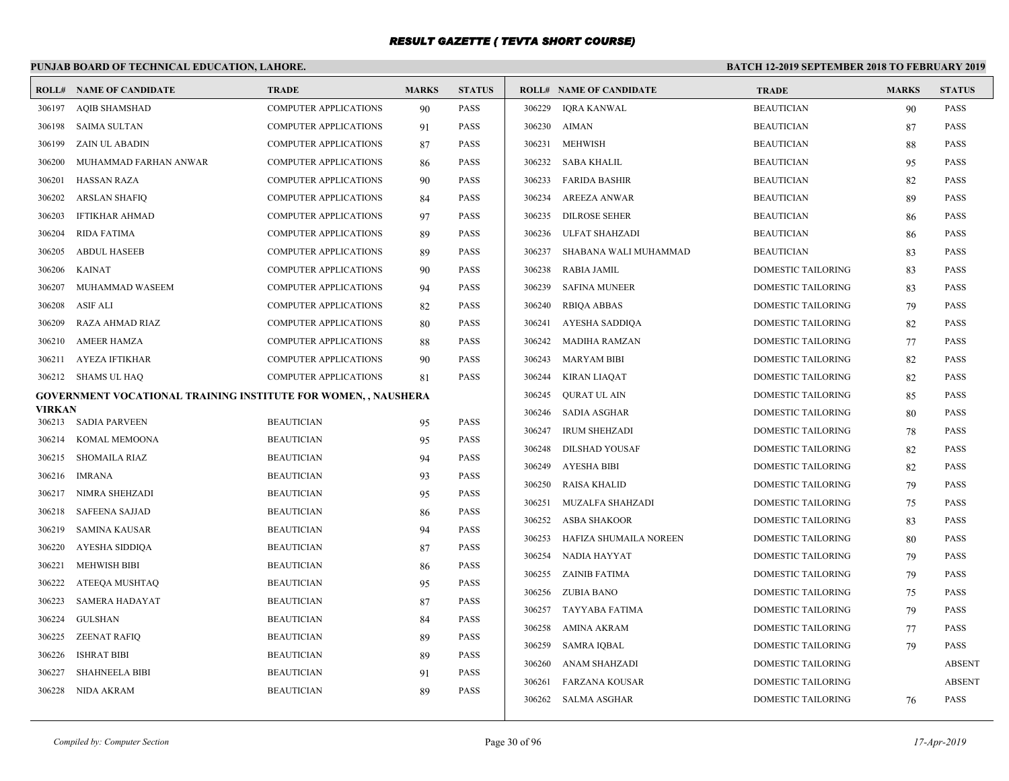# **PUNJAB BOARD OF TECHNICAL EDUCATION, LAHORE.**

|        | <b>ROLL# NAME OF CANDIDATE</b>                                        | <b>TRADE</b>                 | <b>MARKS</b> | <b>STATUS</b> |        | <b>ROLL# NAME OF CANDIDATE</b> | <b>TRADE</b>              | <b>MARKS</b> | <b>STATUS</b> |
|--------|-----------------------------------------------------------------------|------------------------------|--------------|---------------|--------|--------------------------------|---------------------------|--------------|---------------|
| 306197 | <b>AQIB SHAMSHAD</b>                                                  | COMPUTER APPLICATIONS        | 90           | <b>PASS</b>   | 306229 | <b>IQRA KANWAL</b>             | <b>BEAUTICIAN</b>         | 90           | <b>PASS</b>   |
| 306198 | <b>SAIMA SULTAN</b>                                                   | <b>COMPUTER APPLICATIONS</b> | 91           | <b>PASS</b>   | 306230 | AIMAN                          | <b>BEAUTICIAN</b>         | 87           | <b>PASS</b>   |
| 306199 | ZAIN UL ABADIN                                                        | <b>COMPUTER APPLICATIONS</b> | 87           | <b>PASS</b>   |        | 306231 MEHWISH                 | <b>BEAUTICIAN</b>         | 88           | <b>PASS</b>   |
| 306200 | MUHAMMAD FARHAN ANWAR                                                 | <b>COMPUTER APPLICATIONS</b> | 86           | <b>PASS</b>   |        | 306232 SABA KHALIL             | <b>BEAUTICIAN</b>         | 95           | <b>PASS</b>   |
| 306201 | <b>HASSAN RAZA</b>                                                    | COMPUTER APPLICATIONS        | 90           | <b>PASS</b>   | 306233 | <b>FARIDA BASHIR</b>           | <b>BEAUTICIAN</b>         | 82           | <b>PASS</b>   |
| 306202 | <b>ARSLAN SHAFIQ</b>                                                  | <b>COMPUTER APPLICATIONS</b> | 84           | <b>PASS</b>   | 306234 | <b>AREEZA ANWAR</b>            | <b>BEAUTICIAN</b>         | -89          | <b>PASS</b>   |
| 306203 | <b>IFTIKHAR AHMAD</b>                                                 | <b>COMPUTER APPLICATIONS</b> | 97           | <b>PASS</b>   | 306235 | <b>DILROSE SEHER</b>           | <b>BEAUTICIAN</b>         | 86           | <b>PASS</b>   |
| 306204 | <b>RIDA FATIMA</b>                                                    | <b>COMPUTER APPLICATIONS</b> | 89           | <b>PASS</b>   | 306236 | ULFAT SHAHZADI                 | <b>BEAUTICIAN</b>         | 86           | <b>PASS</b>   |
| 306205 | <b>ABDUL HASEEB</b>                                                   | <b>COMPUTER APPLICATIONS</b> | 89           | <b>PASS</b>   | 306237 | SHABANA WALI MUHAMMAD          | <b>BEAUTICIAN</b>         | 83           | <b>PASS</b>   |
| 306206 | <b>KAINAT</b>                                                         | COMPUTER APPLICATIONS        | 90           | <b>PASS</b>   | 306238 | RABIA JAMIL                    | DOMESTIC TAILORING        | 83           | <b>PASS</b>   |
| 306207 | MUHAMMAD WASEEM                                                       | <b>COMPUTER APPLICATIONS</b> | 94           | <b>PASS</b>   | 306239 | SAFINA MUNEER                  | DOMESTIC TAILORING        | 83           | <b>PASS</b>   |
| 306208 | ASIF ALI                                                              | <b>COMPUTER APPLICATIONS</b> | 82           | <b>PASS</b>   | 306240 | RBIQA ABBAS                    | <b>DOMESTIC TAILORING</b> | 79           | <b>PASS</b>   |
| 306209 | RAZA AHMAD RIAZ                                                       | <b>COMPUTER APPLICATIONS</b> | 80           | <b>PASS</b>   |        | 306241 AYESHA SADDIQA          | DOMESTIC TAILORING        | 82           | <b>PASS</b>   |
| 306210 | <b>AMEER HAMZA</b>                                                    | COMPUTER APPLICATIONS        | 88           | <b>PASS</b>   | 306242 | MADIHA RAMZAN                  | DOMESTIC TAILORING        | 77           | <b>PASS</b>   |
| 306211 | AYEZA IFTIKHAR                                                        | <b>COMPUTER APPLICATIONS</b> | 90           | <b>PASS</b>   | 306243 | MARYAM BIBI                    | DOMESTIC TAILORING        | 82           | <b>PASS</b>   |
|        | 306212 SHAMS UL HAQ                                                   | <b>COMPUTER APPLICATIONS</b> | 81           | <b>PASS</b>   | 306244 | KIRAN LIAQAT                   | DOMESTIC TAILORING        | 82           | <b>PASS</b>   |
|        | <b>GOVERNMENT VOCATIONAL TRAINING INSTITUTE FOR WOMEN, , NAUSHERA</b> |                              |              |               | 306245 | OURAT UL AIN                   | <b>DOMESTIC TAILORING</b> | 85           | <b>PASS</b>   |
| VIRKAN | 306213 SADIA PARVEEN                                                  | <b>BEAUTICIAN</b>            | 95           | <b>PASS</b>   | 306246 | SADIA ASGHAR                   | DOMESTIC TAILORING        | 80           | <b>PASS</b>   |
| 306214 | KOMAL MEMOONA                                                         | <b>BEAUTICIAN</b>            | 95           | <b>PASS</b>   | 306247 | <b>IRUM SHEHZADI</b>           | DOMESTIC TAILORING        | 78           | <b>PASS</b>   |
|        | 306215 SHOMAILA RIAZ                                                  | <b>BEAUTICIAN</b>            | 94           | <b>PASS</b>   | 306248 | DILSHAD YOUSAF                 | DOMESTIC TAILORING        | 82           | <b>PASS</b>   |
| 306216 | IMRANA                                                                | <b>BEAUTICIAN</b>            | 93           | <b>PASS</b>   | 306249 | AYESHA BIBI                    | DOMESTIC TAILORING        | 82           | <b>PASS</b>   |
| 306217 | NIMRA SHEHZADI                                                        | <b>BEAUTICIAN</b>            | 95           | <b>PASS</b>   | 306250 | RAISA KHALID                   | DOMESTIC TAILORING        | 79           | <b>PASS</b>   |
| 306218 | <b>SAFEENA SAJJAD</b>                                                 | <b>BEAUTICIAN</b>            | 86           | <b>PASS</b>   | 306251 | MUZALFA SHAHZADI               | DOMESTIC TAILORING        | 75           | <b>PASS</b>   |
| 306219 | SAMINA KAUSAR                                                         | <b>BEAUTICIAN</b>            | 94           | <b>PASS</b>   | 306252 | ASBA SHAKOOR                   | DOMESTIC TAILORING        | 83           | <b>PASS</b>   |
| 306220 | AYESHA SIDDIQA                                                        | <b>BEAUTICIAN</b>            | 87           | <b>PASS</b>   | 306253 | HAFIZA SHUMAILA NOREEN         | DOMESTIC TAILORING        | 80           | <b>PASS</b>   |
| 306221 | <b>MEHWISH BIBI</b>                                                   | <b>BEAUTICIAN</b>            | 86           | <b>PASS</b>   | 306254 | NADIA HAYYAT                   | <b>DOMESTIC TAILORING</b> | 79           | <b>PASS</b>   |
| 306222 | ATEEQA MUSHTAQ                                                        | <b>BEAUTICIAN</b>            | 95           | <b>PASS</b>   |        | 306255 ZAINIB FATIMA           | DOMESTIC TAILORING        | 79           | <b>PASS</b>   |
| 306223 | <b>SAMERA HADAYAT</b>                                                 | <b>BEAUTICIAN</b>            | 87           | <b>PASS</b>   |        | 306256 ZUBIA BANO              | DOMESTIC TAILORING        | 75           | <b>PASS</b>   |
| 306224 | <b>GULSHAN</b>                                                        | <b>BEAUTICIAN</b>            | 84           | <b>PASS</b>   |        | 306257 TAYYABA FATIMA          | DOMESTIC TAILORING        | 79           | PASS          |
| 306225 | ZEENAT RAFIQ                                                          | <b>BEAUTICIAN</b>            | 89           | <b>PASS</b>   | 306258 | AMINA AKRAM                    | DOMESTIC TAILORING        | 77           | <b>PASS</b>   |
| 306226 | <b>ISHRAT BIBI</b>                                                    | <b>BEAUTICIAN</b>            | 89           | <b>PASS</b>   | 306259 | SAMRA IQBAL                    | DOMESTIC TAILORING        | 79           | <b>PASS</b>   |
| 306227 | <b>SHAHNEELA BIBI</b>                                                 | <b>BEAUTICIAN</b>            | 91           | <b>PASS</b>   | 306260 | ANAM SHAHZADI                  | DOMESTIC TAILORING        |              | <b>ABSENT</b> |
| 306228 | NIDA AKRAM                                                            | <b>BEAUTICIAN</b>            | 89           | <b>PASS</b>   | 306261 | FARZANA KOUSAR                 | <b>DOMESTIC TAILORING</b> |              | <b>ABSENT</b> |
|        |                                                                       |                              |              |               |        | 306262 SALMA ASGHAR            | DOMESTIC TAILORING        | 76           | <b>PASS</b>   |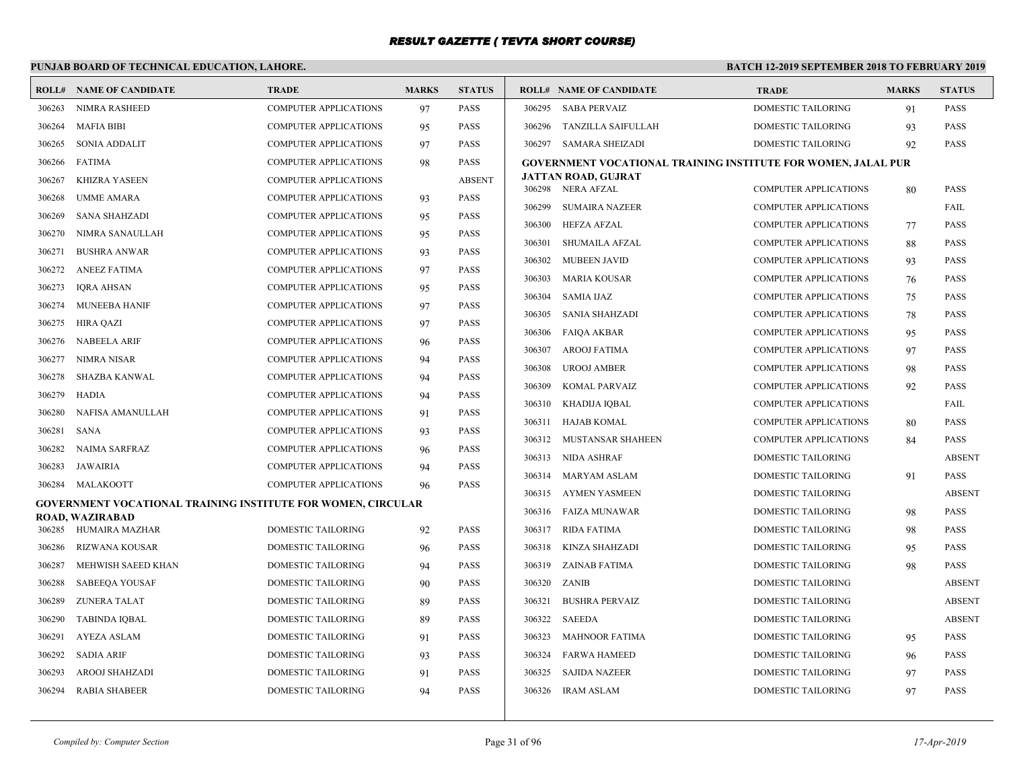#### **PUNJAB BOARD OF TECHNICAL EDUCATION, LAHORE.**

|        | <b>ROLL# NAME OF CANDIDATE</b>                               | <b>TRADE</b>                 | <b>MARKS</b> | <b>STATUS</b> |        | <b>ROLL# NAME OF CANDIDATE</b>                                | <b>TRADE</b>                                                 | <b>MARKS</b> | <b>STATUS</b> |
|--------|--------------------------------------------------------------|------------------------------|--------------|---------------|--------|---------------------------------------------------------------|--------------------------------------------------------------|--------------|---------------|
| 306263 | <b>NIMRA RASHEED</b>                                         | <b>COMPUTER APPLICATIONS</b> | 97           | <b>PASS</b>   | 306295 | <b>SABA PERVAIZ</b>                                           | DOMESTIC TAILORING                                           | 91           | <b>PASS</b>   |
| 306264 | <b>MAFIA BIBI</b>                                            | COMPUTER APPLICATIONS        | 95           | PASS          | 306296 | TANZILLA SAIFULLAH                                            | DOMESTIC TAILORING                                           | 93           | <b>PASS</b>   |
| 306265 | <b>SONIA ADDALIT</b>                                         | <b>COMPUTER APPLICATIONS</b> | 97           | <b>PASS</b>   |        | 306297 SAMARA SHEIZADI                                        | <b>DOMESTIC TAILORING</b>                                    | 92           | <b>PASS</b>   |
| 306266 | <b>FATIMA</b>                                                | <b>COMPUTER APPLICATIONS</b> | 98           | <b>PASS</b>   |        | GOVERNMENT VOCATIONAL TRAINING INSTITUTE FOR WOMEN, JALAL PUR |                                                              |              |               |
| 306267 | <b>KHIZRA YASEEN</b>                                         | <b>COMPUTER APPLICATIONS</b> |              | <b>ABSENT</b> |        | JATTAN ROAD, GUJRAT                                           |                                                              |              | <b>PASS</b>   |
| 306268 | <b>UMME AMARA</b>                                            | <b>COMPUTER APPLICATIONS</b> | 93           | <b>PASS</b>   | 306299 | 306298 NERA AFZAL<br><b>SUMAIRA NAZEER</b>                    | <b>COMPUTER APPLICATIONS</b><br><b>COMPUTER APPLICATIONS</b> | 80           |               |
| 306269 | <b>SANA SHAHZADI</b>                                         | <b>COMPUTER APPLICATIONS</b> | 95           | <b>PASS</b>   |        |                                                               |                                                              |              | FAIL          |
| 306270 | NIMRA SANAULLAH                                              | <b>COMPUTER APPLICATIONS</b> | 95           | <b>PASS</b>   |        | 306300 HEFZA AFZAL                                            | <b>COMPUTER APPLICATIONS</b>                                 | 77           | <b>PASS</b>   |
| 306271 | <b>BUSHRA ANWAR</b>                                          | <b>COMPUTER APPLICATIONS</b> | 93           | <b>PASS</b>   | 306301 | SHUMAILA AFZAL                                                | COMPUTER APPLICATIONS                                        | 88           | <b>PASS</b>   |
| 306272 | <b>ANEEZ FATIMA</b>                                          | <b>COMPUTER APPLICATIONS</b> | 97           | <b>PASS</b>   | 306302 | <b>MUBEEN JAVID</b>                                           | COMPUTER APPLICATIONS                                        | 93           | <b>PASS</b>   |
| 306273 | IQRA AHSAN                                                   | <b>COMPUTER APPLICATIONS</b> | 95           | <b>PASS</b>   | 306303 | <b>MARIA KOUSAR</b>                                           | COMPUTER APPLICATIONS                                        | 76           | <b>PASS</b>   |
| 306274 | MUNEEBA HANIF                                                | <b>COMPUTER APPLICATIONS</b> | 97           | <b>PASS</b>   | 306304 | <b>SAMIA IJAZ</b>                                             | <b>COMPUTER APPLICATIONS</b>                                 | 75           | <b>PASS</b>   |
| 306275 | <b>HIRA QAZI</b>                                             | <b>COMPUTER APPLICATIONS</b> | 97           | <b>PASS</b>   | 306305 | SANIA SHAHZADI                                                | <b>COMPUTER APPLICATIONS</b>                                 | 78           | <b>PASS</b>   |
| 306276 | <b>NABEELA ARIF</b>                                          | <b>COMPUTER APPLICATIONS</b> | 96           | <b>PASS</b>   | 306306 | <b>FAIOA AKBAR</b>                                            | <b>COMPUTER APPLICATIONS</b>                                 | 95           | <b>PASS</b>   |
| 306277 | NIMRA NISAR                                                  | <b>COMPUTER APPLICATIONS</b> | 94           | <b>PASS</b>   | 306307 | AROOJ FATIMA                                                  | <b>COMPUTER APPLICATIONS</b>                                 | 97           | <b>PASS</b>   |
| 306278 | SHAZBA KANWAL                                                | <b>COMPUTER APPLICATIONS</b> | 94           | PASS          | 306308 | <b>UROOJ AMBER</b>                                            | <b>COMPUTER APPLICATIONS</b>                                 | 98           | <b>PASS</b>   |
| 306279 | HADIA                                                        | <b>COMPUTER APPLICATIONS</b> | 94           | PASS          | 306309 | KOMAL PARVAIZ                                                 | <b>COMPUTER APPLICATIONS</b>                                 | 92           | <b>PASS</b>   |
| 306280 | NAFISA AMANULLAH                                             | <b>COMPUTER APPLICATIONS</b> | 91           | <b>PASS</b>   |        | 306310 KHADIJA IQBAL                                          | <b>COMPUTER APPLICATIONS</b>                                 |              | FAIL          |
| 306281 | <b>SANA</b>                                                  | <b>COMPUTER APPLICATIONS</b> | 93           | <b>PASS</b>   | 306311 | HAJAB KOMAL                                                   | <b>COMPUTER APPLICATIONS</b>                                 | 80           | <b>PASS</b>   |
| 306282 | <b>NAIMA SARFRAZ</b>                                         | <b>COMPUTER APPLICATIONS</b> | 96           | <b>PASS</b>   |        | 306312 MUSTANSAR SHAHEEN                                      | COMPUTER APPLICATIONS                                        | 84           | <b>PASS</b>   |
| 306283 | JAWAIRIA                                                     | <b>COMPUTER APPLICATIONS</b> | 94           | <b>PASS</b>   |        | 306313 NIDA ASHRAF                                            | DOMESTIC TAILORING                                           |              | <b>ABSENT</b> |
| 306284 | MALAKOOTT                                                    | <b>COMPUTER APPLICATIONS</b> | 96           | <b>PASS</b>   |        | 306314 MARYAM ASLAM                                           | DOMESTIC TAILORING                                           | 91           | <b>PASS</b>   |
|        | GOVERNMENT VOCATIONAL TRAINING INSTITUTE FOR WOMEN, CIRCULAR |                              |              |               |        | 306315 AYMEN YASMEEN                                          | DOMESTIC TAILORING                                           |              | ABSENT        |
|        | <b>ROAD, WAZIRABAD</b>                                       |                              |              |               |        | 306316 FAIZA MUNAWAR                                          | DOMESTIC TAILORING                                           | 98           | <b>PASS</b>   |
| 306285 | HUMAIRA MAZHAR                                               | <b>DOMESTIC TAILORING</b>    | 92           | <b>PASS</b>   | 306317 | <b>RIDA FATIMA</b>                                            | DOMESTIC TAILORING                                           | 98           | <b>PASS</b>   |
| 306286 | RIZWANA KOUSAR                                               | <b>DOMESTIC TAILORING</b>    | 96           | <b>PASS</b>   | 306318 | KINZA SHAHZADI                                                | DOMESTIC TAILORING                                           | 95           | <b>PASS</b>   |
| 306287 | MEHWISH SAEED KHAN                                           | <b>DOMESTIC TAILORING</b>    | 94           | <b>PASS</b>   | 306319 | ZAINAB FATIMA                                                 | <b>DOMESTIC TAILORING</b>                                    | 98           | <b>PASS</b>   |
| 306288 | <b>SABEEOA YOUSAF</b>                                        | <b>DOMESTIC TAILORING</b>    | 90           | <b>PASS</b>   |        | 306320 ZANIB                                                  | <b>DOMESTIC TAILORING</b>                                    |              | <b>ABSENT</b> |
| 306289 | ZUNERA TALAT                                                 | DOMESTIC TAILORING           | 89           | <b>PASS</b>   | 306321 | <b>BUSHRA PERVAIZ</b>                                         | DOMESTIC TAILORING                                           |              | <b>ABSENT</b> |
| 306290 | <b>TABINDA IOBAL</b>                                         | <b>DOMESTIC TAILORING</b>    | 89           | <b>PASS</b>   | 306322 | SAEEDA                                                        | <b>DOMESTIC TAILORING</b>                                    |              | <b>ABSENT</b> |
| 306291 | <b>AYEZA ASLAM</b>                                           | <b>DOMESTIC TAILORING</b>    | 91           | <b>PASS</b>   | 306323 | <b>MAHNOOR FATIMA</b>                                         | <b>DOMESTIC TAILORING</b>                                    | 95           | <b>PASS</b>   |
| 306292 | <b>SADIA ARIF</b>                                            | <b>DOMESTIC TAILORING</b>    | 93           | <b>PASS</b>   |        | 306324 FARWA HAMEED                                           | <b>DOMESTIC TAILORING</b>                                    | 96           | <b>PASS</b>   |
| 306293 | <b>AROOJ SHAHZADI</b>                                        | <b>DOMESTIC TAILORING</b>    | 91           | <b>PASS</b>   | 306325 | <b>SAJIDA NAZEER</b>                                          | <b>DOMESTIC TAILORING</b>                                    | 97           | <b>PASS</b>   |
| 306294 | RABIA SHABEER                                                | <b>DOMESTIC TAILORING</b>    | 94           | <b>PASS</b>   |        | 306326 IRAM ASLAM                                             | DOMESTIC TAILORING                                           | 97           | <b>PASS</b>   |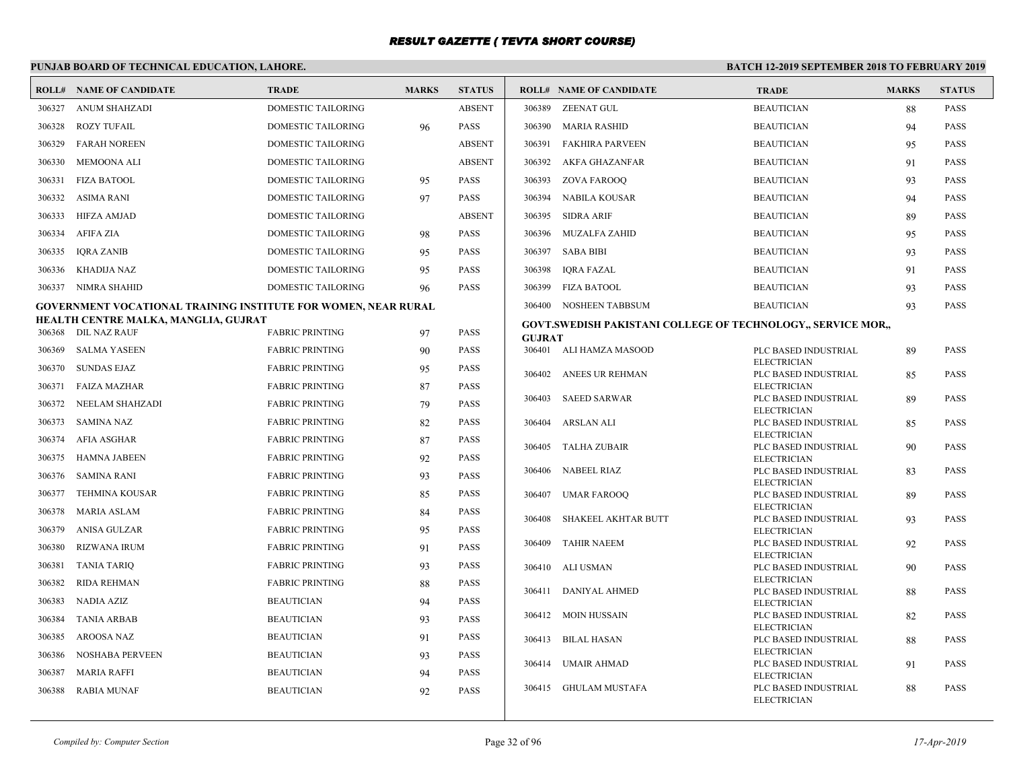|        | PUNJAB BOARD OF TECHNICAL EDUCATION, LAHORE.                          |                           |              |               | <b>BATCH 12-2019 SEPTEMBER 2018 TO FEBRUARY 2019</b> |                                                                     |                                            |              |               |  |  |
|--------|-----------------------------------------------------------------------|---------------------------|--------------|---------------|------------------------------------------------------|---------------------------------------------------------------------|--------------------------------------------|--------------|---------------|--|--|
|        | <b>ROLL# NAME OF CANDIDATE</b>                                        | <b>TRADE</b>              | <b>MARKS</b> | <b>STATUS</b> | <b>ROLL# NAME OF CANDIDATE</b>                       |                                                                     | <b>TRADE</b>                               | <b>MARKS</b> | <b>STATUS</b> |  |  |
| 306327 | <b>ANUM SHAHZADI</b>                                                  | <b>DOMESTIC TAILORING</b> |              | <b>ABSENT</b> | 306389 ZEENAT GUL                                    |                                                                     | <b>BEAUTICIAN</b>                          | 88           | <b>PASS</b>   |  |  |
| 306328 | <b>ROZY TUFAIL</b>                                                    | <b>DOMESTIC TAILORING</b> | 96           | <b>PASS</b>   | 306390 MARIA RASHID                                  |                                                                     | <b>BEAUTICIAN</b>                          | 94           | <b>PASS</b>   |  |  |
| 306329 | <b>FARAH NOREEN</b>                                                   | DOMESTIC TAILORING        |              | <b>ABSENT</b> | 306391                                               | FAKHIRA PARVEEN                                                     | <b>BEAUTICIAN</b>                          | 95           | <b>PASS</b>   |  |  |
| 306330 | <b>MEMOONA ALI</b>                                                    | DOMESTIC TAILORING        |              | <b>ABSENT</b> | 306392                                               | AKFA GHAZANFAR                                                      | <b>BEAUTICIAN</b>                          | 91           | <b>PASS</b>   |  |  |
| 306331 | <b>FIZA BATOOL</b>                                                    | DOMESTIC TAILORING        | 95           | <b>PASS</b>   | 306393                                               | ZOVA FAROOO                                                         | <b>BEAUTICIAN</b>                          | 93           | <b>PASS</b>   |  |  |
| 306332 | <b>ASIMA RANI</b>                                                     | <b>DOMESTIC TAILORING</b> | 97           | <b>PASS</b>   | 306394                                               | NABILA KOUSAR                                                       | <b>BEAUTICIAN</b>                          | 94           | <b>PASS</b>   |  |  |
| 306333 | HIFZA AMJAD                                                           | <b>DOMESTIC TAILORING</b> |              | <b>ABSENT</b> | 306395<br>SIDRA ARIF                                 |                                                                     | <b>BEAUTICIAN</b>                          | 89           | <b>PASS</b>   |  |  |
| 306334 | AFIFA ZIA                                                             | <b>DOMESTIC TAILORING</b> | 98           | <b>PASS</b>   | 306396 MUZALFA ZAHID                                 |                                                                     | <b>BEAUTICIAN</b>                          | 95           | <b>PASS</b>   |  |  |
| 306335 | IQRA ZANIB                                                            | DOMESTIC TAILORING        | 95           | <b>PASS</b>   | 306397 SABA BIBI                                     |                                                                     | <b>BEAUTICIAN</b>                          | 93           | <b>PASS</b>   |  |  |
| 306336 | KHADIJA NAZ                                                           | DOMESTIC TAILORING        | 95           | <b>PASS</b>   | 306398 IQRA FAZAL                                    |                                                                     | <b>BEAUTICIAN</b>                          | 91           | <b>PASS</b>   |  |  |
| 306337 | NIMRA SHAHID                                                          | <b>DOMESTIC TAILORING</b> | 96           | <b>PASS</b>   | 306399<br>FIZA BATOOL                                |                                                                     | <b>BEAUTICIAN</b>                          | 93           | <b>PASS</b>   |  |  |
|        | <b>GOVERNMENT VOCATIONAL TRAINING INSTITUTE FOR WOMEN, NEAR RURAL</b> |                           |              |               | 306400 NOSHEEN TABBSUM                               |                                                                     | <b>BEAUTICIAN</b>                          | 93           | <b>PASS</b>   |  |  |
|        | HEALTH CENTRE MALKA, MANGLIA, GUJRAT                                  |                           |              |               |                                                      | <b>GOVT.SWEDISH PAKISTANI COLLEGE OF TECHNOLOGY,, SERVICE MOR,,</b> |                                            |              |               |  |  |
|        | 306368 DIL NAZ RAUF                                                   | <b>FABRIC PRINTING</b>    | 97           | <b>PASS</b>   | <b>GUJRAT</b>                                        |                                                                     |                                            |              |               |  |  |
| 306369 | SALMA YASEEN                                                          | <b>FABRIC PRINTING</b>    | 90           | <b>PASS</b>   | 306401 ALI HAMZA MASOOD                              |                                                                     | PLC BASED INDUSTRIAL<br><b>ELECTRICIAN</b> | 89           | <b>PASS</b>   |  |  |
| 306370 | <b>SUNDAS EJAZ</b>                                                    | <b>FABRIC PRINTING</b>    | 95           | <b>PASS</b>   | 306402 ANEES UR REHMAN                               |                                                                     | PLC BASED INDUSTRIAL                       | 85           | <b>PASS</b>   |  |  |
| 306371 | <b>FAIZA MAZHAR</b>                                                   | <b>FABRIC PRINTING</b>    | 87           | <b>PASS</b>   | 306403 SAEED SARWAR                                  |                                                                     | <b>ELECTRICIAN</b><br>PLC BASED INDUSTRIAL | 89           | <b>PASS</b>   |  |  |
| 306372 | NEELAM SHAHZADI                                                       | <b>FABRIC PRINTING</b>    | 79           | <b>PASS</b>   |                                                      |                                                                     | <b>ELECTRICIAN</b>                         |              |               |  |  |
| 306373 | <b>SAMINA NAZ</b>                                                     | <b>FABRIC PRINTING</b>    | 82           | <b>PASS</b>   | ARSLAN ALI<br>306404                                 |                                                                     | PLC BASED INDUSTRIAL<br><b>ELECTRICIAN</b> | 85           | <b>PASS</b>   |  |  |
| 306374 | <b>AFIA ASGHAR</b>                                                    | <b>FABRIC PRINTING</b>    | 87           | <b>PASS</b>   | 306405 TALHA ZUBAIR                                  |                                                                     | PLC BASED INDUSTRIAL                       | 90           | <b>PASS</b>   |  |  |
| 306375 | HAMNA JABEEN                                                          | <b>FABRIC PRINTING</b>    | 92           | <b>PASS</b>   | 306406 NABEEL RIAZ                                   |                                                                     | <b>ELECTRICIAN</b><br>PLC BASED INDUSTRIAL | 83           | <b>PASS</b>   |  |  |
| 306376 | SAMINA RANI                                                           | <b>FABRIC PRINTING</b>    | 93           | <b>PASS</b>   |                                                      |                                                                     | <b>ELECTRICIAN</b>                         |              |               |  |  |
| 306377 | <b>TEHMINA KOUSAR</b>                                                 | <b>FABRIC PRINTING</b>    | 85           | <b>PASS</b>   | 306407 UMAR FAROOQ                                   |                                                                     | PLC BASED INDUSTRIAL<br><b>ELECTRICIAN</b> | 89           | <b>PASS</b>   |  |  |
| 306378 | <b>MARIA ASLAM</b>                                                    | <b>FABRIC PRINTING</b>    | 84           | <b>PASS</b>   | 306408                                               | SHAKEEL AKHTAR BUTT                                                 | PLC BASED INDUSTRIAL                       | 93           | <b>PASS</b>   |  |  |
| 306379 | ANISA GULZAR                                                          | <b>FABRIC PRINTING</b>    | 95           | <b>PASS</b>   | 306409<br><b>TAHIR NAEEM</b>                         |                                                                     | <b>ELECTRICIAN</b>                         |              | <b>PASS</b>   |  |  |
| 306380 | <b>RIZWANA IRUM</b>                                                   | <b>FABRIC PRINTING</b>    | 91           | <b>PASS</b>   |                                                      |                                                                     | PLC BASED INDUSTRIAL<br><b>ELECTRICIAN</b> | 92           |               |  |  |
| 306381 | <b>TANIA TARIO</b>                                                    | <b>FABRIC PRINTING</b>    | 93           | <b>PASS</b>   | 306410 ALI USMAN                                     |                                                                     | PLC BASED INDUSTRIAL                       | 90           | <b>PASS</b>   |  |  |
| 306382 | <b>RIDA REHMAN</b>                                                    | <b>FABRIC PRINTING</b>    | 88           | <b>PASS</b>   | 306411 DANIYAL AHMED                                 |                                                                     | <b>ELECTRICIAN</b><br>PLC BASED INDUSTRIAL | 88           | <b>PASS</b>   |  |  |
| 306383 | NADIA AZIZ                                                            | <b>BEAUTICIAN</b>         | 94           | <b>PASS</b>   |                                                      |                                                                     | <b>ELECTRICIAN</b>                         |              |               |  |  |
| 306384 | <b>TANIA ARBAB</b>                                                    | <b>BEAUTICIAN</b>         | 93           | <b>PASS</b>   | 306412 MOIN HUSSAIN                                  |                                                                     | PLC BASED INDUSTRIAL<br><b>ELECTRICIAN</b> | 82           | <b>PASS</b>   |  |  |
| 306385 | <b>AROOSA NAZ</b>                                                     | <b>BEAUTICIAN</b>         | 91           | <b>PASS</b>   | 306413 BILAL HASAN                                   |                                                                     | PLC BASED INDUSTRIAL                       | 88           | <b>PASS</b>   |  |  |
| 306386 | <b>NOSHABA PERVEEN</b>                                                | <b>BEAUTICIAN</b>         | 93           | <b>PASS</b>   | 306414 UMAIR AHMAD                                   |                                                                     | <b>ELECTRICIAN</b><br>PLC BASED INDUSTRIAL | 91           | <b>PASS</b>   |  |  |
| 306387 | <b>MARIA RAFFI</b>                                                    | <b>BEAUTICIAN</b>         | 94           | <b>PASS</b>   |                                                      |                                                                     | <b>ELECTRICIAN</b>                         |              |               |  |  |
| 306388 | RABIA MUNAF                                                           | <b>BEAUTICIAN</b>         | 92           | <b>PASS</b>   | 306415 GHULAM MUSTAFA                                |                                                                     | PLC BASED INDUSTRIAL<br><b>ELECTRICIAN</b> | 88           | <b>PASS</b>   |  |  |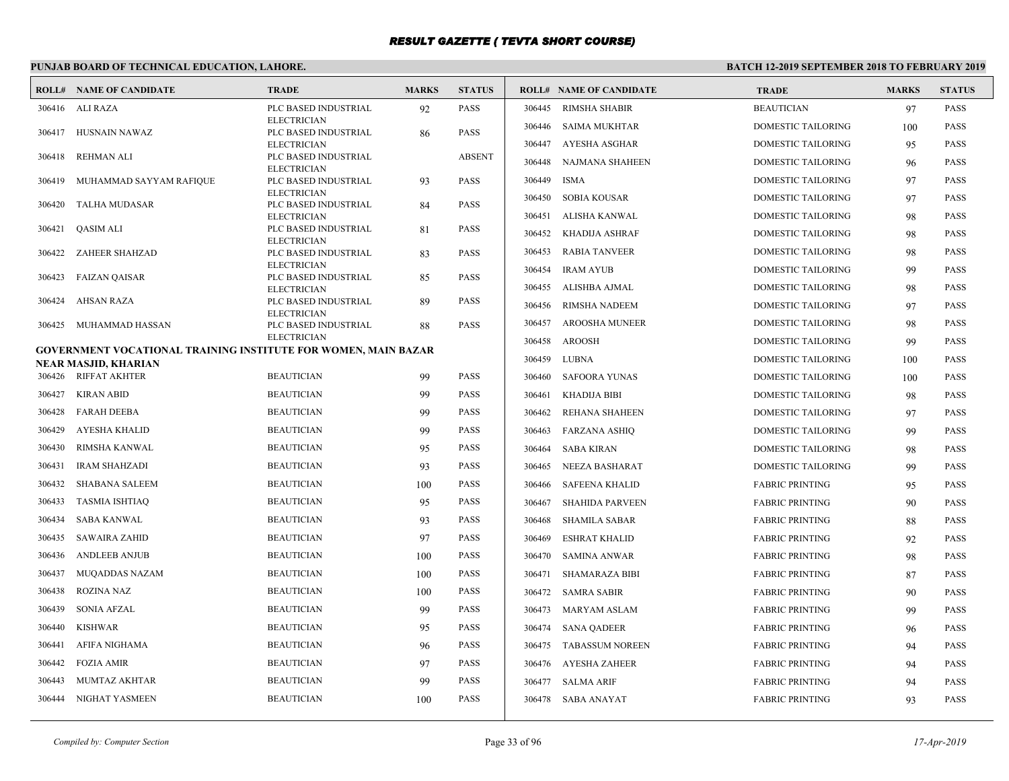# **PUNJAB BOARD OF TECHNICAL EDUCATION, LAHORE.**

| 306416 ALI RAZA<br>PLC BASED INDUSTRIAL<br>92<br><b>PASS</b><br>306445<br>RIMSHA SHABIR<br><b>BEAUTICIAN</b><br>97<br><b>PASS</b><br><b>ELECTRICIAN</b><br>306446 SAIMA MUKHTAR<br>DOMESTIC TAILORING<br>100<br><b>PASS</b><br><b>PASS</b><br>HUSNAIN NAWAZ<br>PLC BASED INDUSTRIAL<br>306417<br>86<br>AYESHA ASGHAR<br><b>ELECTRICIAN</b><br>306447<br>DOMESTIC TAILORING<br><b>PASS</b><br>95<br><b>REHMAN ALI</b><br>PLC BASED INDUSTRIAL<br><b>ABSENT</b><br>306418<br>NAJMANA SHAHEEN<br>DOMESTIC TAILORING<br><b>PASS</b><br>306448<br>96<br><b>ELECTRICIAN</b><br>306449<br><b>ISMA</b><br>DOMESTIC TAILORING<br><b>PASS</b><br>MUHAMMAD SAYYAM RAFIQUE<br><b>PASS</b><br>97<br>306419<br>PLC BASED INDUSTRIAL<br>93<br><b>ELECTRICIAN</b><br><b>SOBIA KOUSAR</b><br>306450<br>DOMESTIC TAILORING<br>97<br><b>PASS</b><br>PASS<br>306420<br><b>TALHA MUDASAR</b><br>PLC BASED INDUSTRIAL<br>84<br>ALISHA KANWAL<br>306451<br>DOMESTIC TAILORING<br><b>PASS</b><br>98<br><b>ELECTRICIAN</b><br><b>PASS</b><br>306421<br><b>QASIM ALI</b><br>PLC BASED INDUSTRIAL<br>81<br><b>KHADIJA ASHRAF</b><br>DOMESTIC TAILORING<br>PASS<br>306452<br>98<br><b>ELECTRICIAN</b><br><b>RABIA TANVEER</b><br>DOMESTIC TAILORING<br><b>PASS</b><br>306453<br>98<br><b>PASS</b><br>306422<br><b>ZAHEER SHAHZAD</b><br>PLC BASED INDUSTRIAL<br>83<br><b>ELECTRICIAN</b><br>306454<br><b>IRAM AYUB</b><br>DOMESTIC TAILORING<br><b>PASS</b><br>99<br>306423<br>FAIZAN QAISAR<br>PLC BASED INDUSTRIAL<br><b>PASS</b><br>85<br>306455<br>ALISHBA AJMAL<br>DOMESTIC TAILORING<br>98<br><b>PASS</b><br><b>ELECTRICIAN</b><br><b>PASS</b><br>306424<br>AHSAN RAZA<br>PLC BASED INDUSTRIAL<br>89<br><b>RIMSHA NADEEM</b><br>DOMESTIC TAILORING<br>PASS<br>306456<br>97<br><b>ELECTRICIAN</b><br><b>AROOSHA MUNEER</b><br>DOMESTIC TAILORING<br><b>PASS</b><br>306457<br>98<br>MUHAMMAD HASSAN<br>PLC BASED INDUSTRIAL<br><b>PASS</b><br>306425<br>88<br><b>ELECTRICIAN</b><br>306458<br>AROOSH<br>DOMESTIC TAILORING<br><b>PASS</b><br>99<br><b>GOVERNMENT VOCATIONAL TRAINING INSTITUTE FOR WOMEN, MAIN BAZAR</b><br><b>LUBNA</b><br>306459<br>DOMESTIC TAILORING<br>100<br><b>PASS</b><br>NEAR MASJID. KHARIAN<br><b>BEAUTICIAN</b><br><b>PASS</b><br>306426 RIFFAT AKHTER<br>99<br><b>SAFOORA YUNAS</b><br>306460<br>DOMESTIC TAILORING<br><b>PASS</b><br>100<br><b>BEAUTICIAN</b><br>306427<br>KIRAN ABID<br>99<br><b>PASS</b><br><b>KHADIJA BIBI</b><br>DOMESTIC TAILORING<br><b>PASS</b><br>306461<br>98<br><b>FARAH DEEBA</b><br><b>BEAUTICIAN</b><br><b>PASS</b><br>306428<br>99<br><b>REHANA SHAHEEN</b><br>DOMESTIC TAILORING<br>306462<br>PASS<br>97<br><b>AYESHA KHALID</b><br><b>BEAUTICIAN</b><br>99<br><b>PASS</b><br>306429<br>306463<br><b>FARZANA ASHIQ</b><br>DOMESTIC TAILORING<br>99<br><b>PASS</b><br>306430<br>RIMSHA KANWAL<br><b>BEAUTICIAN</b><br><b>PASS</b><br>95<br>306464<br><b>SABA KIRAN</b><br>DOMESTIC TAILORING<br><b>PASS</b><br>98<br>PASS<br><b>IRAM SHAHZADI</b><br><b>BEAUTICIAN</b><br>93<br>306431<br>306465<br>NEEZA BASHARAT<br>DOMESTIC TAILORING<br>99<br>PASS<br><b>PASS</b><br>306432<br><b>SHABANA SALEEM</b><br><b>BEAUTICIAN</b><br>100<br><b>SAFEENA KHALID</b><br><b>FABRIC PRINTING</b><br><b>PASS</b><br>306466<br>95<br><b>TASMIA ISHTIAQ</b><br><b>BEAUTICIAN</b><br><b>PASS</b><br>306433<br>95<br><b>SHAHIDA PARVEEN</b><br><b>FABRIC PRINTING</b><br><b>PASS</b><br>306467<br>90<br><b>SABA KANWAL</b><br><b>BEAUTICIAN</b><br><b>PASS</b><br>306434<br>93<br>306468<br><b>SHAMILA SABAR</b><br><b>FABRIC PRINTING</b><br>88<br><b>PASS</b><br><b>SAWAIRA ZAHID</b><br><b>BEAUTICIAN</b><br>PASS<br>306435<br>97<br>306469<br><b>ESHRAT KHALID</b><br><b>FABRIC PRINTING</b><br><b>PASS</b><br>92<br><b>BEAUTICIAN</b><br>306436<br><b>ANDLEEB ANJUB</b><br><b>PASS</b><br>100<br>306470<br><b>SAMINA ANWAR</b><br><b>FABRIC PRINTING</b><br>98<br><b>PASS</b><br>100<br><b>PASS</b><br>306437<br><b>MUQADDAS NAZAM</b><br><b>BEAUTICIAN</b><br><b>FABRIC PRINTING</b><br><b>PASS</b><br>306471<br>SHAMARAZA BIBI<br>87<br><b>ROZINA NAZ</b><br><b>BEAUTICIAN</b><br><b>PASS</b><br>306438<br>100<br>306472<br><b>SAMRA SABIR</b><br><b>FABRIC PRINTING</b><br>90<br><b>PASS</b><br><b>SONIA AFZAL</b><br><b>BEAUTICIAN</b><br><b>PASS</b><br>306439<br>99<br>306473<br>MARYAM ASLAM<br><b>FABRIC PRINTING</b><br><b>PASS</b><br>99<br>PASS<br>306440<br><b>KISHWAR</b><br><b>BEAUTICIAN</b><br>95<br>306474<br><b>SANA QADEER</b><br><b>FABRIC PRINTING</b><br>96<br>PASS<br><b>BEAUTICIAN</b><br><b>PASS</b><br>AFIFA NIGHAMA<br>306441<br>96<br><b>TABASSUM NOREEN</b><br><b>FABRIC PRINTING</b><br><b>PASS</b><br>306475<br>94<br><b>FOZIA AMIR</b><br><b>BEAUTICIAN</b><br>97<br><b>PASS</b><br>306442<br>306476 AYESHA ZAHEER<br><b>FABRIC PRINTING</b><br>94<br>PASS |        | <b>ROLL# NAME OF CANDIDATE</b> | <b>TRADE</b>      | <b>MARKS</b> | <b>STATUS</b> |        | <b>ROLL# NAME OF CANDIDATE</b> | <b>TRADE</b>           | <b>MARKS</b> | <b>STATUS</b> |
|-----------------------------------------------------------------------------------------------------------------------------------------------------------------------------------------------------------------------------------------------------------------------------------------------------------------------------------------------------------------------------------------------------------------------------------------------------------------------------------------------------------------------------------------------------------------------------------------------------------------------------------------------------------------------------------------------------------------------------------------------------------------------------------------------------------------------------------------------------------------------------------------------------------------------------------------------------------------------------------------------------------------------------------------------------------------------------------------------------------------------------------------------------------------------------------------------------------------------------------------------------------------------------------------------------------------------------------------------------------------------------------------------------------------------------------------------------------------------------------------------------------------------------------------------------------------------------------------------------------------------------------------------------------------------------------------------------------------------------------------------------------------------------------------------------------------------------------------------------------------------------------------------------------------------------------------------------------------------------------------------------------------------------------------------------------------------------------------------------------------------------------------------------------------------------------------------------------------------------------------------------------------------------------------------------------------------------------------------------------------------------------------------------------------------------------------------------------------------------------------------------------------------------------------------------------------------------------------------------------------------------------------------------------------------------------------------------------------------------------------------------------------------------------------------------------------------------------------------------------------------------------------------------------------------------------------------------------------------------------------------------------------------------------------------------------------------------------------------------------------------------------------------------------------------------------------------------------------------------------------------------------------------------------------------------------------------------------------------------------------------------------------------------------------------------------------------------------------------------------------------------------------------------------------------------------------------------------------------------------------------------------------------------------------------------------------------------------------------------------------------------------------------------------------------------------------------------------------------------------------------------------------------------------------------------------------------------------------------------------------------------------------------------------------------------------------------------------------------------------------------------------------------------------------------------------------------------------------------------------------------------------------------------------------------------------------------------------------------------------------------------------------------------------------------------------------------------------------------------------------------------------------------------------------------------------------------------------------------------------------------------------------------------------------------------------------------------------------------------------------------------------------------------------------------------------------------|--------|--------------------------------|-------------------|--------------|---------------|--------|--------------------------------|------------------------|--------------|---------------|
|                                                                                                                                                                                                                                                                                                                                                                                                                                                                                                                                                                                                                                                                                                                                                                                                                                                                                                                                                                                                                                                                                                                                                                                                                                                                                                                                                                                                                                                                                                                                                                                                                                                                                                                                                                                                                                                                                                                                                                                                                                                                                                                                                                                                                                                                                                                                                                                                                                                                                                                                                                                                                                                                                                                                                                                                                                                                                                                                                                                                                                                                                                                                                                                                                                                                                                                                                                                                                                                                                                                                                                                                                                                                                                                                                                                                                                                                                                                                                                                                                                                                                                                                                                                                                                                                                                                                                                                                                                                                                                                                                                                                                                                                                                                                                                                                                       |        |                                |                   |              |               |        |                                |                        |              |               |
|                                                                                                                                                                                                                                                                                                                                                                                                                                                                                                                                                                                                                                                                                                                                                                                                                                                                                                                                                                                                                                                                                                                                                                                                                                                                                                                                                                                                                                                                                                                                                                                                                                                                                                                                                                                                                                                                                                                                                                                                                                                                                                                                                                                                                                                                                                                                                                                                                                                                                                                                                                                                                                                                                                                                                                                                                                                                                                                                                                                                                                                                                                                                                                                                                                                                                                                                                                                                                                                                                                                                                                                                                                                                                                                                                                                                                                                                                                                                                                                                                                                                                                                                                                                                                                                                                                                                                                                                                                                                                                                                                                                                                                                                                                                                                                                                                       |        |                                |                   |              |               |        |                                |                        |              |               |
|                                                                                                                                                                                                                                                                                                                                                                                                                                                                                                                                                                                                                                                                                                                                                                                                                                                                                                                                                                                                                                                                                                                                                                                                                                                                                                                                                                                                                                                                                                                                                                                                                                                                                                                                                                                                                                                                                                                                                                                                                                                                                                                                                                                                                                                                                                                                                                                                                                                                                                                                                                                                                                                                                                                                                                                                                                                                                                                                                                                                                                                                                                                                                                                                                                                                                                                                                                                                                                                                                                                                                                                                                                                                                                                                                                                                                                                                                                                                                                                                                                                                                                                                                                                                                                                                                                                                                                                                                                                                                                                                                                                                                                                                                                                                                                                                                       |        |                                |                   |              |               |        |                                |                        |              |               |
|                                                                                                                                                                                                                                                                                                                                                                                                                                                                                                                                                                                                                                                                                                                                                                                                                                                                                                                                                                                                                                                                                                                                                                                                                                                                                                                                                                                                                                                                                                                                                                                                                                                                                                                                                                                                                                                                                                                                                                                                                                                                                                                                                                                                                                                                                                                                                                                                                                                                                                                                                                                                                                                                                                                                                                                                                                                                                                                                                                                                                                                                                                                                                                                                                                                                                                                                                                                                                                                                                                                                                                                                                                                                                                                                                                                                                                                                                                                                                                                                                                                                                                                                                                                                                                                                                                                                                                                                                                                                                                                                                                                                                                                                                                                                                                                                                       |        |                                |                   |              |               |        |                                |                        |              |               |
|                                                                                                                                                                                                                                                                                                                                                                                                                                                                                                                                                                                                                                                                                                                                                                                                                                                                                                                                                                                                                                                                                                                                                                                                                                                                                                                                                                                                                                                                                                                                                                                                                                                                                                                                                                                                                                                                                                                                                                                                                                                                                                                                                                                                                                                                                                                                                                                                                                                                                                                                                                                                                                                                                                                                                                                                                                                                                                                                                                                                                                                                                                                                                                                                                                                                                                                                                                                                                                                                                                                                                                                                                                                                                                                                                                                                                                                                                                                                                                                                                                                                                                                                                                                                                                                                                                                                                                                                                                                                                                                                                                                                                                                                                                                                                                                                                       |        |                                |                   |              |               |        |                                |                        |              |               |
|                                                                                                                                                                                                                                                                                                                                                                                                                                                                                                                                                                                                                                                                                                                                                                                                                                                                                                                                                                                                                                                                                                                                                                                                                                                                                                                                                                                                                                                                                                                                                                                                                                                                                                                                                                                                                                                                                                                                                                                                                                                                                                                                                                                                                                                                                                                                                                                                                                                                                                                                                                                                                                                                                                                                                                                                                                                                                                                                                                                                                                                                                                                                                                                                                                                                                                                                                                                                                                                                                                                                                                                                                                                                                                                                                                                                                                                                                                                                                                                                                                                                                                                                                                                                                                                                                                                                                                                                                                                                                                                                                                                                                                                                                                                                                                                                                       |        |                                |                   |              |               |        |                                |                        |              |               |
|                                                                                                                                                                                                                                                                                                                                                                                                                                                                                                                                                                                                                                                                                                                                                                                                                                                                                                                                                                                                                                                                                                                                                                                                                                                                                                                                                                                                                                                                                                                                                                                                                                                                                                                                                                                                                                                                                                                                                                                                                                                                                                                                                                                                                                                                                                                                                                                                                                                                                                                                                                                                                                                                                                                                                                                                                                                                                                                                                                                                                                                                                                                                                                                                                                                                                                                                                                                                                                                                                                                                                                                                                                                                                                                                                                                                                                                                                                                                                                                                                                                                                                                                                                                                                                                                                                                                                                                                                                                                                                                                                                                                                                                                                                                                                                                                                       |        |                                |                   |              |               |        |                                |                        |              |               |
|                                                                                                                                                                                                                                                                                                                                                                                                                                                                                                                                                                                                                                                                                                                                                                                                                                                                                                                                                                                                                                                                                                                                                                                                                                                                                                                                                                                                                                                                                                                                                                                                                                                                                                                                                                                                                                                                                                                                                                                                                                                                                                                                                                                                                                                                                                                                                                                                                                                                                                                                                                                                                                                                                                                                                                                                                                                                                                                                                                                                                                                                                                                                                                                                                                                                                                                                                                                                                                                                                                                                                                                                                                                                                                                                                                                                                                                                                                                                                                                                                                                                                                                                                                                                                                                                                                                                                                                                                                                                                                                                                                                                                                                                                                                                                                                                                       |        |                                |                   |              |               |        |                                |                        |              |               |
|                                                                                                                                                                                                                                                                                                                                                                                                                                                                                                                                                                                                                                                                                                                                                                                                                                                                                                                                                                                                                                                                                                                                                                                                                                                                                                                                                                                                                                                                                                                                                                                                                                                                                                                                                                                                                                                                                                                                                                                                                                                                                                                                                                                                                                                                                                                                                                                                                                                                                                                                                                                                                                                                                                                                                                                                                                                                                                                                                                                                                                                                                                                                                                                                                                                                                                                                                                                                                                                                                                                                                                                                                                                                                                                                                                                                                                                                                                                                                                                                                                                                                                                                                                                                                                                                                                                                                                                                                                                                                                                                                                                                                                                                                                                                                                                                                       |        |                                |                   |              |               |        |                                |                        |              |               |
|                                                                                                                                                                                                                                                                                                                                                                                                                                                                                                                                                                                                                                                                                                                                                                                                                                                                                                                                                                                                                                                                                                                                                                                                                                                                                                                                                                                                                                                                                                                                                                                                                                                                                                                                                                                                                                                                                                                                                                                                                                                                                                                                                                                                                                                                                                                                                                                                                                                                                                                                                                                                                                                                                                                                                                                                                                                                                                                                                                                                                                                                                                                                                                                                                                                                                                                                                                                                                                                                                                                                                                                                                                                                                                                                                                                                                                                                                                                                                                                                                                                                                                                                                                                                                                                                                                                                                                                                                                                                                                                                                                                                                                                                                                                                                                                                                       |        |                                |                   |              |               |        |                                |                        |              |               |
|                                                                                                                                                                                                                                                                                                                                                                                                                                                                                                                                                                                                                                                                                                                                                                                                                                                                                                                                                                                                                                                                                                                                                                                                                                                                                                                                                                                                                                                                                                                                                                                                                                                                                                                                                                                                                                                                                                                                                                                                                                                                                                                                                                                                                                                                                                                                                                                                                                                                                                                                                                                                                                                                                                                                                                                                                                                                                                                                                                                                                                                                                                                                                                                                                                                                                                                                                                                                                                                                                                                                                                                                                                                                                                                                                                                                                                                                                                                                                                                                                                                                                                                                                                                                                                                                                                                                                                                                                                                                                                                                                                                                                                                                                                                                                                                                                       |        |                                |                   |              |               |        |                                |                        |              |               |
|                                                                                                                                                                                                                                                                                                                                                                                                                                                                                                                                                                                                                                                                                                                                                                                                                                                                                                                                                                                                                                                                                                                                                                                                                                                                                                                                                                                                                                                                                                                                                                                                                                                                                                                                                                                                                                                                                                                                                                                                                                                                                                                                                                                                                                                                                                                                                                                                                                                                                                                                                                                                                                                                                                                                                                                                                                                                                                                                                                                                                                                                                                                                                                                                                                                                                                                                                                                                                                                                                                                                                                                                                                                                                                                                                                                                                                                                                                                                                                                                                                                                                                                                                                                                                                                                                                                                                                                                                                                                                                                                                                                                                                                                                                                                                                                                                       |        |                                |                   |              |               |        |                                |                        |              |               |
|                                                                                                                                                                                                                                                                                                                                                                                                                                                                                                                                                                                                                                                                                                                                                                                                                                                                                                                                                                                                                                                                                                                                                                                                                                                                                                                                                                                                                                                                                                                                                                                                                                                                                                                                                                                                                                                                                                                                                                                                                                                                                                                                                                                                                                                                                                                                                                                                                                                                                                                                                                                                                                                                                                                                                                                                                                                                                                                                                                                                                                                                                                                                                                                                                                                                                                                                                                                                                                                                                                                                                                                                                                                                                                                                                                                                                                                                                                                                                                                                                                                                                                                                                                                                                                                                                                                                                                                                                                                                                                                                                                                                                                                                                                                                                                                                                       |        |                                |                   |              |               |        |                                |                        |              |               |
|                                                                                                                                                                                                                                                                                                                                                                                                                                                                                                                                                                                                                                                                                                                                                                                                                                                                                                                                                                                                                                                                                                                                                                                                                                                                                                                                                                                                                                                                                                                                                                                                                                                                                                                                                                                                                                                                                                                                                                                                                                                                                                                                                                                                                                                                                                                                                                                                                                                                                                                                                                                                                                                                                                                                                                                                                                                                                                                                                                                                                                                                                                                                                                                                                                                                                                                                                                                                                                                                                                                                                                                                                                                                                                                                                                                                                                                                                                                                                                                                                                                                                                                                                                                                                                                                                                                                                                                                                                                                                                                                                                                                                                                                                                                                                                                                                       |        |                                |                   |              |               |        |                                |                        |              |               |
|                                                                                                                                                                                                                                                                                                                                                                                                                                                                                                                                                                                                                                                                                                                                                                                                                                                                                                                                                                                                                                                                                                                                                                                                                                                                                                                                                                                                                                                                                                                                                                                                                                                                                                                                                                                                                                                                                                                                                                                                                                                                                                                                                                                                                                                                                                                                                                                                                                                                                                                                                                                                                                                                                                                                                                                                                                                                                                                                                                                                                                                                                                                                                                                                                                                                                                                                                                                                                                                                                                                                                                                                                                                                                                                                                                                                                                                                                                                                                                                                                                                                                                                                                                                                                                                                                                                                                                                                                                                                                                                                                                                                                                                                                                                                                                                                                       |        |                                |                   |              |               |        |                                |                        |              |               |
|                                                                                                                                                                                                                                                                                                                                                                                                                                                                                                                                                                                                                                                                                                                                                                                                                                                                                                                                                                                                                                                                                                                                                                                                                                                                                                                                                                                                                                                                                                                                                                                                                                                                                                                                                                                                                                                                                                                                                                                                                                                                                                                                                                                                                                                                                                                                                                                                                                                                                                                                                                                                                                                                                                                                                                                                                                                                                                                                                                                                                                                                                                                                                                                                                                                                                                                                                                                                                                                                                                                                                                                                                                                                                                                                                                                                                                                                                                                                                                                                                                                                                                                                                                                                                                                                                                                                                                                                                                                                                                                                                                                                                                                                                                                                                                                                                       |        |                                |                   |              |               |        |                                |                        |              |               |
|                                                                                                                                                                                                                                                                                                                                                                                                                                                                                                                                                                                                                                                                                                                                                                                                                                                                                                                                                                                                                                                                                                                                                                                                                                                                                                                                                                                                                                                                                                                                                                                                                                                                                                                                                                                                                                                                                                                                                                                                                                                                                                                                                                                                                                                                                                                                                                                                                                                                                                                                                                                                                                                                                                                                                                                                                                                                                                                                                                                                                                                                                                                                                                                                                                                                                                                                                                                                                                                                                                                                                                                                                                                                                                                                                                                                                                                                                                                                                                                                                                                                                                                                                                                                                                                                                                                                                                                                                                                                                                                                                                                                                                                                                                                                                                                                                       |        |                                |                   |              |               |        |                                |                        |              |               |
|                                                                                                                                                                                                                                                                                                                                                                                                                                                                                                                                                                                                                                                                                                                                                                                                                                                                                                                                                                                                                                                                                                                                                                                                                                                                                                                                                                                                                                                                                                                                                                                                                                                                                                                                                                                                                                                                                                                                                                                                                                                                                                                                                                                                                                                                                                                                                                                                                                                                                                                                                                                                                                                                                                                                                                                                                                                                                                                                                                                                                                                                                                                                                                                                                                                                                                                                                                                                                                                                                                                                                                                                                                                                                                                                                                                                                                                                                                                                                                                                                                                                                                                                                                                                                                                                                                                                                                                                                                                                                                                                                                                                                                                                                                                                                                                                                       |        |                                |                   |              |               |        |                                |                        |              |               |
|                                                                                                                                                                                                                                                                                                                                                                                                                                                                                                                                                                                                                                                                                                                                                                                                                                                                                                                                                                                                                                                                                                                                                                                                                                                                                                                                                                                                                                                                                                                                                                                                                                                                                                                                                                                                                                                                                                                                                                                                                                                                                                                                                                                                                                                                                                                                                                                                                                                                                                                                                                                                                                                                                                                                                                                                                                                                                                                                                                                                                                                                                                                                                                                                                                                                                                                                                                                                                                                                                                                                                                                                                                                                                                                                                                                                                                                                                                                                                                                                                                                                                                                                                                                                                                                                                                                                                                                                                                                                                                                                                                                                                                                                                                                                                                                                                       |        |                                |                   |              |               |        |                                |                        |              |               |
|                                                                                                                                                                                                                                                                                                                                                                                                                                                                                                                                                                                                                                                                                                                                                                                                                                                                                                                                                                                                                                                                                                                                                                                                                                                                                                                                                                                                                                                                                                                                                                                                                                                                                                                                                                                                                                                                                                                                                                                                                                                                                                                                                                                                                                                                                                                                                                                                                                                                                                                                                                                                                                                                                                                                                                                                                                                                                                                                                                                                                                                                                                                                                                                                                                                                                                                                                                                                                                                                                                                                                                                                                                                                                                                                                                                                                                                                                                                                                                                                                                                                                                                                                                                                                                                                                                                                                                                                                                                                                                                                                                                                                                                                                                                                                                                                                       |        |                                |                   |              |               |        |                                |                        |              |               |
|                                                                                                                                                                                                                                                                                                                                                                                                                                                                                                                                                                                                                                                                                                                                                                                                                                                                                                                                                                                                                                                                                                                                                                                                                                                                                                                                                                                                                                                                                                                                                                                                                                                                                                                                                                                                                                                                                                                                                                                                                                                                                                                                                                                                                                                                                                                                                                                                                                                                                                                                                                                                                                                                                                                                                                                                                                                                                                                                                                                                                                                                                                                                                                                                                                                                                                                                                                                                                                                                                                                                                                                                                                                                                                                                                                                                                                                                                                                                                                                                                                                                                                                                                                                                                                                                                                                                                                                                                                                                                                                                                                                                                                                                                                                                                                                                                       |        |                                |                   |              |               |        |                                |                        |              |               |
|                                                                                                                                                                                                                                                                                                                                                                                                                                                                                                                                                                                                                                                                                                                                                                                                                                                                                                                                                                                                                                                                                                                                                                                                                                                                                                                                                                                                                                                                                                                                                                                                                                                                                                                                                                                                                                                                                                                                                                                                                                                                                                                                                                                                                                                                                                                                                                                                                                                                                                                                                                                                                                                                                                                                                                                                                                                                                                                                                                                                                                                                                                                                                                                                                                                                                                                                                                                                                                                                                                                                                                                                                                                                                                                                                                                                                                                                                                                                                                                                                                                                                                                                                                                                                                                                                                                                                                                                                                                                                                                                                                                                                                                                                                                                                                                                                       |        |                                |                   |              |               |        |                                |                        |              |               |
|                                                                                                                                                                                                                                                                                                                                                                                                                                                                                                                                                                                                                                                                                                                                                                                                                                                                                                                                                                                                                                                                                                                                                                                                                                                                                                                                                                                                                                                                                                                                                                                                                                                                                                                                                                                                                                                                                                                                                                                                                                                                                                                                                                                                                                                                                                                                                                                                                                                                                                                                                                                                                                                                                                                                                                                                                                                                                                                                                                                                                                                                                                                                                                                                                                                                                                                                                                                                                                                                                                                                                                                                                                                                                                                                                                                                                                                                                                                                                                                                                                                                                                                                                                                                                                                                                                                                                                                                                                                                                                                                                                                                                                                                                                                                                                                                                       |        |                                |                   |              |               |        |                                |                        |              |               |
|                                                                                                                                                                                                                                                                                                                                                                                                                                                                                                                                                                                                                                                                                                                                                                                                                                                                                                                                                                                                                                                                                                                                                                                                                                                                                                                                                                                                                                                                                                                                                                                                                                                                                                                                                                                                                                                                                                                                                                                                                                                                                                                                                                                                                                                                                                                                                                                                                                                                                                                                                                                                                                                                                                                                                                                                                                                                                                                                                                                                                                                                                                                                                                                                                                                                                                                                                                                                                                                                                                                                                                                                                                                                                                                                                                                                                                                                                                                                                                                                                                                                                                                                                                                                                                                                                                                                                                                                                                                                                                                                                                                                                                                                                                                                                                                                                       |        |                                |                   |              |               |        |                                |                        |              |               |
|                                                                                                                                                                                                                                                                                                                                                                                                                                                                                                                                                                                                                                                                                                                                                                                                                                                                                                                                                                                                                                                                                                                                                                                                                                                                                                                                                                                                                                                                                                                                                                                                                                                                                                                                                                                                                                                                                                                                                                                                                                                                                                                                                                                                                                                                                                                                                                                                                                                                                                                                                                                                                                                                                                                                                                                                                                                                                                                                                                                                                                                                                                                                                                                                                                                                                                                                                                                                                                                                                                                                                                                                                                                                                                                                                                                                                                                                                                                                                                                                                                                                                                                                                                                                                                                                                                                                                                                                                                                                                                                                                                                                                                                                                                                                                                                                                       |        |                                |                   |              |               |        |                                |                        |              |               |
|                                                                                                                                                                                                                                                                                                                                                                                                                                                                                                                                                                                                                                                                                                                                                                                                                                                                                                                                                                                                                                                                                                                                                                                                                                                                                                                                                                                                                                                                                                                                                                                                                                                                                                                                                                                                                                                                                                                                                                                                                                                                                                                                                                                                                                                                                                                                                                                                                                                                                                                                                                                                                                                                                                                                                                                                                                                                                                                                                                                                                                                                                                                                                                                                                                                                                                                                                                                                                                                                                                                                                                                                                                                                                                                                                                                                                                                                                                                                                                                                                                                                                                                                                                                                                                                                                                                                                                                                                                                                                                                                                                                                                                                                                                                                                                                                                       |        |                                |                   |              |               |        |                                |                        |              |               |
|                                                                                                                                                                                                                                                                                                                                                                                                                                                                                                                                                                                                                                                                                                                                                                                                                                                                                                                                                                                                                                                                                                                                                                                                                                                                                                                                                                                                                                                                                                                                                                                                                                                                                                                                                                                                                                                                                                                                                                                                                                                                                                                                                                                                                                                                                                                                                                                                                                                                                                                                                                                                                                                                                                                                                                                                                                                                                                                                                                                                                                                                                                                                                                                                                                                                                                                                                                                                                                                                                                                                                                                                                                                                                                                                                                                                                                                                                                                                                                                                                                                                                                                                                                                                                                                                                                                                                                                                                                                                                                                                                                                                                                                                                                                                                                                                                       |        |                                |                   |              |               |        |                                |                        |              |               |
|                                                                                                                                                                                                                                                                                                                                                                                                                                                                                                                                                                                                                                                                                                                                                                                                                                                                                                                                                                                                                                                                                                                                                                                                                                                                                                                                                                                                                                                                                                                                                                                                                                                                                                                                                                                                                                                                                                                                                                                                                                                                                                                                                                                                                                                                                                                                                                                                                                                                                                                                                                                                                                                                                                                                                                                                                                                                                                                                                                                                                                                                                                                                                                                                                                                                                                                                                                                                                                                                                                                                                                                                                                                                                                                                                                                                                                                                                                                                                                                                                                                                                                                                                                                                                                                                                                                                                                                                                                                                                                                                                                                                                                                                                                                                                                                                                       |        |                                |                   |              |               |        |                                |                        |              |               |
|                                                                                                                                                                                                                                                                                                                                                                                                                                                                                                                                                                                                                                                                                                                                                                                                                                                                                                                                                                                                                                                                                                                                                                                                                                                                                                                                                                                                                                                                                                                                                                                                                                                                                                                                                                                                                                                                                                                                                                                                                                                                                                                                                                                                                                                                                                                                                                                                                                                                                                                                                                                                                                                                                                                                                                                                                                                                                                                                                                                                                                                                                                                                                                                                                                                                                                                                                                                                                                                                                                                                                                                                                                                                                                                                                                                                                                                                                                                                                                                                                                                                                                                                                                                                                                                                                                                                                                                                                                                                                                                                                                                                                                                                                                                                                                                                                       |        |                                |                   |              |               |        |                                |                        |              |               |
|                                                                                                                                                                                                                                                                                                                                                                                                                                                                                                                                                                                                                                                                                                                                                                                                                                                                                                                                                                                                                                                                                                                                                                                                                                                                                                                                                                                                                                                                                                                                                                                                                                                                                                                                                                                                                                                                                                                                                                                                                                                                                                                                                                                                                                                                                                                                                                                                                                                                                                                                                                                                                                                                                                                                                                                                                                                                                                                                                                                                                                                                                                                                                                                                                                                                                                                                                                                                                                                                                                                                                                                                                                                                                                                                                                                                                                                                                                                                                                                                                                                                                                                                                                                                                                                                                                                                                                                                                                                                                                                                                                                                                                                                                                                                                                                                                       |        |                                |                   |              |               |        |                                |                        |              |               |
|                                                                                                                                                                                                                                                                                                                                                                                                                                                                                                                                                                                                                                                                                                                                                                                                                                                                                                                                                                                                                                                                                                                                                                                                                                                                                                                                                                                                                                                                                                                                                                                                                                                                                                                                                                                                                                                                                                                                                                                                                                                                                                                                                                                                                                                                                                                                                                                                                                                                                                                                                                                                                                                                                                                                                                                                                                                                                                                                                                                                                                                                                                                                                                                                                                                                                                                                                                                                                                                                                                                                                                                                                                                                                                                                                                                                                                                                                                                                                                                                                                                                                                                                                                                                                                                                                                                                                                                                                                                                                                                                                                                                                                                                                                                                                                                                                       |        |                                |                   |              |               |        |                                |                        |              |               |
|                                                                                                                                                                                                                                                                                                                                                                                                                                                                                                                                                                                                                                                                                                                                                                                                                                                                                                                                                                                                                                                                                                                                                                                                                                                                                                                                                                                                                                                                                                                                                                                                                                                                                                                                                                                                                                                                                                                                                                                                                                                                                                                                                                                                                                                                                                                                                                                                                                                                                                                                                                                                                                                                                                                                                                                                                                                                                                                                                                                                                                                                                                                                                                                                                                                                                                                                                                                                                                                                                                                                                                                                                                                                                                                                                                                                                                                                                                                                                                                                                                                                                                                                                                                                                                                                                                                                                                                                                                                                                                                                                                                                                                                                                                                                                                                                                       |        |                                |                   |              |               |        |                                |                        |              |               |
|                                                                                                                                                                                                                                                                                                                                                                                                                                                                                                                                                                                                                                                                                                                                                                                                                                                                                                                                                                                                                                                                                                                                                                                                                                                                                                                                                                                                                                                                                                                                                                                                                                                                                                                                                                                                                                                                                                                                                                                                                                                                                                                                                                                                                                                                                                                                                                                                                                                                                                                                                                                                                                                                                                                                                                                                                                                                                                                                                                                                                                                                                                                                                                                                                                                                                                                                                                                                                                                                                                                                                                                                                                                                                                                                                                                                                                                                                                                                                                                                                                                                                                                                                                                                                                                                                                                                                                                                                                                                                                                                                                                                                                                                                                                                                                                                                       | 306443 | <b>MUMTAZ AKHTAR</b>           | <b>BEAUTICIAN</b> | 99           | <b>PASS</b>   | 306477 | <b>SALMA ARIF</b>              | <b>FABRIC PRINTING</b> | 94           | <b>PASS</b>   |
| NIGHAT YASMEEN<br><b>BEAUTICIAN</b><br>100<br><b>PASS</b><br>306444<br><b>FABRIC PRINTING</b><br>93<br><b>PASS</b><br>306478 SABA ANAYAT                                                                                                                                                                                                                                                                                                                                                                                                                                                                                                                                                                                                                                                                                                                                                                                                                                                                                                                                                                                                                                                                                                                                                                                                                                                                                                                                                                                                                                                                                                                                                                                                                                                                                                                                                                                                                                                                                                                                                                                                                                                                                                                                                                                                                                                                                                                                                                                                                                                                                                                                                                                                                                                                                                                                                                                                                                                                                                                                                                                                                                                                                                                                                                                                                                                                                                                                                                                                                                                                                                                                                                                                                                                                                                                                                                                                                                                                                                                                                                                                                                                                                                                                                                                                                                                                                                                                                                                                                                                                                                                                                                                                                                                                              |        |                                |                   |              |               |        |                                |                        |              |               |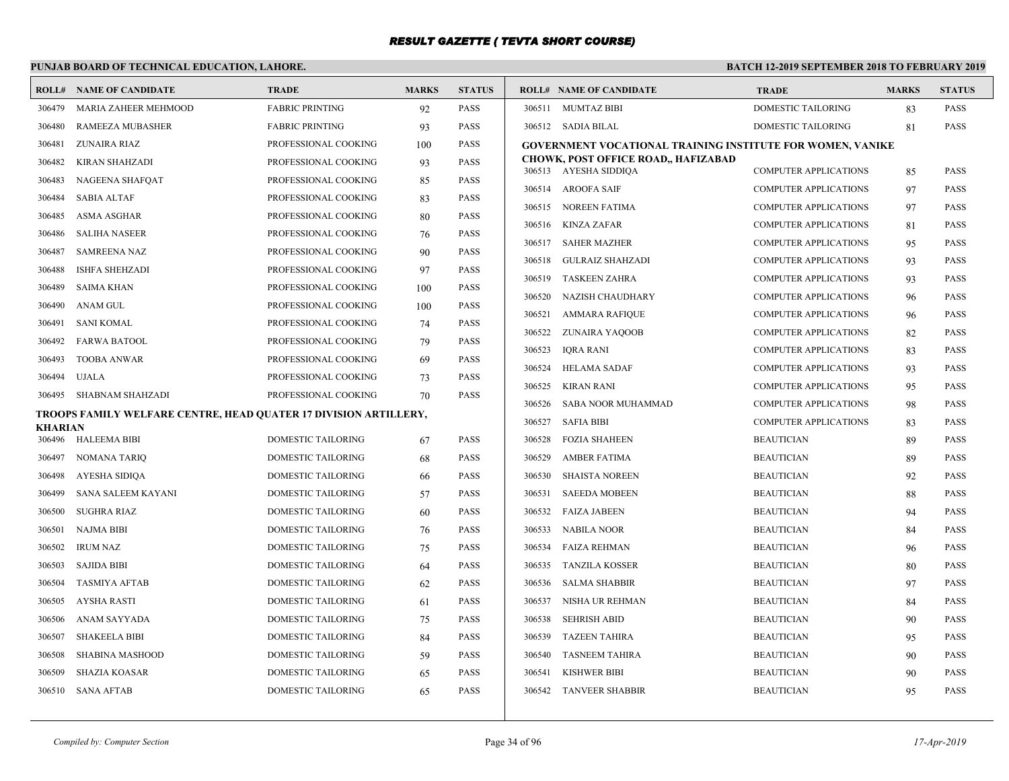# **PUNJAB BOARD OF TECHNICAL EDUCATION, LAHORE.**

|         | <b>ROLL# NAME OF CANDIDATE</b>                                   | <b>TRADE</b>              | <b>MARKS</b> | <b>STATUS</b> |                  | <b>ROLL# NAME OF CANDIDATE</b>                                    | <b>TRADE</b>                                                 | <b>MARKS</b> | <b>STATUS</b>              |
|---------|------------------------------------------------------------------|---------------------------|--------------|---------------|------------------|-------------------------------------------------------------------|--------------------------------------------------------------|--------------|----------------------------|
| 306479  | <b>MARIA ZAHEER MEHMOOD</b>                                      | <b>FABRIC PRINTING</b>    | 92           | <b>PASS</b>   |                  | 306511 MUMTAZ BIBI                                                | <b>DOMESTIC TAILORING</b>                                    | 83           | <b>PASS</b>                |
| 306480  | <b>RAMEEZA MUBASHER</b>                                          | <b>FABRIC PRINTING</b>    | 93           | <b>PASS</b>   |                  | 306512 SADIA BILAL                                                | <b>DOMESTIC TAILORING</b>                                    | -81          | <b>PASS</b>                |
| 306481  | ZUNAIRA RIAZ                                                     | PROFESSIONAL COOKING      | 100          | <b>PASS</b>   |                  | <b>GOVERNMENT VOCATIONAL TRAINING INSTITUTE FOR WOMEN, VANIKE</b> |                                                              |              |                            |
| 306482  | KIRAN SHAHZADI                                                   | PROFESSIONAL COOKING      | 93           | <b>PASS</b>   |                  | <b>CHOWK, POST OFFICE ROAD,, HAFIZABAD</b>                        |                                                              |              |                            |
| 306483  | NAGEENA SHAFQAT                                                  | PROFESSIONAL COOKING      | 85           | <b>PASS</b>   |                  | 306513 AYESHA SIDDIQA                                             | <b>COMPUTER APPLICATIONS</b>                                 | 85           | <b>PASS</b>                |
| 306484  | <b>SABIA ALTAF</b>                                               | PROFESSIONAL COOKING      | 83           | <b>PASS</b>   |                  | 306514 AROOFA SAIF<br>306515 NOREEN FATIMA                        | <b>COMPUTER APPLICATIONS</b>                                 | 97           | <b>PASS</b><br><b>PASS</b> |
| 306485  | <b>ASMA ASGHAR</b>                                               | PROFESSIONAL COOKING      | 80           | <b>PASS</b>   |                  | <b>KINZA ZAFAR</b>                                                | COMPUTER APPLICATIONS                                        | 97           |                            |
| 306486  | <b>SALIHA NASEER</b>                                             | PROFESSIONAL COOKING      | 76           | <b>PASS</b>   | 306516<br>306517 | <b>SAHER MAZHER</b>                                               | <b>COMPUTER APPLICATIONS</b><br><b>COMPUTER APPLICATIONS</b> | -81          | <b>PASS</b><br><b>PASS</b> |
| 306487  | <b>SAMREENA NAZ</b>                                              | PROFESSIONAL COOKING      | 90           | <b>PASS</b>   | 306518           | <b>GULRAIZ SHAHZADI</b>                                           |                                                              | 95           | <b>PASS</b>                |
| 306488  | <b>ISHFA SHEHZADI</b>                                            | PROFESSIONAL COOKING      | 97           | <b>PASS</b>   | 306519           | <b>TASKEEN ZAHRA</b>                                              | <b>COMPUTER APPLICATIONS</b><br><b>COMPUTER APPLICATIONS</b> | 93           | <b>PASS</b>                |
| 306489  | SAIMA KHAN                                                       | PROFESSIONAL COOKING      | 100          | <b>PASS</b>   | 306520           | NAZISH CHAUDHARY                                                  | COMPUTER APPLICATIONS                                        | 93<br>96     | <b>PASS</b>                |
| 306490  | ANAM GUL                                                         | PROFESSIONAL COOKING      | 100          | <b>PASS</b>   | 306521           | <b>AMMARA RAFIQUE</b>                                             | <b>COMPUTER APPLICATIONS</b>                                 |              | <b>PASS</b>                |
| 306491  | <b>SANI KOMAL</b>                                                | PROFESSIONAL COOKING      | 74           | <b>PASS</b>   | 306522           | ZUNAIRA YAQOOB                                                    | COMPUTER APPLICATIONS                                        | 96<br>82     | PASS                       |
| 306492  | <b>FARWA BATOOL</b>                                              | PROFESSIONAL COOKING      | 79           | <b>PASS</b>   | 306523           | <b>IQRA RANI</b>                                                  | <b>COMPUTER APPLICATIONS</b>                                 | 83           | <b>PASS</b>                |
| 306493  | <b>TOOBA ANWAR</b>                                               | PROFESSIONAL COOKING      | 69           | <b>PASS</b>   | 306524           | <b>HELAMA SADAF</b>                                               | <b>COMPUTER APPLICATIONS</b>                                 | 93           | <b>PASS</b>                |
| 306494  | UJALA                                                            | PROFESSIONAL COOKING      | 73           | <b>PASS</b>   | 306525           | <b>KIRAN RANI</b>                                                 | <b>COMPUTER APPLICATIONS</b>                                 | 95           | <b>PASS</b>                |
| 306495  | SHABNAM SHAHZADI                                                 | PROFESSIONAL COOKING      | 70           | <b>PASS</b>   | 306526           | SABA NOOR MUHAMMAD                                                | <b>COMPUTER APPLICATIONS</b>                                 | 98           | <b>PASS</b>                |
|         | TROOPS FAMILY WELFARE CENTRE, HEAD OUATER 17 DIVISION ARTILLERY, |                           |              |               | 306527           | <b>SAFIA BIBI</b>                                                 | COMPUTER APPLICATIONS                                        | 83           | <b>PASS</b>                |
| KHARIAN | 306496 HALEEMA BIBI                                              | DOMESTIC TAILORING        | 67           | <b>PASS</b>   | 306528           | <b>FOZIA SHAHEEN</b>                                              | <b>BEAUTICIAN</b>                                            | 89           | <b>PASS</b>                |
| 306497  | <b>NOMANA TARIQ</b>                                              | DOMESTIC TAILORING        | 68           | <b>PASS</b>   | 306529           | <b>AMBER FATIMA</b>                                               | <b>BEAUTICIAN</b>                                            | 89           | <b>PASS</b>                |
| 306498  | AYESHA SIDIQA                                                    | DOMESTIC TAILORING        | 66           | <b>PASS</b>   | 306530           | <b>SHAISTA NOREEN</b>                                             | <b>BEAUTICIAN</b>                                            | 92           | <b>PASS</b>                |
| 306499  | SANA SALEEM KAYANI                                               | DOMESTIC TAILORING        | 57           | <b>PASS</b>   | 306531           | <b>SAEEDA MOBEEN</b>                                              | <b>BEAUTICIAN</b>                                            | 88           | <b>PASS</b>                |
| 306500  | <b>SUGHRA RIAZ</b>                                               | DOMESTIC TAILORING        | 60           | <b>PASS</b>   | 306532           | <b>FAIZA JABEEN</b>                                               | <b>BEAUTICIAN</b>                                            | 94           | <b>PASS</b>                |
| 306501  | <b>NAJMA BIBI</b>                                                | DOMESTIC TAILORING        | 76           | <b>PASS</b>   | 306533           | <b>NABILA NOOR</b>                                                | <b>BEAUTICIAN</b>                                            | 84           | <b>PASS</b>                |
| 306502  | <b>IRUM NAZ</b>                                                  | DOMESTIC TAILORING        | 75           | <b>PASS</b>   | 306534           | <b>FAIZA REHMAN</b>                                               | <b>BEAUTICIAN</b>                                            | 96           | <b>PASS</b>                |
| 306503  | <b>SAJIDA BIBI</b>                                               | <b>DOMESTIC TAILORING</b> | 64           | <b>PASS</b>   | 306535           | <b>TANZILA KOSSER</b>                                             | <b>BEAUTICIAN</b>                                            | 80           | <b>PASS</b>                |
| 306504  | <b>TASMIYA AFTAB</b>                                             | DOMESTIC TAILORING        | 62           | <b>PASS</b>   | 306536           | <b>SALMA SHABBIR</b>                                              | <b>BEAUTICIAN</b>                                            | 97           | <b>PASS</b>                |
| 306505  | <b>AYSHA RASTI</b>                                               | <b>DOMESTIC TAILORING</b> | 61           | <b>PASS</b>   | 306537           | NISHA UR REHMAN                                                   | <b>BEAUTICIAN</b>                                            | 84           | <b>PASS</b>                |
| 306506  | ANAM SAYYADA                                                     | DOMESTIC TAILORING        | 75           | <b>PASS</b>   | 306538           | <b>SEHRISH ABID</b>                                               | <b>BEAUTICIAN</b>                                            | 90           | <b>PASS</b>                |
| 306507  | <b>SHAKEELA BIBI</b>                                             | DOMESTIC TAILORING        | 84           | <b>PASS</b>   | 306539           | <b>TAZEEN TAHIRA</b>                                              | <b>BEAUTICIAN</b>                                            | 95           | <b>PASS</b>                |
| 306508  | <b>SHABINA MASHOOD</b>                                           | DOMESTIC TAILORING        | 59           | <b>PASS</b>   | 306540           | <b>TASNEEM TAHIRA</b>                                             | <b>BEAUTICIAN</b>                                            | 90           | <b>PASS</b>                |
| 306509  | <b>SHAZIA KOASAR</b>                                             | DOMESTIC TAILORING        | 65           | <b>PASS</b>   | 306541           | <b>KISHWER BIBI</b>                                               | <b>BEAUTICIAN</b>                                            | 90           | <b>PASS</b>                |
| 306510  | <b>SANA AFTAB</b>                                                | DOMESTIC TAILORING        | 65           | <b>PASS</b>   | 306542           | <b>TANVEER SHABBIR</b>                                            | <b>BEAUTICIAN</b>                                            | 95           | <b>PASS</b>                |
|         |                                                                  |                           |              |               |                  |                                                                   |                                                              |              |                            |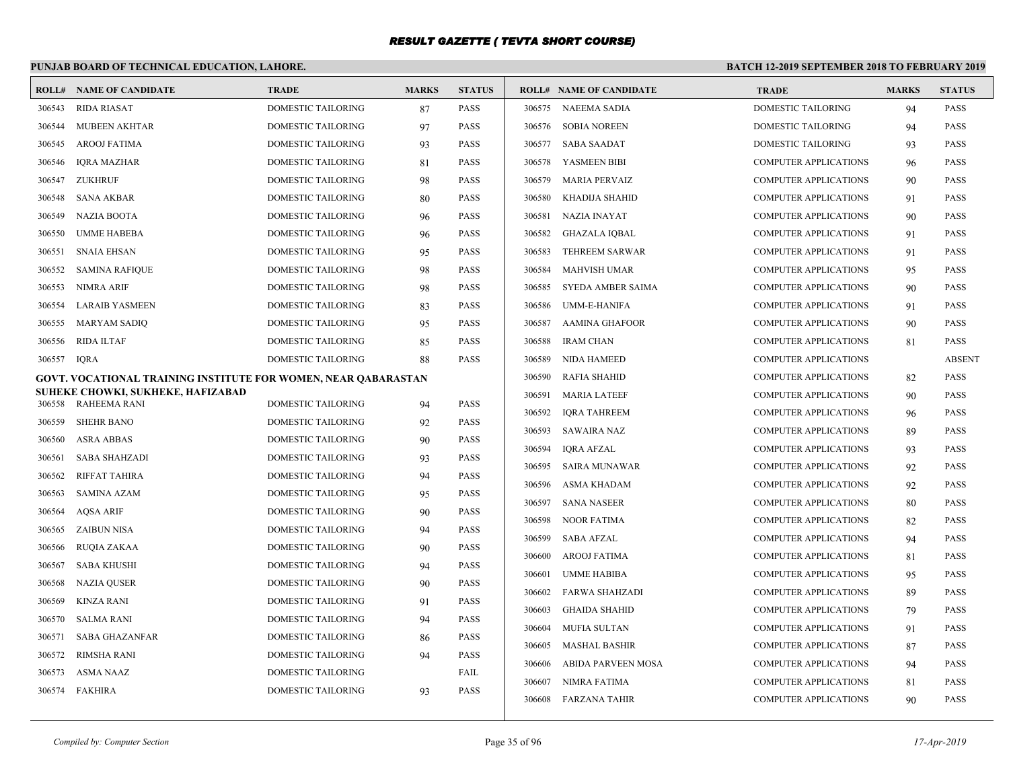# **PUNJAB BOARD OF TECHNICAL EDUCATION, LAHORE.**

| <b>ROLL#</b> | <b>NAME OF CANDIDATE</b>                                       | <b>TRADE</b>                                    | <b>MARKS</b> | <b>STATUS</b>       |        | <b>ROLL# NAME OF CANDIDATE</b> | <b>TRADE</b>                 | <b>MARKS</b> | <b>STATUS</b> |
|--------------|----------------------------------------------------------------|-------------------------------------------------|--------------|---------------------|--------|--------------------------------|------------------------------|--------------|---------------|
| 306543       | <b>RIDA RIASAT</b>                                             | <b>DOMESTIC TAILORING</b>                       | 87           | PASS                |        | 306575 NAEEMA SADIA            | <b>DOMESTIC TAILORING</b>    | 94           | <b>PASS</b>   |
| 306544       | MUBEEN AKHTAR                                                  | <b>DOMESTIC TAILORING</b>                       | 97           | PASS                | 306576 | <b>SOBIA NOREEN</b>            | <b>DOMESTIC TAILORING</b>    | 94           | <b>PASS</b>   |
| 306545       | <b>AROOJ FATIMA</b>                                            | <b>DOMESTIC TAILORING</b>                       | 93           | <b>PASS</b>         | 306577 | <b>SABA SAADAT</b>             | <b>DOMESTIC TAILORING</b>    | 93           | <b>PASS</b>   |
| 306546       | <b>IORA MAZHAR</b>                                             | <b>DOMESTIC TAILORING</b>                       | 81           | PASS                | 306578 | YASMEEN BIBI                   | <b>COMPUTER APPLICATIONS</b> | 96           | <b>PASS</b>   |
| 306547       | ZUKHRUF                                                        | <b>DOMESTIC TAILORING</b>                       | 98           | PASS                | 306579 | <b>MARIA PERVAIZ</b>           | <b>COMPUTER APPLICATIONS</b> | 90           | <b>PASS</b>   |
| 306548       | <b>SANA AKBAR</b>                                              | DOMESTIC TAILORING                              | 80           | PASS                | 306580 | KHADIJA SHAHID                 | COMPUTER APPLICATIONS        | 91           | <b>PASS</b>   |
| 306549       | <b>NAZIA BOOTA</b>                                             | DOMESTIC TAILORING                              | 96           | PASS                | 306581 | NAZIA INAYAT                   | COMPUTER APPLICATIONS        | 90           | <b>PASS</b>   |
| 306550       | <b>UMME HABEBA</b>                                             | DOMESTIC TAILORING                              | 96           | PASS                | 306582 | <b>GHAZALA IQBAL</b>           | COMPUTER APPLICATIONS        | 91           | <b>PASS</b>   |
| 306551       | <b>SNAIA EHSAN</b>                                             | DOMESTIC TAILORING                              | 95           | PASS                | 306583 | <b>TEHREEM SARWAR</b>          | COMPUTER APPLICATIONS        | 91           | PASS          |
| 306552       | <b>SAMINA RAFIQUE</b>                                          | DOMESTIC TAILORING                              | 98           | PASS                | 306584 | <b>MAHVISH UMAR</b>            | <b>COMPUTER APPLICATIONS</b> | 95           | <b>PASS</b>   |
| 306553       | <b>NIMRA ARIF</b>                                              | DOMESTIC TAILORING                              | 98           | PASS                | 306585 | SYEDA AMBER SAIMA              | <b>COMPUTER APPLICATIONS</b> | 90           | <b>PASS</b>   |
| 306554       | LARAIB YASMEEN                                                 | DOMESTIC TAILORING                              | 83           | PASS                | 306586 | <b>UMM-E-HANIFA</b>            | <b>COMPUTER APPLICATIONS</b> | 91           | <b>PASS</b>   |
| 306555       | MARYAM SADIO                                                   | DOMESTIC TAILORING                              | 95           | <b>PASS</b>         | 306587 | <b>AAMINA GHAFOOR</b>          | <b>COMPUTER APPLICATIONS</b> | 90           | <b>PASS</b>   |
| 306556       | <b>RIDA ILTAF</b>                                              | DOMESTIC TAILORING                              | 85           | <b>PASS</b>         | 306588 | <b>IRAM CHAN</b>               | <b>COMPUTER APPLICATIONS</b> | 81           | <b>PASS</b>   |
| 306557       | <b>IORA</b>                                                    | DOMESTIC TAILORING                              | 88           | <b>PASS</b>         | 306589 | <b>NIDA HAMEED</b>             | <b>COMPUTER APPLICATIONS</b> |              | <b>ABSENT</b> |
|              | GOVT. VOCATIONAL TRAINING INSTITUTE FOR WOMEN, NEAR QABARASTAN |                                                 |              |                     | 306590 | <b>RAFIA SHAHID</b>            | <b>COMPUTER APPLICATIONS</b> | 82           | <b>PASS</b>   |
|              | SUHEKE CHOWKI, SUKHEKE, HAFIZABAD<br>RAHEEMA RANI              | DOMESTIC TAILORING                              |              | PASS                | 306591 | <b>MARIA LATEEF</b>            | COMPUTER APPLICATIONS        | 90           | <b>PASS</b>   |
| 306558       | <b>SHEHR BANO</b>                                              |                                                 | 94           | <b>PASS</b>         | 306592 | <b>IQRA TAHREEM</b>            | COMPUTER APPLICATIONS        | 96           | <b>PASS</b>   |
| 306559       | <b>ASRA ABBAS</b>                                              | DOMESTIC TAILORING<br>DOMESTIC TAILORING        | 92           | PASS                | 306593 | SAWAIRA NAZ                    | <b>COMPUTER APPLICATIONS</b> | 89           | PASS          |
| 306560       |                                                                |                                                 | 90           |                     | 306594 | IQRA AFZAL                     | <b>COMPUTER APPLICATIONS</b> | 93           | PASS          |
| 306561       | <b>SABA SHAHZADI</b><br><b>RIFFAT TAHIRA</b>                   | DOMESTIC TAILORING<br><b>DOMESTIC TAILORING</b> | 93           | PASS<br><b>PASS</b> | 306595 | <b>SAIRA MUNAWAR</b>           | COMPUTER APPLICATIONS        | 92           | <b>PASS</b>   |
| 306562       |                                                                |                                                 | 94           |                     | 306596 | ASMA KHADAM                    | <b>COMPUTER APPLICATIONS</b> | 92           | <b>PASS</b>   |
| 306563       | <b>SAMINA AZAM</b>                                             | DOMESTIC TAILORING                              | 95           | PASS<br><b>PASS</b> | 306597 | <b>SANA NASEER</b>             | COMPUTER APPLICATIONS        | 80           | <b>PASS</b>   |
| 306564       | <b>AQSA ARIF</b>                                               | DOMESTIC TAILORING                              | 90           |                     | 306598 | <b>NOOR FATIMA</b>             | <b>COMPUTER APPLICATIONS</b> | 82           | <b>PASS</b>   |
| 306565       | ZAIBUN NISA                                                    | DOMESTIC TAILORING                              | 94           | PASS                | 306599 | <b>SABA AFZAL</b>              | <b>COMPUTER APPLICATIONS</b> | 94           | <b>PASS</b>   |
| 306566       | RUQIA ZAKAA                                                    | DOMESTIC TAILORING                              | 90           | PASS                | 306600 | <b>AROOJ FATIMA</b>            | <b>COMPUTER APPLICATIONS</b> | 81           | <b>PASS</b>   |
| 306567       | SABA KHUSHI                                                    | DOMESTIC TAILORING                              | 94           | PASS                | 306601 | <b>UMME HABIBA</b>             | <b>COMPUTER APPLICATIONS</b> | 95           | <b>PASS</b>   |
| 306568       | <b>NAZIA QUSER</b>                                             | DOMESTIC TAILORING                              | 90           | PASS                | 306602 | <b>FARWA SHAHZADI</b>          | COMPUTER APPLICATIONS        | 89           | <b>PASS</b>   |
| 306569       | <b>KINZA RANI</b>                                              | <b>DOMESTIC TAILORING</b>                       | 91           | PASS                | 306603 | <b>GHAIDA SHAHID</b>           | COMPUTER APPLICATIONS        | 79           | <b>PASS</b>   |
| 306570       | <b>SALMA RANI</b>                                              | <b>DOMESTIC TAILORING</b>                       | 94           | PASS                | 306604 | <b>MUFIA SULTAN</b>            | <b>COMPUTER APPLICATIONS</b> | 91           | <b>PASS</b>   |
| 306571       | <b>SABA GHAZANFAR</b>                                          | <b>DOMESTIC TAILORING</b>                       | 86           | PASS                | 306605 | MASHAL BASHIR                  | <b>COMPUTER APPLICATIONS</b> | 87           | <b>PASS</b>   |
| 306572       | <b>RIMSHA RANI</b>                                             | <b>DOMESTIC TAILORING</b>                       | 94           | <b>PASS</b>         | 306606 | ABIDA PARVEEN MOSA             | <b>COMPUTER APPLICATIONS</b> | 94           | <b>PASS</b>   |
| 306573       | <b>ASMA NAAZ</b>                                               | <b>DOMESTIC TAILORING</b>                       |              | FAIL                | 306607 | NIMRA FATIMA                   | <b>COMPUTER APPLICATIONS</b> | 81           | <b>PASS</b>   |
| 306574       | FAKHIRA                                                        | <b>DOMESTIC TAILORING</b>                       | 93           | PASS                |        | 306608 FARZANA TAHIR           | <b>COMPUTER APPLICATIONS</b> | 90           | <b>PASS</b>   |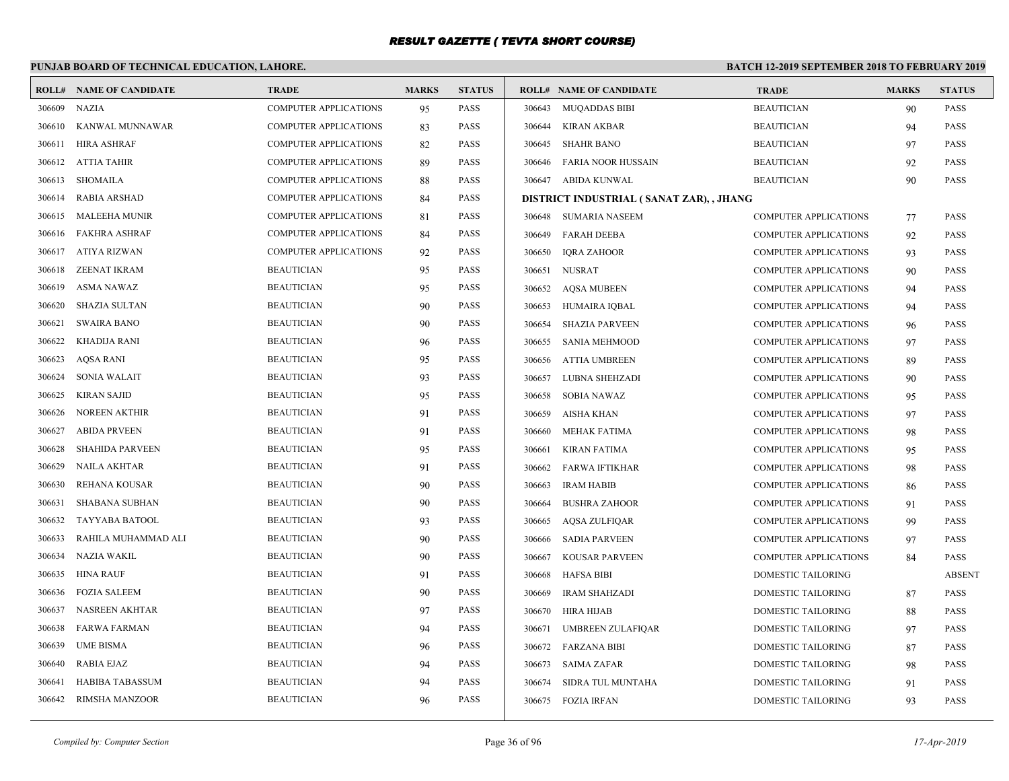# **PUNJAB BOARD OF TECHNICAL EDUCATION, LAHORE.**

|        | <b>ROLL# NAME OF CANDIDATE</b> | <b>TRADE</b>                 | <b>MARKS</b> | <b>STATUS</b> |        | <b>ROLL# NAME OF CANDIDATE</b>           | <b>TRADE</b>                 | <b>MARKS</b> | <b>STATUS</b> |
|--------|--------------------------------|------------------------------|--------------|---------------|--------|------------------------------------------|------------------------------|--------------|---------------|
| 306609 | <b>NAZIA</b>                   | <b>COMPUTER APPLICATIONS</b> | 95           | <b>PASS</b>   |        | 306643 MUQADDAS BIBI                     | <b>BEAUTICIAN</b>            | 90           | <b>PASS</b>   |
| 306610 | KANWAL MUNNAWAR                | <b>COMPUTER APPLICATIONS</b> | 83           | <b>PASS</b>   |        | 306644 KIRAN AKBAR                       | <b>BEAUTICIAN</b>            | 94           | PASS          |
| 306611 | HIRA ASHRAF                    | <b>COMPUTER APPLICATIONS</b> | 82           | <b>PASS</b>   | 306645 | SHAHR BANO                               | <b>BEAUTICIAN</b>            | 97           | <b>PASS</b>   |
| 306612 | ATTIA TAHIR                    | COMPUTER APPLICATIONS        | 89           | <b>PASS</b>   | 306646 | FARIA NOOR HUSSAIN                       | <b>BEAUTICIAN</b>            | 92           | PASS          |
| 306613 | SHOMAILA                       | <b>COMPUTER APPLICATIONS</b> | 88           | <b>PASS</b>   |        | 306647 ABIDA KUNWAL                      | <b>BEAUTICIAN</b>            | 90           | <b>PASS</b>   |
| 306614 | <b>RABIA ARSHAD</b>            | <b>COMPUTER APPLICATIONS</b> | 84           | <b>PASS</b>   |        | DISTRICT INDUSTRIAL (SANAT ZAR), , JHANG |                              |              |               |
| 306615 | <b>MALEEHA MUNIR</b>           | <b>COMPUTER APPLICATIONS</b> | 81           | PASS          | 306648 | SUMARIA NASEEM                           | <b>COMPUTER APPLICATIONS</b> | 77           | <b>PASS</b>   |
| 306616 | <b>FAKHRA ASHRAF</b>           | COMPUTER APPLICATIONS        | 84           | <b>PASS</b>   | 306649 | <b>FARAH DEEBA</b>                       | <b>COMPUTER APPLICATIONS</b> | 92           | <b>PASS</b>   |
| 306617 | ATIYA RIZWAN                   | <b>COMPUTER APPLICATIONS</b> | 92           | <b>PASS</b>   | 306650 | <b>IQRA ZAHOOR</b>                       | <b>COMPUTER APPLICATIONS</b> | 93           | PASS          |
| 306618 | <b>ZEENAT IKRAM</b>            | <b>BEAUTICIAN</b>            | 95           | <b>PASS</b>   | 306651 | NUSRAT                                   | COMPUTER APPLICATIONS        | 90           | <b>PASS</b>   |
| 306619 | <b>ASMA NAWAZ</b>              | <b>BEAUTICIAN</b>            | 95           | <b>PASS</b>   |        | 306652 AQSA MUBEEN                       | COMPUTER APPLICATIONS        | 94           | PASS          |
| 306620 | SHAZIA SULTAN                  | <b>BEAUTICIAN</b>            | 90           | <b>PASS</b>   | 306653 | HUMAIRA IOBAL                            | <b>COMPUTER APPLICATIONS</b> | 94           | <b>PASS</b>   |
| 306621 | <b>SWAIRA BANO</b>             | <b>BEAUTICIAN</b>            | 90           | <b>PASS</b>   | 306654 | <b>SHAZIA PARVEEN</b>                    | <b>COMPUTER APPLICATIONS</b> | 96           | <b>PASS</b>   |
| 306622 | KHADIJA RANI                   | <b>BEAUTICIAN</b>            | 96           | <b>PASS</b>   | 306655 | SANIA MEHMOOD                            | <b>COMPUTER APPLICATIONS</b> | 97           | <b>PASS</b>   |
| 306623 | <b>AQSA RANI</b>               | <b>BEAUTICIAN</b>            | 95           | <b>PASS</b>   | 306656 | ATTIA UMBREEN                            | <b>COMPUTER APPLICATIONS</b> | 89           | PASS          |
| 306624 | <b>SONIA WALAIT</b>            | <b>BEAUTICIAN</b>            | 93           | <b>PASS</b>   | 306657 | LUBNA SHEHZADI                           | <b>COMPUTER APPLICATIONS</b> | 90           | <b>PASS</b>   |
| 306625 | <b>KIRAN SAJID</b>             | <b>BEAUTICIAN</b>            | 95           | <b>PASS</b>   | 306658 | <b>SOBIA NAWAZ</b>                       | <b>COMPUTER APPLICATIONS</b> | 95           | <b>PASS</b>   |
| 306626 | <b>NOREEN AKTHIR</b>           | <b>BEAUTICIAN</b>            | 91           | <b>PASS</b>   | 306659 | AISHA KHAN                               | <b>COMPUTER APPLICATIONS</b> | 97           | <b>PASS</b>   |
| 306627 | <b>ABIDA PRVEEN</b>            | <b>BEAUTICIAN</b>            | 91           | <b>PASS</b>   | 306660 | MEHAK FATIMA                             | <b>COMPUTER APPLICATIONS</b> | 98           | <b>PASS</b>   |
| 306628 | <b>SHAHIDA PARVEEN</b>         | <b>BEAUTICIAN</b>            | 95           | <b>PASS</b>   | 306661 | <b>KIRAN FATIMA</b>                      | <b>COMPUTER APPLICATIONS</b> | 95           | <b>PASS</b>   |
| 306629 | <b>NAILA AKHTAR</b>            | <b>BEAUTICIAN</b>            | 91           | <b>PASS</b>   | 306662 | FARWA IFTIKHAR                           | <b>COMPUTER APPLICATIONS</b> | 98           | <b>PASS</b>   |
| 306630 | <b>REHANA KOUSAR</b>           | <b>BEAUTICIAN</b>            | 90           | <b>PASS</b>   | 306663 | <b>IRAM HABIB</b>                        | <b>COMPUTER APPLICATIONS</b> | 86           | <b>PASS</b>   |
| 306631 | <b>SHABANA SUBHAN</b>          | <b>BEAUTICIAN</b>            | 90           | <b>PASS</b>   | 306664 | <b>BUSHRA ZAHOOR</b>                     | <b>COMPUTER APPLICATIONS</b> | 91           | PASS          |
| 306632 | TAYYABA BATOOL                 | <b>BEAUTICIAN</b>            | 93           | <b>PASS</b>   | 306665 | AQSA ZULFIQAR                            | <b>COMPUTER APPLICATIONS</b> | 99           | <b>PASS</b>   |
| 306633 | RAHILA MUHAMMAD ALI            | <b>BEAUTICIAN</b>            | 90           | <b>PASS</b>   | 306666 | <b>SADIA PARVEEN</b>                     | <b>COMPUTER APPLICATIONS</b> | 97           | <b>PASS</b>   |
| 306634 | <b>NAZIA WAKIL</b>             | <b>BEAUTICIAN</b>            | 90           | <b>PASS</b>   | 306667 | <b>KOUSAR PARVEEN</b>                    | <b>COMPUTER APPLICATIONS</b> | 84           | <b>PASS</b>   |
| 306635 | <b>HINA RAUF</b>               | <b>BEAUTICIAN</b>            | 91           | <b>PASS</b>   | 306668 | HAFSA BIBI                               | DOMESTIC TAILORING           |              | <b>ABSENT</b> |
| 306636 | <b>FOZIA SALEEM</b>            | <b>BEAUTICIAN</b>            | 90           | <b>PASS</b>   | 306669 | <b>IRAM SHAHZADI</b>                     | DOMESTIC TAILORING           | 87           | <b>PASS</b>   |
| 306637 | <b>NASREEN AKHTAR</b>          | <b>BEAUTICIAN</b>            | 97           | <b>PASS</b>   |        | 306670 HIRA HIJAB                        | DOMESTIC TAILORING           | 88           | PASS          |
| 306638 | <b>FARWA FARMAN</b>            | <b>BEAUTICIAN</b>            | 94           | <b>PASS</b>   | 306671 | <b>UMBREEN ZULAFIQAR</b>                 | DOMESTIC TAILORING           | 97           | <b>PASS</b>   |
| 306639 | <b>UME BISMA</b>               | <b>BEAUTICIAN</b>            | 96           | <b>PASS</b>   |        | 306672 FARZANA BIBI                      | <b>DOMESTIC TAILORING</b>    | 87           | <b>PASS</b>   |
| 306640 | <b>RABIA EJAZ</b>              | <b>BEAUTICIAN</b>            | 94           | <b>PASS</b>   | 306673 | SAIMA ZAFAR                              | DOMESTIC TAILORING           | 98           | <b>PASS</b>   |
| 306641 | <b>HABIBA TABASSUM</b>         | <b>BEAUTICIAN</b>            | 94           | <b>PASS</b>   | 306674 | SIDRA TUL MUNTAHA                        | <b>DOMESTIC TAILORING</b>    | 91           | <b>PASS</b>   |
| 306642 | RIMSHA MANZOOR                 | <b>BEAUTICIAN</b>            | 96           | <b>PASS</b>   |        | 306675 FOZIA IRFAN                       | DOMESTIC TAILORING           | 93           | <b>PASS</b>   |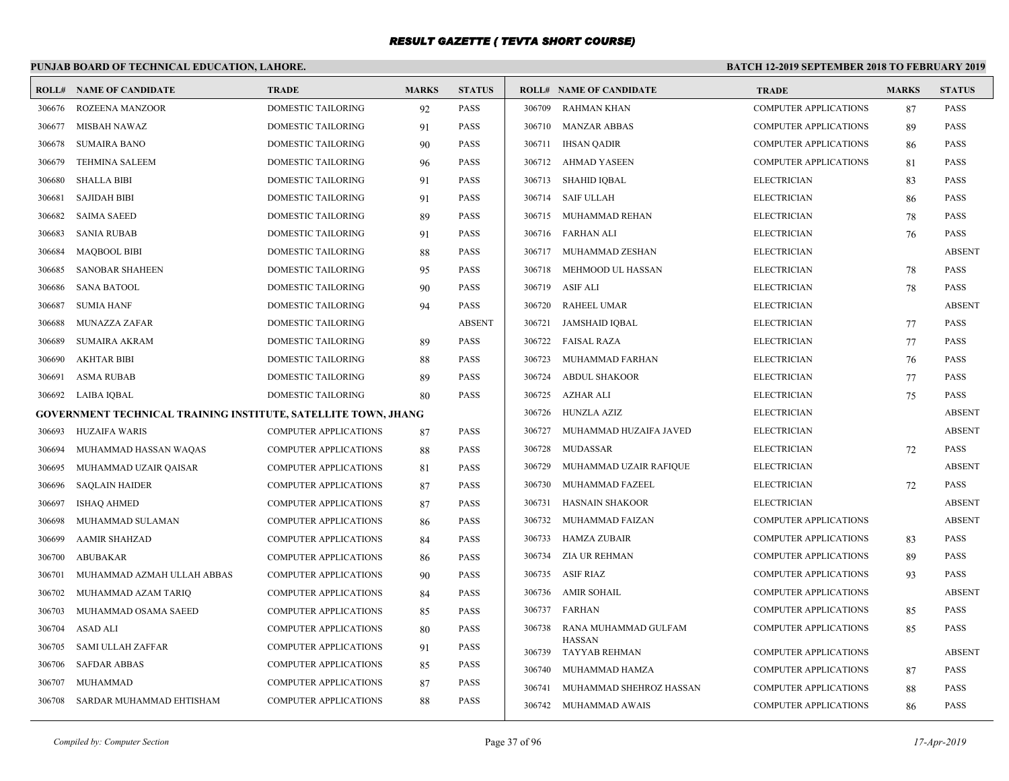# **PUNJAB BOARD OF TECHNICAL EDUCATION, LAHORE.**

| ROLL#  | <b>NAME OF CANDIDATE</b>                                       | <b>TRADE</b>                 | <b>MARKS</b> | <b>STATUS</b> |        | <b>ROLL# NAME OF CANDIDATE</b> | <b>TRADE</b>                 | <b>MARKS</b> | <b>STATUS</b> |
|--------|----------------------------------------------------------------|------------------------------|--------------|---------------|--------|--------------------------------|------------------------------|--------------|---------------|
| 306676 | ROZEENA MANZOOR                                                | DOMESTIC TAILORING           | 92           | PASS          | 306709 | <b>RAHMAN KHAN</b>             | <b>COMPUTER APPLICATIONS</b> | 87           | PASS          |
| 306677 | MISBAH NAWAZ                                                   | DOMESTIC TAILORING           | 91           | <b>PASS</b>   |        | 306710 MANZAR ABBAS            | <b>COMPUTER APPLICATIONS</b> | 89           | <b>PASS</b>   |
| 306678 | <b>SUMAIRA BANO</b>                                            | DOMESTIC TAILORING           | 90           | PASS          | 306711 | <b>IHSAN QADIR</b>             | <b>COMPUTER APPLICATIONS</b> | 86           | <b>PASS</b>   |
| 306679 | <b>TEHMINA SALEEM</b>                                          | DOMESTIC TAILORING           | 96           | <b>PASS</b>   | 306712 | AHMAD YASEEN                   | <b>COMPUTER APPLICATIONS</b> | 81           | <b>PASS</b>   |
| 306680 | <b>SHALLA BIBI</b>                                             | DOMESTIC TAILORING           | 91           | PASS          | 306713 | <b>SHAHID IQBAL</b>            | <b>ELECTRICIAN</b>           | 83           | <b>PASS</b>   |
| 306681 | <b>SAJIDAH BIBI</b>                                            | DOMESTIC TAILORING           | 91           | <b>PASS</b>   | 306714 | <b>SAIF ULLAH</b>              | <b>ELECTRICIAN</b>           | 86           | <b>PASS</b>   |
| 306682 | <b>SAIMA SAEED</b>                                             | DOMESTIC TAILORING           | 89           | PASS          |        | 306715 MUHAMMAD REHAN          | <b>ELECTRICIAN</b>           | 78           | <b>PASS</b>   |
| 306683 | <b>SANIA RUBAB</b>                                             | <b>DOMESTIC TAILORING</b>    | 91           | <b>PASS</b>   |        | 306716 FARHAN ALI              | <b>ELECTRICIAN</b>           | 76           | <b>PASS</b>   |
| 306684 | <b>MAOBOOL BIBI</b>                                            | DOMESTIC TAILORING           | 88           | <b>PASS</b>   | 306717 | MUHAMMAD ZESHAN                | <b>ELECTRICIAN</b>           |              | <b>ABSENT</b> |
| 306685 | <b>SANOBAR SHAHEEN</b>                                         | <b>DOMESTIC TAILORING</b>    | 95           | <b>PASS</b>   | 306718 | MEHMOOD UL HASSAN              | <b>ELECTRICIAN</b>           | 78           | <b>PASS</b>   |
| 306686 | <b>SANA BATOOL</b>                                             | DOMESTIC TAILORING           | 90           | <b>PASS</b>   | 306719 | <b>ASIF ALI</b>                | <b>ELECTRICIAN</b>           | 78           | <b>PASS</b>   |
| 306687 | <b>SUMIA HANF</b>                                              | DOMESTIC TAILORING           | 94           | <b>PASS</b>   | 306720 | <b>RAHEEL UMAR</b>             | <b>ELECTRICIAN</b>           |              | <b>ABSENT</b> |
| 306688 | <b>MUNAZZA ZAFAR</b>                                           | DOMESTIC TAILORING           |              | <b>ABSENT</b> | 306721 | <b>JAMSHAID IOBAL</b>          | <b>ELECTRICIAN</b>           | 77           | <b>PASS</b>   |
| 306689 | <b>SUMAIRA AKRAM</b>                                           | DOMESTIC TAILORING           | 89           | PASS          | 306722 | FAISAL RAZA                    | <b>ELECTRICIAN</b>           | 77           | <b>PASS</b>   |
| 306690 | <b>AKHTAR BIBI</b>                                             | DOMESTIC TAILORING           | 88           | <b>PASS</b>   | 306723 | MUHAMMAD FARHAN                | <b>ELECTRICIAN</b>           | 76           | <b>PASS</b>   |
| 306691 | <b>ASMA RUBAB</b>                                              | DOMESTIC TAILORING           | 89           | PASS          | 306724 | <b>ABDUL SHAKOOR</b>           | <b>ELECTRICIAN</b>           | 77           | <b>PASS</b>   |
| 306692 | LAIBA IOBAL                                                    | DOMESTIC TAILORING           | 80           | <b>PASS</b>   | 306725 | <b>AZHAR ALI</b>               | <b>ELECTRICIAN</b>           | 75           | <b>PASS</b>   |
|        | GOVERNMENT TECHNICAL TRAINING INSTITUTE, SATELLITE TOWN, JHANG |                              |              |               | 306726 | HUNZLA AZIZ                    | <b>ELECTRICIAN</b>           |              | <b>ABSENT</b> |
| 306693 | <b>HUZAIFA WARIS</b>                                           | <b>COMPUTER APPLICATIONS</b> | 87           | <b>PASS</b>   | 306727 | MUHAMMAD HUZAIFA JAVED         | <b>ELECTRICIAN</b>           |              | <b>ABSENT</b> |
| 306694 | MUHAMMAD HASSAN WAQAS                                          | <b>COMPUTER APPLICATIONS</b> | 88           | <b>PASS</b>   | 306728 | MUDASSAR                       | <b>ELECTRICIAN</b>           | 72           | <b>PASS</b>   |
| 306695 | MUHAMMAD UZAIR QAISAR                                          | <b>COMPUTER APPLICATIONS</b> | 81           | <b>PASS</b>   | 306729 | MUHAMMAD UZAIR RAFIQUE         | <b>ELECTRICIAN</b>           |              | <b>ABSENT</b> |
| 306696 | <b>SAQLAIN HAIDER</b>                                          | <b>COMPUTER APPLICATIONS</b> | 87           | <b>PASS</b>   | 306730 | MUHAMMAD FAZEEL                | <b>ELECTRICIAN</b>           | 72           | <b>PASS</b>   |
| 306697 | <b>ISHAQ AHMED</b>                                             | <b>COMPUTER APPLICATIONS</b> | 87           | <b>PASS</b>   | 306731 | <b>HASNAIN SHAKOOR</b>         | <b>ELECTRICIAN</b>           |              | <b>ABSENT</b> |
| 306698 | MUHAMMAD SULAMAN                                               | <b>COMPUTER APPLICATIONS</b> | 86           | <b>PASS</b>   | 306732 | MUHAMMAD FAIZAN                | <b>COMPUTER APPLICATIONS</b> |              | <b>ABSENT</b> |
| 306699 | <b>AAMIR SHAHZAD</b>                                           | <b>COMPUTER APPLICATIONS</b> | 84           | <b>PASS</b>   | 306733 | <b>HAMZA ZUBAIR</b>            | <b>COMPUTER APPLICATIONS</b> | 83           | <b>PASS</b>   |
| 306700 | <b>ABUBAKAR</b>                                                | <b>COMPUTER APPLICATIONS</b> | 86           | <b>PASS</b>   | 306734 | <b>ZIA UR REHMAN</b>           | <b>COMPUTER APPLICATIONS</b> | 89           | <b>PASS</b>   |
| 306701 | MUHAMMAD AZMAH ULLAH ABBAS                                     | <b>COMPUTER APPLICATIONS</b> | 90           | <b>PASS</b>   | 306735 | <b>ASIF RIAZ</b>               | <b>COMPUTER APPLICATIONS</b> | 93           | <b>PASS</b>   |
| 306702 | MUHAMMAD AZAM TARIQ                                            | <b>COMPUTER APPLICATIONS</b> | 84           | <b>PASS</b>   | 306736 | <b>AMIR SOHAIL</b>             | <b>COMPUTER APPLICATIONS</b> |              | <b>ABSENT</b> |
| 306703 | MUHAMMAD OSAMA SAEED                                           | <b>COMPUTER APPLICATIONS</b> | 85           | <b>PASS</b>   | 306737 | <b>FARHAN</b>                  | <b>COMPUTER APPLICATIONS</b> | 85           | PASS          |
| 306704 | ASAD ALI                                                       | <b>COMPUTER APPLICATIONS</b> | 80           | <b>PASS</b>   | 306738 | RANA MUHAMMAD GULFAM           | <b>COMPUTER APPLICATIONS</b> | 85           | <b>PASS</b>   |
| 306705 | SAMI ULLAH ZAFFAR                                              | <b>COMPUTER APPLICATIONS</b> | 91           | <b>PASS</b>   | 306739 | <b>HASSAN</b><br>TAYYAB REHMAN | <b>COMPUTER APPLICATIONS</b> |              | <b>ABSENT</b> |
| 306706 | <b>SAFDAR ABBAS</b>                                            | <b>COMPUTER APPLICATIONS</b> | 85           | <b>PASS</b>   | 306740 | MUHAMMAD HAMZA                 | <b>COMPUTER APPLICATIONS</b> | 87           | <b>PASS</b>   |
| 306707 | <b>MUHAMMAD</b>                                                | <b>COMPUTER APPLICATIONS</b> | 87           | <b>PASS</b>   | 306741 | MUHAMMAD SHEHROZ HASSAN        | <b>COMPUTER APPLICATIONS</b> | 88           | PASS          |
| 306708 | SARDAR MUHAMMAD EHTISHAM                                       | <b>COMPUTER APPLICATIONS</b> | 88           | <b>PASS</b>   |        | 306742 MUHAMMAD AWAIS          | <b>COMPUTER APPLICATIONS</b> | 86           | <b>PASS</b>   |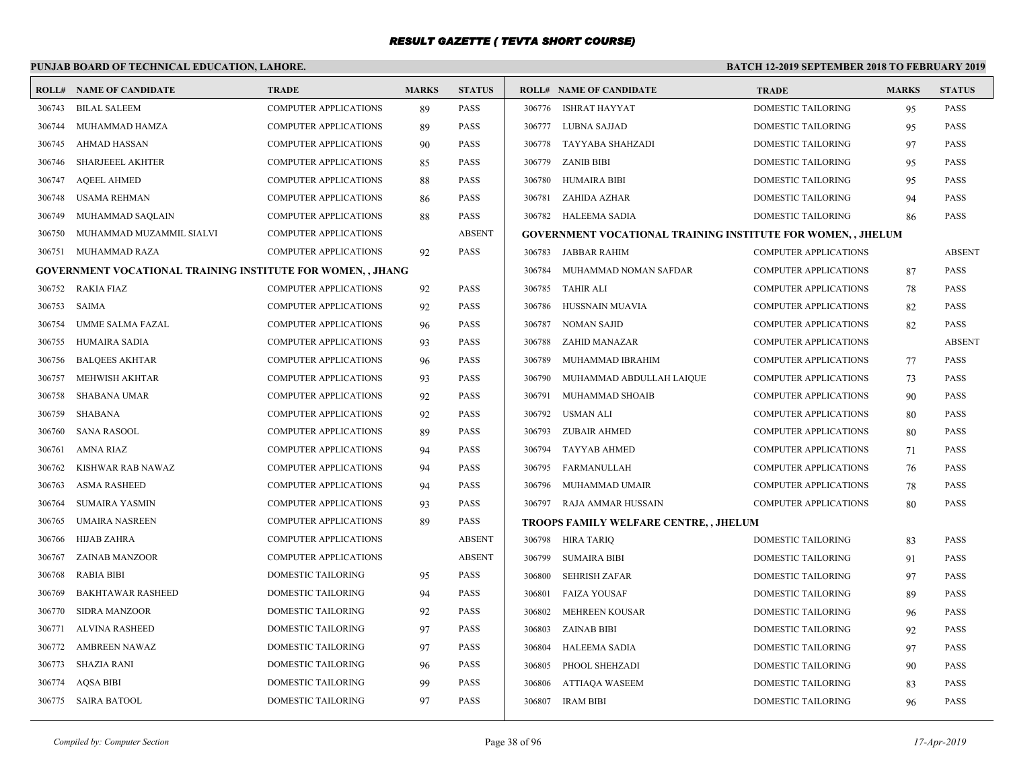# **PUNJAB BOARD OF TECHNICAL EDUCATION, LAHORE.**

|        | <b>ROLL# NAME OF CANDIDATE</b>                                    | <b>TRADE</b>                 | <b>MARKS</b> | <b>STATUS</b> |        | <b>ROLL# NAME OF CANDIDATE</b>                                     | <b>TRADE</b>                 | <b>MARKS</b> | <b>STATUS</b> |
|--------|-------------------------------------------------------------------|------------------------------|--------------|---------------|--------|--------------------------------------------------------------------|------------------------------|--------------|---------------|
| 306743 | <b>BILAL SALEEM</b>                                               | <b>COMPUTER APPLICATIONS</b> | 89           | <b>PASS</b>   |        | 306776 ISHRAT HAYYAT                                               | <b>DOMESTIC TAILORING</b>    | 95           | <b>PASS</b>   |
| 306744 | MUHAMMAD HAMZA                                                    | COMPUTER APPLICATIONS        | 89           | <b>PASS</b>   |        | 306777 LUBNA SAJJAD                                                | DOMESTIC TAILORING           | 95           | <b>PASS</b>   |
| 306745 | <b>AHMAD HASSAN</b>                                               | COMPUTER APPLICATIONS        | 90           | PASS          |        | 306778 TAYYABA SHAHZADI                                            | DOMESTIC TAILORING           | 97           | <b>PASS</b>   |
| 306746 | <b>SHARJEEEL AKHTER</b>                                           | <b>COMPUTER APPLICATIONS</b> | 85           | <b>PASS</b>   |        | 306779 ZANIB BIBI                                                  | <b>DOMESTIC TAILORING</b>    | 95           | <b>PASS</b>   |
| 306747 | <b>AQEEL AHMED</b>                                                | <b>COMPUTER APPLICATIONS</b> | 88           | <b>PASS</b>   | 306780 | HUMAIRA BIBI                                                       | <b>DOMESTIC TAILORING</b>    | 95           | <b>PASS</b>   |
| 306748 | <b>USAMA REHMAN</b>                                               | COMPUTER APPLICATIONS        | 86           | <b>PASS</b>   | 306781 | ZAHIDA AZHAR                                                       | DOMESTIC TAILORING           | 94           | <b>PASS</b>   |
| 306749 | MUHAMMAD SAQLAIN                                                  | <b>COMPUTER APPLICATIONS</b> | 88           | <b>PASS</b>   |        | 306782 HALEEMA SADIA                                               | <b>DOMESTIC TAILORING</b>    | 86           | <b>PASS</b>   |
| 306750 | MUHAMMAD MUZAMMIL SIALVI                                          | <b>COMPUTER APPLICATIONS</b> |              | <b>ABSENT</b> |        | <b>GOVERNMENT VOCATIONAL TRAINING INSTITUTE FOR WOMEN,, JHELUM</b> |                              |              |               |
| 306751 | MUHAMMAD RAZA                                                     | COMPUTER APPLICATIONS        | 92           | PASS          |        | 306783 JABBAR RAHIM                                                | <b>COMPUTER APPLICATIONS</b> |              | <b>ABSENT</b> |
|        | <b>GOVERNMENT VOCATIONAL TRAINING INSTITUTE FOR WOMEN,, JHANG</b> |                              |              |               | 306784 | MUHAMMAD NOMAN SAFDAR                                              | COMPUTER APPLICATIONS        | 87           | <b>PASS</b>   |
| 306752 | RAKIA FIAZ                                                        | <b>COMPUTER APPLICATIONS</b> | 92           | <b>PASS</b>   | 306785 | TAHIR ALI                                                          | <b>COMPUTER APPLICATIONS</b> | 78           | <b>PASS</b>   |
| 306753 | SAIMA                                                             | COMPUTER APPLICATIONS        | 92           | <b>PASS</b>   | 306786 | HUSSNAIN MUAVIA                                                    | COMPUTER APPLICATIONS        | 82           | <b>PASS</b>   |
| 306754 | UMME SALMA FAZAL                                                  | <b>COMPUTER APPLICATIONS</b> | 96           | <b>PASS</b>   | 306787 | <b>NOMAN SAJID</b>                                                 | COMPUTER APPLICATIONS        | 82           | <b>PASS</b>   |
| 306755 | HUMAIRA SADIA                                                     | <b>COMPUTER APPLICATIONS</b> | 93           | <b>PASS</b>   | 306788 | ZAHID MANAZAR                                                      | <b>COMPUTER APPLICATIONS</b> |              | <b>ABSENT</b> |
| 306756 | <b>BALQEES AKHTAR</b>                                             | <b>COMPUTER APPLICATIONS</b> | 96           | <b>PASS</b>   | 306789 | MUHAMMAD IBRAHIM                                                   | <b>COMPUTER APPLICATIONS</b> | 77           | <b>PASS</b>   |
| 306757 | MEHWISH AKHTAR                                                    | <b>COMPUTER APPLICATIONS</b> | 93           | <b>PASS</b>   | 306790 | MUHAMMAD ABDULLAH LAIQUE                                           | COMPUTER APPLICATIONS        | 73           | <b>PASS</b>   |
| 306758 | <b>SHABANA UMAR</b>                                               | <b>COMPUTER APPLICATIONS</b> | 92           | PASS          | 306791 | MUHAMMAD SHOAIB                                                    | COMPUTER APPLICATIONS        | 90           | <b>PASS</b>   |
| 306759 | SHABANA                                                           | <b>COMPUTER APPLICATIONS</b> | 92           | <b>PASS</b>   | 306792 | USMAN ALI                                                          | <b>COMPUTER APPLICATIONS</b> | 80           | <b>PASS</b>   |
| 306760 | <b>SANA RASOOL</b>                                                | <b>COMPUTER APPLICATIONS</b> | 89           | <b>PASS</b>   | 306793 | ZUBAIR AHMED                                                       | COMPUTER APPLICATIONS        | 80           | <b>PASS</b>   |
| 306761 | <b>AMNA RIAZ</b>                                                  | <b>COMPUTER APPLICATIONS</b> | 94           | <b>PASS</b>   | 306794 | TAYYAB AHMED                                                       | COMPUTER APPLICATIONS        | 71           | <b>PASS</b>   |
| 306762 | KISHWAR RAB NAWAZ                                                 | <b>COMPUTER APPLICATIONS</b> | 94           | <b>PASS</b>   | 306795 | FARMANULLAH                                                        | COMPUTER APPLICATIONS        | 76           | <b>PASS</b>   |
| 306763 | <b>ASMA RASHEED</b>                                               | <b>COMPUTER APPLICATIONS</b> | 94           | <b>PASS</b>   | 306796 | MUHAMMAD UMAIR                                                     | <b>COMPUTER APPLICATIONS</b> | 78           | <b>PASS</b>   |
| 306764 | <b>SUMAIRA YASMIN</b>                                             | <b>COMPUTER APPLICATIONS</b> | 93           | <b>PASS</b>   |        | 306797 RAJA AMMAR HUSSAIN                                          | COMPUTER APPLICATIONS        | 80           | <b>PASS</b>   |
| 306765 | <b>UMAIRA NASREEN</b>                                             | <b>COMPUTER APPLICATIONS</b> | 89           | <b>PASS</b>   |        | TROOPS FAMILY WELFARE CENTRE, , JHELUM                             |                              |              |               |
| 306766 | <b>HIJAB ZAHRA</b>                                                | COMPUTER APPLICATIONS        |              | <b>ABSENT</b> |        | 306798 HIRA TARIQ                                                  | <b>DOMESTIC TAILORING</b>    | 83           | <b>PASS</b>   |
| 306767 | ZAINAB MANZOOR                                                    | COMPUTER APPLICATIONS        |              | <b>ABSENT</b> |        | 306799 SUMAIRA BIBI                                                | <b>DOMESTIC TAILORING</b>    | 91           | <b>PASS</b>   |
| 306768 | RABIA BIBI                                                        | <b>DOMESTIC TAILORING</b>    | 95           | <b>PASS</b>   | 306800 | SEHRISH ZAFAR                                                      | DOMESTIC TAILORING           | 97           | <b>PASS</b>   |
| 306769 | <b>BAKHTAWAR RASHEED</b>                                          | DOMESTIC TAILORING           | 94           | <b>PASS</b>   | 306801 | <b>FAIZA YOUSAF</b>                                                | <b>DOMESTIC TAILORING</b>    | 89           | <b>PASS</b>   |
| 306770 | <b>SIDRA MANZOOR</b>                                              | DOMESTIC TAILORING           | 92           | <b>PASS</b>   | 306802 | MEHREEN KOUSAR                                                     | DOMESTIC TAILORING           | 96           | <b>PASS</b>   |
| 306771 | ALVINA RASHEED                                                    | <b>DOMESTIC TAILORING</b>    | 97           | <b>PASS</b>   | 306803 | ZAINAB BIBI                                                        | DOMESTIC TAILORING           | 92           | <b>PASS</b>   |
| 306772 | <b>AMBREEN NAWAZ</b>                                              | DOMESTIC TAILORING           | 97           | <b>PASS</b>   | 306804 | <b>HALEEMA SADIA</b>                                               | <b>DOMESTIC TAILORING</b>    | 97           | <b>PASS</b>   |
| 306773 | <b>SHAZIA RANI</b>                                                | DOMESTIC TAILORING           | 96           | <b>PASS</b>   | 306805 | PHOOL SHEHZADI                                                     | DOMESTIC TAILORING           | 90           | <b>PASS</b>   |
| 306774 | <b>AOSA BIBI</b>                                                  | <b>DOMESTIC TAILORING</b>    | 99           | <b>PASS</b>   | 306806 | ATTIAQA WASEEM                                                     | DOMESTIC TAILORING           | 83           | <b>PASS</b>   |
|        | 306775 SAIRA BATOOL                                               | <b>DOMESTIC TAILORING</b>    | 97           | <b>PASS</b>   |        | 306807 IRAM BIBI                                                   | <b>DOMESTIC TAILORING</b>    | 96           | <b>PASS</b>   |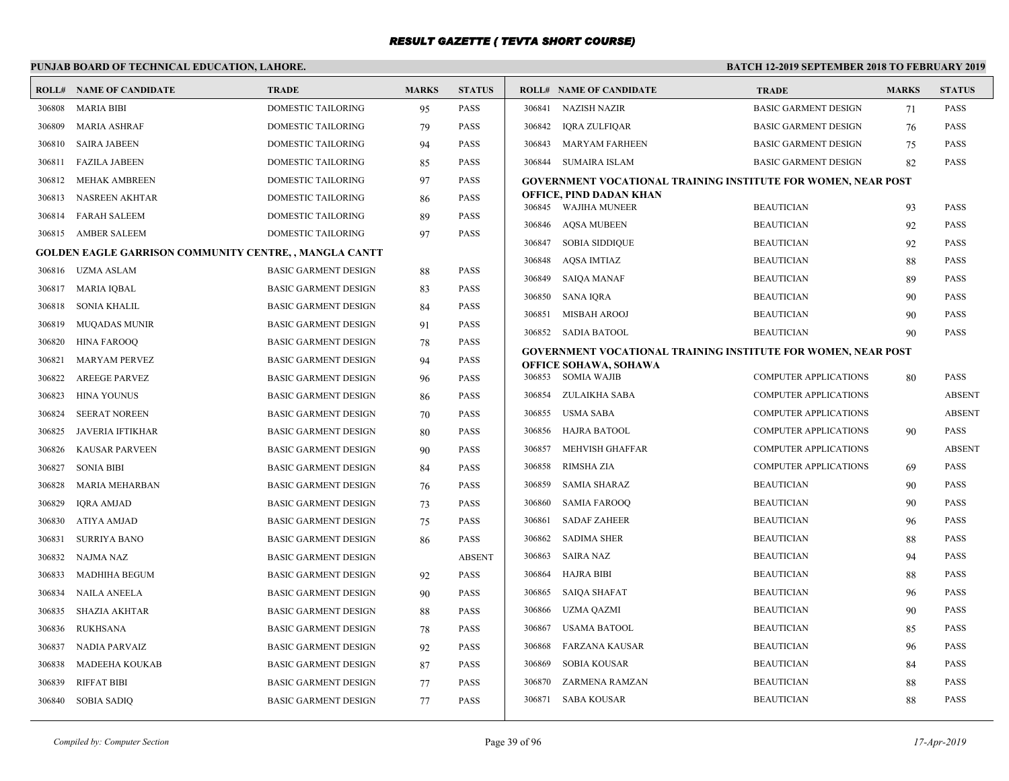# **PUNJAB BOARD OF TECHNICAL EDUCATION, LAHORE.**

|        | <b>ROLL# NAME OF CANDIDATE</b>                                | <b>TRADE</b>                | <b>MARKS</b> | <b>STATUS</b> |        | <b>ROLL# NAME OF CANDIDATE</b>                                                                | <b>TRADE</b>                 | <b>MARKS</b> | <b>STATUS</b> |
|--------|---------------------------------------------------------------|-----------------------------|--------------|---------------|--------|-----------------------------------------------------------------------------------------------|------------------------------|--------------|---------------|
| 306808 | <b>MARIA BIBI</b>                                             | DOMESTIC TAILORING          | 95           | <b>PASS</b>   |        | 306841 NAZISH NAZIR                                                                           | <b>BASIC GARMENT DESIGN</b>  | 71           | <b>PASS</b>   |
| 306809 | <b>MARIA ASHRAF</b>                                           | <b>DOMESTIC TAILORING</b>   | 79           | <b>PASS</b>   | 306842 | IORA ZULFIOAR                                                                                 | <b>BASIC GARMENT DESIGN</b>  | 76           | <b>PASS</b>   |
| 306810 | <b>SAIRA JABEEN</b>                                           | <b>DOMESTIC TAILORING</b>   | 94           | <b>PASS</b>   |        | 306843 MARYAM FARHEEN                                                                         | <b>BASIC GARMENT DESIGN</b>  | 75           | <b>PASS</b>   |
| 306811 | FAZILA JABEEN                                                 | DOMESTIC TAILORING          | 85           | <b>PASS</b>   |        | 306844 SUMAIRA ISLAM                                                                          | <b>BASIC GARMENT DESIGN</b>  | 82           | <b>PASS</b>   |
| 306812 | <b>MEHAK AMBREEN</b>                                          | DOMESTIC TAILORING          | 97           | <b>PASS</b>   |        | <b>GOVERNMENT VOCATIONAL TRAINING INSTITUTE FOR WOMEN, NEAR POST</b>                          |                              |              |               |
| 306813 | NASREEN AKHTAR                                                | DOMESTIC TAILORING          | 86           | <b>PASS</b>   |        | OFFICE, PIND DADAN KHAN<br>306845 WAJIHA MUNEER                                               | <b>BEAUTICIAN</b>            | 93           | <b>PASS</b>   |
| 306814 | <b>FARAH SALEEM</b>                                           | DOMESTIC TAILORING          | 89           | <b>PASS</b>   |        | 306846 AOSA MUBEEN                                                                            | <b>BEAUTICIAN</b>            | 92           | <b>PASS</b>   |
| 306815 | AMBER SALEEM                                                  | <b>DOMESTIC TAILORING</b>   | 97           | <b>PASS</b>   |        | 306847 SOBIA SIDDIQUE                                                                         | <b>BEAUTICIAN</b>            | 92           | <b>PASS</b>   |
|        | <b>GOLDEN EAGLE GARRISON COMMUNITY CENTRE, , MANGLA CANTT</b> |                             |              |               | 306848 | AOSA IMTIAZ                                                                                   | <b>BEAUTICIAN</b>            | 88           | <b>PASS</b>   |
|        | 306816 UZMA ASLAM                                             | <b>BASIC GARMENT DESIGN</b> | 88           | <b>PASS</b>   |        | 306849 SAIOA MANAF                                                                            | <b>BEAUTICIAN</b>            |              | <b>PASS</b>   |
| 306817 | MARIA IQBAL                                                   | <b>BASIC GARMENT DESIGN</b> | 83           | <b>PASS</b>   |        | 306850 SANA IQRA                                                                              | <b>BEAUTICIAN</b>            | 89<br>90     | <b>PASS</b>   |
| 306818 | SONIA KHALIL                                                  | <b>BASIC GARMENT DESIGN</b> | 84           | <b>PASS</b>   | 306851 | MISBAH AROOJ                                                                                  | <b>BEAUTICIAN</b>            |              | <b>PASS</b>   |
| 306819 | MUQADAS MUNIR                                                 | <b>BASIC GARMENT DESIGN</b> | 91           | <b>PASS</b>   |        | 306852 SADIA BATOOL                                                                           | <b>BEAUTICIAN</b>            | 90<br>90     | <b>PASS</b>   |
| 306820 | HINA FAROOO                                                   | <b>BASIC GARMENT DESIGN</b> | 78           | <b>PASS</b>   |        |                                                                                               |                              |              |               |
| 306821 | <b>MARYAM PERVEZ</b>                                          | <b>BASIC GARMENT DESIGN</b> | 94           | <b>PASS</b>   |        | GOVERNMENT VOCATIONAL TRAINING INSTITUTE FOR WOMEN, NEAR POST<br><b>OFFICE SOHAWA, SOHAWA</b> |                              |              |               |
| 306822 | <b>AREEGE PARVEZ</b>                                          | <b>BASIC GARMENT DESIGN</b> | 96           | <b>PASS</b>   |        | 306853 SOMIA WAJIB                                                                            | <b>COMPUTER APPLICATIONS</b> | 80           | <b>PASS</b>   |
| 306823 | <b>HINA YOUNUS</b>                                            | <b>BASIC GARMENT DESIGN</b> | 86           | <b>PASS</b>   | 306854 | ZULAIKHA SABA                                                                                 | <b>COMPUTER APPLICATIONS</b> |              | <b>ABSENT</b> |
| 306824 | <b>SEERAT NOREEN</b>                                          | <b>BASIC GARMENT DESIGN</b> | 70           | <b>PASS</b>   |        | 306855 USMA SABA                                                                              | <b>COMPUTER APPLICATIONS</b> |              | <b>ABSENT</b> |
| 306825 | JAVERIA IFTIKHAR                                              | <b>BASIC GARMENT DESIGN</b> | 80           | <b>PASS</b>   |        | 306856 HAJRA BATOOL                                                                           | <b>COMPUTER APPLICATIONS</b> | 90           | <b>PASS</b>   |
| 306826 | <b>KAUSAR PARVEEN</b>                                         | <b>BASIC GARMENT DESIGN</b> | 90           | <b>PASS</b>   | 306857 | MEHVISH GHAFFAR                                                                               | <b>COMPUTER APPLICATIONS</b> |              | <b>ABSENT</b> |
| 306827 | <b>SONIA BIBI</b>                                             | <b>BASIC GARMENT DESIGN</b> | 84           | <b>PASS</b>   | 306858 | RIMSHA ZIA                                                                                    | <b>COMPUTER APPLICATIONS</b> | 69           | <b>PASS</b>   |
| 306828 | MARIA MEHARBAN                                                | <b>BASIC GARMENT DESIGN</b> | 76           | <b>PASS</b>   | 306859 | <b>SAMIA SHARAZ</b>                                                                           | <b>BEAUTICIAN</b>            | 90           | PASS          |
| 306829 | <b>IORA AMJAD</b>                                             | <b>BASIC GARMENT DESIGN</b> | 73           | <b>PASS</b>   | 306860 | <b>SAMIA FAROOQ</b>                                                                           | <b>BEAUTICIAN</b>            | 90           | <b>PASS</b>   |
| 306830 | ATIYA AMJAD                                                   | <b>BASIC GARMENT DESIGN</b> | 75           | <b>PASS</b>   | 306861 | <b>SADAF ZAHEER</b>                                                                           | <b>BEAUTICIAN</b>            | 96           | <b>PASS</b>   |
| 306831 | <b>SURRIYA BANO</b>                                           | <b>BASIC GARMENT DESIGN</b> | 86           | <b>PASS</b>   | 306862 | <b>SADIMA SHER</b>                                                                            | <b>BEAUTICIAN</b>            | 88           | <b>PASS</b>   |
| 306832 | NAJMA NAZ                                                     | <b>BASIC GARMENT DESIGN</b> |              | <b>ABSENT</b> | 306863 | SAIRA NAZ                                                                                     | <b>BEAUTICIAN</b>            | 94           | <b>PASS</b>   |
| 306833 | MADHIHA BEGUM                                                 | <b>BASIC GARMENT DESIGN</b> | 92           | <b>PASS</b>   |        | 306864 HAJRA BIBI                                                                             | <b>BEAUTICIAN</b>            | 88           | <b>PASS</b>   |
| 306834 | NAILA ANEELA                                                  | <b>BASIC GARMENT DESIGN</b> | 90           | <b>PASS</b>   |        | 306865 SAIQA SHAFAT                                                                           | <b>BEAUTICIAN</b>            | 96           | <b>PASS</b>   |
| 306835 | SHAZIA AKHTAR                                                 | <b>BASIC GARMENT DESIGN</b> | 88           | <b>PASS</b>   |        | 306866 UZMA QAZMI                                                                             | <b>BEAUTICIAN</b>            | 90           | <b>PASS</b>   |
| 306836 | <b>RUKHSANA</b>                                               | <b>BASIC GARMENT DESIGN</b> | 78           | <b>PASS</b>   | 306867 | USAMA BATOOL                                                                                  | <b>BEAUTICIAN</b>            | 85           | <b>PASS</b>   |
| 306837 | NADIA PARVAIZ                                                 | <b>BASIC GARMENT DESIGN</b> | 92           | <b>PASS</b>   | 306868 | FARZANA KAUSAR                                                                                | <b>BEAUTICIAN</b>            | 96           | <b>PASS</b>   |
| 306838 | <b>MADEEHA KOUKAB</b>                                         | <b>BASIC GARMENT DESIGN</b> | 87           | <b>PASS</b>   | 306869 | <b>SOBIA KOUSAR</b>                                                                           | <b>BEAUTICIAN</b>            | 84           | <b>PASS</b>   |
| 306839 | <b>RIFFAT BIBI</b>                                            | <b>BASIC GARMENT DESIGN</b> | 77           | <b>PASS</b>   | 306870 | ZARMENA RAMZAN                                                                                | <b>BEAUTICIAN</b>            | 88           | <b>PASS</b>   |
|        | 306840 SOBIA SADIQ                                            | <b>BASIC GARMENT DESIGN</b> | 77           | <b>PASS</b>   |        | 306871 SABA KOUSAR                                                                            | <b>BEAUTICIAN</b>            | 88           | <b>PASS</b>   |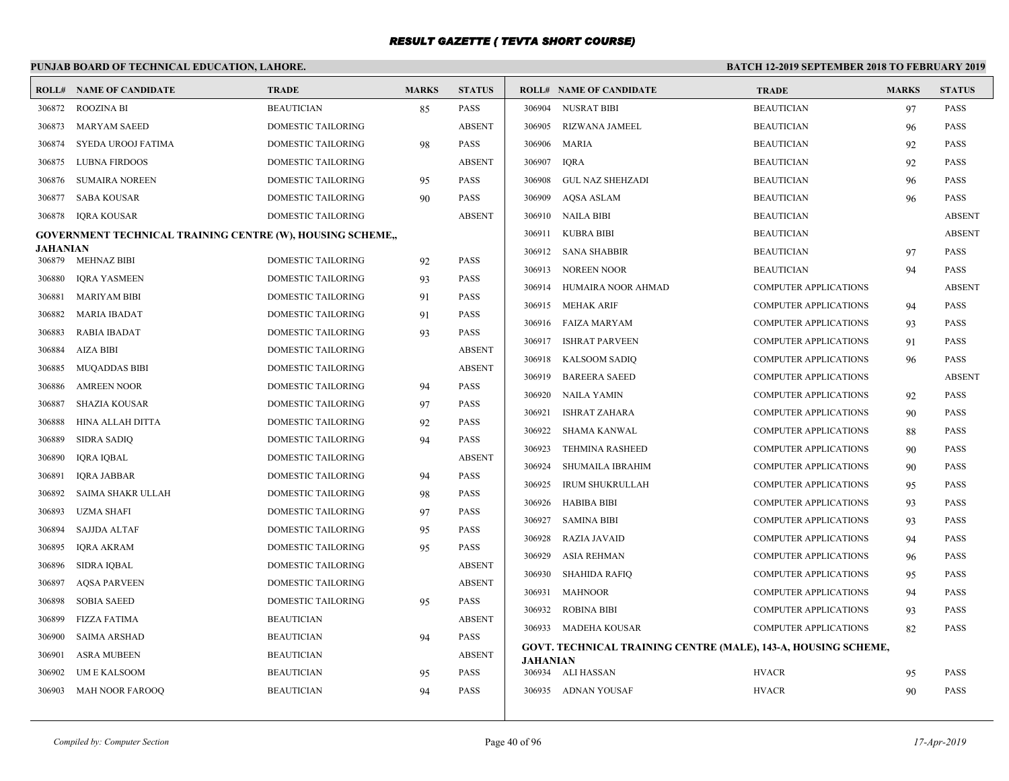|                                |                                                                                                                                                                                                                                                                                                                                                                                                                                                                                           |                                                                                                                                                                                                                                                                                                                                                                                                                                                                                                                                                                                                                                          |                                                                                        | <b>BATCH 12-2019 SEPTEMBER 2018 TO FEBRUARY 2019</b>                                                                                                                                                                                                                                                                          |  |                                                                                                                                                                                                                                                                                                                                                                                                                                                                                                                                                                                                                                                                            |              |                                                                |  |
|--------------------------------|-------------------------------------------------------------------------------------------------------------------------------------------------------------------------------------------------------------------------------------------------------------------------------------------------------------------------------------------------------------------------------------------------------------------------------------------------------------------------------------------|------------------------------------------------------------------------------------------------------------------------------------------------------------------------------------------------------------------------------------------------------------------------------------------------------------------------------------------------------------------------------------------------------------------------------------------------------------------------------------------------------------------------------------------------------------------------------------------------------------------------------------------|----------------------------------------------------------------------------------------|-------------------------------------------------------------------------------------------------------------------------------------------------------------------------------------------------------------------------------------------------------------------------------------------------------------------------------|--|----------------------------------------------------------------------------------------------------------------------------------------------------------------------------------------------------------------------------------------------------------------------------------------------------------------------------------------------------------------------------------------------------------------------------------------------------------------------------------------------------------------------------------------------------------------------------------------------------------------------------------------------------------------------------|--------------|----------------------------------------------------------------|--|
| <b>ROLL# NAME OF CANDIDATE</b> | <b>TRADE</b>                                                                                                                                                                                                                                                                                                                                                                                                                                                                              | <b>MARKS</b>                                                                                                                                                                                                                                                                                                                                                                                                                                                                                                                                                                                                                             | <b>STATUS</b>                                                                          |                                                                                                                                                                                                                                                                                                                               |  | <b>TRADE</b>                                                                                                                                                                                                                                                                                                                                                                                                                                                                                                                                                                                                                                                               | <b>MARKS</b> | <b>STATUS</b>                                                  |  |
| <b>ROOZINA BI</b>              | <b>BEAUTICIAN</b>                                                                                                                                                                                                                                                                                                                                                                                                                                                                         | 85                                                                                                                                                                                                                                                                                                                                                                                                                                                                                                                                                                                                                                       | <b>PASS</b>                                                                            | 306904                                                                                                                                                                                                                                                                                                                        |  | <b>BEAUTICIAN</b>                                                                                                                                                                                                                                                                                                                                                                                                                                                                                                                                                                                                                                                          | 97           | <b>PASS</b>                                                    |  |
| MARYAM SAEED                   | <b>DOMESTIC TAILORING</b>                                                                                                                                                                                                                                                                                                                                                                                                                                                                 |                                                                                                                                                                                                                                                                                                                                                                                                                                                                                                                                                                                                                                          | <b>ABSENT</b>                                                                          | 306905                                                                                                                                                                                                                                                                                                                        |  | <b>BEAUTICIAN</b>                                                                                                                                                                                                                                                                                                                                                                                                                                                                                                                                                                                                                                                          | 96           | <b>PASS</b>                                                    |  |
| SYEDA UROOJ FATIMA             | DOMESTIC TAILORING                                                                                                                                                                                                                                                                                                                                                                                                                                                                        | 98                                                                                                                                                                                                                                                                                                                                                                                                                                                                                                                                                                                                                                       | <b>PASS</b>                                                                            | 306906 MARIA                                                                                                                                                                                                                                                                                                                  |  | <b>BEAUTICIAN</b>                                                                                                                                                                                                                                                                                                                                                                                                                                                                                                                                                                                                                                                          | 92           | <b>PASS</b>                                                    |  |
| LUBNA FIRDOOS                  | DOMESTIC TAILORING                                                                                                                                                                                                                                                                                                                                                                                                                                                                        |                                                                                                                                                                                                                                                                                                                                                                                                                                                                                                                                                                                                                                          | <b>ABSENT</b>                                                                          | 306907<br><b>IORA</b>                                                                                                                                                                                                                                                                                                         |  | <b>BEAUTICIAN</b>                                                                                                                                                                                                                                                                                                                                                                                                                                                                                                                                                                                                                                                          | 92           | <b>PASS</b>                                                    |  |
| <b>SUMAIRA NOREEN</b>          | DOMESTIC TAILORING                                                                                                                                                                                                                                                                                                                                                                                                                                                                        | 95                                                                                                                                                                                                                                                                                                                                                                                                                                                                                                                                                                                                                                       | <b>PASS</b>                                                                            | 306908                                                                                                                                                                                                                                                                                                                        |  | <b>BEAUTICIAN</b>                                                                                                                                                                                                                                                                                                                                                                                                                                                                                                                                                                                                                                                          | 96           | <b>PASS</b>                                                    |  |
| SABA KOUSAR                    | DOMESTIC TAILORING                                                                                                                                                                                                                                                                                                                                                                                                                                                                        | 90                                                                                                                                                                                                                                                                                                                                                                                                                                                                                                                                                                                                                                       | <b>PASS</b>                                                                            | 306909                                                                                                                                                                                                                                                                                                                        |  | <b>BEAUTICIAN</b>                                                                                                                                                                                                                                                                                                                                                                                                                                                                                                                                                                                                                                                          | 96           | <b>PASS</b>                                                    |  |
| <b>IORA KOUSAR</b>             | DOMESTIC TAILORING                                                                                                                                                                                                                                                                                                                                                                                                                                                                        |                                                                                                                                                                                                                                                                                                                                                                                                                                                                                                                                                                                                                                          | <b>ABSENT</b>                                                                          |                                                                                                                                                                                                                                                                                                                               |  | <b>BEAUTICIAN</b>                                                                                                                                                                                                                                                                                                                                                                                                                                                                                                                                                                                                                                                          |              | <b>ABSENT</b>                                                  |  |
|                                |                                                                                                                                                                                                                                                                                                                                                                                                                                                                                           |                                                                                                                                                                                                                                                                                                                                                                                                                                                                                                                                                                                                                                          |                                                                                        | 306911                                                                                                                                                                                                                                                                                                                        |  | <b>BEAUTICIAN</b>                                                                                                                                                                                                                                                                                                                                                                                                                                                                                                                                                                                                                                                          |              | <b>ABSENT</b>                                                  |  |
|                                |                                                                                                                                                                                                                                                                                                                                                                                                                                                                                           |                                                                                                                                                                                                                                                                                                                                                                                                                                                                                                                                                                                                                                          |                                                                                        |                                                                                                                                                                                                                                                                                                                               |  | <b>BEAUTICIAN</b>                                                                                                                                                                                                                                                                                                                                                                                                                                                                                                                                                                                                                                                          | 97           | <b>PASS</b>                                                    |  |
|                                |                                                                                                                                                                                                                                                                                                                                                                                                                                                                                           |                                                                                                                                                                                                                                                                                                                                                                                                                                                                                                                                                                                                                                          |                                                                                        |                                                                                                                                                                                                                                                                                                                               |  | <b>BEAUTICIAN</b>                                                                                                                                                                                                                                                                                                                                                                                                                                                                                                                                                                                                                                                          | 94           | <b>PASS</b>                                                    |  |
|                                |                                                                                                                                                                                                                                                                                                                                                                                                                                                                                           |                                                                                                                                                                                                                                                                                                                                                                                                                                                                                                                                                                                                                                          |                                                                                        |                                                                                                                                                                                                                                                                                                                               |  | <b>COMPUTER APPLICATIONS</b>                                                                                                                                                                                                                                                                                                                                                                                                                                                                                                                                                                                                                                               |              | <b>ABSENT</b>                                                  |  |
|                                |                                                                                                                                                                                                                                                                                                                                                                                                                                                                                           |                                                                                                                                                                                                                                                                                                                                                                                                                                                                                                                                                                                                                                          |                                                                                        |                                                                                                                                                                                                                                                                                                                               |  | <b>COMPUTER APPLICATIONS</b>                                                                                                                                                                                                                                                                                                                                                                                                                                                                                                                                                                                                                                               | 94           | <b>PASS</b>                                                    |  |
|                                |                                                                                                                                                                                                                                                                                                                                                                                                                                                                                           |                                                                                                                                                                                                                                                                                                                                                                                                                                                                                                                                                                                                                                          |                                                                                        |                                                                                                                                                                                                                                                                                                                               |  | <b>COMPUTER APPLICATIONS</b>                                                                                                                                                                                                                                                                                                                                                                                                                                                                                                                                                                                                                                               | 93           | <b>PASS</b>                                                    |  |
|                                |                                                                                                                                                                                                                                                                                                                                                                                                                                                                                           |                                                                                                                                                                                                                                                                                                                                                                                                                                                                                                                                                                                                                                          |                                                                                        |                                                                                                                                                                                                                                                                                                                               |  | <b>COMPUTER APPLICATIONS</b>                                                                                                                                                                                                                                                                                                                                                                                                                                                                                                                                                                                                                                               | 91           | <b>PASS</b>                                                    |  |
|                                |                                                                                                                                                                                                                                                                                                                                                                                                                                                                                           |                                                                                                                                                                                                                                                                                                                                                                                                                                                                                                                                                                                                                                          |                                                                                        | 306918                                                                                                                                                                                                                                                                                                                        |  | <b>COMPUTER APPLICATIONS</b>                                                                                                                                                                                                                                                                                                                                                                                                                                                                                                                                                                                                                                               | 96           | <b>PASS</b>                                                    |  |
|                                |                                                                                                                                                                                                                                                                                                                                                                                                                                                                                           |                                                                                                                                                                                                                                                                                                                                                                                                                                                                                                                                                                                                                                          |                                                                                        | 306919                                                                                                                                                                                                                                                                                                                        |  | <b>COMPUTER APPLICATIONS</b>                                                                                                                                                                                                                                                                                                                                                                                                                                                                                                                                                                                                                                               |              | <b>ABSENT</b>                                                  |  |
|                                |                                                                                                                                                                                                                                                                                                                                                                                                                                                                                           |                                                                                                                                                                                                                                                                                                                                                                                                                                                                                                                                                                                                                                          |                                                                                        |                                                                                                                                                                                                                                                                                                                               |  | <b>COMPUTER APPLICATIONS</b>                                                                                                                                                                                                                                                                                                                                                                                                                                                                                                                                                                                                                                               | 92           | <b>PASS</b>                                                    |  |
|                                |                                                                                                                                                                                                                                                                                                                                                                                                                                                                                           |                                                                                                                                                                                                                                                                                                                                                                                                                                                                                                                                                                                                                                          |                                                                                        | 306921                                                                                                                                                                                                                                                                                                                        |  | <b>COMPUTER APPLICATIONS</b>                                                                                                                                                                                                                                                                                                                                                                                                                                                                                                                                                                                                                                               | 90           | <b>PASS</b>                                                    |  |
|                                |                                                                                                                                                                                                                                                                                                                                                                                                                                                                                           |                                                                                                                                                                                                                                                                                                                                                                                                                                                                                                                                                                                                                                          |                                                                                        | 306922                                                                                                                                                                                                                                                                                                                        |  | <b>COMPUTER APPLICATIONS</b>                                                                                                                                                                                                                                                                                                                                                                                                                                                                                                                                                                                                                                               | 88           | <b>PASS</b>                                                    |  |
|                                |                                                                                                                                                                                                                                                                                                                                                                                                                                                                                           |                                                                                                                                                                                                                                                                                                                                                                                                                                                                                                                                                                                                                                          |                                                                                        | 306923                                                                                                                                                                                                                                                                                                                        |  | <b>COMPUTER APPLICATIONS</b>                                                                                                                                                                                                                                                                                                                                                                                                                                                                                                                                                                                                                                               | 90           | <b>PASS</b>                                                    |  |
|                                |                                                                                                                                                                                                                                                                                                                                                                                                                                                                                           |                                                                                                                                                                                                                                                                                                                                                                                                                                                                                                                                                                                                                                          |                                                                                        | 306924                                                                                                                                                                                                                                                                                                                        |  | <b>COMPUTER APPLICATIONS</b>                                                                                                                                                                                                                                                                                                                                                                                                                                                                                                                                                                                                                                               | 90           | <b>PASS</b>                                                    |  |
|                                |                                                                                                                                                                                                                                                                                                                                                                                                                                                                                           |                                                                                                                                                                                                                                                                                                                                                                                                                                                                                                                                                                                                                                          |                                                                                        | 306925                                                                                                                                                                                                                                                                                                                        |  | <b>COMPUTER APPLICATIONS</b>                                                                                                                                                                                                                                                                                                                                                                                                                                                                                                                                                                                                                                               | 95           | <b>PASS</b>                                                    |  |
|                                |                                                                                                                                                                                                                                                                                                                                                                                                                                                                                           |                                                                                                                                                                                                                                                                                                                                                                                                                                                                                                                                                                                                                                          |                                                                                        |                                                                                                                                                                                                                                                                                                                               |  | <b>COMPUTER APPLICATIONS</b>                                                                                                                                                                                                                                                                                                                                                                                                                                                                                                                                                                                                                                               | 93           | <b>PASS</b>                                                    |  |
|                                |                                                                                                                                                                                                                                                                                                                                                                                                                                                                                           |                                                                                                                                                                                                                                                                                                                                                                                                                                                                                                                                                                                                                                          |                                                                                        | 306927                                                                                                                                                                                                                                                                                                                        |  | <b>COMPUTER APPLICATIONS</b>                                                                                                                                                                                                                                                                                                                                                                                                                                                                                                                                                                                                                                               | 93           | <b>PASS</b>                                                    |  |
|                                |                                                                                                                                                                                                                                                                                                                                                                                                                                                                                           |                                                                                                                                                                                                                                                                                                                                                                                                                                                                                                                                                                                                                                          |                                                                                        | 306928                                                                                                                                                                                                                                                                                                                        |  | COMPUTER APPLICATIONS                                                                                                                                                                                                                                                                                                                                                                                                                                                                                                                                                                                                                                                      | 94           | <b>PASS</b>                                                    |  |
|                                |                                                                                                                                                                                                                                                                                                                                                                                                                                                                                           |                                                                                                                                                                                                                                                                                                                                                                                                                                                                                                                                                                                                                                          |                                                                                        | 306929                                                                                                                                                                                                                                                                                                                        |  | <b>COMPUTER APPLICATIONS</b>                                                                                                                                                                                                                                                                                                                                                                                                                                                                                                                                                                                                                                               | 96           | <b>PASS</b>                                                    |  |
|                                |                                                                                                                                                                                                                                                                                                                                                                                                                                                                                           |                                                                                                                                                                                                                                                                                                                                                                                                                                                                                                                                                                                                                                          |                                                                                        | 306930                                                                                                                                                                                                                                                                                                                        |  | <b>COMPUTER APPLICATIONS</b>                                                                                                                                                                                                                                                                                                                                                                                                                                                                                                                                                                                                                                               | 95           | <b>PASS</b>                                                    |  |
|                                |                                                                                                                                                                                                                                                                                                                                                                                                                                                                                           |                                                                                                                                                                                                                                                                                                                                                                                                                                                                                                                                                                                                                                          |                                                                                        | 306931                                                                                                                                                                                                                                                                                                                        |  | <b>COMPUTER APPLICATIONS</b>                                                                                                                                                                                                                                                                                                                                                                                                                                                                                                                                                                                                                                               | 94           | <b>PASS</b>                                                    |  |
|                                |                                                                                                                                                                                                                                                                                                                                                                                                                                                                                           |                                                                                                                                                                                                                                                                                                                                                                                                                                                                                                                                                                                                                                          |                                                                                        | 306932                                                                                                                                                                                                                                                                                                                        |  | <b>COMPUTER APPLICATIONS</b>                                                                                                                                                                                                                                                                                                                                                                                                                                                                                                                                                                                                                                               | 93           | <b>PASS</b>                                                    |  |
|                                |                                                                                                                                                                                                                                                                                                                                                                                                                                                                                           |                                                                                                                                                                                                                                                                                                                                                                                                                                                                                                                                                                                                                                          |                                                                                        |                                                                                                                                                                                                                                                                                                                               |  | <b>COMPUTER APPLICATIONS</b>                                                                                                                                                                                                                                                                                                                                                                                                                                                                                                                                                                                                                                               | 82           | <b>PASS</b>                                                    |  |
| <b>SAIMA ARSHAD</b>            | <b>BEAUTICIAN</b>                                                                                                                                                                                                                                                                                                                                                                                                                                                                         | 94                                                                                                                                                                                                                                                                                                                                                                                                                                                                                                                                                                                                                                       | PASS                                                                                   |                                                                                                                                                                                                                                                                                                                               |  |                                                                                                                                                                                                                                                                                                                                                                                                                                                                                                                                                                                                                                                                            |              |                                                                |  |
| <b>ASRA MUBEEN</b>             | <b>BEAUTICIAN</b>                                                                                                                                                                                                                                                                                                                                                                                                                                                                         |                                                                                                                                                                                                                                                                                                                                                                                                                                                                                                                                                                                                                                          | <b>ABSENT</b>                                                                          | <b>JAHANIAN</b>                                                                                                                                                                                                                                                                                                               |  |                                                                                                                                                                                                                                                                                                                                                                                                                                                                                                                                                                                                                                                                            |              |                                                                |  |
| UM E KALSOOM                   | <b>BEAUTICIAN</b>                                                                                                                                                                                                                                                                                                                                                                                                                                                                         | 95                                                                                                                                                                                                                                                                                                                                                                                                                                                                                                                                                                                                                                       |                                                                                        | 306934                                                                                                                                                                                                                                                                                                                        |  |                                                                                                                                                                                                                                                                                                                                                                                                                                                                                                                                                                                                                                                                            | 95           | <b>PASS</b>                                                    |  |
| MAH NOOR FAROOO                | <b>BEAUTICIAN</b>                                                                                                                                                                                                                                                                                                                                                                                                                                                                         | 94                                                                                                                                                                                                                                                                                                                                                                                                                                                                                                                                                                                                                                       | <b>PASS</b>                                                                            |                                                                                                                                                                                                                                                                                                                               |  | <b>HVACR</b>                                                                                                                                                                                                                                                                                                                                                                                                                                                                                                                                                                                                                                                               | 90           | <b>PASS</b>                                                    |  |
|                                | <b>JAHANIAN</b><br><b>MEHNAZ BIBI</b><br><b>IQRA YASMEEN</b><br><b>MARIYAM BIBI</b><br><b>MARIA IBADAT</b><br><b>RABIA IBADAT</b><br><b>AIZA BIBI</b><br><b>MUQADDAS BIBI</b><br><b>AMREEN NOOR</b><br><b>SHAZIA KOUSAR</b><br>HINA ALLAH DITTA<br><b>SIDRA SADIQ</b><br>IQRA IQBAL<br><b>IQRA JABBAR</b><br>SAIMA SHAKR ULLAH<br><b>UZMA SHAFI</b><br><b>SAJJDA ALTAF</b><br><b>IORA AKRAM</b><br><b>SIDRA IQBAL</b><br><b>AQSA PARVEEN</b><br><b>SOBIA SAEED</b><br><b>FIZZA FATIMA</b> | PUNJAB BOARD OF TECHNICAL EDUCATION, LAHORE.<br><b>GOVERNMENT TECHNICAL TRAINING CENTRE (W), HOUSING SCHEME,,</b><br><b>DOMESTIC TAILORING</b><br>DOMESTIC TAILORING<br>DOMESTIC TAILORING<br>DOMESTIC TAILORING<br>DOMESTIC TAILORING<br>DOMESTIC TAILORING<br>DOMESTIC TAILORING<br>DOMESTIC TAILORING<br>DOMESTIC TAILORING<br><b>DOMESTIC TAILORING</b><br><b>DOMESTIC TAILORING</b><br>DOMESTIC TAILORING<br>DOMESTIC TAILORING<br><b>DOMESTIC TAILORING</b><br>DOMESTIC TAILORING<br><b>DOMESTIC TAILORING</b><br><b>DOMESTIC TAILORING</b><br>DOMESTIC TAILORING<br>DOMESTIC TAILORING<br>DOMESTIC TAILORING<br><b>BEAUTICIAN</b> | 92<br>93<br>91<br>91<br>93<br>94<br>97<br>92<br>94<br>94<br>98<br>97<br>95<br>95<br>95 | <b>PASS</b><br><b>PASS</b><br>PASS<br>PASS<br><b>PASS</b><br><b>ABSENT</b><br><b>ABSENT</b><br><b>PASS</b><br>PASS<br><b>PASS</b><br><b>PASS</b><br><b>ABSENT</b><br><b>PASS</b><br><b>PASS</b><br><b>PASS</b><br><b>PASS</b><br><b>PASS</b><br><b>ABSENT</b><br><b>ABSENT</b><br><b>PASS</b><br><b>ABSENT</b><br><b>PASS</b> |  | <b>ROLL# NAME OF CANDIDATE</b><br><b>NUSRAT BIBI</b><br>RIZWANA JAMEEL<br>GUL NAZ SHEHZADI<br>AOSA ASLAM<br>306910 NAILA BIBI<br><b>KUBRA BIBI</b><br>306912 SANA SHABBIR<br>306913 NOREEN NOOR<br>306914 HUMAIRA NOOR AHMAD<br>306915 MEHAK ARIF<br>306916 FAIZA MARYAM<br>306917 ISHRAT PARVEEN<br>KALSOOM SADIQ<br><b>BAREERA SAEED</b><br>306920 NAILA YAMIN<br><b>ISHRAT ZAHARA</b><br>SHAMA KANWAL<br><b>TEHMINA RASHEED</b><br>SHUMAILA IBRAHIM<br>IRUM SHUKRULLAH<br>306926 HABIBA BIBI<br><b>SAMINA BIBI</b><br>RAZIA JAVAID<br>ASIA REHMAN<br>SHAHIDA RAFIQ<br><b>MAHNOOR</b><br><b>ROBINA BIBI</b><br>306933 MADEHA KOUSAR<br>ALI HASSAN<br>306935 ADNAN YOUSAF | <b>HVACR</b> | GOVT. TECHNICAL TRAINING CENTRE (MALE), 143-A, HOUSING SCHEME, |  |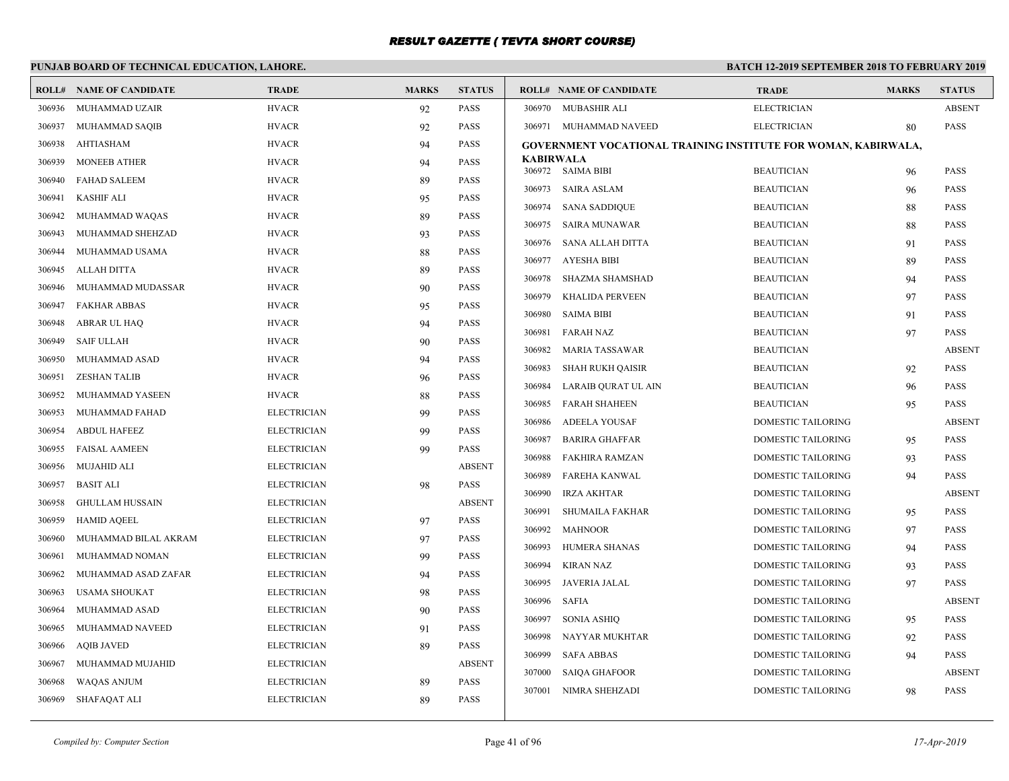# **PUNJAB BOARD OF TECHNICAL EDUCATION, LAHORE.**

|        | <b>ROLL# NAME OF CANDIDATE</b> | <b>TRADE</b>       | <b>MARKS</b> | <b>STATUS</b> |                  | <b>ROLL# NAME OF CANDIDATE</b>                                 | <b>TRADE</b>              | <b>MARKS</b> | <b>STATUS</b> |
|--------|--------------------------------|--------------------|--------------|---------------|------------------|----------------------------------------------------------------|---------------------------|--------------|---------------|
| 306936 | MUHAMMAD UZAIR                 | <b>HVACR</b>       | 92           | <b>PASS</b>   |                  | 306970 MUBASHIR ALI                                            | <b>ELECTRICIAN</b>        |              | <b>ABSENT</b> |
| 306937 | MUHAMMAD SAQIB                 | <b>HVACR</b>       | 92           | <b>PASS</b>   |                  | 306971 MUHAMMAD NAVEED                                         | <b>ELECTRICIAN</b>        | 80           | <b>PASS</b>   |
| 306938 | AHTIASHAM                      | <b>HVACR</b>       | 94           | <b>PASS</b>   |                  | GOVERNMENT VOCATIONAL TRAINING INSTITUTE FOR WOMAN, KABIRWALA, |                           |              |               |
| 306939 | <b>MONEEB ATHER</b>            | <b>HVACR</b>       | 94           | <b>PASS</b>   | <b>KABIRWALA</b> |                                                                |                           |              |               |
| 306940 | <b>FAHAD SALEEM</b>            | <b>HVACR</b>       | 89           | <b>PASS</b>   |                  | 306972 SAIMA BIBI                                              | <b>BEAUTICIAN</b>         | 96           | <b>PASS</b>   |
| 306941 | <b>KASHIF ALI</b>              | <b>HVACR</b>       | 95           | <b>PASS</b>   | 306973           | <b>SAIRA ASLAM</b>                                             | <b>BEAUTICIAN</b>         | 96           | <b>PASS</b>   |
| 306942 | MUHAMMAD WAQAS                 | <b>HVACR</b>       | 89           | <b>PASS</b>   | 306974           | <b>SANA SADDIQUE</b>                                           | <b>BEAUTICIAN</b>         | 88           | <b>PASS</b>   |
| 306943 | MUHAMMAD SHEHZAD               | <b>HVACR</b>       | 93           | <b>PASS</b>   | 306975           | SAIRA MUNAWAR                                                  | <b>BEAUTICIAN</b>         | 88           | <b>PASS</b>   |
| 306944 | MUHAMMAD USAMA                 | <b>HVACR</b>       | 88           | <b>PASS</b>   | 306976           | SANA ALLAH DITTA                                               | <b>BEAUTICIAN</b>         | 91           | <b>PASS</b>   |
| 306945 | <b>ALLAH DITTA</b>             | <b>HVACR</b>       | 89           | <b>PASS</b>   | 306977           | AYESHA BIBI                                                    | <b>BEAUTICIAN</b>         | 89           | <b>PASS</b>   |
| 306946 | MUHAMMAD MUDASSAR              | <b>HVACR</b>       | 90           | <b>PASS</b>   | 306978           | <b>SHAZMA SHAMSHAD</b>                                         | <b>BEAUTICIAN</b>         | 94           | <b>PASS</b>   |
| 306947 | <b>FAKHAR ABBAS</b>            | <b>HVACR</b>       | 95           | <b>PASS</b>   | 306979           | <b>KHALIDA PERVEEN</b>                                         | <b>BEAUTICIAN</b>         | 97           | <b>PASS</b>   |
| 306948 | ABRAR UL HAQ                   | <b>HVACR</b>       | 94           | <b>PASS</b>   | 306980           | <b>SAIMA BIBI</b>                                              | <b>BEAUTICIAN</b>         | 91           | <b>PASS</b>   |
| 306949 | <b>SAIF ULLAH</b>              | <b>HVACR</b>       | 90           | <b>PASS</b>   | 306981           | <b>FARAH NAZ</b>                                               | <b>BEAUTICIAN</b>         | 97           | <b>PASS</b>   |
| 306950 | MUHAMMAD ASAD                  | <b>HVACR</b>       | 94           | <b>PASS</b>   | 306982           | <b>MARIA TASSAWAR</b>                                          | <b>BEAUTICIAN</b>         |              | <b>ABSENT</b> |
| 306951 | <b>ZESHAN TALIB</b>            | <b>HVACR</b>       | 96           | <b>PASS</b>   | 306983           | <b>SHAH RUKH QAISIR</b>                                        | <b>BEAUTICIAN</b>         | 92           | <b>PASS</b>   |
| 306952 | MUHAMMAD YASEEN                | <b>HVACR</b>       | 88           | <b>PASS</b>   | 306984           | LARAIB QURAT UL AIN                                            | <b>BEAUTICIAN</b>         | 96           | <b>PASS</b>   |
| 306953 | MUHAMMAD FAHAD                 | <b>ELECTRICIAN</b> | 99           | <b>PASS</b>   | 306985           | FARAH SHAHEEN                                                  | <b>BEAUTICIAN</b>         | 95           | <b>PASS</b>   |
| 306954 | <b>ABDUL HAFEEZ</b>            | <b>ELECTRICIAN</b> | 99           | <b>PASS</b>   | 306986           | ADEELA YOUSAF                                                  | <b>DOMESTIC TAILORING</b> |              | <b>ABSENT</b> |
| 306955 | <b>FAISAL AAMEEN</b>           | <b>ELECTRICIAN</b> | 99           | PASS          | 306987           | <b>BARIRA GHAFFAR</b>                                          | DOMESTIC TAILORING        | 95           | <b>PASS</b>   |
| 306956 | <b>MUJAHID ALI</b>             | <b>ELECTRICIAN</b> |              | <b>ABSENT</b> | 306988           | FAKHIRA RAMZAN                                                 | <b>DOMESTIC TAILORING</b> | 93           | <b>PASS</b>   |
| 306957 | <b>BASIT ALI</b>               | <b>ELECTRICIAN</b> | 98           | PASS          | 306989           | FAREHA KANWAL                                                  | DOMESTIC TAILORING        | 94           | <b>PASS</b>   |
| 306958 | <b>GHULLAM HUSSAIN</b>         | <b>ELECTRICIAN</b> |              | <b>ABSENT</b> | 306990           | IRZA AKHTAR                                                    | <b>DOMESTIC TAILORING</b> |              | <b>ABSENT</b> |
| 306959 | <b>HAMID AQEEL</b>             | <b>ELECTRICIAN</b> | 97           | PASS          | 306991           | <b>SHUMAILA FAKHAR</b>                                         | <b>DOMESTIC TAILORING</b> | 95           | <b>PASS</b>   |
| 306960 | MUHAMMAD BILAL AKRAM           | <b>ELECTRICIAN</b> | 97           | <b>PASS</b>   | 306992           | MAHNOOR                                                        | <b>DOMESTIC TAILORING</b> | 97           | <b>PASS</b>   |
| 306961 | MUHAMMAD NOMAN                 | <b>ELECTRICIAN</b> | 99           | <b>PASS</b>   | 306993           | HUMERA SHANAS                                                  | <b>DOMESTIC TAILORING</b> | 94           | <b>PASS</b>   |
| 306962 | MUHAMMAD ASAD ZAFAR            | <b>ELECTRICIAN</b> | 94           | <b>PASS</b>   | 306994           | KIRAN NAZ                                                      | <b>DOMESTIC TAILORING</b> | 93           | <b>PASS</b>   |
| 306963 | <b>USAMA SHOUKAT</b>           | <b>ELECTRICIAN</b> | 98           | <b>PASS</b>   | 306995           | JAVERIA JALAL                                                  | <b>DOMESTIC TAILORING</b> | 97           | <b>PASS</b>   |
| 306964 | MUHAMMAD ASAD                  | <b>ELECTRICIAN</b> | 90           | <b>PASS</b>   |                  | 306996 SAFIA                                                   | <b>DOMESTIC TAILORING</b> |              | <b>ABSENT</b> |
| 306965 | MUHAMMAD NAVEED                | <b>ELECTRICIAN</b> | 91           | <b>PASS</b>   |                  | 306997 SONIA ASHIQ                                             | <b>DOMESTIC TAILORING</b> | 95           | <b>PASS</b>   |
| 306966 | <b>AQIB JAVED</b>              | <b>ELECTRICIAN</b> | 89           | <b>PASS</b>   | 306998           | NAYYAR MUKHTAR                                                 | <b>DOMESTIC TAILORING</b> | 92           | <b>PASS</b>   |
| 306967 | MUHAMMAD MUJAHID               | <b>ELECTRICIAN</b> |              | <b>ABSENT</b> | 306999           | <b>SAFA ABBAS</b>                                              | <b>DOMESTIC TAILORING</b> | 94           | <b>PASS</b>   |
| 306968 | <b>WAQAS ANJUM</b>             | <b>ELECTRICIAN</b> | 89           | <b>PASS</b>   | 307000           | <b>SAIOA GHAFOOR</b>                                           | <b>DOMESTIC TAILORING</b> |              | <b>ABSENT</b> |
| 306969 | SHAFAQAT ALI                   | <b>ELECTRICIAN</b> | 89           | <b>PASS</b>   | 307001           | NIMRA SHEHZADI                                                 | DOMESTIC TAILORING        | 98           | <b>PASS</b>   |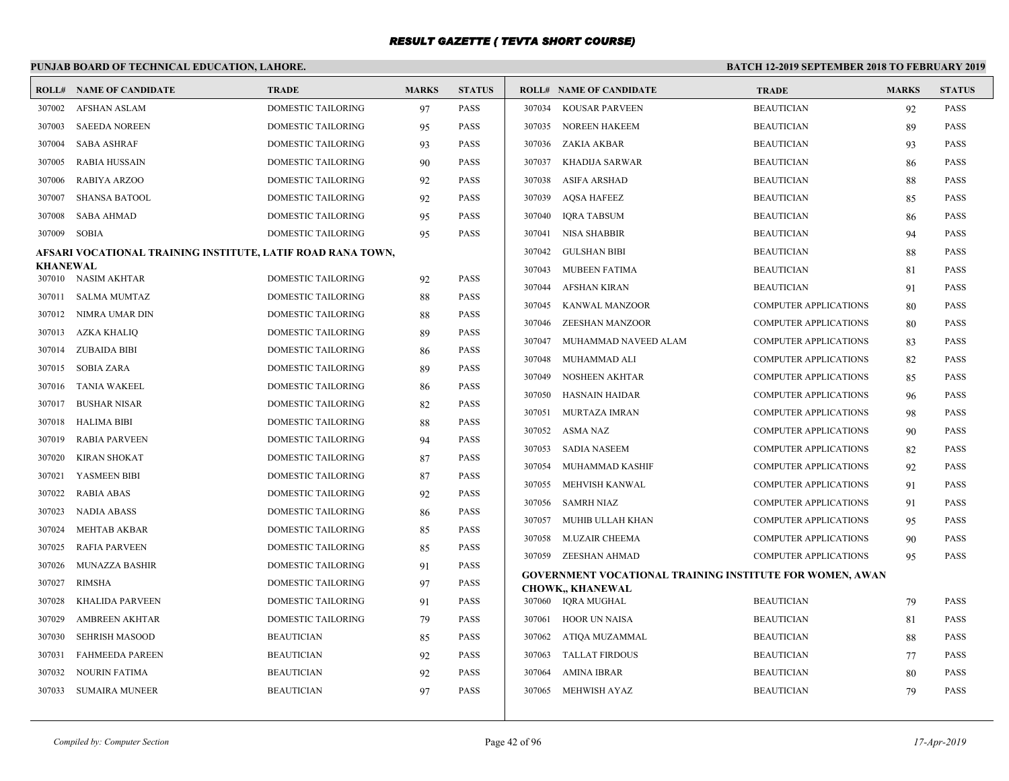### **PUNJAB BOARD OF TECHNICAL EDUCATION, LAHORE. BATCH 12-2019 SEPTEMBER 2018 TO FEBRUARY 2019 ROLL# NAME OF CANDIDATE TRADE MARKS STATUS ROLL# NAME OF CANDIDATE TRADE MARKS STATUS** 307002 AFSHAN ASLAM DOMESTIC TAILORING 97 PASS 307003 SAEEDA NOREEN DOMESTIC TAILORING 95 PASS 307004 SABA ASHRAF DOMESTIC TAILORING 93 PASS 307005 RABIA HUSSAIN DOMESTIC TAILORING 90 PASS 307006 RABIYA ARZOO DOMESTIC TAILORING 92 PASS 307007 SHANSA BATOOL DOMESTIC TAILORING 92 PASS 307008 SABA AHMAD DOMESTIC TAILORING 95 PASS 307009 SOBIA DOMESTIC TAILORING 95 PASS **AFSARI VOCATIONAL TRAINING INSTITUTE, LATIF ROAD RANA TOWN, KHANEWAL** 307010 NASIM AKHTAR DOMESTIC TAILORING 92 PASS 307011 SALMA MUMTAZ DOMESTIC TAILORING 88 PASS 307012 NIMRA UMAR DIN DOMESTIC TAILORING 88 PASS 307013 AZKA KHALIQ DOMESTIC TAILORING 89 PASS 307014 ZUBAIDA BIBI DOMESTIC TAILORING 86 PASS 307015 SOBIA ZARA DOMESTIC TAILORING 89 PASS 307016 TANIA WAKEEL DOMESTIC TAILORING 86 PASS 307017 BUSHAR NISAR DOMESTIC TAILORING 82 PASS 307018 HALIMA BIBI DOMESTIC TAILORING 88 PASS 307019 RABIA PARVEEN DOMESTIC TAILORING 94 PASS 307020 KIRAN SHOKAT DOMESTIC TAILORING 87 PASS 307021 YASMEEN BIBI DOMESTIC TAILORING 87 PASS 307022 RABIA ABAS DOMESTIC TAILORING 92 PASS 307023 NADIA ABASS DOMESTIC TAILORING 86 PASS 307024 MEHTAB AKBAR DOMESTIC TAILORING 85 PASS 307025 RAFIA PARVEEN DOMESTIC TAILORING 85 PASS 307026 MUNAZZA BASHIR DOMESTIC TAILORING 91 PASS 307027 RIMSHA DOMESTIC TAILORING 97 PASS 307028 KHALIDA PARVEEN DOMESTIC TAILORING 91 PASS 307029 AMBREEN AKHTAR DOMESTIC TAILORING 79 PASS 307030 SEHRISH MASOOD BEAUTICIAN 85 PASS 307031 FAHMEEDA PAREEN BEAUTICIAN 92 PASS 307032 NOURIN FATIMA BEAUTICIAN 92 PASS 307033 SUMAIRA MUNEER BEAUTICIAN 97 PASS 307034 KOUSAR PARVEEN BEAUTICIAN 92 PASS 307035 NOREEN HAKEEM BEAUTICIAN 89 PASS 307036 ZAKIA AKBAR BEAUTICIAN 93 PASS 307037 KHADIJA SARWAR BEAUTICIAN 86 PASS 307038 ASIFA ARSHAD BEAUTICIAN 88 PASS 307039 AQSA HAFEEZ BEAUTICIAN 85 PASS 307040 IQRA TABSUM BEAUTICIAN 86 PASS 307041 NISA SHABBIR BEAUTICIAN 94 PASS 307042 GULSHAN BIBI BEAUTICIAN 88 PASS 307043 MUBEEN FATIMA BEAUTICIAN 81 PASS 307044 AFSHAN KIRAN BEAUTICIAN 91 PASS 307045 KANWAL MANZOOR COMPUTER APPLICATIONS 80 PASS 307046 ZEESHAN MANZOOR COMPUTER APPLICATIONS 80 PASS 307047 MUHAMMAD NAVEED ALAM COMPUTER APPLICATIONS 83 PASS 307048 MUHAMMAD ALI COMPUTER APPLICATIONS 82 PASS 307049 NOSHEEN AKHTAR COMPUTER APPLICATIONS 85 PASS 307050 HASNAIN HAIDAR COMPUTER APPLICATIONS 96 PASS 307051 MURTAZA IMRAN COMPUTER APPLICATIONS 98 PASS 307052 ASMA NAZ COMPUTER APPLICATIONS 90 PASS 307053 SADIA NASEEM COMPUTER APPLICATIONS 82 PASS 307054 MUHAMMAD KASHIF COMPUTER APPLICATIONS 92 PASS 307055 MEHVISH KANWAL COMPUTER APPLICATIONS 91 PASS 307056 SAMRH NIAZ COMPUTER APPLICATIONS 91 PASS 307057 MUHIB ULLAH KHAN COMPUTER APPLICATIONS 95 PASS 307058 M.UZAIR CHEEMA COMPUTER APPLICATIONS 90 PASS 307059 ZEESHAN AHMAD COMPUTER APPLICATIONS 95 PASS **GOVERNMENT VOCATIONAL TRAINING INSTITUTE FOR WOMEN, AWAN CHOWK,, KHANEWAL** 307060 IQRA MUGHAL BEAUTICIAN 79 PASS 307061 HOOR UN NAISA BEAUTICIAN 81 PASS 307062 ATIQA MUZAMMAL BEAUTICIAN 88 PASS 307063 TALLAT FIRDOUS BEAUTICIAN 77 PASS 307064 AMINA IBRAR BEAUTICIAN BEAUTICIAN 80 PASS 307065 MEHWISH AYAZ BEAUTICIAN 79 PASS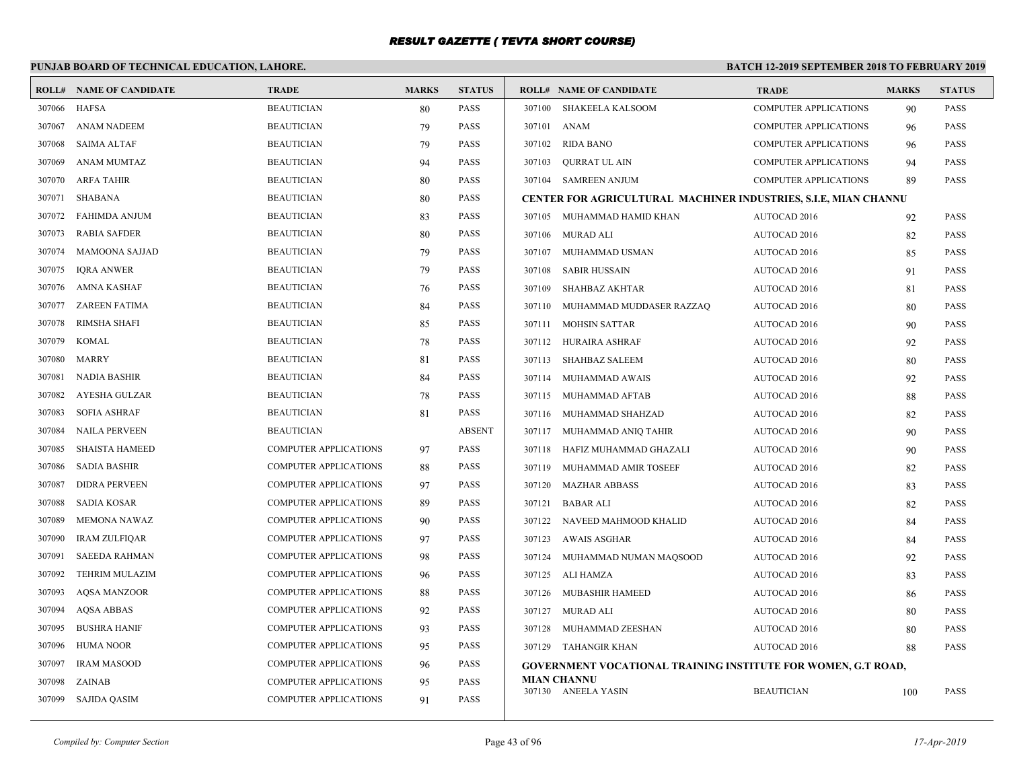# **PUNJAB BOARD OF TECHNICAL EDUCATION, LAHORE.**

|        | <b>ROLL# NAME OF CANDIDATE</b> | <b>TRADE</b>                 | <b>MARKS</b> | <b>STATUS</b> |             | <b>ROLL# NAME OF CANDIDATE</b>                                       | <b>TRADE</b>                 | <b>MARKS</b> | <b>STATUS</b> |
|--------|--------------------------------|------------------------------|--------------|---------------|-------------|----------------------------------------------------------------------|------------------------------|--------------|---------------|
|        | 307066 HAFSA                   | <b>BEAUTICIAN</b>            | 80           | <b>PASS</b>   |             | 307100 SHAKEELA KALSOOM                                              | COMPUTER APPLICATIONS        | 90           | <b>PASS</b>   |
| 307067 | <b>ANAM NADEEM</b>             | <b>BEAUTICIAN</b>            | 79           | <b>PASS</b>   | 307101 ANAM |                                                                      | <b>COMPUTER APPLICATIONS</b> | 96           | <b>PASS</b>   |
| 307068 | <b>SAIMA ALTAF</b>             | <b>BEAUTICIAN</b>            | 79           | <b>PASS</b>   | 307102      | <b>RIDA BANO</b>                                                     | <b>COMPUTER APPLICATIONS</b> | 96           | <b>PASS</b>   |
| 307069 | <b>ANAM MUMTAZ</b>             | <b>BEAUTICIAN</b>            | 94           | <b>PASS</b>   | 307103      | QURRAT UL AIN                                                        | <b>COMPUTER APPLICATIONS</b> | 94           | <b>PASS</b>   |
| 307070 | <b>ARFA TAHIR</b>              | <b>BEAUTICIAN</b>            | 80           | <b>PASS</b>   |             | 307104 SAMREEN ANJUM                                                 | <b>COMPUTER APPLICATIONS</b> | 89           | PASS          |
| 307071 | SHABANA                        | <b>BEAUTICIAN</b>            | 80           | <b>PASS</b>   |             | CENTER FOR AGRICULTURAL MACHINER INDUSTRIES, S.I.E, MIAN CHANNU      |                              |              |               |
| 307072 | <b>FAHIMDA ANJUM</b>           | <b>BEAUTICIAN</b>            | 83           | <b>PASS</b>   |             | 307105 MUHAMMAD HAMID KHAN                                           | AUTOCAD 2016                 | 92           | <b>PASS</b>   |
| 307073 | <b>RABIA SAFDER</b>            | <b>BEAUTICIAN</b>            | 80           | <b>PASS</b>   |             | 307106 MURAD ALI                                                     | AUTOCAD 2016                 | 82           | <b>PASS</b>   |
| 307074 | <b>MAMOONA SAJJAD</b>          | <b>BEAUTICIAN</b>            | 79           | <b>PASS</b>   | 307107      | MUHAMMAD USMAN                                                       | AUTOCAD 2016                 | 85           | <b>PASS</b>   |
| 307075 | <b>IORA ANWER</b>              | <b>BEAUTICIAN</b>            | 79           | <b>PASS</b>   | 307108      | <b>SABIR HUSSAIN</b>                                                 | AUTOCAD 2016                 | 91           | <b>PASS</b>   |
| 307076 | AMNA KASHAF                    | <b>BEAUTICIAN</b>            | 76           | <b>PASS</b>   | 307109      | SHAHBAZ AKHTAR                                                       | AUTOCAD 2016                 | 81           | <b>PASS</b>   |
| 307077 | <b>ZAREEN FATIMA</b>           | <b>BEAUTICIAN</b>            | 84           | <b>PASS</b>   |             | 307110 MUHAMMAD MUDDASER RAZZAQ                                      | AUTOCAD 2016                 | 80           | <b>PASS</b>   |
| 307078 | <b>RIMSHA SHAFI</b>            | <b>BEAUTICIAN</b>            | 85           | <b>PASS</b>   |             | 307111 MOHSIN SATTAR                                                 | <b>AUTOCAD 2016</b>          | 90           | <b>PASS</b>   |
| 307079 | <b>KOMAL</b>                   | <b>BEAUTICIAN</b>            | 78           | <b>PASS</b>   |             | 307112 HURAIRA ASHRAF                                                | <b>AUTOCAD 2016</b>          | 92           | <b>PASS</b>   |
| 307080 | MARRY                          | <b>BEAUTICIAN</b>            | 81           | <b>PASS</b>   |             | 307113 SHAHBAZ SALEEM                                                | <b>AUTOCAD 2016</b>          | 80           | <b>PASS</b>   |
| 307081 | <b>NADIA BASHIR</b>            | <b>BEAUTICIAN</b>            | 84           | <b>PASS</b>   | 307114      | MUHAMMAD AWAIS                                                       | AUTOCAD 2016                 | 92           | <b>PASS</b>   |
| 307082 | AYESHA GULZAR                  | <b>BEAUTICIAN</b>            | 78           | <b>PASS</b>   |             | 307115 MUHAMMAD AFTAB                                                | AUTOCAD 2016                 | 88           | <b>PASS</b>   |
| 307083 | <b>SOFIA ASHRAF</b>            | <b>BEAUTICIAN</b>            | 81           | <b>PASS</b>   |             | 307116 MUHAMMAD SHAHZAD                                              | AUTOCAD 2016                 | 82           | <b>PASS</b>   |
| 307084 | <b>NAILA PERVEEN</b>           | <b>BEAUTICIAN</b>            |              | <b>ABSENT</b> |             | 307117 MUHAMMAD ANIQ TAHIR                                           | AUTOCAD 2016                 | 90           | <b>PASS</b>   |
| 307085 | <b>SHAISTA HAMEED</b>          | COMPUTER APPLICATIONS        | 97           | <b>PASS</b>   | 307118      | HAFIZ MUHAMMAD GHAZALI                                               | AUTOCAD 2016                 | 90           | <b>PASS</b>   |
| 307086 | <b>SADIA BASHIR</b>            | <b>COMPUTER APPLICATIONS</b> | 88           | <b>PASS</b>   |             | 307119 MUHAMMAD AMIR TOSEEF                                          | AUTOCAD 2016                 | 82           | <b>PASS</b>   |
| 307087 | <b>DIDRA PERVEEN</b>           | COMPUTER APPLICATIONS        | 97           | <b>PASS</b>   | 307120      | MAZHAR ABBASS                                                        | AUTOCAD 2016                 | 83           | <b>PASS</b>   |
| 307088 | <b>SADIA KOSAR</b>             | <b>COMPUTER APPLICATIONS</b> | 89           | <b>PASS</b>   | 307121      | <b>BABAR ALI</b>                                                     | AUTOCAD 2016                 | 82           | <b>PASS</b>   |
| 307089 | <b>MEMONA NAWAZ</b>            | COMPUTER APPLICATIONS        | 90           | <b>PASS</b>   |             | 307122 NAVEED MAHMOOD KHALID                                         | AUTOCAD 2016                 | 84           | <b>PASS</b>   |
| 307090 | <b>IRAM ZULFIOAR</b>           | <b>COMPUTER APPLICATIONS</b> | 97           | <b>PASS</b>   |             | 307123 AWAIS ASGHAR                                                  | <b>AUTOCAD 2016</b>          | 84           | <b>PASS</b>   |
| 307091 | <b>SAEEDA RAHMAN</b>           | COMPUTER APPLICATIONS        | 98           | <b>PASS</b>   |             | 307124 MUHAMMAD NUMAN MAQSOOD                                        | AUTOCAD 2016                 | 92           | <b>PASS</b>   |
| 307092 | <b>TEHRIM MULAZIM</b>          | <b>COMPUTER APPLICATIONS</b> | 96           | <b>PASS</b>   |             | 307125 ALI HAMZA                                                     | AUTOCAD 2016                 | 83           | <b>PASS</b>   |
| 307093 | <b>AOSA MANZOOR</b>            | <b>COMPUTER APPLICATIONS</b> | 88           | <b>PASS</b>   |             | 307126 MUBASHIR HAMEED                                               | AUTOCAD 2016                 | 86           | <b>PASS</b>   |
| 307094 | <b>AQSA ABBAS</b>              | COMPUTER APPLICATIONS        | 92           | <b>PASS</b>   |             | 307127 MURAD ALI                                                     | AUTOCAD 2016                 | 80           | <b>PASS</b>   |
| 307095 | <b>BUSHRA HANIF</b>            | <b>COMPUTER APPLICATIONS</b> | 93           | <b>PASS</b>   |             | 307128 MUHAMMAD ZEESHAN                                              | <b>AUTOCAD 2016</b>          | 80           | <b>PASS</b>   |
| 307096 | <b>HUMA NOOR</b>               | <b>COMPUTER APPLICATIONS</b> | 95           | <b>PASS</b>   |             | 307129 TAHANGIR KHAN                                                 | AUTOCAD 2016                 | 88           | <b>PASS</b>   |
| 307097 | <b>IRAM MASOOD</b>             | COMPUTER APPLICATIONS        | 96           | <b>PASS</b>   |             | <b>GOVERNMENT VOCATIONAL TRAINING INSTITUTE FOR WOMEN, G.T ROAD,</b> |                              |              |               |
| 307098 | ZAINAB                         | <b>COMPUTER APPLICATIONS</b> | 95           | <b>PASS</b>   |             | <b>MIAN CHANNU</b>                                                   |                              |              |               |
|        | 307099 SAJIDA QASIM            | <b>COMPUTER APPLICATIONS</b> | 91           | <b>PASS</b>   |             | 307130 ANEELA YASIN                                                  | <b>BEAUTICIAN</b>            | 100          | <b>PASS</b>   |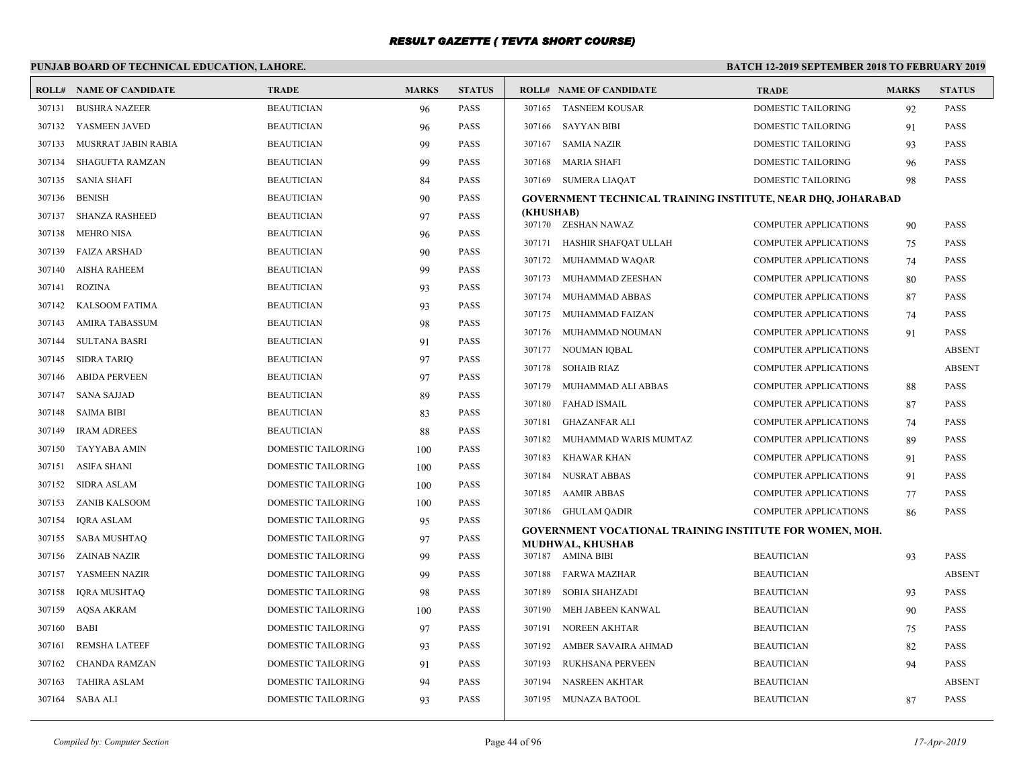# **PUNJAB BOARD OF TECHNICAL EDUCATION, LAHORE.**

|        | <b>ROLL# NAME OF CANDIDATE</b> | <b>TRADE</b>              | <b>MARKS</b> | <b>STATUS</b> |                  | <b>ROLL# NAME OF CANDIDATE</b>                                                      | <b>TRADE</b>                                                 | <b>MARKS</b> | <b>STATUS</b>                |
|--------|--------------------------------|---------------------------|--------------|---------------|------------------|-------------------------------------------------------------------------------------|--------------------------------------------------------------|--------------|------------------------------|
| 307131 | <b>BUSHRA NAZEER</b>           | <b>BEAUTICIAN</b>         | 96           | <b>PASS</b>   |                  | 307165 TASNEEM KOUSAR                                                               | <b>DOMESTIC TAILORING</b>                                    | 92           | <b>PASS</b>                  |
| 307132 | YASMEEN JAVED                  | <b>BEAUTICIAN</b>         | 96           | <b>PASS</b>   |                  | 307166 SAYYAN BIBI                                                                  | DOMESTIC TAILORING                                           | 91           | <b>PASS</b>                  |
| 307133 | MUSRRAT JABIN RABIA            | <b>BEAUTICIAN</b>         | 99           | PASS          | 307167           | <b>SAMIA NAZIR</b>                                                                  | DOMESTIC TAILORING                                           | 93           | <b>PASS</b>                  |
| 307134 | SHAGUFTA RAMZAN                | <b>BEAUTICIAN</b>         | 99           | <b>PASS</b>   | 307168           | <b>MARIA SHAFI</b>                                                                  | DOMESTIC TAILORING                                           | 96           | <b>PASS</b>                  |
| 307135 | <b>SANIA SHAFI</b>             | <b>BEAUTICIAN</b>         | 84           | <b>PASS</b>   |                  | 307169 SUMERA LIAOAT                                                                | DOMESTIC TAILORING                                           | 98           | <b>PASS</b>                  |
| 307136 | <b>BENISH</b>                  | <b>BEAUTICIAN</b>         | 90           | PASS          |                  | GOVERNMENT TECHNICAL TRAINING INSTITUTE, NEAR DHQ, JOHARABAD                        |                                                              |              |                              |
| 307137 | <b>SHANZA RASHEED</b>          | <b>BEAUTICIAN</b>         | 97           | <b>PASS</b>   | (KHUSHAB)        | 307170 ZESHAN NAWAZ                                                                 | <b>COMPUTER APPLICATIONS</b>                                 |              | <b>PASS</b>                  |
| 307138 | <b>MEHRO NISA</b>              | <b>BEAUTICIAN</b>         | 96           | <b>PASS</b>   | 307171           | HASHIR SHAFQAT ULLAH                                                                |                                                              | 90           | <b>PASS</b>                  |
| 307139 | <b>FAIZA ARSHAD</b>            | <b>BEAUTICIAN</b>         | 90           | <b>PASS</b>   |                  |                                                                                     | <b>COMPUTER APPLICATIONS</b><br><b>COMPUTER APPLICATIONS</b> | 75           | <b>PASS</b>                  |
| 307140 | <b>AISHA RAHEEM</b>            | <b>BEAUTICIAN</b>         | 99           | <b>PASS</b>   | 307173           | 307172 MUHAMMAD WAQAR<br>MUHAMMAD ZEESHAN                                           |                                                              | 74           | <b>PASS</b>                  |
| 307141 | <b>ROZINA</b>                  | <b>BEAUTICIAN</b>         | 93           | <b>PASS</b>   |                  |                                                                                     | <b>COMPUTER APPLICATIONS</b>                                 | 80           |                              |
|        | 307142 KALSOOM FATIMA          | <b>BEAUTICIAN</b>         | 93           | <b>PASS</b>   | 307174<br>307175 | MUHAMMAD ABBAS<br>MUHAMMAD FAIZAN                                                   | <b>COMPUTER APPLICATIONS</b><br><b>COMPUTER APPLICATIONS</b> | 87           | <b>PASS</b><br><b>PASS</b>   |
| 307143 | AMIRA TABASSUM                 | <b>BEAUTICIAN</b>         | 98           | <b>PASS</b>   |                  |                                                                                     |                                                              | 74           |                              |
| 307144 | <b>SULTANA BASRI</b>           | <b>BEAUTICIAN</b>         | 91           | <b>PASS</b>   |                  | 307176 MUHAMMAD NOUMAN                                                              | <b>COMPUTER APPLICATIONS</b><br><b>COMPUTER APPLICATIONS</b> | 91           | <b>PASS</b><br><b>ABSENT</b> |
| 307145 | SIDRA TARIQ                    | <b>BEAUTICIAN</b>         | 97           | <b>PASS</b>   |                  | 307177 NOUMAN IQBAL<br><b>SOHAIB RIAZ</b>                                           |                                                              |              |                              |
| 307146 | <b>ABIDA PERVEEN</b>           | <b>BEAUTICIAN</b>         | 97           | <b>PASS</b>   | 307178<br>307179 | MUHAMMAD ALI ABBAS                                                                  | <b>COMPUTER APPLICATIONS</b><br><b>COMPUTER APPLICATIONS</b> |              | <b>ABSENT</b><br><b>PASS</b> |
| 307147 | <b>SANA SAJJAD</b>             | <b>BEAUTICIAN</b>         | 89           | <b>PASS</b>   | 307180           | <b>FAHAD ISMAIL</b>                                                                 | <b>COMPUTER APPLICATIONS</b>                                 | 88           | <b>PASS</b>                  |
| 307148 | <b>SAIMA BIBI</b>              | <b>BEAUTICIAN</b>         | 83           | <b>PASS</b>   | 307181           |                                                                                     |                                                              | 87           | <b>PASS</b>                  |
| 307149 | <b>IRAM ADREES</b>             | <b>BEAUTICIAN</b>         | 88           | PASS          | 307182           | <b>GHAZANFAR ALI</b><br>MUHAMMAD WARIS MUMTAZ                                       | <b>COMPUTER APPLICATIONS</b><br><b>COMPUTER APPLICATIONS</b> | 74           | <b>PASS</b>                  |
| 307150 | TAYYABA AMIN                   | <b>DOMESTIC TAILORING</b> | 100          | <b>PASS</b>   |                  |                                                                                     |                                                              | 89           |                              |
| 307151 | <b>ASIFA SHANI</b>             | DOMESTIC TAILORING        | 100          | PASS          | 307183           | KHAWAR KHAN                                                                         | <b>COMPUTER APPLICATIONS</b>                                 | 91           | <b>PASS</b>                  |
| 307152 | <b>SIDRA ASLAM</b>             | <b>DOMESTIC TAILORING</b> | 100          | <b>PASS</b>   | 307184           | <b>NUSRAT ABBAS</b>                                                                 | <b>COMPUTER APPLICATIONS</b>                                 | 91           | <b>PASS</b>                  |
| 307153 | <b>ZANIB KALSOOM</b>           | <b>DOMESTIC TAILORING</b> | 100          | <b>PASS</b>   |                  | 307185 AAMIR ABBAS                                                                  | <b>COMPUTER APPLICATIONS</b>                                 | 77           | <b>PASS</b>                  |
| 307154 | <b>IORA ASLAM</b>              | <b>DOMESTIC TAILORING</b> | 95           | <b>PASS</b>   |                  | 307186 GHULAM QADIR                                                                 | <b>COMPUTER APPLICATIONS</b>                                 | 86           | <b>PASS</b>                  |
| 307155 | <b>SABA MUSHTAQ</b>            | DOMESTIC TAILORING        | 97           | <b>PASS</b>   |                  | <b>GOVERNMENT VOCATIONAL TRAINING INSTITUTE FOR WOMEN, MOH.</b><br>MUDHWAL, KHUSHAB |                                                              |              |                              |
| 307156 | ZAINAB NAZIR                   | <b>DOMESTIC TAILORING</b> | 99           | <b>PASS</b>   |                  | 307187 AMINA BIBI                                                                   | <b>BEAUTICIAN</b>                                            | 93           | <b>PASS</b>                  |
|        | 307157 YASMEEN NAZIR           | <b>DOMESTIC TAILORING</b> | 99           | <b>PASS</b>   | 307188           | FARWA MAZHAR                                                                        | <b>BEAUTICIAN</b>                                            |              | <b>ABSENT</b>                |
| 307158 | <b>IQRA MUSHTAQ</b>            | DOMESTIC TAILORING        | 98           | <b>PASS</b>   | 307189           | <b>SOBIA SHAHZADI</b>                                                               | <b>BEAUTICIAN</b>                                            | 93           | <b>PASS</b>                  |
| 307159 | AQSA AKRAM                     | DOMESTIC TAILORING        | 100          | <b>PASS</b>   | 307190           | MEH JABEEN KANWAL                                                                   | <b>BEAUTICIAN</b>                                            | 90           | <b>PASS</b>                  |
| 307160 | <b>BABI</b>                    | <b>DOMESTIC TAILORING</b> | 97           | <b>PASS</b>   | 307191           | <b>NOREEN AKHTAR</b>                                                                | <b>BEAUTICIAN</b>                                            | 75           | <b>PASS</b>                  |
| 307161 | <b>REMSHA LATEEF</b>           | DOMESTIC TAILORING        | 93           | PASS          | 307192           | AMBER SAVAIRA AHMAD                                                                 | <b>BEAUTICIAN</b>                                            | 82           | <b>PASS</b>                  |
| 307162 | <b>CHANDA RAMZAN</b>           | DOMESTIC TAILORING        | 91           | <b>PASS</b>   | 307193           | RUKHSANA PERVEEN                                                                    | <b>BEAUTICIAN</b>                                            | 94           | <b>PASS</b>                  |
| 307163 | <b>TAHIRA ASLAM</b>            | <b>DOMESTIC TAILORING</b> | 94           | <b>PASS</b>   | 307194           | <b>NASREEN AKHTAR</b>                                                               | <b>BEAUTICIAN</b>                                            |              | <b>ABSENT</b>                |
|        | 307164 SABA ALI                | <b>DOMESTIC TAILORING</b> | 93           | <b>PASS</b>   |                  | 307195 MUNAZA BATOOL                                                                | <b>BEAUTICIAN</b>                                            | 87           | <b>PASS</b>                  |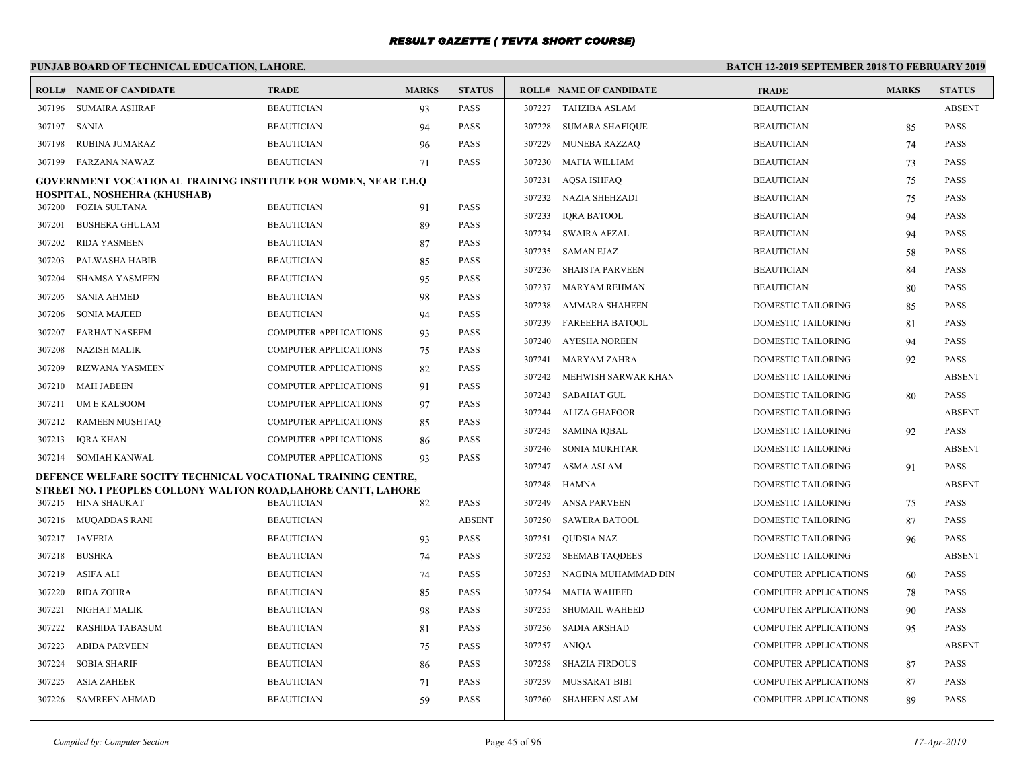# **PUNJAB BOARD OF TECHNICAL EDUCATION, LAHORE.**

|        | <b>ROLL# NAME OF CANDIDATE</b>                                        | <b>TRADE</b>                 | <b>MARKS</b> | <b>STATUS</b> |        | <b>ROLL# NAME OF CANDIDATE</b> | <b>TRADE</b>                 | <b>MARKS</b> | <b>STATUS</b> |
|--------|-----------------------------------------------------------------------|------------------------------|--------------|---------------|--------|--------------------------------|------------------------------|--------------|---------------|
| 307196 | <b>SUMAIRA ASHRAF</b>                                                 | <b>BEAUTICIAN</b>            | 93           | <b>PASS</b>   | 307227 | <b>TAHZIBA ASLAM</b>           | <b>BEAUTICIAN</b>            |              | <b>ABSENT</b> |
| 307197 | <b>SANIA</b>                                                          | <b>BEAUTICIAN</b>            | 94           | <b>PASS</b>   | 307228 | <b>SUMARA SHAFIQUE</b>         | <b>BEAUTICIAN</b>            | 85           | <b>PASS</b>   |
| 307198 | RUBINA JUMARAZ                                                        | <b>BEAUTICIAN</b>            | 96           | <b>PASS</b>   | 307229 | <b>MUNEBA RAZZAQ</b>           | <b>BEAUTICIAN</b>            | 74           | <b>PASS</b>   |
| 307199 | FARZANA NAWAZ                                                         | <b>BEAUTICIAN</b>            | 71           | <b>PASS</b>   | 307230 | <b>MAFIA WILLIAM</b>           | <b>BEAUTICIAN</b>            | 73           | <b>PASS</b>   |
|        | <b>GOVERNMENT VOCATIONAL TRAINING INSTITUTE FOR WOMEN, NEAR T.H.O</b> |                              |              |               | 307231 | <b>AQSA ISHFAQ</b>             | <b>BEAUTICIAN</b>            | 75           | <b>PASS</b>   |
| 307200 | HOSPITAL, NOSHEHRA (KHUSHAB)<br><b>FOZIA SULTANA</b>                  | <b>BEAUTICIAN</b>            | 91           | <b>PASS</b>   | 307232 | <b>NAZIA SHEHZADI</b>          | <b>BEAUTICIAN</b>            | 75           | <b>PASS</b>   |
| 307201 | <b>BUSHERA GHULAM</b>                                                 | <b>BEAUTICIAN</b>            | 89           | <b>PASS</b>   | 307233 | <b>IORA BATOOL</b>             | <b>BEAUTICIAN</b>            | 94           | PASS          |
| 307202 | <b>RIDA YASMEEN</b>                                                   | <b>BEAUTICIAN</b>            | 87           | <b>PASS</b>   | 307234 | <b>SWAIRA AFZAL</b>            | <b>BEAUTICIAN</b>            | 94           | <b>PASS</b>   |
| 307203 | PALWASHA HABIB                                                        | <b>BEAUTICIAN</b>            | 85           | <b>PASS</b>   | 307235 | <b>SAMAN EJAZ</b>              | <b>BEAUTICIAN</b>            | 58           | <b>PASS</b>   |
| 307204 | <b>SHAMSA YASMEEN</b>                                                 | <b>BEAUTICIAN</b>            | 95           | <b>PASS</b>   | 307236 | <b>SHAISTA PARVEEN</b>         | <b>BEAUTICIAN</b>            | 84           | <b>PASS</b>   |
| 307205 | <b>SANIA AHMED</b>                                                    | <b>BEAUTICIAN</b>            | 98           | <b>PASS</b>   | 307237 | <b>MARYAM REHMAN</b>           | <b>BEAUTICIAN</b>            | 80           | PASS          |
| 307206 | <b>SONIA MAJEED</b>                                                   | <b>BEAUTICIAN</b>            | 94           | <b>PASS</b>   | 307238 | <b>AMMARA SHAHEEN</b>          | DOMESTIC TAILORING           | 85           | <b>PASS</b>   |
| 307207 | <b>FARHAT NASEEM</b>                                                  | <b>COMPUTER APPLICATIONS</b> | 93           | <b>PASS</b>   | 307239 | <b>FAREEEHA BATOOL</b>         | DOMESTIC TAILORING           | 81           | <b>PASS</b>   |
| 307208 | <b>NAZISH MALIK</b>                                                   | <b>COMPUTER APPLICATIONS</b> | 75           | <b>PASS</b>   |        | 307240 AYESHA NOREEN           | DOMESTIC TAILORING           | 94           | <b>PASS</b>   |
| 307209 | <b>RIZWANA YASMEEN</b>                                                | <b>COMPUTER APPLICATIONS</b> | 82           | <b>PASS</b>   | 307241 | MARYAM ZAHRA                   | <b>DOMESTIC TAILORING</b>    | 92           | <b>PASS</b>   |
| 307210 | <b>MAH JABEEN</b>                                                     | <b>COMPUTER APPLICATIONS</b> | 91           | <b>PASS</b>   | 307242 | MEHWISH SARWAR KHAN            | DOMESTIC TAILORING           |              | <b>ABSENT</b> |
| 307211 | <b>UME KALSOOM</b>                                                    | COMPUTER APPLICATIONS        | 97           | <b>PASS</b>   | 307243 | <b>SABAHAT GUL</b>             | DOMESTIC TAILORING           | 80           | <b>PASS</b>   |
| 307212 | <b>RAMEEN MUSHTAQ</b>                                                 | <b>COMPUTER APPLICATIONS</b> | 85           | <b>PASS</b>   | 307244 | <b>ALIZA GHAFOOR</b>           | DOMESTIC TAILORING           |              | <b>ABSENT</b> |
| 307213 | <b>IQRA KHAN</b>                                                      | COMPUTER APPLICATIONS        | 86           | <b>PASS</b>   | 307245 | <b>SAMINA IQBAL</b>            | DOMESTIC TAILORING           | 92           | <b>PASS</b>   |
|        | 307214 SOMIAH KANWAL                                                  | <b>COMPUTER APPLICATIONS</b> | 93           | <b>PASS</b>   | 307246 | SONIA MUKHTAR                  | DOMESTIC TAILORING           |              | <b>ABSENT</b> |
|        | DEFENCE WELFARE SOCITY TECHNICAL VOCATIONAL TRAINING CENTRE,          |                              |              |               | 307247 | <b>ASMA ASLAM</b>              | DOMESTIC TAILORING           | 91           | <b>PASS</b>   |
|        | <b>STREET NO. 1 PEOPLES COLLONY WALTON ROAD, LAHORE CANTT, LAHORE</b> |                              |              |               | 307248 | HAMNA                          | DOMESTIC TAILORING           |              | <b>ABSENT</b> |
|        | 307215 HINA SHAUKAT                                                   | <b>BEAUTICIAN</b>            | 82           | <b>PASS</b>   | 307249 | <b>ANSA PARVEEN</b>            | DOMESTIC TAILORING           | 75           | <b>PASS</b>   |
| 307216 | <b>MUQADDAS RANI</b>                                                  | <b>BEAUTICIAN</b>            |              | <b>ABSENT</b> | 307250 | <b>SAWERA BATOOL</b>           | <b>DOMESTIC TAILORING</b>    | 87           | <b>PASS</b>   |
| 307217 | <b>JAVERIA</b>                                                        | <b>BEAUTICIAN</b>            | 93           | <b>PASS</b>   | 307251 | <b>OUDSIA NAZ</b>              | DOMESTIC TAILORING           | 96           | <b>PASS</b>   |
| 307218 | <b>BUSHRA</b>                                                         | <b>BEAUTICIAN</b>            | 74           | <b>PASS</b>   | 307252 | <b>SEEMAB TAQDEES</b>          | <b>DOMESTIC TAILORING</b>    |              | <b>ABSENT</b> |
| 307219 | ASIFA ALI                                                             | <b>BEAUTICIAN</b>            | 74           | <b>PASS</b>   | 307253 | NAGINA MUHAMMAD DIN            | COMPUTER APPLICATIONS        | 60           | <b>PASS</b>   |
| 307220 | <b>RIDA ZOHRA</b>                                                     | <b>BEAUTICIAN</b>            | 85           | <b>PASS</b>   | 307254 | <b>MAFIA WAHEED</b>            | <b>COMPUTER APPLICATIONS</b> | 78           | <b>PASS</b>   |
| 307221 | NIGHAT MALIK                                                          | <b>BEAUTICIAN</b>            | 98           | <b>PASS</b>   | 307255 | SHUMAIL WAHEED                 | COMPUTER APPLICATIONS        | 90           | PASS          |
| 307222 | <b>RASHIDA TABASUM</b>                                                | <b>BEAUTICIAN</b>            | 81           | <b>PASS</b>   | 307256 | <b>SADIA ARSHAD</b>            | <b>COMPUTER APPLICATIONS</b> | 95           | <b>PASS</b>   |
| 307223 | <b>ABIDA PARVEEN</b>                                                  | <b>BEAUTICIAN</b>            | 75           | <b>PASS</b>   | 307257 | <b>ANIOA</b>                   | <b>COMPUTER APPLICATIONS</b> |              | <b>ABSENT</b> |
| 307224 | <b>SOBIA SHARIF</b>                                                   | <b>BEAUTICIAN</b>            | 86           | PASS          | 307258 | <b>SHAZIA FIRDOUS</b>          | <b>COMPUTER APPLICATIONS</b> | 87           | <b>PASS</b>   |
| 307225 | <b>ASIA ZAHEER</b>                                                    | <b>BEAUTICIAN</b>            | 71           | <b>PASS</b>   | 307259 | MUSSARAT BIBI                  | <b>COMPUTER APPLICATIONS</b> | 87           | <b>PASS</b>   |
|        | 307226 SAMREEN AHMAD                                                  | <b>BEAUTICIAN</b>            | 59           | <b>PASS</b>   |        | 307260 SHAHEEN ASLAM           | <b>COMPUTER APPLICATIONS</b> | 89           | PASS          |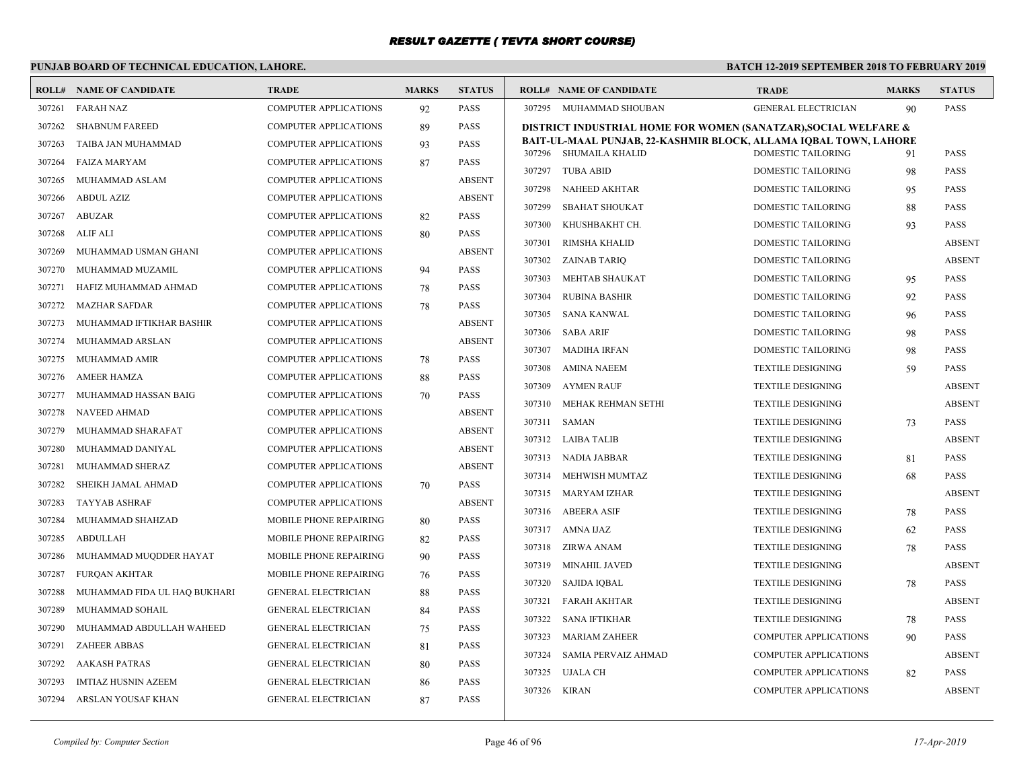# **PUNJAB BOARD OF TECHNICAL EDUCATION, LAHORE.**

|        | <b>ROLL# NAME OF CANDIDATE</b> | <b>TRADE</b>                 | <b>MARKS</b> | <b>STATUS</b> |        | <b>ROLL# NAME OF CANDIDATE</b>                                                             | <b>TRADE</b>                 | <b>MARKS</b> | <b>STATUS</b> |
|--------|--------------------------------|------------------------------|--------------|---------------|--------|--------------------------------------------------------------------------------------------|------------------------------|--------------|---------------|
| 307261 | <b>FARAH NAZ</b>               | COMPUTER APPLICATIONS        | 92           | <b>PASS</b>   |        | 307295 MUHAMMAD SHOUBAN                                                                    | <b>GENERAL ELECTRICIAN</b>   | 90           | <b>PASS</b>   |
| 307262 | <b>SHABNUM FAREED</b>          | <b>COMPUTER APPLICATIONS</b> | 89           | <b>PASS</b>   |        | DISTRICT INDUSTRIAL HOME FOR WOMEN (SANATZAR), SOCIAL WELFARE &                            |                              |              |               |
| 307263 | TAIBA JAN MUHAMMAD             | <b>COMPUTER APPLICATIONS</b> | 93           | <b>PASS</b>   |        | BAIT-UL-MAAL PUNJAB, 22-KASHMIR BLOCK, ALLAMA IQBAL TOWN, LAHORE<br>307296 SHUMAILA KHALID | <b>DOMESTIC TAILORING</b>    |              | <b>PASS</b>   |
| 307264 | FAIZA MARYAM                   | <b>COMPUTER APPLICATIONS</b> | 87           | <b>PASS</b>   | 307297 | <b>TUBA ABID</b>                                                                           | <b>DOMESTIC TAILORING</b>    | 91           | <b>PASS</b>   |
| 307265 | MUHAMMAD ASLAM                 | <b>COMPUTER APPLICATIONS</b> |              | <b>ABSENT</b> |        |                                                                                            |                              | 98           |               |
| 307266 | ABDUL AZIZ                     | COMPUTER APPLICATIONS        |              | <b>ABSENT</b> | 307298 | NAHEED AKHTAR                                                                              | <b>DOMESTIC TAILORING</b>    | 95           | <b>PASS</b>   |
| 307267 | ABUZAR                         | COMPUTER APPLICATIONS        | 82           | <b>PASS</b>   | 307299 | <b>SBAHAT SHOUKAT</b>                                                                      | <b>DOMESTIC TAILORING</b>    | 88           | <b>PASS</b>   |
| 307268 | ALIF ALI                       | <b>COMPUTER APPLICATIONS</b> | 80           | <b>PASS</b>   | 307300 | KHUSHBAKHT CH.                                                                             | DOMESTIC TAILORING           | 93           | <b>PASS</b>   |
| 307269 | MUHAMMAD USMAN GHANI           | <b>COMPUTER APPLICATIONS</b> |              | <b>ABSENT</b> | 307301 | <b>RIMSHA KHALID</b>                                                                       | DOMESTIC TAILORING           |              | <b>ABSENT</b> |
| 307270 | MUHAMMAD MUZAMIL               | <b>COMPUTER APPLICATIONS</b> | 94           | <b>PASS</b>   | 307302 | ZAINAB TARIQ                                                                               | <b>DOMESTIC TAILORING</b>    |              | <b>ABSENT</b> |
| 307271 | HAFIZ MUHAMMAD AHMAD           | <b>COMPUTER APPLICATIONS</b> | 78           | <b>PASS</b>   | 307303 | <b>MEHTAB SHAUKAT</b>                                                                      | <b>DOMESTIC TAILORING</b>    | 95           | <b>PASS</b>   |
| 307272 | <b>MAZHAR SAFDAR</b>           | <b>COMPUTER APPLICATIONS</b> | 78           | <b>PASS</b>   | 307304 | <b>RUBINA BASHIR</b>                                                                       | <b>DOMESTIC TAILORING</b>    | 92           | <b>PASS</b>   |
| 307273 | MUHAMMAD IFTIKHAR BASHIR       | <b>COMPUTER APPLICATIONS</b> |              | <b>ABSENT</b> | 307305 | <b>SANA KANWAL</b>                                                                         | DOMESTIC TAILORING           | 96           | PASS          |
| 307274 | MUHAMMAD ARSLAN                | <b>COMPUTER APPLICATIONS</b> |              | <b>ABSENT</b> | 307306 | <b>SABA ARIF</b>                                                                           | DOMESTIC TAILORING           | 98           | <b>PASS</b>   |
| 307275 | MUHAMMAD AMIR                  | COMPUTER APPLICATIONS        | 78           | <b>PASS</b>   | 307307 | MADIHA IRFAN                                                                               | <b>DOMESTIC TAILORING</b>    | 98           | <b>PASS</b>   |
| 307276 | <b>AMEER HAMZA</b>             | <b>COMPUTER APPLICATIONS</b> | 88           | <b>PASS</b>   | 307308 | AMINA NAEEM                                                                                | <b>TEXTILE DESIGNING</b>     | .59          | <b>PASS</b>   |
| 307277 | MUHAMMAD HASSAN BAIG           | <b>COMPUTER APPLICATIONS</b> | 70           | <b>PASS</b>   | 307309 | <b>AYMEN RAUF</b>                                                                          | <b>TEXTILE DESIGNING</b>     |              | <b>ABSENT</b> |
| 307278 | <b>NAVEED AHMAD</b>            | <b>COMPUTER APPLICATIONS</b> |              | <b>ABSENT</b> | 307310 | MEHAK REHMAN SETHI                                                                         | <b>TEXTILE DESIGNING</b>     |              | <b>ABSENT</b> |
| 307279 | MUHAMMAD SHARAFAT              | COMPUTER APPLICATIONS        |              | <b>ABSENT</b> | 307311 | SAMAN                                                                                      | <b>TEXTILE DESIGNING</b>     | 73           | <b>PASS</b>   |
| 307280 | MUHAMMAD DANIYAL               | <b>COMPUTER APPLICATIONS</b> |              | <b>ABSENT</b> |        | 307312 LAIBA TALIB                                                                         | <b>TEXTILE DESIGNING</b>     |              | <b>ABSENT</b> |
| 307281 | MUHAMMAD SHERAZ                | COMPUTER APPLICATIONS        |              | <b>ABSENT</b> |        | 307313 NADIA JABBAR                                                                        | <b>TEXTILE DESIGNING</b>     | 81           | <b>PASS</b>   |
| 307282 | SHEIKH JAMAL AHMAD             | <b>COMPUTER APPLICATIONS</b> | 70           | <b>PASS</b>   | 307314 | MEHWISH MUMTAZ                                                                             | <b>TEXTILE DESIGNING</b>     | 68           | <b>PASS</b>   |
| 307283 | <b>TAYYAB ASHRAF</b>           | <b>COMPUTER APPLICATIONS</b> |              | <b>ABSENT</b> |        | 307315 MARYAM IZHAR                                                                        | TEXTILE DESIGNING            |              | <b>ABSENT</b> |
| 307284 | MUHAMMAD SHAHZAD               | MOBILE PHONE REPAIRING       | 80           | <b>PASS</b>   |        | 307316 ABEERA ASIF                                                                         | <b>TEXTILE DESIGNING</b>     | 78           | <b>PASS</b>   |
| 307285 | <b>ABDULLAH</b>                | MOBILE PHONE REPAIRING       | 82           | <b>PASS</b>   |        | 307317 AMNA IJAZ                                                                           | <b>TEXTILE DESIGNING</b>     | 62           | <b>PASS</b>   |
| 307286 | MUHAMMAD MUQDDER HAYAT         | MOBILE PHONE REPAIRING       | 90           | <b>PASS</b>   |        | 307318 ZIRWA ANAM                                                                          | <b>TEXTILE DESIGNING</b>     | 78           | <b>PASS</b>   |
| 307287 | <b>FUROAN AKHTAR</b>           | MOBILE PHONE REPAIRING       | 76           | <b>PASS</b>   | 307319 | <b>MINAHIL JAVED</b>                                                                       | <b>TEXTILE DESIGNING</b>     |              | <b>ABSENT</b> |
| 307288 | MUHAMMAD FIDA UL HAQ BUKHARI   | GENERAL ELECTRICIAN          | 88           | <b>PASS</b>   | 307320 | SAJIDA IQBAL                                                                               | <b>TEXTILE DESIGNING</b>     | 78           | <b>PASS</b>   |
| 307289 | MUHAMMAD SOHAIL                | <b>GENERAL ELECTRICIAN</b>   | 84           | <b>PASS</b>   | 307321 | <b>FARAH AKHTAR</b>                                                                        | <b>TEXTILE DESIGNING</b>     |              | <b>ABSENT</b> |
| 307290 | MUHAMMAD ABDULLAH WAHEED       | <b>GENERAL ELECTRICIAN</b>   | 75           | <b>PASS</b>   | 307322 | <b>SANA IFTIKHAR</b>                                                                       | <b>TEXTILE DESIGNING</b>     | 78           | <b>PASS</b>   |
| 307291 | <b>ZAHEER ABBAS</b>            | <b>GENERAL ELECTRICIAN</b>   | 81           | <b>PASS</b>   | 307323 | <b>MARIAM ZAHEER</b>                                                                       | <b>COMPUTER APPLICATIONS</b> | 90           | <b>PASS</b>   |
| 307292 | <b>AAKASH PATRAS</b>           | <b>GENERAL ELECTRICIAN</b>   | 80           | <b>PASS</b>   | 307324 | SAMIA PERVAIZ AHMAD                                                                        | <b>COMPUTER APPLICATIONS</b> |              | <b>ABSENT</b> |
| 307293 | <b>IMTIAZ HUSNIN AZEEM</b>     | <b>GENERAL ELECTRICIAN</b>   | 86           | <b>PASS</b>   | 307325 | UJALA CH                                                                                   | <b>COMPUTER APPLICATIONS</b> | 82           | <b>PASS</b>   |
| 307294 | ARSLAN YOUSAF KHAN             | <b>GENERAL ELECTRICIAN</b>   | 87           | <b>PASS</b>   |        | 307326 KIRAN                                                                               | <b>COMPUTER APPLICATIONS</b> |              | <b>ABSENT</b> |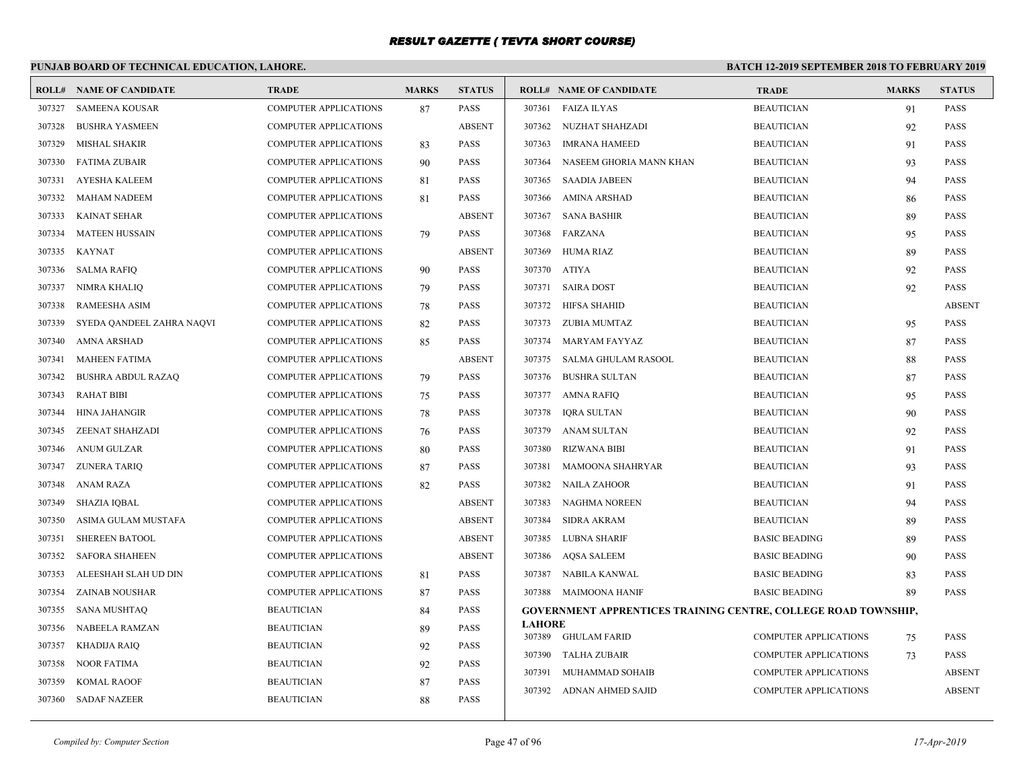# **PUNJAB BOARD OF TECHNICAL EDUCATION, LAHORE.**

|        | <b>ROLL# NAME OF CANDIDATE</b> | <b>TRADE</b>                 | <b>MARKS</b> | <b>STATUS</b> |               | <b>ROLL# NAME OF CANDIDATE</b>                                        | <b>TRADE</b>                 | <b>MARKS</b> | <b>STATUS</b> |
|--------|--------------------------------|------------------------------|--------------|---------------|---------------|-----------------------------------------------------------------------|------------------------------|--------------|---------------|
| 307327 | <b>SAMEENA KOUSAR</b>          | <b>COMPUTER APPLICATIONS</b> | 87           | <b>PASS</b>   |               | 307361 FAIZA ILYAS                                                    | <b>BEAUTICIAN</b>            | 91           | <b>PASS</b>   |
| 307328 | <b>BUSHRA YASMEEN</b>          | <b>COMPUTER APPLICATIONS</b> |              | <b>ABSENT</b> |               | 307362 NUZHAT SHAHZADI                                                | <b>BEAUTICIAN</b>            | 92           | <b>PASS</b>   |
| 307329 | MISHAL SHAKIR                  | COMPUTER APPLICATIONS        | 83           | <b>PASS</b>   | 307363        | <b>IMRANA HAMEED</b>                                                  | <b>BEAUTICIAN</b>            | 91           | <b>PASS</b>   |
| 307330 | <b>FATIMA ZUBAIR</b>           | <b>COMPUTER APPLICATIONS</b> | 90           | <b>PASS</b>   | 307364        | NASEEM GHORIA MANN KHAN                                               | <b>BEAUTICIAN</b>            | 93           | <b>PASS</b>   |
| 307331 | <b>AYESHA KALEEM</b>           | <b>COMPUTER APPLICATIONS</b> | 81           | <b>PASS</b>   | 307365        | SAADIA JABEEN                                                         | <b>BEAUTICIAN</b>            | 94           | <b>PASS</b>   |
| 307332 | <b>MAHAM NADEEM</b>            | <b>COMPUTER APPLICATIONS</b> | 81           | <b>PASS</b>   | 307366        | AMINA ARSHAD                                                          | <b>BEAUTICIAN</b>            | 86           | <b>PASS</b>   |
| 307333 | KAINAT SEHAR                   | <b>COMPUTER APPLICATIONS</b> |              | <b>ABSENT</b> | 307367        | SANA BASHIR                                                           | <b>BEAUTICIAN</b>            | 89           | <b>PASS</b>   |
| 307334 | <b>MATEEN HUSSAIN</b>          | COMPUTER APPLICATIONS        | 79           | <b>PASS</b>   |               | 307368 FARZANA                                                        | <b>BEAUTICIAN</b>            | 95           | <b>PASS</b>   |
| 307335 | <b>KAYNAT</b>                  | <b>COMPUTER APPLICATIONS</b> |              | <b>ABSENT</b> | 307369        | HUMA RIAZ                                                             | <b>BEAUTICIAN</b>            | 89           | <b>PASS</b>   |
| 307336 | <b>SALMA RAFIQ</b>             | COMPUTER APPLICATIONS        | 90           | <b>PASS</b>   | 307370 ATIYA  |                                                                       | <b>BEAUTICIAN</b>            | 92           | <b>PASS</b>   |
| 307337 | <b>NIMRA KHALIO</b>            | <b>COMPUTER APPLICATIONS</b> | 79           | <b>PASS</b>   | 307371        | <b>SAIRA DOST</b>                                                     | <b>BEAUTICIAN</b>            | 92           | <b>PASS</b>   |
| 307338 | <b>RAMEESHA ASIM</b>           | <b>COMPUTER APPLICATIONS</b> | 78           | <b>PASS</b>   |               | 307372 HIFSA SHAHID                                                   | <b>BEAUTICIAN</b>            |              | <b>ABSENT</b> |
| 307339 | SYEDA QANDEEL ZAHRA NAQVI      | <b>COMPUTER APPLICATIONS</b> | 82           | <b>PASS</b>   |               | 307373 ZUBIA MUMTAZ                                                   | <b>BEAUTICIAN</b>            | 95           | <b>PASS</b>   |
| 307340 | AMNA ARSHAD                    | <b>COMPUTER APPLICATIONS</b> | 85           | <b>PASS</b>   |               | 307374 MARYAM FAYYAZ                                                  | <b>BEAUTICIAN</b>            | 87           | <b>PASS</b>   |
| 307341 | <b>MAHEEN FATIMA</b>           | <b>COMPUTER APPLICATIONS</b> |              | <b>ABSENT</b> |               | 307375 SALMA GHULAM RASOOL                                            | <b>BEAUTICIAN</b>            | 88           | <b>PASS</b>   |
| 307342 | <b>BUSHRA ABDUL RAZAQ</b>      | <b>COMPUTER APPLICATIONS</b> | 79           | <b>PASS</b>   | 307376        | <b>BUSHRA SULTAN</b>                                                  | <b>BEAUTICIAN</b>            | 87           | <b>PASS</b>   |
| 307343 | <b>RAHAT BIBI</b>              | <b>COMPUTER APPLICATIONS</b> | 75           | <b>PASS</b>   |               | 307377 AMNA RAFIQ                                                     | <b>BEAUTICIAN</b>            | 95           | <b>PASS</b>   |
| 307344 | <b>HINA JAHANGIR</b>           | <b>COMPUTER APPLICATIONS</b> | 78           | <b>PASS</b>   | 307378        | <b>IORA SULTAN</b>                                                    | <b>BEAUTICIAN</b>            | 90           | <b>PASS</b>   |
| 307345 | ZEENAT SHAHZADI                | <b>COMPUTER APPLICATIONS</b> | 76           | <b>PASS</b>   | 307379        | ANAM SULTAN                                                           | <b>BEAUTICIAN</b>            | 92           | <b>PASS</b>   |
| 307346 | <b>ANUM GULZAR</b>             | <b>COMPUTER APPLICATIONS</b> | 80           | <b>PASS</b>   | 307380        | RIZWANA BIBI                                                          | <b>BEAUTICIAN</b>            | 91           | <b>PASS</b>   |
| 307347 | <b>ZUNERA TARIQ</b>            | <b>COMPUTER APPLICATIONS</b> | 87           | <b>PASS</b>   | 307381        | MAMOONA SHAHRYAR                                                      | <b>BEAUTICIAN</b>            | 93           | PASS          |
| 307348 | <b>ANAM RAZA</b>               | <b>COMPUTER APPLICATIONS</b> | 82           | <b>PASS</b>   | 307382        | NAILA ZAHOOR                                                          | <b>BEAUTICIAN</b>            | 91           | <b>PASS</b>   |
| 307349 | <b>SHAZIA IQBAL</b>            | <b>COMPUTER APPLICATIONS</b> |              | <b>ABSENT</b> | 307383        | NAGHMA NOREEN                                                         | <b>BEAUTICIAN</b>            | 94           | <b>PASS</b>   |
| 307350 | ASIMA GULAM MUSTAFA            | <b>COMPUTER APPLICATIONS</b> |              | <b>ABSENT</b> | 307384        | <b>SIDRA AKRAM</b>                                                    | <b>BEAUTICIAN</b>            | 89           | <b>PASS</b>   |
| 307351 | <b>SHEREEN BATOOL</b>          | COMPUTER APPLICATIONS        |              | <b>ABSENT</b> | 307385        | LUBNA SHARIF                                                          | <b>BASIC BEADING</b>         | 89           | <b>PASS</b>   |
| 307352 | <b>SAFORA SHAHEEN</b>          | <b>COMPUTER APPLICATIONS</b> |              | <b>ABSENT</b> | 307386        | AQSA SALEEM                                                           | <b>BASIC BEADING</b>         | 90           | <b>PASS</b>   |
| 307353 | ALEESHAH SLAH UD DIN           | <b>COMPUTER APPLICATIONS</b> | 81           | <b>PASS</b>   |               | 307387 NABILA KANWAL                                                  | <b>BASIC BEADING</b>         | 83           | <b>PASS</b>   |
| 307354 | ZAINAB NOUSHAR                 | <b>COMPUTER APPLICATIONS</b> | 87           | <b>PASS</b>   |               | 307388 MAIMOONA HANIF                                                 | <b>BASIC BEADING</b>         | 89           | <b>PASS</b>   |
| 307355 | SANA MUSHTAQ                   | <b>BEAUTICIAN</b>            | 84           | <b>PASS</b>   |               | <b>GOVERNMENT APPRENTICES TRAINING CENTRE, COLLEGE ROAD TOWNSHIP,</b> |                              |              |               |
| 307356 | NABEELA RAMZAN                 | <b>BEAUTICIAN</b>            | 89           | <b>PASS</b>   | <b>LAHORE</b> | 307389 GHULAM FARID                                                   | <b>COMPUTER APPLICATIONS</b> |              | <b>PASS</b>   |
| 307357 | <b>KHADIJA RAIQ</b>            | <b>BEAUTICIAN</b>            | 92           | <b>PASS</b>   | 307390        | TALHA ZUBAIR                                                          | <b>COMPUTER APPLICATIONS</b> | 75           | <b>PASS</b>   |
| 307358 | <b>NOOR FATIMA</b>             | <b>BEAUTICIAN</b>            | 92           | <b>PASS</b>   | 307391        | MUHAMMAD SOHAIB                                                       | <b>COMPUTER APPLICATIONS</b> | 73           | <b>ABSENT</b> |
| 307359 | <b>KOMAL RAOOF</b>             | <b>BEAUTICIAN</b>            | 87           | <b>PASS</b>   |               | 307392 ADNAN AHMED SAJID                                              |                              |              |               |
|        | 307360 SADAF NAZEER            | <b>BEAUTICIAN</b>            | 88           | <b>PASS</b>   |               |                                                                       | <b>COMPUTER APPLICATIONS</b> |              | <b>ABSENT</b> |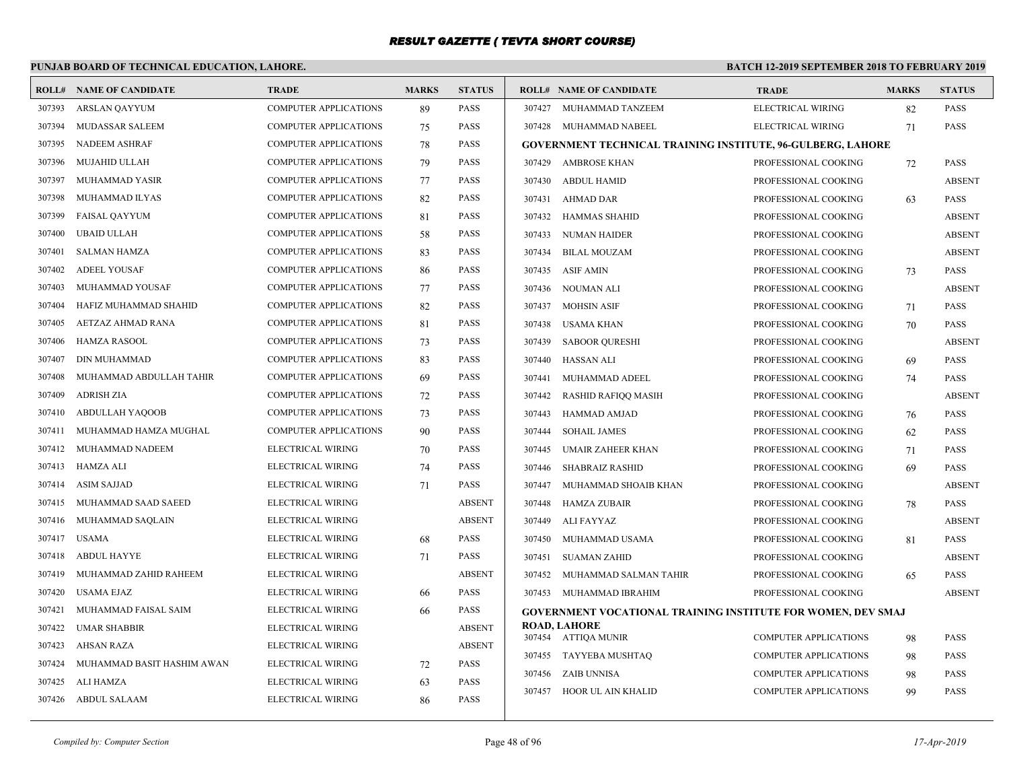# **PUNJAB BOARD OF TECHNICAL EDUCATION, LAHORE.**

|        | <b>ROLL# NAME OF CANDIDATE</b> | <b>TRADE</b>                 | <b>MARKS</b> | <b>STATUS</b> |        | <b>ROLL# NAME OF CANDIDATE</b>                                     | <b>TRADE</b>                 | <b>MARKS</b> | <b>STATUS</b> |
|--------|--------------------------------|------------------------------|--------------|---------------|--------|--------------------------------------------------------------------|------------------------------|--------------|---------------|
| 307393 | ARSLAN QAYYUM                  | <b>COMPUTER APPLICATIONS</b> | 89           | <b>PASS</b>   |        | 307427 MUHAMMAD TANZEEM                                            | ELECTRICAL WIRING            | 82           | PASS          |
| 307394 | MUDASSAR SALEEM                | <b>COMPUTER APPLICATIONS</b> | 75           | <b>PASS</b>   |        | 307428 MUHAMMAD NABEEL                                             | ELECTRICAL WIRING            | 71           | <b>PASS</b>   |
| 307395 | NADEEM ASHRAF                  | <b>COMPUTER APPLICATIONS</b> | 78           | PASS          |        | <b>GOVERNMENT TECHNICAL TRAINING INSTITUTE, 96-GULBERG, LAHORE</b> |                              |              |               |
| 307396 | MUJAHID ULLAH                  | <b>COMPUTER APPLICATIONS</b> | 79           | <b>PASS</b>   |        | 307429 AMBROSE KHAN                                                | PROFESSIONAL COOKING         | 72           | <b>PASS</b>   |
| 307397 | MUHAMMAD YASIR                 | <b>COMPUTER APPLICATIONS</b> | 77           | PASS          |        | 307430 ABDUL HAMID                                                 | PROFESSIONAL COOKING         |              | <b>ABSENT</b> |
| 307398 | MUHAMMAD ILYAS                 | <b>COMPUTER APPLICATIONS</b> | 82           | <b>PASS</b>   | 307431 | AHMAD DAR                                                          | PROFESSIONAL COOKING         | 63           | <b>PASS</b>   |
| 307399 | <b>FAISAL QAYYUM</b>           | <b>COMPUTER APPLICATIONS</b> | 81           | <b>PASS</b>   | 307432 | HAMMAS SHAHID                                                      | PROFESSIONAL COOKING         |              | <b>ABSENT</b> |
| 307400 | UBAID ULLAH                    | <b>COMPUTER APPLICATIONS</b> | 58           | <b>PASS</b>   | 307433 | NUMAN HAIDER                                                       | PROFESSIONAL COOKING         |              | <b>ABSENT</b> |
| 307401 | <b>SALMAN HAMZA</b>            | <b>COMPUTER APPLICATIONS</b> | 83           | <b>PASS</b>   | 307434 | <b>BILAL MOUZAM</b>                                                | PROFESSIONAL COOKING         |              | <b>ABSENT</b> |
| 307402 | <b>ADEEL YOUSAF</b>            | <b>COMPUTER APPLICATIONS</b> | 86           | <b>PASS</b>   | 307435 | <b>ASIF AMIN</b>                                                   | PROFESSIONAL COOKING         | 73           | PASS          |
| 307403 | MUHAMMAD YOUSAF                | <b>COMPUTER APPLICATIONS</b> | 77           | PASS          | 307436 | NOUMAN ALI                                                         | PROFESSIONAL COOKING         |              | <b>ABSENT</b> |
| 307404 | HAFIZ MUHAMMAD SHAHID          | COMPUTER APPLICATIONS        | 82           | <b>PASS</b>   | 307437 | MOHSIN ASIF                                                        | PROFESSIONAL COOKING         | 71           | <b>PASS</b>   |
| 307405 | AETZAZ AHMAD RANA              | COMPUTER APPLICATIONS        | 81           | PASS          | 307438 | USAMA KHAN                                                         | PROFESSIONAL COOKING         | 70           | PASS          |
| 307406 | <b>HAMZA RASOOL</b>            | <b>COMPUTER APPLICATIONS</b> | 73           | <b>PASS</b>   | 307439 | <b>SABOOR QURESHI</b>                                              | PROFESSIONAL COOKING         |              | <b>ABSENT</b> |
| 307407 | <b>DIN MUHAMMAD</b>            | <b>COMPUTER APPLICATIONS</b> | 83           | <b>PASS</b>   | 307440 | HASSAN ALI                                                         | PROFESSIONAL COOKING         | 69           | PASS          |
| 307408 | MUHAMMAD ABDULLAH TAHIR        | <b>COMPUTER APPLICATIONS</b> | 69           | <b>PASS</b>   | 307441 | MUHAMMAD ADEEL                                                     | PROFESSIONAL COOKING         | 74           | <b>PASS</b>   |
| 307409 | <b>ADRISH ZIA</b>              | <b>COMPUTER APPLICATIONS</b> | 72           | <b>PASS</b>   | 307442 | RASHID RAFIQQ MASIH                                                | PROFESSIONAL COOKING         |              | <b>ABSENT</b> |
| 307410 | <b>ABDULLAH YAQOOB</b>         | <b>COMPUTER APPLICATIONS</b> | 73           | <b>PASS</b>   | 307443 | <b>HAMMAD AMJAD</b>                                                | PROFESSIONAL COOKING         | 76           | <b>PASS</b>   |
| 307411 | MUHAMMAD HAMZA MUGHAL          | COMPUTER APPLICATIONS        | 90           | <b>PASS</b>   | 307444 | <b>SOHAIL JAMES</b>                                                | PROFESSIONAL COOKING         | 62           | <b>PASS</b>   |
| 307412 | MUHAMMAD NADEEM                | ELECTRICAL WIRING            | 70           | <b>PASS</b>   | 307445 | <b>UMAIR ZAHEER KHAN</b>                                           | PROFESSIONAL COOKING         | 71           | <b>PASS</b>   |
|        | 307413 HAMZA ALI               | ELECTRICAL WIRING            | 74           | PASS          | 307446 | <b>SHABRAIZ RASHID</b>                                             | PROFESSIONAL COOKING         | 69           | PASS          |
| 307414 | <b>ASIM SAJJAD</b>             | ELECTRICAL WIRING            | 71           | <b>PASS</b>   | 307447 | MUHAMMAD SHOAIB KHAN                                               | PROFESSIONAL COOKING         |              | <b>ABSENT</b> |
| 307415 | MUHAMMAD SAAD SAEED            | ELECTRICAL WIRING            |              | <b>ABSENT</b> | 307448 | <b>HAMZA ZUBAIR</b>                                                | PROFESSIONAL COOKING         | 78           | PASS          |
| 307416 | MUHAMMAD SAQLAIN               | ELECTRICAL WIRING            |              | <b>ABSENT</b> | 307449 | ALI FAYYAZ                                                         | PROFESSIONAL COOKING         |              | <b>ABSENT</b> |
| 307417 | <b>USAMA</b>                   | ELECTRICAL WIRING            | 68           | <b>PASS</b>   | 307450 | MUHAMMAD USAMA                                                     | PROFESSIONAL COOKING         | 81           | <b>PASS</b>   |
| 307418 | <b>ABDUL HAYYE</b>             | ELECTRICAL WIRING            | 71           | PASS          | 307451 | <b>SUAMAN ZAHID</b>                                                | PROFESSIONAL COOKING         |              | <b>ABSENT</b> |
| 307419 | MUHAMMAD ZAHID RAHEEM          | ELECTRICAL WIRING            |              | <b>ABSENT</b> | 307452 | MUHAMMAD SALMAN TAHIR                                              | PROFESSIONAL COOKING         | 65           | <b>PASS</b>   |
| 307420 | USAMA EJAZ                     | ELECTRICAL WIRING            | 66           | <b>PASS</b>   |        | 307453 MUHAMMAD IBRAHIM                                            | PROFESSIONAL COOKING         |              | <b>ABSENT</b> |
| 307421 | MUHAMMAD FAISAL SAIM           | ELECTRICAL WIRING            | 66           | PASS          |        | GOVERNMENT VOCATIONAL TRAINING INSTITUTE FOR WOMEN, DEV SMAJ       |                              |              |               |
| 307422 | <b>UMAR SHABBIR</b>            | ELECTRICAL WIRING            |              | <b>ABSENT</b> |        | <b>ROAD, LAHORE</b>                                                |                              |              |               |
| 307423 | <b>AHSAN RAZA</b>              | ELECTRICAL WIRING            |              | <b>ABSENT</b> |        | 307454 ATTIQA MUNIR                                                | <b>COMPUTER APPLICATIONS</b> | 98           | PASS          |
| 307424 | MUHAMMAD BASIT HASHIM AWAN     | ELECTRICAL WIRING            | 72           | <b>PASS</b>   |        | 307455 TAYYEBA MUSHTAQ                                             | <b>COMPUTER APPLICATIONS</b> | 98           | <b>PASS</b>   |
| 307425 | ALI HAMZA                      | ELECTRICAL WIRING            | 63           | <b>PASS</b>   | 307456 | <b>ZAIB UNNISA</b>                                                 | <b>COMPUTER APPLICATIONS</b> | 98           | PASS          |
|        | 307426 ABDUL SALAAM            | ELECTRICAL WIRING            | 86           | <b>PASS</b>   | 307457 | HOOR UL AIN KHALID                                                 | <b>COMPUTER APPLICATIONS</b> | 99           | <b>PASS</b>   |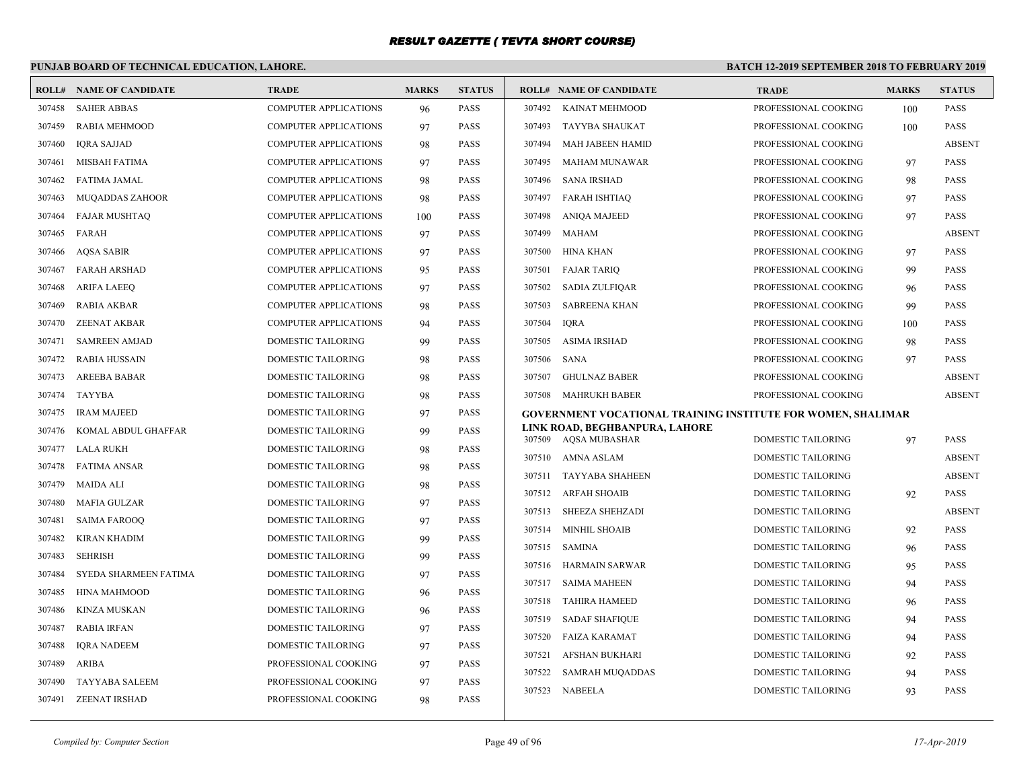# **PUNJAB BOARD OF TECHNICAL EDUCATION, LAHORE.**

| <b>ROLL#</b> | <b>NAME OF CANDIDATE</b> | <b>TRADE</b>                 | <b>MARKS</b> | <b>STATUS</b> |                  | <b>ROLL# NAME OF CANDIDATE</b>                                      | <b>TRADE</b>              | <b>MARKS</b> | <b>STATUS</b>                  |
|--------------|--------------------------|------------------------------|--------------|---------------|------------------|---------------------------------------------------------------------|---------------------------|--------------|--------------------------------|
| 307458       | <b>SAHER ABBAS</b>       | <b>COMPUTER APPLICATIONS</b> | 96           | <b>PASS</b>   | 307492           | KAINAT MEHMOOD                                                      | PROFESSIONAL COOKING      | 100          | <b>PASS</b>                    |
| 307459       | RABIA MEHMOOD            | <b>COMPUTER APPLICATIONS</b> | 97           | <b>PASS</b>   | 307493           | TAYYBA SHAUKAT                                                      | PROFESSIONAL COOKING      | 100          | <b>PASS</b>                    |
| 307460       | IQRA SAJJAD              | <b>COMPUTER APPLICATIONS</b> | 98           | <b>PASS</b>   | 307494           | MAH JABEEN HAMID                                                    | PROFESSIONAL COOKING      |              | <b>ABSENT</b>                  |
| 307461       | MISBAH FATIMA            | <b>COMPUTER APPLICATIONS</b> | 97           | <b>PASS</b>   | 307495           | MAHAM MUNAWAR                                                       | PROFESSIONAL COOKING      | 97           | <b>PASS</b>                    |
| 307462       | FATIMA JAMAL             | <b>COMPUTER APPLICATIONS</b> | 98           | <b>PASS</b>   | 307496           | SANA IRSHAD                                                         | PROFESSIONAL COOKING      | 98           | <b>PASS</b>                    |
| 307463       | <b>MUQADDAS ZAHOOR</b>   | <b>COMPUTER APPLICATIONS</b> | 98           | <b>PASS</b>   | 307497           | FARAH ISHTIAQ                                                       | PROFESSIONAL COOKING      | 97           | <b>PASS</b>                    |
| 307464       | <b>FAJAR MUSHTAQ</b>     | <b>COMPUTER APPLICATIONS</b> | 100          | <b>PASS</b>   | 307498           | <b>ANIQA MAJEED</b>                                                 | PROFESSIONAL COOKING      | 97           | <b>PASS</b>                    |
| 307465       | FARAH                    | <b>COMPUTER APPLICATIONS</b> | 97           | <b>PASS</b>   | 307499           | MAHAM                                                               | PROFESSIONAL COOKING      |              | <b>ABSENT</b>                  |
| 307466       | <b>AOSA SABIR</b>        | <b>COMPUTER APPLICATIONS</b> | 97           | <b>PASS</b>   | 307500           | HINA KHAN                                                           | PROFESSIONAL COOKING      | 97           | <b>PASS</b>                    |
| 307467       | <b>FARAH ARSHAD</b>      | <b>COMPUTER APPLICATIONS</b> | 95           | <b>PASS</b>   | 307501           | <b>FAJAR TARIQ</b>                                                  | PROFESSIONAL COOKING      | 99           | PASS                           |
| 307468       | <b>ARIFA LAEEQ</b>       | <b>COMPUTER APPLICATIONS</b> | 97           | <b>PASS</b>   | 307502           | SADIA ZULFIQAR                                                      | PROFESSIONAL COOKING      | 96           | <b>PASS</b>                    |
| 307469       | <b>RABIA AKBAR</b>       | <b>COMPUTER APPLICATIONS</b> | 98           | <b>PASS</b>   | 307503           | <b>SABREENA KHAN</b>                                                | PROFESSIONAL COOKING      | 99           | <b>PASS</b>                    |
| 307470       | <b>ZEENAT AKBAR</b>      | <b>COMPUTER APPLICATIONS</b> | 94           | <b>PASS</b>   | 307504           | <b>IORA</b>                                                         | PROFESSIONAL COOKING      | 100          | <b>PASS</b>                    |
| 307471       | <b>SAMREEN AMJAD</b>     | DOMESTIC TAILORING           | 99           | <b>PASS</b>   | 307505           | ASIMA IRSHAD                                                        | PROFESSIONAL COOKING      | 98           | <b>PASS</b>                    |
| 307472       | <b>RABIA HUSSAIN</b>     | DOMESTIC TAILORING           | 98           | <b>PASS</b>   | 307506           | SANA                                                                | PROFESSIONAL COOKING      | 97           | <b>PASS</b>                    |
| 307473       | AREEBA BABAR             | <b>DOMESTIC TAILORING</b>    | 98           | <b>PASS</b>   | 307507           | <b>GHULNAZ BABER</b>                                                | PROFESSIONAL COOKING      |              | <b>ABSENT</b>                  |
| 307474       | TAYYBA                   | <b>DOMESTIC TAILORING</b>    | 98           | <b>PASS</b>   |                  | 307508 MAHRUKH BABER                                                | PROFESSIONAL COOKING      |              | <b>ABSENT</b>                  |
| 307475       | <b>IRAM MAJEED</b>       | DOMESTIC TAILORING           | 97           | <b>PASS</b>   |                  | <b>GOVERNMENT VOCATIONAL TRAINING INSTITUTE FOR WOMEN, SHALIMAR</b> |                           |              |                                |
| 307476       | KOMAL ABDUL GHAFFAR      | DOMESTIC TAILORING           | 99           | <b>PASS</b>   | 307509           | LINK ROAD, BEGHBANPURA, LAHORE<br>AQSA MUBASHAR                     | <b>DOMESTIC TAILORING</b> | 97           | <b>PASS</b>                    |
| 307477       | LALA RUKH                | <b>DOMESTIC TAILORING</b>    | 98           | <b>PASS</b>   |                  |                                                                     |                           |              |                                |
| 307478       | <b>FATIMA ANSAR</b>      | <b>DOMESTIC TAILORING</b>    | 98           | <b>PASS</b>   | 307510           | AMNA ASLAM<br>TAYYABA SHAHEEN                                       | DOMESTIC TAILORING        |              | <b>ABSENT</b><br><b>ABSENT</b> |
| 307479       | <b>MAIDA ALI</b>         | DOMESTIC TAILORING           | 98           | <b>PASS</b>   | 307511           |                                                                     | DOMESTIC TAILORING        |              |                                |
| 307480       | <b>MAFIA GULZAR</b>      | DOMESTIC TAILORING           | 97           | <b>PASS</b>   | 307512<br>307513 | ARFAH SHOAIB                                                        | DOMESTIC TAILORING        | 92           | <b>PASS</b><br><b>ABSENT</b>   |
| 307481       | <b>SAIMA FAROOQ</b>      | <b>DOMESTIC TAILORING</b>    | 97           | <b>PASS</b>   |                  | SHEEZA SHEHZADI                                                     | <b>DOMESTIC TAILORING</b> |              |                                |
| 307482       | <b>KIRAN KHADIM</b>      | <b>DOMESTIC TAILORING</b>    | 99           | <b>PASS</b>   | 307514           | <b>MINHIL SHOAIB</b>                                                | DOMESTIC TAILORING        | 92           | PASS                           |
| 307483       | <b>SEHRISH</b>           | DOMESTIC TAILORING           | 99           | <b>PASS</b>   | 307515           | SAMINA                                                              | <b>DOMESTIC TAILORING</b> | 96           | <b>PASS</b>                    |
| 307484       | SYEDA SHARMEEN FATIMA    | <b>DOMESTIC TAILORING</b>    | 97           | <b>PASS</b>   | 307516<br>307517 | HARMAIN SARWAR<br>SAIMA MAHEEN                                      | <b>DOMESTIC TAILORING</b> | 95           | <b>PASS</b>                    |
| 307485       | <b>HINA MAHMOOD</b>      | DOMESTIC TAILORING           | 96           | <b>PASS</b>   |                  |                                                                     | <b>DOMESTIC TAILORING</b> | 94           | <b>PASS</b>                    |
| 307486       | KINZA MUSKAN             | <b>DOMESTIC TAILORING</b>    | 96           | <b>PASS</b>   | 307518           | <b>TAHIRA HAMEED</b>                                                | <b>DOMESTIC TAILORING</b> | 96           | <b>PASS</b>                    |
| 307487       | <b>RABIA IRFAN</b>       | DOMESTIC TAILORING           | 97           | <b>PASS</b>   | 307519           | SADAF SHAFIQUE                                                      | DOMESTIC TAILORING        | 94           | <b>PASS</b>                    |
| 307488       | <b>IQRA NADEEM</b>       | DOMESTIC TAILORING           | 97           | <b>PASS</b>   | 307520           | FAIZA KARAMAT                                                       | <b>DOMESTIC TAILORING</b> | 94           | <b>PASS</b>                    |
| 307489       | <b>ARIBA</b>             | PROFESSIONAL COOKING         | 97           | <b>PASS</b>   | 307521           | <b>AFSHAN BUKHARI</b>                                               | <b>DOMESTIC TAILORING</b> | 92           | <b>PASS</b>                    |
| 307490       | <b>TAYYABA SALEEM</b>    | PROFESSIONAL COOKING         | 97           | <b>PASS</b>   | 307522           | <b>SAMRAH MUQADDAS</b>                                              | <b>DOMESTIC TAILORING</b> | 94           | <b>PASS</b>                    |
| 307491       | <b>ZEENAT IRSHAD</b>     | PROFESSIONAL COOKING         | 98           | <b>PASS</b>   |                  | 307523 NABEELA                                                      | DOMESTIC TAILORING        | 93           | <b>PASS</b>                    |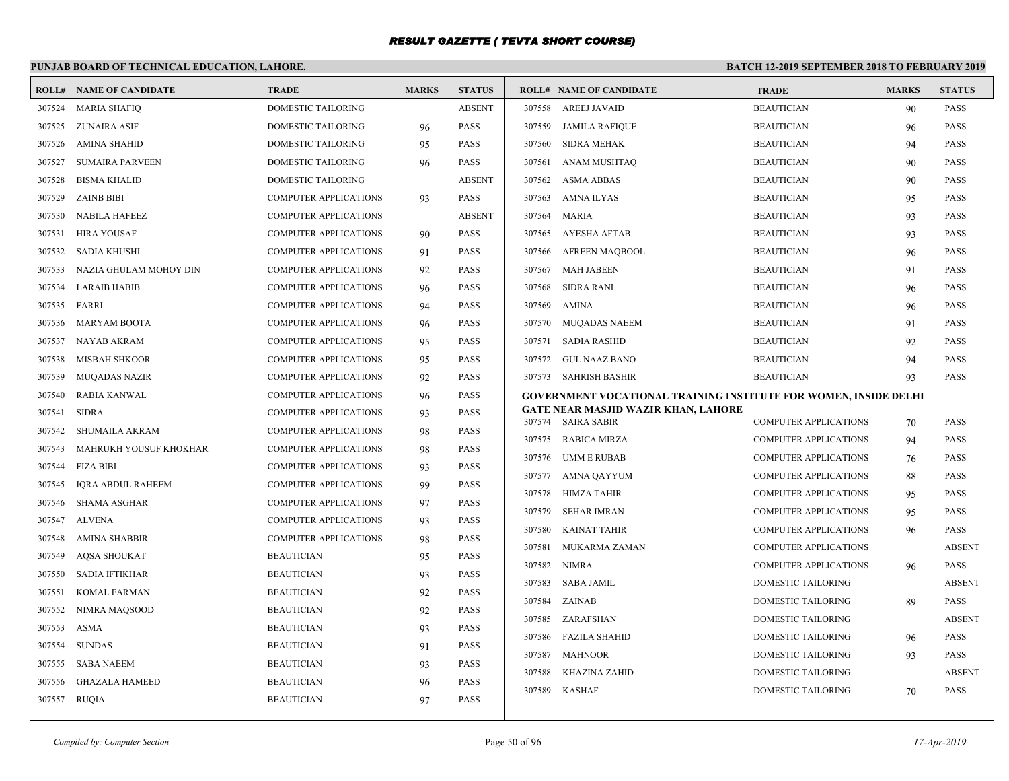### **PUNJAB BOARD OF TECHNICAL EDUCATION, LAHORE. BATCH 12-2019 SEPTEMBER 2018 TO FEBRUARY 2019 ROLL# NAME OF CANDIDATE TRADE MARKS STATUS ROLL# NAME OF CANDIDATE TRADE MARKS STATUS** 307524 MARIA SHAFIQ DOMESTIC TAILORING ABSENT 307525 ZUNAIRA ASIF DOMESTIC TAILORING 96 PASS 307526 AMINA SHAHID DOMESTIC TAILORING 95 PASS 307527 SUMAIRA PARVEEN DOMESTIC TAILORING 96 PASS 307528 BISMA KHALID DOMESTIC TAILORING ABSENT 307529 ZAINB BIBI COMPUTER APPLICATIONS 93 PASS 307530 NABILA HAFEEZ COMPUTER APPLICATIONS ABSENT 307531 HIRA YOUSAF COMPUTER APPLICATIONS 90 PASS 307532 SADIA KHUSHI COMPUTER APPLICATIONS 91 PASS 307533 NAZIA GHULAM MOHOY DIN COMPUTER APPLICATIONS 92 PASS 307534 LARAIB HABIB COMPUTER APPLICATIONS 96 PASS 307535 FARRI COMPUTER APPLICATIONS 94 PASS 307536 MARYAM BOOTA COMPUTER APPLICATIONS 96 PASS 307537 NAYAB AKRAM COMPUTER APPLICATIONS 95 PASS 307538 MISBAH SHKOOR COMPUTER APPLICATIONS 95 PASS 307539 MUQADAS NAZIR COMPUTER APPLICATIONS 92 PASS 307540 RABIA KANWAL COMPUTER APPLICATIONS 96 PASS 307541 SIDRA COMPUTER APPLICATIONS 93 PASS 307542 SHUMAILA AKRAM COMPUTER APPLICATIONS 98 PASS 307543 MAHRUKH YOUSUF KHOKHAR COMPUTER APPLICATIONS 98 PASS 307544 FIZA BIBI COMPUTER APPLICATIONS 93 PASS 307545 IQRA ABDUL RAHEEM COMPUTER APPLICATIONS 99 PASS 307546 SHAMA ASGHAR COMPUTER APPLICATIONS 97 PASS 307547 ALVENA COMPUTER APPLICATIONS 93 PASS 307548 AMINA SHABBIR COMPUTER APPLICATIONS 98 PASS 307549 AQSA SHOUKAT BEAUTICIAN 95 PASS 307550 SADIA IFTIKHAR BEAUTICIAN 93 PASS 307551 KOMAL FARMAN BEAUTICIAN 92 PASS 307552 NIMRA MAQSOOD BEAUTICIAN 92 PASS 307553 ASMA BEAUTICIAN 93 PASS 307554 SUNDAS BEAUTICIAN 91 PASS 307555 SABA NAEEM BEAUTICIAN 93 PASS 307556 GHAZALA HAMEED BEAUTICIAN 96 PASS 307557 RUQIA BEAUTICIAN 97 PASS 307558 AREEJ JAVAID BEAUTICIAN 90 PASS 307559 JAMILA RAFIQUE BEAUTICIAN 96 PASS 307560 SIDRA MEHAK BEAUTICIAN 94 PASS 307561 ANAM MUSHTAQ BEAUTICIAN 90 PASS 307562 ASMA ABBAS BEAUTICIAN 90 PASS 307563 AMNA ILYAS BEAUTICIAN 95 PASS 307564 MARIA BEAUTICIAN 93 PASS 307565 AYESHA AFTAB BEAUTICIAN 93 PASS 307566 AFREEN MAQBOOL BEAUTICIAN 96 PASS 307567 MAH JABEEN BEAUTICIAN 91 PASS 307568 SIDRA RANI BEAUTICIAN 96 PASS 307569 AMINA BEAUTICIAN 96 PASS 307570 MUQADAS NAEEM BEAUTICIAN 91 PASS 307571 SADIA RASHID BEAUTICIAN 92 PASS 307572 GUL NAAZ BANO BEAUTICIAN 94 PASS 307573 SAHRISH BASHIR BEAUTICIAN 93 PASS **GOVERNMENT VOCATIONAL TRAINING INSTITUTE FOR WOMEN, INSIDE DELHI GATE NEAR MASJID WAZIR KHAN, LAHORE** 307574 SAIRA SABIR COMPUTER APPLICATIONS 70 PASS 307575 RABICA MIRZA COMPUTER APPLICATIONS 94 PASS 307576 UMM E RUBAB COMPUTER APPLICATIONS 76 PASS 307577 AMNA QAYYUM COMPUTER APPLICATIONS 88 PASS 307578 HIMZA TAHIR COMPUTER APPLICATIONS 95 PASS 307579 SEHAR IMRAN COMPUTER APPLICATIONS 95 PASS 307580 KAINAT TAHIR COMPUTER APPLICATIONS 96 PASS 307581 MUKARMA ZAMAN COMPUTER APPLICATIONS ABSENT 307582 NIMRA COMPUTER APPLICATIONS 96 PASS 307583 SABA JAMIL DOMESTIC TAILORING ABSENT 307584 ZAINAB DOMESTIC TAILORING 89 PASS 307585 ZARAFSHAN DOMESTIC TAILORING ABSENT 307586 FAZILA SHAHID DOMESTIC TAILORING 96 PASS 307587 MAHNOOR DOMESTIC TAILORING 93 PASS 307588 KHAZINA ZAHID DOMESTIC TAILORING ABSENT 307589 KASHAF DOMESTIC TAILORING 70 PASS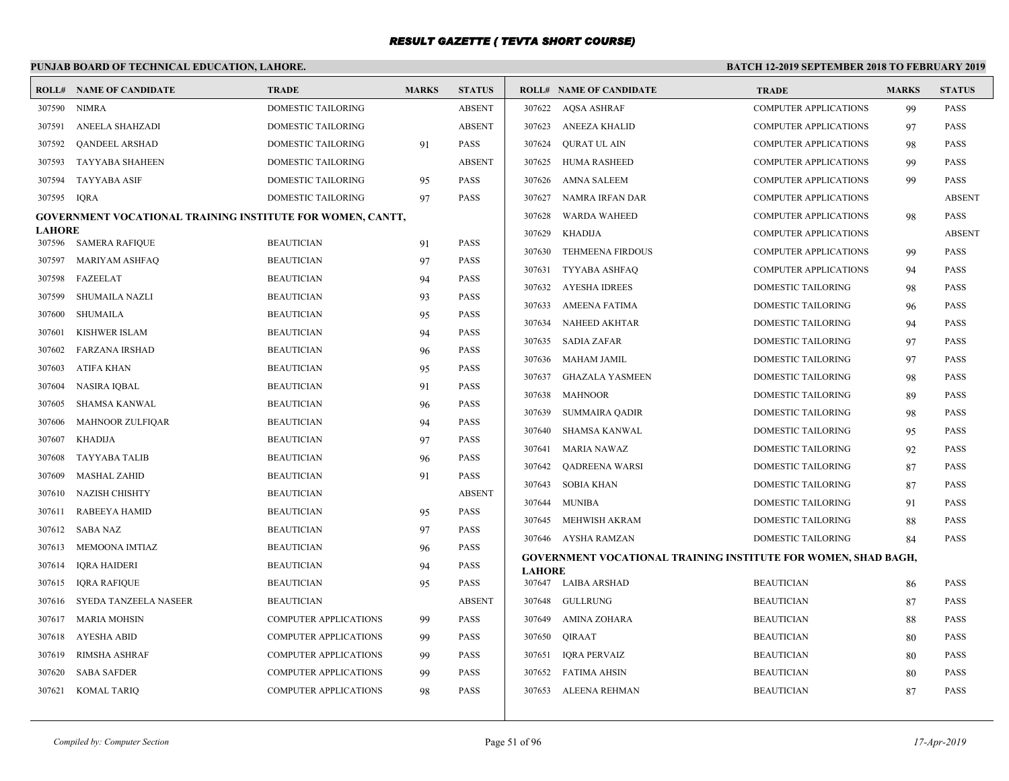# **PUNJAB BOARD OF TECHNICAL EDUCATION, LAHORE.**

| ROLL#                   | NAME OF CANDIDATE                                                 | <b>TRADE</b>                 | <b>MARKS</b> | <b>STATUS</b> |               | <b>ROLL# NAME OF CANDIDATE</b>                                 | <b>TRADE</b>                 | <b>MARKS</b> | <b>STATUS</b> |
|-------------------------|-------------------------------------------------------------------|------------------------------|--------------|---------------|---------------|----------------------------------------------------------------|------------------------------|--------------|---------------|
| 307590                  | <b>NIMRA</b>                                                      | DOMESTIC TAILORING           |              | <b>ABSENT</b> |               | 307622 AQSA ASHRAF                                             | <b>COMPUTER APPLICATIONS</b> | 99           | <b>PASS</b>   |
| 307591                  | ANEELA SHAHZADI                                                   | DOMESTIC TAILORING           |              | <b>ABSENT</b> |               | 307623 ANEEZA KHALID                                           | <b>COMPUTER APPLICATIONS</b> | 97           | <b>PASS</b>   |
| 307592                  | QANDEEL ARSHAD                                                    | DOMESTIC TAILORING           | 91           | <b>PASS</b>   | 307624        | QURAT UL AIN                                                   | <b>COMPUTER APPLICATIONS</b> | 98           | <b>PASS</b>   |
| 307593                  | <b>TAYYABA SHAHEEN</b>                                            | DOMESTIC TAILORING           |              | <b>ABSENT</b> |               | 307625 HUMA RASHEED                                            | <b>COMPUTER APPLICATIONS</b> | 99           | <b>PASS</b>   |
| 307594                  | <b>TAYYABA ASIF</b>                                               | DOMESTIC TAILORING           | 95           | <b>PASS</b>   | 307626        | AMNA SALEEM                                                    | <b>COMPUTER APPLICATIONS</b> | 99           | <b>PASS</b>   |
| 307595                  | <b>IQRA</b>                                                       | DOMESTIC TAILORING           | 97           | <b>PASS</b>   | 307627        | NAMRA IRFAN DAR                                                | <b>COMPUTER APPLICATIONS</b> |              | <b>ABSENT</b> |
|                         | <b>GOVERNMENT VOCATIONAL TRAINING INSTITUTE FOR WOMEN, CANTT,</b> |                              |              |               | 307628        | <b>WARDA WAHEED</b>                                            | <b>COMPUTER APPLICATIONS</b> | 98           | <b>PASS</b>   |
| <b>LAHORE</b><br>307596 | <b>SAMERA RAFIQUE</b>                                             | <b>BEAUTICIAN</b>            | 91           | <b>PASS</b>   | 307629        | <b>KHADIJA</b>                                                 | <b>COMPUTER APPLICATIONS</b> |              | <b>ABSENT</b> |
| 307597                  | MARIYAM ASHFAQ                                                    | <b>BEAUTICIAN</b>            | 97           | <b>PASS</b>   | 307630        | <b>TEHMEENA FIRDOUS</b>                                        | <b>COMPUTER APPLICATIONS</b> | 99           | <b>PASS</b>   |
| 307598                  | FAZEELAT                                                          | <b>BEAUTICIAN</b>            | 94           | <b>PASS</b>   | 307631        | TYYABA ASHFAQ                                                  | <b>COMPUTER APPLICATIONS</b> | 94           | <b>PASS</b>   |
| 307599                  | SHUMAILA NAZLI                                                    | <b>BEAUTICIAN</b>            | 93           | <b>PASS</b>   |               | 307632 AYESHA IDREES                                           | <b>DOMESTIC TAILORING</b>    | 98           | <b>PASS</b>   |
| 307600                  | SHUMAILA                                                          | <b>BEAUTICIAN</b>            | 95           | <b>PASS</b>   | 307633        | AMEENA FATIMA                                                  | <b>DOMESTIC TAILORING</b>    | 96           | <b>PASS</b>   |
| 307601                  | <b>KISHWER ISLAM</b>                                              | <b>BEAUTICIAN</b>            | 94           | <b>PASS</b>   |               | 307634 NAHEED AKHTAR                                           | DOMESTIC TAILORING           | 94           | <b>PASS</b>   |
| 307602                  | <b>FARZANA IRSHAD</b>                                             | <b>BEAUTICIAN</b>            | 96           | <b>PASS</b>   |               | 307635 SADIA ZAFAR                                             | DOMESTIC TAILORING           | 97           | <b>PASS</b>   |
| 307603                  | ATIFA KHAN                                                        | <b>BEAUTICIAN</b>            | 95           | <b>PASS</b>   | 307636        | MAHAM JAMIL                                                    | DOMESTIC TAILORING           | 97           | <b>PASS</b>   |
| 307604                  | NASIRA IQBAL                                                      | <b>BEAUTICIAN</b>            | 91           | PASS          | 307637        | <b>GHAZALA YASMEEN</b>                                         | DOMESTIC TAILORING           | 98           | <b>PASS</b>   |
| 307605                  | SHAMSA KANWAL                                                     | <b>BEAUTICIAN</b>            | 96           | <b>PASS</b>   | 307638        | <b>MAHNOOR</b>                                                 | <b>DOMESTIC TAILORING</b>    | 89           | <b>PASS</b>   |
| 307606                  | MAHNOOR ZULFIQAR                                                  | <b>BEAUTICIAN</b>            | 94           | <b>PASS</b>   | 307639        | SUMMAIRA QADIR                                                 | DOMESTIC TAILORING           | 98           | <b>PASS</b>   |
| 307607                  | KHADIJA                                                           | <b>BEAUTICIAN</b>            | 97           | <b>PASS</b>   | 307640        | SHAMSA KANWAL                                                  | DOMESTIC TAILORING           | 95           | <b>PASS</b>   |
| 307608                  | TAYYABA TALIB                                                     | <b>BEAUTICIAN</b>            | 96           | <b>PASS</b>   | 307641        | MARIA NAWAZ                                                    | DOMESTIC TAILORING           | 92           | <b>PASS</b>   |
| 307609                  | <b>MASHAL ZAHID</b>                                               | <b>BEAUTICIAN</b>            | 91           | PASS          | 307642        | <b>OADREENA WARSI</b>                                          | DOMESTIC TAILORING           | 87           | <b>PASS</b>   |
| 307610                  | NAZISH CHISHTY                                                    | <b>BEAUTICIAN</b>            |              | <b>ABSENT</b> | 307643        | SOBIA KHAN                                                     | <b>DOMESTIC TAILORING</b>    | 87           | <b>PASS</b>   |
| 307611                  | RABEEYA HAMID                                                     | <b>BEAUTICIAN</b>            | 95           | <b>PASS</b>   |               | 307644 MUNIBA                                                  | <b>DOMESTIC TAILORING</b>    | 91           | <b>PASS</b>   |
| 307612                  | SABA NAZ                                                          | <b>BEAUTICIAN</b>            | 97           | <b>PASS</b>   | 307645        | MEHWISH AKRAM                                                  | DOMESTIC TAILORING           | 88           | <b>PASS</b>   |
| 307613                  | MEMOONA IMTIAZ                                                    | <b>BEAUTICIAN</b>            | 96           | <b>PASS</b>   |               | 307646 AYSHA RAMZAN                                            | DOMESTIC TAILORING           | 84           | PASS          |
| 307614                  | <b>IQRA HAIDERI</b>                                               | <b>BEAUTICIAN</b>            | 94           | PASS          | <b>LAHORE</b> | GOVERNMENT VOCATIONAL TRAINING INSTITUTE FOR WOMEN, SHAD BAGH, |                              |              |               |
| 307615                  | <b>IQRA RAFIQUE</b>                                               | <b>BEAUTICIAN</b>            | 95           | <b>PASS</b>   |               | 307647 LAIBA ARSHAD                                            | <b>BEAUTICIAN</b>            | 86           | <b>PASS</b>   |
| 307616                  | SYEDA TANZEELA NASEER                                             | <b>BEAUTICIAN</b>            |              | <b>ABSENT</b> |               | 307648 GULLRUNG                                                | <b>BEAUTICIAN</b>            | 87           | <b>PASS</b>   |
| 307617                  | MARIA MOHSIN                                                      | <b>COMPUTER APPLICATIONS</b> | 99           | <b>PASS</b>   | 307649        | AMINA ZOHARA                                                   | <b>BEAUTICIAN</b>            | 88           | <b>PASS</b>   |
| 307618                  | AYESHA ABID                                                       | <b>COMPUTER APPLICATIONS</b> | 99           | <b>PASS</b>   | 307650        | <b>OIRAAT</b>                                                  | <b>BEAUTICIAN</b>            | 80           | <b>PASS</b>   |
| 307619                  | RIMSHA ASHRAF                                                     | <b>COMPUTER APPLICATIONS</b> | 99           | <b>PASS</b>   |               | 307651 IQRA PERVAIZ                                            | <b>BEAUTICIAN</b>            | 80           | <b>PASS</b>   |
| 307620                  | <b>SABA SAFDER</b>                                                | COMPUTER APPLICATIONS        | 99           | <b>PASS</b>   |               | 307652 FATIMA AHSIN                                            | <b>BEAUTICIAN</b>            | 80           | <b>PASS</b>   |
| 307621                  | KOMAL TARIQ                                                       | <b>COMPUTER APPLICATIONS</b> | 98           | <b>PASS</b>   |               | 307653 ALEENA REHMAN                                           | <b>BEAUTICIAN</b>            | 87           | <b>PASS</b>   |
|                         |                                                                   |                              |              |               |               |                                                                |                              |              |               |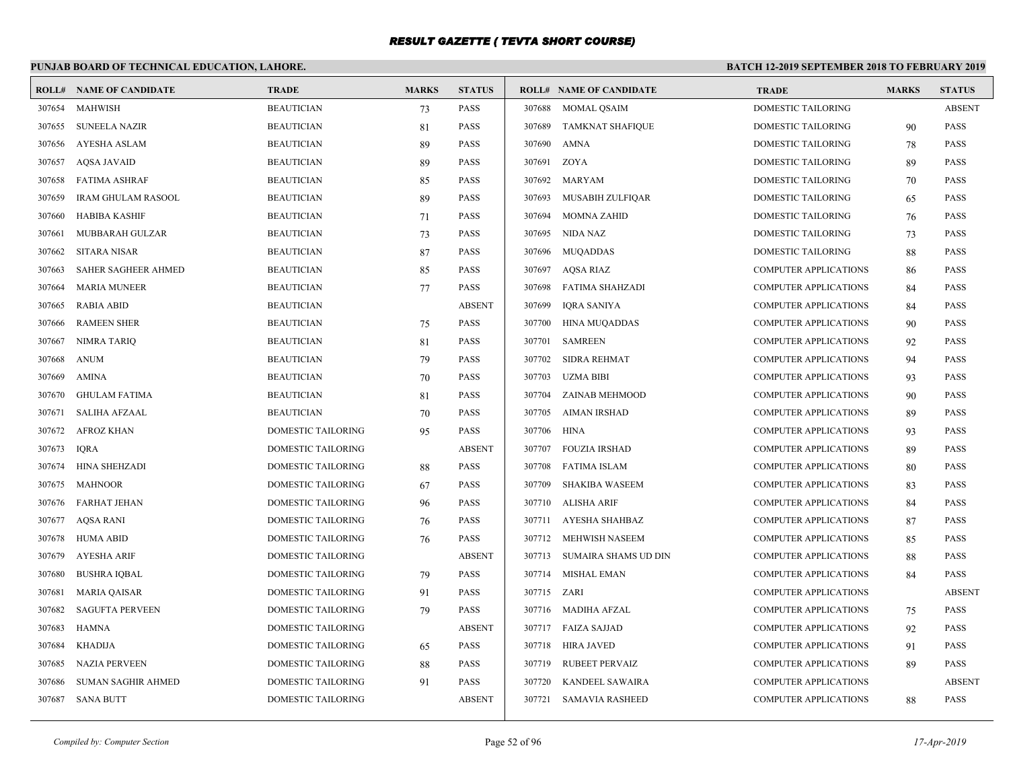# **PUNJAB BOARD OF TECHNICAL EDUCATION, LAHORE.**

| <b>ROLL#</b> | NAME OF CANDIDATE         | <b>TRADE</b>              | <b>MARKS</b> | <b>STATUS</b> |        | <b>ROLL# NAME OF CANDIDATE</b> | <b>TRADE</b>                 | <b>MARKS</b> | <b>STATUS</b> |
|--------------|---------------------------|---------------------------|--------------|---------------|--------|--------------------------------|------------------------------|--------------|---------------|
| 307654       | MAHWISH                   | <b>BEAUTICIAN</b>         | 73           | <b>PASS</b>   |        | 307688 MOMAL OSAIM             | <b>DOMESTIC TAILORING</b>    |              | <b>ABSENT</b> |
| 307655       | <b>SUNEELA NAZIR</b>      | <b>BEAUTICIAN</b>         | 81           | <b>PASS</b>   |        | 307689 TAMKNAT SHAFIQUE        | DOMESTIC TAILORING           | 90           | <b>PASS</b>   |
| 307656       | AYESHA ASLAM              | <b>BEAUTICIAN</b>         | 89           | <b>PASS</b>   | 307690 | AMNA                           | DOMESTIC TAILORING           | 78           | <b>PASS</b>   |
| 307657       | AQSA JAVAID               | <b>BEAUTICIAN</b>         | 89           | <b>PASS</b>   | 307691 | ZOYA                           | DOMESTIC TAILORING           | 89           | <b>PASS</b>   |
| 307658       | <b>FATIMA ASHRAF</b>      | <b>BEAUTICIAN</b>         | 85           | <b>PASS</b>   | 307692 | MARYAM                         | DOMESTIC TAILORING           | 70           | <b>PASS</b>   |
| 307659       | <b>IRAM GHULAM RASOOL</b> | <b>BEAUTICIAN</b>         | 89           | <b>PASS</b>   | 307693 | MUSABIH ZULFIQAR               | DOMESTIC TAILORING           | 65           | <b>PASS</b>   |
| 307660       | HABIBA KASHIF             | <b>BEAUTICIAN</b>         | 71           | <b>PASS</b>   | 307694 | <b>MOMNA ZAHID</b>             | DOMESTIC TAILORING           | 76           | <b>PASS</b>   |
| 307661       | MUBBARAH GULZAR           | <b>BEAUTICIAN</b>         | 73           | <b>PASS</b>   | 307695 | NIDA NAZ                       | DOMESTIC TAILORING           | 73           | <b>PASS</b>   |
| 307662       | <b>SITARA NISAR</b>       | <b>BEAUTICIAN</b>         | 87           | <b>PASS</b>   | 307696 | <b>MUQADDAS</b>                | DOMESTIC TAILORING           | 88           | <b>PASS</b>   |
| 307663       | SAHER SAGHEER AHMED       | <b>BEAUTICIAN</b>         | 85           | <b>PASS</b>   | 307697 | AQSA RIAZ                      | COMPUTER APPLICATIONS        | 86           | <b>PASS</b>   |
| 307664       | <b>MARIA MUNEER</b>       | <b>BEAUTICIAN</b>         | 77           | <b>PASS</b>   | 307698 | FATIMA SHAHZADI                | <b>COMPUTER APPLICATIONS</b> | 84           | <b>PASS</b>   |
| 307665       | <b>RABIA ABID</b>         | <b>BEAUTICIAN</b>         |              | <b>ABSENT</b> | 307699 | <b>IQRA SANIYA</b>             | <b>COMPUTER APPLICATIONS</b> | 84           | <b>PASS</b>   |
| 307666       | <b>RAMEEN SHER</b>        | <b>BEAUTICIAN</b>         | 75           | <b>PASS</b>   | 307700 | HINA MUQADDAS                  | COMPUTER APPLICATIONS        | 90           | <b>PASS</b>   |
| 307667       | NIMRA TARIQ               | <b>BEAUTICIAN</b>         | 81           | <b>PASS</b>   | 307701 | <b>SAMREEN</b>                 | COMPUTER APPLICATIONS        | 92           | <b>PASS</b>   |
| 307668       | ANUM                      | <b>BEAUTICIAN</b>         | 79           | <b>PASS</b>   | 307702 | <b>SIDRA REHMAT</b>            | <b>COMPUTER APPLICATIONS</b> | 94           | <b>PASS</b>   |
| 307669       | AMINA                     | <b>BEAUTICIAN</b>         | 70           | <b>PASS</b>   | 307703 | <b>UZMA BIBI</b>               | <b>COMPUTER APPLICATIONS</b> | 93           | <b>PASS</b>   |
| 307670       | <b>GHULAM FATIMA</b>      | <b>BEAUTICIAN</b>         | 81           | <b>PASS</b>   | 307704 | ZAINAB MEHMOOD                 | <b>COMPUTER APPLICATIONS</b> | 90           | <b>PASS</b>   |
| 307671       | <b>SALIHA AFZAAL</b>      | <b>BEAUTICIAN</b>         | 70           | <b>PASS</b>   | 307705 | <b>AIMAN IRSHAD</b>            | <b>COMPUTER APPLICATIONS</b> | 89           | <b>PASS</b>   |
| 307672       | <b>AFROZ KHAN</b>         | <b>DOMESTIC TAILORING</b> | 95           | <b>PASS</b>   | 307706 | HINA                           | <b>COMPUTER APPLICATIONS</b> | 93           | <b>PASS</b>   |
| 307673       | <b>IQRA</b>               | DOMESTIC TAILORING        |              | <b>ABSENT</b> | 307707 | <b>FOUZIA IRSHAD</b>           | COMPUTER APPLICATIONS        | 89           | <b>PASS</b>   |
| 307674       | HINA SHEHZADI             | DOMESTIC TAILORING        | 88           | <b>PASS</b>   | 307708 | FATIMA ISLAM                   | COMPUTER APPLICATIONS        | 80           | <b>PASS</b>   |
| 307675       | MAHNOOR                   | DOMESTIC TAILORING        | 67           | <b>PASS</b>   | 307709 | <b>SHAKIBA WASEEM</b>          | <b>COMPUTER APPLICATIONS</b> | 83           | <b>PASS</b>   |
| 307676       | FARHAT JEHAN              | DOMESTIC TAILORING        | 96           | <b>PASS</b>   |        | 307710 ALISHA ARIF             | <b>COMPUTER APPLICATIONS</b> | 84           | <b>PASS</b>   |
| 307677       | AQSA RANI                 | DOMESTIC TAILORING        | 76           | <b>PASS</b>   | 307711 | AYESHA SHAHBAZ                 | COMPUTER APPLICATIONS        | 87           | <b>PASS</b>   |
| 307678       | <b>HUMA ABID</b>          | DOMESTIC TAILORING        | 76           | <b>PASS</b>   | 307712 | MEHWISH NASEEM                 | COMPUTER APPLICATIONS        | 85           | <b>PASS</b>   |
| 307679       | <b>AYESHA ARIF</b>        | <b>DOMESTIC TAILORING</b> |              | <b>ABSENT</b> | 307713 | SUMAIRA SHAMS UD DIN           | <b>COMPUTER APPLICATIONS</b> | 88           | <b>PASS</b>   |
| 307680       | <b>BUSHRA IQBAL</b>       | DOMESTIC TAILORING        | 79           | <b>PASS</b>   | 307714 | <b>MISHAL EMAN</b>             | COMPUTER APPLICATIONS        | 84           | <b>PASS</b>   |
| 307681       | MARIA QAISAR              | DOMESTIC TAILORING        | 91           | <b>PASS</b>   | 307715 | ZARI                           | <b>COMPUTER APPLICATIONS</b> |              | <b>ABSENT</b> |
| 307682       | <b>SAGUFTA PERVEEN</b>    | DOMESTIC TAILORING        | 79           | <b>PASS</b>   |        | 307716 MADIHA AFZAL            | <b>COMPUTER APPLICATIONS</b> | 75           | <b>PASS</b>   |
| 307683       | HAMNA                     | DOMESTIC TAILORING        |              | <b>ABSENT</b> |        | 307717 FAIZA SAJJAD            | <b>COMPUTER APPLICATIONS</b> | 92           | <b>PASS</b>   |
| 307684       | KHADIJA                   | DOMESTIC TAILORING        | 65           | <b>PASS</b>   | 307718 | HIRA JAVED                     | COMPUTER APPLICATIONS        | 91           | <b>PASS</b>   |
| 307685       | <b>NAZIA PERVEEN</b>      | DOMESTIC TAILORING        | 88           | <b>PASS</b>   | 307719 | <b>RUBEET PERVAIZ</b>          | <b>COMPUTER APPLICATIONS</b> | 89           | <b>PASS</b>   |
| 307686       | <b>SUMAN SAGHIR AHMED</b> | <b>DOMESTIC TAILORING</b> | 91           | <b>PASS</b>   | 307720 | KANDEEL SAWAIRA                | <b>COMPUTER APPLICATIONS</b> |              | <b>ABSENT</b> |
|              | 307687 SANA BUTT          | DOMESTIC TAILORING        |              | <b>ABSENT</b> | 307721 | <b>SAMAVIA RASHEED</b>         | <b>COMPUTER APPLICATIONS</b> | 88           | <b>PASS</b>   |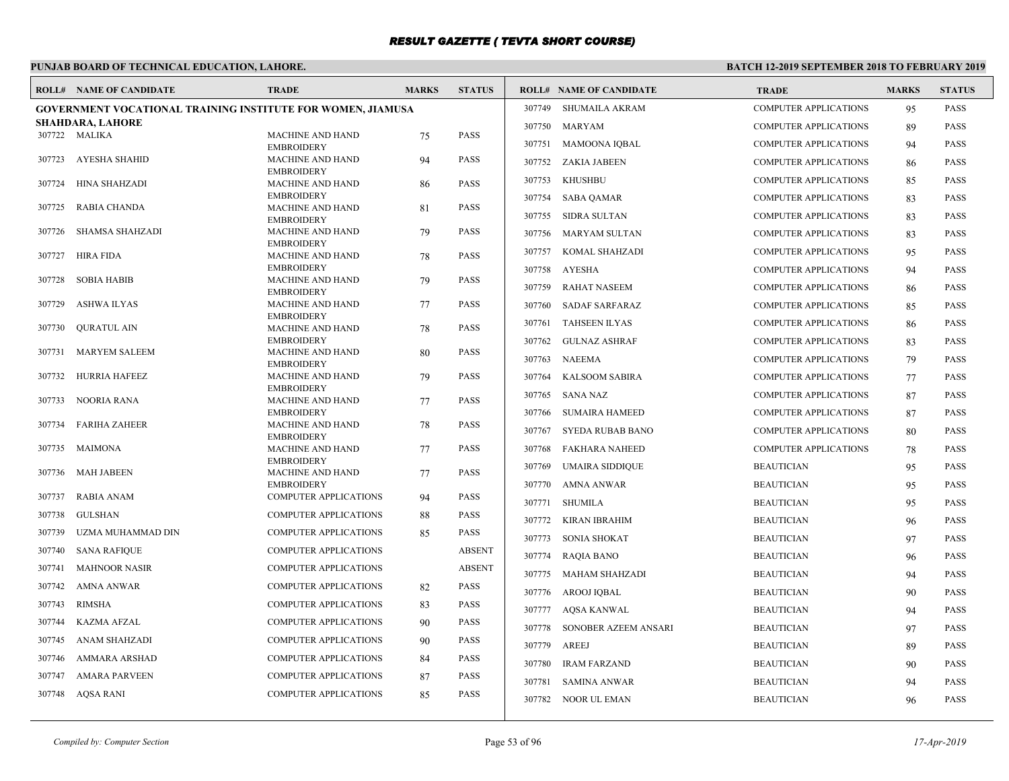# **PUNJAB BOARD OF TECHNICAL EDUCATION, LAHORE.**

|        | <b>ROLL# NAME OF CANDIDATE</b>                                     | <b>TRADE</b>                                 | <b>MARKS</b> | <b>STATUS</b> |        | <b>ROLL# NAME OF CANDIDATE</b> | <b>TRADE</b>                 | <b>MARKS</b> | <b>STATUS</b> |
|--------|--------------------------------------------------------------------|----------------------------------------------|--------------|---------------|--------|--------------------------------|------------------------------|--------------|---------------|
|        | <b>GOVERNMENT VOCATIONAL TRAINING INSTITUTE FOR WOMEN, JIAMUSA</b> |                                              |              |               | 307749 | SHUMAILA AKRAM                 | <b>COMPUTER APPLICATIONS</b> | 95           | <b>PASS</b>   |
|        | SHAHDARA, LAHORE                                                   |                                              |              |               | 307750 | <b>MARYAM</b>                  | <b>COMPUTER APPLICATIONS</b> | 89           | <b>PASS</b>   |
|        | 307722 MALIKA                                                      | MACHINE AND HAND<br><b>EMBROIDERY</b>        | 75           | <b>PASS</b>   | 307751 | <b>MAMOONA IQBAL</b>           | <b>COMPUTER APPLICATIONS</b> | 94           | <b>PASS</b>   |
| 307723 | AYESHA SHAHID                                                      | <b>MACHINE AND HAND</b>                      | 94           | <b>PASS</b>   | 307752 | <b>ZAKIA JABEEN</b>            | <b>COMPUTER APPLICATIONS</b> | 86           | <b>PASS</b>   |
| 307724 | HINA SHAHZADI                                                      | <b>EMBROIDERY</b><br>MACHINE AND HAND        | 86           | <b>PASS</b>   | 307753 | <b>KHUSHBU</b>                 | <b>COMPUTER APPLICATIONS</b> | 85           | <b>PASS</b>   |
|        |                                                                    | <b>EMBROIDERY</b>                            |              |               | 307754 | <b>SABA QAMAR</b>              | <b>COMPUTER APPLICATIONS</b> | 83           | <b>PASS</b>   |
| 307725 | RABIA CHANDA                                                       | <b>MACHINE AND HAND</b>                      | 81           | <b>PASS</b>   | 307755 | <b>SIDRA SULTAN</b>            | <b>COMPUTER APPLICATIONS</b> | 83           | <b>PASS</b>   |
| 307726 | <b>SHAMSA SHAHZADI</b>                                             | <b>EMBROIDERY</b><br><b>MACHINE AND HAND</b> | 79           | <b>PASS</b>   | 307756 | MARYAM SULTAN                  | <b>COMPUTER APPLICATIONS</b> | 83           | <b>PASS</b>   |
|        |                                                                    | <b>EMBROIDERY</b>                            |              |               |        |                                |                              |              |               |
| 307727 | <b>HIRA FIDA</b>                                                   | <b>MACHINE AND HAND</b>                      | 78           | <b>PASS</b>   | 307757 | <b>KOMAL SHAHZADI</b>          | <b>COMPUTER APPLICATIONS</b> | 95           | <b>PASS</b>   |
| 307728 | <b>SOBIA HABIB</b>                                                 | <b>EMBROIDERY</b><br><b>MACHINE AND HAND</b> | 79           | PASS          | 307758 | AYESHA                         | <b>COMPUTER APPLICATIONS</b> | 94           | <b>PASS</b>   |
|        |                                                                    | <b>EMBROIDERY</b>                            |              |               | 307759 | <b>RAHAT NASEEM</b>            | <b>COMPUTER APPLICATIONS</b> | 86           | <b>PASS</b>   |
| 307729 | <b>ASHWA ILYAS</b>                                                 | <b>MACHINE AND HAND</b><br><b>EMBROIDERY</b> | 77           | <b>PASS</b>   | 307760 | <b>SADAF SARFARAZ</b>          | <b>COMPUTER APPLICATIONS</b> | 85           | <b>PASS</b>   |
| 307730 | <b>OURATUL AIN</b>                                                 | <b>MACHINE AND HAND</b>                      | 78           | <b>PASS</b>   | 307761 | <b>TAHSEEN ILYAS</b>           | <b>COMPUTER APPLICATIONS</b> | 86           | <b>PASS</b>   |
|        |                                                                    | <b>EMBROIDERY</b>                            |              |               | 307762 | <b>GULNAZ ASHRAF</b>           | <b>COMPUTER APPLICATIONS</b> | 83           | <b>PASS</b>   |
| 307731 | <b>MARYEM SALEEM</b>                                               | MACHINE AND HAND<br><b>EMBROIDERY</b>        | 80           | PASS          | 307763 | NAEEMA                         | <b>COMPUTER APPLICATIONS</b> | 79           | <b>PASS</b>   |
| 307732 | HURRIA HAFEEZ                                                      | <b>MACHINE AND HAND</b>                      | 79           | <b>PASS</b>   | 307764 | <b>KALSOOM SABIRA</b>          | <b>COMPUTER APPLICATIONS</b> | 77           | <b>PASS</b>   |
|        |                                                                    | <b>EMBROIDERY</b>                            |              |               | 307765 | <b>SANA NAZ</b>                | <b>COMPUTER APPLICATIONS</b> | 87           | <b>PASS</b>   |
| 307733 | NOORIA RANA                                                        | <b>MACHINE AND HAND</b><br><b>EMBROIDERY</b> | 77           | <b>PASS</b>   | 307766 | <b>SUMAIRA HAMEED</b>          | <b>COMPUTER APPLICATIONS</b> | 87           | <b>PASS</b>   |
| 307734 | <b>FARIHA ZAHEER</b>                                               | MACHINE AND HAND                             | 78           | <b>PASS</b>   | 307767 | <b>SYEDA RUBAB BANO</b>        | <b>COMPUTER APPLICATIONS</b> | 80           | <b>PASS</b>   |
|        |                                                                    | <b>EMBROIDERY</b>                            |              |               |        |                                |                              |              |               |
| 307735 | MAIMONA                                                            | <b>MACHINE AND HAND</b><br><b>EMBROIDERY</b> | 77           | <b>PASS</b>   | 307768 | FAKHARA NAHEED                 | <b>COMPUTER APPLICATIONS</b> | 78           | <b>PASS</b>   |
| 307736 | <b>MAH JABEEN</b>                                                  | <b>MACHINE AND HAND</b>                      | 77           | <b>PASS</b>   | 307769 | <b>UMAIRA SIDDIQUE</b>         | <b>BEAUTICIAN</b>            | 95           | <b>PASS</b>   |
|        |                                                                    | <b>EMBROIDERY</b>                            |              |               | 307770 | AMNA ANWAR                     | <b>BEAUTICIAN</b>            | 95           | <b>PASS</b>   |
| 307737 | <b>RABIA ANAM</b>                                                  | <b>COMPUTER APPLICATIONS</b>                 | 94           | <b>PASS</b>   | 307771 | SHUMILA                        | <b>BEAUTICIAN</b>            | 95           | <b>PASS</b>   |
| 307738 | <b>GULSHAN</b>                                                     | <b>COMPUTER APPLICATIONS</b>                 | 88           | PASS          | 307772 | <b>KIRAN IBRAHIM</b>           | <b>BEAUTICIAN</b>            | 96           | <b>PASS</b>   |
| 307739 | UZMA MUHAMMAD DIN                                                  | <b>COMPUTER APPLICATIONS</b>                 | 85           | <b>PASS</b>   | 307773 | <b>SONIA SHOKAT</b>            | <b>BEAUTICIAN</b>            | 97           | <b>PASS</b>   |
| 307740 | <b>SANA RAFIQUE</b>                                                | <b>COMPUTER APPLICATIONS</b>                 |              | <b>ABSENT</b> | 307774 | <b>RAQIA BANO</b>              | <b>BEAUTICIAN</b>            | 96           | <b>PASS</b>   |
| 307741 | <b>MAHNOOR NASIR</b>                                               | <b>COMPUTER APPLICATIONS</b>                 |              | <b>ABSENT</b> | 307775 | MAHAM SHAHZADI                 | <b>BEAUTICIAN</b>            | 94           | <b>PASS</b>   |
| 307742 | <b>AMNA ANWAR</b>                                                  | COMPUTER APPLICATIONS                        | 82           | PASS          | 307776 | AROOJ IQBAL                    | <b>BEAUTICIAN</b>            | 90           | <b>PASS</b>   |
| 307743 | <b>RIMSHA</b>                                                      | <b>COMPUTER APPLICATIONS</b>                 | 83           | <b>PASS</b>   | 307777 | AQSA KANWAL                    | <b>BEAUTICIAN</b>            | 94           | <b>PASS</b>   |
| 307744 | <b>KAZMA AFZAL</b>                                                 | <b>COMPUTER APPLICATIONS</b>                 | 90           | <b>PASS</b>   | 307778 | SONOBER AZEEM ANSARI           | <b>BEAUTICIAN</b>            | 97           | <b>PASS</b>   |
| 307745 | <b>ANAM SHAHZADI</b>                                               | <b>COMPUTER APPLICATIONS</b>                 | 90           | <b>PASS</b>   | 307779 | AREEJ                          | <b>BEAUTICIAN</b>            | 89           | <b>PASS</b>   |
| 307746 | AMMARA ARSHAD                                                      | <b>COMPUTER APPLICATIONS</b>                 | 84           | <b>PASS</b>   | 307780 | <b>IRAM FARZAND</b>            | <b>BEAUTICIAN</b>            | 90           | <b>PASS</b>   |
| 307747 | <b>AMARA PARVEEN</b>                                               | <b>COMPUTER APPLICATIONS</b>                 | 87           | <b>PASS</b>   |        |                                |                              |              |               |
|        | 307748 AQSA RANI                                                   | <b>COMPUTER APPLICATIONS</b>                 | 85           | <b>PASS</b>   | 307781 | <b>SAMINA ANWAR</b>            | <b>BEAUTICIAN</b>            | 94           | <b>PASS</b>   |
|        |                                                                    |                                              |              |               |        | 307782 NOOR UL EMAN            | <b>BEAUTICIAN</b>            | 96           | <b>PASS</b>   |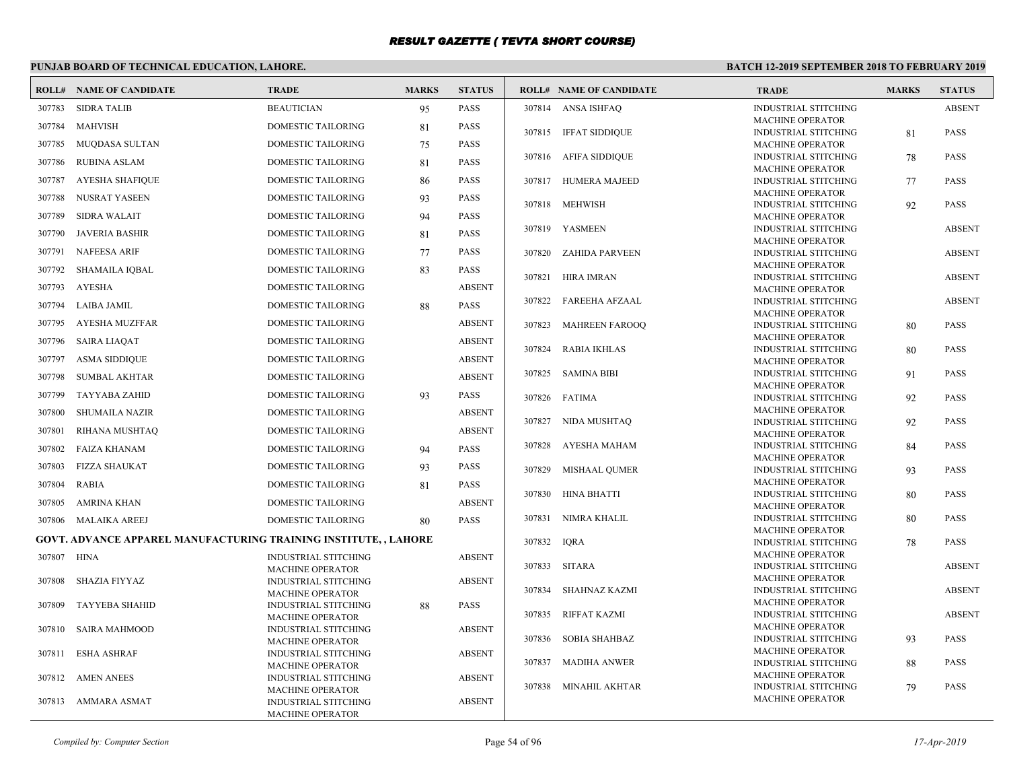# **PUNJAB BOARD OF TECHNICAL EDUCATION, LAHORE.**

|        | <b>ROLL# NAME OF CANDIDATE</b>                                          | <b>TRADE</b>                                    | <b>MARKS</b> | <b>STATUS</b> |        | <b>ROLL# NAME OF CANDIDATE</b> | <b>TRADE</b>                                           | <b>MARKS</b> | <b>STATUS</b> |
|--------|-------------------------------------------------------------------------|-------------------------------------------------|--------------|---------------|--------|--------------------------------|--------------------------------------------------------|--------------|---------------|
| 307783 | <b>SIDRA TALIB</b>                                                      | <b>BEAUTICIAN</b>                               | 95           | PASS          |        | 307814 ANSA ISHFAQ             | <b>INDUSTRIAL STITCHING</b>                            |              | <b>ABSENT</b> |
| 307784 | <b>MAHVISH</b>                                                          | DOMESTIC TAILORING                              | 81           | PASS          |        |                                | MACHINE OPERATOR                                       |              |               |
|        |                                                                         |                                                 |              |               |        | 307815 IFFAT SIDDIQUE          | <b>INDUSTRIAL STITCHING</b>                            | 81           | <b>PASS</b>   |
| 307785 | MUQDASA SULTAN                                                          | DOMESTIC TAILORING                              | 75           | PASS          |        |                                | <b>MACHINE OPERATOR</b>                                |              |               |
| 307786 | <b>RUBINA ASLAM</b>                                                     | <b>DOMESTIC TAILORING</b>                       | 81           | PASS          |        | 307816 AFIFA SIDDIQUE          | <b>INDUSTRIAL STITCHING</b><br><b>MACHINE OPERATOR</b> | 78           | <b>PASS</b>   |
| 307787 | <b>AYESHA SHAFIQUE</b>                                                  | DOMESTIC TAILORING                              | 86           | <b>PASS</b>   |        | 307817 HUMERA MAJEED           | <b>INDUSTRIAL STITCHING</b>                            | 77           | <b>PASS</b>   |
| 307788 | NUSRAT YASEEN                                                           | <b>DOMESTIC TAILORING</b>                       | 93           | <b>PASS</b>   |        |                                | MACHINE OPERATOR                                       |              |               |
|        |                                                                         |                                                 |              |               |        | 307818 MEHWISH                 | <b>INDUSTRIAL STITCHING</b>                            | 92           | <b>PASS</b>   |
| 307789 | <b>SIDRA WALAIT</b>                                                     | DOMESTIC TAILORING                              | 94           | PASS          |        |                                | <b>MACHINE OPERATOR</b>                                |              |               |
| 307790 | <b>JAVERIA BASHIR</b>                                                   | <b>DOMESTIC TAILORING</b>                       | 81           | PASS          |        | 307819 YASMEEN                 | <b>INDUSTRIAL STITCHING</b><br><b>MACHINE OPERATOR</b> |              | <b>ABSENT</b> |
| 307791 | <b>NAFEESA ARIF</b>                                                     | <b>DOMESTIC TAILORING</b>                       | 77           | PASS          | 307820 | ZAHIDA PARVEEN                 | <b>INDUSTRIAL STITCHING</b>                            |              | <b>ABSENT</b> |
| 307792 | <b>SHAMAILA IQBAL</b>                                                   | DOMESTIC TAILORING                              | 83           | PASS          |        |                                | <b>MACHINE OPERATOR</b>                                |              |               |
|        |                                                                         |                                                 |              |               | 307821 | HIRA IMRAN                     | <b>INDUSTRIAL STITCHING</b>                            |              | <b>ABSENT</b> |
| 307793 | <b>AYESHA</b>                                                           | DOMESTIC TAILORING                              |              | <b>ABSENT</b> |        |                                | <b>MACHINE OPERATOR</b>                                |              |               |
| 307794 | LAIBA JAMIL                                                             | DOMESTIC TAILORING                              | 88           | <b>PASS</b>   | 307822 | FAREEHA AFZAAL                 | <b>INDUSTRIAL STITCHING</b>                            |              | <b>ABSENT</b> |
| 307795 | <b>AYESHA MUZFFAR</b>                                                   | <b>DOMESTIC TAILORING</b>                       |              | <b>ABSENT</b> | 307823 | <b>MAHREEN FAROOQ</b>          | <b>MACHINE OPERATOR</b><br><b>INDUSTRIAL STITCHING</b> | 80           | <b>PASS</b>   |
| 307796 | <b>SAIRA LIAQAT</b>                                                     | DOMESTIC TAILORING                              |              | <b>ABSENT</b> |        |                                | <b>MACHINE OPERATOR</b>                                |              |               |
|        |                                                                         |                                                 |              |               |        | 307824 RABIA IKHLAS            | <b>INDUSTRIAL STITCHING</b>                            | 80           | <b>PASS</b>   |
| 307797 | <b>ASMA SIDDIQUE</b>                                                    | <b>DOMESTIC TAILORING</b>                       |              | <b>ABSENT</b> |        |                                | <b>MACHINE OPERATOR</b>                                |              |               |
| 307798 | <b>SUMBAL AKHTAR</b>                                                    | <b>DOMESTIC TAILORING</b>                       |              | <b>ABSENT</b> |        | 307825 SAMINA BIBI             | <b>INDUSTRIAL STITCHING</b>                            | 91           | <b>PASS</b>   |
| 307799 | <b>TAYYABA ZAHID</b>                                                    | <b>DOMESTIC TAILORING</b>                       | 93           | <b>PASS</b>   |        | 307826 FATIMA                  | <b>MACHINE OPERATOR</b><br><b>INDUSTRIAL STITCHING</b> | 92           | <b>PASS</b>   |
| 307800 |                                                                         | <b>DOMESTIC TAILORING</b>                       |              | <b>ABSENT</b> |        |                                | <b>MACHINE OPERATOR</b>                                |              |               |
|        | SHUMAILA NAZIR                                                          |                                                 |              |               |        | 307827 NIDA MUSHTAQ            | <b>INDUSTRIAL STITCHING</b>                            | 92           | <b>PASS</b>   |
| 307801 | RIHANA MUSHTAQ                                                          | DOMESTIC TAILORING                              |              | <b>ABSENT</b> |        |                                | <b>MACHINE OPERATOR</b>                                |              |               |
| 307802 | <b>FAIZA KHANAM</b>                                                     | DOMESTIC TAILORING                              | 94           | <b>PASS</b>   | 307828 | AYESHA MAHAM                   | <b>INDUSTRIAL STITCHING</b>                            | 84           | <b>PASS</b>   |
| 307803 | <b>FIZZA SHAUKAT</b>                                                    | DOMESTIC TAILORING                              | 93           | <b>PASS</b>   | 307829 | MISHAAL QUMER                  | <b>MACHINE OPERATOR</b><br><b>INDUSTRIAL STITCHING</b> | 93           | <b>PASS</b>   |
| 307804 | <b>RABIA</b>                                                            | <b>DOMESTIC TAILORING</b>                       |              | <b>PASS</b>   |        |                                | <b>MACHINE OPERATOR</b>                                |              |               |
|        |                                                                         |                                                 | 81           |               |        | 307830 HINA BHATTI             | <b>INDUSTRIAL STITCHING</b>                            | 80           | <b>PASS</b>   |
| 307805 | <b>AMRINA KHAN</b>                                                      | <b>DOMESTIC TAILORING</b>                       |              | <b>ABSENT</b> |        |                                | <b>MACHINE OPERATOR</b>                                |              |               |
| 307806 | <b>MALAIKA AREEJ</b>                                                    | DOMESTIC TAILORING                              | 80           | <b>PASS</b>   |        | 307831 NIMRA KHALIL            | <b>INDUSTRIAL STITCHING</b>                            | 80           | <b>PASS</b>   |
|        | <b>GOVT. ADVANCE APPAREL MANUFACTURING TRAINING INSTITUTE, , LAHORE</b> |                                                 |              |               | 307832 | <b>IORA</b>                    | <b>MACHINE OPERATOR</b>                                |              | <b>PASS</b>   |
|        |                                                                         |                                                 |              |               |        |                                | <b>INDUSTRIAL STITCHING</b><br><b>MACHINE OPERATOR</b> | 78           |               |
| 307807 | HINA                                                                    | <b>INDUSTRIAL STITCHING</b><br>MACHINE OPERATOR |              | <b>ABSENT</b> |        | 307833 SITARA                  | <b>INDUSTRIAL STITCHING</b>                            |              | <b>ABSENT</b> |
| 307808 | SHAZIA FIYYAZ                                                           | <b>INDUSTRIAL STITCHING</b>                     |              | <b>ABSENT</b> |        |                                | MACHINE OPERATOR                                       |              |               |
|        |                                                                         | MACHINE OPERATOR                                |              |               | 307834 | SHAHNAZ KAZMI                  | <b>INDUSTRIAL STITCHING</b>                            |              | <b>ABSENT</b> |
| 307809 | <b>TAYYEBA SHAHID</b>                                                   | <b>INDUSTRIAL STITCHING</b>                     | 88           | PASS          |        |                                | <b>MACHINE OPERATOR</b>                                |              |               |
|        |                                                                         | <b>MACHINE OPERATOR</b>                         |              |               |        | 307835 RIFFAT KAZMI            | <b>INDUSTRIAL STITCHING</b><br>MACHINE OPERATOR        |              | <b>ABSENT</b> |
| 307810 | <b>SAIRA MAHMOOD</b>                                                    | INDUSTRIAL STITCHING<br>MACHINE OPERATOR        |              | <b>ABSENT</b> |        | 307836 SOBIA SHAHBAZ           | <b>INDUSTRIAL STITCHING</b>                            | 93           | <b>PASS</b>   |
| 307811 | <b>ESHA ASHRAF</b>                                                      | INDUSTRIAL STITCHING                            |              | <b>ABSENT</b> |        |                                | MACHINE OPERATOR                                       |              |               |
|        |                                                                         | <b>MACHINE OPERATOR</b>                         |              |               |        | 307837 MADIHA ANWER            | <b>INDUSTRIAL STITCHING</b>                            | 88           | <b>PASS</b>   |
| 307812 | <b>AMEN ANEES</b>                                                       | INDUSTRIAL STITCHING                            |              | <b>ABSENT</b> |        |                                | <b>MACHINE OPERATOR</b>                                |              |               |
|        |                                                                         | <b>MACHINE OPERATOR</b>                         |              |               |        | 307838 MINAHIL AKHTAR          | INDUSTRIAL STITCHING                                   | 79           | <b>PASS</b>   |
| 307813 | AMMARA ASMAT                                                            | <b>INDUSTRIAL STITCHING</b>                     |              | <b>ABSENT</b> |        |                                | <b>MACHINE OPERATOR</b>                                |              |               |
|        |                                                                         | <b>MACHINE OPERATOR</b>                         |              |               |        |                                |                                                        |              |               |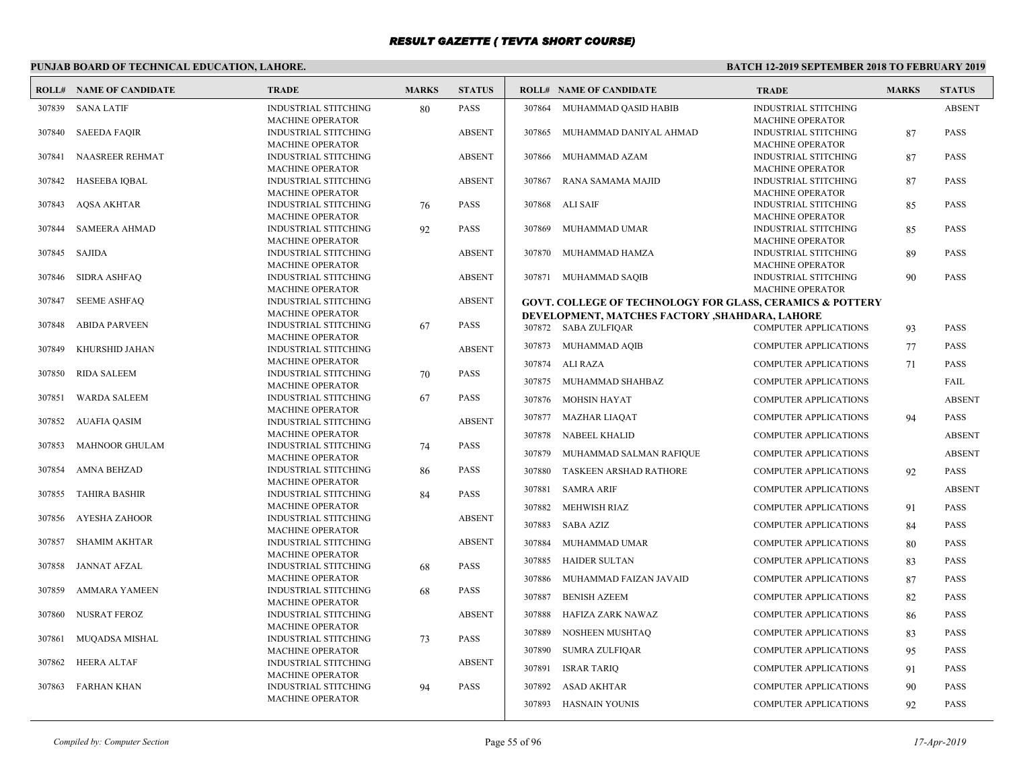# **PUNJAB BOARD OF TECHNICAL EDUCATION, LAHORE.**

|        | <b>ROLL# NAME OF CANDIDATE</b> | <b>TRADE</b>                                           | <b>MARKS</b> | <b>STATUS</b> |                  | <b>ROLL# NAME OF CANDIDATE</b>                                          | <b>TRADE</b>                                                 | <b>MARKS</b> | <b>STATUS</b>                |
|--------|--------------------------------|--------------------------------------------------------|--------------|---------------|------------------|-------------------------------------------------------------------------|--------------------------------------------------------------|--------------|------------------------------|
|        | 307839 SANA LATIF              | <b>INDUSTRIAL STITCHING</b><br><b>MACHINE OPERATOR</b> | 80           | <b>PASS</b>   |                  | 307864 MUHAMMAD QASID HABIB                                             | <b>INDUSTRIAL STITCHING</b><br><b>MACHINE OPERATOR</b>       |              | <b>ABSENT</b>                |
| 307840 | <b>SAEEDA FAQIR</b>            | <b>INDUSTRIAL STITCHING</b><br><b>MACHINE OPERATOR</b> |              | <b>ABSENT</b> | 307865           | MUHAMMAD DANIYAL AHMAD                                                  | <b>INDUSTRIAL STITCHING</b><br><b>MACHINE OPERATOR</b>       | 87           | <b>PASS</b>                  |
| 307841 | <b>NAASREER REHMAT</b>         | INDUSTRIAL STITCHING<br>MACHINE OPERATOR               |              | <b>ABSENT</b> | 307866           | MUHAMMAD AZAM                                                           | INDUSTRIAL STITCHING<br>MACHINE OPERATOR                     | 87           | PASS                         |
| 307842 | HASEEBA IQBAL                  | <b>INDUSTRIAL STITCHING</b><br><b>MACHINE OPERATOR</b> |              | <b>ABSENT</b> | 307867           | RANA SAMAMA MAJID                                                       | <b>INDUSTRIAL STITCHING</b><br><b>MACHINE OPERATOR</b>       | 87           | <b>PASS</b>                  |
| 307843 | <b>AQSA AKHTAR</b>             | INDUSTRIAL STITCHING<br><b>MACHINE OPERATOR</b>        | 76           | <b>PASS</b>   | 307868           | ALI SAIF                                                                | <b>INDUSTRIAL STITCHING</b><br><b>MACHINE OPERATOR</b>       | 85           | PASS                         |
| 307844 | <b>SAMEERA AHMAD</b>           | <b>INDUSTRIAL STITCHING</b><br><b>MACHINE OPERATOR</b> | 92           | <b>PASS</b>   | 307869           | MUHAMMAD UMAR                                                           | <b>INDUSTRIAL STITCHING</b><br><b>MACHINE OPERATOR</b>       | 85           | <b>PASS</b>                  |
| 307845 | <b>SAJIDA</b>                  | INDUSTRIAL STITCHING<br><b>MACHINE OPERATOR</b>        |              | <b>ABSENT</b> | 307870           | MUHAMMAD HAMZA                                                          | <b>INDUSTRIAL STITCHING</b><br><b>MACHINE OPERATOR</b>       | 89           | PASS                         |
| 307846 | <b>SIDRA ASHFAO</b>            | <b>INDUSTRIAL STITCHING</b><br><b>MACHINE OPERATOR</b> |              | <b>ABSENT</b> |                  | 307871 MUHAMMAD SAQIB                                                   | <b>INDUSTRIAL STITCHING</b><br><b>MACHINE OPERATOR</b>       | 90           | <b>PASS</b>                  |
| 307847 | <b>SEEME ASHFAQ</b>            | INDUSTRIAL STITCHING<br><b>MACHINE OPERATOR</b>        |              | <b>ABSENT</b> |                  | <b>GOVT. COLLEGE OF TECHNOLOGY FOR GLASS, CERAMICS &amp; POTTERY</b>    |                                                              |              |                              |
| 307848 | <b>ABIDA PARVEEN</b>           | <b>INDUSTRIAL STITCHING</b><br><b>MACHINE OPERATOR</b> | 67           | <b>PASS</b>   |                  | DEVELOPMENT, MATCHES FACTORY , SHAHDARA, LAHORE<br>307872 SABA ZULFIQAR | <b>COMPUTER APPLICATIONS</b>                                 | 93           | <b>PASS</b>                  |
| 307849 | KHURSHID JAHAN                 | INDUSTRIAL STITCHING<br><b>MACHINE OPERATOR</b>        |              | <b>ABSENT</b> |                  | 307873 MUHAMMAD AQIB                                                    | <b>COMPUTER APPLICATIONS</b>                                 | 77           | <b>PASS</b>                  |
| 307850 | <b>RIDA SALEEM</b>             | <b>INDUSTRIAL STITCHING</b><br><b>MACHINE OPERATOR</b> | 70           | <b>PASS</b>   | 307874<br>307875 | ALI RAZA<br>MUHAMMAD SHAHBAZ                                            | <b>COMPUTER APPLICATIONS</b><br><b>COMPUTER APPLICATIONS</b> | 71           | <b>PASS</b><br>FAIL          |
| 307851 | <b>WARDA SALEEM</b>            | INDUSTRIAL STITCHING<br><b>MACHINE OPERATOR</b>        | 67           | <b>PASS</b>   | 307876           | MOHSIN HAYAT                                                            | <b>COMPUTER APPLICATIONS</b>                                 |              | <b>ABSENT</b>                |
| 307852 | <b>AUAFIA QASIM</b>            | <b>INDUSTRIAL STITCHING</b><br><b>MACHINE OPERATOR</b> |              | <b>ABSENT</b> | 307877           | MAZHAR LIAQAT<br>307878 NABEEL KHALID                                   | <b>COMPUTER APPLICATIONS</b><br><b>COMPUTER APPLICATIONS</b> | 94           | <b>PASS</b><br><b>ABSENT</b> |
| 307853 | <b>MAHNOOR GHULAM</b>          | INDUSTRIAL STITCHING<br><b>MACHINE OPERATOR</b>        | 74           | <b>PASS</b>   | 307879           | MUHAMMAD SALMAN RAFIQUE                                                 | <b>COMPUTER APPLICATIONS</b>                                 |              | <b>ABSENT</b>                |
| 307854 | <b>AMNA BEHZAD</b>             | INDUSTRIAL STITCHING                                   | 86           | <b>PASS</b>   | 307880           | TASKEEN ARSHAD RATHORE                                                  | <b>COMPUTER APPLICATIONS</b>                                 | 92           | <b>PASS</b>                  |
| 307855 | <b>TAHIRA BASHIR</b>           | <b>MACHINE OPERATOR</b><br>INDUSTRIAL STITCHING        | 84           | <b>PASS</b>   | 307881           | <b>SAMRA ARIF</b>                                                       | <b>COMPUTER APPLICATIONS</b>                                 |              | <b>ABSENT</b>                |
| 307856 | <b>AYESHA ZAHOOR</b>           | <b>MACHINE OPERATOR</b><br>INDUSTRIAL STITCHING        |              | <b>ABSENT</b> | 307882<br>307883 | <b>MEHWISH RIAZ</b><br><b>SABA AZIZ</b>                                 | <b>COMPUTER APPLICATIONS</b><br><b>COMPUTER APPLICATIONS</b> | 91<br>84     | <b>PASS</b><br>PASS          |
| 307857 | <b>SHAMIM AKHTAR</b>           | <b>MACHINE OPERATOR</b><br><b>INDUSTRIAL STITCHING</b> |              | <b>ABSENT</b> | 307884           | MUHAMMAD UMAR                                                           | <b>COMPUTER APPLICATIONS</b>                                 | 80           | PASS                         |
| 307858 | JANNAT AFZAL                   | <b>MACHINE OPERATOR</b><br>INDUSTRIAL STITCHING        | 68           | <b>PASS</b>   | 307885           | <b>HAIDER SULTAN</b>                                                    | <b>COMPUTER APPLICATIONS</b>                                 | 83           | <b>PASS</b>                  |
| 307859 | <b>AMMARA YAMEEN</b>           | <b>MACHINE OPERATOR</b><br>INDUSTRIAL STITCHING        | 68           | <b>PASS</b>   | 307886<br>307887 | MUHAMMAD FAIZAN JAVAID<br><b>BENISH AZEEM</b>                           | <b>COMPUTER APPLICATIONS</b><br><b>COMPUTER APPLICATIONS</b> | 87<br>82     | PASS<br><b>PASS</b>          |
| 307860 | NUSRAT FEROZ                   | <b>MACHINE OPERATOR</b><br><b>INDUSTRIAL STITCHING</b> |              | <b>ABSENT</b> | 307888           | HAFIZA ZARK NAWAZ                                                       | <b>COMPUTER APPLICATIONS</b>                                 | 86           | <b>PASS</b>                  |
| 307861 | MUQADSA MISHAL                 | MACHINE OPERATOR<br>INDUSTRIAL STITCHING               | 73           | <b>PASS</b>   | 307889           | NOSHEEN MUSHTAQ                                                         | <b>COMPUTER APPLICATIONS</b>                                 | 83           | <b>PASS</b>                  |
| 307862 | <b>HEERA ALTAF</b>             | <b>MACHINE OPERATOR</b><br>INDUSTRIAL STITCHING        |              | <b>ABSENT</b> | 307890<br>307891 | <b>SUMRA ZULFIQAR</b><br><b>ISRAR TARIQ</b>                             | <b>COMPUTER APPLICATIONS</b><br><b>COMPUTER APPLICATIONS</b> | 95<br>91     | <b>PASS</b><br><b>PASS</b>   |
| 307863 | <b>FARHAN KHAN</b>             | <b>MACHINE OPERATOR</b><br><b>INDUSTRIAL STITCHING</b> | 94           | <b>PASS</b>   | 307892           | <b>ASAD AKHTAR</b>                                                      | <b>COMPUTER APPLICATIONS</b>                                 | 90           | PASS                         |
|        |                                | <b>MACHINE OPERATOR</b>                                |              |               |                  | 307893 HASNAIN YOUNIS                                                   | <b>COMPUTER APPLICATIONS</b>                                 | 92           | <b>PASS</b>                  |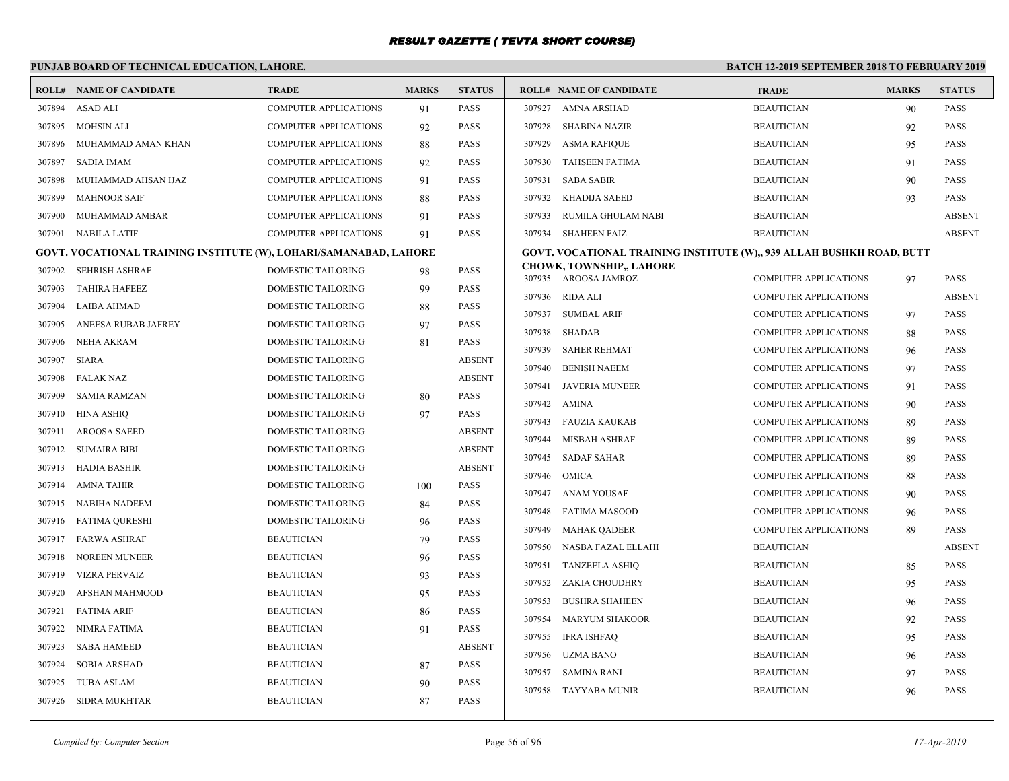|        | PUNJAB BOARD OF TECHNICAL EDUCATION, LAHORE.                      |                              |              |               | BATCH 12-2019 SEPTEMBER 2018 TO FEBRUARY 2019                         |                              |              |               |  |
|--------|-------------------------------------------------------------------|------------------------------|--------------|---------------|-----------------------------------------------------------------------|------------------------------|--------------|---------------|--|
|        | <b>ROLL# NAME OF CANDIDATE</b>                                    | <b>TRADE</b>                 | <b>MARKS</b> | <b>STATUS</b> | <b>ROLL# NAME OF CANDIDATE</b>                                        | <b>TRADE</b>                 | <b>MARKS</b> | <b>STATUS</b> |  |
| 307894 | <b>ASAD ALI</b>                                                   | COMPUTER APPLICATIONS        | 91           | <b>PASS</b>   | 307927<br>AMNA ARSHAD                                                 | <b>BEAUTICIAN</b>            | 90           | <b>PASS</b>   |  |
| 307895 | <b>MOHSIN ALI</b>                                                 | <b>COMPUTER APPLICATIONS</b> | 92           | <b>PASS</b>   | 307928<br>SHABINA NAZIR                                               | <b>BEAUTICIAN</b>            | 92           | <b>PASS</b>   |  |
| 307896 | MUHAMMAD AMAN KHAN                                                | COMPUTER APPLICATIONS        | 88           | <b>PASS</b>   | 307929<br>ASMA RAFIQUE                                                | <b>BEAUTICIAN</b>            | 95           | <b>PASS</b>   |  |
| 307897 | SADIA IMAM                                                        | COMPUTER APPLICATIONS        | 92           | <b>PASS</b>   | 307930<br>TAHSEEN FATIMA                                              | <b>BEAUTICIAN</b>            | 91           | <b>PASS</b>   |  |
| 307898 | MUHAMMAD AHSAN IJAZ                                               | <b>COMPUTER APPLICATIONS</b> | 91           | <b>PASS</b>   | 307931<br><b>SABA SABIR</b>                                           | <b>BEAUTICIAN</b>            | 90           | <b>PASS</b>   |  |
| 307899 | <b>MAHNOOR SAIF</b>                                               | COMPUTER APPLICATIONS        | 88           | <b>PASS</b>   | 307932<br>KHADIJA SAEED                                               | <b>BEAUTICIAN</b>            | 93           | <b>PASS</b>   |  |
| 307900 | MUHAMMAD AMBAR                                                    | COMPUTER APPLICATIONS        | 91           | <b>PASS</b>   | 307933<br>RUMILA GHULAM NABI                                          | <b>BEAUTICIAN</b>            |              | <b>ABSENT</b> |  |
| 307901 | NABILA LATIF                                                      | <b>COMPUTER APPLICATIONS</b> | 91           | <b>PASS</b>   | 307934<br><b>SHAHEEN FAIZ</b>                                         | <b>BEAUTICIAN</b>            |              | <b>ABSENT</b> |  |
|        | GOVT. VOCATIONAL TRAINING INSTITUTE (W), LOHARI/SAMANABAD, LAHORE |                              |              |               | GOVT. VOCATIONAL TRAINING INSTITUTE (W),, 939 ALLAH BUSHKH ROAD, BUTT |                              |              |               |  |
| 307902 | <b>SEHRISH ASHRAF</b>                                             | DOMESTIC TAILORING           | 98           | <b>PASS</b>   | <b>CHOWK, TOWNSHIP,, LAHORE</b><br>307935 AROOSA JAMROZ               | <b>COMPUTER APPLICATIONS</b> | 97           | <b>PASS</b>   |  |
| 307903 | <b>TAHIRA HAFEEZ</b>                                              | DOMESTIC TAILORING           | 99           | <b>PASS</b>   | 307936 RIDA ALI                                                       | <b>COMPUTER APPLICATIONS</b> |              | <b>ABSENT</b> |  |
| 307904 | <b>LAIBA AHMAD</b>                                                | DOMESTIC TAILORING           | 88           | <b>PASS</b>   | 307937<br><b>SUMBAL ARIF</b>                                          | <b>COMPUTER APPLICATIONS</b> | 97           | <b>PASS</b>   |  |
| 307905 | ANEESA RUBAB JAFREY                                               | DOMESTIC TAILORING           | 97           | <b>PASS</b>   | 307938 SHADAB                                                         | <b>COMPUTER APPLICATIONS</b> | 88           | <b>PASS</b>   |  |
| 307906 | <b>NEHA AKRAM</b>                                                 | DOMESTIC TAILORING           | 81           | <b>PASS</b>   | 307939 SAHER REHMAT                                                   | <b>COMPUTER APPLICATIONS</b> | 96           | <b>PASS</b>   |  |
| 307907 | <b>SIARA</b>                                                      | <b>DOMESTIC TAILORING</b>    |              | <b>ABSENT</b> | 307940<br><b>BENISH NAEEM</b>                                         | <b>COMPUTER APPLICATIONS</b> | 97           | <b>PASS</b>   |  |
| 307908 | <b>FALAK NAZ</b>                                                  | <b>DOMESTIC TAILORING</b>    |              | <b>ABSENT</b> | 307941<br>JAVERIA MUNEER                                              | <b>COMPUTER APPLICATIONS</b> | 91           | <b>PASS</b>   |  |
| 307909 | <b>SAMIA RAMZAN</b>                                               | DOMESTIC TAILORING           | 80           | <b>PASS</b>   | 307942 AMINA                                                          | <b>COMPUTER APPLICATIONS</b> | 90           | <b>PASS</b>   |  |
| 307910 | <b>HINA ASHIO</b>                                                 | <b>DOMESTIC TAILORING</b>    | 97           | <b>PASS</b>   | 307943 FAUZIA KAUKAB                                                  | <b>COMPUTER APPLICATIONS</b> | 89           | <b>PASS</b>   |  |
| 307911 | <b>AROOSA SAEED</b>                                               | DOMESTIC TAILORING           |              | <b>ABSENT</b> | 307944<br>MISBAH ASHRAF                                               | <b>COMPUTER APPLICATIONS</b> | 89           | <b>PASS</b>   |  |
| 307912 | <b>SUMAIRA BIBI</b>                                               | DOMESTIC TAILORING           |              | <b>ABSENT</b> | <b>SADAF SAHAR</b><br>307945                                          | <b>COMPUTER APPLICATIONS</b> | 89           | <b>PASS</b>   |  |
| 307913 | <b>HADIA BASHIR</b>                                               | <b>DOMESTIC TAILORING</b>    |              | <b>ABSENT</b> | 307946 OMICA                                                          | <b>COMPUTER APPLICATIONS</b> | 88           | <b>PASS</b>   |  |
| 307914 | AMNA TAHIR                                                        | DOMESTIC TAILORING           | 100          | <b>PASS</b>   | 307947 ANAM YOUSAF                                                    | <b>COMPUTER APPLICATIONS</b> | 90           | <b>PASS</b>   |  |
| 307915 | NABIHA NADEEM                                                     | <b>DOMESTIC TAILORING</b>    | 84           | <b>PASS</b>   | 307948<br>FATIMA MASOOD                                               | <b>COMPUTER APPLICATIONS</b> | 96           | <b>PASS</b>   |  |
| 307916 | FATIMA QURESHI                                                    | DOMESTIC TAILORING           | 96           | <b>PASS</b>   | 307949 MAHAK QADEER                                                   | <b>COMPUTER APPLICATIONS</b> | 89           | <b>PASS</b>   |  |
| 307917 | <b>FARWA ASHRAF</b>                                               | <b>BEAUTICIAN</b>            | 79           | <b>PASS</b>   | 307950<br>NASBA FAZAL ELLAHI                                          | <b>BEAUTICIAN</b>            |              | <b>ABSENT</b> |  |
| 307918 | <b>NOREEN MUNEER</b>                                              | <b>BEAUTICIAN</b>            | 96           | <b>PASS</b>   | <b>TANZEELA ASHIQ</b><br>307951                                       | <b>BEAUTICIAN</b>            | 85           | <b>PASS</b>   |  |
| 307919 | <b>VIZRA PERVAIZ</b>                                              | <b>BEAUTICIAN</b>            | 93           | <b>PASS</b>   | 307952 ZAKIA CHOUDHRY                                                 | <b>BEAUTICIAN</b>            | 95           | <b>PASS</b>   |  |
| 307920 | AFSHAN MAHMOOD                                                    | <b>BEAUTICIAN</b>            | 95           | <b>PASS</b>   | 307953<br><b>BUSHRA SHAHEEN</b>                                       | <b>BEAUTICIAN</b>            | 96           | <b>PASS</b>   |  |
| 307921 | <b>FATIMA ARIF</b>                                                | <b>BEAUTICIAN</b>            | 86           | <b>PASS</b>   | 307954<br><b>MARYUM SHAKOOR</b>                                       | <b>BEAUTICIAN</b>            | 92           | <b>PASS</b>   |  |
| 307922 | NIMRA FATIMA                                                      | <b>BEAUTICIAN</b>            | 91           | <b>PASS</b>   | 307955<br>IFRA ISHFAQ                                                 | <b>BEAUTICIAN</b>            |              | <b>PASS</b>   |  |
| 307923 | <b>SABA HAMEED</b>                                                | <b>BEAUTICIAN</b>            |              | <b>ABSENT</b> | 307956<br>UZMA BANO                                                   | <b>BEAUTICIAN</b>            | 95<br>96     | <b>PASS</b>   |  |
| 307924 | <b>SOBIA ARSHAD</b>                                               | <b>BEAUTICIAN</b>            | 87           | <b>PASS</b>   | 307957<br><b>SAMINA RANI</b>                                          | <b>BEAUTICIAN</b>            | 97           | <b>PASS</b>   |  |
| 307925 | <b>TUBA ASLAM</b>                                                 | <b>BEAUTICIAN</b>            | 90           | <b>PASS</b>   | 307958 TAYYABA MUNIR                                                  | <b>BEAUTICIAN</b>            | 96           | <b>PASS</b>   |  |
|        | 307926 SIDRA MUKHTAR                                              | <b>BEAUTICIAN</b>            | 87           | <b>PASS</b>   |                                                                       |                              |              |               |  |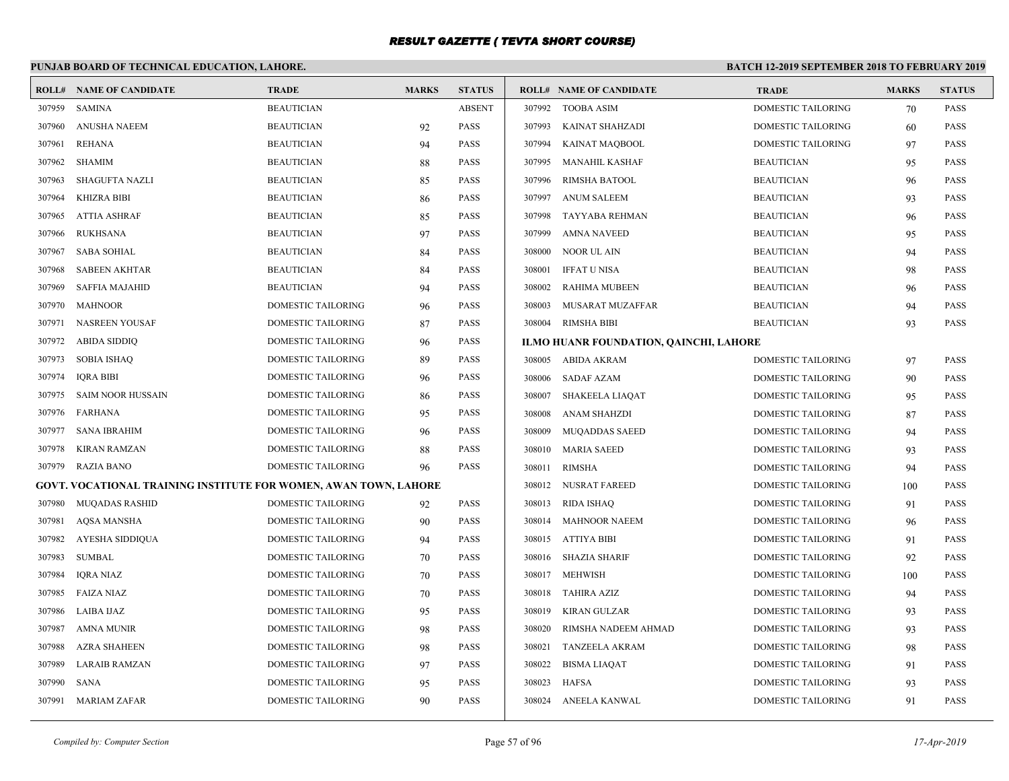# **PUNJAB BOARD OF TECHNICAL EDUCATION, LAHORE.**

|        | <b>ROLL# NAME OF CANDIDATE</b>                                   | <b>TRADE</b>              | <b>MARKS</b> | <b>STATUS</b> |        | <b>ROLL# NAME OF CANDIDATE</b>         | <b>TRADE</b>              | <b>MARKS</b> | <b>STATUS</b> |
|--------|------------------------------------------------------------------|---------------------------|--------------|---------------|--------|----------------------------------------|---------------------------|--------------|---------------|
| 307959 | SAMINA                                                           | <b>BEAUTICIAN</b>         |              | <b>ABSENT</b> |        | 307992 TOOBA ASIM                      | DOMESTIC TAILORING        | 70           | <b>PASS</b>   |
| 307960 | ANUSHA NAEEM                                                     | <b>BEAUTICIAN</b>         | 92           | <b>PASS</b>   | 307993 | KAINAT SHAHZADI                        | DOMESTIC TAILORING        | 60           | <b>PASS</b>   |
| 307961 | REHANA                                                           | <b>BEAUTICIAN</b>         | 94           | <b>PASS</b>   | 307994 | <b>KAINAT MAQBOOL</b>                  | <b>DOMESTIC TAILORING</b> | 97           | <b>PASS</b>   |
| 307962 | SHAMIM                                                           | <b>BEAUTICIAN</b>         | 88           | <b>PASS</b>   | 307995 | MANAHIL KASHAF                         | <b>BEAUTICIAN</b>         | 95           | <b>PASS</b>   |
| 307963 | <b>SHAGUFTA NAZLI</b>                                            | <b>BEAUTICIAN</b>         | 85           | <b>PASS</b>   | 307996 | <b>RIMSHA BATOOL</b>                   | <b>BEAUTICIAN</b>         | 96           | <b>PASS</b>   |
| 307964 | KHIZRA BIBI                                                      | <b>BEAUTICIAN</b>         | 86           | <b>PASS</b>   | 307997 | ANUM SALEEM                            | <b>BEAUTICIAN</b>         | 93           | <b>PASS</b>   |
| 307965 | <b>ATTIA ASHRAF</b>                                              | <b>BEAUTICIAN</b>         | 85           | <b>PASS</b>   | 307998 | TAYYABA REHMAN                         | <b>BEAUTICIAN</b>         | 96           | <b>PASS</b>   |
| 307966 | <b>RUKHSANA</b>                                                  | <b>BEAUTICIAN</b>         | 97           | <b>PASS</b>   | 307999 | <b>AMNA NAVEED</b>                     | <b>BEAUTICIAN</b>         | 95           | <b>PASS</b>   |
| 307967 | <b>SABA SOHIAL</b>                                               | <b>BEAUTICIAN</b>         | 84           | <b>PASS</b>   | 308000 | NOOR UL AIN                            | <b>BEAUTICIAN</b>         | 94           | <b>PASS</b>   |
| 307968 | <b>SABEEN AKHTAR</b>                                             | <b>BEAUTICIAN</b>         | 84           | <b>PASS</b>   | 308001 | <b>IFFAT U NISA</b>                    | <b>BEAUTICIAN</b>         | 98           | <b>PASS</b>   |
| 307969 | <b>SAFFIA MAJAHID</b>                                            | <b>BEAUTICIAN</b>         | 94           | <b>PASS</b>   | 308002 | <b>RAHIMA MUBEEN</b>                   | <b>BEAUTICIAN</b>         | 96           | <b>PASS</b>   |
| 307970 | MAHNOOR                                                          | <b>DOMESTIC TAILORING</b> | 96           | <b>PASS</b>   | 308003 | MUSARAT MUZAFFAR                       | <b>BEAUTICIAN</b>         | 94           | <b>PASS</b>   |
| 307971 | <b>NASREEN YOUSAF</b>                                            | DOMESTIC TAILORING        | 87           | <b>PASS</b>   | 308004 | <b>RIMSHA BIBI</b>                     | <b>BEAUTICIAN</b>         | 93           | <b>PASS</b>   |
| 307972 | <b>ABIDA SIDDIQ</b>                                              | DOMESTIC TAILORING        | 96           | <b>PASS</b>   |        | ILMO HUANR FOUNDATION, QAINCHI, LAHORE |                           |              |               |
| 307973 | <b>SOBIA ISHAO</b>                                               | DOMESTIC TAILORING        | 89           | <b>PASS</b>   |        | 308005 ABIDA AKRAM                     | DOMESTIC TAILORING        | 97           | <b>PASS</b>   |
| 307974 | <b>IQRA BIBI</b>                                                 | DOMESTIC TAILORING        | 96           | <b>PASS</b>   |        | 308006 SADAF AZAM                      | <b>DOMESTIC TAILORING</b> | 90           | <b>PASS</b>   |
| 307975 | <b>SAIM NOOR HUSSAIN</b>                                         | DOMESTIC TAILORING        | 86           | <b>PASS</b>   | 308007 | SHAKEELA LIAQAT                        | DOMESTIC TAILORING        | 95           | <b>PASS</b>   |
| 307976 | FARHANA                                                          | DOMESTIC TAILORING        | 95           | <b>PASS</b>   | 308008 | <b>ANAM SHAHZDI</b>                    | DOMESTIC TAILORING        | 87           | <b>PASS</b>   |
| 307977 | <b>SANA IBRAHIM</b>                                              | <b>DOMESTIC TAILORING</b> | 96           | <b>PASS</b>   | 308009 | <b>MUQADDAS SAEED</b>                  | DOMESTIC TAILORING        | 94           | <b>PASS</b>   |
| 307978 | KIRAN RAMZAN                                                     | DOMESTIC TAILORING        | 88           | <b>PASS</b>   | 308010 | <b>MARIA SAEED</b>                     | DOMESTIC TAILORING        | 93           | <b>PASS</b>   |
| 307979 | RAZIA BANO                                                       | DOMESTIC TAILORING        | 96           | <b>PASS</b>   | 308011 | RIMSHA                                 | DOMESTIC TAILORING        | 94           | <b>PASS</b>   |
|        | GOVT. VOCATIONAL TRAINING INSTITUTE FOR WOMEN, AWAN TOWN, LAHORE |                           |              |               |        | 308012 NUSRAT FAREED                   | <b>DOMESTIC TAILORING</b> | 100          | <b>PASS</b>   |
| 307980 | MUQADAS RASHID                                                   | DOMESTIC TAILORING        | 92           | <b>PASS</b>   |        | 308013 RIDA ISHAQ                      | DOMESTIC TAILORING        | 91           | <b>PASS</b>   |
| 307981 | <b>AQSA MANSHA</b>                                               | <b>DOMESTIC TAILORING</b> | 90           | <b>PASS</b>   |        | 308014 MAHNOOR NAEEM                   | DOMESTIC TAILORING        | 96           | <b>PASS</b>   |
| 307982 | AYESHA SIDDIQUA                                                  | DOMESTIC TAILORING        | 94           | <b>PASS</b>   |        | 308015 ATTIYA BIBI                     | DOMESTIC TAILORING        | 91           | <b>PASS</b>   |
| 307983 | <b>SUMBAL</b>                                                    | DOMESTIC TAILORING        | 70           | <b>PASS</b>   |        | 308016 SHAZIA SHARIF                   | <b>DOMESTIC TAILORING</b> | 92           | <b>PASS</b>   |
| 307984 | <b>IQRA NIAZ</b>                                                 | DOMESTIC TAILORING        | 70           | <b>PASS</b>   |        | 308017 MEHWISH                         | DOMESTIC TAILORING        | 100          | <b>PASS</b>   |
| 307985 | <b>FAIZA NIAZ</b>                                                | DOMESTIC TAILORING        | 70           | <b>PASS</b>   |        | 308018 TAHIRA AZIZ                     | DOMESTIC TAILORING        | 94           | <b>PASS</b>   |
|        | 307986 LAIBA IJAZ                                                | DOMESTIC TAILORING        | 95           | <b>PASS</b>   | 308019 | KIRAN GULZAR                           | DOMESTIC TAILORING        | 93           | <b>PASS</b>   |
| 307987 | <b>AMNA MUNIR</b>                                                | DOMESTIC TAILORING        | 98           | <b>PASS</b>   | 308020 | RIMSHA NADEEM AHMAD                    | DOMESTIC TAILORING        | 93           | <b>PASS</b>   |
| 307988 | <b>AZRA SHAHEEN</b>                                              | DOMESTIC TAILORING        | 98           | <b>PASS</b>   | 308021 | <b>TANZEELA AKRAM</b>                  | DOMESTIC TAILORING        | 98           | <b>PASS</b>   |
| 307989 | LARAIB RAMZAN                                                    | DOMESTIC TAILORING        | 97           | <b>PASS</b>   | 308022 | <b>BISMA LIAQAT</b>                    | DOMESTIC TAILORING        | 91           | <b>PASS</b>   |
| 307990 | <b>SANA</b>                                                      | <b>DOMESTIC TAILORING</b> | 95           | <b>PASS</b>   | 308023 | <b>HAFSA</b>                           | <b>DOMESTIC TAILORING</b> | 93           | <b>PASS</b>   |
|        | 307991 MARIAM ZAFAR                                              | <b>DOMESTIC TAILORING</b> | 90           | <b>PASS</b>   |        | 308024 ANEELA KANWAL                   | <b>DOMESTIC TAILORING</b> | 91           | <b>PASS</b>   |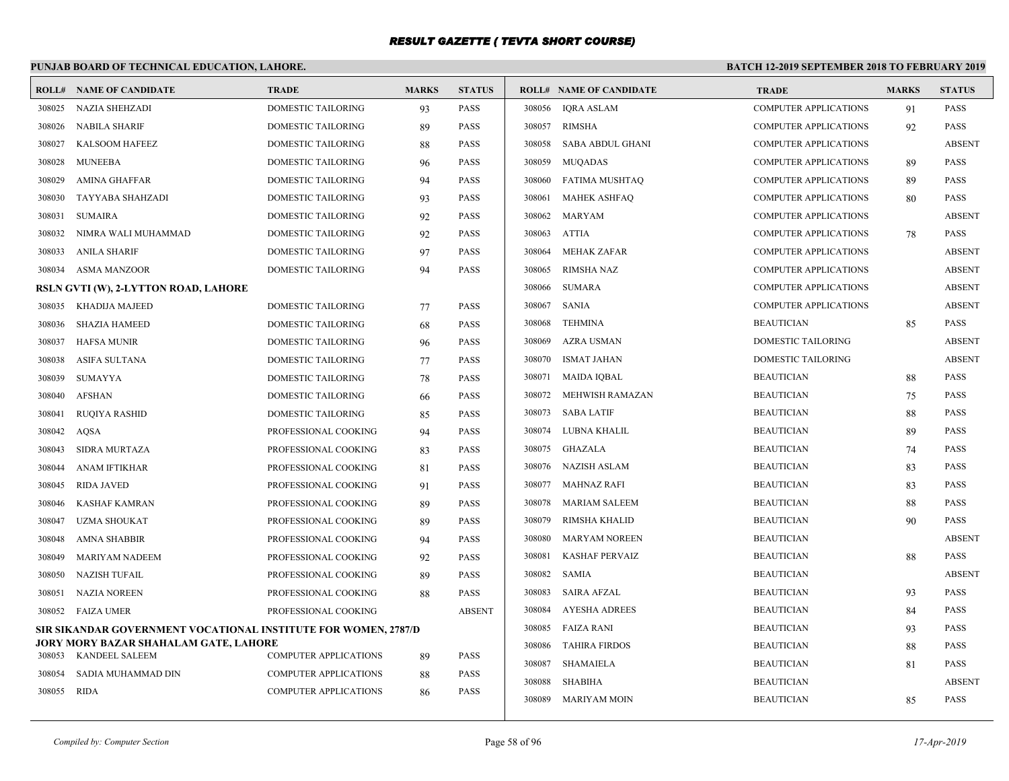# **PUNJAB BOARD OF TECHNICAL EDUCATION, LAHORE.**

|        | <b>ROLL# NAME OF CANDIDATE</b>                                 | <b>TRADE</b>                 | <b>MARKS</b> | <b>STATUS</b> |        | <b>ROLL# NAME OF CANDIDATE</b> | <b>TRADE</b>                 | <b>MARKS</b> | <b>STATUS</b> |
|--------|----------------------------------------------------------------|------------------------------|--------------|---------------|--------|--------------------------------|------------------------------|--------------|---------------|
| 308025 | NAZIA SHEHZADI                                                 | DOMESTIC TAILORING           | 93           | <b>PASS</b>   |        | 308056 IQRA ASLAM              | COMPUTER APPLICATIONS        | 91           | PASS          |
| 308026 | <b>NABILA SHARIF</b>                                           | <b>DOMESTIC TAILORING</b>    | 89           | <b>PASS</b>   | 308057 | <b>RIMSHA</b>                  | <b>COMPUTER APPLICATIONS</b> | 92           | <b>PASS</b>   |
| 308027 | <b>KALSOOM HAFEEZ</b>                                          | DOMESTIC TAILORING           | 88           | <b>PASS</b>   | 308058 | <b>SABA ABDUL GHANI</b>        | <b>COMPUTER APPLICATIONS</b> |              | <b>ABSENT</b> |
| 308028 | <b>MUNEEBA</b>                                                 | DOMESTIC TAILORING           | 96           | <b>PASS</b>   | 308059 | <b>MUOADAS</b>                 | <b>COMPUTER APPLICATIONS</b> | 89           | <b>PASS</b>   |
| 308029 | AMINA GHAFFAR                                                  | DOMESTIC TAILORING           | 94           | <b>PASS</b>   | 308060 | FATIMA MUSHTAQ                 | <b>COMPUTER APPLICATIONS</b> | 89           | PASS          |
| 308030 | TAYYABA SHAHZADI                                               | DOMESTIC TAILORING           | 93           | <b>PASS</b>   | 308061 | <b>MAHEK ASHFAO</b>            | <b>COMPUTER APPLICATIONS</b> | 80           | <b>PASS</b>   |
| 308031 | <b>SUMAIRA</b>                                                 | DOMESTIC TAILORING           | 92           | <b>PASS</b>   | 308062 | MARYAM                         | <b>COMPUTER APPLICATIONS</b> |              | <b>ABSENT</b> |
| 308032 | NIMRA WALI MUHAMMAD                                            | DOMESTIC TAILORING           | 92           | <b>PASS</b>   | 308063 | <b>ATTIA</b>                   | COMPUTER APPLICATIONS        | 78           | PASS          |
| 308033 | <b>ANILA SHARIF</b>                                            | <b>DOMESTIC TAILORING</b>    | 97           | <b>PASS</b>   | 308064 | <b>MEHAK ZAFAR</b>             | <b>COMPUTER APPLICATIONS</b> |              | <b>ABSENT</b> |
| 308034 | <b>ASMA MANZOOR</b>                                            | <b>DOMESTIC TAILORING</b>    | 94           | <b>PASS</b>   | 308065 | <b>RIMSHA NAZ</b>              | <b>COMPUTER APPLICATIONS</b> |              | <b>ABSENT</b> |
|        | RSLN GVTI (W), 2-LYTTON ROAD, LAHORE                           |                              |              |               | 308066 | <b>SUMARA</b>                  | <b>COMPUTER APPLICATIONS</b> |              | <b>ABSENT</b> |
| 308035 | KHADIJA MAJEED                                                 | <b>DOMESTIC TAILORING</b>    | 77           | <b>PASS</b>   | 308067 | <b>SANIA</b>                   | <b>COMPUTER APPLICATIONS</b> |              | <b>ABSENT</b> |
| 308036 | SHAZIA HAMEED                                                  | DOMESTIC TAILORING           | 68           | <b>PASS</b>   | 308068 | <b>TEHMINA</b>                 | <b>BEAUTICIAN</b>            | 85           | <b>PASS</b>   |
| 308037 | <b>HAFSA MUNIR</b>                                             | DOMESTIC TAILORING           | 96           | <b>PASS</b>   | 308069 | AZRA USMAN                     | DOMESTIC TAILORING           |              | <b>ABSENT</b> |
| 308038 | <b>ASIFA SULTANA</b>                                           | <b>DOMESTIC TAILORING</b>    | 77           | <b>PASS</b>   | 308070 | <b>ISMAT JAHAN</b>             | <b>DOMESTIC TAILORING</b>    |              | <b>ABSENT</b> |
| 308039 | <b>SUMAYYA</b>                                                 | <b>DOMESTIC TAILORING</b>    | 78           | <b>PASS</b>   | 308071 | MAIDA IQBAL                    | <b>BEAUTICIAN</b>            | 88           | <b>PASS</b>   |
| 308040 | <b>AFSHAN</b>                                                  | DOMESTIC TAILORING           | 66           | <b>PASS</b>   | 308072 | MEHWISH RAMAZAN                | <b>BEAUTICIAN</b>            | 75           | <b>PASS</b>   |
| 308041 | <b>RUOIYA RASHID</b>                                           | <b>DOMESTIC TAILORING</b>    | 85           | <b>PASS</b>   | 308073 | <b>SABA LATIF</b>              | <b>BEAUTICIAN</b>            | 88           | PASS          |
| 308042 | AQSA                                                           | PROFESSIONAL COOKING         | 94           | <b>PASS</b>   | 308074 | LUBNA KHALIL                   | <b>BEAUTICIAN</b>            | 89           | <b>PASS</b>   |
| 308043 | <b>SIDRA MURTAZA</b>                                           | PROFESSIONAL COOKING         | 83           | <b>PASS</b>   | 308075 | GHAZALA                        | <b>BEAUTICIAN</b>            | 74           | <b>PASS</b>   |
| 308044 | <b>ANAM IFTIKHAR</b>                                           | PROFESSIONAL COOKING         | 81           | <b>PASS</b>   | 308076 | NAZISH ASLAM                   | <b>BEAUTICIAN</b>            | 83           | <b>PASS</b>   |
| 308045 | <b>RIDA JAVED</b>                                              | PROFESSIONAL COOKING         | 91           | <b>PASS</b>   | 308077 | MAHNAZ RAFI                    | <b>BEAUTICIAN</b>            | 83           | <b>PASS</b>   |
| 308046 | <b>KASHAF KAMRAN</b>                                           | PROFESSIONAL COOKING         | 89           | <b>PASS</b>   | 308078 | <b>MARIAM SALEEM</b>           | <b>BEAUTICIAN</b>            | 88           | <b>PASS</b>   |
| 308047 | UZMA SHOUKAT                                                   | PROFESSIONAL COOKING         | 89           | <b>PASS</b>   | 308079 | RIMSHA KHALID                  | <b>BEAUTICIAN</b>            | 90           | PASS          |
| 308048 | <b>AMNA SHABBIR</b>                                            | PROFESSIONAL COOKING         | 94           | <b>PASS</b>   | 308080 | <b>MARYAM NOREEN</b>           | <b>BEAUTICIAN</b>            |              | <b>ABSENT</b> |
| 308049 | <b>MARIYAM NADEEM</b>                                          | PROFESSIONAL COOKING         | 92           | <b>PASS</b>   | 308081 | <b>KASHAF PERVAIZ</b>          | <b>BEAUTICIAN</b>            | 88           | <b>PASS</b>   |
| 308050 | <b>NAZISH TUFAIL</b>                                           | PROFESSIONAL COOKING         | 89           | <b>PASS</b>   | 308082 | <b>SAMIA</b>                   | <b>BEAUTICIAN</b>            |              | <b>ABSENT</b> |
| 308051 | <b>NAZIA NOREEN</b>                                            | PROFESSIONAL COOKING         | 88           | <b>PASS</b>   | 308083 | <b>SAIRA AFZAL</b>             | <b>BEAUTICIAN</b>            | 93           | <b>PASS</b>   |
| 308052 | FAIZA UMER                                                     | PROFESSIONAL COOKING         |              | <b>ABSENT</b> | 308084 | <b>AYESHA ADREES</b>           | <b>BEAUTICIAN</b>            | 84           | <b>PASS</b>   |
|        | SIR SIKANDAR GOVERNMENT VOCATIONAL INSTITUTE FOR WOMEN, 2787/D |                              |              |               | 308085 | FAIZA RANI                     | <b>BEAUTICIAN</b>            | 93           | <b>PASS</b>   |
|        | JORY MORY BAZAR SHAHALAM GATE, LAHORE                          |                              |              |               | 308086 | <b>TAHIRA FIRDOS</b>           | <b>BEAUTICIAN</b>            | 88           | <b>PASS</b>   |
| 308053 | KANDEEL SALEEM                                                 | <b>COMPUTER APPLICATIONS</b> | 89           | <b>PASS</b>   | 308087 | <b>SHAMAIELA</b>               | <b>BEAUTICIAN</b>            | 81           | PASS          |
| 308054 | SADIA MUHAMMAD DIN                                             | <b>COMPUTER APPLICATIONS</b> | 88           | <b>PASS</b>   | 308088 | <b>SHABIHA</b>                 | <b>BEAUTICIAN</b>            |              | <b>ABSENT</b> |
| 308055 | RIDA                                                           | <b>COMPUTER APPLICATIONS</b> | 86           | <b>PASS</b>   | 308089 | MARIYAM MOIN                   | <b>BEAUTICIAN</b>            | 85           | <b>PASS</b>   |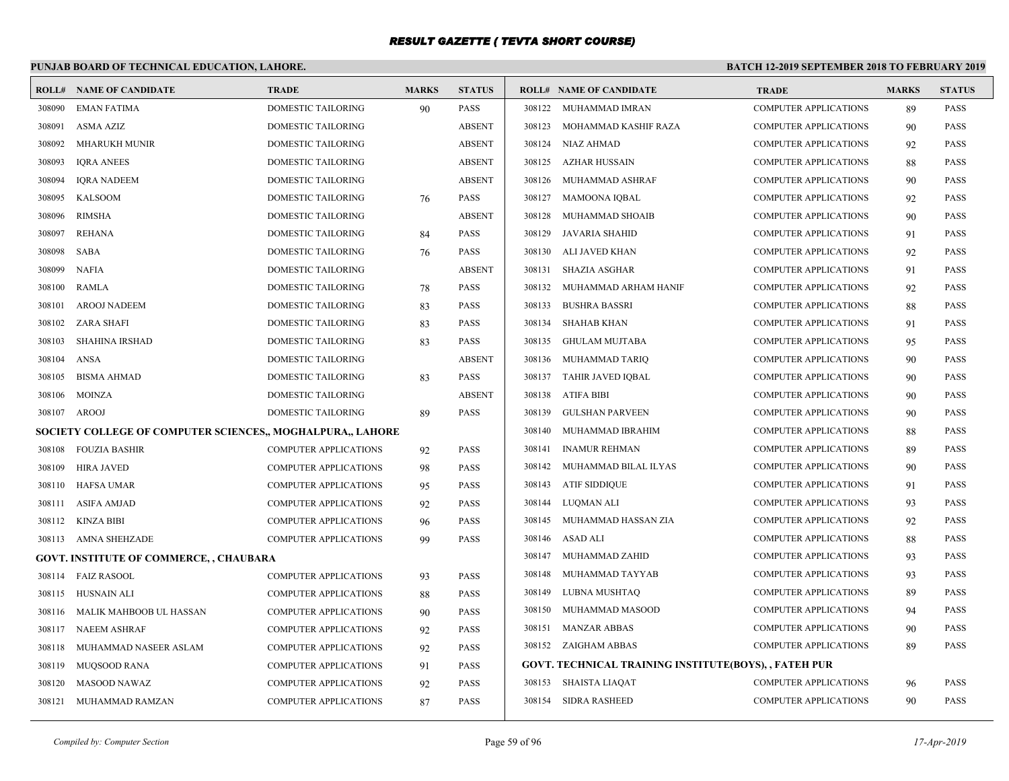# **PUNJAB BOARD OF TECHNICAL EDUCATION, LAHORE.**

| ROLL#        | <b>NAME OF CANDIDATE</b>                                   | <b>TRADE</b>                 | <b>MARKS</b> | <b>STATUS</b> |        | <b>ROLL# NAME OF CANDIDATE</b>                        | <b>TRADE</b>                 | <b>MARKS</b> | <b>STATUS</b> |
|--------------|------------------------------------------------------------|------------------------------|--------------|---------------|--------|-------------------------------------------------------|------------------------------|--------------|---------------|
| 308090       | <b>EMAN FATIMA</b>                                         | DOMESTIC TAILORING           | 90           | <b>PASS</b>   |        | 308122 MUHAMMAD IMRAN                                 | <b>COMPUTER APPLICATIONS</b> | 89           | <b>PASS</b>   |
| 308091       | ASMA AZIZ                                                  | DOMESTIC TAILORING           |              | <b>ABSENT</b> | 308123 | MOHAMMAD KASHIF RAZA                                  | <b>COMPUTER APPLICATIONS</b> | 90           | <b>PASS</b>   |
| 308092       | MHARUKH MUNIR                                              | DOMESTIC TAILORING           |              | <b>ABSENT</b> |        | 308124 NIAZ AHMAD                                     | <b>COMPUTER APPLICATIONS</b> | 92           | <b>PASS</b>   |
| 308093       | <b>IORA ANEES</b>                                          | DOMESTIC TAILORING           |              | <b>ABSENT</b> | 308125 | AZHAR HUSSAIN                                         | <b>COMPUTER APPLICATIONS</b> | 88           | <b>PASS</b>   |
| 308094       | <b>IQRA NADEEM</b>                                         | DOMESTIC TAILORING           |              | <b>ABSENT</b> |        | 308126 MUHAMMAD ASHRAF                                | <b>COMPUTER APPLICATIONS</b> | 90           | <b>PASS</b>   |
| 308095       | KALSOOM                                                    | DOMESTIC TAILORING           | 76           | <b>PASS</b>   | 308127 | MAMOONA IQBAL                                         | <b>COMPUTER APPLICATIONS</b> | 92           | <b>PASS</b>   |
| 308096       | <b>RIMSHA</b>                                              | DOMESTIC TAILORING           |              | <b>ABSENT</b> | 308128 | MUHAMMAD SHOAIB                                       | <b>COMPUTER APPLICATIONS</b> | 90           | <b>PASS</b>   |
| 308097       | <b>REHANA</b>                                              | DOMESTIC TAILORING           | 84           | <b>PASS</b>   | 308129 | JAVARIA SHAHID                                        | <b>COMPUTER APPLICATIONS</b> | 91           | <b>PASS</b>   |
| 308098       | SABA                                                       | DOMESTIC TAILORING           | 76           | <b>PASS</b>   |        | 308130 ALI JAVED KHAN                                 | <b>COMPUTER APPLICATIONS</b> | 92           | <b>PASS</b>   |
| 308099       | NAFIA                                                      | DOMESTIC TAILORING           |              | <b>ABSENT</b> | 308131 | <b>SHAZIA ASGHAR</b>                                  | <b>COMPUTER APPLICATIONS</b> | 91           | <b>PASS</b>   |
| 308100       | <b>RAMLA</b>                                               | DOMESTIC TAILORING           | 78           | <b>PASS</b>   | 308132 | MUHAMMAD ARHAM HANIF                                  | <b>COMPUTER APPLICATIONS</b> | 92           | <b>PASS</b>   |
| 308101       | <b>AROOJ NADEEM</b>                                        | DOMESTIC TAILORING           | 83           | <b>PASS</b>   | 308133 | <b>BUSHRA BASSRI</b>                                  | <b>COMPUTER APPLICATIONS</b> | 88           | <b>PASS</b>   |
| 308102       | ZARA SHAFI                                                 | DOMESTIC TAILORING           | 83           | <b>PASS</b>   | 308134 | SHAHAB KHAN                                           | <b>COMPUTER APPLICATIONS</b> | 91           | <b>PASS</b>   |
| 308103       | SHAHINA IRSHAD                                             | DOMESTIC TAILORING           | 83           | <b>PASS</b>   | 308135 | GHULAM MUJTABA                                        | <b>COMPUTER APPLICATIONS</b> | 95           | <b>PASS</b>   |
| 308104       | ANSA                                                       | DOMESTIC TAILORING           |              | <b>ABSENT</b> |        | 308136 MUHAMMAD TARIQ                                 | <b>COMPUTER APPLICATIONS</b> | 90           | <b>PASS</b>   |
| 308105       | <b>BISMA AHMAD</b>                                         | DOMESTIC TAILORING           | 83           | <b>PASS</b>   |        | 308137 TAHIR JAVED IQBAL                              | <b>COMPUTER APPLICATIONS</b> | 90           | <b>PASS</b>   |
| 308106       | MOINZA                                                     | DOMESTIC TAILORING           |              | <b>ABSENT</b> |        | 308138 ATIFA BIBI                                     | <b>COMPUTER APPLICATIONS</b> | 90           | <b>PASS</b>   |
| 308107 AROOJ |                                                            | DOMESTIC TAILORING           | 89           | <b>PASS</b>   | 308139 | <b>GULSHAN PARVEEN</b>                                | <b>COMPUTER APPLICATIONS</b> | 90           | <b>PASS</b>   |
|              | SOCIETY COLLEGE OF COMPUTER SCIENCES,, MOGHALPURA,, LAHORE |                              |              |               | 308140 | MUHAMMAD IBRAHIM                                      | <b>COMPUTER APPLICATIONS</b> | 88           | <b>PASS</b>   |
| 308108       | FOUZIA BASHIR                                              | COMPUTER APPLICATIONS        | 92           | <b>PASS</b>   | 308141 | <b>INAMUR REHMAN</b>                                  | <b>COMPUTER APPLICATIONS</b> | 89           | <b>PASS</b>   |
| 308109       | <b>HIRA JAVED</b>                                          | <b>COMPUTER APPLICATIONS</b> | 98           | <b>PASS</b>   |        | 308142 MUHAMMAD BILAL ILYAS                           | <b>COMPUTER APPLICATIONS</b> | 90           | <b>PASS</b>   |
| 308110       | HAFSA UMAR                                                 | <b>COMPUTER APPLICATIONS</b> | 95           | PASS          |        | 308143 ATIF SIDDIQUE                                  | <b>COMPUTER APPLICATIONS</b> | 91           | <b>PASS</b>   |
| 308111       | ASIFA AMJAD                                                | COMPUTER APPLICATIONS        | 92           | <b>PASS</b>   |        | 308144 LUQMAN ALI                                     | <b>COMPUTER APPLICATIONS</b> | 93           | <b>PASS</b>   |
| 308112       | KINZA BIBI                                                 | <b>COMPUTER APPLICATIONS</b> | 96           | <b>PASS</b>   |        | 308145 MUHAMMAD HASSAN ZIA                            | <b>COMPUTER APPLICATIONS</b> | 92           | <b>PASS</b>   |
| 308113       | <b>AMNA SHEHZADE</b>                                       | <b>COMPUTER APPLICATIONS</b> | 99           | <b>PASS</b>   |        | 308146 ASAD ALI                                       | <b>COMPUTER APPLICATIONS</b> | 88           | <b>PASS</b>   |
|              | <b>GOVT. INSTITUTE OF COMMERCE, , CHAUBARA</b>             |                              |              |               | 308147 | MUHAMMAD ZAHID                                        | <b>COMPUTER APPLICATIONS</b> | 93           | <b>PASS</b>   |
|              | 308114 FAIZ RASOOL                                         | COMPUTER APPLICATIONS        | 93           | <b>PASS</b>   | 308148 | MUHAMMAD TAYYAB                                       | <b>COMPUTER APPLICATIONS</b> | 93           | <b>PASS</b>   |
| 308115       | HUSNAIN ALI                                                | <b>COMPUTER APPLICATIONS</b> | 88           | <b>PASS</b>   | 308149 | LUBNA MUSHTAQ                                         | <b>COMPUTER APPLICATIONS</b> | 89           | <b>PASS</b>   |
| 308116       | MALIK MAHBOOB UL HASSAN                                    | <b>COMPUTER APPLICATIONS</b> | 90           | PASS          | 308150 | MUHAMMAD MASOOD                                       | <b>COMPUTER APPLICATIONS</b> | 94           | <b>PASS</b>   |
| 308117       | NAEEM ASHRAF                                               | <b>COMPUTER APPLICATIONS</b> | 92           | <b>PASS</b>   |        | 308151 MANZAR ABBAS                                   | <b>COMPUTER APPLICATIONS</b> | 90           | <b>PASS</b>   |
| 308118       | MUHAMMAD NASEER ASLAM                                      | <b>COMPUTER APPLICATIONS</b> | 92           | <b>PASS</b>   |        | 308152 ZAIGHAM ABBAS                                  | <b>COMPUTER APPLICATIONS</b> | 89           | <b>PASS</b>   |
| 308119       | <b>MUQSOOD RANA</b>                                        | <b>COMPUTER APPLICATIONS</b> | 91           | <b>PASS</b>   |        | GOVT. TECHNICAL TRAINING INSTITUTE(BOYS), , FATEH PUR |                              |              |               |
| 308120       | <b>MASOOD NAWAZ</b>                                        | <b>COMPUTER APPLICATIONS</b> | 92           | <b>PASS</b>   |        | 308153 SHAISTA LIAQAT                                 | <b>COMPUTER APPLICATIONS</b> | 96           | <b>PASS</b>   |
|              | 308121 MUHAMMAD RAMZAN                                     | <b>COMPUTER APPLICATIONS</b> | 87           | <b>PASS</b>   |        | 308154 SIDRA RASHEED                                  | <b>COMPUTER APPLICATIONS</b> | 90           | <b>PASS</b>   |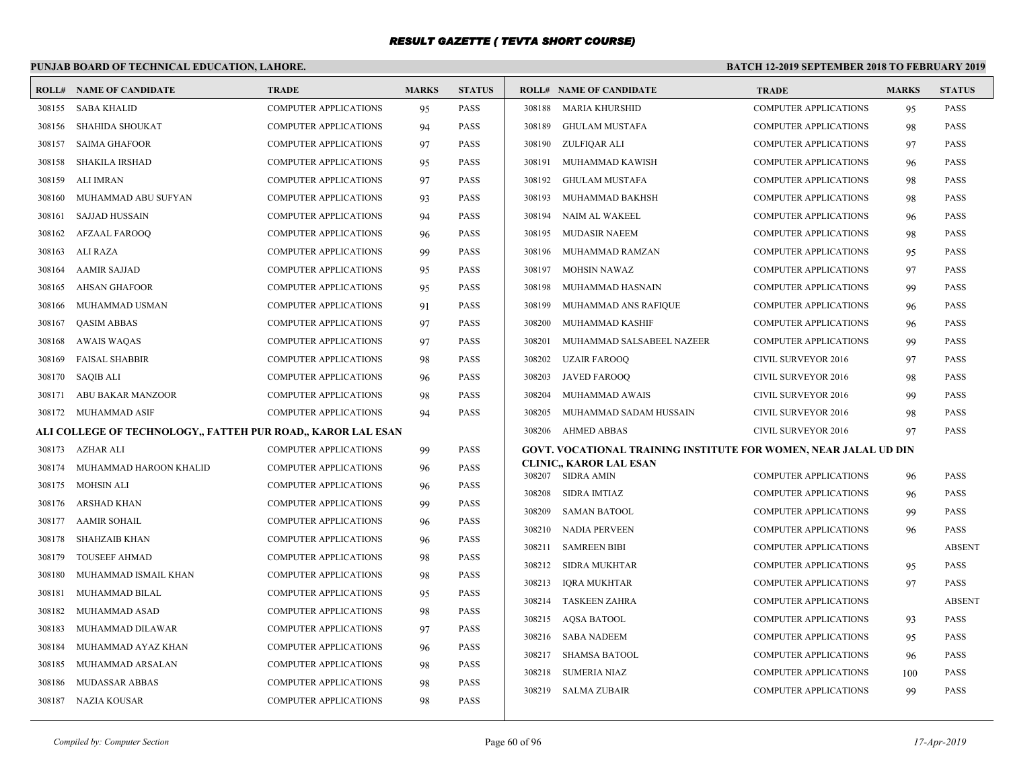# **PUNJAB BOARD OF TECHNICAL EDUCATION, LAHORE.**

|        | <b>ROLL# NAME OF CANDIDATE</b>                               | <b>TRADE</b>                 | <b>MARKS</b> | <b>STATUS</b> |        | <b>ROLL# NAME OF CANDIDATE</b>                                   | <b>TRADE</b>                 | <b>MARKS</b> | <b>STATUS</b> |
|--------|--------------------------------------------------------------|------------------------------|--------------|---------------|--------|------------------------------------------------------------------|------------------------------|--------------|---------------|
| 308155 | <b>SABA KHALID</b>                                           | <b>COMPUTER APPLICATIONS</b> | 95           | <b>PASS</b>   |        | 308188 MARIA KHURSHID                                            | <b>COMPUTER APPLICATIONS</b> | 95           | <b>PASS</b>   |
| 308156 | SHAHIDA SHOUKAT                                              | <b>COMPUTER APPLICATIONS</b> | 94           | <b>PASS</b>   | 308189 | <b>GHULAM MUSTAFA</b>                                            | <b>COMPUTER APPLICATIONS</b> | 98           | <b>PASS</b>   |
| 308157 | SAIMA GHAFOOR                                                | <b>COMPUTER APPLICATIONS</b> | 97           | <b>PASS</b>   | 308190 | ZULFIQAR ALI                                                     | <b>COMPUTER APPLICATIONS</b> | 97           | <b>PASS</b>   |
| 308158 | <b>SHAKILA IRSHAD</b>                                        | <b>COMPUTER APPLICATIONS</b> | 95           | <b>PASS</b>   | 308191 | MUHAMMAD KAWISH                                                  | <b>COMPUTER APPLICATIONS</b> | 96           | <b>PASS</b>   |
| 308159 | <b>ALI IMRAN</b>                                             | <b>COMPUTER APPLICATIONS</b> | 97           | <b>PASS</b>   | 308192 | <b>GHULAM MUSTAFA</b>                                            | <b>COMPUTER APPLICATIONS</b> | 98           | <b>PASS</b>   |
| 308160 | MUHAMMAD ABU SUFYAN                                          | <b>COMPUTER APPLICATIONS</b> | 93           | <b>PASS</b>   | 308193 | MUHAMMAD BAKHSH                                                  | COMPUTER APPLICATIONS        | 98           | <b>PASS</b>   |
| 308161 | <b>SAJJAD HUSSAIN</b>                                        | <b>COMPUTER APPLICATIONS</b> | 94           | <b>PASS</b>   |        | 308194 NAIM AL WAKEEL                                            | <b>COMPUTER APPLICATIONS</b> | 96           | <b>PASS</b>   |
| 308162 | <b>AFZAAL FAROOQ</b>                                         | <b>COMPUTER APPLICATIONS</b> | 96           | <b>PASS</b>   |        | 308195 MUDASIR NAEEM                                             | <b>COMPUTER APPLICATIONS</b> | 98           | <b>PASS</b>   |
| 308163 | ALI RAZA                                                     | <b>COMPUTER APPLICATIONS</b> | 99           | <b>PASS</b>   | 308196 | MUHAMMAD RAMZAN                                                  | <b>COMPUTER APPLICATIONS</b> | 95           | <b>PASS</b>   |
| 308164 | <b>AAMIR SAJJAD</b>                                          | <b>COMPUTER APPLICATIONS</b> | 95           | <b>PASS</b>   | 308197 | <b>MOHSIN NAWAZ</b>                                              | <b>COMPUTER APPLICATIONS</b> | 97           | <b>PASS</b>   |
| 308165 | <b>AHSAN GHAFOOR</b>                                         | <b>COMPUTER APPLICATIONS</b> | 95           | <b>PASS</b>   | 308198 | MUHAMMAD HASNAIN                                                 | COMPUTER APPLICATIONS        | 99           | <b>PASS</b>   |
| 308166 | MUHAMMAD USMAN                                               | <b>COMPUTER APPLICATIONS</b> | 91           | <b>PASS</b>   | 308199 | MUHAMMAD ANS RAFIQUE                                             | <b>COMPUTER APPLICATIONS</b> | 96           | <b>PASS</b>   |
| 308167 | <b>OASIM ABBAS</b>                                           | <b>COMPUTER APPLICATIONS</b> | 97           | <b>PASS</b>   | 308200 | MUHAMMAD KASHIF                                                  | <b>COMPUTER APPLICATIONS</b> | 96           | <b>PASS</b>   |
| 308168 | <b>AWAIS WAQAS</b>                                           | <b>COMPUTER APPLICATIONS</b> | 97           | <b>PASS</b>   | 308201 | MUHAMMAD SALSABEEL NAZEER                                        | <b>COMPUTER APPLICATIONS</b> | 99           | <b>PASS</b>   |
| 308169 | <b>FAISAL SHABBIR</b>                                        | <b>COMPUTER APPLICATIONS</b> | 98           | <b>PASS</b>   | 308202 | UZAIR FAROOQ                                                     | CIVIL SURVEYOR 2016          | 97           | <b>PASS</b>   |
| 308170 | SAQIB ALI                                                    | <b>COMPUTER APPLICATIONS</b> | 96           | <b>PASS</b>   |        | 308203 JAVED FAROOQ                                              | <b>CIVIL SURVEYOR 2016</b>   | 98           | <b>PASS</b>   |
| 308171 | <b>ABU BAKAR MANZOOR</b>                                     | <b>COMPUTER APPLICATIONS</b> | 98           | <b>PASS</b>   | 308204 | MUHAMMAD AWAIS                                                   | <b>CIVIL SURVEYOR 2016</b>   | 99           | <b>PASS</b>   |
| 308172 | MUHAMMAD ASIF                                                | <b>COMPUTER APPLICATIONS</b> | 94           | <b>PASS</b>   | 308205 | MUHAMMAD SADAM HUSSAIN                                           | <b>CIVIL SURVEYOR 2016</b>   | 98           | <b>PASS</b>   |
|        | ALI COLLEGE OF TECHNOLOGY,, FATTEH PUR ROAD,, KAROR LAL ESAN |                              |              |               |        | 308206 AHMED ABBAS                                               | <b>CIVIL SURVEYOR 2016</b>   | 97           | <b>PASS</b>   |
| 308173 | AZHAR ALI                                                    | <b>COMPUTER APPLICATIONS</b> | 99           | <b>PASS</b>   |        | GOVT. VOCATIONAL TRAINING INSTITUTE FOR WOMEN, NEAR JALAL UD DIN |                              |              |               |
| 308174 | MUHAMMAD HAROON KHALID                                       | <b>COMPUTER APPLICATIONS</b> | 96           | <b>PASS</b>   |        | <b>CLINIC,, KAROR LAL ESAN</b><br>308207 SIDRA AMIN              | <b>COMPUTER APPLICATIONS</b> | 96           | <b>PASS</b>   |
|        | 308175 MOHSIN ALI                                            | <b>COMPUTER APPLICATIONS</b> | 96           | <b>PASS</b>   |        | 308208 SIDRA IMTIAZ                                              | <b>COMPUTER APPLICATIONS</b> |              | <b>PASS</b>   |
| 308176 | <b>ARSHAD KHAN</b>                                           | COMPUTER APPLICATIONS        | 99           | <b>PASS</b>   | 308209 | <b>SAMAN BATOOL</b>                                              | <b>COMPUTER APPLICATIONS</b> | 96<br>99     | <b>PASS</b>   |
| 308177 | <b>AAMIR SOHAIL</b>                                          | <b>COMPUTER APPLICATIONS</b> | 96           | <b>PASS</b>   |        | 308210 NADIA PERVEEN                                             | <b>COMPUTER APPLICATIONS</b> | 96           | <b>PASS</b>   |
| 308178 | SHAHZAIB KHAN                                                | <b>COMPUTER APPLICATIONS</b> | 96           | <b>PASS</b>   | 308211 | <b>SAMREEN BIBI</b>                                              | <b>COMPUTER APPLICATIONS</b> |              | <b>ABSENT</b> |
| 308179 | <b>TOUSEEF AHMAD</b>                                         | <b>COMPUTER APPLICATIONS</b> | 98           | <b>PASS</b>   |        | 308212 SIDRA MUKHTAR                                             | <b>COMPUTER APPLICATIONS</b> |              | <b>PASS</b>   |
| 308180 | MUHAMMAD ISMAIL KHAN                                         | <b>COMPUTER APPLICATIONS</b> | 98           | <b>PASS</b>   | 308213 | IQRA MUKHTAR                                                     | COMPUTER APPLICATIONS        | 95           | <b>PASS</b>   |
| 308181 | MUHAMMAD BILAL                                               | COMPUTER APPLICATIONS        | 95           | <b>PASS</b>   |        | 308214 TASKEEN ZAHRA                                             | <b>COMPUTER APPLICATIONS</b> | 97           | <b>ABSENT</b> |
| 308182 | MUHAMMAD ASAD                                                | <b>COMPUTER APPLICATIONS</b> | 98           | <b>PASS</b>   |        | 308215 AOSA BATOOL                                               | <b>COMPUTER APPLICATIONS</b> |              | <b>PASS</b>   |
| 308183 | MUHAMMAD DILAWAR                                             | <b>COMPUTER APPLICATIONS</b> | 97           | <b>PASS</b>   |        |                                                                  |                              | 93           |               |
| 308184 | MUHAMMAD AYAZ KHAN                                           | <b>COMPUTER APPLICATIONS</b> | 96           | <b>PASS</b>   |        | 308216 SABA NADEEM                                               | <b>COMPUTER APPLICATIONS</b> | 95           | <b>PASS</b>   |
| 308185 | MUHAMMAD ARSALAN                                             | <b>COMPUTER APPLICATIONS</b> | 98           | <b>PASS</b>   |        | 308217 SHAMSA BATOOL                                             | COMPUTER APPLICATIONS        | 96           | <b>PASS</b>   |
| 308186 | MUDASSAR ABBAS                                               | COMPUTER APPLICATIONS        | 98           | <b>PASS</b>   | 308218 | <b>SUMERIA NIAZ</b>                                              | <b>COMPUTER APPLICATIONS</b> | 100          | <b>PASS</b>   |
|        | 308187 NAZIA KOUSAR                                          | <b>COMPUTER APPLICATIONS</b> | 98           | <b>PASS</b>   |        | 308219 SALMA ZUBAIR                                              | <b>COMPUTER APPLICATIONS</b> | 99           | <b>PASS</b>   |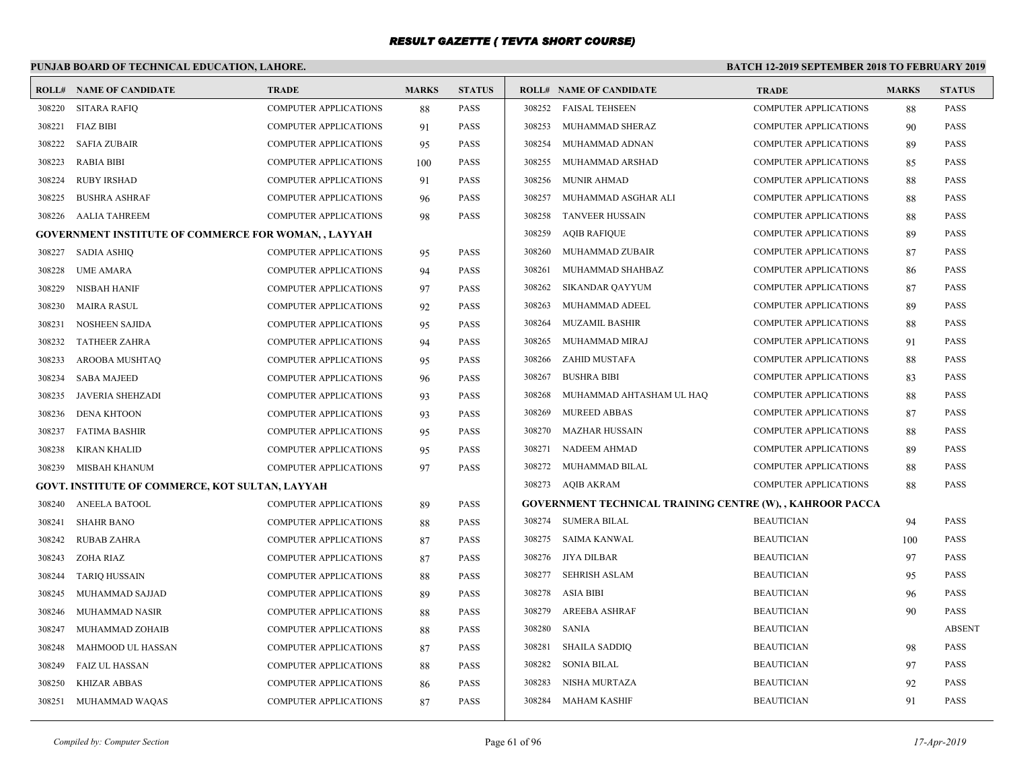# **PUNJAB BOARD OF TECHNICAL EDUCATION, LAHORE.**

|        | <b>ROLL# NAME OF CANDIDATE</b>                              | <b>TRADE</b>                 | <b>MARKS</b> | <b>STATUS</b> |        | <b>ROLL# NAME OF CANDIDATE</b>                                   | <b>TRADE</b>                 | <b>MARKS</b> | <b>STATUS</b> |
|--------|-------------------------------------------------------------|------------------------------|--------------|---------------|--------|------------------------------------------------------------------|------------------------------|--------------|---------------|
|        | 308220 SITARA RAFIQ                                         | <b>COMPUTER APPLICATIONS</b> | 88           | <b>PASS</b>   |        | 308252 FAISAL TEHSEEN                                            | <b>COMPUTER APPLICATIONS</b> | 88           | PASS          |
| 308221 | <b>FIAZ BIBI</b>                                            | <b>COMPUTER APPLICATIONS</b> | 91           | <b>PASS</b>   | 308253 | MUHAMMAD SHERAZ                                                  | <b>COMPUTER APPLICATIONS</b> | 90           | <b>PASS</b>   |
| 308222 | <b>SAFIA ZUBAIR</b>                                         | <b>COMPUTER APPLICATIONS</b> | 95           | <b>PASS</b>   | 308254 | MUHAMMAD ADNAN                                                   | <b>COMPUTER APPLICATIONS</b> | 89           | <b>PASS</b>   |
| 308223 | <b>RABIA BIBI</b>                                           | <b>COMPUTER APPLICATIONS</b> | 100          | <b>PASS</b>   | 308255 | MUHAMMAD ARSHAD                                                  | <b>COMPUTER APPLICATIONS</b> | 85           | <b>PASS</b>   |
| 308224 | <b>RUBY IRSHAD</b>                                          | <b>COMPUTER APPLICATIONS</b> | 91           | <b>PASS</b>   | 308256 | <b>MUNIR AHMAD</b>                                               | <b>COMPUTER APPLICATIONS</b> | 88           | <b>PASS</b>   |
| 308225 | <b>BUSHRA ASHRAF</b>                                        | <b>COMPUTER APPLICATIONS</b> | 96           | <b>PASS</b>   | 308257 | MUHAMMAD ASGHAR ALI                                              | <b>COMPUTER APPLICATIONS</b> | 88           | <b>PASS</b>   |
| 308226 | AALIA TAHREEM                                               | <b>COMPUTER APPLICATIONS</b> | 98           | <b>PASS</b>   | 308258 | <b>TANVEER HUSSAIN</b>                                           | <b>COMPUTER APPLICATIONS</b> | 88           | <b>PASS</b>   |
|        | <b>GOVERNMENT INSTITUTE OF COMMERCE FOR WOMAN, , LAYYAH</b> |                              |              |               | 308259 | <b>AQIB RAFIQUE</b>                                              | <b>COMPUTER APPLICATIONS</b> | 89           | <b>PASS</b>   |
| 308227 | <b>SADIA ASHIQ</b>                                          | <b>COMPUTER APPLICATIONS</b> | 95           | <b>PASS</b>   | 308260 | MUHAMMAD ZUBAIR                                                  | <b>COMPUTER APPLICATIONS</b> | 87           | <b>PASS</b>   |
| 308228 | <b>UME AMARA</b>                                            | <b>COMPUTER APPLICATIONS</b> | 94           | <b>PASS</b>   | 308261 | MUHAMMAD SHAHBAZ                                                 | <b>COMPUTER APPLICATIONS</b> | 86           | <b>PASS</b>   |
| 308229 | <b>NISBAH HANIF</b>                                         | <b>COMPUTER APPLICATIONS</b> | 97           | <b>PASS</b>   | 308262 | <b>SIKANDAR QAYYUM</b>                                           | <b>COMPUTER APPLICATIONS</b> | 87           | <b>PASS</b>   |
| 308230 | <b>MAIRA RASUL</b>                                          | <b>COMPUTER APPLICATIONS</b> | 92           | <b>PASS</b>   | 308263 | MUHAMMAD ADEEL                                                   | <b>COMPUTER APPLICATIONS</b> | 89           | <b>PASS</b>   |
| 308231 | <b>NOSHEEN SAJIDA</b>                                       | <b>COMPUTER APPLICATIONS</b> | 95           | <b>PASS</b>   | 308264 | <b>MUZAMIL BASHIR</b>                                            | <b>COMPUTER APPLICATIONS</b> | 88           | PASS          |
| 308232 | <b>TATHEER ZAHRA</b>                                        | <b>COMPUTER APPLICATIONS</b> | 94           | <b>PASS</b>   | 308265 | MUHAMMAD MIRAJ                                                   | <b>COMPUTER APPLICATIONS</b> | 91           | PASS          |
| 308233 | AROOBA MUSHTAQ                                              | <b>COMPUTER APPLICATIONS</b> | 95           | <b>PASS</b>   | 308266 | ZAHID MUSTAFA                                                    | <b>COMPUTER APPLICATIONS</b> | 88           | <b>PASS</b>   |
| 308234 | <b>SABA MAJEED</b>                                          | <b>COMPUTER APPLICATIONS</b> | 96           | <b>PASS</b>   | 308267 | <b>BUSHRA BIBI</b>                                               | <b>COMPUTER APPLICATIONS</b> | 83           | <b>PASS</b>   |
| 308235 | <b>JAVERIA SHEHZADI</b>                                     | <b>COMPUTER APPLICATIONS</b> | 93           | <b>PASS</b>   | 308268 | MUHAMMAD AHTASHAM UL HAQ                                         | <b>COMPUTER APPLICATIONS</b> | 88           | <b>PASS</b>   |
| 308236 | <b>DENA KHTOON</b>                                          | <b>COMPUTER APPLICATIONS</b> | 93           | <b>PASS</b>   | 308269 | <b>MUREED ABBAS</b>                                              | <b>COMPUTER APPLICATIONS</b> | 87           | <b>PASS</b>   |
| 308237 | FATIMA BASHIR                                               | <b>COMPUTER APPLICATIONS</b> | 95           | <b>PASS</b>   | 308270 | <b>MAZHAR HUSSAIN</b>                                            | <b>COMPUTER APPLICATIONS</b> | 88           | <b>PASS</b>   |
| 308238 | KIRAN KHALID                                                | <b>COMPUTER APPLICATIONS</b> | 95           | <b>PASS</b>   | 308271 | <b>NADEEM AHMAD</b>                                              | <b>COMPUTER APPLICATIONS</b> | 89           | <b>PASS</b>   |
| 308239 | MISBAH KHANUM                                               | <b>COMPUTER APPLICATIONS</b> | 97           | <b>PASS</b>   | 308272 | MUHAMMAD BILAL                                                   | <b>COMPUTER APPLICATIONS</b> | 88           | <b>PASS</b>   |
|        | GOVT. INSTITUTE OF COMMERCE, KOT SULTAN, LAYYAH             |                              |              |               |        | 308273 AQIB AKRAM                                                | <b>COMPUTER APPLICATIONS</b> | 88           | PASS          |
| 308240 | <b>ANEELA BATOOL</b>                                        | <b>COMPUTER APPLICATIONS</b> | 89           | <b>PASS</b>   |        | <b>GOVERNMENT TECHNICAL TRAINING CENTRE (W), , KAHROOR PACCA</b> |                              |              |               |
| 308241 | <b>SHAHR BANO</b>                                           | <b>COMPUTER APPLICATIONS</b> | 88           | <b>PASS</b>   | 308274 | <b>SUMERA BILAL</b>                                              | <b>BEAUTICIAN</b>            | 94           | <b>PASS</b>   |
| 308242 | RUBAB ZAHRA                                                 | <b>COMPUTER APPLICATIONS</b> | 87           | <b>PASS</b>   | 308275 | <b>SAIMA KANWAL</b>                                              | <b>BEAUTICIAN</b>            | 100          | PASS          |
| 308243 | ZOHA RIAZ                                                   | <b>COMPUTER APPLICATIONS</b> | 87           | <b>PASS</b>   | 308276 | JIYA DILBAR                                                      | <b>BEAUTICIAN</b>            | 97           | <b>PASS</b>   |
| 308244 | <b>TARIQ HUSSAIN</b>                                        | COMPUTER APPLICATIONS        | 88           | <b>PASS</b>   | 308277 | <b>SEHRISH ASLAM</b>                                             | <b>BEAUTICIAN</b>            | 95           | <b>PASS</b>   |
| 308245 | MUHAMMAD SAJJAD                                             | <b>COMPUTER APPLICATIONS</b> | 89           | <b>PASS</b>   | 308278 | ASIA BIBI                                                        | <b>BEAUTICIAN</b>            | 96           | <b>PASS</b>   |
| 308246 | MUHAMMAD NASIR                                              | <b>COMPUTER APPLICATIONS</b> | 88           | <b>PASS</b>   | 308279 | <b>AREEBA ASHRAF</b>                                             | <b>BEAUTICIAN</b>            | 90           | <b>PASS</b>   |
| 308247 | MUHAMMAD ZOHAIB                                             | <b>COMPUTER APPLICATIONS</b> | 88           | <b>PASS</b>   | 308280 | <b>SANIA</b>                                                     | <b>BEAUTICIAN</b>            |              | <b>ABSENT</b> |
| 308248 | MAHMOOD UL HASSAN                                           | <b>COMPUTER APPLICATIONS</b> | 87           | <b>PASS</b>   | 308281 | <b>SHAILA SADDIQ</b>                                             | <b>BEAUTICIAN</b>            | 98           | PASS          |
| 308249 | <b>FAIZ UL HASSAN</b>                                       | <b>COMPUTER APPLICATIONS</b> | 88           | <b>PASS</b>   | 308282 | <b>SONIA BILAL</b>                                               | <b>BEAUTICIAN</b>            | 97           | <b>PASS</b>   |
| 308250 | <b>KHIZAR ABBAS</b>                                         | <b>COMPUTER APPLICATIONS</b> | 86           | <b>PASS</b>   | 308283 | NISHA MURTAZA                                                    | <b>BEAUTICIAN</b>            | 92           | <b>PASS</b>   |
|        | 308251 MUHAMMAD WAQAS                                       | <b>COMPUTER APPLICATIONS</b> | 87           | <b>PASS</b>   | 308284 | <b>MAHAM KASHIF</b>                                              | <b>BEAUTICIAN</b>            | 91           | <b>PASS</b>   |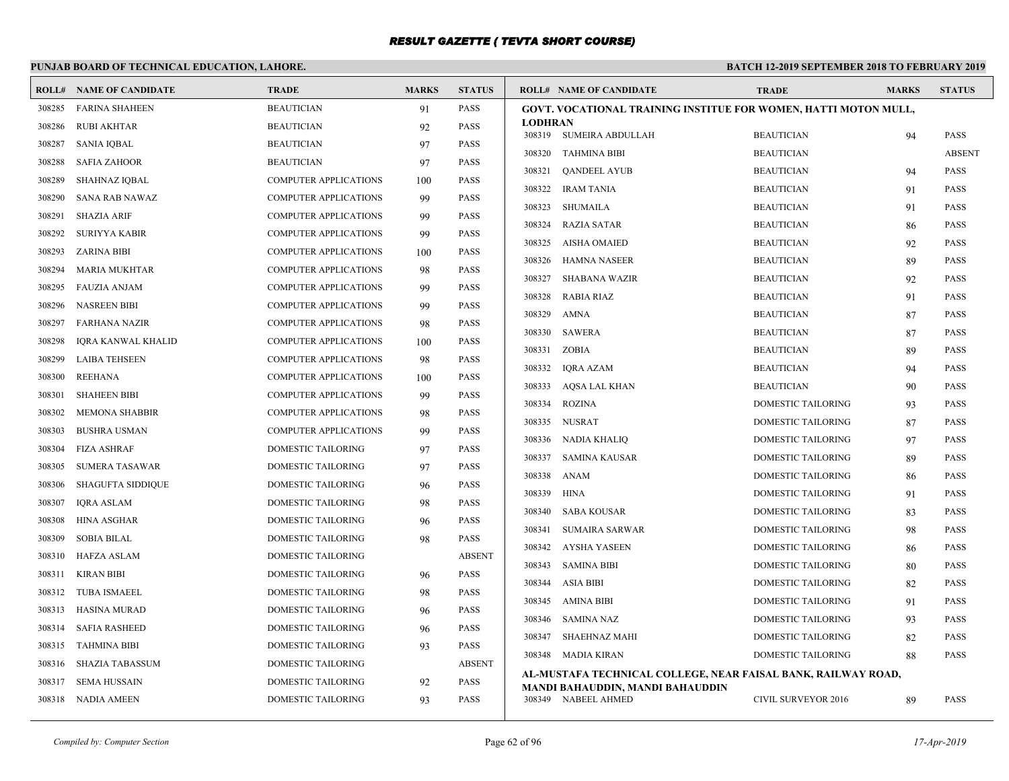# **PUNJAB BOARD OF TECHNICAL EDUCATION, LAHORE.**

|        | <b>ROLL# NAME OF CANDIDATE</b> | <b>TRADE</b>                 | <b>MARKS</b> | <b>STATUS</b> | <b>ROLL# NAME OF CANDIDATE</b>                                         | <b>TRADE</b>               | <b>MARKS</b> | <b>STATUS</b> |
|--------|--------------------------------|------------------------------|--------------|---------------|------------------------------------------------------------------------|----------------------------|--------------|---------------|
| 308285 | <b>FARINA SHAHEEN</b>          | <b>BEAUTICIAN</b>            | 91           | <b>PASS</b>   | <b>GOVT. VOCATIONAL TRAINING INSTITUE FOR WOMEN, HATTI MOTON MULL,</b> |                            |              |               |
| 308286 | <b>RUBI AKHTAR</b>             | <b>BEAUTICIAN</b>            | 92           | <b>PASS</b>   | <b>LODHRAN</b><br>308319 SUMEIRA ABDULLAH                              | <b>BEAUTICIAN</b>          | 94           | <b>PASS</b>   |
| 308287 | SANIA IQBAL                    | <b>BEAUTICIAN</b>            | 97           | PASS          | 308320 TAHMINA BIBI                                                    | <b>BEAUTICIAN</b>          |              | <b>ABSENT</b> |
| 308288 | <b>SAFIA ZAHOOR</b>            | <b>BEAUTICIAN</b>            | 97           | <b>PASS</b>   | 308321<br><b>QANDEEL AYUB</b>                                          | <b>BEAUTICIAN</b>          | 94           | <b>PASS</b>   |
| 308289 | <b>SHAHNAZ IOBAL</b>           | <b>COMPUTER APPLICATIONS</b> | 100          | <b>PASS</b>   | 308322<br>IRAM TANIA                                                   | <b>BEAUTICIAN</b>          | 91           | <b>PASS</b>   |
| 308290 | <b>SANA RAB NAWAZ</b>          | <b>COMPUTER APPLICATIONS</b> | 99           | <b>PASS</b>   | 308323<br>SHUMAILA                                                     | <b>BEAUTICIAN</b>          |              | <b>PASS</b>   |
| 308291 | SHAZIA ARIF                    | COMPUTER APPLICATIONS        | 99           | <b>PASS</b>   | 308324<br>RAZIA SATAR                                                  | <b>BEAUTICIAN</b>          | 91<br>86     | PASS          |
| 308292 | SURIYYA KABIR                  | <b>COMPUTER APPLICATIONS</b> | 99           | <b>PASS</b>   | AISHA OMAIED<br>308325                                                 | <b>BEAUTICIAN</b>          |              | <b>PASS</b>   |
| 308293 | <b>ZARINA BIBI</b>             | COMPUTER APPLICATIONS        | 100          | PASS          | 308326<br>HAMNA NASEER                                                 | <b>BEAUTICIAN</b>          | 92<br>89     | <b>PASS</b>   |
| 308294 | <b>MARIA MUKHTAR</b>           | <b>COMPUTER APPLICATIONS</b> | 98           | <b>PASS</b>   | SHABANA WAZIR                                                          |                            |              |               |
| 308295 | <b>FAUZIA ANJAM</b>            | <b>COMPUTER APPLICATIONS</b> | 99           | <b>PASS</b>   | 308327                                                                 | <b>BEAUTICIAN</b>          | 92           | <b>PASS</b>   |
| 308296 | <b>NASREEN BIBI</b>            | <b>COMPUTER APPLICATIONS</b> | 99           | <b>PASS</b>   | 308328<br>RABIA RIAZ                                                   | <b>BEAUTICIAN</b>          | 91           | <b>PASS</b>   |
| 308297 | FARHANA NAZIR                  | COMPUTER APPLICATIONS        | 98           | <b>PASS</b>   | 308329<br>AMNA                                                         | <b>BEAUTICIAN</b>          | 87           | <b>PASS</b>   |
| 308298 | <b>IORA KANWAL KHALID</b>      | <b>COMPUTER APPLICATIONS</b> | 100          | <b>PASS</b>   | 308330<br>SAWERA                                                       | <b>BEAUTICIAN</b>          | 87           | <b>PASS</b>   |
| 308299 | <b>LAIBA TEHSEEN</b>           | COMPUTER APPLICATIONS        | 98           | <b>PASS</b>   | ZOBIA<br>308331                                                        | <b>BEAUTICIAN</b>          | 89           | PASS          |
| 308300 | <b>REEHANA</b>                 | COMPUTER APPLICATIONS        | 100          | <b>PASS</b>   | IQRA AZAM<br>308332                                                    | <b>BEAUTICIAN</b>          | 94           | <b>PASS</b>   |
| 308301 | <b>SHAHEEN BIBI</b>            | <b>COMPUTER APPLICATIONS</b> | 99           | <b>PASS</b>   | 308333<br>AQSA LAL KHAN                                                | <b>BEAUTICIAN</b>          | 90           | <b>PASS</b>   |
| 308302 | <b>MEMONA SHABBIR</b>          | <b>COMPUTER APPLICATIONS</b> | 98           | <b>PASS</b>   | 308334<br><b>ROZINA</b>                                                | DOMESTIC TAILORING         | 93           | <b>PASS</b>   |
| 308303 | <b>BUSHRA USMAN</b>            | COMPUTER APPLICATIONS        | 99           | <b>PASS</b>   | 308335 NUSRAT                                                          | DOMESTIC TAILORING         | 87           | <b>PASS</b>   |
| 308304 | FIZA ASHRAF                    | <b>DOMESTIC TAILORING</b>    | 97           | <b>PASS</b>   | NADIA KHALIO<br>308336                                                 | <b>DOMESTIC TAILORING</b>  | 97           | <b>PASS</b>   |
| 308305 | <b>SUMERA TASAWAR</b>          | <b>DOMESTIC TAILORING</b>    | 97           | <b>PASS</b>   | 308337<br>SAMINA KAUSAR                                                | DOMESTIC TAILORING         | 89           | PASS          |
| 308306 | <b>SHAGUFTA SIDDIQUE</b>       | DOMESTIC TAILORING           | 96           | <b>PASS</b>   | 308338<br>ANAM                                                         | DOMESTIC TAILORING         | 86           | <b>PASS</b>   |
| 308307 | <b>IQRA ASLAM</b>              | DOMESTIC TAILORING           | 98           | <b>PASS</b>   | 308339 HINA                                                            | <b>DOMESTIC TAILORING</b>  | 91           | <b>PASS</b>   |
| 308308 | <b>HINA ASGHAR</b>             | <b>DOMESTIC TAILORING</b>    | 96           | <b>PASS</b>   | 308340 SABA KOUSAR                                                     | DOMESTIC TAILORING         | 83           | <b>PASS</b>   |
| 308309 | <b>SOBIA BILAL</b>             | <b>DOMESTIC TAILORING</b>    | 98           | <b>PASS</b>   | <b>SUMAIRA SARWAR</b><br>308341                                        | DOMESTIC TAILORING         | 98           | <b>PASS</b>   |
| 308310 | HAFZA ASLAM                    | DOMESTIC TAILORING           |              | <b>ABSENT</b> | 308342<br>AYSHA YASEEN                                                 | DOMESTIC TAILORING         | 86           | <b>PASS</b>   |
| 308311 | KIRAN BIBI                     | <b>DOMESTIC TAILORING</b>    | 96           | <b>PASS</b>   | <b>SAMINA BIBI</b><br>308343                                           | <b>DOMESTIC TAILORING</b>  | 80           | <b>PASS</b>   |
| 308312 | <b>TUBA ISMAEEL</b>            | <b>DOMESTIC TAILORING</b>    | 98           | <b>PASS</b>   | ASIA BIBI<br>308344                                                    | DOMESTIC TAILORING         | 82           | PASS          |
| 308313 | HASINA MURAD                   | DOMESTIC TAILORING           | 96           | PASS          | 308345 AMINA BIBI                                                      | DOMESTIC TAILORING         | 91           | <b>PASS</b>   |
| 308314 | <b>SAFIA RASHEED</b>           | <b>DOMESTIC TAILORING</b>    | 96           | <b>PASS</b>   | 308346<br>SAMINA NAZ                                                   | DOMESTIC TAILORING         | 93           | <b>PASS</b>   |
| 308315 | <b>TAHMINA BIBI</b>            | <b>DOMESTIC TAILORING</b>    | 93           | <b>PASS</b>   | 308347<br>SHAEHNAZ MAHI                                                | DOMESTIC TAILORING         | 82           | <b>PASS</b>   |
| 308316 | <b>SHAZIA TABASSUM</b>         | DOMESTIC TAILORING           |              | <b>ABSENT</b> | 308348 MADIA KIRAN                                                     | DOMESTIC TAILORING         | 88           | <b>PASS</b>   |
| 308317 | SEMA HUSSAIN                   | DOMESTIC TAILORING           | 92           | PASS          | AL-MUSTAFA TECHNICAL COLLEGE, NEAR FAISAL BANK, RAILWAY ROAD,          |                            |              |               |
|        | 308318 NADIA AMEEN             | <b>DOMESTIC TAILORING</b>    | 93           | <b>PASS</b>   | MANDI BAHAUDDIN, MANDI BAHAUDDIN<br>308349 NABEEL AHMED                | <b>CIVIL SURVEYOR 2016</b> | 89           | <b>PASS</b>   |
|        |                                |                              |              |               |                                                                        |                            |              |               |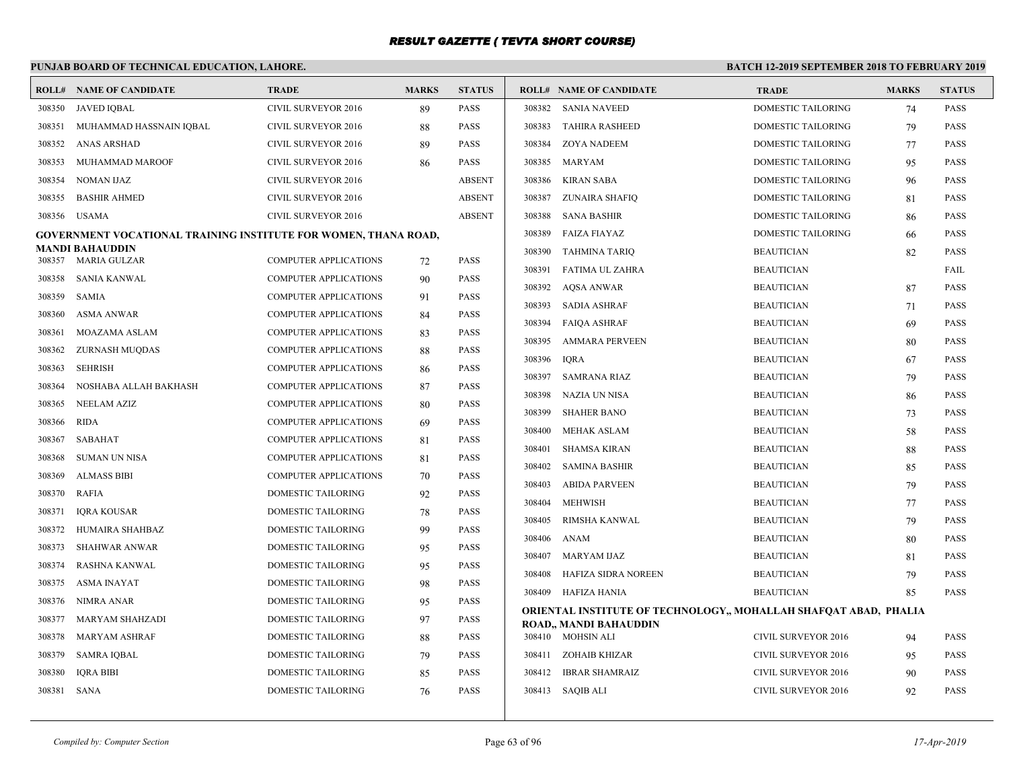# **PUNJAB BOARD OF TECHNICAL EDUCATION, LAHORE.**

|        | <b>ROLL# NAME OF CANDIDATE</b>                                  | <b>TRADE</b>                 | <b>MARKS</b> | <b>STATUS</b> | <b>ROLL# NAME OF CANDIDATE</b>                                   | <b>TRADE</b>               | <b>MARKS</b> | <b>STATUS</b> |
|--------|-----------------------------------------------------------------|------------------------------|--------------|---------------|------------------------------------------------------------------|----------------------------|--------------|---------------|
| 308350 | <b>JAVED IOBAL</b>                                              | CIVIL SURVEYOR 2016          | 89           | <b>PASS</b>   | 308382<br>SANIA NAVEED                                           | <b>DOMESTIC TAILORING</b>  | 74           | <b>PASS</b>   |
| 308351 | MUHAMMAD HASSNAIN IQBAL                                         | <b>CIVIL SURVEYOR 2016</b>   | 88           | <b>PASS</b>   | 308383<br><b>TAHIRA RASHEED</b>                                  | <b>DOMESTIC TAILORING</b>  | 79           | <b>PASS</b>   |
| 308352 | ANAS ARSHAD                                                     | <b>CIVIL SURVEYOR 2016</b>   | 89           | <b>PASS</b>   | 308384<br>ZOYA NADEEM                                            | DOMESTIC TAILORING         | 77           | <b>PASS</b>   |
| 308353 | MUHAMMAD MAROOF                                                 | <b>CIVIL SURVEYOR 2016</b>   | 86           | <b>PASS</b>   | MARYAM<br>308385                                                 | DOMESTIC TAILORING         | 95           | <b>PASS</b>   |
| 308354 | NOMAN IJAZ                                                      | CIVIL SURVEYOR 2016          |              | <b>ABSENT</b> | 308386<br>KIRAN SABA                                             | DOMESTIC TAILORING         | 96           | <b>PASS</b>   |
| 308355 | <b>BASHIR AHMED</b>                                             | <b>CIVIL SURVEYOR 2016</b>   |              | <b>ABSENT</b> | 308387<br>ZUNAIRA SHAFIQ                                         | DOMESTIC TAILORING         | 81           | <b>PASS</b>   |
| 308356 | <b>USAMA</b>                                                    | <b>CIVIL SURVEYOR 2016</b>   |              | <b>ABSENT</b> | 308388<br><b>SANA BASHIR</b>                                     | DOMESTIC TAILORING         | 86           | <b>PASS</b>   |
|        | GOVERNMENT VOCATIONAL TRAINING INSTITUTE FOR WOMEN, THANA ROAD, |                              |              |               | 308389<br>FAIZA FIAYAZ                                           | <b>DOMESTIC TAILORING</b>  | 66           | <b>PASS</b>   |
| 308357 | <b>MANDI BAHAUDDIN</b><br>MARIA GULZAR                          | <b>COMPUTER APPLICATIONS</b> | 72           | <b>PASS</b>   | 308390<br>TAHMINA TARIQ                                          | <b>BEAUTICIAN</b>          | 82           | <b>PASS</b>   |
| 308358 | SANIA KANWAL                                                    | <b>COMPUTER APPLICATIONS</b> |              | <b>PASS</b>   | 308391<br>FATIMA UL ZAHRA                                        | <b>BEAUTICIAN</b>          |              | FAIL          |
| 308359 | SAMIA                                                           | <b>COMPUTER APPLICATIONS</b> | 90           | <b>PASS</b>   | 308392<br>AQSA ANWAR                                             | <b>BEAUTICIAN</b>          | 87           | <b>PASS</b>   |
| 308360 | ASMA ANWAR                                                      | <b>COMPUTER APPLICATIONS</b> | 91<br>84     | <b>PASS</b>   | 308393<br>SADIA ASHRAF                                           | <b>BEAUTICIAN</b>          | 71           | <b>PASS</b>   |
| 308361 | MOAZAMA ASLAM                                                   | <b>COMPUTER APPLICATIONS</b> | 83           | <b>PASS</b>   | FAIQA ASHRAF<br>308394                                           | <b>BEAUTICIAN</b>          | 69           | <b>PASS</b>   |
| 308362 | ZURNASH MUQDAS                                                  | <b>COMPUTER APPLICATIONS</b> | 88           | <b>PASS</b>   | 308395<br><b>AMMARA PERVEEN</b>                                  | <b>BEAUTICIAN</b>          | 80           | <b>PASS</b>   |
| 308363 | SEHRISH                                                         | <b>COMPUTER APPLICATIONS</b> | 86           | <b>PASS</b>   | 308396<br><b>IORA</b>                                            | <b>BEAUTICIAN</b>          | 67           | <b>PASS</b>   |
| 308364 | NOSHABA ALLAH BAKHASH                                           | <b>COMPUTER APPLICATIONS</b> | 87           | <b>PASS</b>   | 308397<br><b>SAMRANA RIAZ</b>                                    | <b>BEAUTICIAN</b>          | 79           | <b>PASS</b>   |
| 308365 | NEELAM AZIZ                                                     | <b>COMPUTER APPLICATIONS</b> | 80           | <b>PASS</b>   | 308398<br>NAZIA UN NISA                                          | <b>BEAUTICIAN</b>          | 86           | <b>PASS</b>   |
| 308366 | RIDA                                                            | <b>COMPUTER APPLICATIONS</b> | 69           | <b>PASS</b>   | 308399<br><b>SHAHER BANO</b>                                     | <b>BEAUTICIAN</b>          | 73           | <b>PASS</b>   |
| 308367 | SABAHAT                                                         | <b>COMPUTER APPLICATIONS</b> | 81           | <b>PASS</b>   | MEHAK ASLAM<br>308400                                            | <b>BEAUTICIAN</b>          | 58           | <b>PASS</b>   |
| 308368 | SUMAN UN NISA                                                   | <b>COMPUTER APPLICATIONS</b> | 81           | <b>PASS</b>   | <b>SHAMSA KIRAN</b><br>308401                                    | <b>BEAUTICIAN</b>          | 88           | <b>PASS</b>   |
| 308369 | <b>ALMASS BIBI</b>                                              | <b>COMPUTER APPLICATIONS</b> | 70           | <b>PASS</b>   | SAMINA BASHIR<br>308402                                          | <b>BEAUTICIAN</b>          | 85           | <b>PASS</b>   |
| 308370 | RAFIA                                                           | DOMESTIC TAILORING           | 92           | <b>PASS</b>   | 308403<br><b>ABIDA PARVEEN</b>                                   | <b>BEAUTICIAN</b>          | 79           | <b>PASS</b>   |
| 308371 | IQRA KOUSAR                                                     | DOMESTIC TAILORING           | 78           | <b>PASS</b>   | 308404<br>MEHWISH                                                | <b>BEAUTICIAN</b>          | 77           | <b>PASS</b>   |
| 308372 | HUMAIRA SHAHBAZ                                                 | DOMESTIC TAILORING           | 99           | <b>PASS</b>   | 308405<br>RIMSHA KANWAL                                          | <b>BEAUTICIAN</b>          | 79           | <b>PASS</b>   |
| 308373 | <b>SHAHWAR ANWAR</b>                                            | DOMESTIC TAILORING           | 95           | <b>PASS</b>   | 308406 ANAM                                                      | <b>BEAUTICIAN</b>          | 80           | <b>PASS</b>   |
| 308374 | RASHNA KANWAL                                                   | <b>DOMESTIC TAILORING</b>    | 95           | <b>PASS</b>   | 308407<br>MARYAM IJAZ                                            | <b>BEAUTICIAN</b>          | 81           | <b>PASS</b>   |
| 308375 | ASMA INAYAT                                                     | DOMESTIC TAILORING           | 98           | <b>PASS</b>   | HAFIZA SIDRA NOREEN<br>308408                                    | <b>BEAUTICIAN</b>          | 79           | <b>PASS</b>   |
| 308376 | NIMRA ANAR                                                      | DOMESTIC TAILORING           | 95           | <b>PASS</b>   | 308409 HAFIZA HANIA                                              | <b>BEAUTICIAN</b>          | 85           | <b>PASS</b>   |
| 308377 | <b>MARYAM SHAHZADI</b>                                          | DOMESTIC TAILORING           | 97           | <b>PASS</b>   | ORIENTAL INSTITUTE OF TECHNOLOGY,, MOHALLAH SHAFQAT ABAD, PHALIA |                            |              |               |
| 308378 | MARYAM ASHRAF                                                   | DOMESTIC TAILORING           | 88           | <b>PASS</b>   | <b>ROAD,, MANDI BAHAUDDIN</b><br>308410 MOHSIN ALI               | <b>CIVIL SURVEYOR 2016</b> | 94           | <b>PASS</b>   |
| 308379 | SAMRA IQBAL                                                     | DOMESTIC TAILORING           | 79           | <b>PASS</b>   | 308411 ZOHAIB KHIZAR                                             | <b>CIVIL SURVEYOR 2016</b> | 95           | <b>PASS</b>   |
| 308380 | <b>IQRA BIBI</b>                                                | DOMESTIC TAILORING           | 85           | <b>PASS</b>   | 308412 IBRAR SHAMRAIZ                                            | CIVIL SURVEYOR 2016        | 90           | <b>PASS</b>   |
| 308381 | SANA                                                            | DOMESTIC TAILORING           | 76           | <b>PASS</b>   | 308413 SAQIB ALI                                                 | <b>CIVIL SURVEYOR 2016</b> | 92           | <b>PASS</b>   |
|        |                                                                 |                              |              |               |                                                                  |                            |              |               |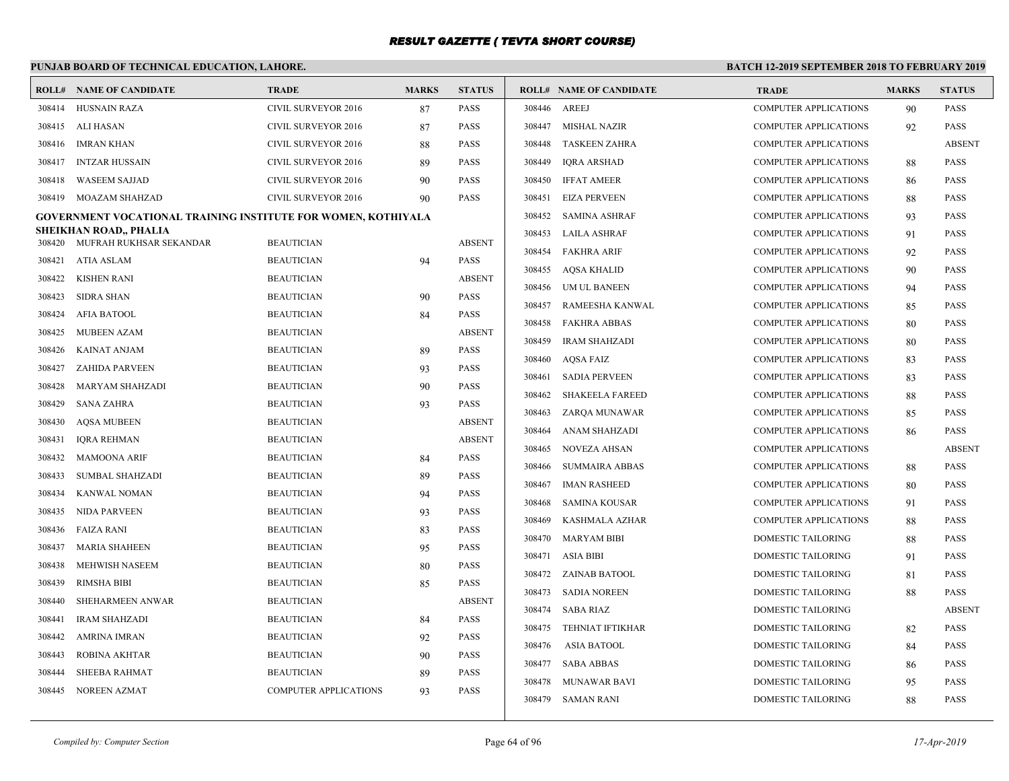# **PUNJAB BOARD OF TECHNICAL EDUCATION, LAHORE.**

|        | <b>ROLL# NAME OF CANDIDATE</b>                                | <b>TRADE</b>                 | <b>MARKS</b> | <b>STATUS</b> |        | <b>ROLL# NAME OF CANDIDATE</b> | <b>TRADE</b>                 | <b>MARKS</b> | <b>STATUS</b> |
|--------|---------------------------------------------------------------|------------------------------|--------------|---------------|--------|--------------------------------|------------------------------|--------------|---------------|
| 308414 | <b>HUSNAIN RAZA</b>                                           | <b>CIVIL SURVEYOR 2016</b>   | 87           | <b>PASS</b>   | 308446 | AREEJ                          | <b>COMPUTER APPLICATIONS</b> | 90           | <b>PASS</b>   |
| 308415 | ALI HASAN                                                     | <b>CIVIL SURVEYOR 2016</b>   | 87           | <b>PASS</b>   | 308447 | MISHAL NAZIR                   | <b>COMPUTER APPLICATIONS</b> | 92           | <b>PASS</b>   |
| 308416 | <b>IMRAN KHAN</b>                                             | CIVIL SURVEYOR 2016          | 88           | <b>PASS</b>   | 308448 | <b>TASKEEN ZAHRA</b>           | <b>COMPUTER APPLICATIONS</b> |              | <b>ABSENT</b> |
| 308417 | <b>INTZAR HUSSAIN</b>                                         | <b>CIVIL SURVEYOR 2016</b>   | 89           | <b>PASS</b>   | 308449 | IQRA ARSHAD                    | <b>COMPUTER APPLICATIONS</b> | 88           | <b>PASS</b>   |
| 308418 | <b>WASEEM SAJJAD</b>                                          | <b>CIVIL SURVEYOR 2016</b>   | 90           | <b>PASS</b>   | 308450 | <b>IFFAT AMEER</b>             | <b>COMPUTER APPLICATIONS</b> | -86          | <b>PASS</b>   |
| 308419 | MOAZAM SHAHZAD                                                | <b>CIVIL SURVEYOR 2016</b>   | 90           | PASS          | 308451 | <b>EIZA PERVEEN</b>            | <b>COMPUTER APPLICATIONS</b> | 88           | <b>PASS</b>   |
|        | GOVERNMENT VOCATIONAL TRAINING INSTITUTE FOR WOMEN, KOTHIYALA |                              |              |               | 308452 | SAMINA ASHRAF                  | <b>COMPUTER APPLICATIONS</b> | 93           | <b>PASS</b>   |
| 308420 | SHEIKHAN ROAD,, PHALIA<br>MUFRAH RUKHSAR SEKANDAR             | <b>BEAUTICIAN</b>            |              | <b>ABSENT</b> | 308453 | LAILA ASHRAF                   | <b>COMPUTER APPLICATIONS</b> | 91           | <b>PASS</b>   |
| 308421 | ATIA ASLAM                                                    | <b>BEAUTICIAN</b>            | 94           | <b>PASS</b>   |        | 308454 FAKHRA ARIF             | <b>COMPUTER APPLICATIONS</b> | 92           | <b>PASS</b>   |
| 308422 | KISHEN RANI                                                   | <b>BEAUTICIAN</b>            |              | <b>ABSENT</b> | 308455 | AQSA KHALID                    | <b>COMPUTER APPLICATIONS</b> | 90           | <b>PASS</b>   |
| 308423 | <b>SIDRA SHAN</b>                                             | <b>BEAUTICIAN</b>            | 90           | <b>PASS</b>   | 308456 | UM UL BANEEN                   | <b>COMPUTER APPLICATIONS</b> | 94           | <b>PASS</b>   |
| 308424 | AFIA BATOOL                                                   | <b>BEAUTICIAN</b>            |              | <b>PASS</b>   | 308457 | RAMEESHA KANWAL                | <b>COMPUTER APPLICATIONS</b> | 85           | <b>PASS</b>   |
| 308425 | MUBEEN AZAM                                                   | <b>BEAUTICIAN</b>            | 84           | <b>ABSENT</b> | 308458 | <b>FAKHRA ABBAS</b>            | <b>COMPUTER APPLICATIONS</b> | 80           | <b>PASS</b>   |
| 308426 | <b>KAINAT ANJAM</b>                                           | <b>BEAUTICIAN</b>            | 89           | PASS          | 308459 | <b>IRAM SHAHZADI</b>           | <b>COMPUTER APPLICATIONS</b> | -80          | <b>PASS</b>   |
| 308427 | <b>ZAHIDA PARVEEN</b>                                         | <b>BEAUTICIAN</b>            | 93           | <b>PASS</b>   | 308460 | AQSA FAIZ                      | <b>COMPUTER APPLICATIONS</b> | 83           | <b>PASS</b>   |
| 308428 | <b>MARYAM SHAHZADI</b>                                        | <b>BEAUTICIAN</b>            | 90           | <b>PASS</b>   | 308461 | <b>SADIA PERVEEN</b>           | <b>COMPUTER APPLICATIONS</b> | 83           | <b>PASS</b>   |
| 308429 | SANA ZAHRA                                                    | <b>BEAUTICIAN</b>            | 93           | <b>PASS</b>   | 308462 | <b>SHAKEELA FAREED</b>         | <b>COMPUTER APPLICATIONS</b> | 88           | <b>PASS</b>   |
| 308430 | AQSA MUBEEN                                                   | <b>BEAUTICIAN</b>            |              | <b>ABSENT</b> | 308463 | ZARQA MUNAWAR                  | <b>COMPUTER APPLICATIONS</b> | 85           | <b>PASS</b>   |
| 308431 | <b>IQRA REHMAN</b>                                            | <b>BEAUTICIAN</b>            |              | <b>ABSENT</b> | 308464 | ANAM SHAHZADI                  | COMPUTER APPLICATIONS        | 86           | <b>PASS</b>   |
| 308432 | <b>MAMOONA ARIF</b>                                           | <b>BEAUTICIAN</b>            | 84           | <b>PASS</b>   | 308465 | <b>NOVEZA AHSAN</b>            | <b>COMPUTER APPLICATIONS</b> |              | <b>ABSENT</b> |
| 308433 | SUMBAL SHAHZADI                                               | <b>BEAUTICIAN</b>            | 89           | PASS          | 308466 | <b>SUMMAIRA ABBAS</b>          | <b>COMPUTER APPLICATIONS</b> | 88           | <b>PASS</b>   |
| 308434 | KANWAL NOMAN                                                  | <b>BEAUTICIAN</b>            | 94           | <b>PASS</b>   | 308467 | <b>IMAN RASHEED</b>            | <b>COMPUTER APPLICATIONS</b> | 80           | <b>PASS</b>   |
| 308435 | NIDA PARVEEN                                                  | <b>BEAUTICIAN</b>            | 93           | <b>PASS</b>   | 308468 | <b>SAMINA KOUSAR</b>           | <b>COMPUTER APPLICATIONS</b> | 91           | <b>PASS</b>   |
| 308436 | <b>FAIZA RANI</b>                                             | <b>BEAUTICIAN</b>            | 83           | <b>PASS</b>   | 308469 | KASHMALA AZHAR                 | <b>COMPUTER APPLICATIONS</b> | 88           | <b>PASS</b>   |
| 308437 | MARIA SHAHEEN                                                 | <b>BEAUTICIAN</b>            | 95           | <b>PASS</b>   | 308470 | <b>MARYAM BIBI</b>             | <b>DOMESTIC TAILORING</b>    | 88           | <b>PASS</b>   |
| 308438 | MEHWISH NASEEM                                                | <b>BEAUTICIAN</b>            | 80           | <b>PASS</b>   |        | 308471 ASIA BIBI               | DOMESTIC TAILORING           | 91           | <b>PASS</b>   |
| 308439 | <b>RIMSHA BIBI</b>                                            | <b>BEAUTICIAN</b>            | 85           | PASS          |        | 308472 ZAINAB BATOOL           | DOMESTIC TAILORING           | 81           | <b>PASS</b>   |
| 308440 | SHEHARMEEN ANWAR                                              | <b>BEAUTICIAN</b>            |              | <b>ABSENT</b> |        | 308473 SADIA NOREEN            | <b>DOMESTIC TAILORING</b>    | 88           | <b>PASS</b>   |
| 308441 | <b>IRAM SHAHZADI</b>                                          | <b>BEAUTICIAN</b>            | 84           | <b>PASS</b>   |        | 308474 SABA RIAZ               | <b>DOMESTIC TAILORING</b>    |              | <b>ABSENT</b> |
| 308442 | AMRINA IMRAN                                                  | <b>BEAUTICIAN</b>            | 92           | <b>PASS</b>   | 308475 | <b>TEHNIAT IFTIKHAR</b>        | DOMESTIC TAILORING           | 82           | <b>PASS</b>   |
| 308443 | ROBINA AKHTAR                                                 | <b>BEAUTICIAN</b>            | 90           | PASS          | 308476 | <b>ASIA BATOOL</b>             | DOMESTIC TAILORING           | 84           | <b>PASS</b>   |
| 308444 | <b>SHEEBA RAHMAT</b>                                          | <b>BEAUTICIAN</b>            | 89           | <b>PASS</b>   | 308477 | <b>SABA ABBAS</b>              | <b>DOMESTIC TAILORING</b>    | 86           | <b>PASS</b>   |
| 308445 | NOREEN AZMAT                                                  | <b>COMPUTER APPLICATIONS</b> | 93           | <b>PASS</b>   | 308478 | <b>MUNAWAR BAVI</b>            | DOMESTIC TAILORING           | 95           | <b>PASS</b>   |
|        |                                                               |                              |              |               |        | 308479 SAMAN RANI              | <b>DOMESTIC TAILORING</b>    | 88           | <b>PASS</b>   |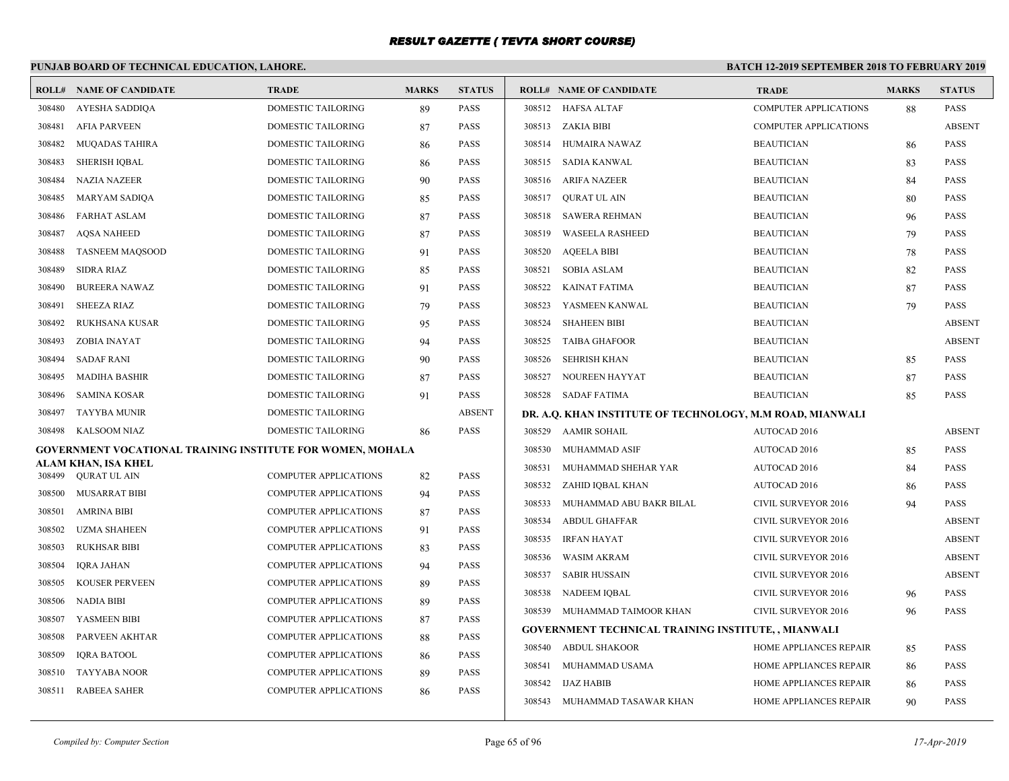# **PUNJAB BOARD OF TECHNICAL EDUCATION, LAHORE.**

|                  | <b>ROLL# NAME OF CANDIDATE</b>                             | <b>TRADE</b>                                                 | <b>MARKS</b> | <b>STATUS</b>              |        | <b>ROLL# NAME OF CANDIDATE</b>                            | <b>TRADE</b>                  | <b>MARKS</b> | <b>STATUS</b> |
|------------------|------------------------------------------------------------|--------------------------------------------------------------|--------------|----------------------------|--------|-----------------------------------------------------------|-------------------------------|--------------|---------------|
| 308480           | AYESHA SADDIQA                                             | DOMESTIC TAILORING                                           | 89           | PASS                       |        | 308512 HAFSA ALTAF                                        | COMPUTER APPLICATIONS         | 88           | <b>PASS</b>   |
| 308481           | <b>AFIA PARVEEN</b>                                        | DOMESTIC TAILORING                                           | 87           | <b>PASS</b>                |        | 308513 ZAKIA BIBI                                         | <b>COMPUTER APPLICATIONS</b>  |              | <b>ABSENT</b> |
| 308482           | <b>MUQADAS TAHIRA</b>                                      | <b>DOMESTIC TAILORING</b>                                    | 86           | <b>PASS</b>                |        | 308514 HUMAIRA NAWAZ                                      | <b>BEAUTICIAN</b>             | 86           | <b>PASS</b>   |
| 308483           | <b>SHERISH IQBAL</b>                                       | DOMESTIC TAILORING                                           | 86           | PASS                       | 308515 | SADIA KANWAL                                              | <b>BEAUTICIAN</b>             | 83           | <b>PASS</b>   |
| 308484           | <b>NAZIA NAZEER</b>                                        | DOMESTIC TAILORING                                           | 90           | PASS                       |        | 308516 ARIFA NAZEER                                       | <b>BEAUTICIAN</b>             | 84           | PASS          |
| 308485           | <b>MARYAM SADIQA</b>                                       | <b>DOMESTIC TAILORING</b>                                    | 85           | <b>PASS</b>                | 308517 | <b>OURAT UL AIN</b>                                       | <b>BEAUTICIAN</b>             | 80           | <b>PASS</b>   |
| 308486           | <b>FARHAT ASLAM</b>                                        | <b>DOMESTIC TAILORING</b>                                    | 87           | <b>PASS</b>                | 308518 | <b>SAWERA REHMAN</b>                                      | <b>BEAUTICIAN</b>             | 96           | <b>PASS</b>   |
| 308487           | <b>AQSA NAHEED</b>                                         | DOMESTIC TAILORING                                           | 87           | PASS                       | 308519 | <b>WASEELA RASHEED</b>                                    | <b>BEAUTICIAN</b>             | 79           | <b>PASS</b>   |
| 308488           | <b>TASNEEM MAQSOOD</b>                                     | DOMESTIC TAILORING                                           | 91           | PASS                       | 308520 | <b>AQEELA BIBI</b>                                        | <b>BEAUTICIAN</b>             | 78           | PASS          |
| 308489           | <b>SIDRA RIAZ</b>                                          | <b>DOMESTIC TAILORING</b>                                    | 85           | <b>PASS</b>                | 308521 | <b>SOBIA ASLAM</b>                                        | <b>BEAUTICIAN</b>             | 82           | <b>PASS</b>   |
| 308490           | <b>BUREERA NAWAZ</b>                                       | DOMESTIC TAILORING                                           | 91           | <b>PASS</b>                | 308522 | KAINAT FATIMA                                             | <b>BEAUTICIAN</b>             | 87           | <b>PASS</b>   |
| 308491           | <b>SHEEZA RIAZ</b>                                         | DOMESTIC TAILORING                                           | 79           | <b>PASS</b>                | 308523 | YASMEEN KANWAL                                            | <b>BEAUTICIAN</b>             | 79           | <b>PASS</b>   |
| 308492           | <b>RUKHSANA KUSAR</b>                                      | DOMESTIC TAILORING                                           | 95           | <b>PASS</b>                | 308524 | <b>SHAHEEN BIBI</b>                                       | <b>BEAUTICIAN</b>             |              | <b>ABSENT</b> |
| 308493           | ZOBIA INAYAT                                               | DOMESTIC TAILORING                                           | 94           | <b>PASS</b>                | 308525 | <b>TAIBA GHAFOOR</b>                                      | <b>BEAUTICIAN</b>             |              | <b>ABSENT</b> |
| 308494           | <b>SADAF RANI</b>                                          | DOMESTIC TAILORING                                           | 90           | <b>PASS</b>                | 308526 | <b>SEHRISH KHAN</b>                                       | <b>BEAUTICIAN</b>             | 85           | PASS          |
| 308495           | <b>MADIHA BASHIR</b>                                       | DOMESTIC TAILORING                                           | 87           | PASS                       | 308527 | NOUREEN HAYYAT                                            | <b>BEAUTICIAN</b>             | 87           | PASS          |
| 308496           | SAMINA KOSAR                                               | DOMESTIC TAILORING                                           | 91           | <b>PASS</b>                |        | 308528 SADAF FATIMA                                       | <b>BEAUTICIAN</b>             | 85           | <b>PASS</b>   |
| 308497           | <b>TAYYBA MUNIR</b>                                        | <b>DOMESTIC TAILORING</b>                                    |              | <b>ABSENT</b>              |        | DR. A.Q. KHAN INSTITUTE OF TECHNOLOGY, M.M ROAD, MIANWALI |                               |              |               |
| 308498           | KALSOOM NIAZ                                               | DOMESTIC TAILORING                                           | 86           | <b>PASS</b>                |        | 308529 AAMIR SOHAIL                                       | AUTOCAD 2016                  |              | <b>ABSENT</b> |
|                  | GOVERNMENT VOCATIONAL TRAINING INSTITUTE FOR WOMEN, MOHALA |                                                              |              |                            | 308530 | MUHAMMAD ASIF                                             | AUTOCAD 2016                  | 85           | <b>PASS</b>   |
| 308499           | ALAM KHAN, ISA KHEL<br><b>QURAT UL AIN</b>                 | <b>COMPUTER APPLICATIONS</b>                                 |              | <b>PASS</b>                | 308531 | MUHAMMAD SHEHAR YAR                                       | AUTOCAD 2016                  | 84           | <b>PASS</b>   |
|                  |                                                            |                                                              | 82           |                            |        | 308532 ZAHID IQBAL KHAN                                   | AUTOCAD 2016                  | 86           | <b>PASS</b>   |
| 308500<br>308501 | <b>MUSARRAT BIBI</b><br><b>AMRINA BIBI</b>                 | <b>COMPUTER APPLICATIONS</b><br><b>COMPUTER APPLICATIONS</b> | 94           | <b>PASS</b><br><b>PASS</b> | 308533 | MUHAMMAD ABU BAKR BILAL                                   | CIVIL SURVEYOR 2016           | 94           | PASS          |
| 308502           | <b>UZMA SHAHEEN</b>                                        | <b>COMPUTER APPLICATIONS</b>                                 | 87           | <b>PASS</b>                | 308534 | <b>ABDUL GHAFFAR</b>                                      | <b>CIVIL SURVEYOR 2016</b>    |              | <b>ABSENT</b> |
| 308503           |                                                            | <b>COMPUTER APPLICATIONS</b>                                 | 91           | <b>PASS</b>                | 308535 | <b>IRFAN HAYAT</b>                                        | <b>CIVIL SURVEYOR 2016</b>    |              | <b>ABSENT</b> |
|                  | RUKHSAR BIBI                                               | <b>COMPUTER APPLICATIONS</b>                                 | 83           | <b>PASS</b>                | 308536 | <b>WASIM AKRAM</b>                                        | CIVIL SURVEYOR 2016           |              | <b>ABSENT</b> |
| 308504           | IQRA JAHAN<br><b>KOUSER PERVEEN</b>                        | <b>COMPUTER APPLICATIONS</b>                                 | 94           | <b>PASS</b>                | 308537 | <b>SABIR HUSSAIN</b>                                      | <b>CIVIL SURVEYOR 2016</b>    |              | <b>ABSENT</b> |
| 308505           |                                                            |                                                              | 89           |                            |        | 308538 NADEEM IQBAL                                       | <b>CIVIL SURVEYOR 2016</b>    | 96           | <b>PASS</b>   |
| 308506           | <b>NADIA BIBI</b>                                          | <b>COMPUTER APPLICATIONS</b>                                 | 89           | PASS                       |        | 308539 MUHAMMAD TAIMOOR KHAN                              | CIVIL SURVEYOR 2016           | 96           | PASS          |
| 308507           | YASMEEN BIBI                                               | <b>COMPUTER APPLICATIONS</b>                                 | 87           | <b>PASS</b>                |        | <b>GOVERNMENT TECHNICAL TRAINING INSTITUTE,, MIANWALI</b> |                               |              |               |
| 308508           | PARVEEN AKHTAR                                             | <b>COMPUTER APPLICATIONS</b>                                 | 88           | <b>PASS</b>                |        | 308540 ABDUL SHAKOOR                                      | HOME APPLIANCES REPAIR        | 85           | <b>PASS</b>   |
| 308509           | <b>IQRA BATOOL</b>                                         | <b>COMPUTER APPLICATIONS</b><br><b>COMPUTER APPLICATIONS</b> | 86           | PASS                       | 308541 | MUHAMMAD USAMA                                            | HOME APPLIANCES REPAIR        | 86           | <b>PASS</b>   |
| 308510           | <b>TAYYABA NOOR</b>                                        |                                                              | 89           | PASS                       |        | 308542 IJAZ HABIB                                         | HOME APPLIANCES REPAIR        | 86           | PASS          |
| 308511           | <b>RABEEA SAHER</b>                                        | <b>COMPUTER APPLICATIONS</b>                                 | 86           | <b>PASS</b>                |        | 308543 MUHAMMAD TASAWAR KHAN                              | <b>HOME APPLIANCES REPAIR</b> | 90           | <b>PASS</b>   |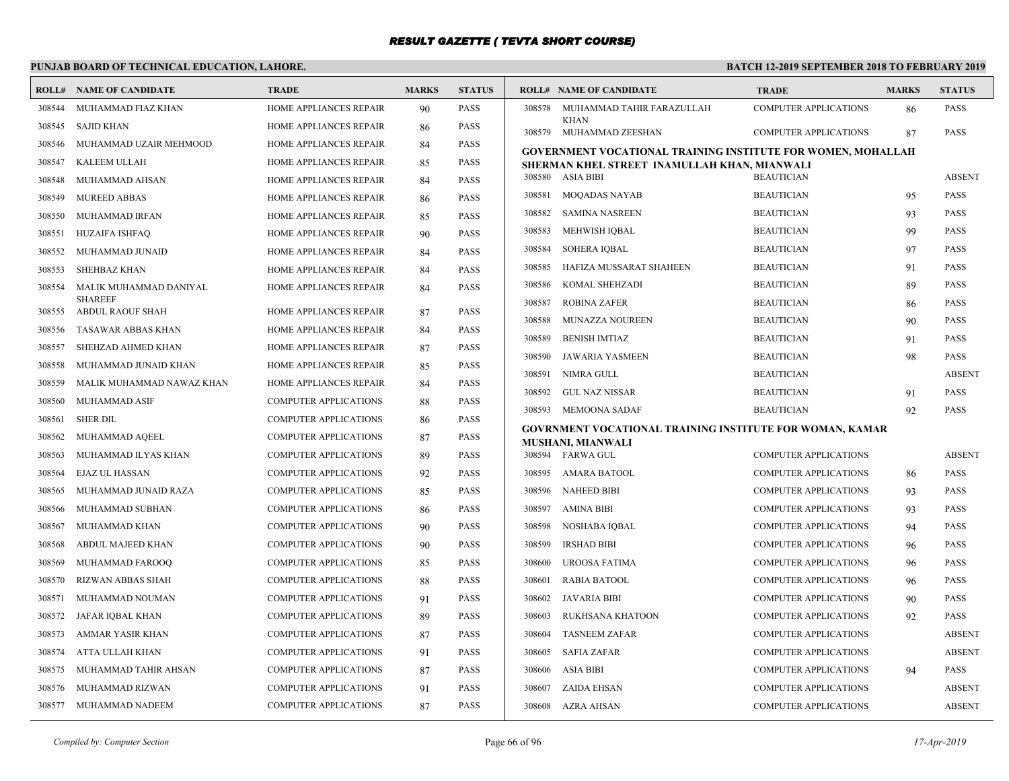# **PUNJAB BOARD OF TECHNICAL EDUCATION, LAHORE.**

|        | <b>ROLL# NAME OF CANDIDATE</b>            | <b>TRADE</b>                  | <b>MARKS</b> | <b>STATUS</b> |        | <b>ROLL# NAME OF CANDIDATE</b>                                      | <b>TRADE</b>                 | <b>MARKS</b> | <b>STATUS</b> |
|--------|-------------------------------------------|-------------------------------|--------------|---------------|--------|---------------------------------------------------------------------|------------------------------|--------------|---------------|
| 308544 | MUHAMMAD FIAZ KHAN                        | HOME APPLIANCES REPAIR        | 90           | <b>PASS</b>   | 308578 | MUHAMMAD TAHIR FARAZULLAH                                           | <b>COMPUTER APPLICATIONS</b> | 86           | <b>PASS</b>   |
| 308545 | <b>SAJID KHAN</b>                         | HOME APPLIANCES REPAIR        | 86           | <b>PASS</b>   |        | <b>KHAN</b><br>308579 MUHAMMAD ZEESHAN                              | <b>COMPUTER APPLICATIONS</b> | 87           | <b>PASS</b>   |
| 308546 | MUHAMMAD UZAIR MEHMOOD                    | HOME APPLIANCES REPAIR        | 84           | <b>PASS</b>   |        | <b>GOVERNMENT VOCATIONAL TRAINING INSTITUTE FOR WOMEN, MOHALLAH</b> |                              |              |               |
| 308547 | KALEEM ULLAH                              | HOME APPLIANCES REPAIR        | 85           | <b>PASS</b>   |        | SHERMAN KHEL STREET INAMULLAH KHAN, MIANWALI                        |                              |              |               |
| 308548 | MUHAMMAD AHSAN                            | HOME APPLIANCES REPAIR        | 84           | <b>PASS</b>   |        | 308580 ASIA BIBI                                                    | <b>BEAUTICIAN</b>            |              | <b>ABSENT</b> |
| 308549 | <b>MUREED ABBAS</b>                       | HOME APPLIANCES REPAIR        | 86           | <b>PASS</b>   | 308581 | <b>MOQADAS NAYAB</b>                                                | <b>BEAUTICIAN</b>            | 95           | <b>PASS</b>   |
| 308550 | MUHAMMAD IRFAN                            | HOME APPLIANCES REPAIR        | 85           | <b>PASS</b>   | 308582 | <b>SAMINA NASREEN</b>                                               | <b>BEAUTICIAN</b>            | 93           | <b>PASS</b>   |
| 308551 | <b>HUZAIFA ISHFAQ</b>                     | HOME APPLIANCES REPAIR        | 90           | <b>PASS</b>   | 308583 | MEHWISH IQBAL                                                       | <b>BEAUTICIAN</b>            | 99           | <b>PASS</b>   |
| 308552 | MUHAMMAD JUNAID                           | HOME APPLIANCES REPAIR        | 84           | <b>PASS</b>   | 308584 | <b>SOHERA IQBAL</b>                                                 | <b>BEAUTICIAN</b>            | 97           | <b>PASS</b>   |
| 308553 | <b>SHEHBAZ KHAN</b>                       | HOME APPLIANCES REPAIR        | 84           | <b>PASS</b>   | 308585 | HAFIZA MUSSARAT SHAHEEN                                             | <b>BEAUTICIAN</b>            | 91           | <b>PASS</b>   |
| 308554 | MALIK MUHAMMAD DANIYAL                    | HOME APPLIANCES REPAIR        | 84           | <b>PASS</b>   | 308586 | KOMAL SHEHZADI                                                      | <b>BEAUTICIAN</b>            | 89           | <b>PASS</b>   |
| 308555 | <b>SHAREEF</b><br><b>ABDUL RAOUF SHAH</b> | HOME APPLIANCES REPAIR        | 87           | <b>PASS</b>   | 308587 | <b>ROBINA ZAFER</b>                                                 | <b>BEAUTICIAN</b>            | 86           | <b>PASS</b>   |
| 308556 | TASAWAR ABBAS KHAN                        | HOME APPLIANCES REPAIR        | 84           | <b>PASS</b>   | 308588 | MUNAZZA NOUREEN                                                     | <b>BEAUTICIAN</b>            | 90           | <b>PASS</b>   |
| 308557 | SHEHZAD AHMED KHAN                        | <b>HOME APPLIANCES REPAIR</b> |              | <b>PASS</b>   | 308589 | <b>BENISH IMTIAZ</b>                                                | <b>BEAUTICIAN</b>            | 91           | <b>PASS</b>   |
| 308558 |                                           |                               | 87           | <b>PASS</b>   | 308590 | <b>JAWARIA YASMEEN</b>                                              | <b>BEAUTICIAN</b>            | 98           | <b>PASS</b>   |
|        | MUHAMMAD JUNAID KHAN                      | HOME APPLIANCES REPAIR        | 85           | <b>PASS</b>   | 308591 | NIMRA GULL                                                          | <b>BEAUTICIAN</b>            |              | <b>ABSENT</b> |
| 308559 | MALIK MUHAMMAD NAWAZ KHAN                 | <b>HOME APPLIANCES REPAIR</b> | 84           |               | 308592 | <b>GUL NAZ NISSAR</b>                                               | <b>BEAUTICIAN</b>            | 91           | <b>PASS</b>   |
| 308560 | MUHAMMAD ASIF                             | COMPUTER APPLICATIONS         | 88           | <b>PASS</b>   | 308593 | <b>MEMOONA SADAF</b>                                                | <b>BEAUTICIAN</b>            | 92           | <b>PASS</b>   |
| 308561 | <b>SHER DIL</b>                           | <b>COMPUTER APPLICATIONS</b>  | 86           | <b>PASS</b>   |        | <b>GOVRNMENT VOCATIONAL TRAINING INSTITUTE FOR WOMAN, KAMAR</b>     |                              |              |               |
| 308562 | MUHAMMAD AQEEL                            | <b>COMPUTER APPLICATIONS</b>  | 87           | <b>PASS</b>   |        | MUSHANI, MIANWALI                                                   |                              |              |               |
| 308563 | MUHAMMAD ILYAS KHAN                       | COMPUTER APPLICATIONS         | 89           | <b>PASS</b>   |        | 308594 FARWA GUL                                                    | <b>COMPUTER APPLICATIONS</b> |              | <b>ABSENT</b> |
| 308564 | <b>EJAZ UL HASSAN</b>                     | <b>COMPUTER APPLICATIONS</b>  | 92           | <b>PASS</b>   | 308595 | AMARA BATOOL                                                        | <b>COMPUTER APPLICATIONS</b> | 86           | <b>PASS</b>   |
| 308565 | MUHAMMAD JUNAID RAZA                      | <b>COMPUTER APPLICATIONS</b>  | 85           | <b>PASS</b>   | 308596 | <b>NAHEED BIBI</b>                                                  | <b>COMPUTER APPLICATIONS</b> | 93           | <b>PASS</b>   |
| 308566 | MUHAMMAD SUBHAN                           | <b>COMPUTER APPLICATIONS</b>  | 86           | <b>PASS</b>   | 308597 | AMINA BIBI                                                          | <b>COMPUTER APPLICATIONS</b> | 93           | <b>PASS</b>   |
| 308567 | MUHAMMAD KHAN                             | <b>COMPUTER APPLICATIONS</b>  | 90           | <b>PASS</b>   | 308598 | NOSHABA IQBAL                                                       | <b>COMPUTER APPLICATIONS</b> | 94           | <b>PASS</b>   |
| 308568 | ABDUL MAJEED KHAN                         | <b>COMPUTER APPLICATIONS</b>  | 90           | <b>PASS</b>   | 308599 | <b>IRSHAD BIBI</b>                                                  | <b>COMPUTER APPLICATIONS</b> | 96           | <b>PASS</b>   |
| 308569 | MUHAMMAD FAROOQ                           | <b>COMPUTER APPLICATIONS</b>  | 85           | <b>PASS</b>   | 308600 | UROOSA FATIMA                                                       | <b>COMPUTER APPLICATIONS</b> | 96           | <b>PASS</b>   |
| 308570 | <b>RIZWAN ABBAS SHAH</b>                  | COMPUTER APPLICATIONS         | 88           | <b>PASS</b>   | 308601 | <b>RABIA BATOOL</b>                                                 | <b>COMPUTER APPLICATIONS</b> | 96           | <b>PASS</b>   |
| 308571 | MUHAMMAD NOUMAN                           | <b>COMPUTER APPLICATIONS</b>  | 91           | <b>PASS</b>   | 308602 | JAVARIA BIBI                                                        | <b>COMPUTER APPLICATIONS</b> | 90           | <b>PASS</b>   |
| 308572 | JAFAR IQBAL KHAN                          | <b>COMPUTER APPLICATIONS</b>  | 89           | <b>PASS</b>   | 308603 | RUKHSANA KHATOON                                                    | <b>COMPUTER APPLICATIONS</b> | 92           | <b>PASS</b>   |
| 308573 | <b>AMMAR YASIR KHAN</b>                   | <b>COMPUTER APPLICATIONS</b>  | 87           | <b>PASS</b>   | 308604 | <b>TASNEEM ZAFAR</b>                                                | <b>COMPUTER APPLICATIONS</b> |              | <b>ABSENT</b> |
| 308574 | ATTA ULLAH KHAN                           | <b>COMPUTER APPLICATIONS</b>  | 91           | <b>PASS</b>   | 308605 | <b>SAFIA ZAFAR</b>                                                  | <b>COMPUTER APPLICATIONS</b> |              | <b>ABSENT</b> |
| 308575 | MUHAMMAD TAHIR AHSAN                      | <b>COMPUTER APPLICATIONS</b>  | 87           | <b>PASS</b>   | 308606 | <b>ASIA BIBI</b>                                                    | <b>COMPUTER APPLICATIONS</b> | 94           | <b>PASS</b>   |
| 308576 | MUHAMMAD RIZWAN                           | <b>COMPUTER APPLICATIONS</b>  | 91           | <b>PASS</b>   | 308607 | ZAIDA EHSAN                                                         | <b>COMPUTER APPLICATIONS</b> |              | <b>ABSENT</b> |
|        | 308577 MUHAMMAD NADEEM                    | <b>COMPUTER APPLICATIONS</b>  | 87           | <b>PASS</b>   |        | 308608 AZRA AHSAN                                                   | <b>COMPUTER APPLICATIONS</b> |              | <b>ABSENT</b> |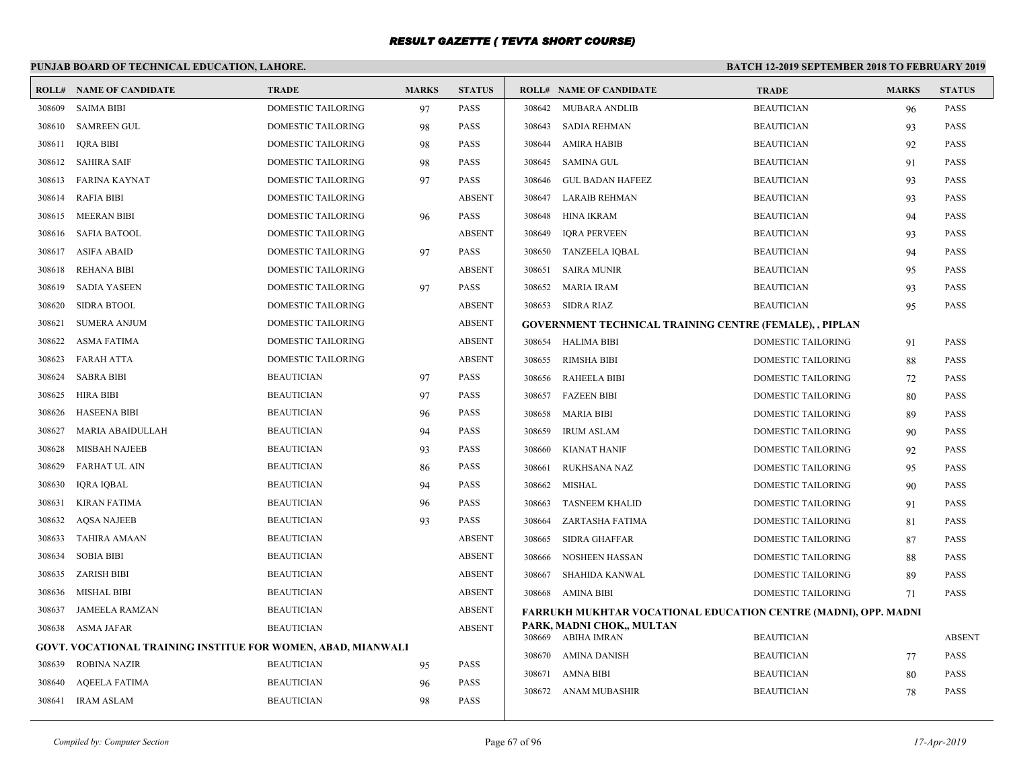# **PUNJAB BOARD OF TECHNICAL EDUCATION, LAHORE.**

|        | <b>ROLL# NAME OF CANDIDATE</b>                               | <b>TRADE</b>              | <b>MARKS</b> | <b>STATUS</b> |        | <b>ROLL# NAME OF CANDIDATE</b>                                  | <b>TRADE</b>              | <b>MARKS</b> | <b>STATUS</b> |
|--------|--------------------------------------------------------------|---------------------------|--------------|---------------|--------|-----------------------------------------------------------------|---------------------------|--------------|---------------|
| 308609 | <b>SAIMA BIBI</b>                                            | <b>DOMESTIC TAILORING</b> | 97           | <b>PASS</b>   | 308642 | <b>MUBARA ANDLIB</b>                                            | <b>BEAUTICIAN</b>         | 96           | <b>PASS</b>   |
| 308610 | <b>SAMREEN GUL</b>                                           | DOMESTIC TAILORING        | 98           | <b>PASS</b>   | 308643 | <b>SADIA REHMAN</b>                                             | <b>BEAUTICIAN</b>         | 93           | <b>PASS</b>   |
| 308611 | <b>IQRA BIBI</b>                                             | <b>DOMESTIC TAILORING</b> | 98           | <b>PASS</b>   | 308644 | <b>AMIRA HABIB</b>                                              | <b>BEAUTICIAN</b>         | 92           | <b>PASS</b>   |
| 308612 | SAHIRA SAIF                                                  | DOMESTIC TAILORING        | 98           | <b>PASS</b>   | 308645 | <b>SAMINA GUL</b>                                               | <b>BEAUTICIAN</b>         | 91           | <b>PASS</b>   |
| 308613 | FARINA KAYNAT                                                | DOMESTIC TAILORING        | 97           | <b>PASS</b>   | 308646 | <b>GUL BADAN HAFEEZ</b>                                         | <b>BEAUTICIAN</b>         | 93           | <b>PASS</b>   |
| 308614 | <b>RAFIA BIBI</b>                                            | DOMESTIC TAILORING        |              | <b>ABSENT</b> | 308647 | <b>LARAIB REHMAN</b>                                            | <b>BEAUTICIAN</b>         | 93           | <b>PASS</b>   |
| 308615 | <b>MEERAN BIBI</b>                                           | DOMESTIC TAILORING        | 96           | <b>PASS</b>   | 308648 | HINA IKRAM                                                      | <b>BEAUTICIAN</b>         | 94           | <b>PASS</b>   |
| 308616 | <b>SAFIA BATOOL</b>                                          | <b>DOMESTIC TAILORING</b> |              | <b>ABSENT</b> | 308649 | <b>IORA PERVEEN</b>                                             | <b>BEAUTICIAN</b>         | 93           | <b>PASS</b>   |
| 308617 | <b>ASIFA ABAID</b>                                           | DOMESTIC TAILORING        | 97           | <b>PASS</b>   | 308650 | <b>TANZEELA IQBAL</b>                                           | <b>BEAUTICIAN</b>         | 94           | <b>PASS</b>   |
| 308618 | REHANA BIBI                                                  | DOMESTIC TAILORING        |              | <b>ABSENT</b> | 308651 | <b>SAIRA MUNIR</b>                                              | <b>BEAUTICIAN</b>         | 95           | <b>PASS</b>   |
| 308619 | <b>SADIA YASEEN</b>                                          | DOMESTIC TAILORING        | 97           | <b>PASS</b>   | 308652 | <b>MARIA IRAM</b>                                               | <b>BEAUTICIAN</b>         | 93           | <b>PASS</b>   |
| 308620 | <b>SIDRA BTOOL</b>                                           | <b>DOMESTIC TAILORING</b> |              | <b>ABSENT</b> |        | 308653 SIDRA RIAZ                                               | <b>BEAUTICIAN</b>         | 95           | <b>PASS</b>   |
| 308621 | <b>SUMERA ANJUM</b>                                          | DOMESTIC TAILORING        |              | <b>ABSENT</b> |        | GOVERNMENT TECHNICAL TRAINING CENTRE (FEMALE), , PIPLAN         |                           |              |               |
| 308622 | <b>ASMA FATIMA</b>                                           | DOMESTIC TAILORING        |              | <b>ABSENT</b> |        | 308654 HALIMA BIBI                                              | DOMESTIC TAILORING        | 91           | <b>PASS</b>   |
| 308623 | FARAH ATTA                                                   | DOMESTIC TAILORING        |              | <b>ABSENT</b> | 308655 | <b>RIMSHA BIBI</b>                                              | DOMESTIC TAILORING        | 88           | <b>PASS</b>   |
| 308624 | <b>SABRA BIBI</b>                                            | <b>BEAUTICIAN</b>         | 97           | <b>PASS</b>   |        | 308656 RAHEELA BIBI                                             | DOMESTIC TAILORING        | 72           | <b>PASS</b>   |
| 308625 | HIRA BIBI                                                    | <b>BEAUTICIAN</b>         | 97           | <b>PASS</b>   | 308657 | <b>FAZEEN BIBI</b>                                              | DOMESTIC TAILORING        | 80           | <b>PASS</b>   |
| 308626 | HASEENA BIBI                                                 | <b>BEAUTICIAN</b>         | 96           | <b>PASS</b>   | 308658 | <b>MARIA BIBI</b>                                               | <b>DOMESTIC TAILORING</b> | 89           | <b>PASS</b>   |
| 308627 | MARIA ABAIDULLAH                                             | <b>BEAUTICIAN</b>         | 94           | <b>PASS</b>   | 308659 | <b>IRUM ASLAM</b>                                               | DOMESTIC TAILORING        | 90           | <b>PASS</b>   |
| 308628 | <b>MISBAH NAJEEB</b>                                         | <b>BEAUTICIAN</b>         | 93           | <b>PASS</b>   | 308660 | <b>KIANAT HANIF</b>                                             | <b>DOMESTIC TAILORING</b> | 92           | <b>PASS</b>   |
| 308629 | <b>FARHAT UL AIN</b>                                         | <b>BEAUTICIAN</b>         | 86           | PASS          | 308661 | <b>RUKHSANA NAZ</b>                                             | DOMESTIC TAILORING        | 95           | <b>PASS</b>   |
| 308630 | <b>IQRA IQBAL</b>                                            | <b>BEAUTICIAN</b>         | 94           | <b>PASS</b>   | 308662 | MISHAL                                                          | DOMESTIC TAILORING        | 90           | <b>PASS</b>   |
| 308631 | <b>KIRAN FATIMA</b>                                          | <b>BEAUTICIAN</b>         | 96           | <b>PASS</b>   | 308663 | <b>TASNEEM KHALID</b>                                           | DOMESTIC TAILORING        | 91           | <b>PASS</b>   |
| 308632 | <b>AQSA NAJEEB</b>                                           | <b>BEAUTICIAN</b>         | 93           | PASS          | 308664 | ZARTASHA FATIMA                                                 | <b>DOMESTIC TAILORING</b> | 81           | <b>PASS</b>   |
| 308633 | <b>TAHIRA AMAAN</b>                                          | <b>BEAUTICIAN</b>         |              | <b>ABSENT</b> | 308665 | <b>SIDRA GHAFFAR</b>                                            | <b>DOMESTIC TAILORING</b> | 87           | <b>PASS</b>   |
| 308634 | <b>SOBIA BIBI</b>                                            | <b>BEAUTICIAN</b>         |              | <b>ABSENT</b> | 308666 | <b>NOSHEEN HASSAN</b>                                           | <b>DOMESTIC TAILORING</b> | 88           | <b>PASS</b>   |
| 308635 | <b>ZARISH BIBI</b>                                           | <b>BEAUTICIAN</b>         |              | <b>ABSENT</b> | 308667 | SHAHIDA KANWAL                                                  | DOMESTIC TAILORING        | 89           | <b>PASS</b>   |
| 308636 | <b>MISHAL BIBI</b>                                           | <b>BEAUTICIAN</b>         |              | <b>ABSENT</b> | 308668 | AMINA BIBI                                                      | <b>DOMESTIC TAILORING</b> | 71           | <b>PASS</b>   |
| 308637 | <b>JAMEELA RAMZAN</b>                                        | <b>BEAUTICIAN</b>         |              | <b>ABSENT</b> |        | FARRUKH MUKHTAR VOCATIONAL EDUCATION CENTRE (MADNI), OPP. MADNI |                           |              |               |
|        | 308638 ASMA JAFAR                                            | <b>BEAUTICIAN</b>         |              | <b>ABSENT</b> |        | PARK, MADNI CHOK,, MULTAN<br>308669 ABIHA IMRAN                 | <b>BEAUTICIAN</b>         |              | <b>ABSENT</b> |
|        | GOVT. VOCATIONAL TRAINING INSTITUE FOR WOMEN, ABAD, MIANWALI |                           |              |               |        | 308670 AMINA DANISH                                             | <b>BEAUTICIAN</b>         | 77           | <b>PASS</b>   |
| 308639 | <b>ROBINA NAZIR</b>                                          | <b>BEAUTICIAN</b>         | 95           | PASS          | 308671 | <b>AMNA BIBI</b>                                                | <b>BEAUTICIAN</b>         | 80           | <b>PASS</b>   |
| 308640 | <b>AOEELA FATIMA</b>                                         | <b>BEAUTICIAN</b>         | 96           | <b>PASS</b>   | 308672 | ANAM MUBASHIR                                                   | <b>BEAUTICIAN</b>         | 78           | <b>PASS</b>   |
| 308641 | <b>IRAM ASLAM</b>                                            | <b>BEAUTICIAN</b>         | 98           | <b>PASS</b>   |        |                                                                 |                           |              |               |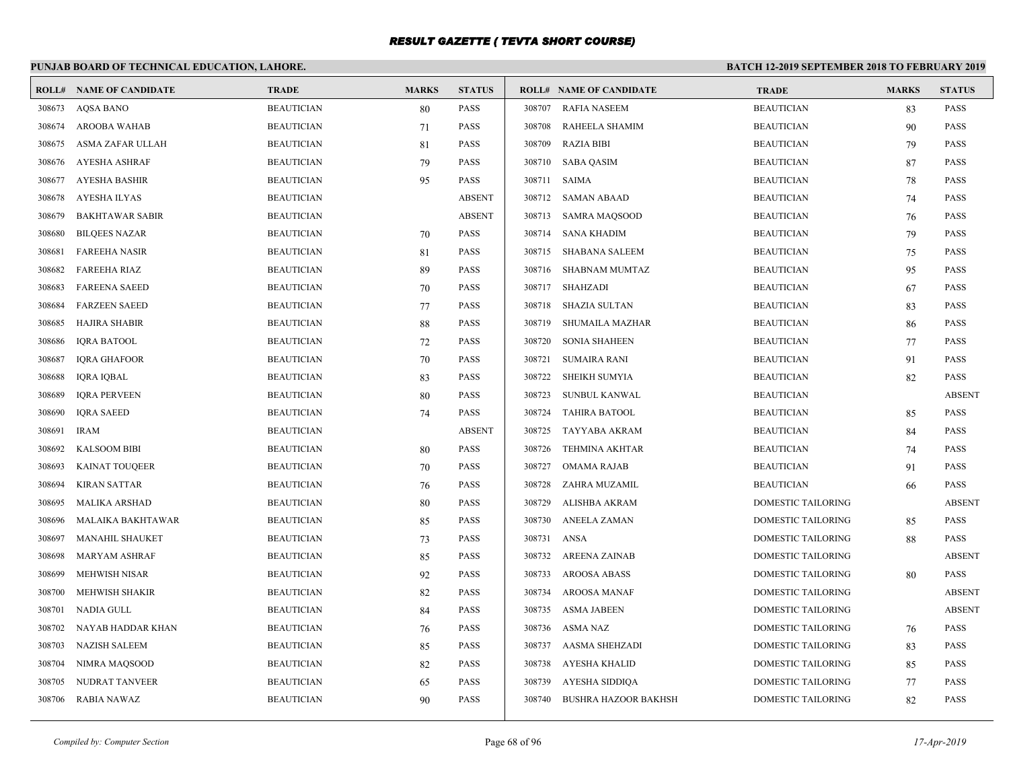# **PUNJAB BOARD OF TECHNICAL EDUCATION, LAHORE.**

|        | <b>ROLL# NAME OF CANDIDATE</b> | <b>TRADE</b>      | <b>MARKS</b> | <b>STATUS</b> |        | <b>ROLL# NAME OF CANDIDATE</b> | <b>TRADE</b>              | <b>MARKS</b> | <b>STATUS</b> |
|--------|--------------------------------|-------------------|--------------|---------------|--------|--------------------------------|---------------------------|--------------|---------------|
| 308673 | <b>AOSA BANO</b>               | <b>BEAUTICIAN</b> | 80           | <b>PASS</b>   | 308707 | RAFIA NASEEM                   | <b>BEAUTICIAN</b>         | 83           | <b>PASS</b>   |
| 308674 | <b>AROOBA WAHAB</b>            | <b>BEAUTICIAN</b> | 71           | <b>PASS</b>   | 308708 | RAHEELA SHAMIM                 | <b>BEAUTICIAN</b>         | 90           | <b>PASS</b>   |
| 308675 | ASMA ZAFAR ULLAH               | <b>BEAUTICIAN</b> | 81           | <b>PASS</b>   | 308709 | <b>RAZIA BIBI</b>              | <b>BEAUTICIAN</b>         | 79           | <b>PASS</b>   |
| 308676 | <b>AYESHA ASHRAF</b>           | <b>BEAUTICIAN</b> | 79           | <b>PASS</b>   | 308710 | <b>SABA QASIM</b>              | <b>BEAUTICIAN</b>         | 87           | PASS          |
| 308677 | <b>AYESHA BASHIR</b>           | <b>BEAUTICIAN</b> | 95           | <b>PASS</b>   | 308711 | SAIMA                          | <b>BEAUTICIAN</b>         | 78           | <b>PASS</b>   |
| 308678 | <b>AYESHA ILYAS</b>            | <b>BEAUTICIAN</b> |              | <b>ABSENT</b> | 308712 | <b>SAMAN ABAAD</b>             | <b>BEAUTICIAN</b>         | 74           | <b>PASS</b>   |
| 308679 | <b>BAKHTAWAR SABIR</b>         | <b>BEAUTICIAN</b> |              | <b>ABSENT</b> |        | 308713 SAMRA MAQSOOD           | <b>BEAUTICIAN</b>         | 76           | PASS          |
| 308680 | <b>BILQEES NAZAR</b>           | <b>BEAUTICIAN</b> | 70           | <b>PASS</b>   | 308714 | SANA KHADIM                    | <b>BEAUTICIAN</b>         | 79           | <b>PASS</b>   |
| 308681 | <b>FAREEHA NASIR</b>           | <b>BEAUTICIAN</b> | 81           | <b>PASS</b>   | 308715 | <b>SHABANA SALEEM</b>          | <b>BEAUTICIAN</b>         | 75           | PASS          |
| 308682 | <b>FAREEHA RIAZ</b>            | <b>BEAUTICIAN</b> | 89           | <b>PASS</b>   | 308716 | SHABNAM MUMTAZ                 | <b>BEAUTICIAN</b>         | 95           | <b>PASS</b>   |
| 308683 | <b>FAREENA SAEED</b>           | <b>BEAUTICIAN</b> | 70           | <b>PASS</b>   | 308717 | SHAHZADI                       | <b>BEAUTICIAN</b>         | 67           | <b>PASS</b>   |
| 308684 | <b>FARZEEN SAEED</b>           | <b>BEAUTICIAN</b> | 77           | <b>PASS</b>   | 308718 | SHAZIA SULTAN                  | <b>BEAUTICIAN</b>         | 83           | <b>PASS</b>   |
| 308685 | <b>HAJIRA SHABIR</b>           | <b>BEAUTICIAN</b> | 88           | <b>PASS</b>   | 308719 | SHUMAILA MAZHAR                | <b>BEAUTICIAN</b>         | 86           | <b>PASS</b>   |
| 308686 | <b>IQRA BATOOL</b>             | <b>BEAUTICIAN</b> | 72           | <b>PASS</b>   | 308720 | <b>SONIA SHAHEEN</b>           | <b>BEAUTICIAN</b>         | 77           | PASS          |
| 308687 | <b>IORA GHAFOOR</b>            | <b>BEAUTICIAN</b> | 70           | <b>PASS</b>   | 308721 | <b>SUMAIRA RANI</b>            | <b>BEAUTICIAN</b>         | 91           | <b>PASS</b>   |
| 308688 | <b>IQRA IQBAL</b>              | <b>BEAUTICIAN</b> | 83           | <b>PASS</b>   | 308722 | SHEIKH SUMYIA                  | <b>BEAUTICIAN</b>         | 82           | <b>PASS</b>   |
| 308689 | <b>IORA PERVEEN</b>            | <b>BEAUTICIAN</b> | 80           | <b>PASS</b>   | 308723 | SUNBUL KANWAL                  | <b>BEAUTICIAN</b>         |              | <b>ABSENT</b> |
| 308690 | <b>IQRA SAEED</b>              | <b>BEAUTICIAN</b> | 74           | <b>PASS</b>   | 308724 | <b>TAHIRA BATOOL</b>           | <b>BEAUTICIAN</b>         | 85           | <b>PASS</b>   |
| 308691 | <b>IRAM</b>                    | <b>BEAUTICIAN</b> |              | <b>ABSENT</b> | 308725 | TAYYABA AKRAM                  | <b>BEAUTICIAN</b>         | 84           | <b>PASS</b>   |
| 308692 | <b>KALSOOM BIBI</b>            | <b>BEAUTICIAN</b> | 80           | <b>PASS</b>   | 308726 | <b>TEHMINA AKHTAR</b>          | <b>BEAUTICIAN</b>         | 74           | <b>PASS</b>   |
| 308693 | <b>KAINAT TOUQEER</b>          | <b>BEAUTICIAN</b> | 70           | <b>PASS</b>   | 308727 | <b>OMAMA RAJAB</b>             | <b>BEAUTICIAN</b>         | 91           | <b>PASS</b>   |
| 308694 | <b>KIRAN SATTAR</b>            | <b>BEAUTICIAN</b> | 76           | <b>PASS</b>   | 308728 | ZAHRA MUZAMIL                  | <b>BEAUTICIAN</b>         | 66           | <b>PASS</b>   |
| 308695 | <b>MALIKA ARSHAD</b>           | <b>BEAUTICIAN</b> | 80           | <b>PASS</b>   | 308729 | ALISHBA AKRAM                  | DOMESTIC TAILORING        |              | <b>ABSENT</b> |
| 308696 | MALAIKA BAKHTAWAR              | <b>BEAUTICIAN</b> | 85           | <b>PASS</b>   | 308730 | <b>ANEELA ZAMAN</b>            | <b>DOMESTIC TAILORING</b> | 85           | <b>PASS</b>   |
| 308697 | <b>MANAHIL SHAUKET</b>         | <b>BEAUTICIAN</b> | 73           | <b>PASS</b>   | 308731 | ANSA                           | DOMESTIC TAILORING        | 88           | <b>PASS</b>   |
| 308698 | <b>MARYAM ASHRAF</b>           | <b>BEAUTICIAN</b> | 85           | <b>PASS</b>   | 308732 | AREENA ZAINAB                  | <b>DOMESTIC TAILORING</b> |              | <b>ABSENT</b> |
| 308699 | <b>MEHWISH NISAR</b>           | <b>BEAUTICIAN</b> | 92           | <b>PASS</b>   | 308733 | AROOSA ABASS                   | <b>DOMESTIC TAILORING</b> | 80           | <b>PASS</b>   |
| 308700 | MEHWISH SHAKIR                 | <b>BEAUTICIAN</b> | 82           | <b>PASS</b>   | 308734 | AROOSA MANAF                   | DOMESTIC TAILORING        |              | <b>ABSENT</b> |
| 308701 | NADIA GULL                     | <b>BEAUTICIAN</b> | 84           | <b>PASS</b>   |        | 308735 ASMA JABEEN             | DOMESTIC TAILORING        |              | <b>ABSENT</b> |
| 308702 | NAYAB HADDAR KHAN              | <b>BEAUTICIAN</b> | 76           | <b>PASS</b>   | 308736 | ASMA NAZ                       | DOMESTIC TAILORING        | 76           | <b>PASS</b>   |
| 308703 | <b>NAZISH SALEEM</b>           | <b>BEAUTICIAN</b> | 85           | <b>PASS</b>   | 308737 | AASMA SHEHZADI                 | DOMESTIC TAILORING        | 83           | <b>PASS</b>   |
| 308704 | NIMRA MAQSOOD                  | <b>BEAUTICIAN</b> | 82           | <b>PASS</b>   | 308738 | AYESHA KHALID                  | DOMESTIC TAILORING        | 85           | PASS          |
| 308705 | NUDRAT TANVEER                 | <b>BEAUTICIAN</b> | 65           | <b>PASS</b>   | 308739 | AYESHA SIDDIQA                 | DOMESTIC TAILORING        | 77           | <b>PASS</b>   |
| 308706 | <b>RABIA NAWAZ</b>             | <b>BEAUTICIAN</b> | 90           | <b>PASS</b>   | 308740 | BUSHRA HAZOOR BAKHSH           | DOMESTIC TAILORING        | 82           | <b>PASS</b>   |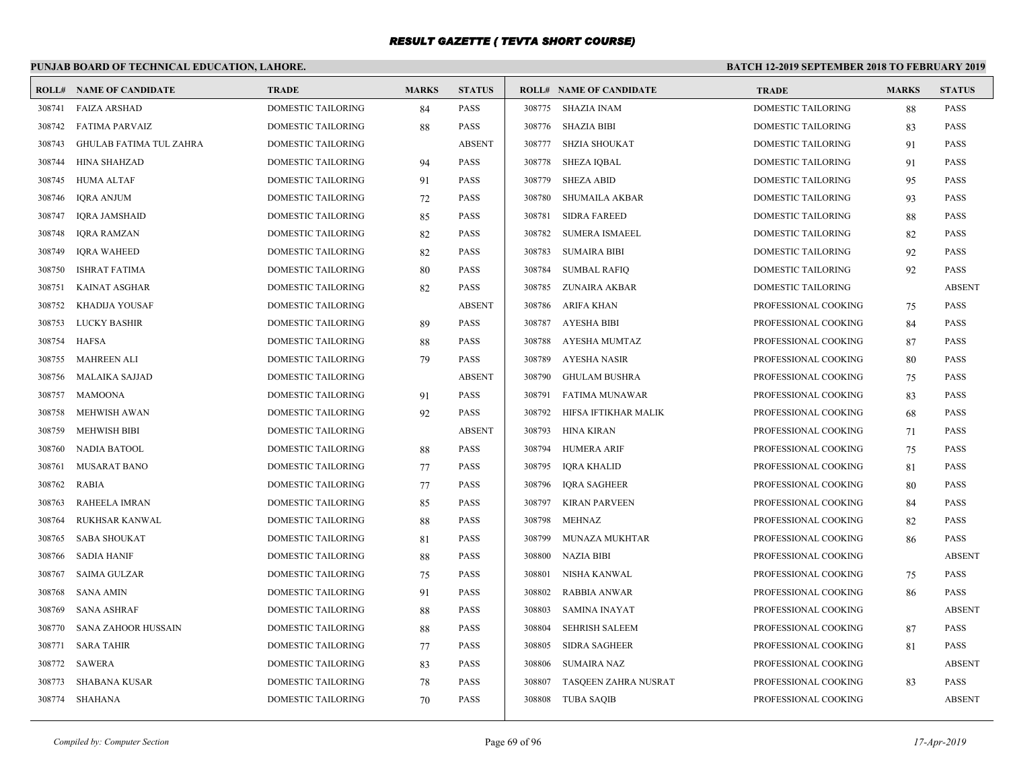# **PUNJAB BOARD OF TECHNICAL EDUCATION, LAHORE.**

|        | <b>ROLL# NAME OF CANDIDATE</b> | <b>TRADE</b>              | <b>MARKS</b> | <b>STATUS</b> |        | <b>ROLL# NAME OF CANDIDATE</b> | <b>TRADE</b>              | <b>MARKS</b> | <b>STATUS</b> |
|--------|--------------------------------|---------------------------|--------------|---------------|--------|--------------------------------|---------------------------|--------------|---------------|
| 308741 | <b>FAIZA ARSHAD</b>            | DOMESTIC TAILORING        | 84           | PASS          |        | 308775 SHAZIA INAM             | <b>DOMESTIC TAILORING</b> | 88           | <b>PASS</b>   |
| 308742 | <b>FATIMA PARVAIZ</b>          | <b>DOMESTIC TAILORING</b> | 88           | <b>PASS</b>   |        | 308776 SHAZIA BIBI             | <b>DOMESTIC TAILORING</b> | 83           | <b>PASS</b>   |
| 308743 | <b>GHULAB FATIMA TUL ZAHRA</b> | DOMESTIC TAILORING        |              | <b>ABSENT</b> | 308777 | <b>SHZIA SHOUKAT</b>           | DOMESTIC TAILORING        | 91           | PASS          |
| 308744 | HINA SHAHZAD                   | <b>DOMESTIC TAILORING</b> | 94           | PASS          | 308778 | <b>SHEZA IOBAL</b>             | DOMESTIC TAILORING        | 91           | PASS          |
| 308745 | <b>HUMA ALTAF</b>              | DOMESTIC TAILORING        | 91           | PASS          | 308779 | <b>SHEZA ABID</b>              | <b>DOMESTIC TAILORING</b> | 95           | <b>PASS</b>   |
| 308746 | <b>IORA ANJUM</b>              | <b>DOMESTIC TAILORING</b> | 72           | PASS          | 308780 | <b>SHUMAILA AKBAR</b>          | DOMESTIC TAILORING        | 93           | <b>PASS</b>   |
| 308747 | <b>IQRA JAMSHAID</b>           | DOMESTIC TAILORING        | 85           | PASS          | 308781 | <b>SIDRA FAREED</b>            | DOMESTIC TAILORING        | 88           | PASS          |
| 308748 | <b>IQRA RAMZAN</b>             | DOMESTIC TAILORING        | 82           | PASS          | 308782 | <b>SUMERA ISMAEEL</b>          | DOMESTIC TAILORING        | 82           | <b>PASS</b>   |
| 308749 | <b>IORA WAHEED</b>             | <b>DOMESTIC TAILORING</b> | 82           | PASS          | 308783 | <b>SUMAIRA BIBI</b>            | <b>DOMESTIC TAILORING</b> | 92           | <b>PASS</b>   |
| 308750 | <b>ISHRAT FATIMA</b>           | <b>DOMESTIC TAILORING</b> | 80           | PASS          | 308784 | <b>SUMBAL RAFIQ</b>            | DOMESTIC TAILORING        | 92           | <b>PASS</b>   |
| 308751 | <b>KAINAT ASGHAR</b>           | DOMESTIC TAILORING        | 82           | PASS          | 308785 | ZUNAIRA AKBAR                  | DOMESTIC TAILORING        |              | <b>ABSENT</b> |
| 308752 | KHADIJA YOUSAF                 | DOMESTIC TAILORING        |              | <b>ABSENT</b> | 308786 | ARIFA KHAN                     | PROFESSIONAL COOKING      | 75           | PASS          |
| 308753 | LUCKY BASHIR                   | DOMESTIC TAILORING        | 89           | PASS          | 308787 | AYESHA BIBI                    | PROFESSIONAL COOKING      | 84           | <b>PASS</b>   |
| 308754 | HAFSA                          | DOMESTIC TAILORING        | 88           | PASS          | 308788 | AYESHA MUMTAZ                  | PROFESSIONAL COOKING      | 87           | <b>PASS</b>   |
| 308755 | <b>MAHREEN ALI</b>             | DOMESTIC TAILORING        | 79           | PASS          | 308789 | AYESHA NASIR                   | PROFESSIONAL COOKING      | 80           | <b>PASS</b>   |
| 308756 | MALAIKA SAJJAD                 | DOMESTIC TAILORING        |              | <b>ABSENT</b> |        | 308790 GHULAM BUSHRA           | PROFESSIONAL COOKING      | 75           | PASS          |
| 308757 | <b>MAMOONA</b>                 | DOMESTIC TAILORING        | 91           | PASS          | 308791 | FATIMA MUNAWAR                 | PROFESSIONAL COOKING      | 83           | PASS          |
| 308758 | <b>MEHWISH AWAN</b>            | DOMESTIC TAILORING        | 92           | PASS          | 308792 | HIFSA IFTIKHAR MALIK           | PROFESSIONAL COOKING      | 68           | <b>PASS</b>   |
| 308759 | <b>MEHWISH BIBI</b>            | DOMESTIC TAILORING        |              | <b>ABSENT</b> | 308793 | HINA KIRAN                     | PROFESSIONAL COOKING      | 71           | <b>PASS</b>   |
| 308760 | <b>NADIA BATOOL</b>            | DOMESTIC TAILORING        | 88           | PASS          | 308794 | <b>HUMERA ARIF</b>             | PROFESSIONAL COOKING      | 75           | <b>PASS</b>   |
| 308761 | <b>MUSARAT BANO</b>            | DOMESTIC TAILORING        | 77           | PASS          | 308795 | <b>IQRA KHALID</b>             | PROFESSIONAL COOKING      | 81           | PASS          |
| 308762 | RABIA                          | DOMESTIC TAILORING        | 77           | PASS          | 308796 | <b>IQRA SAGHEER</b>            | PROFESSIONAL COOKING      | 80           | <b>PASS</b>   |
| 308763 | RAHEELA IMRAN                  | DOMESTIC TAILORING        | 85           | PASS          | 308797 | <b>KIRAN PARVEEN</b>           | PROFESSIONAL COOKING      | 84           | <b>PASS</b>   |
| 308764 | RUKHSAR KANWAL                 | DOMESTIC TAILORING        | 88           | PASS          | 308798 | MEHNAZ                         | PROFESSIONAL COOKING      | 82           | <b>PASS</b>   |
| 308765 | <b>SABA SHOUKAT</b>            | DOMESTIC TAILORING        | 81           | PASS          | 308799 | MUNAZA MUKHTAR                 | PROFESSIONAL COOKING      | 86           | PASS          |
| 308766 | <b>SADIA HANIF</b>             | DOMESTIC TAILORING        | 88           | PASS          | 308800 | <b>NAZIA BIBI</b>              | PROFESSIONAL COOKING      |              | <b>ABSENT</b> |
| 308767 | <b>SAIMA GULZAR</b>            | DOMESTIC TAILORING        | 75           | PASS          | 308801 | NISHA KANWAL                   | PROFESSIONAL COOKING      | 75           | <b>PASS</b>   |
| 308768 | <b>SANA AMIN</b>               | DOMESTIC TAILORING        | 91           | PASS          | 308802 | <b>RABBIA ANWAR</b>            | PROFESSIONAL COOKING      | 86           | <b>PASS</b>   |
| 308769 | <b>SANA ASHRAF</b>             | DOMESTIC TAILORING        | 88           | PASS          | 308803 | <b>SAMINA INAYAT</b>           | PROFESSIONAL COOKING      |              | <b>ABSENT</b> |
| 308770 | SANA ZAHOOR HUSSAIN            | DOMESTIC TAILORING        | 88           | PASS          | 308804 | <b>SEHRISH SALEEM</b>          | PROFESSIONAL COOKING      | 87           | PASS          |
| 308771 | <b>SARA TAHIR</b>              | DOMESTIC TAILORING        | 77           | PASS          | 308805 | <b>SIDRA SAGHEER</b>           | PROFESSIONAL COOKING      | 81           | <b>PASS</b>   |
| 308772 | SAWERA                         | DOMESTIC TAILORING        | 83           | <b>PASS</b>   | 308806 | <b>SUMAIRA NAZ</b>             | PROFESSIONAL COOKING      |              | <b>ABSENT</b> |
| 308773 | <b>SHABANA KUSAR</b>           | DOMESTIC TAILORING        | 78           | PASS          | 308807 | TASQEEN ZAHRA NUSRAT           | PROFESSIONAL COOKING      | 83           | <b>PASS</b>   |
|        | 308774 SHAHANA                 | <b>DOMESTIC TAILORING</b> | 70           | PASS          |        | 308808 TUBA SAQIB              | PROFESSIONAL COOKING      |              | <b>ABSENT</b> |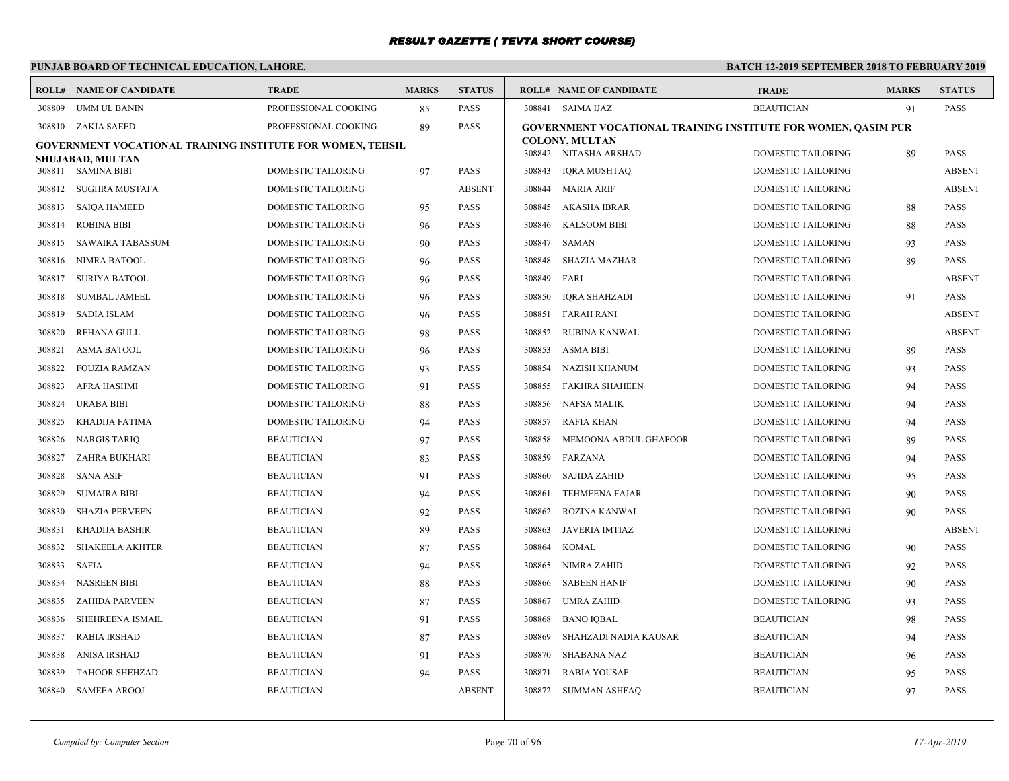# **PUNJAB BOARD OF TECHNICAL EDUCATION, LAHORE.**

|        | <b>ROLL# NAME OF CANDIDATE</b>                             | <b>TRADE</b>              | <b>MARKS</b> | <b>STATUS</b> |        | <b>ROLL# NAME OF CANDIDATE</b>                                       | <b>TRADE</b>              | <b>MARKS</b> | <b>STATUS</b> |
|--------|------------------------------------------------------------|---------------------------|--------------|---------------|--------|----------------------------------------------------------------------|---------------------------|--------------|---------------|
| 308809 | <b>UMM UL BANIN</b>                                        | PROFESSIONAL COOKING      | 85           | <b>PASS</b>   |        | 308841 SAIMA IJAZ                                                    | <b>BEAUTICIAN</b>         | 91           | <b>PASS</b>   |
|        | 308810 ZAKIA SAEED                                         | PROFESSIONAL COOKING      | 89           | <b>PASS</b>   |        | <b>GOVERNMENT VOCATIONAL TRAINING INSTITUTE FOR WOMEN, QASIM PUR</b> |                           |              |               |
|        | GOVERNMENT VOCATIONAL TRAINING INSTITUTE FOR WOMEN, TEHSIL |                           |              |               |        | <b>COLONY, MULTAN</b><br>308842 NITASHA ARSHAD                       | <b>DOMESTIC TAILORING</b> | 89           | <b>PASS</b>   |
|        | SHUJABAD, MULTAN                                           |                           |              | <b>PASS</b>   | 308843 |                                                                      |                           |              | <b>ABSENT</b> |
|        | 308811 SAMINA BIBI                                         | DOMESTIC TAILORING        | 97           |               |        | <b>IORA MUSHTAO</b>                                                  | <b>DOMESTIC TAILORING</b> |              |               |
| 308812 | SUGHRA MUSTAFA                                             | <b>DOMESTIC TAILORING</b> |              | <b>ABSENT</b> |        | 308844 MARIA ARIF                                                    | <b>DOMESTIC TAILORING</b> |              | <b>ABSENT</b> |
| 308813 | <b>SAIQA HAMEED</b>                                        | <b>DOMESTIC TAILORING</b> | 95           | <b>PASS</b>   |        | 308845 AKASHA IBRAR                                                  | <b>DOMESTIC TAILORING</b> | 88           | <b>PASS</b>   |
| 308814 | <b>ROBINA BIBI</b>                                         | <b>DOMESTIC TAILORING</b> | 96           | <b>PASS</b>   | 308846 | <b>KALSOOM BIBI</b>                                                  | <b>DOMESTIC TAILORING</b> | 88           | <b>PASS</b>   |
| 308815 | <b>SAWAIRA TABASSUM</b>                                    | <b>DOMESTIC TAILORING</b> | 90           | <b>PASS</b>   | 308847 | SAMAN                                                                | <b>DOMESTIC TAILORING</b> | 93           | <b>PASS</b>   |
| 308816 | NIMRA BATOOL                                               | DOMESTIC TAILORING        | 96           | <b>PASS</b>   | 308848 | SHAZIA MAZHAR                                                        | <b>DOMESTIC TAILORING</b> | 89           | <b>PASS</b>   |
| 308817 | <b>SURIYA BATOOL</b>                                       | DOMESTIC TAILORING        | 96           | <b>PASS</b>   | 308849 | FARI                                                                 | DOMESTIC TAILORING        |              | <b>ABSENT</b> |
| 308818 | <b>SUMBAL JAMEEL</b>                                       | DOMESTIC TAILORING        | 96           | <b>PASS</b>   | 308850 | <b>IQRA SHAHZADI</b>                                                 | DOMESTIC TAILORING        | 91           | <b>PASS</b>   |
| 308819 | SADIA ISLAM                                                | DOMESTIC TAILORING        | 96           | <b>PASS</b>   | 308851 | <b>FARAH RANI</b>                                                    | <b>DOMESTIC TAILORING</b> |              | <b>ABSENT</b> |
| 308820 | <b>REHANA GULL</b>                                         | DOMESTIC TAILORING        | 98           | <b>PASS</b>   | 308852 | RUBINA KANWAL                                                        | DOMESTIC TAILORING        |              | <b>ABSENT</b> |
| 308821 | <b>ASMA BATOOL</b>                                         | DOMESTIC TAILORING        | 96           | <b>PASS</b>   | 308853 | <b>ASMA BIBI</b>                                                     | <b>DOMESTIC TAILORING</b> | 89           | <b>PASS</b>   |
| 308822 | <b>FOUZIA RAMZAN</b>                                       | DOMESTIC TAILORING        | 93           | <b>PASS</b>   | 308854 | NAZISH KHANUM                                                        | <b>DOMESTIC TAILORING</b> | 93           | <b>PASS</b>   |
| 308823 | AFRA HASHMI                                                | DOMESTIC TAILORING        | 91           | <b>PASS</b>   | 308855 | FAKHRA SHAHEEN                                                       | <b>DOMESTIC TAILORING</b> | 94           | <b>PASS</b>   |
| 308824 | URABA BIBI                                                 | DOMESTIC TAILORING        | 88           | <b>PASS</b>   | 308856 | NAFSA MALIK                                                          | <b>DOMESTIC TAILORING</b> | 94           | <b>PASS</b>   |
| 308825 | KHADIJA FATIMA                                             | DOMESTIC TAILORING        | 94           | <b>PASS</b>   | 308857 | RAFIA KHAN                                                           | <b>DOMESTIC TAILORING</b> | 94           | <b>PASS</b>   |
| 308826 | <b>NARGIS TARIQ</b>                                        | <b>BEAUTICIAN</b>         | 97           | <b>PASS</b>   | 308858 | MEMOONA ABDUL GHAFOOR                                                | <b>DOMESTIC TAILORING</b> | 89           | <b>PASS</b>   |
| 308827 | ZAHRA BUKHARI                                              | <b>BEAUTICIAN</b>         | 83           | <b>PASS</b>   | 308859 | FARZANA                                                              | <b>DOMESTIC TAILORING</b> | 94           | <b>PASS</b>   |
| 308828 | <b>SANA ASIF</b>                                           | <b>BEAUTICIAN</b>         | 91           | <b>PASS</b>   | 308860 | SAJIDA ZAHID                                                         | <b>DOMESTIC TAILORING</b> | 95           | <b>PASS</b>   |
| 308829 | <b>SUMAIRA BIBI</b>                                        | BEAUTICIAN                | 94           | <b>PASS</b>   | 308861 | <b>TEHMEENA FAJAR</b>                                                | <b>DOMESTIC TAILORING</b> | 90           | <b>PASS</b>   |
| 308830 | <b>SHAZIA PERVEEN</b>                                      | <b>BEAUTICIAN</b>         | 92           | <b>PASS</b>   | 308862 | ROZINA KANWAL                                                        | <b>DOMESTIC TAILORING</b> | 90           | <b>PASS</b>   |
| 308831 | <b>KHADIJA BASHIR</b>                                      | <b>BEAUTICIAN</b>         | 89           | <b>PASS</b>   | 308863 | <b>JAVERIA IMTIAZ</b>                                                | DOMESTIC TAILORING        |              | <b>ABSENT</b> |
| 308832 | <b>SHAKEELA AKHTER</b>                                     | <b>BEAUTICIAN</b>         | 87           | <b>PASS</b>   | 308864 | <b>KOMAL</b>                                                         | DOMESTIC TAILORING        | 90           | <b>PASS</b>   |
| 308833 | <b>SAFIA</b>                                               | <b>BEAUTICIAN</b>         | 94           | <b>PASS</b>   | 308865 | NIMRA ZAHID                                                          | DOMESTIC TAILORING        | 92           | <b>PASS</b>   |
| 308834 | <b>NASREEN BIBI</b>                                        | <b>BEAUTICIAN</b>         | 88           | <b>PASS</b>   | 308866 | <b>SABEEN HANIF</b>                                                  | DOMESTIC TAILORING        | 90           | <b>PASS</b>   |
| 308835 | <b>ZAHIDA PARVEEN</b>                                      | <b>BEAUTICIAN</b>         | 87           | <b>PASS</b>   | 308867 | <b>UMRA ZAHID</b>                                                    | <b>DOMESTIC TAILORING</b> | 93           | <b>PASS</b>   |
| 308836 | SHEHREENA ISMAIL                                           | BEAUTICIAN                | 91           | <b>PASS</b>   | 308868 | <b>BANO IOBAL</b>                                                    | <b>BEAUTICIAN</b>         | 98           | <b>PASS</b>   |
| 308837 | <b>RABIA IRSHAD</b>                                        | <b>BEAUTICIAN</b>         | 87           | <b>PASS</b>   | 308869 | SHAHZADI NADIA KAUSAR                                                | <b>BEAUTICIAN</b>         | 94           | <b>PASS</b>   |
| 308838 | <b>ANISA IRSHAD</b>                                        | <b>BEAUTICIAN</b>         | 91           | <b>PASS</b>   | 308870 | SHABANA NAZ                                                          | <b>BEAUTICIAN</b>         | 96           | <b>PASS</b>   |
| 308839 | <b>TAHOOR SHEHZAD</b>                                      | <b>BEAUTICIAN</b>         | 94           | <b>PASS</b>   | 308871 | <b>RABIA YOUSAF</b>                                                  | <b>BEAUTICIAN</b>         | 95           | <b>PASS</b>   |
| 308840 | <b>SAMEEA AROOJ</b>                                        | <b>BEAUTICIAN</b>         |              | <b>ABSENT</b> |        | 308872 SUMMAN ASHFAQ                                                 | <b>BEAUTICIAN</b>         | 97           | <b>PASS</b>   |
|        |                                                            |                           |              |               |        |                                                                      |                           |              |               |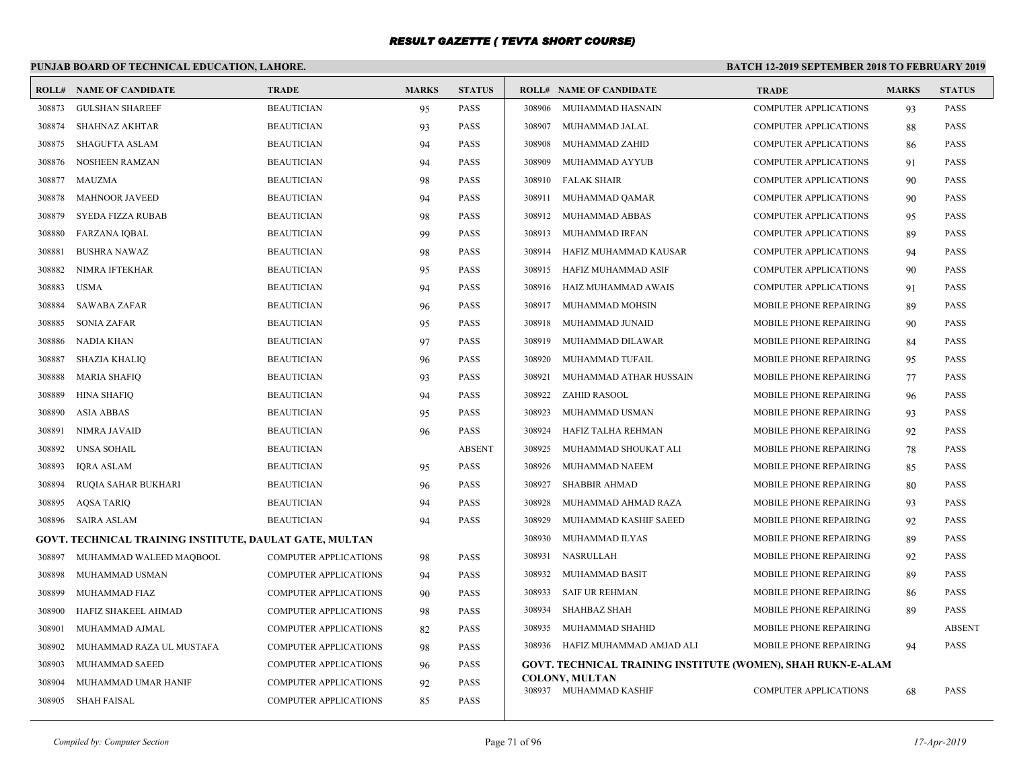# **PUNJAB BOARD OF TECHNICAL EDUCATION, LAHORE.**

| <b>ROLL#</b> | <b>NAME OF CANDIDATE</b>                                | <b>TRADE</b>                 | <b>MARKS</b> | <b>STATUS</b> |        | <b>ROLL# NAME OF CANDIDATE</b>                               | <b>TRADE</b>                  | <b>MARKS</b> | <b>STATUS</b> |
|--------------|---------------------------------------------------------|------------------------------|--------------|---------------|--------|--------------------------------------------------------------|-------------------------------|--------------|---------------|
| 308873       | <b>GULSHAN SHAREEF</b>                                  | <b>BEAUTICIAN</b>            | 95           | <b>PASS</b>   |        | 308906 MUHAMMAD HASNAIN                                      | <b>COMPUTER APPLICATIONS</b>  | 93           | <b>PASS</b>   |
| 308874       | <b>SHAHNAZ AKHTAR</b>                                   | <b>BEAUTICIAN</b>            | 93           | <b>PASS</b>   | 308907 | MUHAMMAD JALAL                                               | <b>COMPUTER APPLICATIONS</b>  | 88           | <b>PASS</b>   |
| 308875       | <b>SHAGUFTA ASLAM</b>                                   | <b>BEAUTICIAN</b>            | 94           | <b>PASS</b>   | 308908 | MUHAMMAD ZAHID                                               | <b>COMPUTER APPLICATIONS</b>  | 86           | <b>PASS</b>   |
| 308876       | <b>NOSHEEN RAMZAN</b>                                   | <b>BEAUTICIAN</b>            | 94           | <b>PASS</b>   | 308909 | MUHAMMAD AYYUB                                               | <b>COMPUTER APPLICATIONS</b>  | 91           | <b>PASS</b>   |
| 308877       | <b>MAUZMA</b>                                           | <b>BEAUTICIAN</b>            | 98           | <b>PASS</b>   | 308910 | <b>FALAK SHAIR</b>                                           | <b>COMPUTER APPLICATIONS</b>  | 90           | <b>PASS</b>   |
| 308878       | <b>MAHNOOR JAVEED</b>                                   | <b>BEAUTICIAN</b>            | 94           | <b>PASS</b>   | 308911 | MUHAMMAD QAMAR                                               | <b>COMPUTER APPLICATIONS</b>  | 90           | <b>PASS</b>   |
| 308879       | SYEDA FIZZA RUBAB                                       | <b>BEAUTICIAN</b>            | 98           | <b>PASS</b>   | 308912 | MUHAMMAD ABBAS                                               | <b>COMPUTER APPLICATIONS</b>  | 95           | <b>PASS</b>   |
| 308880       | <b>FARZANA IQBAL</b>                                    | <b>BEAUTICIAN</b>            | 99           | <b>PASS</b>   | 308913 | MUHAMMAD IRFAN                                               | <b>COMPUTER APPLICATIONS</b>  | 89           | <b>PASS</b>   |
| 308881       | <b>BUSHRA NAWAZ</b>                                     | <b>BEAUTICIAN</b>            | 98           | <b>PASS</b>   | 308914 | HAFIZ MUHAMMAD KAUSAR                                        | <b>COMPUTER APPLICATIONS</b>  | 94           | <b>PASS</b>   |
| 308882       | NIMRA IFTEKHAR                                          | <b>BEAUTICIAN</b>            | 95           | <b>PASS</b>   | 308915 | HAFIZ MUHAMMAD ASIF                                          | <b>COMPUTER APPLICATIONS</b>  | 90           | <b>PASS</b>   |
| 308883       | <b>USMA</b>                                             | <b>BEAUTICIAN</b>            | 94           | <b>PASS</b>   | 308916 | HAIZ MUHAMMAD AWAIS                                          | <b>COMPUTER APPLICATIONS</b>  | 91           | <b>PASS</b>   |
| 308884       | <b>SAWABA ZAFAR</b>                                     | <b>BEAUTICIAN</b>            | 96           | PASS          | 308917 | MUHAMMAD MOHSIN                                              | MOBILE PHONE REPAIRING        | 89           | <b>PASS</b>   |
| 308885       | <b>SONIA ZAFAR</b>                                      | <b>BEAUTICIAN</b>            | 95           | <b>PASS</b>   | 308918 | MUHAMMAD JUNAID                                              | MOBILE PHONE REPAIRING        | 90           | <b>PASS</b>   |
| 308886       | NADIA KHAN                                              | <b>BEAUTICIAN</b>            | 97           | <b>PASS</b>   | 308919 | MUHAMMAD DILAWAR                                             | <b>MOBILE PHONE REPAIRING</b> | 84           | <b>PASS</b>   |
| 308887       | <b>SHAZIA KHALIO</b>                                    | <b>BEAUTICIAN</b>            | 96           | <b>PASS</b>   | 308920 | MUHAMMAD TUFAIL                                              | MOBILE PHONE REPAIRING        | 95           | <b>PASS</b>   |
| 308888       | <b>MARIA SHAFIQ</b>                                     | <b>BEAUTICIAN</b>            | 93           | <b>PASS</b>   | 308921 | MUHAMMAD ATHAR HUSSAIN                                       | MOBILE PHONE REPAIRING        | 77           | <b>PASS</b>   |
| 308889       | <b>HINA SHAFIQ</b>                                      | <b>BEAUTICIAN</b>            | 94           | <b>PASS</b>   | 308922 | <b>ZAHID RASOOL</b>                                          | <b>MOBILE PHONE REPAIRING</b> | 96           | <b>PASS</b>   |
| 308890       | <b>ASIA ABBAS</b>                                       | <b>BEAUTICIAN</b>            | 95           | PASS          | 308923 | MUHAMMAD USMAN                                               | MOBILE PHONE REPAIRING        | 93           | <b>PASS</b>   |
| 308891       | NIMRA JAVAID                                            | <b>BEAUTICIAN</b>            | 96           | <b>PASS</b>   | 308924 | HAFIZ TALHA REHMAN                                           | <b>MOBILE PHONE REPAIRING</b> | 92           | <b>PASS</b>   |
| 308892       | <b>UNSA SOHAIL</b>                                      | <b>BEAUTICIAN</b>            |              | <b>ABSENT</b> | 308925 | MUHAMMAD SHOUKAT ALI                                         | MOBILE PHONE REPAIRING        | 78           | <b>PASS</b>   |
| 308893       | <b>IQRA ASLAM</b>                                       | <b>BEAUTICIAN</b>            | 95           | <b>PASS</b>   | 308926 | MUHAMMAD NAEEM                                               | MOBILE PHONE REPAIRING        | 85           | <b>PASS</b>   |
| 308894       | RUQIA SAHAR BUKHARI                                     | <b>BEAUTICIAN</b>            | 96           | <b>PASS</b>   | 308927 | <b>SHABBIR AHMAD</b>                                         | MOBILE PHONE REPAIRING        | 80           | <b>PASS</b>   |
| 308895       | <b>AQSA TARIQ</b>                                       | <b>BEAUTICIAN</b>            | 94           | <b>PASS</b>   | 308928 | MUHAMMAD AHMAD RAZA                                          | MOBILE PHONE REPAIRING        | 93           | <b>PASS</b>   |
| 308896       | <b>SAIRA ASLAM</b>                                      | <b>BEAUTICIAN</b>            | 94           | <b>PASS</b>   | 308929 | MUHAMMAD KASHIF SAEED                                        | <b>MOBILE PHONE REPAIRING</b> | 92           | <b>PASS</b>   |
|              | GOVT. TECHNICAL TRAINING INSTITUTE, DAULAT GATE, MULTAN |                              |              |               | 308930 | MUHAMMAD ILYAS                                               | MOBILE PHONE REPAIRING        | 89           | <b>PASS</b>   |
| 308897       | MUHAMMAD WALEED MAQBOOL                                 | <b>COMPUTER APPLICATIONS</b> | 98           | <b>PASS</b>   | 308931 | NASRULLAH                                                    | <b>MOBILE PHONE REPAIRING</b> | 92           | <b>PASS</b>   |
| 308898       | MUHAMMAD USMAN                                          | <b>COMPUTER APPLICATIONS</b> | 94           | <b>PASS</b>   | 308932 | MUHAMMAD BASIT                                               | MOBILE PHONE REPAIRING        | 89           | <b>PASS</b>   |
| 308899       | MUHAMMAD FIAZ                                           | <b>COMPUTER APPLICATIONS</b> | 90           | <b>PASS</b>   | 308933 | <b>SAIF UR REHMAN</b>                                        | MOBILE PHONE REPAIRING        | 86           | <b>PASS</b>   |
| 308900       | HAFIZ SHAKEEL AHMAD                                     | <b>COMPUTER APPLICATIONS</b> | 98           | <b>PASS</b>   | 308934 | <b>SHAHBAZ SHAH</b>                                          | MOBILE PHONE REPAIRING        | 89           | <b>PASS</b>   |
| 308901       | MUHAMMAD AJMAL                                          | <b>COMPUTER APPLICATIONS</b> | 82           | <b>PASS</b>   | 308935 | MUHAMMAD SHAHID                                              | MOBILE PHONE REPAIRING        |              | <b>ABSENT</b> |
| 308902       | MUHAMMAD RAZA UL MUSTAFA                                | <b>COMPUTER APPLICATIONS</b> | 98           | PASS          | 308936 | HAFIZ MUHAMMAD AMJAD ALI                                     | <b>MOBILE PHONE REPAIRING</b> | 94           | <b>PASS</b>   |
| 308903       | MUHAMMAD SAEED                                          | <b>COMPUTER APPLICATIONS</b> | 96           | <b>PASS</b>   |        | GOVT. TECHNICAL TRAINING INSTITUTE (WOMEN), SHAH RUKN-E-ALAM |                               |              |               |
| 308904       | MUHAMMAD UMAR HANIF                                     | <b>COMPUTER APPLICATIONS</b> | 92           | <b>PASS</b>   |        | <b>COLONY, MULTAN</b><br>308937 MUHAMMAD KASHIF              |                               |              | <b>PASS</b>   |
| 308905       | SHAH FAISAL                                             | <b>COMPUTER APPLICATIONS</b> | 85           | <b>PASS</b>   |        |                                                              | <b>COMPUTER APPLICATIONS</b>  | 68           |               |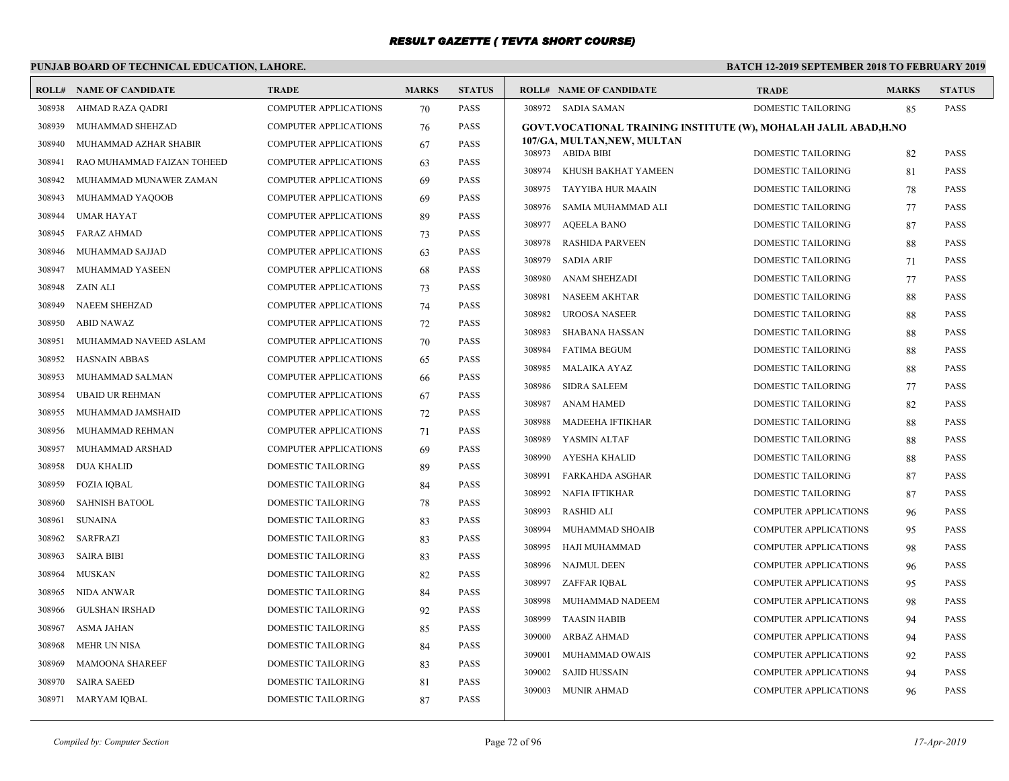# **PUNJAB BOARD OF TECHNICAL EDUCATION, LAHORE.**

| <b>ROLL#</b> | <b>NAME OF CANDIDATE</b>   | <b>TRADE</b>                 | <b>MARKS</b> | <b>STATUS</b> | <b>ROLL# NAME OF CANDIDATE</b>                                  | <b>TRADE</b>                 | <b>MARKS</b> | <b>STATUS</b> |
|--------------|----------------------------|------------------------------|--------------|---------------|-----------------------------------------------------------------|------------------------------|--------------|---------------|
| 308938       | AHMAD RAZA QADRI           | <b>COMPUTER APPLICATIONS</b> | 70           | <b>PASS</b>   | 308972 SADIA SAMAN                                              | DOMESTIC TAILORING           | 85           | <b>PASS</b>   |
| 308939       | MUHAMMAD SHEHZAD           | <b>COMPUTER APPLICATIONS</b> | 76           | <b>PASS</b>   | GOVT.VOCATIONAL TRAINING INSTITUTE (W), MOHALAH JALIL ABAD,H.NO |                              |              |               |
| 308940       | MUHAMMAD AZHAR SHABIR      | <b>COMPUTER APPLICATIONS</b> | 67           | <b>PASS</b>   | 107/GA, MULTAN, NEW, MULTAN<br>308973 ABIDA BIBI                | <b>DOMESTIC TAILORING</b>    |              | <b>PASS</b>   |
| 308941       | RAO MUHAMMAD FAIZAN TOHEED | <b>COMPUTER APPLICATIONS</b> | 63           | <b>PASS</b>   | 308974 KHUSH BAKHAT YAMEEN                                      | <b>DOMESTIC TAILORING</b>    | 82           | <b>PASS</b>   |
| 308942       | MUHAMMAD MUNAWER ZAMAN     | <b>COMPUTER APPLICATIONS</b> | 69           | <b>PASS</b>   |                                                                 |                              | 81           | <b>PASS</b>   |
| 308943       | MUHAMMAD YAQOOB            | <b>COMPUTER APPLICATIONS</b> | 69           | <b>PASS</b>   | 308975<br>TAYYIBA HUR MAAIN                                     | <b>DOMESTIC TAILORING</b>    | 78           |               |
| 308944       | <b>UMAR HAYAT</b>          | <b>COMPUTER APPLICATIONS</b> | 89           | <b>PASS</b>   | 308976<br>SAMIA MUHAMMAD ALI                                    | DOMESTIC TAILORING           | 77           | <b>PASS</b>   |
| 308945       | FARAZ AHMAD                | COMPUTER APPLICATIONS        | 73           | <b>PASS</b>   | AQEELA BANO<br>308977                                           | <b>DOMESTIC TAILORING</b>    | 87           | <b>PASS</b>   |
| 308946       | MUHAMMAD SAJJAD            | <b>COMPUTER APPLICATIONS</b> | 63           | <b>PASS</b>   | 308978<br>RASHIDA PARVEEN                                       | <b>DOMESTIC TAILORING</b>    | 88           | <b>PASS</b>   |
| 308947       | MUHAMMAD YASEEN            | <b>COMPUTER APPLICATIONS</b> | 68           | <b>PASS</b>   | 308979<br><b>SADIA ARIF</b>                                     | DOMESTIC TAILORING           | 71           | <b>PASS</b>   |
| 308948       | ZAIN ALI                   | <b>COMPUTER APPLICATIONS</b> | 73           | <b>PASS</b>   | 308980<br>ANAM SHEHZADI                                         | DOMESTIC TAILORING           | 77           | <b>PASS</b>   |
| 308949       | <b>NAEEM SHEHZAD</b>       | COMPUTER APPLICATIONS        | 74           | <b>PASS</b>   | 308981<br>NASEEM AKHTAR                                         | <b>DOMESTIC TAILORING</b>    | 88           | <b>PASS</b>   |
| 308950       | ABID NAWAZ                 | <b>COMPUTER APPLICATIONS</b> | 72           | <b>PASS</b>   | 308982<br>UROOSA NASEER                                         | <b>DOMESTIC TAILORING</b>    | 88           | <b>PASS</b>   |
| 308951       | MUHAMMAD NAVEED ASLAM      | <b>COMPUTER APPLICATIONS</b> | 70           | <b>PASS</b>   | 308983<br>SHABANA HASSAN                                        | DOMESTIC TAILORING           | 88           | <b>PASS</b>   |
| 308952       | HASNAIN ABBAS              | <b>COMPUTER APPLICATIONS</b> | 65           | <b>PASS</b>   | <b>FATIMA BEGUM</b><br>308984                                   | <b>DOMESTIC TAILORING</b>    | 88           | <b>PASS</b>   |
| 308953       | MUHAMMAD SALMAN            | <b>COMPUTER APPLICATIONS</b> | 66           | <b>PASS</b>   | 308985<br>MALAIKA AYAZ                                          | <b>DOMESTIC TAILORING</b>    | 88           | <b>PASS</b>   |
| 308954       | <b>UBAID UR REHMAN</b>     | <b>COMPUTER APPLICATIONS</b> | 67           | <b>PASS</b>   | 308986<br><b>SIDRA SALEEM</b>                                   | <b>DOMESTIC TAILORING</b>    | 77           | <b>PASS</b>   |
| 308955       | MUHAMMAD JAMSHAID          | <b>COMPUTER APPLICATIONS</b> | 72           | <b>PASS</b>   | <b>ANAM HAMED</b><br>308987                                     | DOMESTIC TAILORING           | 82           | <b>PASS</b>   |
| 308956       | MUHAMMAD REHMAN            | COMPUTER APPLICATIONS        | 71           | <b>PASS</b>   | 308988<br>MADEEHA IFTIKHAR                                      | <b>DOMESTIC TAILORING</b>    | 88           | <b>PASS</b>   |
| 308957       | MUHAMMAD ARSHAD            | <b>COMPUTER APPLICATIONS</b> | 69           | <b>PASS</b>   | 308989<br>YASMIN ALTAF                                          | <b>DOMESTIC TAILORING</b>    | 88           | <b>PASS</b>   |
| 308958       | DUA KHALID                 | DOMESTIC TAILORING           | 89           | <b>PASS</b>   | 308990<br>AYESHA KHALID                                         | DOMESTIC TAILORING           | 88           | <b>PASS</b>   |
| 308959       | <b>FOZIA IQBAL</b>         | DOMESTIC TAILORING           | 84           | <b>PASS</b>   | 308991<br>FARKAHDA ASGHAR                                       | DOMESTIC TAILORING           | 87           | <b>PASS</b>   |
| 308960       | <b>SAHNISH BATOOL</b>      | DOMESTIC TAILORING           | 78           | <b>PASS</b>   | NAFIA IFTIKHAR<br>308992                                        | <b>DOMESTIC TAILORING</b>    | 87           | <b>PASS</b>   |
| 308961       | <b>SUNAINA</b>             | DOMESTIC TAILORING           | 83           | <b>PASS</b>   | <b>RASHID ALI</b><br>308993                                     | <b>COMPUTER APPLICATIONS</b> | 96           | <b>PASS</b>   |
| 308962       | <b>SARFRAZI</b>            | DOMESTIC TAILORING           | 83           | <b>PASS</b>   | 308994<br>MUHAMMAD SHOAIB                                       | <b>COMPUTER APPLICATIONS</b> | 95           | <b>PASS</b>   |
| 308963       | <b>SAIRA BIBI</b>          | DOMESTIC TAILORING           | 83           | <b>PASS</b>   | 308995<br>HAJI MUHAMMAD                                         | <b>COMPUTER APPLICATIONS</b> | 98           | <b>PASS</b>   |
| 308964       | MUSKAN                     | DOMESTIC TAILORING           | 82           | <b>PASS</b>   | 308996<br>NAJMUL DEEN                                           | <b>COMPUTER APPLICATIONS</b> | 96           | <b>PASS</b>   |
| 308965       | NIDA ANWAR                 | DOMESTIC TAILORING           | 84           | <b>PASS</b>   | 308997<br>ZAFFAR IQBAL                                          | COMPUTER APPLICATIONS        | 95           | <b>PASS</b>   |
| 308966       | <b>GULSHAN IRSHAD</b>      | DOMESTIC TAILORING           | 92           | <b>PASS</b>   | 308998<br>MUHAMMAD NADEEM                                       | <b>COMPUTER APPLICATIONS</b> | 98           | <b>PASS</b>   |
| 308967       | ASMA JAHAN                 | DOMESTIC TAILORING           | 85           | <b>PASS</b>   | 308999<br><b>TAASIN HABIB</b>                                   | <b>COMPUTER APPLICATIONS</b> | 94           | <b>PASS</b>   |
| 308968       | MEHR UN NISA               | DOMESTIC TAILORING           | 84           | <b>PASS</b>   | 309000<br>ARBAZ AHMAD                                           | <b>COMPUTER APPLICATIONS</b> | 94           | <b>PASS</b>   |
| 308969       | <b>MAMOONA SHAREEF</b>     | DOMESTIC TAILORING           | 83           | <b>PASS</b>   | 309001<br>MUHAMMAD OWAIS                                        | <b>COMPUTER APPLICATIONS</b> | 92           | <b>PASS</b>   |
| 308970       | <b>SAIRA SAEED</b>         | <b>DOMESTIC TAILORING</b>    | 81           | <b>PASS</b>   | 309002<br>SAJID HUSSAIN                                         | <b>COMPUTER APPLICATIONS</b> | 94           | <b>PASS</b>   |
|              | 308971 MARYAM IQBAL        | <b>DOMESTIC TAILORING</b>    | 87           | <b>PASS</b>   | 309003<br><b>MUNIR AHMAD</b>                                    | <b>COMPUTER APPLICATIONS</b> | 96           | <b>PASS</b>   |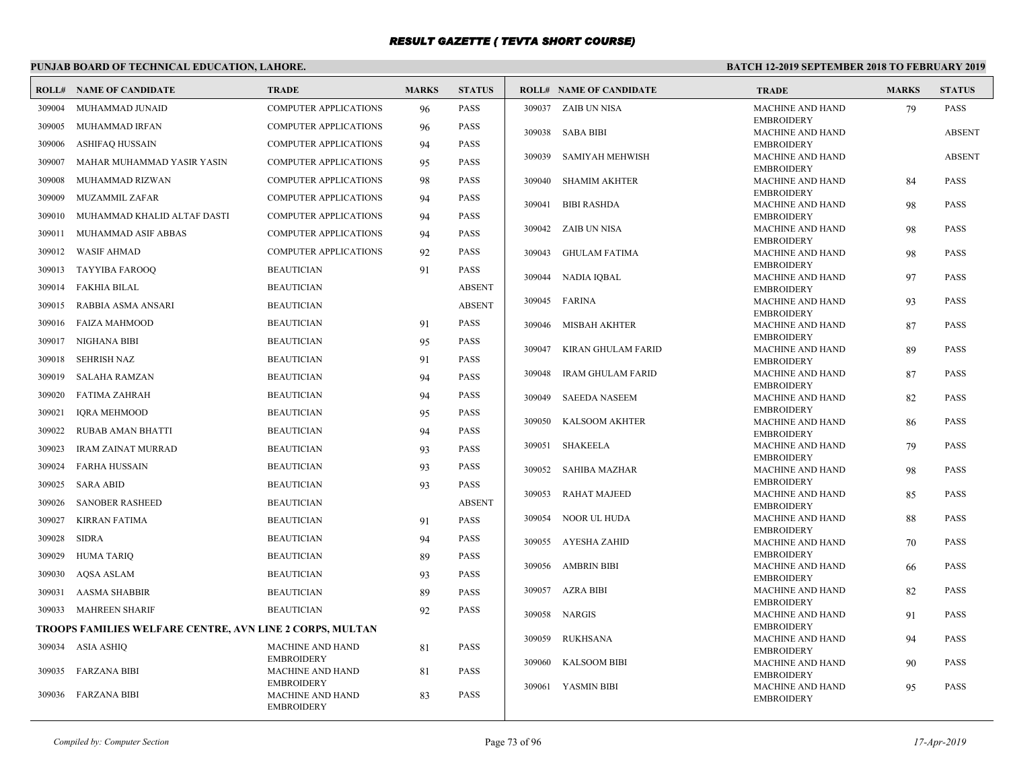# **PUNJAB BOARD OF TECHNICAL EDUCATION, LAHORE.**

|        | <b>ROLL# NAME OF CANDIDATE</b>                           | <b>TRADE</b>                                 | <b>MARKS</b> | <b>STATUS</b> |        | <b>ROLL# NAME OF CANDIDATE</b> | <b>TRADE</b>                                 | <b>MARKS</b> | <b>STATUS</b> |
|--------|----------------------------------------------------------|----------------------------------------------|--------------|---------------|--------|--------------------------------|----------------------------------------------|--------------|---------------|
| 309004 | MUHAMMAD JUNAID                                          | <b>COMPUTER APPLICATIONS</b>                 | 96           | <b>PASS</b>   |        | 309037 ZAIB UN NISA            | <b>MACHINE AND HAND</b>                      | 79           | <b>PASS</b>   |
| 309005 | MUHAMMAD IRFAN                                           | <b>COMPUTER APPLICATIONS</b>                 | 96           | <b>PASS</b>   |        |                                | <b>EMBROIDERY</b>                            |              |               |
| 309006 | ASHIFAQ HUSSAIN                                          | COMPUTER APPLICATIONS                        | 94           | <b>PASS</b>   |        | 309038 SABA BIBI               | <b>MACHINE AND HAND</b><br><b>EMBROIDERY</b> |              | <b>ABSENT</b> |
| 309007 | MAHAR MUHAMMAD YASIR YASIN                               | <b>COMPUTER APPLICATIONS</b>                 | 95           | <b>PASS</b>   | 309039 | <b>SAMIYAH MEHWISH</b>         | <b>MACHINE AND HAND</b>                      |              | <b>ABSENT</b> |
|        |                                                          |                                              |              |               |        |                                | <b>EMBROIDERY</b>                            |              |               |
| 309008 | MUHAMMAD RIZWAN                                          | <b>COMPUTER APPLICATIONS</b>                 | 98           | <b>PASS</b>   | 309040 | <b>SHAMIM AKHTER</b>           | <b>MACHINE AND HAND</b><br><b>EMBROIDERY</b> | 84           | PASS          |
| 309009 | <b>MUZAMMIL ZAFAR</b>                                    | <b>COMPUTER APPLICATIONS</b>                 | 94           | <b>PASS</b>   | 309041 | <b>BIBI RASHDA</b>             | <b>MACHINE AND HAND</b>                      | 98           | <b>PASS</b>   |
| 309010 | MUHAMMAD KHALID ALTAF DASTI                              | <b>COMPUTER APPLICATIONS</b>                 | 94           | <b>PASS</b>   |        |                                | <b>EMBROIDERY</b>                            |              |               |
| 309011 | MUHAMMAD ASIF ABBAS                                      | <b>COMPUTER APPLICATIONS</b>                 | 94           | <b>PASS</b>   |        | 309042 ZAIB UN NISA            | <b>MACHINE AND HAND</b><br><b>EMBROIDERY</b> | 98           | <b>PASS</b>   |
| 309012 | WASIF AHMAD                                              | <b>COMPUTER APPLICATIONS</b>                 | 92           | <b>PASS</b>   | 309043 | <b>GHULAM FATIMA</b>           | MACHINE AND HAND                             | 98           | PASS          |
| 309013 | TAYYIBA FAROOQ                                           | <b>BEAUTICIAN</b>                            | 91           | <b>PASS</b>   |        |                                | <b>EMBROIDERY</b>                            |              |               |
| 309014 | FAKHIA BILAL                                             | <b>BEAUTICIAN</b>                            |              | <b>ABSENT</b> |        | 309044 NADIA IOBAL             | <b>MACHINE AND HAND</b><br><b>EMBROIDERY</b> | 97           | <b>PASS</b>   |
| 309015 | RABBIA ASMA ANSARI                                       | <b>BEAUTICIAN</b>                            |              | <b>ABSENT</b> | 309045 | FARINA                         | <b>MACHINE AND HAND</b>                      | 93           | <b>PASS</b>   |
| 309016 | FAIZA MAHMOOD                                            | <b>BEAUTICIAN</b>                            | 91           | <b>PASS</b>   |        |                                | <b>EMBROIDERY</b>                            |              |               |
|        |                                                          |                                              |              |               | 309046 | MISBAH AKHTER                  | <b>MACHINE AND HAND</b><br><b>EMBROIDERY</b> | 87           | <b>PASS</b>   |
| 309017 | NIGHANA BIBI                                             | <b>BEAUTICIAN</b>                            | 95           | PASS          | 309047 | KIRAN GHULAM FARID             | <b>MACHINE AND HAND</b>                      | 89           | <b>PASS</b>   |
| 309018 | SEHRISH NAZ                                              | <b>BEAUTICIAN</b>                            | 91           | <b>PASS</b>   |        |                                | <b>EMBROIDERY</b>                            |              |               |
| 309019 | SALAHA RAMZAN                                            | <b>BEAUTICIAN</b>                            | 94           | <b>PASS</b>   | 309048 | <b>IRAM GHULAM FARID</b>       | <b>MACHINE AND HAND</b><br><b>EMBROIDERY</b> | 87           | <b>PASS</b>   |
|        | 309020 FATIMA ZAHRAH                                     | <b>BEAUTICIAN</b>                            | 94           | <b>PASS</b>   | 309049 | <b>SAEEDA NASEEM</b>           | <b>MACHINE AND HAND</b>                      | 82           | <b>PASS</b>   |
| 309021 | <b>IQRA MEHMOOD</b>                                      | <b>BEAUTICIAN</b>                            | 95           | <b>PASS</b>   |        |                                | <b>EMBROIDERY</b>                            |              |               |
| 309022 | RUBAB AMAN BHATTI                                        | <b>BEAUTICIAN</b>                            | 94           | <b>PASS</b>   |        | 309050 KALSOOM AKHTER          | MACHINE AND HAND<br><b>EMBROIDERY</b>        | 86           | PASS          |
| 309023 | <b>IRAM ZAINAT MURRAD</b>                                | <b>BEAUTICIAN</b>                            | 93           | <b>PASS</b>   | 309051 | SHAKEELA                       | <b>MACHINE AND HAND</b>                      | 79           | <b>PASS</b>   |
| 309024 | FARHA HUSSAIN                                            | <b>BEAUTICIAN</b>                            | 93           | <b>PASS</b>   |        |                                | <b>EMBROIDERY</b>                            |              |               |
|        |                                                          |                                              |              | <b>PASS</b>   | 309052 | <b>SAHIBA MAZHAR</b>           | MACHINE AND HAND<br><b>EMBROIDERY</b>        | 98           | <b>PASS</b>   |
| 309025 | <b>SARA ABID</b>                                         | <b>BEAUTICIAN</b>                            | 93           |               | 309053 | RAHAT MAJEED                   | <b>MACHINE AND HAND</b>                      | 85           | <b>PASS</b>   |
| 309026 | <b>SANOBER RASHEED</b>                                   | <b>BEAUTICIAN</b>                            |              | <b>ABSENT</b> |        |                                | <b>EMBROIDERY</b>                            |              |               |
| 309027 | <b>KIRRAN FATIMA</b>                                     | <b>BEAUTICIAN</b>                            | 91           | <b>PASS</b>   | 309054 | NOOR UL HUDA                   | <b>MACHINE AND HAND</b><br><b>EMBROIDERY</b> | 88           | <b>PASS</b>   |
| 309028 | <b>SIDRA</b>                                             | <b>BEAUTICIAN</b>                            | 94           | <b>PASS</b>   | 309055 | AYESHA ZAHID                   | <b>MACHINE AND HAND</b>                      | 70           | <b>PASS</b>   |
| 309029 | HUMA TARIQ                                               | <b>BEAUTICIAN</b>                            | 89           | PASS          |        |                                | <b>EMBROIDERY</b>                            |              |               |
| 309030 | <b>AQSA ASLAM</b>                                        | <b>BEAUTICIAN</b>                            | 93           | <b>PASS</b>   |        | 309056 AMBRIN BIBI             | MACHINE AND HAND<br><b>EMBROIDERY</b>        | 66           | PASS          |
| 309031 | <b>AASMA SHABBIR</b>                                     | <b>BEAUTICIAN</b>                            | 89           | PASS          |        | 309057 AZRA BIBI               | <b>MACHINE AND HAND</b>                      | 82           | <b>PASS</b>   |
|        | 309033 MAHREEN SHARIF                                    | <b>BEAUTICIAN</b>                            | 92           | <b>PASS</b>   |        |                                | <b>EMBROIDERY</b>                            |              |               |
|        | TROOPS FAMILIES WELFARE CENTRE, AVN LINE 2 CORPS, MULTAN |                                              |              |               |        | 309058 NARGIS                  | <b>MACHINE AND HAND</b><br><b>EMBROIDERY</b> | 91           | <b>PASS</b>   |
|        |                                                          |                                              |              |               | 309059 | <b>RUKHSANA</b>                | MACHINE AND HAND                             | 94           | PASS          |
|        | 309034 ASIA ASHIQ                                        | <b>MACHINE AND HAND</b><br><b>EMBROIDERY</b> | 81           | <b>PASS</b>   |        |                                | <b>EMBROIDERY</b>                            |              |               |
| 309035 | FARZANA BIBI                                             | <b>MACHINE AND HAND</b>                      | 81           | <b>PASS</b>   | 309060 | <b>KALSOOM BIBI</b>            | <b>MACHINE AND HAND</b><br><b>EMBROIDERY</b> | 90           | <b>PASS</b>   |
|        |                                                          | <b>EMBROIDERY</b>                            |              |               | 309061 | YASMIN BIBI                    | <b>MACHINE AND HAND</b>                      | 95           | <b>PASS</b>   |
|        | 309036 FARZANA BIBI                                      | MACHINE AND HAND<br><b>EMBROIDERY</b>        | 83           | <b>PASS</b>   |        |                                | <b>EMBROIDERY</b>                            |              |               |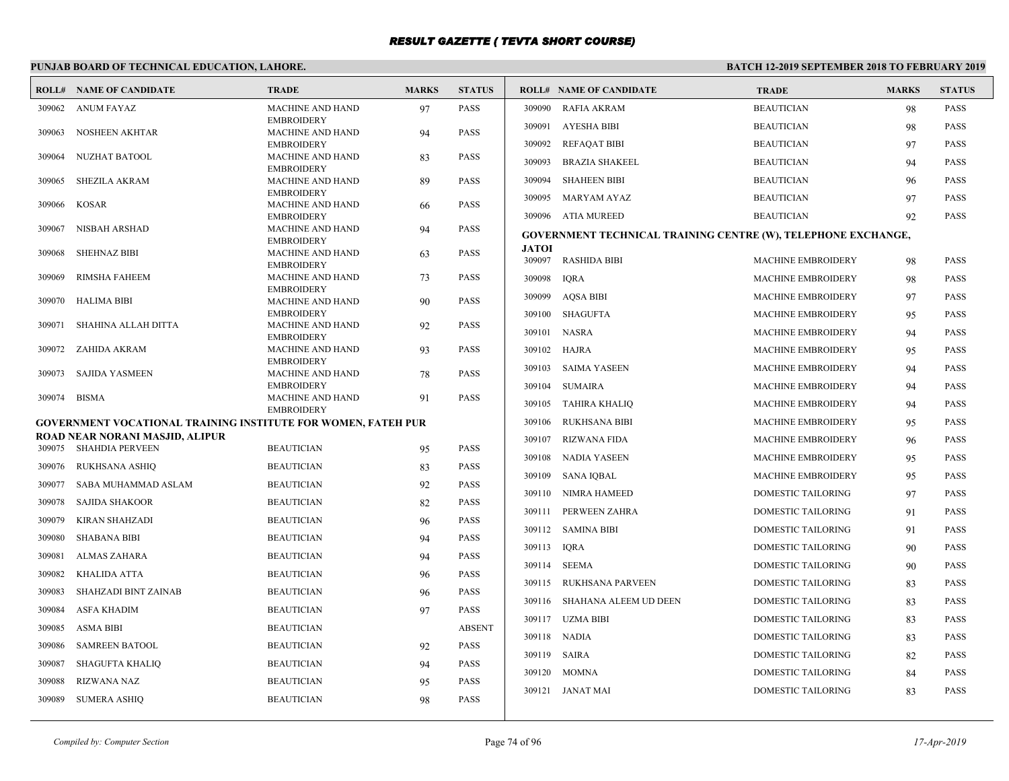# **PUNJAB BOARD OF TECHNICAL EDUCATION, LAHORE.**

|        | <b>ROLL# NAME OF CANDIDATE</b>                                       | <b>TRADE</b>                                 | <b>MARKS</b> | <b>STATUS</b> |                        | <b>ROLL# NAME OF CANDIDATE</b>                                | <b>TRADE</b>              | <b>MARKS</b> | <b>STATUS</b> |
|--------|----------------------------------------------------------------------|----------------------------------------------|--------------|---------------|------------------------|---------------------------------------------------------------|---------------------------|--------------|---------------|
| 309062 | <b>ANUM FAYAZ</b>                                                    | <b>MACHINE AND HAND</b>                      | 97           | <b>PASS</b>   | 309090                 | RAFIA AKRAM                                                   | <b>BEAUTICIAN</b>         | 98           | <b>PASS</b>   |
| 309063 | <b>NOSHEEN AKHTAR</b>                                                | <b>EMBROIDERY</b><br><b>MACHINE AND HAND</b> | 94           | <b>PASS</b>   |                        | 309091 AYESHA BIBI                                            | <b>BEAUTICIAN</b>         | 98           | <b>PASS</b>   |
|        |                                                                      | <b>EMBROIDERY</b>                            |              |               | 309092                 | <b>REFAQAT BIBI</b>                                           | <b>BEAUTICIAN</b>         | 97           | <b>PASS</b>   |
| 309064 | NUZHAT BATOOL                                                        | <b>MACHINE AND HAND</b><br><b>EMBROIDERY</b> | 83           | <b>PASS</b>   | 309093                 | <b>BRAZIA SHAKEEL</b>                                         | <b>BEAUTICIAN</b>         | 94           | <b>PASS</b>   |
| 309065 | <b>SHEZILA AKRAM</b>                                                 | <b>MACHINE AND HAND</b>                      | 89           | <b>PASS</b>   | 309094                 | <b>SHAHEEN BIBI</b>                                           | <b>BEAUTICIAN</b>         | 96           | PASS          |
| 309066 | KOSAR                                                                | <b>EMBROIDERY</b><br><b>MACHINE AND HAND</b> | 66           | <b>PASS</b>   | 309095                 | MARYAM AYAZ                                                   | <b>BEAUTICIAN</b>         | 97           | <b>PASS</b>   |
|        |                                                                      | <b>EMBROIDERY</b>                            |              |               |                        | 309096 ATIA MUREED                                            | <b>BEAUTICIAN</b>         | 92           | <b>PASS</b>   |
| 309067 | NISBAH ARSHAD                                                        | <b>MACHINE AND HAND</b><br><b>EMBROIDERY</b> | 94           | <b>PASS</b>   |                        | GOVERNMENT TECHNICAL TRAINING CENTRE (W), TELEPHONE EXCHANGE, |                           |              |               |
| 309068 | <b>SHEHNAZ BIBI</b>                                                  | <b>MACHINE AND HAND</b><br><b>EMBROIDERY</b> | 63           | <b>PASS</b>   | <b>JATOI</b><br>309097 | <b>RASHIDA BIBI</b>                                           | MACHINE EMBROIDERY        | 98           | <b>PASS</b>   |
| 309069 | <b>RIMSHA FAHEEM</b>                                                 | <b>MACHINE AND HAND</b>                      | 73           | <b>PASS</b>   | 309098                 | <b>IORA</b>                                                   | <b>MACHINE EMBROIDERY</b> | 98           | <b>PASS</b>   |
| 309070 | <b>HALIMA BIBI</b>                                                   | <b>EMBROIDERY</b><br><b>MACHINE AND HAND</b> |              | <b>PASS</b>   |                        | 309099 AQSA BIBI                                              | <b>MACHINE EMBROIDERY</b> | 97           | <b>PASS</b>   |
|        |                                                                      | <b>EMBROIDERY</b>                            | 90           |               | 309100                 | SHAGUFTA                                                      | <b>MACHINE EMBROIDERY</b> | 95           | <b>PASS</b>   |
| 309071 | SHAHINA ALLAH DITTA                                                  | <b>MACHINE AND HAND</b><br><b>EMBROIDERY</b> | 92           | <b>PASS</b>   |                        | 309101 NASRA                                                  | <b>MACHINE EMBROIDERY</b> | 94           | <b>PASS</b>   |
| 309072 | ZAHIDA AKRAM                                                         | <b>MACHINE AND HAND</b>                      | 93           | <b>PASS</b>   | 309102                 | <b>HAJRA</b>                                                  | MACHINE EMBROIDERY        | 95           | PASS          |
| 309073 | SAJIDA YASMEEN                                                       | <b>EMBROIDERY</b><br><b>MACHINE AND HAND</b> | 78           | <b>PASS</b>   | 309103                 | SAIMA YASEEN                                                  | <b>MACHINE EMBROIDERY</b> | 94           | <b>PASS</b>   |
|        |                                                                      | <b>EMBROIDERY</b>                            |              |               | 309104                 | <b>SUMAIRA</b>                                                | <b>MACHINE EMBROIDERY</b> | 94           | <b>PASS</b>   |
| 309074 | <b>BISMA</b>                                                         | <b>MACHINE AND HAND</b><br><b>EMBROIDERY</b> | 91           | <b>PASS</b>   | 309105                 | TAHIRA KHALIO                                                 | MACHINE EMBROIDERY        | 94           | <b>PASS</b>   |
|        | <b>GOVERNMENT VOCATIONAL TRAINING INSTITUTE FOR WOMEN, FATEH PUR</b> |                                              |              |               | 309106                 | RUKHSANA BIBI                                                 | <b>MACHINE EMBROIDERY</b> | 95           | <b>PASS</b>   |
|        | ROAD NEAR NORANI MASJID, ALIPUR<br>309075 SHAHDIA PERVEEN            | <b>BEAUTICIAN</b>                            | 95           | <b>PASS</b>   | 309107                 | RIZWANA FIDA                                                  | MACHINE EMBROIDERY        | 96           | <b>PASS</b>   |
| 309076 | RUKHSANA ASHIQ                                                       | <b>BEAUTICIAN</b>                            | 83           | <b>PASS</b>   | 309108                 | NADIA YASEEN                                                  | <b>MACHINE EMBROIDERY</b> | 95           | <b>PASS</b>   |
| 309077 | SABA MUHAMMAD ASLAM                                                  | <b>BEAUTICIAN</b>                            | 92           | <b>PASS</b>   |                        | 309109 SANA IOBAL                                             | <b>MACHINE EMBROIDERY</b> | 95           | <b>PASS</b>   |
| 309078 | <b>SAJIDA SHAKOOR</b>                                                | <b>BEAUTICIAN</b>                            | 82           | <b>PASS</b>   |                        | 309110 NIMRA HAMEED                                           | DOMESTIC TAILORING        | 97           | <b>PASS</b>   |
| 309079 | <b>KIRAN SHAHZADI</b>                                                | <b>BEAUTICIAN</b>                            | 96           | <b>PASS</b>   |                        | 309111 PERWEEN ZAHRA                                          | DOMESTIC TAILORING        | 91           | <b>PASS</b>   |
| 309080 | <b>SHABANA BIBI</b>                                                  | <b>BEAUTICIAN</b>                            | 94           | <b>PASS</b>   |                        | 309112 SAMINA BIBI                                            | <b>DOMESTIC TAILORING</b> | 91           | <b>PASS</b>   |
| 309081 | <b>ALMAS ZAHARA</b>                                                  | <b>BEAUTICIAN</b>                            | 94           | <b>PASS</b>   | 309113 IQRA            |                                                               | DOMESTIC TAILORING        | 90           | <b>PASS</b>   |
| 309082 | KHALIDA ATTA                                                         | <b>BEAUTICIAN</b>                            | 96           | <b>PASS</b>   | 309114                 | SEEMA                                                         | DOMESTIC TAILORING        | 90           | <b>PASS</b>   |
| 309083 | <b>SHAHZADI BINT ZAINAB</b>                                          | <b>BEAUTICIAN</b>                            | 96           | <b>PASS</b>   | 309115                 | RUKHSANA PARVEEN                                              | DOMESTIC TAILORING        | 83           | <b>PASS</b>   |
| 309084 | <b>ASFA KHADIM</b>                                                   | <b>BEAUTICIAN</b>                            | 97           | <b>PASS</b>   |                        | 309116 SHAHANA ALEEM UD DEEN                                  | <b>DOMESTIC TAILORING</b> | 83           | <b>PASS</b>   |
| 309085 | <b>ASMA BIBI</b>                                                     | <b>BEAUTICIAN</b>                            |              | <b>ABSENT</b> |                        | 309117 UZMA BIBI                                              | DOMESTIC TAILORING        | 83           | PASS          |
| 309086 | <b>SAMREEN BATOOL</b>                                                | <b>BEAUTICIAN</b>                            | 92           | <b>PASS</b>   |                        | 309118 NADIA                                                  | <b>DOMESTIC TAILORING</b> | 83           | <b>PASS</b>   |
| 309087 | <b>SHAGUFTA KHALIQ</b>                                               | <b>BEAUTICIAN</b>                            | 94           | PASS          |                        | 309119 SAIRA                                                  | DOMESTIC TAILORING        | 82           | <b>PASS</b>   |
| 309088 | <b>RIZWANA NAZ</b>                                                   | <b>BEAUTICIAN</b>                            |              | <b>PASS</b>   | 309120                 | MOMNA                                                         | <b>DOMESTIC TAILORING</b> | 84           | <b>PASS</b>   |
|        |                                                                      |                                              | 95           | <b>PASS</b>   |                        | 309121 JANAT MAI                                              | <b>DOMESTIC TAILORING</b> | 83           | <b>PASS</b>   |
| 309089 | <b>SUMERA ASHIQ</b>                                                  | <b>BEAUTICIAN</b>                            | 98           |               |                        |                                                               |                           |              |               |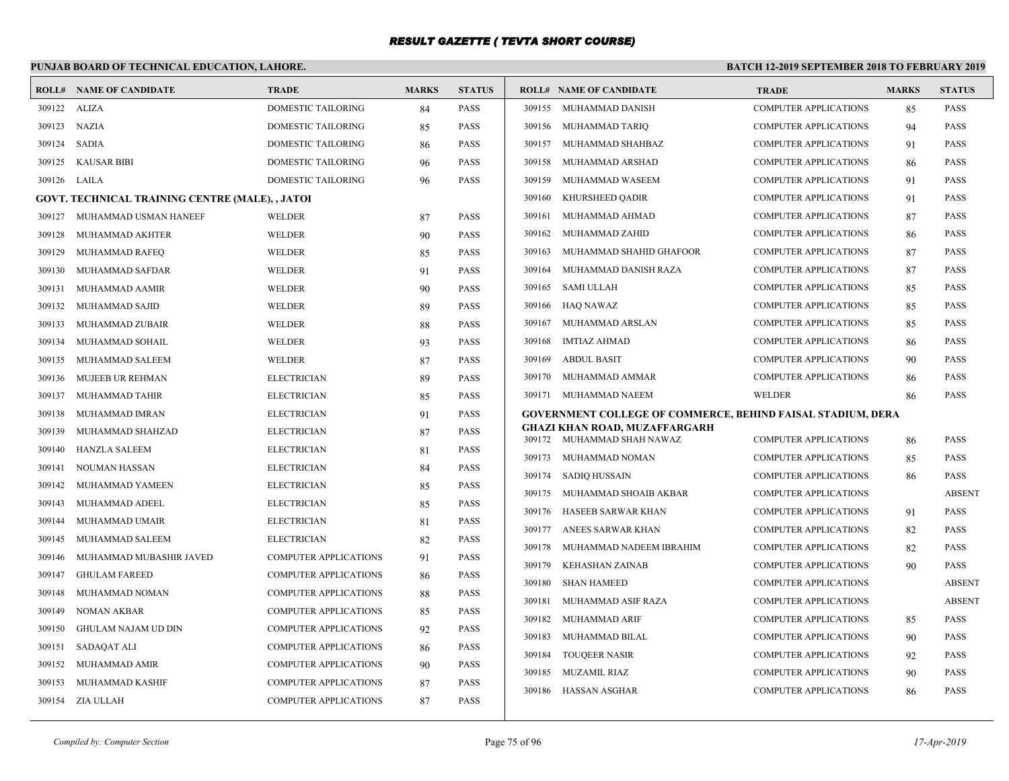# **PUNJAB BOARD OF TECHNICAL EDUCATION, LAHORE.**

| ROLL#        | <b>NAME OF CANDIDATE</b>                               | <b>TRADE</b>                 | <b>MARKS</b> | <b>STATUS</b> |        | <b>ROLL# NAME OF CANDIDATE</b>                                     | <b>TRADE</b>                 | <b>MARKS</b> | <b>STATUS</b> |
|--------------|--------------------------------------------------------|------------------------------|--------------|---------------|--------|--------------------------------------------------------------------|------------------------------|--------------|---------------|
| 309122 ALIZA |                                                        | DOMESTIC TAILORING           | 84           | <b>PASS</b>   |        | 309155 MUHAMMAD DANISH                                             | <b>COMPUTER APPLICATIONS</b> | 85           | <b>PASS</b>   |
| 309123 NAZIA |                                                        | DOMESTIC TAILORING           | 85           | <b>PASS</b>   |        | 309156 MUHAMMAD TARIQ                                              | <b>COMPUTER APPLICATIONS</b> | 94           | <b>PASS</b>   |
| 309124       | SADIA                                                  | DOMESTIC TAILORING           | 86           | <b>PASS</b>   | 309157 | MUHAMMAD SHAHBAZ                                                   | <b>COMPUTER APPLICATIONS</b> | 91           | <b>PASS</b>   |
| 309125       | KAUSAR BIBI                                            | DOMESTIC TAILORING           | 96           | <b>PASS</b>   | 309158 | MUHAMMAD ARSHAD                                                    | <b>COMPUTER APPLICATIONS</b> | 86           | <b>PASS</b>   |
| 309126 LAILA |                                                        | <b>DOMESTIC TAILORING</b>    | 96           | <b>PASS</b>   | 309159 | MUHAMMAD WASEEM                                                    | <b>COMPUTER APPLICATIONS</b> | 91           | <b>PASS</b>   |
|              | <b>GOVT. TECHNICAL TRAINING CENTRE (MALE), , JATOI</b> |                              |              |               | 309160 | KHURSHEED QADIR                                                    | <b>COMPUTER APPLICATIONS</b> | 91           | <b>PASS</b>   |
| 309127       | MUHAMMAD USMAN HANEEF                                  | <b>WELDER</b>                | 87           | <b>PASS</b>   | 309161 | MUHAMMAD AHMAD                                                     | <b>COMPUTER APPLICATIONS</b> | 87           | <b>PASS</b>   |
| 309128       | MUHAMMAD AKHTER                                        | <b>WELDER</b>                | 90           | <b>PASS</b>   | 309162 | MUHAMMAD ZAHID                                                     | <b>COMPUTER APPLICATIONS</b> | 86           | <b>PASS</b>   |
| 309129       | MUHAMMAD RAFEQ                                         | <b>WELDER</b>                | 85           | <b>PASS</b>   | 309163 | MUHAMMAD SHAHID GHAFOOR                                            | <b>COMPUTER APPLICATIONS</b> | 87           | <b>PASS</b>   |
| 309130       | MUHAMMAD SAFDAR                                        | <b>WELDER</b>                | 91           | <b>PASS</b>   | 309164 | MUHAMMAD DANISH RAZA                                               | <b>COMPUTER APPLICATIONS</b> | 87           | <b>PASS</b>   |
| 309131       | MUHAMMAD AAMIR                                         | <b>WELDER</b>                | 90           | <b>PASS</b>   | 309165 | <b>SAMI ULLAH</b>                                                  | <b>COMPUTER APPLICATIONS</b> | 85           | <b>PASS</b>   |
| 309132       | MUHAMMAD SAJID                                         | <b>WELDER</b>                | 89           | <b>PASS</b>   |        | 309166 HAQ NAWAZ                                                   | <b>COMPUTER APPLICATIONS</b> | 85           | <b>PASS</b>   |
| 309133       | MUHAMMAD ZUBAIR                                        | <b>WELDER</b>                | 88           | <b>PASS</b>   |        | 309167 MUHAMMAD ARSLAN                                             | <b>COMPUTER APPLICATIONS</b> | 85           | <b>PASS</b>   |
| 309134       | MUHAMMAD SOHAIL                                        | <b>WELDER</b>                | 93           | <b>PASS</b>   | 309168 | <b>IMTIAZ AHMAD</b>                                                | <b>COMPUTER APPLICATIONS</b> | 86           | <b>PASS</b>   |
| 309135       | MUHAMMAD SALEEM                                        | <b>WELDER</b>                | 87           | <b>PASS</b>   | 309169 | <b>ABDUL BASIT</b>                                                 | <b>COMPUTER APPLICATIONS</b> | 90           | <b>PASS</b>   |
| 309136       | MUJEEB UR REHMAN                                       | <b>ELECTRICIAN</b>           | 89           | <b>PASS</b>   | 309170 | MUHAMMAD AMMAR                                                     | <b>COMPUTER APPLICATIONS</b> | 86           | <b>PASS</b>   |
| 309137       | MUHAMMAD TAHIR                                         | <b>ELECTRICIAN</b>           | 85           | <b>PASS</b>   |        | 309171 MUHAMMAD NAEEM                                              | WELDER                       | 86           | <b>PASS</b>   |
| 309138       | MUHAMMAD IMRAN                                         | <b>ELECTRICIAN</b>           | 91           | <b>PASS</b>   |        | <b>GOVERNMENT COLLEGE OF COMMERCE, BEHIND FAISAL STADIUM, DERA</b> |                              |              |               |
| 309139       | MUHAMMAD SHAHZAD                                       | <b>ELECTRICIAN</b>           | 87           | <b>PASS</b>   |        | <b>GHAZI KHAN ROAD, MUZAFFARGARH</b><br>309172 MUHAMMAD SHAH NAWAZ | <b>COMPUTER APPLICATIONS</b> | 86           | <b>PASS</b>   |
| 309140       | HANZLA SALEEM                                          | <b>ELECTRICIAN</b>           | 81           | <b>PASS</b>   | 309173 | MUHAMMAD NOMAN                                                     | <b>COMPUTER APPLICATIONS</b> | 85           | <b>PASS</b>   |
| 309141       | NOUMAN HASSAN                                          | <b>ELECTRICIAN</b>           | 84           | <b>PASS</b>   | 309174 | <b>SADIQ HUSSAIN</b>                                               | <b>COMPUTER APPLICATIONS</b> | 86           | <b>PASS</b>   |
| 309142       | MUHAMMAD YAMEEN                                        | <b>ELECTRICIAN</b>           | 85           | <b>PASS</b>   | 309175 | MUHAMMAD SHOAIB AKBAR                                              | <b>COMPUTER APPLICATIONS</b> |              | <b>ABSENT</b> |
| 309143       | MUHAMMAD ADEEL                                         | <b>ELECTRICIAN</b>           | 85           | <b>PASS</b>   | 309176 | HASEEB SARWAR KHAN                                                 | <b>COMPUTER APPLICATIONS</b> | 91           | <b>PASS</b>   |
| 309144       | MUHAMMAD UMAIR                                         | <b>ELECTRICIAN</b>           | 81           | <b>PASS</b>   | 309177 | ANEES SARWAR KHAN                                                  | <b>COMPUTER APPLICATIONS</b> | 82           | <b>PASS</b>   |
| 309145       | MUHAMMAD SALEEM                                        | <b>ELECTRICIAN</b>           | 82           | <b>PASS</b>   | 309178 | MUHAMMAD NADEEM IBRAHIM                                            | <b>COMPUTER APPLICATIONS</b> | 82           | <b>PASS</b>   |
| 309146       | MUHAMMAD MUBASHIR JAVED                                | <b>COMPUTER APPLICATIONS</b> | 91           | <b>PASS</b>   | 309179 | KEHASHAN ZAINAB                                                    | <b>COMPUTER APPLICATIONS</b> | 90           | <b>PASS</b>   |
| 309147       | <b>GHULAM FAREED</b>                                   | <b>COMPUTER APPLICATIONS</b> | 86           | <b>PASS</b>   | 309180 | <b>SHAN HAMEED</b>                                                 | <b>COMPUTER APPLICATIONS</b> |              | <b>ABSENT</b> |
| 309148       | MUHAMMAD NOMAN                                         | COMPUTER APPLICATIONS        | 88           | <b>PASS</b>   | 309181 | MUHAMMAD ASIF RAZA                                                 | <b>COMPUTER APPLICATIONS</b> |              | <b>ABSENT</b> |
| 309149       | NOMAN AKBAR                                            | <b>COMPUTER APPLICATIONS</b> | 85           | <b>PASS</b>   | 309182 | MUHAMMAD ARIF                                                      | <b>COMPUTER APPLICATIONS</b> |              | <b>PASS</b>   |
| 309150       | GHULAM NAJAM UD DIN                                    | <b>COMPUTER APPLICATIONS</b> | 92           | <b>PASS</b>   | 309183 | MUHAMMAD BILAL                                                     | <b>COMPUTER APPLICATIONS</b> | 85           | <b>PASS</b>   |
| 309151       | SADAQAT ALI                                            | <b>COMPUTER APPLICATIONS</b> | 86           | <b>PASS</b>   | 309184 | <b>TOUQEER NASIR</b>                                               | <b>COMPUTER APPLICATIONS</b> | 90           | <b>PASS</b>   |
| 309152       | MUHAMMAD AMIR                                          | COMPUTER APPLICATIONS        | 90           | <b>PASS</b>   | 309185 | MUZAMIL RIAZ                                                       | <b>COMPUTER APPLICATIONS</b> | 92           | <b>PASS</b>   |
| 309153       | MUHAMMAD KASHIF                                        | <b>COMPUTER APPLICATIONS</b> | 87           | <b>PASS</b>   | 309186 | HASSAN ASGHAR                                                      | <b>COMPUTER APPLICATIONS</b> | 90           | <b>PASS</b>   |
|              | 309154 ZIA ULLAH                                       | COMPUTER APPLICATIONS        | 87           | <b>PASS</b>   |        |                                                                    |                              | 86           |               |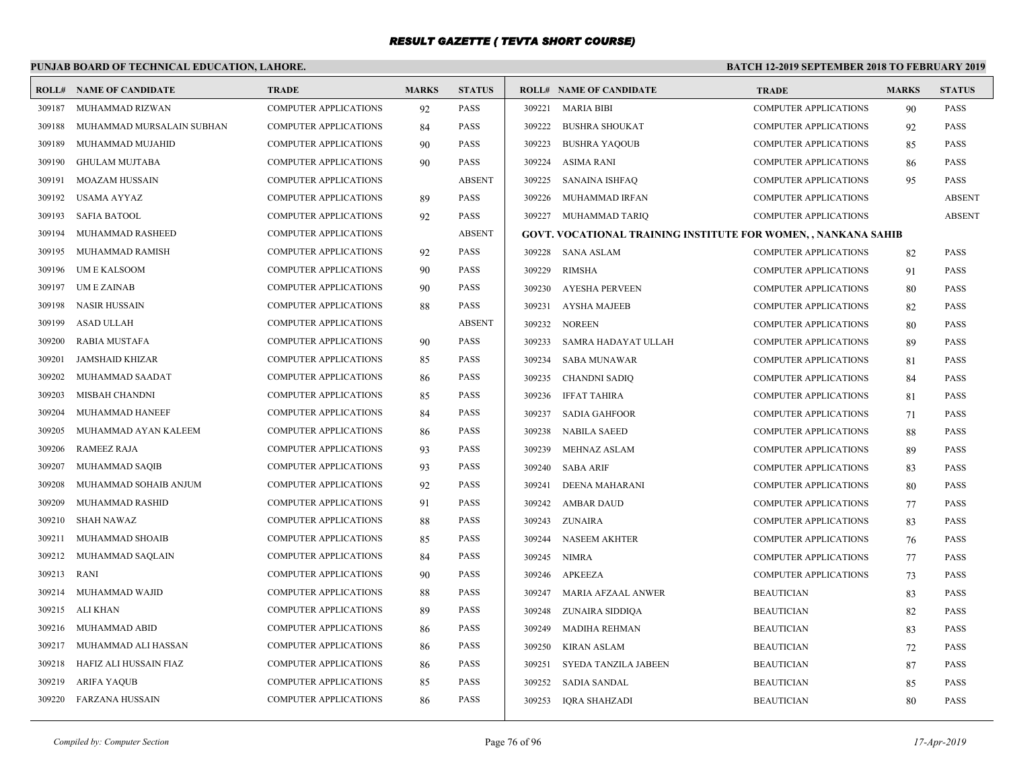# **PUNJAB BOARD OF TECHNICAL EDUCATION, LAHORE.**

|        | <b>ROLL# NAME OF CANDIDATE</b> | <b>TRADE</b>                 | <b>MARKS</b> | <b>STATUS</b> |        | <b>ROLL# NAME OF CANDIDATE</b>                                        | <b>TRADE</b>                 | <b>MARKS</b> | <b>STATUS</b> |
|--------|--------------------------------|------------------------------|--------------|---------------|--------|-----------------------------------------------------------------------|------------------------------|--------------|---------------|
| 309187 | MUHAMMAD RIZWAN                | <b>COMPUTER APPLICATIONS</b> | 92           | <b>PASS</b>   | 309221 | <b>MARIA BIBI</b>                                                     | <b>COMPUTER APPLICATIONS</b> | 90           | <b>PASS</b>   |
| 309188 | MUHAMMAD MURSALAIN SUBHAN      | <b>COMPUTER APPLICATIONS</b> | 84           | <b>PASS</b>   | 309222 | <b>BUSHRA SHOUKAT</b>                                                 | <b>COMPUTER APPLICATIONS</b> | 92           | <b>PASS</b>   |
| 309189 | MUHAMMAD MUJAHID               | <b>COMPUTER APPLICATIONS</b> | 90           | <b>PASS</b>   | 309223 | <b>BUSHRA YAQOUB</b>                                                  | <b>COMPUTER APPLICATIONS</b> | 85           | <b>PASS</b>   |
| 309190 | <b>GHULAM MUJTABA</b>          | <b>COMPUTER APPLICATIONS</b> | 90           | <b>PASS</b>   | 309224 | ASIMA RANI                                                            | <b>COMPUTER APPLICATIONS</b> | 86           | <b>PASS</b>   |
| 309191 | <b>MOAZAM HUSSAIN</b>          | <b>COMPUTER APPLICATIONS</b> |              | <b>ABSENT</b> | 309225 | SANAINA ISHFAQ                                                        | COMPUTER APPLICATIONS        | 95           | PASS          |
| 309192 | USAMA AYYAZ                    | <b>COMPUTER APPLICATIONS</b> | 89           | <b>PASS</b>   | 309226 | MUHAMMAD IRFAN                                                        | <b>COMPUTER APPLICATIONS</b> |              | <b>ABSENT</b> |
| 309193 | <b>SAFIA BATOOL</b>            | <b>COMPUTER APPLICATIONS</b> | 92           | <b>PASS</b>   |        | 309227 MUHAMMAD TARIQ                                                 | <b>COMPUTER APPLICATIONS</b> |              | <b>ABSENT</b> |
| 309194 | MUHAMMAD RASHEED               | <b>COMPUTER APPLICATIONS</b> |              | <b>ABSENT</b> |        | <b>GOVT. VOCATIONAL TRAINING INSTITUTE FOR WOMEN, , NANKANA SAHIB</b> |                              |              |               |
| 309195 | MUHAMMAD RAMISH                | <b>COMPUTER APPLICATIONS</b> | 92           | <b>PASS</b>   | 309228 | SANA ASLAM                                                            | <b>COMPUTER APPLICATIONS</b> | 82           | <b>PASS</b>   |
| 309196 | <b>UME KALSOOM</b>             | <b>COMPUTER APPLICATIONS</b> | 90           | <b>PASS</b>   | 309229 | <b>RIMSHA</b>                                                         | <b>COMPUTER APPLICATIONS</b> | 91           | <b>PASS</b>   |
| 309197 | <b>UMEZAINAB</b>               | <b>COMPUTER APPLICATIONS</b> | 90           | <b>PASS</b>   | 309230 | <b>AYESHA PERVEEN</b>                                                 | <b>COMPUTER APPLICATIONS</b> | 80           | <b>PASS</b>   |
| 309198 | NASIR HUSSAIN                  | <b>COMPUTER APPLICATIONS</b> | 88           | <b>PASS</b>   | 309231 | AYSHA MAJEEB                                                          | <b>COMPUTER APPLICATIONS</b> | 82           | <b>PASS</b>   |
| 309199 | <b>ASAD ULLAH</b>              | <b>COMPUTER APPLICATIONS</b> |              | <b>ABSENT</b> | 309232 | <b>NOREEN</b>                                                         | <b>COMPUTER APPLICATIONS</b> | 80           | <b>PASS</b>   |
| 309200 | RABIA MUSTAFA                  | <b>COMPUTER APPLICATIONS</b> | 90           | <b>PASS</b>   | 309233 | SAMRA HADAYAT ULLAH                                                   | <b>COMPUTER APPLICATIONS</b> | 89           | <b>PASS</b>   |
| 309201 | <b>JAMSHAID KHIZAR</b>         | <b>COMPUTER APPLICATIONS</b> | 85           | <b>PASS</b>   | 309234 | SABA MUNAWAR                                                          | COMPUTER APPLICATIONS        | 81           | <b>PASS</b>   |
| 309202 | MUHAMMAD SAADAT                | <b>COMPUTER APPLICATIONS</b> | 86           | <b>PASS</b>   | 309235 | <b>CHANDNI SADIQ</b>                                                  | <b>COMPUTER APPLICATIONS</b> | 84           | <b>PASS</b>   |
| 309203 | MISBAH CHANDNI                 | <b>COMPUTER APPLICATIONS</b> | 85           | <b>PASS</b>   | 309236 | <b>IFFAT TAHIRA</b>                                                   | <b>COMPUTER APPLICATIONS</b> | 81           | <b>PASS</b>   |
| 309204 | MUHAMMAD HANEEF                | <b>COMPUTER APPLICATIONS</b> | 84           | <b>PASS</b>   | 309237 | <b>SADIA GAHFOOR</b>                                                  | <b>COMPUTER APPLICATIONS</b> | 71           | <b>PASS</b>   |
| 309205 | MUHAMMAD AYAN KALEEM           | <b>COMPUTER APPLICATIONS</b> | 86           | <b>PASS</b>   | 309238 | <b>NABILA SAEED</b>                                                   | <b>COMPUTER APPLICATIONS</b> | 88           | <b>PASS</b>   |
| 309206 | <b>RAMEEZ RAJA</b>             | <b>COMPUTER APPLICATIONS</b> | 93           | <b>PASS</b>   | 309239 | MEHNAZ ASLAM                                                          | COMPUTER APPLICATIONS        | 89           | <b>PASS</b>   |
| 309207 | MUHAMMAD SAQIB                 | <b>COMPUTER APPLICATIONS</b> | 93           | <b>PASS</b>   | 309240 | <b>SABA ARIF</b>                                                      | <b>COMPUTER APPLICATIONS</b> | 83           | <b>PASS</b>   |
| 309208 | MUHAMMAD SOHAIB ANJUM          | <b>COMPUTER APPLICATIONS</b> | 92           | <b>PASS</b>   | 309241 | DEENA MAHARANI                                                        | <b>COMPUTER APPLICATIONS</b> | 80           | <b>PASS</b>   |
| 309209 | MUHAMMAD RASHID                | <b>COMPUTER APPLICATIONS</b> | 91           | <b>PASS</b>   | 309242 | <b>AMBAR DAUD</b>                                                     | <b>COMPUTER APPLICATIONS</b> | 77           | <b>PASS</b>   |
| 309210 | <b>SHAH NAWAZ</b>              | <b>COMPUTER APPLICATIONS</b> | 88           | <b>PASS</b>   | 309243 | ZUNAIRA                                                               | COMPUTER APPLICATIONS        | 83           | <b>PASS</b>   |
| 309211 | MUHAMMAD SHOAIB                | <b>COMPUTER APPLICATIONS</b> | 85           | <b>PASS</b>   | 309244 | <b>NASEEM AKHTER</b>                                                  | <b>COMPUTER APPLICATIONS</b> | 76           | <b>PASS</b>   |
| 309212 | MUHAMMAD SAQLAIN               | <b>COMPUTER APPLICATIONS</b> | 84           | <b>PASS</b>   | 309245 | <b>NIMRA</b>                                                          | COMPUTER APPLICATIONS        | 77           | <b>PASS</b>   |
| 309213 | RANI                           | <b>COMPUTER APPLICATIONS</b> | 90           | <b>PASS</b>   | 309246 | <b>APKEEZA</b>                                                        | <b>COMPUTER APPLICATIONS</b> | 73           | <b>PASS</b>   |
| 309214 | MUHAMMAD WAJID                 | <b>COMPUTER APPLICATIONS</b> | 88           | <b>PASS</b>   | 309247 | MARIA AFZAAL ANWER                                                    | <b>BEAUTICIAN</b>            | 83           | <b>PASS</b>   |
| 309215 | ALI KHAN                       | <b>COMPUTER APPLICATIONS</b> | 89           | <b>PASS</b>   | 309248 | ZUNAIRA SIDDIQA                                                       | <b>BEAUTICIAN</b>            | 82           | <b>PASS</b>   |
| 309216 | MUHAMMAD ABID                  | <b>COMPUTER APPLICATIONS</b> | 86           | <b>PASS</b>   | 309249 | <b>MADIHA REHMAN</b>                                                  | <b>BEAUTICIAN</b>            | 83           | <b>PASS</b>   |
| 309217 | MUHAMMAD ALI HASSAN            | <b>COMPUTER APPLICATIONS</b> | 86           | <b>PASS</b>   | 309250 | <b>KIRAN ASLAM</b>                                                    | <b>BEAUTICIAN</b>            | 72           | <b>PASS</b>   |
| 309218 | HAFIZ ALI HUSSAIN FIAZ         | <b>COMPUTER APPLICATIONS</b> | 86           | <b>PASS</b>   | 309251 | SYEDA TANZILA JABEEN                                                  | <b>BEAUTICIAN</b>            | 87           | <b>PASS</b>   |
| 309219 | <b>ARIFA YAQUB</b>             | <b>COMPUTER APPLICATIONS</b> | 85           | <b>PASS</b>   | 309252 | SADIA SANDAL                                                          | <b>BEAUTICIAN</b>            | 85           | <b>PASS</b>   |
| 309220 | FARZANA HUSSAIN                | <b>COMPUTER APPLICATIONS</b> | 86           | <b>PASS</b>   | 309253 | IORA SHAHZADI                                                         | <b>BEAUTICIAN</b>            | 80           | <b>PASS</b>   |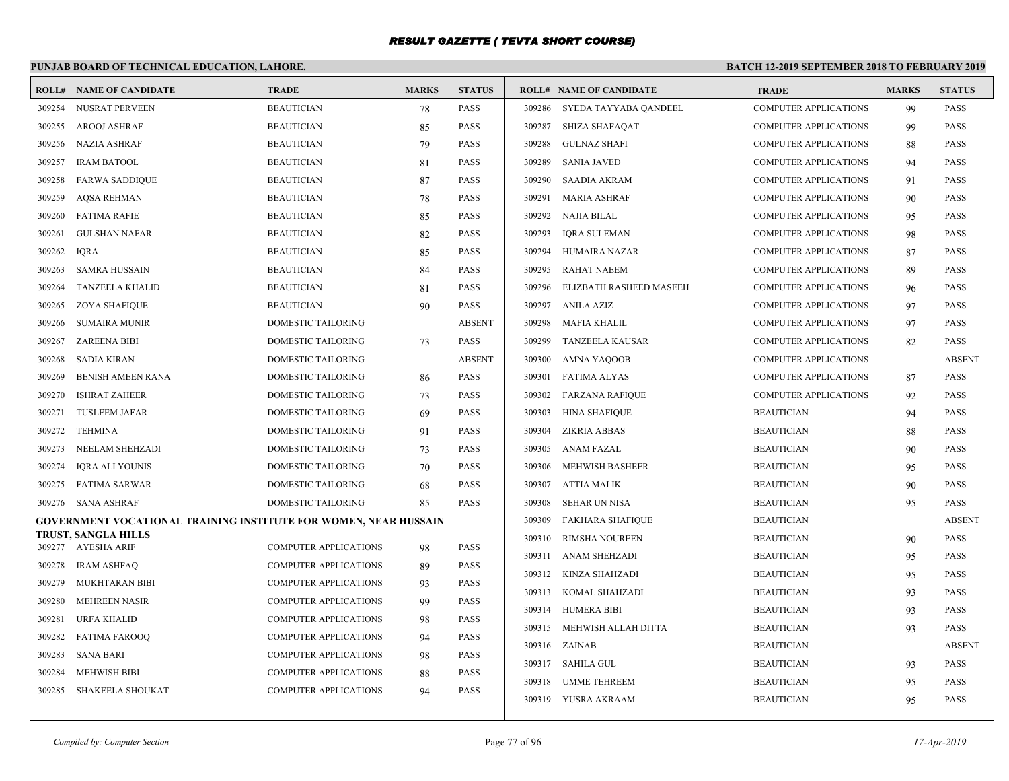# **PUNJAB BOARD OF TECHNICAL EDUCATION, LAHORE.**

| <b>ROLL#</b> | <b>NAME OF CANDIDATE</b>                                         | <b>TRADE</b>                 | <b>MARKS</b> | <b>STATUS</b> |        | <b>ROLL# NAME OF CANDIDATE</b> | <b>TRADE</b>                 | <b>MARKS</b> | <b>STATUS</b> |
|--------------|------------------------------------------------------------------|------------------------------|--------------|---------------|--------|--------------------------------|------------------------------|--------------|---------------|
| 309254       | NUSRAT PERVEEN                                                   | <b>BEAUTICIAN</b>            | 78           | PASS          |        | 309286 SYEDA TAYYABA QANDEEL   | <b>COMPUTER APPLICATIONS</b> | 99           | <b>PASS</b>   |
| 309255       | AROOJ ASHRAF                                                     | <b>BEAUTICIAN</b>            | 85           | PASS          |        | 309287 SHIZA SHAFAQAT          | <b>COMPUTER APPLICATIONS</b> | 99           | <b>PASS</b>   |
| 309256       | NAZIA ASHRAF                                                     | <b>BEAUTICIAN</b>            | 79           | <b>PASS</b>   | 309288 | <b>GULNAZ SHAFI</b>            | <b>COMPUTER APPLICATIONS</b> | 88           | <b>PASS</b>   |
| 309257       | <b>IRAM BATOOL</b>                                               | <b>BEAUTICIAN</b>            | 81           | PASS          | 309289 | <b>SANIA JAVED</b>             | <b>COMPUTER APPLICATIONS</b> | 94           | <b>PASS</b>   |
| 309258       | <b>FARWA SADDIOUE</b>                                            | <b>BEAUTICIAN</b>            | 87           | PASS          | 309290 | <b>SAADIA AKRAM</b>            | <b>COMPUTER APPLICATIONS</b> | 91           | <b>PASS</b>   |
| 309259       | <b>AQSA REHMAN</b>                                               | <b>BEAUTICIAN</b>            | 78           | PASS          | 309291 | <b>MARIA ASHRAF</b>            | <b>COMPUTER APPLICATIONS</b> | 90           | <b>PASS</b>   |
| 309260       | <b>FATIMA RAFIE</b>                                              | <b>BEAUTICIAN</b>            | 85           | PASS          | 309292 | NAJIA BILAL                    | <b>COMPUTER APPLICATIONS</b> | 95           | <b>PASS</b>   |
| 309261       | <b>GULSHAN NAFAR</b>                                             | <b>BEAUTICIAN</b>            | 82           | PASS          | 309293 | <b>IQRA SULEMAN</b>            | <b>COMPUTER APPLICATIONS</b> | 98           | <b>PASS</b>   |
| 309262       | <b>IQRA</b>                                                      | <b>BEAUTICIAN</b>            | 85           | PASS          | 309294 | <b>HUMAIRA NAZAR</b>           | <b>COMPUTER APPLICATIONS</b> | 87           | <b>PASS</b>   |
| 309263       | <b>SAMRA HUSSAIN</b>                                             | <b>BEAUTICIAN</b>            | 84           | PASS          | 309295 | <b>RAHAT NAEEM</b>             | <b>COMPUTER APPLICATIONS</b> | 89           | <b>PASS</b>   |
| 309264       | <b>TANZEELA KHALID</b>                                           | <b>BEAUTICIAN</b>            | 81           | PASS          | 309296 | ELIZBATH RASHEED MASEEH        | <b>COMPUTER APPLICATIONS</b> | 96           | <b>PASS</b>   |
| 309265       | <b>ZOYA SHAFIQUE</b>                                             | <b>BEAUTICIAN</b>            | 90           | PASS          | 309297 | ANILA AZIZ                     | <b>COMPUTER APPLICATIONS</b> | 97           | <b>PASS</b>   |
| 309266       | <b>SUMAIRA MUNIR</b>                                             | <b>DOMESTIC TAILORING</b>    |              | <b>ABSENT</b> | 309298 | <b>MAFIA KHALIL</b>            | <b>COMPUTER APPLICATIONS</b> | 97           | <b>PASS</b>   |
| 309267       | ZAREENA BIBI                                                     | DOMESTIC TAILORING           | 73           | PASS          | 309299 | TANZEELA KAUSAR                | <b>COMPUTER APPLICATIONS</b> | 82           | <b>PASS</b>   |
| 309268       | <b>SADIA KIRAN</b>                                               | <b>DOMESTIC TAILORING</b>    |              | <b>ABSENT</b> | 309300 | AMNA YAQOOB                    | <b>COMPUTER APPLICATIONS</b> |              | <b>ABSENT</b> |
| 309269       | <b>BENISH AMEEN RANA</b>                                         | <b>DOMESTIC TAILORING</b>    | 86           | PASS          | 309301 | <b>FATIMA ALYAS</b>            | <b>COMPUTER APPLICATIONS</b> | 87           | <b>PASS</b>   |
| 309270       | <b>ISHRAT ZAHEER</b>                                             | DOMESTIC TAILORING           | 73           | PASS          | 309302 | <b>FARZANA RAFIQUE</b>         | <b>COMPUTER APPLICATIONS</b> | 92           | <b>PASS</b>   |
| 309271       | <b>TUSLEEM JAFAR</b>                                             | DOMESTIC TAILORING           | 69           | PASS          | 309303 | <b>HINA SHAFIQUE</b>           | <b>BEAUTICIAN</b>            | 94           | <b>PASS</b>   |
| 309272       | TEHMINA                                                          | DOMESTIC TAILORING           | 91           | PASS          | 309304 | <b>ZIKRIA ABBAS</b>            | <b>BEAUTICIAN</b>            | 88           | <b>PASS</b>   |
| 309273       | NEELAM SHEHZADI                                                  | DOMESTIC TAILORING           | 73           | PASS          | 309305 | <b>ANAM FAZAL</b>              | <b>BEAUTICIAN</b>            | 90           | <b>PASS</b>   |
| 309274       | <b>IQRA ALI YOUNIS</b>                                           | DOMESTIC TAILORING           | 70           | PASS          | 309306 | <b>MEHWISH BASHEER</b>         | <b>BEAUTICIAN</b>            | 95           | <b>PASS</b>   |
| 309275       | <b>FATIMA SARWAR</b>                                             | <b>DOMESTIC TAILORING</b>    | 68           | PASS          | 309307 | <b>ATTIA MALIK</b>             | <b>BEAUTICIAN</b>            | 90           | <b>PASS</b>   |
| 309276       | <b>SANA ASHRAF</b>                                               | <b>DOMESTIC TAILORING</b>    | 85           | PASS          | 309308 | <b>SEHAR UN NISA</b>           | <b>BEAUTICIAN</b>            | 95           | <b>PASS</b>   |
|              | GOVERNMENT VOCATIONAL TRAINING INSTITUTE FOR WOMEN, NEAR HUSSAIN |                              |              |               | 309309 | <b>FAKHARA SHAFIQUE</b>        | <b>BEAUTICIAN</b>            |              | <b>ABSENT</b> |
|              | TRUST, SANGLA HILLS<br>309277 AYESHA ARIF                        | <b>COMPUTER APPLICATIONS</b> |              | PASS          | 309310 | <b>RIMSHA NOUREEN</b>          | <b>BEAUTICIAN</b>            | 90           | <b>PASS</b>   |
| 309278       | <b>IRAM ASHFAQ</b>                                               | <b>COMPUTER APPLICATIONS</b> | 98           | PASS          | 309311 | ANAM SHEHZADI                  | <b>BEAUTICIAN</b>            | 95           | <b>PASS</b>   |
| 309279       | MUKHTARAN BIBI                                                   | <b>COMPUTER APPLICATIONS</b> | 89           | PASS          | 309312 | KINZA SHAHZADI                 | <b>BEAUTICIAN</b>            | 95           | <b>PASS</b>   |
| 309280       | <b>MEHREEN NASIR</b>                                             | <b>COMPUTER APPLICATIONS</b> | 93           | PASS          | 309313 | KOMAL SHAHZADI                 | <b>BEAUTICIAN</b>            | 93           | <b>PASS</b>   |
| 309281       | URFA KHALID                                                      | <b>COMPUTER APPLICATIONS</b> | 99           | PASS          | 309314 | <b>HUMERA BIBI</b>             | <b>BEAUTICIAN</b>            | 93           | <b>PASS</b>   |
| 309282       | <b>FATIMA FAROOO</b>                                             | <b>COMPUTER APPLICATIONS</b> | 98           | PASS          | 309315 | MEHWISH ALLAH DITTA            | <b>BEAUTICIAN</b>            | 93           | <b>PASS</b>   |
| 309283       | <b>SANA BARI</b>                                                 | <b>COMPUTER APPLICATIONS</b> | 94           | PASS          |        | 309316 ZAINAB                  | <b>BEAUTICIAN</b>            |              | <b>ABSENT</b> |
| 309284       | <b>MEHWISH BIBI</b>                                              | <b>COMPUTER APPLICATIONS</b> | 98           | PASS          |        | 309317 SAHILA GUL              | <b>BEAUTICIAN</b>            | 93           | <b>PASS</b>   |
|              |                                                                  | <b>COMPUTER APPLICATIONS</b> | 88           | PASS          | 309318 | UMME TEHREEM                   | <b>BEAUTICIAN</b>            | 95           | <b>PASS</b>   |
| 309285       | SHAKEELA SHOUKAT                                                 |                              | 94           |               |        | 309319 YUSRA AKRAAM            | <b>BEAUTICIAN</b>            | 95           | <b>PASS</b>   |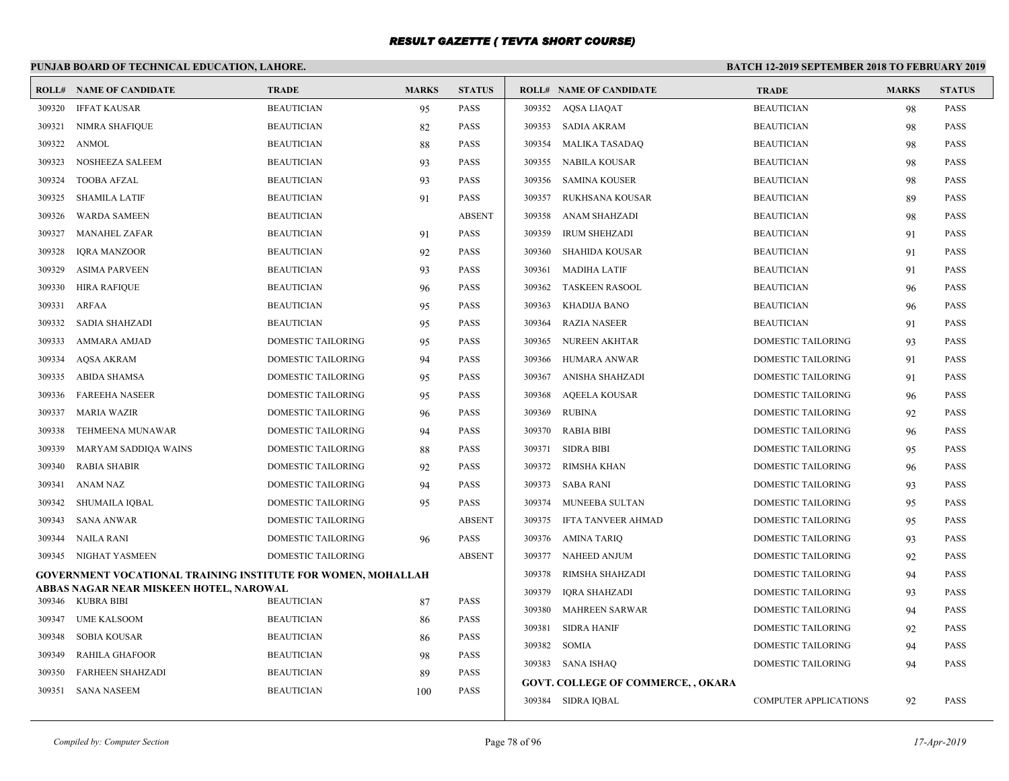# **PUNJAB BOARD OF TECHNICAL EDUCATION, LAHORE.**

|        | <b>ROLL# NAME OF CANDIDATE</b>                               | <b>TRADE</b>                           | <b>MARKS</b> | <b>STATUS</b>              |              | <b>ROLL# NAME OF CANDIDATE</b>            | <b>TRADE</b>                 | <b>MARKS</b> | <b>STATUS</b> |
|--------|--------------------------------------------------------------|----------------------------------------|--------------|----------------------------|--------------|-------------------------------------------|------------------------------|--------------|---------------|
| 309320 | <b>IFFAT KAUSAR</b>                                          | <b>BEAUTICIAN</b>                      | 95           | <b>PASS</b>                |              | 309352 AQSA LIAQAT                        | <b>BEAUTICIAN</b>            | 98           | <b>PASS</b>   |
| 309321 | <b>NIMRA SHAFIQUE</b>                                        | <b>BEAUTICIAN</b>                      | 82           | <b>PASS</b>                |              | 309353 SADIA AKRAM                        | <b>BEAUTICIAN</b>            | 98           | <b>PASS</b>   |
| 309322 | <b>ANMOL</b>                                                 | <b>BEAUTICIAN</b>                      | 88           | <b>PASS</b>                | 309354       | MALIKA TASADAQ                            | <b>BEAUTICIAN</b>            | 98           | <b>PASS</b>   |
| 309323 | NOSHEEZA SALEEM                                              | <b>BEAUTICIAN</b>                      | 93           | <b>PASS</b>                |              | 309355 NABILA KOUSAR                      | <b>BEAUTICIAN</b>            | 98           | <b>PASS</b>   |
| 309324 | <b>TOOBA AFZAL</b>                                           | <b>BEAUTICIAN</b>                      | 93           | <b>PASS</b>                | 309356       | SAMINA KOUSER                             | <b>BEAUTICIAN</b>            | 98           | <b>PASS</b>   |
| 309325 | <b>SHAMILA LATIF</b>                                         | <b>BEAUTICIAN</b>                      | 91           | <b>PASS</b>                | 309357       | RUKHSANA KOUSAR                           | <b>BEAUTICIAN</b>            | 89           | <b>PASS</b>   |
| 309326 | <b>WARDA SAMEEN</b>                                          | <b>BEAUTICIAN</b>                      |              | <b>ABSENT</b>              | 309358       | ANAM SHAHZADI                             | <b>BEAUTICIAN</b>            | 98           | <b>PASS</b>   |
| 309327 | <b>MANAHEL ZAFAR</b>                                         | <b>BEAUTICIAN</b>                      | 91           | <b>PASS</b>                | 309359       | <b>IRUM SHEHZADI</b>                      | <b>BEAUTICIAN</b>            | 91           | PASS          |
| 309328 | <b>IORA MANZOOR</b>                                          | <b>BEAUTICIAN</b>                      | 92           | <b>PASS</b>                | 309360       | SHAHIDA KOUSAR                            | <b>BEAUTICIAN</b>            | 91           | <b>PASS</b>   |
| 309329 | <b>ASIMA PARVEEN</b>                                         | <b>BEAUTICIAN</b>                      | 93           | <b>PASS</b>                | 309361       | <b>MADIHA LATIF</b>                       | <b>BEAUTICIAN</b>            | 91           | <b>PASS</b>   |
| 309330 | <b>HIRA RAFIQUE</b>                                          | <b>BEAUTICIAN</b>                      | 96           | <b>PASS</b>                |              | 309362 TASKEEN RASOOL                     | <b>BEAUTICIAN</b>            | 96           | <b>PASS</b>   |
| 309331 | <b>ARFAA</b>                                                 | <b>BEAUTICIAN</b>                      | 95           | <b>PASS</b>                | 309363       | KHADIJA BANO                              | <b>BEAUTICIAN</b>            | 96           | <b>PASS</b>   |
| 309332 | SADIA SHAHZADI                                               | <b>BEAUTICIAN</b>                      | 95           | <b>PASS</b>                | 309364       | RAZIA NASEER                              | <b>BEAUTICIAN</b>            | 91           | <b>PASS</b>   |
| 309333 | AMMARA AMJAD                                                 | DOMESTIC TAILORING                     | 95           | <b>PASS</b>                |              | 309365 NUREEN AKHTAR                      | DOMESTIC TAILORING           | 93           | PASS          |
| 309334 | <b>AQSA AKRAM</b>                                            | <b>DOMESTIC TAILORING</b>              | 94           | <b>PASS</b>                | 309366       | HUMARA ANWAR                              | <b>DOMESTIC TAILORING</b>    | 91           | <b>PASS</b>   |
| 309335 | <b>ABIDA SHAMSA</b>                                          | <b>DOMESTIC TAILORING</b>              | 95           | <b>PASS</b>                | 309367       | ANISHA SHAHZADI                           | <b>DOMESTIC TAILORING</b>    | 91           | <b>PASS</b>   |
| 309336 | <b>FAREEHA NASEER</b>                                        | DOMESTIC TAILORING                     | 95           | <b>PASS</b>                | 309368       | AQEELA KOUSAR                             | DOMESTIC TAILORING           | 96           | <b>PASS</b>   |
| 309337 | <b>MARIA WAZIR</b>                                           | DOMESTIC TAILORING                     | 96           | <b>PASS</b>                | 309369       | RUBINA                                    | DOMESTIC TAILORING           | 92           | <b>PASS</b>   |
| 309338 | TEHMEENA MUNAWAR                                             | DOMESTIC TAILORING                     | 94           | <b>PASS</b>                | 309370       | <b>RABIA BIBI</b>                         | <b>DOMESTIC TAILORING</b>    | 96           | <b>PASS</b>   |
| 309339 | MARYAM SADDIQA WAINS                                         | DOMESTIC TAILORING                     | 88           | <b>PASS</b>                | 309371       | SIDRA BIBI                                | DOMESTIC TAILORING           | 95           | <b>PASS</b>   |
| 309340 | <b>RABIA SHABIR</b>                                          | DOMESTIC TAILORING                     | 92           | <b>PASS</b>                | 309372       | RIMSHA KHAN                               | DOMESTIC TAILORING           | 96           | <b>PASS</b>   |
| 309341 | ANAM NAZ                                                     | <b>DOMESTIC TAILORING</b>              | 94           | <b>PASS</b>                | 309373       | SABA RANI                                 | <b>DOMESTIC TAILORING</b>    | 93           | <b>PASS</b>   |
| 309342 | <b>SHUMAILA IOBAL</b>                                        | <b>DOMESTIC TAILORING</b>              | 95           | <b>PASS</b>                | 309374       | MUNEEBA SULTAN                            | <b>DOMESTIC TAILORING</b>    | 95           | <b>PASS</b>   |
| 309343 | SANA ANWAR                                                   | DOMESTIC TAILORING                     |              | <b>ABSENT</b>              | 309375       | IFTA TANVEER AHMAD                        | DOMESTIC TAILORING           | 95           | <b>PASS</b>   |
| 309344 | NAILA RANI                                                   | DOMESTIC TAILORING                     | 96           | <b>PASS</b>                |              | 309376 AMINA TARIQ                        | DOMESTIC TAILORING           | 93           | <b>PASS</b>   |
| 309345 | NIGHAT YASMEEN                                               | <b>DOMESTIC TAILORING</b>              |              | <b>ABSENT</b>              |              | 309377 NAHEED ANJUM                       | <b>DOMESTIC TAILORING</b>    | 92           | <b>PASS</b>   |
|        | GOVERNMENT VOCATIONAL TRAINING INSTITUTE FOR WOMEN, MOHALLAH |                                        |              |                            | 309378       | RIMSHA SHAHZADI                           | DOMESTIC TAILORING           | 94           | PASS          |
|        | ABBAS NAGAR NEAR MISKEEN HOTEL, NAROWAL<br>309346 KUBRA BIBI | <b>BEAUTICIAN</b>                      |              | <b>PASS</b>                | 309379       | IQRA SHAHZADI                             | DOMESTIC TAILORING           | 93           | <b>PASS</b>   |
| 309347 | <b>UME KALSOOM</b>                                           | <b>BEAUTICIAN</b>                      | 87           | <b>PASS</b>                | 309380       | MAHREEN SARWAR                            | <b>DOMESTIC TAILORING</b>    | 94           | <b>PASS</b>   |
|        |                                                              |                                        | 86           |                            | 309381       | <b>SIDRA HANIF</b>                        | DOMESTIC TAILORING           | 92           | PASS          |
| 309348 | <b>SOBIA KOUSAR</b>                                          | <b>BEAUTICIAN</b><br><b>BEAUTICIAN</b> | 86           | <b>PASS</b>                | 309382 SOMIA |                                           | DOMESTIC TAILORING           | 94           | <b>PASS</b>   |
| 309349 | <b>RAHILA GHAFOOR</b>                                        |                                        | 98           | <b>PASS</b><br><b>PASS</b> |              | 309383 SANA ISHAQ                         | <b>DOMESTIC TAILORING</b>    | 94           | <b>PASS</b>   |
| 309350 | <b>FARHEEN SHAHZADI</b>                                      | <b>BEAUTICIAN</b>                      | 89           |                            |              | <b>GOVT. COLLEGE OF COMMERCE, , OKARA</b> |                              |              |               |
| 309351 | SANA NASEEM                                                  | <b>BEAUTICIAN</b>                      | 100          | <b>PASS</b>                |              | 309384 SIDRA IOBAL                        | <b>COMPUTER APPLICATIONS</b> | 92           | <b>PASS</b>   |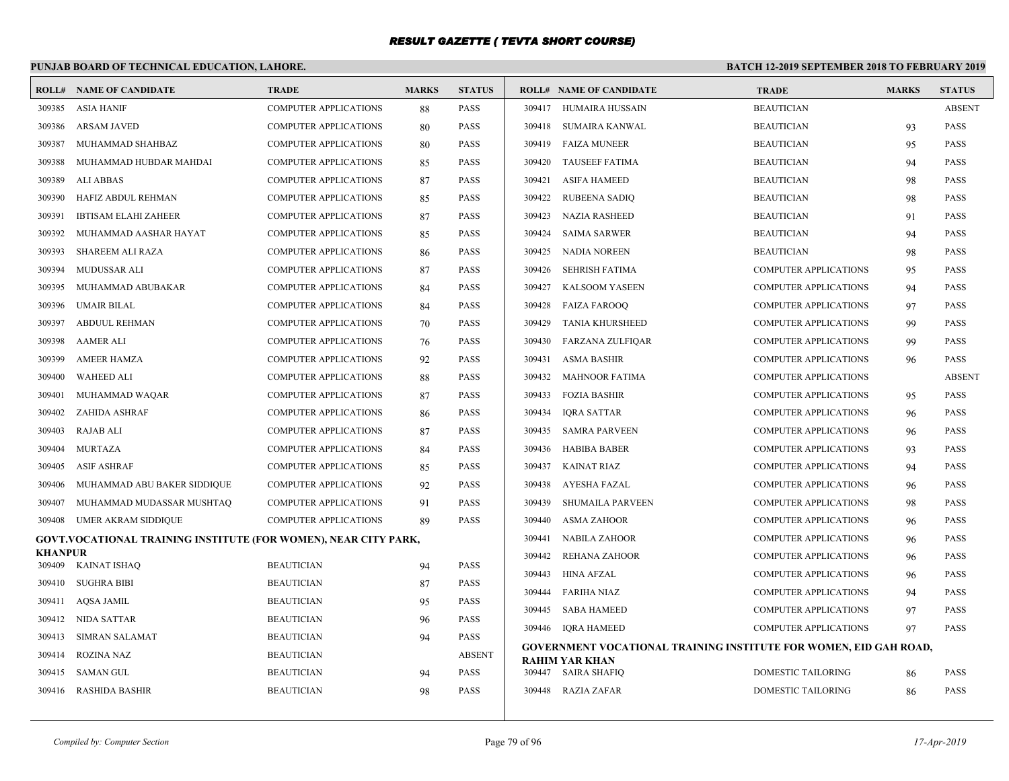# **PUNJAB BOARD OF TECHNICAL EDUCATION, LAHORE.**

|                          | <b>ROLL# NAME OF CANDIDATE</b>                                  | <b>TRADE</b>                 | <b>MARKS</b> | <b>STATUS</b> |        | <b>ROLL# NAME OF CANDIDATE</b>                                           | <b>TRADE</b>                 | <b>MARKS</b> | <b>STATUS</b> |
|--------------------------|-----------------------------------------------------------------|------------------------------|--------------|---------------|--------|--------------------------------------------------------------------------|------------------------------|--------------|---------------|
| 309385                   | <b>ASIA HANIF</b>                                               | <b>COMPUTER APPLICATIONS</b> | 88           | PASS          |        | 309417 HUMAIRA HUSSAIN                                                   | <b>BEAUTICIAN</b>            |              | <b>ABSENT</b> |
| 309386                   | <b>ARSAM JAVED</b>                                              | <b>COMPUTER APPLICATIONS</b> | 80           | <b>PASS</b>   | 309418 | SUMAIRA KANWAL                                                           | <b>BEAUTICIAN</b>            | 93           | <b>PASS</b>   |
| 309387                   | MUHAMMAD SHAHBAZ                                                | <b>COMPUTER APPLICATIONS</b> | 80           | <b>PASS</b>   | 309419 | FAIZA MUNEER                                                             | <b>BEAUTICIAN</b>            | 95           | <b>PASS</b>   |
| 309388                   | MUHAMMAD HUBDAR MAHDAI                                          | <b>COMPUTER APPLICATIONS</b> | 85           | <b>PASS</b>   | 309420 | <b>TAUSEEF FATIMA</b>                                                    | <b>BEAUTICIAN</b>            | 94           | <b>PASS</b>   |
| 309389                   | <b>ALI ABBAS</b>                                                | <b>COMPUTER APPLICATIONS</b> | 87           | <b>PASS</b>   | 309421 | <b>ASIFA HAMEED</b>                                                      | <b>BEAUTICIAN</b>            | 98           | <b>PASS</b>   |
| 309390                   | HAFIZ ABDUL REHMAN                                              | <b>COMPUTER APPLICATIONS</b> | 85           | <b>PASS</b>   | 309422 | <b>RUBEENA SADIQ</b>                                                     | <b>BEAUTICIAN</b>            | 98           | <b>PASS</b>   |
| 309391                   | <b>IBTISAM ELAHI ZAHEER</b>                                     | <b>COMPUTER APPLICATIONS</b> | 87           | <b>PASS</b>   | 309423 | <b>NAZIA RASHEED</b>                                                     | <b>BEAUTICIAN</b>            | 91           | <b>PASS</b>   |
| 309392                   | MUHAMMAD AASHAR HAYAT                                           | <b>COMPUTER APPLICATIONS</b> | 85           | <b>PASS</b>   | 309424 | <b>SAIMA SARWER</b>                                                      | <b>BEAUTICIAN</b>            | 94           | <b>PASS</b>   |
| 309393                   | SHAREEM ALI RAZA                                                | <b>COMPUTER APPLICATIONS</b> | 86           | <b>PASS</b>   | 309425 | <b>NADIA NOREEN</b>                                                      | <b>BEAUTICIAN</b>            | 98           | <b>PASS</b>   |
| 309394                   | MUDUSSAR ALI                                                    | <b>COMPUTER APPLICATIONS</b> | 87           | <b>PASS</b>   | 309426 | <b>SEHRISH FATIMA</b>                                                    | <b>COMPUTER APPLICATIONS</b> | 95           | <b>PASS</b>   |
| 309395                   | MUHAMMAD ABUBAKAR                                               | <b>COMPUTER APPLICATIONS</b> | 84           | <b>PASS</b>   | 309427 | <b>KALSOOM YASEEN</b>                                                    | <b>COMPUTER APPLICATIONS</b> | 94           | <b>PASS</b>   |
| 309396                   | <b>UMAIR BILAL</b>                                              | <b>COMPUTER APPLICATIONS</b> | 84           | <b>PASS</b>   | 309428 | FAIZA FAROOO                                                             | <b>COMPUTER APPLICATIONS</b> | 97           | <b>PASS</b>   |
| 309397                   | <b>ABDUUL REHMAN</b>                                            | <b>COMPUTER APPLICATIONS</b> | 70           | <b>PASS</b>   | 309429 | <b>TANIA KHURSHEED</b>                                                   | <b>COMPUTER APPLICATIONS</b> | -99          | <b>PASS</b>   |
| 309398                   | <b>AAMER ALI</b>                                                | COMPUTER APPLICATIONS        | 76           | <b>PASS</b>   | 309430 | <b>FARZANA ZULFIQAR</b>                                                  | <b>COMPUTER APPLICATIONS</b> | 99           | <b>PASS</b>   |
| 309399                   | <b>AMEER HAMZA</b>                                              | <b>COMPUTER APPLICATIONS</b> | 92           | <b>PASS</b>   | 309431 | <b>ASMA BASHIR</b>                                                       | <b>COMPUTER APPLICATIONS</b> | 96           | <b>PASS</b>   |
| 309400                   | <b>WAHEED ALI</b>                                               | <b>COMPUTER APPLICATIONS</b> | 88           | <b>PASS</b>   | 309432 | <b>MAHNOOR FATIMA</b>                                                    | <b>COMPUTER APPLICATIONS</b> |              | <b>ABSENT</b> |
| 309401                   | MUHAMMAD WAQAR                                                  | <b>COMPUTER APPLICATIONS</b> | 87           | <b>PASS</b>   | 309433 | <b>FOZIA BASHIR</b>                                                      | <b>COMPUTER APPLICATIONS</b> | 95           | <b>PASS</b>   |
| 309402                   | <b>ZAHIDA ASHRAF</b>                                            | <b>COMPUTER APPLICATIONS</b> | 86           | <b>PASS</b>   | 309434 | <b>IQRA SATTAR</b>                                                       | <b>COMPUTER APPLICATIONS</b> | 96           | <b>PASS</b>   |
| 309403                   | <b>RAJAB ALI</b>                                                | <b>COMPUTER APPLICATIONS</b> | 87           | <b>PASS</b>   | 309435 | <b>SAMRA PARVEEN</b>                                                     | <b>COMPUTER APPLICATIONS</b> | 96           | <b>PASS</b>   |
| 309404                   | <b>MURTAZA</b>                                                  | <b>COMPUTER APPLICATIONS</b> | 84           | <b>PASS</b>   | 309436 | <b>HABIBA BABER</b>                                                      | <b>COMPUTER APPLICATIONS</b> | 93           | PASS          |
| 309405                   | <b>ASIF ASHRAF</b>                                              | <b>COMPUTER APPLICATIONS</b> | 85           | <b>PASS</b>   | 309437 | <b>KAINAT RIAZ</b>                                                       | <b>COMPUTER APPLICATIONS</b> | 94           | <b>PASS</b>   |
| 309406                   | MUHAMMAD ABU BAKER SIDDIQUE                                     | <b>COMPUTER APPLICATIONS</b> | 92           | <b>PASS</b>   | 309438 | AYESHA FAZAL                                                             | <b>COMPUTER APPLICATIONS</b> | 96           | <b>PASS</b>   |
| 309407                   | MUHAMMAD MUDASSAR MUSHTAQ                                       | <b>COMPUTER APPLICATIONS</b> | 91           | <b>PASS</b>   | 309439 | <b>SHUMAILA PARVEEN</b>                                                  | <b>COMPUTER APPLICATIONS</b> | 98           | <b>PASS</b>   |
| 309408                   | <b>UMER AKRAM SIDDIQUE</b>                                      | <b>COMPUTER APPLICATIONS</b> | 89           | <b>PASS</b>   | 309440 | <b>ASMA ZAHOOR</b>                                                       | <b>COMPUTER APPLICATIONS</b> | 96           | <b>PASS</b>   |
|                          | GOVT.VOCATIONAL TRAINING INSTITUTE (FOR WOMEN), NEAR CITY PARK, |                              |              |               | 309441 | <b>NABILA ZAHOOR</b>                                                     | <b>COMPUTER APPLICATIONS</b> | 96           | <b>PASS</b>   |
| <b>KHANPUR</b><br>309409 | <b>KAINAT ISHAQ</b>                                             | <b>BEAUTICIAN</b>            | 94           | <b>PASS</b>   | 309442 | <b>REHANA ZAHOOR</b>                                                     | <b>COMPUTER APPLICATIONS</b> | 96           | <b>PASS</b>   |
| 309410                   | <b>SUGHRA BIBI</b>                                              | <b>BEAUTICIAN</b>            | 87           | <b>PASS</b>   | 309443 | <b>HINA AFZAL</b>                                                        | <b>COMPUTER APPLICATIONS</b> | 96           | <b>PASS</b>   |
| 309411                   | AQSA JAMIL                                                      | <b>BEAUTICIAN</b>            | 95           | <b>PASS</b>   | 309444 | FARIHA NIAZ                                                              | <b>COMPUTER APPLICATIONS</b> | 94           | <b>PASS</b>   |
|                          | 309412 NIDA SATTAR                                              | <b>BEAUTICIAN</b>            |              | <b>PASS</b>   | 309445 | <b>SABA HAMEED</b>                                                       | <b>COMPUTER APPLICATIONS</b> | 97           | PASS          |
| 309413                   | <b>SIMRAN SALAMAT</b>                                           | <b>BEAUTICIAN</b>            | 96<br>94     | <b>PASS</b>   |        | 309446 IQRA HAMEED                                                       | <b>COMPUTER APPLICATIONS</b> | 97           | <b>PASS</b>   |
| 309414                   | <b>ROZINA NAZ</b>                                               | <b>BEAUTICIAN</b>            |              | <b>ABSENT</b> |        | <b>GOVERNMENT VOCATIONAL TRAINING INSTITUTE FOR WOMEN, EID GAH ROAD,</b> |                              |              |               |
| 309415                   | SAMAN GUL                                                       | <b>BEAUTICIAN</b>            | 94           | <b>PASS</b>   |        | <b>RAHIM YAR KHAN</b><br>309447 SAIRA SHAFIQ                             | <b>DOMESTIC TAILORING</b>    | 86           | <b>PASS</b>   |
|                          |                                                                 | <b>BEAUTICIAN</b>            | 98           | <b>PASS</b>   |        | 309448 RAZIA ZAFAR                                                       | DOMESTIC TAILORING           |              | PASS          |
| 309416                   | <b>RASHIDA BASHIR</b>                                           |                              |              |               |        |                                                                          |                              | 86           |               |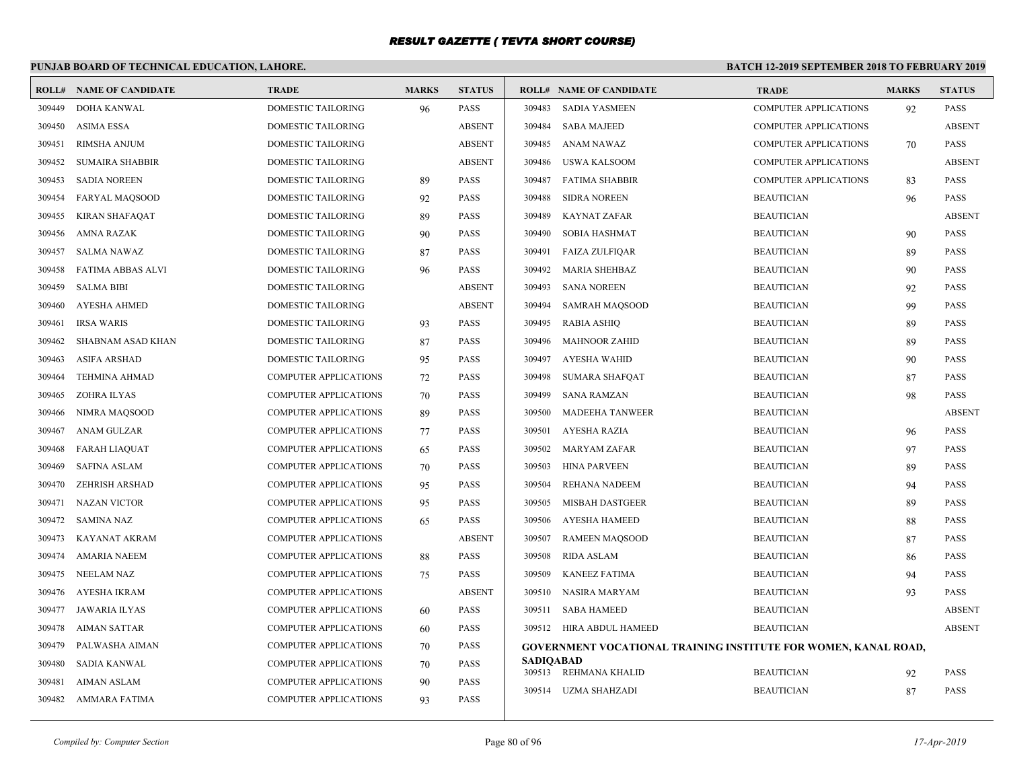# **PUNJAB BOARD OF TECHNICAL EDUCATION, LAHORE.**

|        | <b>ROLL# NAME OF CANDIDATE</b> | <b>TRADE</b>                 | <b>MARKS</b> | <b>STATUS</b> |                  | <b>ROLL# NAME OF CANDIDATE</b>                                         | <b>TRADE</b>                 | <b>MARKS</b> | <b>STATUS</b> |
|--------|--------------------------------|------------------------------|--------------|---------------|------------------|------------------------------------------------------------------------|------------------------------|--------------|---------------|
| 309449 | DOHA KANWAL                    | DOMESTIC TAILORING           | 96           | <b>PASS</b>   | 309483           | <b>SADIA YASMEEN</b>                                                   | <b>COMPUTER APPLICATIONS</b> | 92           | <b>PASS</b>   |
| 309450 | <b>ASIMA ESSA</b>              | <b>DOMESTIC TAILORING</b>    |              | <b>ABSENT</b> | 309484           | <b>SABA MAJEED</b>                                                     | <b>COMPUTER APPLICATIONS</b> |              | <b>ABSENT</b> |
| 309451 | <b>RIMSHA ANJUM</b>            | DOMESTIC TAILORING           |              | <b>ABSENT</b> | 309485           | <b>ANAM NAWAZ</b>                                                      | <b>COMPUTER APPLICATIONS</b> | 70           | <b>PASS</b>   |
| 309452 | <b>SUMAIRA SHABBIR</b>         | <b>DOMESTIC TAILORING</b>    |              | <b>ABSENT</b> | 309486           | <b>USWA KALSOOM</b>                                                    | <b>COMPUTER APPLICATIONS</b> |              | <b>ABSENT</b> |
| 309453 | <b>SADIA NOREEN</b>            | DOMESTIC TAILORING           | 89           | <b>PASS</b>   | 309487           | <b>FATIMA SHABBIR</b>                                                  | <b>COMPUTER APPLICATIONS</b> | 83           | <b>PASS</b>   |
| 309454 | <b>FARYAL MAOSOOD</b>          | <b>DOMESTIC TAILORING</b>    | 92           | <b>PASS</b>   | 309488           | <b>SIDRA NOREEN</b>                                                    | <b>BEAUTICIAN</b>            | 96           | <b>PASS</b>   |
| 309455 | <b>KIRAN SHAFAQAT</b>          | DOMESTIC TAILORING           | 89           | <b>PASS</b>   | 309489           | <b>KAYNAT ZAFAR</b>                                                    | <b>BEAUTICIAN</b>            |              | <b>ABSENT</b> |
| 309456 | AMNA RAZAK                     | DOMESTIC TAILORING           | 90           | <b>PASS</b>   | 309490           | <b>SOBIA HASHMAT</b>                                                   | <b>BEAUTICIAN</b>            | 90           | <b>PASS</b>   |
| 309457 | <b>SALMA NAWAZ</b>             | <b>DOMESTIC TAILORING</b>    | 87           | <b>PASS</b>   | 309491           | <b>FAIZA ZULFIQAR</b>                                                  | <b>BEAUTICIAN</b>            | 89           | PASS          |
| 309458 | <b>FATIMA ABBAS ALVI</b>       | <b>DOMESTIC TAILORING</b>    | 96           | <b>PASS</b>   | 309492           | <b>MARIA SHEHBAZ</b>                                                   | <b>BEAUTICIAN</b>            | 90           | PASS          |
| 309459 | <b>SALMA BIBI</b>              | <b>DOMESTIC TAILORING</b>    |              | <b>ABSENT</b> | 309493           | <b>SANA NOREEN</b>                                                     | <b>BEAUTICIAN</b>            | 92           | <b>PASS</b>   |
| 309460 | <b>AYESHA AHMED</b>            | <b>DOMESTIC TAILORING</b>    |              | <b>ABSENT</b> | 309494           | <b>SAMRAH MAQSOOD</b>                                                  | <b>BEAUTICIAN</b>            | 99           | PASS          |
| 309461 | <b>IRSA WARIS</b>              | DOMESTIC TAILORING           | 93           | <b>PASS</b>   | 309495           | <b>RABIA ASHIQ</b>                                                     | <b>BEAUTICIAN</b>            | 89           | <b>PASS</b>   |
| 309462 | SHABNAM ASAD KHAN              | DOMESTIC TAILORING           | 87           | <b>PASS</b>   | 309496           | <b>MAHNOOR ZAHID</b>                                                   | <b>BEAUTICIAN</b>            | 89           | <b>PASS</b>   |
| 309463 | <b>ASIFA ARSHAD</b>            | DOMESTIC TAILORING           | 95           | <b>PASS</b>   | 309497           | AYESHA WAHID                                                           | <b>BEAUTICIAN</b>            | 90           | <b>PASS</b>   |
| 309464 | <b>TEHMINA AHMAD</b>           | <b>COMPUTER APPLICATIONS</b> | 72           | <b>PASS</b>   | 309498           | <b>SUMARA SHAFOAT</b>                                                  | <b>BEAUTICIAN</b>            | 87           | <b>PASS</b>   |
| 309465 | ZOHRA ILYAS                    | COMPUTER APPLICATIONS        | 70           | <b>PASS</b>   | 309499           | <b>SANA RAMZAN</b>                                                     | <b>BEAUTICIAN</b>            | 98           | <b>PASS</b>   |
| 309466 | NIMRA MAOSOOD                  | <b>COMPUTER APPLICATIONS</b> | 89           | <b>PASS</b>   | 309500           | <b>MADEEHA TANWEER</b>                                                 | <b>BEAUTICIAN</b>            |              | <b>ABSENT</b> |
| 309467 | ANAM GULZAR                    | <b>COMPUTER APPLICATIONS</b> | 77           | <b>PASS</b>   | 309501           | <b>AYESHA RAZIA</b>                                                    | <b>BEAUTICIAN</b>            | 96           | PASS          |
| 309468 | FARAH LIAQUAT                  | <b>COMPUTER APPLICATIONS</b> | 65           | <b>PASS</b>   | 309502           | <b>MARYAM ZAFAR</b>                                                    | <b>BEAUTICIAN</b>            | 97           | <b>PASS</b>   |
| 309469 | <b>SAFINA ASLAM</b>            | <b>COMPUTER APPLICATIONS</b> | 70           | <b>PASS</b>   | 309503           | <b>HINA PARVEEN</b>                                                    | <b>BEAUTICIAN</b>            | 89           | PASS          |
| 309470 | <b>ZEHRISH ARSHAD</b>          | <b>COMPUTER APPLICATIONS</b> | 95           | <b>PASS</b>   | 309504           | REHANA NADEEM                                                          | <b>BEAUTICIAN</b>            | 94           | <b>PASS</b>   |
| 309471 | <b>NAZAN VICTOR</b>            | <b>COMPUTER APPLICATIONS</b> | 95           | <b>PASS</b>   | 309505           | <b>MISBAH DASTGEER</b>                                                 | <b>BEAUTICIAN</b>            | 89           | <b>PASS</b>   |
| 309472 | SAMINA NAZ                     | <b>COMPUTER APPLICATIONS</b> | 65           | <b>PASS</b>   | 309506           | <b>AYESHA HAMEED</b>                                                   | <b>BEAUTICIAN</b>            | 88           | PASS          |
| 309473 | KAYANAT AKRAM                  | <b>COMPUTER APPLICATIONS</b> |              | <b>ABSENT</b> | 309507           | <b>RAMEEN MAQSOOD</b>                                                  | <b>BEAUTICIAN</b>            | 87           | <b>PASS</b>   |
| 309474 | <b>AMARIA NAEEM</b>            | <b>COMPUTER APPLICATIONS</b> | 88           | <b>PASS</b>   | 309508           | <b>RIDA ASLAM</b>                                                      | <b>BEAUTICIAN</b>            | 86           | <b>PASS</b>   |
| 309475 | <b>NEELAM NAZ</b>              | <b>COMPUTER APPLICATIONS</b> | 75           | <b>PASS</b>   | 309509           | <b>KANEEZ FATIMA</b>                                                   | <b>BEAUTICIAN</b>            | 94           | <b>PASS</b>   |
| 309476 | AYESHA IKRAM                   | COMPUTER APPLICATIONS        |              | <b>ABSENT</b> | 309510           | NASIRA MARYAM                                                          | <b>BEAUTICIAN</b>            | 93           | PASS          |
| 309477 | JAWARIA ILYAS                  | <b>COMPUTER APPLICATIONS</b> | 60           | <b>PASS</b>   | 309511           | <b>SABA HAMEED</b>                                                     | <b>BEAUTICIAN</b>            |              | <b>ABSENT</b> |
| 309478 | <b>AIMAN SATTAR</b>            | <b>COMPUTER APPLICATIONS</b> | 60           | <b>PASS</b>   |                  | 309512 HIRA ABDUL HAMEED                                               | <b>BEAUTICIAN</b>            |              | <b>ABSENT</b> |
| 309479 | PALWASHA AIMAN                 | <b>COMPUTER APPLICATIONS</b> | 70           | <b>PASS</b>   |                  | <b>GOVERNMENT VOCATIONAL TRAINING INSTITUTE FOR WOMEN, KANAL ROAD,</b> |                              |              |               |
| 309480 | <b>SADIA KANWAL</b>            | <b>COMPUTER APPLICATIONS</b> | 70           | <b>PASS</b>   | <b>SADIOABAD</b> |                                                                        |                              |              |               |
| 309481 | <b>AIMAN ASLAM</b>             | <b>COMPUTER APPLICATIONS</b> | 90           | PASS          |                  | 309513 REHMANA KHALID                                                  | <b>BEAUTICIAN</b>            | 92           | <b>PASS</b>   |
| 309482 | AMMARA FATIMA                  | <b>COMPUTER APPLICATIONS</b> | 93           | <b>PASS</b>   | 309514           | UZMA SHAHZADI                                                          | <b>BEAUTICIAN</b>            | 87           | <b>PASS</b>   |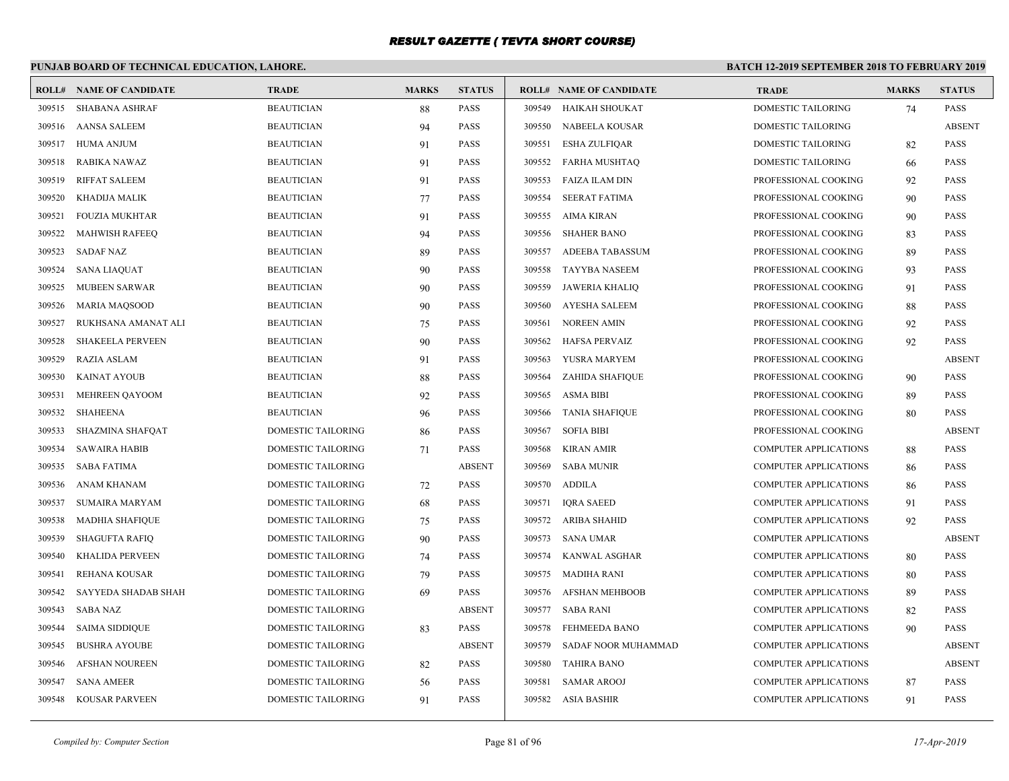# **PUNJAB BOARD OF TECHNICAL EDUCATION, LAHORE.**

|        | <b>ROLL# NAME OF CANDIDATE</b> | <b>TRADE</b>              | <b>MARKS</b> | <b>STATUS</b> |        | <b>ROLL# NAME OF CANDIDATE</b> | <b>TRADE</b>                 | <b>MARKS</b> | <b>STATUS</b> |
|--------|--------------------------------|---------------------------|--------------|---------------|--------|--------------------------------|------------------------------|--------------|---------------|
| 309515 | <b>SHABANA ASHRAF</b>          | <b>BEAUTICIAN</b>         | 88           | PASS          | 309549 | HAIKAH SHOUKAT                 | DOMESTIC TAILORING           | 74           | <b>PASS</b>   |
| 309516 | AANSA SALEEM                   | <b>BEAUTICIAN</b>         | 94           | <b>PASS</b>   | 309550 | <b>NABEELA KOUSAR</b>          | DOMESTIC TAILORING           |              | <b>ABSENT</b> |
| 309517 | <b>HUMA ANJUM</b>              | <b>BEAUTICIAN</b>         | 91           | <b>PASS</b>   | 309551 | <b>ESHA ZULFIQAR</b>           | DOMESTIC TAILORING           | 82           | <b>PASS</b>   |
| 309518 | RABIKA NAWAZ                   | <b>BEAUTICIAN</b>         | 91           | PASS          | 309552 | FARHA MUSHTAQ                  | DOMESTIC TAILORING           | 66           | <b>PASS</b>   |
| 309519 | <b>RIFFAT SALEEM</b>           | <b>BEAUTICIAN</b>         | 91           | PASS          | 309553 | FAIZA ILAM DIN                 | PROFESSIONAL COOKING         | 92           | <b>PASS</b>   |
| 309520 | KHADIJA MALIK                  | <b>BEAUTICIAN</b>         | 77           | PASS          | 309554 | SEERAT FATIMA                  | PROFESSIONAL COOKING         | 90           | PASS          |
| 309521 | <b>FOUZIA MUKHTAR</b>          | <b>BEAUTICIAN</b>         | 91           | PASS          | 309555 | AIMA KIRAN                     | PROFESSIONAL COOKING         | 90           | PASS          |
| 309522 | <b>MAHWISH RAFEEO</b>          | <b>BEAUTICIAN</b>         | 94           | PASS          | 309556 | <b>SHAHER BANO</b>             | PROFESSIONAL COOKING         | 83           | <b>PASS</b>   |
| 309523 | <b>SADAF NAZ</b>               | <b>BEAUTICIAN</b>         | 89           | PASS          | 309557 | ADEEBA TABASSUM                | PROFESSIONAL COOKING         | 89           | PASS          |
| 309524 | <b>SANA LIAQUAT</b>            | <b>BEAUTICIAN</b>         | 90           | PASS          | 309558 | <b>TAYYBA NASEEM</b>           | PROFESSIONAL COOKING         | 93           | <b>PASS</b>   |
| 309525 | <b>MUBEEN SARWAR</b>           | <b>BEAUTICIAN</b>         | 90           | PASS          | 309559 | JAWERIA KHALIO                 | PROFESSIONAL COOKING         | 91           | <b>PASS</b>   |
| 309526 | <b>MARIA MAQSOOD</b>           | <b>BEAUTICIAN</b>         | 90           | PASS          | 309560 | <b>AYESHA SALEEM</b>           | PROFESSIONAL COOKING         | 88           | PASS          |
| 309527 | RUKHSANA AMANAT ALI            | <b>BEAUTICIAN</b>         | 75           | <b>PASS</b>   | 309561 | NOREEN AMIN                    | PROFESSIONAL COOKING         | 92           | <b>PASS</b>   |
| 309528 | <b>SHAKEELA PERVEEN</b>        | <b>BEAUTICIAN</b>         | 90           | <b>PASS</b>   | 309562 | HAFSA PERVAIZ                  | PROFESSIONAL COOKING         | 92           | <b>PASS</b>   |
| 309529 | RAZIA ASLAM                    | <b>BEAUTICIAN</b>         | 91           | <b>PASS</b>   | 309563 | YUSRA MARYEM                   | PROFESSIONAL COOKING         |              | <b>ABSENT</b> |
| 309530 | KAINAT AYOUB                   | <b>BEAUTICIAN</b>         | 88           | PASS          | 309564 | ZAHIDA SHAFIQUE                | PROFESSIONAL COOKING         | 90           | <b>PASS</b>   |
| 309531 | MEHREEN QAYOOM                 | <b>BEAUTICIAN</b>         | 92           | <b>PASS</b>   | 309565 | <b>ASMA BIBI</b>               | PROFESSIONAL COOKING         | 89           | <b>PASS</b>   |
| 309532 | SHAHEENA                       | <b>BEAUTICIAN</b>         | 96           | <b>PASS</b>   | 309566 | <b>TANIA SHAFIQUE</b>          | PROFESSIONAL COOKING         | 80           | <b>PASS</b>   |
| 309533 | <b>SHAZMINA SHAFOAT</b>        | DOMESTIC TAILORING        | 86           | PASS          | 309567 | <b>SOFIA BIBI</b>              | PROFESSIONAL COOKING         |              | <b>ABSENT</b> |
| 309534 | <b>SAWAIRA HABIB</b>           | DOMESTIC TAILORING        | 71           | PASS          | 309568 | <b>KIRAN AMIR</b>              | <b>COMPUTER APPLICATIONS</b> | 88           | <b>PASS</b>   |
| 309535 | SABA FATIMA                    | <b>DOMESTIC TAILORING</b> |              | <b>ABSENT</b> | 309569 | <b>SABA MUNIR</b>              | <b>COMPUTER APPLICATIONS</b> | 86           | <b>PASS</b>   |
| 309536 | ANAM KHANAM                    | <b>DOMESTIC TAILORING</b> | 72           | PASS          | 309570 | <b>ADDILA</b>                  | <b>COMPUTER APPLICATIONS</b> | 86           | <b>PASS</b>   |
| 309537 | <b>SUMAIRA MARYAM</b>          | DOMESTIC TAILORING        | 68           | PASS          | 309571 | <b>IQRA SAEED</b>              | <b>COMPUTER APPLICATIONS</b> | 91           | <b>PASS</b>   |
| 309538 | <b>MADHIA SHAFIQUE</b>         | DOMESTIC TAILORING        | 75           | PASS          | 309572 | <b>ARIBA SHAHID</b>            | <b>COMPUTER APPLICATIONS</b> | 92           | <b>PASS</b>   |
| 309539 | <b>SHAGUFTA RAFIO</b>          | <b>DOMESTIC TAILORING</b> | 90           | <b>PASS</b>   | 309573 | SANA UMAR                      | <b>COMPUTER APPLICATIONS</b> |              | <b>ABSENT</b> |
| 309540 | KHALIDA PERVEEN                | DOMESTIC TAILORING        | 74           | <b>PASS</b>   | 309574 | KANWAL ASGHAR                  | <b>COMPUTER APPLICATIONS</b> | 80           | PASS          |
| 309541 | REHANA KOUSAR                  | <b>DOMESTIC TAILORING</b> | 79           | PASS          | 309575 | MADIHA RANI                    | <b>COMPUTER APPLICATIONS</b> | 80           | <b>PASS</b>   |
| 309542 | SAYYEDA SHADAB SHAH            | <b>DOMESTIC TAILORING</b> | 69           | PASS          | 309576 | <b>AFSHAN MEHBOOB</b>          | <b>COMPUTER APPLICATIONS</b> | 89           | <b>PASS</b>   |
| 309543 | SABA NAZ                       | DOMESTIC TAILORING        |              | <b>ABSENT</b> | 309577 | SABA RANI                      | <b>COMPUTER APPLICATIONS</b> | 82           | <b>PASS</b>   |
| 309544 | <b>SAIMA SIDDIQUE</b>          | <b>DOMESTIC TAILORING</b> | 83           | PASS          | 309578 | FEHMEEDA BANO                  | <b>COMPUTER APPLICATIONS</b> | 90           | <b>PASS</b>   |
| 309545 | <b>BUSHRA AYOUBE</b>           | <b>DOMESTIC TAILORING</b> |              | <b>ABSENT</b> | 309579 | SADAF NOOR MUHAMMAD            | <b>COMPUTER APPLICATIONS</b> |              | <b>ABSENT</b> |
| 309546 | <b>AFSHAN NOUREEN</b>          | DOMESTIC TAILORING        | 82           | <b>PASS</b>   | 309580 | <b>TAHIRA BANO</b>             | <b>COMPUTER APPLICATIONS</b> |              | <b>ABSENT</b> |
| 309547 | <b>SANA AMEER</b>              | <b>DOMESTIC TAILORING</b> | 56           | PASS          | 309581 | <b>SAMAR AROOJ</b>             | <b>COMPUTER APPLICATIONS</b> | 87           | <b>PASS</b>   |
| 309548 | <b>KOUSAR PARVEEN</b>          | <b>DOMESTIC TAILORING</b> | 91           | PASS          | 309582 | ASIA BASHIR                    | <b>COMPUTER APPLICATIONS</b> | 91           | <b>PASS</b>   |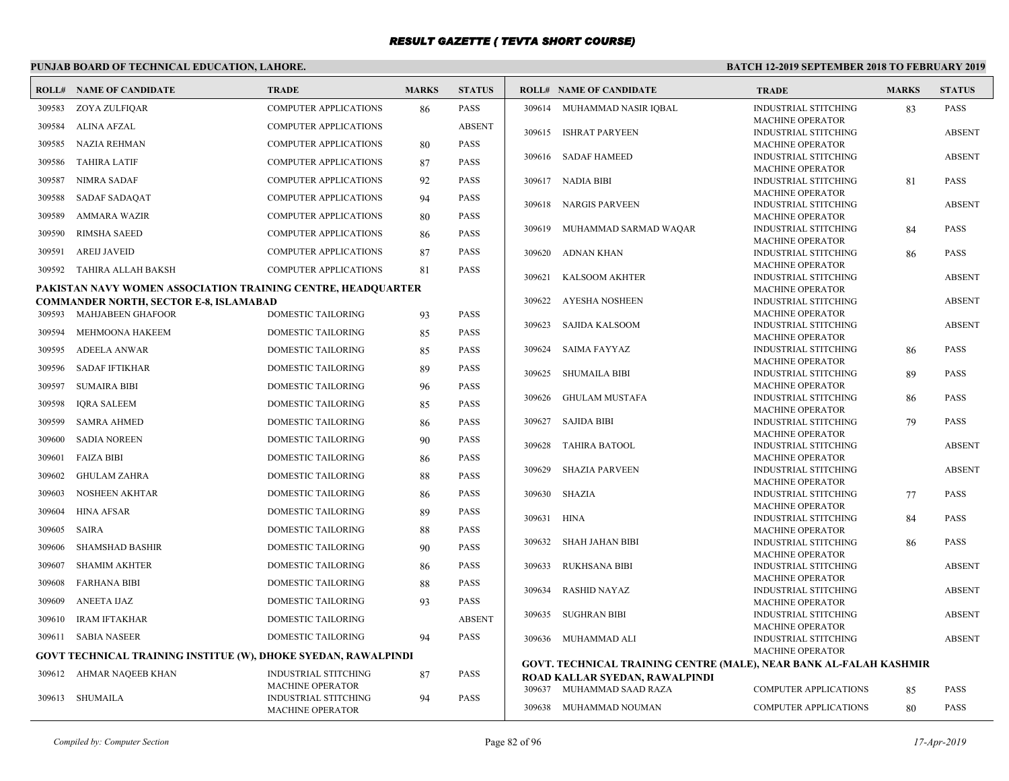# **PUNJAB BOARD OF TECHNICAL EDUCATION, LAHORE.**

| <b>ROLL#</b> | NAME OF CANDIDATE                                                         | <b>TRADE</b>                                           | <b>MARKS</b> | <b>STATUS</b> |        | <b>ROLL# NAME OF CANDIDATE</b>                                     | <b>TRADE</b>                                                 | <b>MARKS</b> | <b>STATUS</b>              |
|--------------|---------------------------------------------------------------------------|--------------------------------------------------------|--------------|---------------|--------|--------------------------------------------------------------------|--------------------------------------------------------------|--------------|----------------------------|
| 309583       | ZOYA ZULFIQAR                                                             | <b>COMPUTER APPLICATIONS</b>                           | 86           | <b>PASS</b>   |        | 309614 MUHAMMAD NASIR IQBAL                                        | INDUSTRIAL STITCHING                                         | 83           | PASS                       |
| 309584       | ALINA AFZAL                                                               | <b>COMPUTER APPLICATIONS</b>                           |              | <b>ABSENT</b> |        |                                                                    | <b>MACHINE OPERATOR</b>                                      |              |                            |
|              |                                                                           |                                                        |              |               | 309615 | <b>ISHRAT PARYEEN</b>                                              | INDUSTRIAL STITCHING                                         |              | <b>ABSENT</b>              |
| 309585       | NAZIA REHMAN                                                              | <b>COMPUTER APPLICATIONS</b>                           | 80           | <b>PASS</b>   |        | 309616 SADAF HAMEED                                                | <b>MACHINE OPERATOR</b><br><b>INDUSTRIAL STITCHING</b>       |              | <b>ABSENT</b>              |
| 309586       | <b>TAHIRA LATIF</b>                                                       | <b>COMPUTER APPLICATIONS</b>                           | 87           | <b>PASS</b>   |        |                                                                    | <b>MACHINE OPERATOR</b>                                      |              |                            |
| 309587       | NIMRA SADAF                                                               | COMPUTER APPLICATIONS                                  | 92           | <b>PASS</b>   | 309617 | <b>NADIA BIBI</b>                                                  | INDUSTRIAL STITCHING                                         | 81           | <b>PASS</b>                |
| 309588       | SADAF SADAQAT                                                             | <b>COMPUTER APPLICATIONS</b>                           | 94           | <b>PASS</b>   |        |                                                                    | <b>MACHINE OPERATOR</b>                                      |              |                            |
|              |                                                                           |                                                        |              |               | 309618 | <b>NARGIS PARVEEN</b>                                              | <b>INDUSTRIAL STITCHING</b>                                  |              | <b>ABSENT</b>              |
| 309589       | <b>AMMARA WAZIR</b>                                                       | <b>COMPUTER APPLICATIONS</b>                           | 80           | <b>PASS</b>   | 309619 | MUHAMMAD SARMAD WAQAR                                              | <b>MACHINE OPERATOR</b><br><b>INDUSTRIAL STITCHING</b>       |              | <b>PASS</b>                |
| 309590       | <b>RIMSHA SAEED</b>                                                       | <b>COMPUTER APPLICATIONS</b>                           | 86           | PASS          |        |                                                                    | MACHINE OPERATOR                                             | 84           |                            |
| 309591       | <b>AREIJ JAVEID</b>                                                       | <b>COMPUTER APPLICATIONS</b>                           | 87           | <b>PASS</b>   | 309620 | <b>ADNAN KHAN</b>                                                  | <b>INDUSTRIAL STITCHING</b>                                  | 86           | <b>PASS</b>                |
| 309592       | TAHIRA ALLAH BAKSH                                                        | <b>COMPUTER APPLICATIONS</b>                           | 81           | <b>PASS</b>   |        |                                                                    | <b>MACHINE OPERATOR</b>                                      |              |                            |
|              |                                                                           |                                                        |              |               | 309621 | KALSOOM AKHTER                                                     | <b>INDUSTRIAL STITCHING</b>                                  |              | <b>ABSENT</b>              |
|              | PAKISTAN NAVY WOMEN ASSOCIATION TRAINING CENTRE, HEADQUARTER              |                                                        |              |               | 309622 | <b>AYESHA NOSHEEN</b>                                              | <b>MACHINE OPERATOR</b>                                      |              |                            |
| 309593       | <b>COMMANDER NORTH, SECTOR E-8, ISLAMABAD</b><br><b>MAHJABEEN GHAFOOR</b> | DOMESTIC TAILORING                                     | 93           | <b>PASS</b>   |        |                                                                    | <b>INDUSTRIAL STITCHING</b><br><b>MACHINE OPERATOR</b>       |              | <b>ABSENT</b>              |
|              |                                                                           |                                                        |              |               | 309623 | <b>SAJIDA KALSOOM</b>                                              | INDUSTRIAL STITCHING                                         |              | <b>ABSENT</b>              |
| 309594       | MEHMOONA HAKEEM                                                           | <b>DOMESTIC TAILORING</b>                              | 85           | <b>PASS</b>   |        |                                                                    | <b>MACHINE OPERATOR</b>                                      |              |                            |
| 309595       | <b>ADEELA ANWAR</b>                                                       | <b>DOMESTIC TAILORING</b>                              | 85           | <b>PASS</b>   | 309624 | <b>SAIMA FAYYAZ</b>                                                | <b>INDUSTRIAL STITCHING</b>                                  | 86           | <b>PASS</b>                |
| 309596       | <b>SADAF IFTIKHAR</b>                                                     | <b>DOMESTIC TAILORING</b>                              | 89           | <b>PASS</b>   |        |                                                                    | <b>MACHINE OPERATOR</b>                                      |              |                            |
| 309597       | <b>SUMAIRA BIBI</b>                                                       | DOMESTIC TAILORING                                     | 96           | <b>PASS</b>   | 309625 | <b>SHUMAILA BIBI</b>                                               | <b>INDUSTRIAL STITCHING</b><br>MACHINE OPERATOR              | 89           | <b>PASS</b>                |
|              |                                                                           |                                                        |              |               | 309626 | <b>GHULAM MUSTAFA</b>                                              | <b>INDUSTRIAL STITCHING</b>                                  | 86           | <b>PASS</b>                |
| 309598       | <b>IQRA SALEEM</b>                                                        | DOMESTIC TAILORING                                     | 85           | <b>PASS</b>   |        |                                                                    | <b>MACHINE OPERATOR</b>                                      |              |                            |
| 309599       | <b>SAMRA AHMED</b>                                                        | DOMESTIC TAILORING                                     | 86           | <b>PASS</b>   | 309627 | <b>SAJIDA BIBI</b>                                                 | <b>INDUSTRIAL STITCHING</b>                                  | 79           | <b>PASS</b>                |
| 309600       | <b>SADIA NOREEN</b>                                                       | DOMESTIC TAILORING                                     | 90           | PASS          |        |                                                                    | <b>MACHINE OPERATOR</b>                                      |              |                            |
| 309601       | <b>FAIZA BIBI</b>                                                         | <b>DOMESTIC TAILORING</b>                              | 86           | PASS          | 309628 | <b>TAHIRA BATOOL</b>                                               | <b>INDUSTRIAL STITCHING</b><br><b>MACHINE OPERATOR</b>       |              | <b>ABSENT</b>              |
|              |                                                                           |                                                        |              |               | 309629 | <b>SHAZIA PARVEEN</b>                                              | <b>INDUSTRIAL STITCHING</b>                                  |              | <b>ABSENT</b>              |
| 309602       | <b>GHULAM ZAHRA</b>                                                       | <b>DOMESTIC TAILORING</b>                              | 88           | <b>PASS</b>   |        |                                                                    | <b>MACHINE OPERATOR</b>                                      |              |                            |
| 309603       | <b>NOSHEEN AKHTAR</b>                                                     | DOMESTIC TAILORING                                     | 86           | <b>PASS</b>   | 309630 | SHAZIA                                                             | <b>INDUSTRIAL STITCHING</b>                                  | 77           | <b>PASS</b>                |
| 309604       | <b>HINA AFSAR</b>                                                         | <b>DOMESTIC TAILORING</b>                              | 89           | PASS          |        |                                                                    | <b>MACHINE OPERATOR</b>                                      |              |                            |
| 309605       | SAIRA                                                                     | DOMESTIC TAILORING                                     | 88           | PASS          | 309631 | HINA                                                               | <b>INDUSTRIAL STITCHING</b><br>MACHINE OPERATOR              | 84           | <b>PASS</b>                |
|              |                                                                           |                                                        |              |               | 309632 | SHAH JAHAN BIBI                                                    | <b>INDUSTRIAL STITCHING</b>                                  | 86           | <b>PASS</b>                |
| 309606       | <b>SHAMSHAD BASHIR</b>                                                    | <b>DOMESTIC TAILORING</b>                              | 90           | <b>PASS</b>   |        |                                                                    | <b>MACHINE OPERATOR</b>                                      |              |                            |
| 309607       | <b>SHAMIM AKHTER</b>                                                      | DOMESTIC TAILORING                                     | 86           | <b>PASS</b>   | 309633 | RUKHSANA BIBI                                                      | <b>INDUSTRIAL STITCHING</b>                                  |              | <b>ABSENT</b>              |
| 309608       | <b>FARHANA BIBI</b>                                                       | DOMESTIC TAILORING                                     | 88           | <b>PASS</b>   |        |                                                                    | MACHINE OPERATOR                                             |              |                            |
| 309609       | <b>ANEETA IJAZ</b>                                                        | DOMESTIC TAILORING                                     | 93           | <b>PASS</b>   | 309634 | <b>RASHID NAYAZ</b>                                                | <b>INDUSTRIAL STITCHING</b><br><b>MACHINE OPERATOR</b>       |              | <b>ABSENT</b>              |
|              |                                                                           |                                                        |              |               | 309635 | SUGHRAN BIBI                                                       | <b>INDUSTRIAL STITCHING</b>                                  |              | <b>ABSENT</b>              |
| 309610       | <b>IRAM IFTAKHAR</b>                                                      | DOMESTIC TAILORING                                     |              | <b>ABSENT</b> |        |                                                                    | <b>MACHINE OPERATOR</b>                                      |              |                            |
|              | 309611 SABIA NASEER                                                       | <b>DOMESTIC TAILORING</b>                              | 94           | <b>PASS</b>   | 309636 | MUHAMMAD ALI                                                       | <b>INDUSTRIAL STITCHING</b>                                  |              | <b>ABSENT</b>              |
|              | <b>GOVT TECHNICAL TRAINING INSTITUE (W), DHOKE SYEDAN, RAWALPINDI</b>     |                                                        |              |               |        |                                                                    | <b>MACHINE OPERATOR</b>                                      |              |                            |
| 309612       | AHMAR NAQEEB KHAN                                                         | INDUSTRIAL STITCHING                                   | 87           | <b>PASS</b>   |        | GOVT. TECHNICAL TRAINING CENTRE (MALE), NEAR BANK AL-FALAH KASHMIR |                                                              |              |                            |
|              |                                                                           | <b>MACHINE OPERATOR</b>                                |              |               |        | ROAD KALLAR SYEDAN, RAWALPINDI                                     |                                                              |              |                            |
|              | 309613 SHUMAILA                                                           | <b>INDUSTRIAL STITCHING</b><br><b>MACHINE OPERATOR</b> | 94           | <b>PASS</b>   |        | 309637 MUHAMMAD SAAD RAZA<br>309638 MUHAMMAD NOUMAN                | <b>COMPUTER APPLICATIONS</b><br><b>COMPUTER APPLICATIONS</b> | 85<br>80     | <b>PASS</b><br><b>PASS</b> |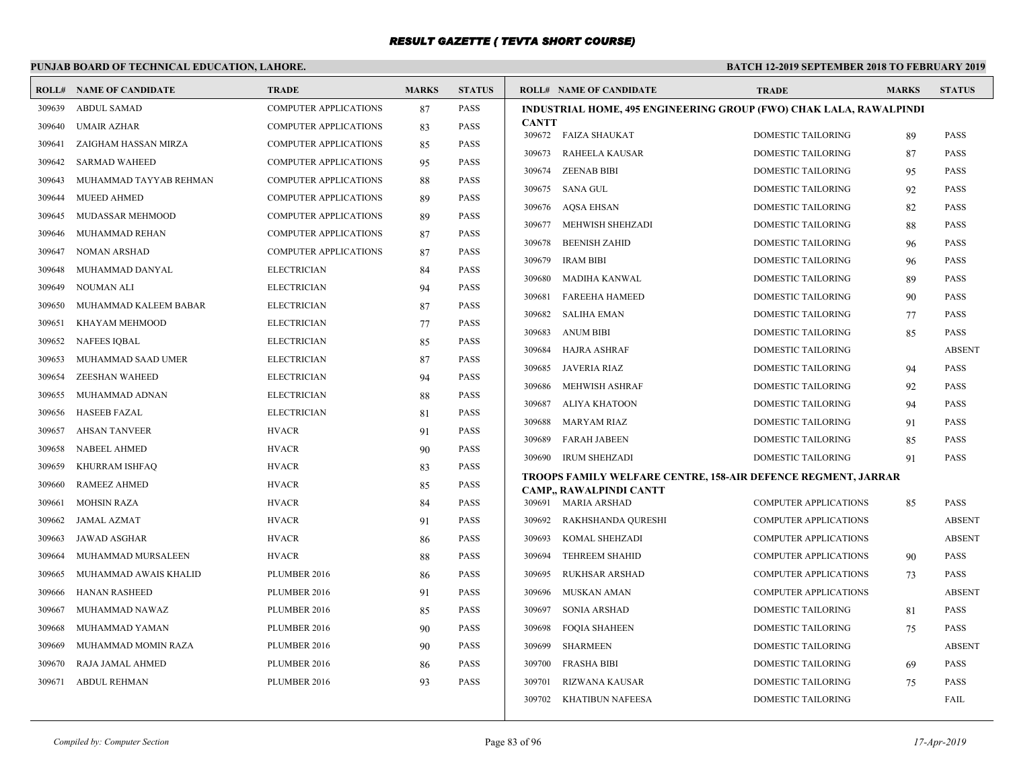# **PUNJAB BOARD OF TECHNICAL EDUCATION, LAHORE.**

|        | <b>ROLL# NAME OF CANDIDATE</b> | <b>TRADE</b>                 | <b>MARKS</b> | <b>STATUS</b> | <b>ROLL# NAME OF CANDIDATE</b>                                                                  | <b>TRADE</b>                                    | <b>MARKS</b> | <b>STATUS</b>                |
|--------|--------------------------------|------------------------------|--------------|---------------|-------------------------------------------------------------------------------------------------|-------------------------------------------------|--------------|------------------------------|
| 309639 | <b>ABDUL SAMAD</b>             | <b>COMPUTER APPLICATIONS</b> | 87           | <b>PASS</b>   | <b>INDUSTRIAL HOME, 495 ENGINEERING GROUP (FWO) CHAK LALA, RAWALPINDI</b>                       |                                                 |              |                              |
| 309640 | <b>UMAIR AZHAR</b>             | <b>COMPUTER APPLICATIONS</b> | 83           | <b>PASS</b>   | <b>CANTT</b><br>309672 FAIZA SHAUKAT                                                            | <b>DOMESTIC TAILORING</b>                       | 89           | <b>PASS</b>                  |
| 309641 | ZAIGHAM HASSAN MIRZA           | <b>COMPUTER APPLICATIONS</b> | 85           | <b>PASS</b>   | RAHEELA KAUSAR<br>309673                                                                        | <b>DOMESTIC TAILORING</b>                       | 87           | <b>PASS</b>                  |
| 309642 | <b>SARMAD WAHEED</b>           | <b>COMPUTER APPLICATIONS</b> | 95           | <b>PASS</b>   | <b>ZEENAB BIBI</b><br>309674                                                                    | DOMESTIC TAILORING                              | 95           | <b>PASS</b>                  |
| 309643 | MUHAMMAD TAYYAB REHMAN         | COMPUTER APPLICATIONS        | 88           | <b>PASS</b>   | 309675<br>SANA GUL                                                                              | <b>DOMESTIC TAILORING</b>                       | 92           | <b>PASS</b>                  |
| 309644 | <b>MUEED AHMED</b>             | <b>COMPUTER APPLICATIONS</b> | 89           | <b>PASS</b>   | 309676 AQSA EHSAN                                                                               | DOMESTIC TAILORING                              | 82           | <b>PASS</b>                  |
| 309645 | MUDASSAR MEHMOOD               | <b>COMPUTER APPLICATIONS</b> | 89           | <b>PASS</b>   | 309677 MEHWISH SHEHZADI                                                                         | <b>DOMESTIC TAILORING</b>                       |              | <b>PASS</b>                  |
| 309646 | MUHAMMAD REHAN                 | <b>COMPUTER APPLICATIONS</b> | 87           | <b>PASS</b>   | 309678<br><b>BEENISH ZAHID</b>                                                                  | DOMESTIC TAILORING                              | 88<br>96     | <b>PASS</b>                  |
| 309647 | <b>NOMAN ARSHAD</b>            | <b>COMPUTER APPLICATIONS</b> | 87           | <b>PASS</b>   | <b>IRAM BIBI</b><br>309679                                                                      | <b>DOMESTIC TAILORING</b>                       | 96           | <b>PASS</b>                  |
| 309648 | MUHAMMAD DANYAL                | <b>ELECTRICIAN</b>           | 84           | <b>PASS</b>   | 309680<br>MADIHA KANWAL                                                                         | DOMESTIC TAILORING                              |              | <b>PASS</b>                  |
| 309649 | <b>NOUMAN ALI</b>              | <b>ELECTRICIAN</b>           | 94           | <b>PASS</b>   | <b>FAREEHA HAMEED</b>                                                                           |                                                 | -89          | <b>PASS</b>                  |
| 309650 | MUHAMMAD KALEEM BABAR          | <b>ELECTRICIAN</b>           | 87           | <b>PASS</b>   | 309681<br>309682<br>SALIHA EMAN                                                                 | DOMESTIC TAILORING<br><b>DOMESTIC TAILORING</b> | 90           | <b>PASS</b>                  |
| 309651 | KHAYAM MEHMOOD                 | <b>ELECTRICIAN</b>           | 77           | <b>PASS</b>   |                                                                                                 |                                                 | 77           |                              |
| 309652 | NAFEES IQBAL                   | <b>ELECTRICIAN</b>           | 85           | <b>PASS</b>   | 309683<br>ANUM BIBI                                                                             | <b>DOMESTIC TAILORING</b>                       | 85           | <b>PASS</b><br><b>ABSENT</b> |
| 309653 | MUHAMMAD SAAD UMER             | <b>ELECTRICIAN</b>           | 87           | <b>PASS</b>   | 309684<br>HAJRA ASHRAF                                                                          | <b>DOMESTIC TAILORING</b>                       |              |                              |
| 309654 | <b>ZEESHAN WAHEED</b>          | <b>ELECTRICIAN</b>           | 94           | <b>PASS</b>   | 309685 JAVERIA RIAZ                                                                             | DOMESTIC TAILORING<br><b>DOMESTIC TAILORING</b> | 94           | PASS                         |
| 309655 | MUHAMMAD ADNAN                 | <b>ELECTRICIAN</b>           | 88           | <b>PASS</b>   | 309686<br>MEHWISH ASHRAF<br>309687                                                              |                                                 | 92           | <b>PASS</b>                  |
| 309656 | <b>HASEEB FAZAL</b>            | <b>ELECTRICIAN</b>           | 81           | <b>PASS</b>   | ALIYA KHATOON                                                                                   | DOMESTIC TAILORING                              | 94           | <b>PASS</b>                  |
| 309657 | <b>AHSAN TANVEER</b>           | <b>HVACR</b>                 | 91           | <b>PASS</b>   | 309688<br>MARYAM RIAZ                                                                           | DOMESTIC TAILORING                              | 91           | <b>PASS</b>                  |
| 309658 | <b>NABEEL AHMED</b>            | <b>HVACR</b>                 | 90           | <b>PASS</b>   | 309689<br>FARAH JABEEN                                                                          | <b>DOMESTIC TAILORING</b>                       | 85           | <b>PASS</b>                  |
| 309659 | KHURRAM ISHFAQ                 | <b>HVACR</b>                 | 83           | <b>PASS</b>   | 309690<br>IRUM SHEHZADI                                                                         | <b>DOMESTIC TAILORING</b>                       | 91           | PASS                         |
| 309660 | <b>RAMEEZ AHMED</b>            | <b>HVACR</b>                 | 85           | <b>PASS</b>   | TROOPS FAMILY WELFARE CENTRE, 158-AIR DEFENCE REGMENT, JARRAR<br><b>CAMP., RAWALPINDI CANTT</b> |                                                 |              |                              |
| 309661 | <b>MOHSIN RAZA</b>             | <b>HVACR</b>                 | 84           | <b>PASS</b>   | 309691 MARIA ARSHAD                                                                             | <b>COMPUTER APPLICATIONS</b>                    | 85           | <b>PASS</b>                  |
| 309662 | <b>JAMAL AZMAT</b>             | <b>HVACR</b>                 | 91           | <b>PASS</b>   | 309692<br>RAKHSHANDA QURESHI                                                                    | <b>COMPUTER APPLICATIONS</b>                    |              | <b>ABSENT</b>                |
| 309663 | <b>JAWAD ASGHAR</b>            | <b>HVACR</b>                 | 86           | <b>PASS</b>   | 309693<br>KOMAL SHEHZADI                                                                        | <b>COMPUTER APPLICATIONS</b>                    |              | <b>ABSENT</b>                |
| 309664 | MUHAMMAD MURSALEEN             | <b>HVACR</b>                 | 88           | <b>PASS</b>   | 309694<br><b>TEHREEM SHAHID</b>                                                                 | <b>COMPUTER APPLICATIONS</b>                    | 90           | <b>PASS</b>                  |
| 309665 | MUHAMMAD AWAIS KHALID          | PLUMBER 2016                 | 86           | <b>PASS</b>   | 309695<br><b>RUKHSAR ARSHAD</b>                                                                 | <b>COMPUTER APPLICATIONS</b>                    | 73           | <b>PASS</b>                  |
| 309666 | <b>HANAN RASHEED</b>           | PLUMBER 2016                 | 91           | <b>PASS</b>   | 309696<br>MUSKAN AMAN                                                                           | COMPUTER APPLICATIONS                           |              | <b>ABSENT</b>                |
| 309667 | MUHAMMAD NAWAZ                 | PLUMBER 2016                 | 85           | <b>PASS</b>   | 309697<br>SONIA ARSHAD                                                                          | DOMESTIC TAILORING                              | 81           | <b>PASS</b>                  |
| 309668 | MUHAMMAD YAMAN                 | PLUMBER 2016                 | 90           | <b>PASS</b>   | 309698<br><b>FOOIA SHAHEEN</b>                                                                  | <b>DOMESTIC TAILORING</b>                       | 75           | <b>PASS</b>                  |
| 309669 | MUHAMMAD MOMIN RAZA            | PLUMBER 2016                 | 90           | <b>PASS</b>   | 309699<br>SHARMEEN                                                                              | <b>DOMESTIC TAILORING</b>                       |              | <b>ABSENT</b>                |
| 309670 | RAJA JAMAL AHMED               | PLUMBER 2016                 | 86           | <b>PASS</b>   | 309700<br><b>FRASHA BIBI</b>                                                                    | DOMESTIC TAILORING                              | 69           | <b>PASS</b>                  |
| 309671 | <b>ABDUL REHMAN</b>            | PLUMBER 2016                 | 93           | <b>PASS</b>   | 309701<br>RIZWANA KAUSAR                                                                        | DOMESTIC TAILORING                              | 75           | PASS                         |
|        |                                |                              |              |               | 309702<br><b>KHATIBUN NAFEESA</b>                                                               | <b>DOMESTIC TAILORING</b>                       |              | FAIL                         |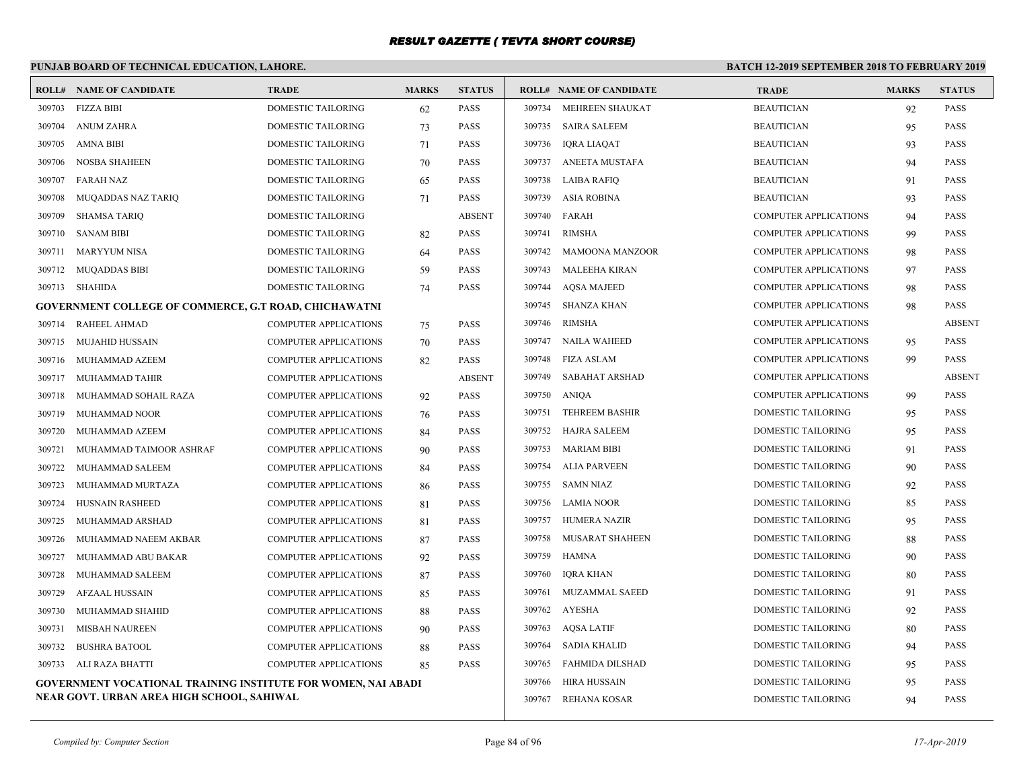# **PUNJAB BOARD OF TECHNICAL EDUCATION, LAHORE.**

|        | <b>ROLL# NAME OF CANDIDATE</b>                                       | <b>TRADE</b>                 | <b>MARKS</b> | <b>STATUS</b> |        | <b>ROLL# NAME OF CANDIDATE</b> | <b>TRADE</b>                 | <b>MARKS</b> | <b>STATUS</b> |
|--------|----------------------------------------------------------------------|------------------------------|--------------|---------------|--------|--------------------------------|------------------------------|--------------|---------------|
| 309703 | FIZZA BIBI                                                           | DOMESTIC TAILORING           | 62           | PASS          |        | 309734 MEHREEN SHAUKAT         | <b>BEAUTICIAN</b>            | 92           | <b>PASS</b>   |
| 309704 | <b>ANUM ZAHRA</b>                                                    | DOMESTIC TAILORING           | 73           | <b>PASS</b>   |        | 309735 SAIRA SALEEM            | <b>BEAUTICIAN</b>            | 95           | <b>PASS</b>   |
| 309705 | <b>AMNA BIBI</b>                                                     | DOMESTIC TAILORING           | 71           | PASS          | 309736 | <b>IQRA LIAQAT</b>             | <b>BEAUTICIAN</b>            | 93           | <b>PASS</b>   |
| 309706 | NOSBA SHAHEEN                                                        | <b>DOMESTIC TAILORING</b>    | 70           | PASS          | 309737 | ANEETA MUSTAFA                 | <b>BEAUTICIAN</b>            | 94           | <b>PASS</b>   |
| 309707 | <b>FARAH NAZ</b>                                                     | DOMESTIC TAILORING           | 65           | PASS          | 309738 | LAIBA RAFIQ                    | <b>BEAUTICIAN</b>            | 91           | <b>PASS</b>   |
| 309708 | MUQADDAS NAZ TARIQ                                                   | <b>DOMESTIC TAILORING</b>    | 71           | <b>PASS</b>   | 309739 | ASIA ROBINA                    | <b>BEAUTICIAN</b>            | 93           | <b>PASS</b>   |
| 309709 | <b>SHAMSA TARIO</b>                                                  | <b>DOMESTIC TAILORING</b>    |              | <b>ABSENT</b> |        | 309740 FARAH                   | <b>COMPUTER APPLICATIONS</b> | 94           | <b>PASS</b>   |
| 309710 | <b>SANAM BIBI</b>                                                    | DOMESTIC TAILORING           | 82           | PASS          | 309741 | <b>RIMSHA</b>                  | COMPUTER APPLICATIONS        | 99           | PASS          |
| 309711 | MARYYUM NISA                                                         | DOMESTIC TAILORING           | 64           | <b>PASS</b>   | 309742 | <b>MAMOONA MANZOOR</b>         | <b>COMPUTER APPLICATIONS</b> | 98           | <b>PASS</b>   |
| 309712 | <b>MUQADDAS BIBI</b>                                                 | <b>DOMESTIC TAILORING</b>    | 59           | <b>PASS</b>   | 309743 | MALEEHA KIRAN                  | <b>COMPUTER APPLICATIONS</b> | 97           | <b>PASS</b>   |
| 309713 | SHAHIDA                                                              | <b>DOMESTIC TAILORING</b>    | 74           | PASS          | 309744 | <b>AOSA MAJEED</b>             | <b>COMPUTER APPLICATIONS</b> | 98           | <b>PASS</b>   |
|        | <b>GOVERNMENT COLLEGE OF COMMERCE, G.T ROAD, CHICHAWATNI</b>         |                              |              |               | 309745 | SHANZA KHAN                    | <b>COMPUTER APPLICATIONS</b> | 98           | <b>PASS</b>   |
| 309714 | RAHEEL AHMAD                                                         | COMPUTER APPLICATIONS        | 75           | <b>PASS</b>   | 309746 | <b>RIMSHA</b>                  | <b>COMPUTER APPLICATIONS</b> |              | <b>ABSENT</b> |
| 309715 | MUJAHID HUSSAIN                                                      | <b>COMPUTER APPLICATIONS</b> | 70           | <b>PASS</b>   |        | 309747 NAILA WAHEED            | <b>COMPUTER APPLICATIONS</b> | 95           | <b>PASS</b>   |
| 309716 | MUHAMMAD AZEEM                                                       | <b>COMPUTER APPLICATIONS</b> | 82           | <b>PASS</b>   | 309748 | FIZA ASLAM                     | COMPUTER APPLICATIONS        | 99           | <b>PASS</b>   |
| 309717 | MUHAMMAD TAHIR                                                       | <b>COMPUTER APPLICATIONS</b> |              | <b>ABSENT</b> | 309749 | SABAHAT ARSHAD                 | <b>COMPUTER APPLICATIONS</b> |              | <b>ABSENT</b> |
| 309718 | MUHAMMAD SOHAIL RAZA                                                 | <b>COMPUTER APPLICATIONS</b> | 92           | <b>PASS</b>   | 309750 | ANIQA                          | <b>COMPUTER APPLICATIONS</b> | 99           | <b>PASS</b>   |
| 309719 | MUHAMMAD NOOR                                                        | <b>COMPUTER APPLICATIONS</b> | 76           | PASS          | 309751 | <b>TEHREEM BASHIR</b>          | DOMESTIC TAILORING           | 95           | <b>PASS</b>   |
| 309720 | MUHAMMAD AZEEM                                                       | <b>COMPUTER APPLICATIONS</b> | 84           | PASS          | 309752 | HAJRA SALEEM                   | DOMESTIC TAILORING           | 95           | PASS          |
| 309721 | MUHAMMAD TAIMOOR ASHRAF                                              | <b>COMPUTER APPLICATIONS</b> | 90           | PASS          |        | 309753 MARIAM BIBI             | DOMESTIC TAILORING           | 91           | <b>PASS</b>   |
| 309722 | MUHAMMAD SALEEM                                                      | <b>COMPUTER APPLICATIONS</b> | 84           | PASS          | 309754 | ALIA PARVEEN                   | DOMESTIC TAILORING           | 90           | <b>PASS</b>   |
| 309723 | MUHAMMAD MURTAZA                                                     | <b>COMPUTER APPLICATIONS</b> | -86          | <b>PASS</b>   |        | 309755 SAMN NIAZ               | DOMESTIC TAILORING           | 92           | PASS          |
| 309724 | <b>HUSNAIN RASHEED</b>                                               | <b>COMPUTER APPLICATIONS</b> | 81           | <b>PASS</b>   | 309756 | LAMIA NOOR                     | DOMESTIC TAILORING           | 85           | <b>PASS</b>   |
| 309725 | MUHAMMAD ARSHAD                                                      | <b>COMPUTER APPLICATIONS</b> | 81           | <b>PASS</b>   | 309757 | HUMERA NAZIR                   | DOMESTIC TAILORING           | 95           | <b>PASS</b>   |
| 309726 | MUHAMMAD NAEEM AKBAR                                                 | <b>COMPUTER APPLICATIONS</b> | 87           | PASS          | 309758 | MUSARAT SHAHEEN                | DOMESTIC TAILORING           | 88           | <b>PASS</b>   |
| 309727 | MUHAMMAD ABU BAKAR                                                   | <b>COMPUTER APPLICATIONS</b> | 92           | PASS          | 309759 | <b>HAMNA</b>                   | DOMESTIC TAILORING           | 90           | PASS          |
| 309728 | MUHAMMAD SALEEM                                                      | <b>COMPUTER APPLICATIONS</b> | 87           | PASS          | 309760 | <b>IORA KHAN</b>               | DOMESTIC TAILORING           | 80           | <b>PASS</b>   |
| 309729 | <b>AFZAAL HUSSAIN</b>                                                | <b>COMPUTER APPLICATIONS</b> | 85           | PASS          |        | 309761 MUZAMMAL SAEED          | DOMESTIC TAILORING           | 91           | <b>PASS</b>   |
| 309730 | MUHAMMAD SHAHID                                                      | <b>COMPUTER APPLICATIONS</b> | 88           | <b>PASS</b>   |        | 309762 AYESHA                  | DOMESTIC TAILORING           | 92           | <b>PASS</b>   |
| 309731 | MISBAH NAUREEN                                                       | COMPUTER APPLICATIONS        | 90           | <b>PASS</b>   | 309763 | AOSA LATIF                     | DOMESTIC TAILORING           | 80           | <b>PASS</b>   |
| 309732 | <b>BUSHRA BATOOL</b>                                                 | <b>COMPUTER APPLICATIONS</b> | 88           | PASS          | 309764 | <b>SADIA KHALID</b>            | DOMESTIC TAILORING           | 94           | <b>PASS</b>   |
|        | 309733 ALI RAZA BHATTI                                               | <b>COMPUTER APPLICATIONS</b> | 85           | PASS          | 309765 | FAHMIDA DILSHAD                | DOMESTIC TAILORING           | 95           | <b>PASS</b>   |
|        | <b>GOVERNMENT VOCATIONAL TRAINING INSTITUTE FOR WOMEN, NAI ABADI</b> |                              |              |               | 309766 | HIRA HUSSAIN                   | DOMESTIC TAILORING           | 95           | PASS          |
|        | NEAR GOVT. URBAN AREA HIGH SCHOOL, SAHIWAL                           |                              |              |               |        | 309767 REHANA KOSAR            | <b>DOMESTIC TAILORING</b>    | 94           | <b>PASS</b>   |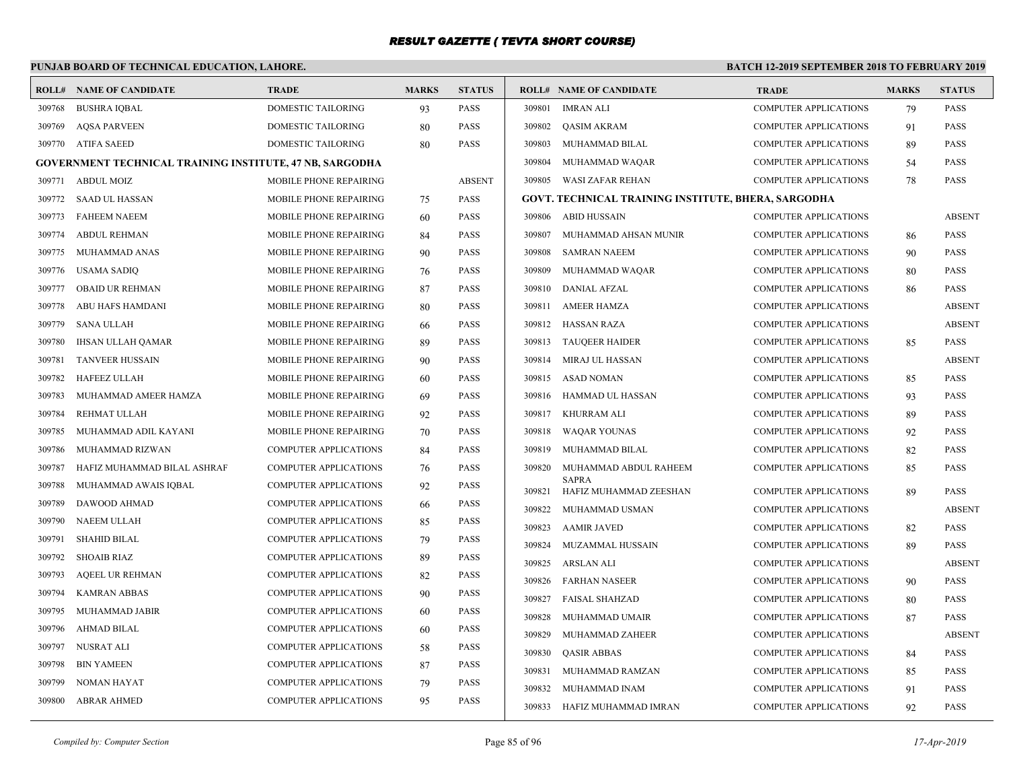# **PUNJAB BOARD OF TECHNICAL EDUCATION, LAHORE.**

|        | <b>ROLL# NAME OF CANDIDATE</b>                                  | <b>TRADE</b>                  | <b>MARKS</b> | <b>STATUS</b> |        | <b>ROLL# NAME OF CANDIDATE</b>                      | <b>TRADE</b>                 | <b>MARKS</b> | <b>STATUS</b> |
|--------|-----------------------------------------------------------------|-------------------------------|--------------|---------------|--------|-----------------------------------------------------|------------------------------|--------------|---------------|
| 309768 | <b>BUSHRA IQBAL</b>                                             | DOMESTIC TAILORING            | 93           | <b>PASS</b>   |        | 309801 IMRAN ALI                                    | COMPUTER APPLICATIONS        | 79           | <b>PASS</b>   |
| 309769 | <b>AOSA PARVEEN</b>                                             | <b>DOMESTIC TAILORING</b>     | 80           | <b>PASS</b>   |        | 309802 OASIM AKRAM                                  | <b>COMPUTER APPLICATIONS</b> | 91           | <b>PASS</b>   |
|        | 309770 ATIFA SAEED                                              | DOMESTIC TAILORING            | 80           | <b>PASS</b>   | 309803 | MUHAMMAD BILAL                                      | COMPUTER APPLICATIONS        | 89           | <b>PASS</b>   |
|        | <b>GOVERNMENT TECHNICAL TRAINING INSTITUTE, 47 NB, SARGODHA</b> |                               |              |               | 309804 | MUHAMMAD WAQAR                                      | COMPUTER APPLICATIONS        | 54           | <b>PASS</b>   |
| 309771 | <b>ABDUL MOIZ</b>                                               | MOBILE PHONE REPAIRING        |              | <b>ABSENT</b> |        | 309805 WASI ZAFAR REHAN                             | <b>COMPUTER APPLICATIONS</b> | 78           | <b>PASS</b>   |
| 309772 | <b>SAAD UL HASSAN</b>                                           | MOBILE PHONE REPAIRING        | 75           | PASS          |        | GOVT. TECHNICAL TRAINING INSTITUTE, BHERA, SARGODHA |                              |              |               |
| 309773 | <b>FAHEEM NAEEM</b>                                             | MOBILE PHONE REPAIRING        | 60           | PASS          |        | 309806 ABID HUSSAIN                                 | <b>COMPUTER APPLICATIONS</b> |              | <b>ABSENT</b> |
| 309774 | <b>ABDUL REHMAN</b>                                             | MOBILE PHONE REPAIRING        | 84           | <b>PASS</b>   | 309807 | MUHAMMAD AHSAN MUNIR                                | <b>COMPUTER APPLICATIONS</b> | 86           | <b>PASS</b>   |
| 309775 | MUHAMMAD ANAS                                                   | MOBILE PHONE REPAIRING        | 90           | <b>PASS</b>   | 309808 | <b>SAMRAN NAEEM</b>                                 | <b>COMPUTER APPLICATIONS</b> | 90           | <b>PASS</b>   |
| 309776 | <b>USAMA SADIO</b>                                              | MOBILE PHONE REPAIRING        | 76           | <b>PASS</b>   | 309809 | MUHAMMAD WAQAR                                      | <b>COMPUTER APPLICATIONS</b> | 80           | <b>PASS</b>   |
| 309777 | <b>OBAID UR REHMAN</b>                                          | MOBILE PHONE REPAIRING        | 87           | <b>PASS</b>   | 309810 | DANIAL AFZAL                                        | <b>COMPUTER APPLICATIONS</b> | 86           | <b>PASS</b>   |
| 309778 | ABU HAFS HAMDANI                                                | MOBILE PHONE REPAIRING        | 80           | <b>PASS</b>   |        | 309811 AMEER HAMZA                                  | <b>COMPUTER APPLICATIONS</b> |              | <b>ABSENT</b> |
| 309779 | <b>SANA ULLAH</b>                                               | MOBILE PHONE REPAIRING        | 66           | <b>PASS</b>   |        | 309812 HASSAN RAZA                                  | <b>COMPUTER APPLICATIONS</b> |              | <b>ABSENT</b> |
| 309780 | IHSAN ULLAH QAMAR                                               | <b>MOBILE PHONE REPAIRING</b> | 89           | <b>PASS</b>   |        | 309813 TAUQEER HAIDER                               | <b>COMPUTER APPLICATIONS</b> | 85           | <b>PASS</b>   |
| 309781 | <b>TANVEER HUSSAIN</b>                                          | MOBILE PHONE REPAIRING        | 90           | PASS          |        | 309814 MIRAJ UL HASSAN                              | COMPUTER APPLICATIONS        |              | ABSENT        |
| 309782 | <b>HAFEEZ ULLAH</b>                                             | <b>MOBILE PHONE REPAIRING</b> | 60           | <b>PASS</b>   |        | 309815 ASAD NOMAN                                   | <b>COMPUTER APPLICATIONS</b> | 85           | <b>PASS</b>   |
| 309783 | MUHAMMAD AMEER HAMZA                                            | MOBILE PHONE REPAIRING        | 69           | <b>PASS</b>   |        | 309816 HAMMAD UL HASSAN                             | <b>COMPUTER APPLICATIONS</b> | 93           | <b>PASS</b>   |
| 309784 | REHMAT ULLAH                                                    | MOBILE PHONE REPAIRING        | 92           | <b>PASS</b>   |        | 309817 KHURRAM ALI                                  | COMPUTER APPLICATIONS        | 89           | <b>PASS</b>   |
| 309785 | MUHAMMAD ADIL KAYANI                                            | MOBILE PHONE REPAIRING        | 70           | <b>PASS</b>   | 309818 | WAQAR YOUNAS                                        | <b>COMPUTER APPLICATIONS</b> | 92           | <b>PASS</b>   |
| 309786 | MUHAMMAD RIZWAN                                                 | <b>COMPUTER APPLICATIONS</b>  | 84           | <b>PASS</b>   | 309819 | MUHAMMAD BILAL                                      | <b>COMPUTER APPLICATIONS</b> | 82           | <b>PASS</b>   |
| 309787 | HAFIZ MUHAMMAD BILAL ASHRAF                                     | <b>COMPUTER APPLICATIONS</b>  | 76           | <b>PASS</b>   | 309820 | MUHAMMAD ABDUL RAHEEM                               | <b>COMPUTER APPLICATIONS</b> | 85           | <b>PASS</b>   |
| 309788 | MUHAMMAD AWAIS IQBAL                                            | <b>COMPUTER APPLICATIONS</b>  | 92           | <b>PASS</b>   | 309821 | <b>SAPRA</b><br>HAFIZ MUHAMMAD ZEESHAN              | <b>COMPUTER APPLICATIONS</b> | 89           | <b>PASS</b>   |
| 309789 | DAWOOD AHMAD                                                    | <b>COMPUTER APPLICATIONS</b>  | 66           | PASS          |        | 309822 MUHAMMAD USMAN                               | COMPUTER APPLICATIONS        |              | <b>ABSENT</b> |
| 309790 | <b>NAEEM ULLAH</b>                                              | <b>COMPUTER APPLICATIONS</b>  | 85           | <b>PASS</b>   |        | 309823 AAMIR JAVED                                  | COMPUTER APPLICATIONS        | 82           | <b>PASS</b>   |
| 309791 | <b>SHAHID BILAL</b>                                             | <b>COMPUTER APPLICATIONS</b>  | 79           | <b>PASS</b>   | 309824 | MUZAMMAL HUSSAIN                                    | <b>COMPUTER APPLICATIONS</b> | 89           | <b>PASS</b>   |
| 309792 | <b>SHOAIB RIAZ</b>                                              | COMPUTER APPLICATIONS         | 89           | <b>PASS</b>   | 309825 | ARSLAN ALI                                          | COMPUTER APPLICATIONS        |              | <b>ABSENT</b> |
| 309793 | <b>AQEEL UR REHMAN</b>                                          | <b>COMPUTER APPLICATIONS</b>  | 82           | <b>PASS</b>   |        | 309826 FARHAN NASEER                                | COMPUTER APPLICATIONS        | 90           | <b>PASS</b>   |
| 309794 | <b>KAMRAN ABBAS</b>                                             | <b>COMPUTER APPLICATIONS</b>  | 90           | <b>PASS</b>   | 309827 | FAISAL SHAHZAD                                      | <b>COMPUTER APPLICATIONS</b> | 80           | <b>PASS</b>   |
| 309795 | MUHAMMAD JABIR                                                  | <b>COMPUTER APPLICATIONS</b>  | 60           | <b>PASS</b>   | 309828 | MUHAMMAD UMAIR                                      | <b>COMPUTER APPLICATIONS</b> | 87           | <b>PASS</b>   |
| 309796 | <b>AHMAD BILAL</b>                                              | <b>COMPUTER APPLICATIONS</b>  | 60           | <b>PASS</b>   | 309829 | MUHAMMAD ZAHEER                                     | COMPUTER APPLICATIONS        |              | ABSENT        |
| 309797 | NUSRAT ALI                                                      | COMPUTER APPLICATIONS         | 58           | PASS          | 309830 | <b>QASIR ABBAS</b>                                  | <b>COMPUTER APPLICATIONS</b> | 84           | <b>PASS</b>   |
| 309798 | <b>BIN YAMEEN</b>                                               | <b>COMPUTER APPLICATIONS</b>  | 87           | <b>PASS</b>   | 309831 | MUHAMMAD RAMZAN                                     | COMPUTER APPLICATIONS        | 85           | <b>PASS</b>   |
| 309799 | NOMAN HAYAT                                                     | <b>COMPUTER APPLICATIONS</b>  | 79           | <b>PASS</b>   |        | 309832 MUHAMMAD INAM                                | <b>COMPUTER APPLICATIONS</b> | 91           | <b>PASS</b>   |
| 309800 | <b>ABRAR AHMED</b>                                              | <b>COMPUTER APPLICATIONS</b>  | 95           | <b>PASS</b>   |        | 309833 HAFIZ MUHAMMAD IMRAN                         | <b>COMPUTER APPLICATIONS</b> | 92           | <b>PASS</b>   |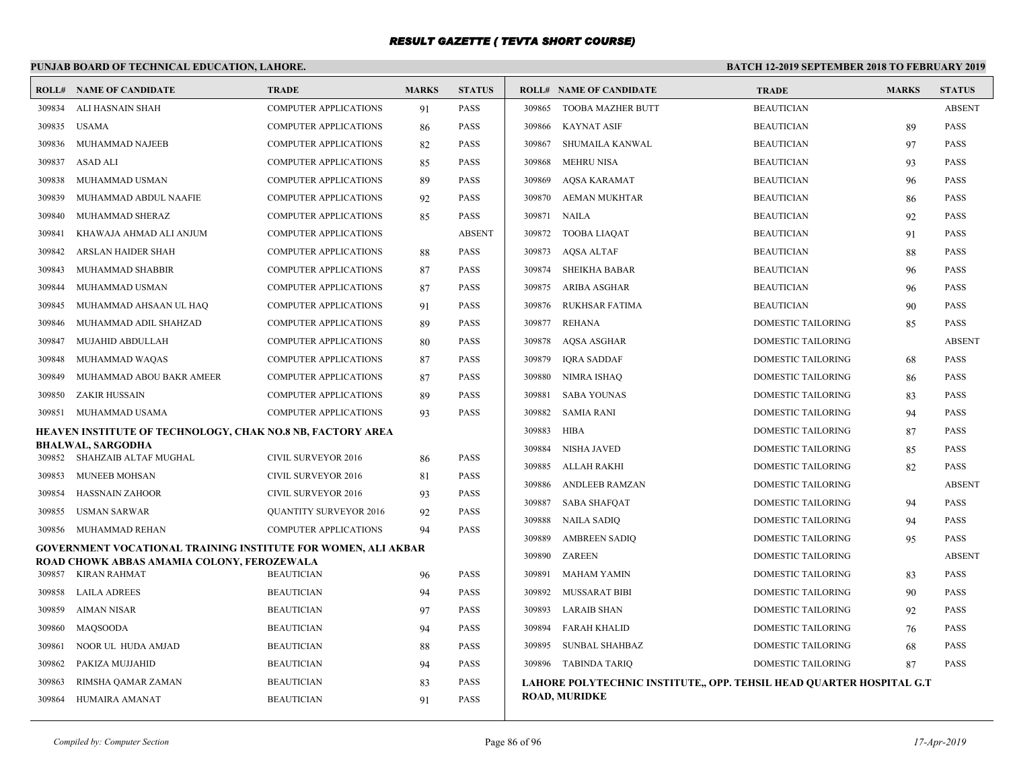# **PUNJAB BOARD OF TECHNICAL EDUCATION, LAHORE.**

|        | <b>ROLL# NAME OF CANDIDATE</b>                                       | <b>TRADE</b>                  | <b>MARKS</b> | <b>STATUS</b> |        | <b>ROLL# NAME OF CANDIDATE</b>                                       | <b>TRADE</b>              | <b>MARKS</b> | <b>STATUS</b> |
|--------|----------------------------------------------------------------------|-------------------------------|--------------|---------------|--------|----------------------------------------------------------------------|---------------------------|--------------|---------------|
| 309834 | ALI HASNAIN SHAH                                                     | <b>COMPUTER APPLICATIONS</b>  | 91           | PASS          | 309865 | TOOBA MAZHER BUTT                                                    | <b>BEAUTICIAN</b>         |              | <b>ABSENT</b> |
| 309835 | USAMA                                                                | <b>COMPUTER APPLICATIONS</b>  | 86           | <b>PASS</b>   | 309866 | <b>KAYNAT ASIF</b>                                                   | <b>BEAUTICIAN</b>         | 89           | <b>PASS</b>   |
| 309836 | MUHAMMAD NAJEEB                                                      | <b>COMPUTER APPLICATIONS</b>  | 82           | <b>PASS</b>   | 309867 | SHUMAILA KANWAL                                                      | <b>BEAUTICIAN</b>         | 97           | <b>PASS</b>   |
| 309837 | ASAD ALI                                                             | <b>COMPUTER APPLICATIONS</b>  | 85           | <b>PASS</b>   | 309868 | <b>MEHRU NISA</b>                                                    | <b>BEAUTICIAN</b>         | 93           | <b>PASS</b>   |
| 309838 | MUHAMMAD USMAN                                                       | <b>COMPUTER APPLICATIONS</b>  | 89           | <b>PASS</b>   | 309869 | <b>AOSA KARAMAT</b>                                                  | <b>BEAUTICIAN</b>         | 96           | <b>PASS</b>   |
| 309839 | MUHAMMAD ABDUL NAAFIE                                                | COMPUTER APPLICATIONS         | 92           | <b>PASS</b>   | 309870 | <b>AEMAN MUKHTAR</b>                                                 | <b>BEAUTICIAN</b>         | 86           | <b>PASS</b>   |
| 309840 | MUHAMMAD SHERAZ                                                      | <b>COMPUTER APPLICATIONS</b>  | 85           | <b>PASS</b>   | 309871 | <b>NAILA</b>                                                         | <b>BEAUTICIAN</b>         | 92           | <b>PASS</b>   |
| 309841 | KHAWAJA AHMAD ALI ANJUM                                              | <b>COMPUTER APPLICATIONS</b>  |              | <b>ABSENT</b> | 309872 | <b>TOOBA LIAQAT</b>                                                  | <b>BEAUTICIAN</b>         | 91           | <b>PASS</b>   |
| 309842 | ARSLAN HAIDER SHAH                                                   | <b>COMPUTER APPLICATIONS</b>  | 88           | <b>PASS</b>   | 309873 | <b>AOSA ALTAF</b>                                                    | <b>BEAUTICIAN</b>         | 88           | <b>PASS</b>   |
| 309843 | MUHAMMAD SHABBIR                                                     | <b>COMPUTER APPLICATIONS</b>  | 87           | <b>PASS</b>   | 309874 | <b>SHEIKHA BABAR</b>                                                 | <b>BEAUTICIAN</b>         | 96           | <b>PASS</b>   |
| 309844 | MUHAMMAD USMAN                                                       | COMPUTER APPLICATIONS         | 87           | <b>PASS</b>   | 309875 | ARIBA ASGHAR                                                         | <b>BEAUTICIAN</b>         | 96           | <b>PASS</b>   |
| 309845 | MUHAMMAD AHSAAN UL HAQ                                               | COMPUTER APPLICATIONS         | 91           | PASS          | 309876 | RUKHSAR FATIMA                                                       | <b>BEAUTICIAN</b>         | 90           | <b>PASS</b>   |
| 309846 | MUHAMMAD ADIL SHAHZAD                                                | COMPUTER APPLICATIONS         | 89           | <b>PASS</b>   | 309877 | REHANA                                                               | DOMESTIC TAILORING        | 85           | <b>PASS</b>   |
| 309847 | MUJAHID ABDULLAH                                                     | <b>COMPUTER APPLICATIONS</b>  | 80           | <b>PASS</b>   | 309878 | AQSA ASGHAR                                                          | DOMESTIC TAILORING        |              | <b>ABSENT</b> |
| 309848 | MUHAMMAD WAQAS                                                       | <b>COMPUTER APPLICATIONS</b>  | 87           | <b>PASS</b>   | 309879 | <b>IORA SADDAF</b>                                                   | <b>DOMESTIC TAILORING</b> | 68           | <b>PASS</b>   |
| 309849 | MUHAMMAD ABOU BAKR AMEER                                             | <b>COMPUTER APPLICATIONS</b>  | 87           | <b>PASS</b>   | 309880 | NIMRA ISHAQ                                                          | DOMESTIC TAILORING        | 86           | <b>PASS</b>   |
| 309850 | ZAKIR HUSSAIN                                                        | <b>COMPUTER APPLICATIONS</b>  | 89           | PASS          | 309881 | <b>SABA YOUNAS</b>                                                   | DOMESTIC TAILORING        | 83           | <b>PASS</b>   |
| 309851 | MUHAMMAD USAMA                                                       | <b>COMPUTER APPLICATIONS</b>  | 93           | <b>PASS</b>   | 309882 | SAMIA RANI                                                           | <b>DOMESTIC TAILORING</b> | 94           | <b>PASS</b>   |
|        | <b>HEAVEN INSTITUTE OF TECHNOLOGY, CHAK NO.8 NB, FACTORY AREA</b>    |                               |              |               | 309883 | <b>HIBA</b>                                                          | <b>DOMESTIC TAILORING</b> | 87           | <b>PASS</b>   |
|        | BHALWAL, SARGODHA<br>309852 SHAHZAIB ALTAF MUGHAL                    | CIVIL SURVEYOR 2016           | 86           | <b>PASS</b>   | 309884 | <b>NISHA JAVED</b>                                                   | <b>DOMESTIC TAILORING</b> | 85           | <b>PASS</b>   |
| 309853 | MUNEEB MOHSAN                                                        | <b>CIVIL SURVEYOR 2016</b>    | 81           | <b>PASS</b>   | 309885 | ALLAH RAKHI                                                          | DOMESTIC TAILORING        | 82           | <b>PASS</b>   |
| 309854 | <b>HASSNAIN ZAHOOR</b>                                               | <b>CIVIL SURVEYOR 2016</b>    | 93           | <b>PASS</b>   | 309886 | ANDLEEB RAMZAN                                                       | DOMESTIC TAILORING        |              | <b>ABSENT</b> |
| 309855 | USMAN SARWAR                                                         | <b>QUANTITY SURVEYOR 2016</b> | 92           | <b>PASS</b>   | 309887 | <b>SABA SHAFQAT</b>                                                  | <b>DOMESTIC TAILORING</b> | 94           | <b>PASS</b>   |
| 309856 | MUHAMMAD REHAN                                                       | <b>COMPUTER APPLICATIONS</b>  | 94           | <b>PASS</b>   | 309888 | <b>NAILA SADIQ</b>                                                   | <b>DOMESTIC TAILORING</b> | 94           | <b>PASS</b>   |
|        | <b>GOVERNMENT VOCATIONAL TRAINING INSTITUTE FOR WOMEN, ALI AKBAR</b> |                               |              |               | 309889 | <b>AMBREEN SADIO</b>                                                 | <b>DOMESTIC TAILORING</b> | 95           | <b>PASS</b>   |
|        | ROAD CHOWK ABBAS AMAMIA COLONY, FEROZEWALA                           |                               |              |               | 309890 | ZAREEN                                                               | DOMESTIC TAILORING        |              | <b>ABSENT</b> |
|        | 309857 KIRAN RAHMAT                                                  | <b>BEAUTICIAN</b>             | 96           | <b>PASS</b>   | 309891 | <b>MAHAM YAMIN</b>                                                   | DOMESTIC TAILORING        | 83           | <b>PASS</b>   |
| 309858 | LAILA ADREES                                                         | <b>BEAUTICIAN</b>             | 94           | <b>PASS</b>   | 309892 | <b>MUSSARAT BIBI</b>                                                 | DOMESTIC TAILORING        | 90           | <b>PASS</b>   |
| 309859 | AIMAN NISAR                                                          | <b>BEAUTICIAN</b>             | 97           | <b>PASS</b>   |        | 309893 LARAIB SHAN                                                   | <b>DOMESTIC TAILORING</b> | 92           | <b>PASS</b>   |
| 309860 | MAOSOODA                                                             | <b>BEAUTICIAN</b>             | 94           | <b>PASS</b>   | 309894 | <b>FARAH KHALID</b>                                                  | DOMESTIC TAILORING        | 76           | <b>PASS</b>   |
| 309861 | NOOR UL HUDA AMJAD                                                   | <b>BEAUTICIAN</b>             | 88           | <b>PASS</b>   | 309895 | <b>SUNBAL SHAHBAZ</b>                                                | DOMESTIC TAILORING        | 68           | <b>PASS</b>   |
| 309862 | PAKIZA MUJJAHID                                                      | <b>BEAUTICIAN</b>             | 94           | <b>PASS</b>   |        | 309896 TABINDA TARIQ                                                 | DOMESTIC TAILORING        | 87           | <b>PASS</b>   |
| 309863 | RIMSHA QAMAR ZAMAN                                                   | <b>BEAUTICIAN</b>             | 83           | <b>PASS</b>   |        | LAHORE POLYTECHNIC INSTITUTE,, OPP. TEHSIL HEAD QUARTER HOSPITAL G.T |                           |              |               |
| 309864 | HUMAIRA AMANAT                                                       | <b>BEAUTICIAN</b>             | 91           | <b>PASS</b>   |        | <b>ROAD, MURIDKE</b>                                                 |                           |              |               |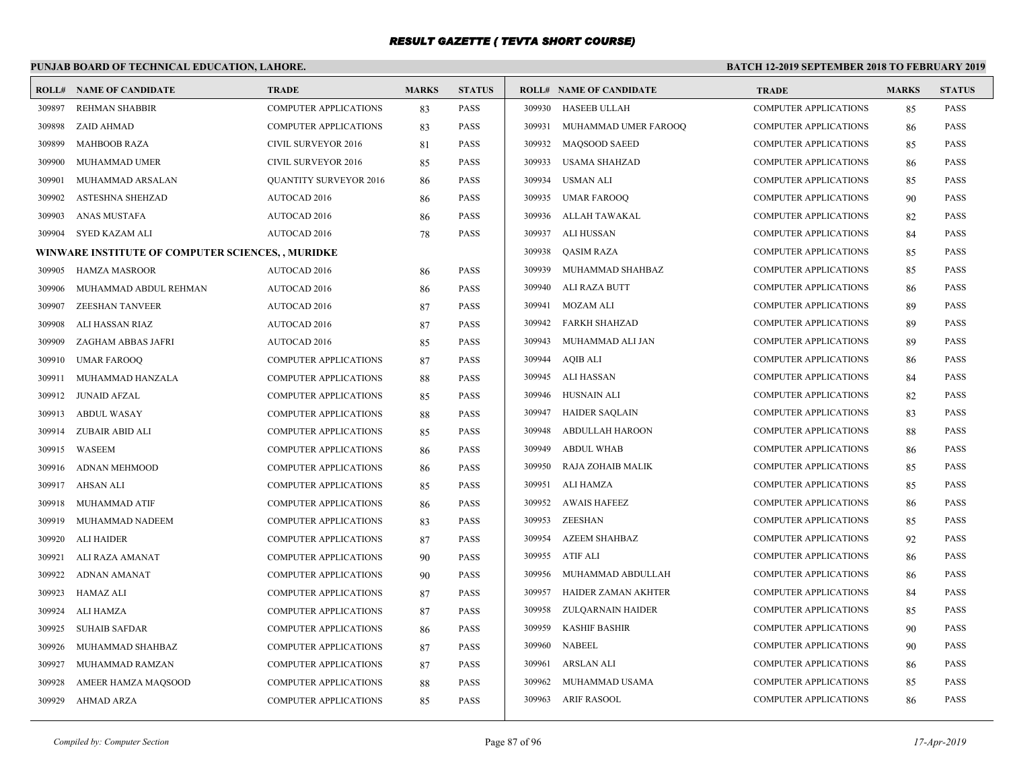# **PUNJAB BOARD OF TECHNICAL EDUCATION, LAHORE.**

|        | <b>ROLL# NAME OF CANDIDATE</b>                    | <b>TRADE</b>                  | <b>MARKS</b> | <b>STATUS</b> |        | <b>ROLL# NAME OF CANDIDATE</b> | <b>TRADE</b>                 | <b>MARKS</b> | <b>STATUS</b> |
|--------|---------------------------------------------------|-------------------------------|--------------|---------------|--------|--------------------------------|------------------------------|--------------|---------------|
| 309897 | <b>REHMAN SHABBIR</b>                             | COMPUTER APPLICATIONS         | 83           | <b>PASS</b>   | 309930 | HASEEB ULLAH                   | COMPUTER APPLICATIONS        | 85           | <b>PASS</b>   |
| 309898 | ZAID AHMAD                                        | <b>COMPUTER APPLICATIONS</b>  | 83           | <b>PASS</b>   | 309931 | MUHAMMAD UMER FAROOQ           | <b>COMPUTER APPLICATIONS</b> | 86           | <b>PASS</b>   |
| 309899 | <b>MAHBOOB RAZA</b>                               | <b>CIVIL SURVEYOR 2016</b>    | 81           | <b>PASS</b>   |        | 309932 MAOSOOD SAEED           | <b>COMPUTER APPLICATIONS</b> | 85           | <b>PASS</b>   |
| 309900 | MUHAMMAD UMER                                     | <b>CIVIL SURVEYOR 2016</b>    | 85           | <b>PASS</b>   | 309933 | USAMA SHAHZAD                  | <b>COMPUTER APPLICATIONS</b> | 86           | <b>PASS</b>   |
| 309901 | MUHAMMAD ARSALAN                                  | <b>QUANTITY SURVEYOR 2016</b> | 86           | <b>PASS</b>   | 309934 | USMAN ALI                      | <b>COMPUTER APPLICATIONS</b> | 85           | <b>PASS</b>   |
| 309902 | ASTESHNA SHEHZAD                                  | AUTOCAD 2016                  | 86           | <b>PASS</b>   | 309935 | UMAR FAROOQ                    | COMPUTER APPLICATIONS        | 90           | <b>PASS</b>   |
| 309903 | ANAS MUSTAFA                                      | AUTOCAD 2016                  | 86           | <b>PASS</b>   |        | 309936 ALLAH TAWAKAL           | <b>COMPUTER APPLICATIONS</b> | 82           | <b>PASS</b>   |
| 309904 | SYED KAZAM ALI                                    | <b>AUTOCAD 2016</b>           | 78           | <b>PASS</b>   |        | 309937 ALI HUSSAN              | <b>COMPUTER APPLICATIONS</b> | 84           | <b>PASS</b>   |
|        | WINWARE INSTITUTE OF COMPUTER SCIENCES, , MURIDKE |                               |              |               | 309938 | <b>QASIM RAZA</b>              | <b>COMPUTER APPLICATIONS</b> | 85           | PASS          |
| 309905 | <b>HAMZA MASROOR</b>                              | AUTOCAD 2016                  | 86           | <b>PASS</b>   | 309939 | MUHAMMAD SHAHBAZ               | <b>COMPUTER APPLICATIONS</b> | 85           | <b>PASS</b>   |
| 309906 | MUHAMMAD ABDUL REHMAN                             | AUTOCAD 2016                  | 86           | <b>PASS</b>   | 309940 | ALI RAZA BUTT                  | <b>COMPUTER APPLICATIONS</b> | 86           | <b>PASS</b>   |
| 309907 | ZEESHAN TANVEER                                   | <b>AUTOCAD 2016</b>           | 87           | <b>PASS</b>   | 309941 | MOZAM ALI                      | <b>COMPUTER APPLICATIONS</b> | 89           | <b>PASS</b>   |
| 309908 | ALI HASSAN RIAZ                                   | <b>AUTOCAD 2016</b>           | 87           | <b>PASS</b>   | 309942 | FARKH SHAHZAD                  | COMPUTER APPLICATIONS        | 89           | <b>PASS</b>   |
| 309909 | ZAGHAM ABBAS JAFRI                                | AUTOCAD 2016                  | 85           | <b>PASS</b>   | 309943 | MUHAMMAD ALI JAN               | <b>COMPUTER APPLICATIONS</b> | 89           | <b>PASS</b>   |
| 309910 | <b>UMAR FAROOQ</b>                                | <b>COMPUTER APPLICATIONS</b>  | 87           | <b>PASS</b>   |        | 309944 AQIB ALI                | <b>COMPUTER APPLICATIONS</b> | 86           | <b>PASS</b>   |
| 309911 | MUHAMMAD HANZALA                                  | <b>COMPUTER APPLICATIONS</b>  | 88           | <b>PASS</b>   |        | 309945 ALI HASSAN              | <b>COMPUTER APPLICATIONS</b> | 84           | <b>PASS</b>   |
| 309912 | <b>JUNAID AFZAL</b>                               | <b>COMPUTER APPLICATIONS</b>  | 85           | <b>PASS</b>   | 309946 | HUSNAIN ALI                    | <b>COMPUTER APPLICATIONS</b> | 82           | <b>PASS</b>   |
| 309913 | <b>ABDUL WASAY</b>                                | <b>COMPUTER APPLICATIONS</b>  | 88           | <b>PASS</b>   |        | 309947 HAIDER SAQLAIN          | <b>COMPUTER APPLICATIONS</b> | 83           | <b>PASS</b>   |
| 309914 | ZUBAIR ABID ALI                                   | <b>COMPUTER APPLICATIONS</b>  | 85           | <b>PASS</b>   | 309948 | ABDULLAH HAROON                | <b>COMPUTER APPLICATIONS</b> | 88           | <b>PASS</b>   |
| 309915 | WASEEM                                            | COMPUTER APPLICATIONS         | 86           | <b>PASS</b>   | 309949 | <b>ABDUL WHAB</b>              | <b>COMPUTER APPLICATIONS</b> | 86           | <b>PASS</b>   |
| 309916 | ADNAN MEHMOOD                                     | <b>COMPUTER APPLICATIONS</b>  | 86           | <b>PASS</b>   | 309950 | RAJA ZOHAIB MALIK              | <b>COMPUTER APPLICATIONS</b> | 85           | <b>PASS</b>   |
| 309917 | AHSAN ALI                                         | <b>COMPUTER APPLICATIONS</b>  | 85           | <b>PASS</b>   | 309951 | ALI HAMZA                      | <b>COMPUTER APPLICATIONS</b> | 85           | <b>PASS</b>   |
| 309918 | MUHAMMAD ATIF                                     | COMPUTER APPLICATIONS         | 86           | <b>PASS</b>   | 309952 | AWAIS HAFEEZ                   | <b>COMPUTER APPLICATIONS</b> | 86           | PASS          |
| 309919 | MUHAMMAD NADEEM                                   | <b>COMPUTER APPLICATIONS</b>  | 83           | <b>PASS</b>   |        | 309953 ZEESHAN                 | COMPUTER APPLICATIONS        | 85           | <b>PASS</b>   |
| 309920 | <b>ALI HAIDER</b>                                 | <b>COMPUTER APPLICATIONS</b>  | 87           | <b>PASS</b>   | 309954 | <b>AZEEM SHAHBAZ</b>           | <b>COMPUTER APPLICATIONS</b> | 92           | <b>PASS</b>   |
| 309921 | ALI RAZA AMANAT                                   | <b>COMPUTER APPLICATIONS</b>  | 90           | <b>PASS</b>   | 309955 | ATIF ALI                       | <b>COMPUTER APPLICATIONS</b> | 86           | <b>PASS</b>   |
| 309922 | ADNAN AMANAT                                      | <b>COMPUTER APPLICATIONS</b>  | 90           | <b>PASS</b>   | 309956 | MUHAMMAD ABDULLAH              | <b>COMPUTER APPLICATIONS</b> | 86           | <b>PASS</b>   |
| 309923 | HAMAZ ALI                                         | COMPUTER APPLICATIONS         | 87           | <b>PASS</b>   | 309957 | HAIDER ZAMAN AKHTER            | <b>COMPUTER APPLICATIONS</b> | 84           | <b>PASS</b>   |
| 309924 | ALI HAMZA                                         | <b>COMPUTER APPLICATIONS</b>  | 87           | <b>PASS</b>   | 309958 | ZULQARNAIN HAIDER              | COMPUTER APPLICATIONS        | 85           | <b>PASS</b>   |
| 309925 | <b>SUHAIB SAFDAR</b>                              | <b>COMPUTER APPLICATIONS</b>  | 86           | <b>PASS</b>   | 309959 | KASHIF BASHIR                  | <b>COMPUTER APPLICATIONS</b> | 90           | <b>PASS</b>   |
| 309926 | MUHAMMAD SHAHBAZ                                  | <b>COMPUTER APPLICATIONS</b>  | 87           | <b>PASS</b>   |        | 309960 NABEEL                  | <b>COMPUTER APPLICATIONS</b> | 90           | <b>PASS</b>   |
| 309927 | MUHAMMAD RAMZAN                                   | <b>COMPUTER APPLICATIONS</b>  | 87           | <b>PASS</b>   | 309961 | ARSLAN ALI                     | <b>COMPUTER APPLICATIONS</b> | 86           | <b>PASS</b>   |
| 309928 | AMEER HAMZA MAQSOOD                               | <b>COMPUTER APPLICATIONS</b>  | 88           | <b>PASS</b>   | 309962 | MUHAMMAD USAMA                 | <b>COMPUTER APPLICATIONS</b> | 85           | <b>PASS</b>   |
| 309929 | AHMAD ARZA                                        | <b>COMPUTER APPLICATIONS</b>  | 85           | <b>PASS</b>   |        | 309963 ARIF RASOOL             | <b>COMPUTER APPLICATIONS</b> | 86           | <b>PASS</b>   |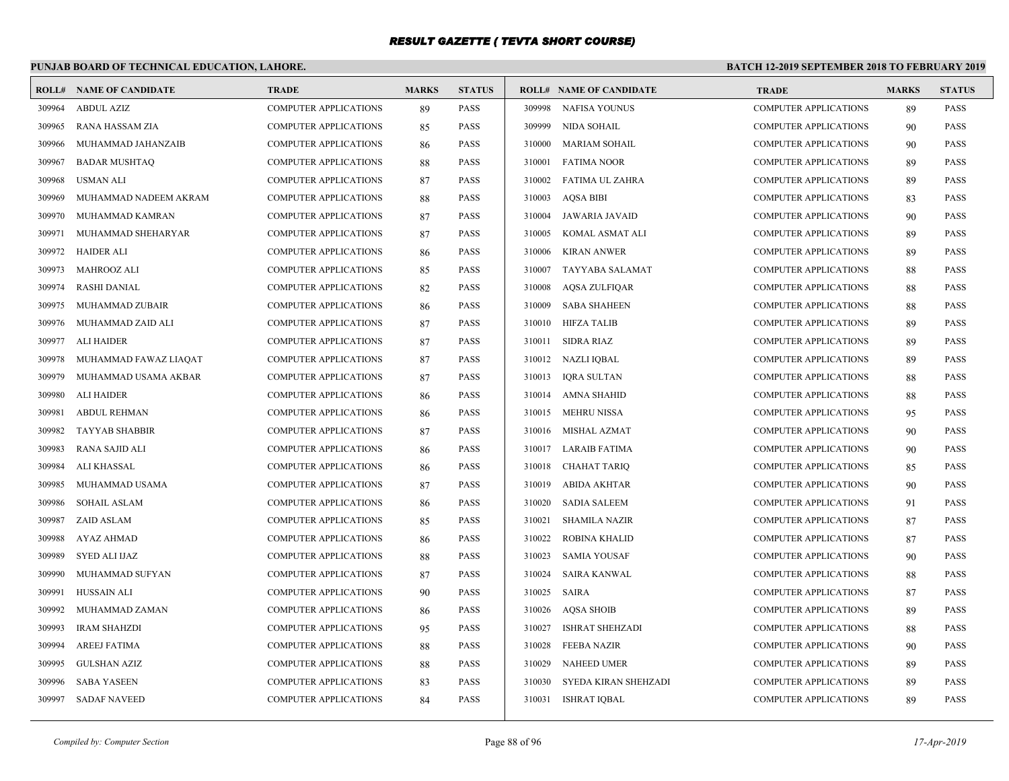# **PUNJAB BOARD OF TECHNICAL EDUCATION, LAHORE.**

|        | <b>ROLL# NAME OF CANDIDATE</b> | <b>TRADE</b>                 | <b>MARKS</b> | <b>STATUS</b> |        | <b>ROLL# NAME OF CANDIDATE</b> | <b>TRADE</b>                 | <b>MARKS</b> | <b>STATUS</b> |
|--------|--------------------------------|------------------------------|--------------|---------------|--------|--------------------------------|------------------------------|--------------|---------------|
| 309964 | <b>ABDUL AZIZ</b>              | <b>COMPUTER APPLICATIONS</b> | 89           | <b>PASS</b>   | 309998 | NAFISA YOUNUS                  | <b>COMPUTER APPLICATIONS</b> | 89           | <b>PASS</b>   |
| 309965 | RANA HASSAM ZIA                | <b>COMPUTER APPLICATIONS</b> | 85           | <b>PASS</b>   | 309999 | NIDA SOHAIL                    | <b>COMPUTER APPLICATIONS</b> | 90           | <b>PASS</b>   |
| 309966 | MUHAMMAD JAHANZAIB             | <b>COMPUTER APPLICATIONS</b> | 86           | <b>PASS</b>   | 310000 | MARIAM SOHAIL                  | <b>COMPUTER APPLICATIONS</b> | 90           | <b>PASS</b>   |
| 309967 | <b>BADAR MUSHTAQ</b>           | <b>COMPUTER APPLICATIONS</b> | 88           | <b>PASS</b>   | 310001 | <b>FATIMA NOOR</b>             | <b>COMPUTER APPLICATIONS</b> | 89           | <b>PASS</b>   |
| 309968 | <b>USMAN ALI</b>               | <b>COMPUTER APPLICATIONS</b> | 87           | <b>PASS</b>   | 310002 | FATIMA UL ZAHRA                | <b>COMPUTER APPLICATIONS</b> | 89           | <b>PASS</b>   |
| 309969 | MUHAMMAD NADEEM AKRAM          | <b>COMPUTER APPLICATIONS</b> | 88           | <b>PASS</b>   | 310003 | <b>AQSA BIBI</b>               | <b>COMPUTER APPLICATIONS</b> | 83           | <b>PASS</b>   |
| 309970 | MUHAMMAD KAMRAN                | <b>COMPUTER APPLICATIONS</b> | 87           | <b>PASS</b>   | 310004 | JAWARIA JAVAID                 | <b>COMPUTER APPLICATIONS</b> | 90           | <b>PASS</b>   |
| 309971 | MUHAMMAD SHEHARYAR             | <b>COMPUTER APPLICATIONS</b> | 87           | <b>PASS</b>   | 310005 | KOMAL ASMAT ALI                | <b>COMPUTER APPLICATIONS</b> | 89           | <b>PASS</b>   |
| 309972 | <b>HAIDER ALI</b>              | <b>COMPUTER APPLICATIONS</b> | 86           | <b>PASS</b>   | 310006 | KIRAN ANWER                    | <b>COMPUTER APPLICATIONS</b> | 89           | <b>PASS</b>   |
| 309973 | <b>MAHROOZ ALI</b>             | <b>COMPUTER APPLICATIONS</b> | 85           | <b>PASS</b>   | 310007 | TAYYABA SALAMAT                | <b>COMPUTER APPLICATIONS</b> | 88           | <b>PASS</b>   |
| 309974 | <b>RASHI DANIAL</b>            | <b>COMPUTER APPLICATIONS</b> | 82           | <b>PASS</b>   | 310008 | <b>AQSA ZULFIQAR</b>           | <b>COMPUTER APPLICATIONS</b> | 88           | <b>PASS</b>   |
| 309975 | MUHAMMAD ZUBAIR                | <b>COMPUTER APPLICATIONS</b> | 86           | <b>PASS</b>   | 310009 | <b>SABA SHAHEEN</b>            | <b>COMPUTER APPLICATIONS</b> | 88           | <b>PASS</b>   |
| 309976 | MUHAMMAD ZAID ALI              | <b>COMPUTER APPLICATIONS</b> | 87           | <b>PASS</b>   | 310010 | <b>HIFZA TALIB</b>             | <b>COMPUTER APPLICATIONS</b> | 89           | <b>PASS</b>   |
| 309977 | <b>ALI HAIDER</b>              | <b>COMPUTER APPLICATIONS</b> | 87           | <b>PASS</b>   | 310011 | SIDRA RIAZ                     | <b>COMPUTER APPLICATIONS</b> | 89           | <b>PASS</b>   |
| 309978 | MUHAMMAD FAWAZ LIAQAT          | <b>COMPUTER APPLICATIONS</b> | 87           | <b>PASS</b>   |        | 310012 NAZLI IQBAL             | <b>COMPUTER APPLICATIONS</b> | 89           | <b>PASS</b>   |
| 309979 | MUHAMMAD USAMA AKBAR           | <b>COMPUTER APPLICATIONS</b> | 87           | <b>PASS</b>   |        | 310013 IQRA SULTAN             | <b>COMPUTER APPLICATIONS</b> | 88           | <b>PASS</b>   |
| 309980 | <b>ALI HAIDER</b>              | <b>COMPUTER APPLICATIONS</b> | 86           | <b>PASS</b>   | 310014 | AMNA SHAHID                    | <b>COMPUTER APPLICATIONS</b> | 88           | <b>PASS</b>   |
| 309981 | <b>ABDUL REHMAN</b>            | <b>COMPUTER APPLICATIONS</b> | 86           | <b>PASS</b>   | 310015 | MEHRU NISSA                    | <b>COMPUTER APPLICATIONS</b> | 95           | <b>PASS</b>   |
| 309982 | <b>TAYYAB SHABBIR</b>          | <b>COMPUTER APPLICATIONS</b> | 87           | <b>PASS</b>   | 310016 | MISHAL AZMAT                   | <b>COMPUTER APPLICATIONS</b> | 90           | <b>PASS</b>   |
| 309983 | <b>RANA SAJID ALI</b>          | <b>COMPUTER APPLICATIONS</b> | 86           | <b>PASS</b>   |        | 310017 LARAIB FATIMA           | <b>COMPUTER APPLICATIONS</b> | 90           | <b>PASS</b>   |
| 309984 | ALI KHASSAL                    | <b>COMPUTER APPLICATIONS</b> | 86           | <b>PASS</b>   | 310018 | CHAHAT TARIO                   | <b>COMPUTER APPLICATIONS</b> | 85           | <b>PASS</b>   |
| 309985 | MUHAMMAD USAMA                 | <b>COMPUTER APPLICATIONS</b> | 87           | <b>PASS</b>   | 310019 | <b>ABIDA AKHTAR</b>            | <b>COMPUTER APPLICATIONS</b> | 90           | <b>PASS</b>   |
| 309986 | <b>SOHAIL ASLAM</b>            | <b>COMPUTER APPLICATIONS</b> | 86           | <b>PASS</b>   | 310020 | <b>SADIA SALEEM</b>            | <b>COMPUTER APPLICATIONS</b> | 91           | <b>PASS</b>   |
| 309987 | <b>ZAID ASLAM</b>              | <b>COMPUTER APPLICATIONS</b> | 85           | <b>PASS</b>   | 310021 | <b>SHAMILA NAZIR</b>           | <b>COMPUTER APPLICATIONS</b> | 87           | <b>PASS</b>   |
| 309988 | <b>AYAZ AHMAD</b>              | <b>COMPUTER APPLICATIONS</b> | 86           | <b>PASS</b>   | 310022 | <b>ROBINA KHALID</b>           | <b>COMPUTER APPLICATIONS</b> | 87           | <b>PASS</b>   |
| 309989 | SYED ALI IJAZ                  | COMPUTER APPLICATIONS        | 88           | <b>PASS</b>   | 310023 | <b>SAMIA YOUSAF</b>            | <b>COMPUTER APPLICATIONS</b> | 90           | <b>PASS</b>   |
| 309990 | MUHAMMAD SUFYAN                | <b>COMPUTER APPLICATIONS</b> | 87           | <b>PASS</b>   | 310024 | SAIRA KANWAL                   | <b>COMPUTER APPLICATIONS</b> | 88           | <b>PASS</b>   |
| 309991 | HUSSAIN ALI                    | <b>COMPUTER APPLICATIONS</b> | 90           | <b>PASS</b>   | 310025 | SAIRA                          | <b>COMPUTER APPLICATIONS</b> | 87           | <b>PASS</b>   |
| 309992 | MUHAMMAD ZAMAN                 | <b>COMPUTER APPLICATIONS</b> | 86           | <b>PASS</b>   |        | 310026 AQSA SHOIB              | <b>COMPUTER APPLICATIONS</b> | 89           | <b>PASS</b>   |
| 309993 | <b>IRAM SHAHZDI</b>            | <b>COMPUTER APPLICATIONS</b> | 95           | <b>PASS</b>   | 310027 | <b>ISHRAT SHEHZADI</b>         | <b>COMPUTER APPLICATIONS</b> | 88           | <b>PASS</b>   |
| 309994 | <b>AREEJ FATIMA</b>            | <b>COMPUTER APPLICATIONS</b> | 88           | <b>PASS</b>   | 310028 | <b>FEEBA NAZIR</b>             | <b>COMPUTER APPLICATIONS</b> | 90           | PASS          |
| 309995 | <b>GULSHAN AZIZ</b>            | <b>COMPUTER APPLICATIONS</b> | 88           | <b>PASS</b>   | 310029 | <b>NAHEED UMER</b>             | <b>COMPUTER APPLICATIONS</b> | 89           | <b>PASS</b>   |
| 309996 | <b>SABA YASEEN</b>             | <b>COMPUTER APPLICATIONS</b> | 83           | <b>PASS</b>   | 310030 | SYEDA KIRAN SHEHZADI           | <b>COMPUTER APPLICATIONS</b> | 89           | <b>PASS</b>   |
| 309997 | <b>SADAF NAVEED</b>            | <b>COMPUTER APPLICATIONS</b> | 84           | <b>PASS</b>   | 310031 | ISHRAT IQBAL                   | <b>COMPUTER APPLICATIONS</b> | 89           | <b>PASS</b>   |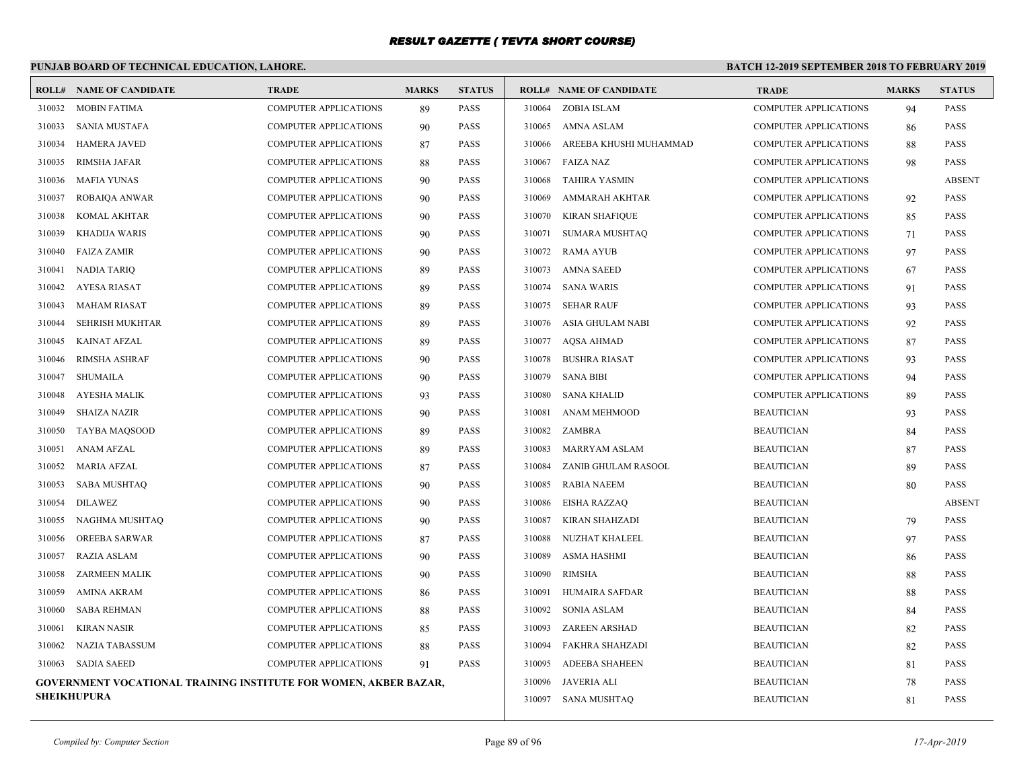# **PUNJAB BOARD OF TECHNICAL EDUCATION, LAHORE.**

|        | <b>ROLL# NAME OF CANDIDATE</b>                                   | <b>TRADE</b>                 | <b>MARKS</b> | <b>STATUS</b> |        | <b>ROLL# NAME OF CANDIDATE</b> | <b>TRADE</b>                 | <b>MARKS</b> | <b>STATUS</b> |
|--------|------------------------------------------------------------------|------------------------------|--------------|---------------|--------|--------------------------------|------------------------------|--------------|---------------|
| 310032 | MOBIN FATIMA                                                     | COMPUTER APPLICATIONS        | 89           | PASS          |        | 310064 ZOBIA ISLAM             | <b>COMPUTER APPLICATIONS</b> | 94           | <b>PASS</b>   |
| 310033 | <b>SANIA MUSTAFA</b>                                             | <b>COMPUTER APPLICATIONS</b> | 90           | <b>PASS</b>   | 310065 | AMNA ASLAM                     | <b>COMPUTER APPLICATIONS</b> | 86           | <b>PASS</b>   |
| 310034 | <b>HAMERA JAVED</b>                                              | <b>COMPUTER APPLICATIONS</b> | 87           | <b>PASS</b>   | 310066 | AREEBA KHUSHI MUHAMMAD         | <b>COMPUTER APPLICATIONS</b> | 88           | <b>PASS</b>   |
| 310035 | <b>RIMSHA JAFAR</b>                                              | <b>COMPUTER APPLICATIONS</b> | 88           | <b>PASS</b>   | 310067 | <b>FAIZA NAZ</b>               | <b>COMPUTER APPLICATIONS</b> | 98           | <b>PASS</b>   |
| 310036 | <b>MAFIA YUNAS</b>                                               | <b>COMPUTER APPLICATIONS</b> | 90           | <b>PASS</b>   | 310068 | TAHIRA YASMIN                  | <b>COMPUTER APPLICATIONS</b> |              | <b>ABSENT</b> |
| 310037 | ROBAIQA ANWAR                                                    | <b>COMPUTER APPLICATIONS</b> | 90           | <b>PASS</b>   | 310069 | AMMARAH AKHTAR                 | <b>COMPUTER APPLICATIONS</b> | 92           | <b>PASS</b>   |
| 310038 | KOMAL AKHTAR                                                     | COMPUTER APPLICATIONS        | 90           | <b>PASS</b>   | 310070 | <b>KIRAN SHAFIQUE</b>          | <b>COMPUTER APPLICATIONS</b> | 85           | <b>PASS</b>   |
| 310039 | <b>KHADIJA WARIS</b>                                             | <b>COMPUTER APPLICATIONS</b> | 90           | <b>PASS</b>   | 310071 | <b>SUMARA MUSHTAQ</b>          | <b>COMPUTER APPLICATIONS</b> | 71           | <b>PASS</b>   |
| 310040 | <b>FAIZA ZAMIR</b>                                               | COMPUTER APPLICATIONS        | 90           | PASS          | 310072 | <b>RAMA AYUB</b>               | <b>COMPUTER APPLICATIONS</b> | 97           | <b>PASS</b>   |
| 310041 | NADIA TARIQ                                                      | <b>COMPUTER APPLICATIONS</b> | 89           | PASS          | 310073 | <b>AMNA SAEED</b>              | <b>COMPUTER APPLICATIONS</b> | 67           | <b>PASS</b>   |
| 310042 | AYESA RIASAT                                                     | <b>COMPUTER APPLICATIONS</b> | 89           | <b>PASS</b>   | 310074 | <b>SANA WARIS</b>              | <b>COMPUTER APPLICATIONS</b> | 91           | <b>PASS</b>   |
| 310043 | <b>MAHAM RIASAT</b>                                              | <b>COMPUTER APPLICATIONS</b> | 89           | <b>PASS</b>   | 310075 | <b>SEHAR RAUF</b>              | <b>COMPUTER APPLICATIONS</b> | 93           | <b>PASS</b>   |
| 310044 | <b>SEHRISH MUKHTAR</b>                                           | COMPUTER APPLICATIONS        | 89           | <b>PASS</b>   | 310076 | ASIA GHULAM NABI               | <b>COMPUTER APPLICATIONS</b> | 92           | <b>PASS</b>   |
| 310045 | <b>KAINAT AFZAL</b>                                              | <b>COMPUTER APPLICATIONS</b> | 89           | <b>PASS</b>   | 310077 | AQSA AHMAD                     | <b>COMPUTER APPLICATIONS</b> | 87           | <b>PASS</b>   |
| 310046 | <b>RIMSHA ASHRAF</b>                                             | <b>COMPUTER APPLICATIONS</b> | 90           | <b>PASS</b>   | 310078 | <b>BUSHRA RIASAT</b>           | <b>COMPUTER APPLICATIONS</b> | 93           | <b>PASS</b>   |
| 310047 | <b>SHUMAILA</b>                                                  | <b>COMPUTER APPLICATIONS</b> | 90           | <b>PASS</b>   | 310079 | <b>SANA BIBI</b>               | <b>COMPUTER APPLICATIONS</b> | 94           | <b>PASS</b>   |
| 310048 | AYESHA MALIK                                                     | <b>COMPUTER APPLICATIONS</b> | 93           | <b>PASS</b>   | 310080 | <b>SANA KHALID</b>             | <b>COMPUTER APPLICATIONS</b> | 89           | <b>PASS</b>   |
| 310049 | SHAIZA NAZIR                                                     | <b>COMPUTER APPLICATIONS</b> | 90           | PASS          | 310081 | ANAM MEHMOOD                   | <b>BEAUTICIAN</b>            | 93           | <b>PASS</b>   |
| 310050 | <b>TAYBA MAQSOOD</b>                                             | <b>COMPUTER APPLICATIONS</b> | 89           | <b>PASS</b>   | 310082 | ZAMBRA                         | <b>BEAUTICIAN</b>            | 84           | <b>PASS</b>   |
| 310051 | <b>ANAM AFZAL</b>                                                | <b>COMPUTER APPLICATIONS</b> | 89           | <b>PASS</b>   | 310083 | <b>MARRYAM ASLAM</b>           | <b>BEAUTICIAN</b>            | 87           | <b>PASS</b>   |
| 310052 | <b>MARIA AFZAL</b>                                               | COMPUTER APPLICATIONS        | 87           | PASS          | 310084 | ZANIB GHULAM RASOOL            | <b>BEAUTICIAN</b>            | 89           | <b>PASS</b>   |
| 310053 | SABA MUSHTAQ                                                     | <b>COMPUTER APPLICATIONS</b> | 90           | PASS          | 310085 | <b>RABIA NAEEM</b>             | <b>BEAUTICIAN</b>            | 80           | <b>PASS</b>   |
| 310054 | <b>DILAWEZ</b>                                                   | <b>COMPUTER APPLICATIONS</b> | 90           | <b>PASS</b>   | 310086 | <b>EISHA RAZZAQ</b>            | <b>BEAUTICIAN</b>            |              | <b>ABSENT</b> |
| 310055 | NAGHMA MUSHTAO                                                   | <b>COMPUTER APPLICATIONS</b> | 90           | <b>PASS</b>   | 310087 | KIRAN SHAHZADI                 | <b>BEAUTICIAN</b>            | 79           | <b>PASS</b>   |
| 310056 | OREEBA SARWAR                                                    | <b>COMPUTER APPLICATIONS</b> | 87           | <b>PASS</b>   | 310088 | NUZHAT KHALEEL                 | <b>BEAUTICIAN</b>            | 97           | <b>PASS</b>   |
| 310057 | RAZIA ASLAM                                                      | <b>COMPUTER APPLICATIONS</b> | 90           | <b>PASS</b>   | 310089 | <b>ASMA HASHMI</b>             | <b>BEAUTICIAN</b>            | 86           | <b>PASS</b>   |
| 310058 | ZARMEEN MALIK                                                    | <b>COMPUTER APPLICATIONS</b> | 90           | <b>PASS</b>   | 310090 | <b>RIMSHA</b>                  | <b>BEAUTICIAN</b>            | 88           | <b>PASS</b>   |
| 310059 | <b>AMINA AKRAM</b>                                               | <b>COMPUTER APPLICATIONS</b> | 86           | <b>PASS</b>   | 310091 | <b>HUMAIRA SAFDAR</b>          | <b>BEAUTICIAN</b>            | 88           | <b>PASS</b>   |
| 310060 | <b>SABA REHMAN</b>                                               | <b>COMPUTER APPLICATIONS</b> | 88           | PASS          | 310092 | <b>SONIA ASLAM</b>             | <b>BEAUTICIAN</b>            | 84           | <b>PASS</b>   |
| 310061 | KIRAN NASIR                                                      | <b>COMPUTER APPLICATIONS</b> | 85           | <b>PASS</b>   | 310093 | <b>ZAREEN ARSHAD</b>           | <b>BEAUTICIAN</b>            | 82           | <b>PASS</b>   |
| 310062 | <b>NAZIA TABASSUM</b>                                            | <b>COMPUTER APPLICATIONS</b> | 88           | <b>PASS</b>   | 310094 | <b>FAKHRA SHAHZADI</b>         | <b>BEAUTICIAN</b>            | 82           | <b>PASS</b>   |
| 310063 | <b>SADIA SAEED</b>                                               | <b>COMPUTER APPLICATIONS</b> | 91           | <b>PASS</b>   | 310095 | <b>ADEEBA SHAHEEN</b>          | <b>BEAUTICIAN</b>            | 81           | <b>PASS</b>   |
|        | GOVERNMENT VOCATIONAL TRAINING INSTITUTE FOR WOMEN, AKBER BAZAR, |                              |              |               | 310096 | JAVERIA ALI                    | <b>BEAUTICIAN</b>            | 78           | <b>PASS</b>   |
|        | <b>SHEIKHUPURA</b>                                               |                              |              |               |        | 310097 SANA MUSHTAQ            | <b>BEAUTICIAN</b>            | 81           | <b>PASS</b>   |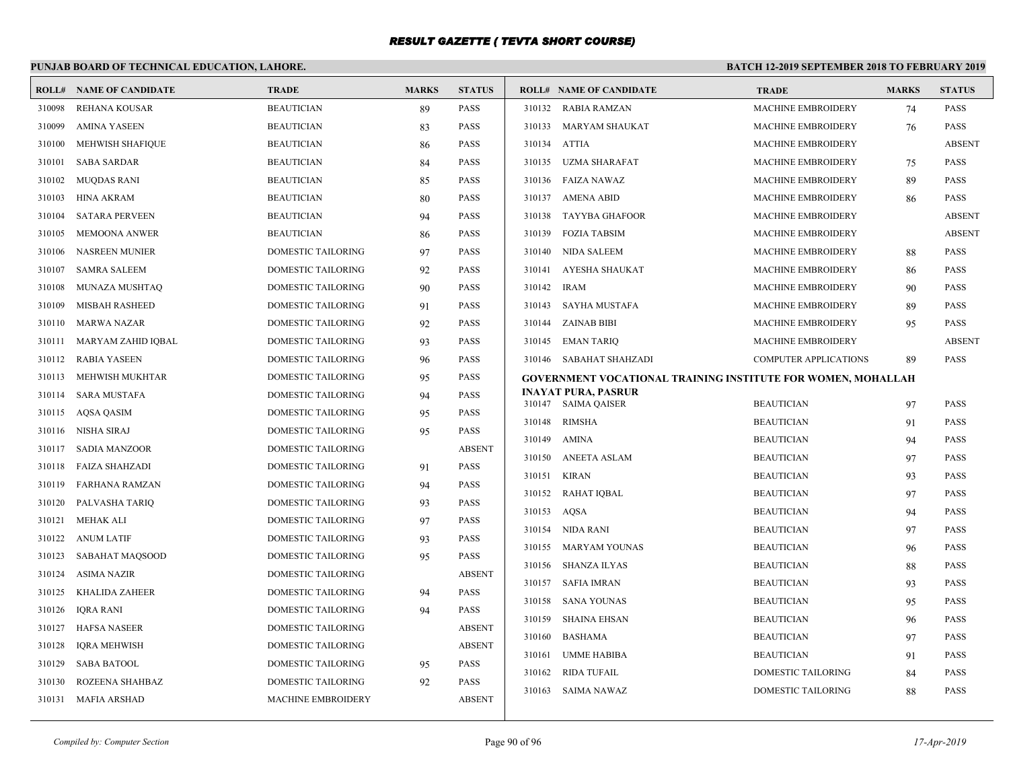# **PUNJAB BOARD OF TECHNICAL EDUCATION, LAHORE.**

|        | <b>ROLL# NAME OF CANDIDATE</b> | <b>TRADE</b>              | <b>MARKS</b> | <b>STATUS</b> |        | <b>ROLL# NAME OF CANDIDATE</b>                               | <b>TRADE</b>                 | <b>MARKS</b> | <b>STATUS</b> |
|--------|--------------------------------|---------------------------|--------------|---------------|--------|--------------------------------------------------------------|------------------------------|--------------|---------------|
| 310098 | REHANA KOUSAR                  | <b>BEAUTICIAN</b>         | 89           | <b>PASS</b>   |        | 310132 RABIA RAMZAN                                          | MACHINE EMBROIDERY           | 74           | <b>PASS</b>   |
| 310099 | <b>AMINA YASEEN</b>            | <b>BEAUTICIAN</b>         | 83           | <b>PASS</b>   | 310133 | MARYAM SHAUKAT                                               | <b>MACHINE EMBROIDERY</b>    | 76           | <b>PASS</b>   |
| 310100 | <b>MEHWISH SHAFIQUE</b>        | <b>BEAUTICIAN</b>         | 86           | <b>PASS</b>   | 310134 | ATTIA                                                        | <b>MACHINE EMBROIDERY</b>    |              | <b>ABSENT</b> |
| 310101 | <b>SABA SARDAR</b>             | <b>BEAUTICIAN</b>         | 84           | <b>PASS</b>   | 310135 | <b>UZMA SHARAFAT</b>                                         | <b>MACHINE EMBROIDERY</b>    | 75           | <b>PASS</b>   |
| 310102 | MUQDAS RANI                    | <b>BEAUTICIAN</b>         | 85           | PASS          |        | 310136 FAIZA NAWAZ                                           | <b>MACHINE EMBROIDERY</b>    | 89           | PASS          |
| 310103 | HINA AKRAM                     | <b>BEAUTICIAN</b>         | 80           | <b>PASS</b>   | 310137 | AMENA ABID                                                   | <b>MACHINE EMBROIDERY</b>    | 86           | <b>PASS</b>   |
| 310104 | <b>SATARA PERVEEN</b>          | <b>BEAUTICIAN</b>         | 94           | PASS          | 310138 | <b>TAYYBA GHAFOOR</b>                                        | MACHINE EMBROIDERY           |              | <b>ABSENT</b> |
| 310105 | <b>MEMOONA ANWER</b>           | <b>BEAUTICIAN</b>         | 86           | PASS          | 310139 | <b>FOZIA TABSIM</b>                                          | <b>MACHINE EMBROIDERY</b>    |              | <b>ABSENT</b> |
| 310106 | <b>NASREEN MUNIER</b>          | <b>DOMESTIC TAILORING</b> | 97           | <b>PASS</b>   | 310140 | NIDA SALEEM                                                  | <b>MACHINE EMBROIDERY</b>    | 88           | <b>PASS</b>   |
| 310107 | <b>SAMRA SALEEM</b>            | <b>DOMESTIC TAILORING</b> | 92           | <b>PASS</b>   | 310141 | AYESHA SHAUKAT                                               | <b>MACHINE EMBROIDERY</b>    | 86           | <b>PASS</b>   |
| 310108 | MUNAZA MUSHTAQ                 | DOMESTIC TAILORING        | 90           | PASS          | 310142 | <b>IRAM</b>                                                  | MACHINE EMBROIDERY           | 90           | PASS          |
| 310109 | <b>MISBAH RASHEED</b>          | DOMESTIC TAILORING        | 91           | <b>PASS</b>   | 310143 | SAYHA MUSTAFA                                                | <b>MACHINE EMBROIDERY</b>    | 89           | PASS          |
| 310110 | <b>MARWA NAZAR</b>             | <b>DOMESTIC TAILORING</b> | 92           | <b>PASS</b>   |        | 310144 ZAINAB BIBI                                           | <b>MACHINE EMBROIDERY</b>    | 95           | <b>PASS</b>   |
| 310111 | MARYAM ZAHID IQBAL             | DOMESTIC TAILORING        | 93           | <b>PASS</b>   |        | 310145 EMAN TARIQ                                            | MACHINE EMBROIDERY           |              | <b>ABSENT</b> |
| 310112 | <b>RABIA YASEEN</b>            | DOMESTIC TAILORING        | 96           | <b>PASS</b>   |        | 310146 SABAHAT SHAHZADI                                      | <b>COMPUTER APPLICATIONS</b> | 89           | <b>PASS</b>   |
| 310113 | MEHWISH MUKHTAR                | <b>DOMESTIC TAILORING</b> | 95           | <b>PASS</b>   |        | GOVERNMENT VOCATIONAL TRAINING INSTITUTE FOR WOMEN, MOHALLAH |                              |              |               |
| 310114 | <b>SARA MUSTAFA</b>            | DOMESTIC TAILORING        | 94           | <b>PASS</b>   |        | <b>INAYAT PURA, PASRUR</b>                                   | <b>BEAUTICIAN</b>            |              | <b>PASS</b>   |
| 310115 | AQSA QASIM                     | DOMESTIC TAILORING        | 95           | PASS          | 310148 | 310147 SAIMA QAISER<br><b>RIMSHA</b>                         | <b>BEAUTICIAN</b>            | 97           | <b>PASS</b>   |
| 310116 | NISHA SIRAJ                    | <b>DOMESTIC TAILORING</b> | 95           | <b>PASS</b>   | 310149 | <b>AMINA</b>                                                 | <b>BEAUTICIAN</b>            | 91           | <b>PASS</b>   |
| 310117 | <b>SADIA MANZOOR</b>           | <b>DOMESTIC TAILORING</b> |              | <b>ABSENT</b> | 310150 | <b>ANEETA ASLAM</b>                                          | <b>BEAUTICIAN</b>            | 94           | <b>PASS</b>   |
| 310118 | FAIZA SHAHZADI                 | DOMESTIC TAILORING        | 91           | <b>PASS</b>   | 310151 | KIRAN                                                        | <b>BEAUTICIAN</b>            | 97           | <b>PASS</b>   |
| 310119 | FARHANA RAMZAN                 | DOMESTIC TAILORING        | 94           | <b>PASS</b>   | 310152 |                                                              | <b>BEAUTICIAN</b>            | 93           |               |
| 310120 | PALVASHA TARIQ                 | <b>DOMESTIC TAILORING</b> | 93           | <b>PASS</b>   | 310153 | <b>RAHAT IQBAL</b><br>AQSA                                   | <b>BEAUTICIAN</b>            | 97           | <b>PASS</b>   |
| 310121 | <b>MEHAK ALI</b>               | DOMESTIC TAILORING        | 97           | PASS          |        | 310154 NIDA RANI                                             | <b>BEAUTICIAN</b>            | 94           | PASS          |
| 310122 | ANUM LATIF                     | DOMESTIC TAILORING        | 93           | PASS          | 310155 |                                                              |                              | 97           | PASS          |
| 310123 | SABAHAT MAOSOOD                | <b>DOMESTIC TAILORING</b> | 95           | <b>PASS</b>   |        | <b>MARYAM YOUNAS</b>                                         | <b>BEAUTICIAN</b>            | 96           | <b>PASS</b>   |
| 310124 | <b>ASIMA NAZIR</b>             | DOMESTIC TAILORING        |              | <b>ABSENT</b> | 310156 | SHANZA ILYAS                                                 | <b>BEAUTICIAN</b>            | 88           | PASS          |
| 310125 | KHALIDA ZAHEER                 | DOMESTIC TAILORING        | 94           | <b>PASS</b>   | 310157 | SAFIA IMRAN                                                  | <b>BEAUTICIAN</b>            | 93           | <b>PASS</b>   |
| 310126 | IQRA RANI                      | DOMESTIC TAILORING        | 94           | <b>PASS</b>   | 310158 | SANA YOUNAS                                                  | <b>BEAUTICIAN</b>            | 95           | <b>PASS</b>   |
| 310127 | <b>HAFSA NASEER</b>            | <b>DOMESTIC TAILORING</b> |              | <b>ABSENT</b> | 310159 | <b>SHAINA EHSAN</b>                                          | <b>BEAUTICIAN</b>            | 96           | PASS          |
| 310128 | <b>IQRA MEHWISH</b>            | DOMESTIC TAILORING        |              | <b>ABSENT</b> | 310160 | <b>BASHAMA</b>                                               | <b>BEAUTICIAN</b>            | 97           | <b>PASS</b>   |
| 310129 | <b>SABA BATOOL</b>             | DOMESTIC TAILORING        | 95           | <b>PASS</b>   | 310161 | <b>UMME HABIBA</b>                                           | <b>BEAUTICIAN</b>            | 91           | <b>PASS</b>   |
| 310130 | ROZEENA SHAHBAZ                | <b>DOMESTIC TAILORING</b> | 92           | <b>PASS</b>   | 310162 | <b>RIDA TUFAIL</b>                                           | DOMESTIC TAILORING           | 84           | <b>PASS</b>   |
|        | 310131 MAFIA ARSHAD            | <b>MACHINE EMBROIDERY</b> |              | <b>ABSENT</b> | 310163 | <b>SAIMA NAWAZ</b>                                           | DOMESTIC TAILORING           | 88           | <b>PASS</b>   |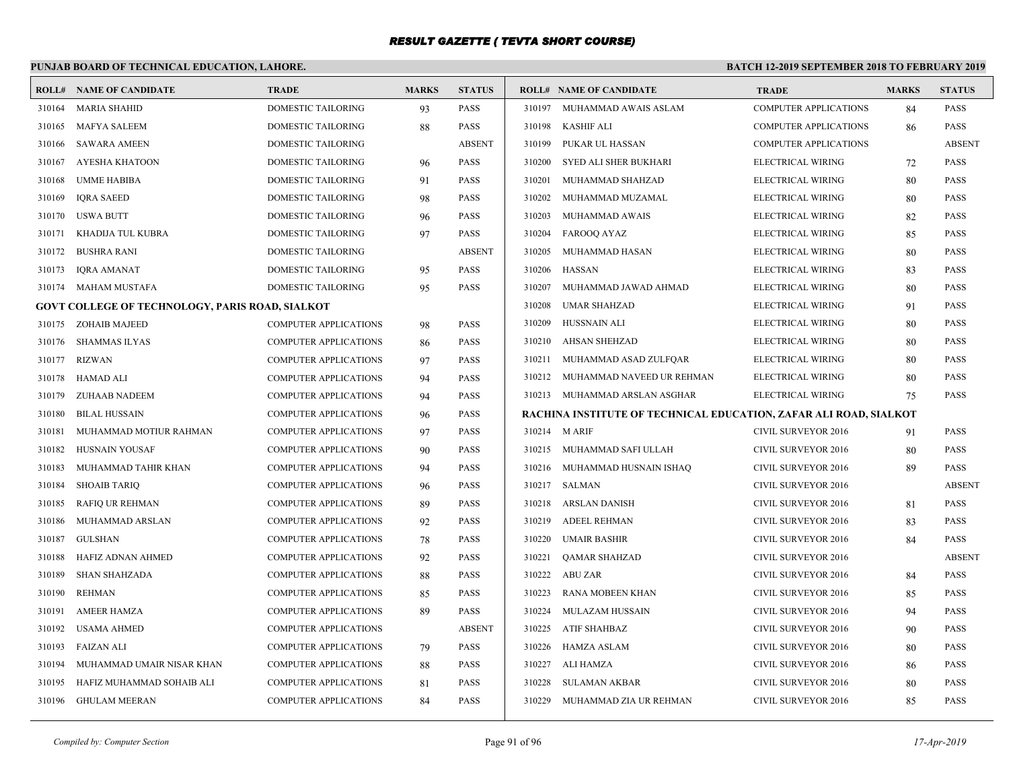# **PUNJAB BOARD OF TECHNICAL EDUCATION, LAHORE.**

|        | <b>ROLL# NAME OF CANDIDATE</b>                         | <b>TRADE</b>                 | <b>MARKS</b> | <b>STATUS</b> |        | <b>ROLL# NAME OF CANDIDATE</b>                                    | <b>TRADE</b>                 | <b>MARKS</b> | <b>STATUS</b> |
|--------|--------------------------------------------------------|------------------------------|--------------|---------------|--------|-------------------------------------------------------------------|------------------------------|--------------|---------------|
| 310164 | MARIA SHAHID                                           | <b>DOMESTIC TAILORING</b>    | 93           | <b>PASS</b>   |        | 310197 MUHAMMAD AWAIS ASLAM                                       | <b>COMPUTER APPLICATIONS</b> | 84           | <b>PASS</b>   |
| 310165 | MAFYA SALEEM                                           | DOMESTIC TAILORING           | 88           | <b>PASS</b>   | 310198 | KASHIF ALI                                                        | <b>COMPUTER APPLICATIONS</b> | 86           | <b>PASS</b>   |
| 310166 | <b>SAWARA AMEEN</b>                                    | DOMESTIC TAILORING           |              | <b>ABSENT</b> | 310199 | PUKAR UL HASSAN                                                   | <b>COMPUTER APPLICATIONS</b> |              | <b>ABSENT</b> |
| 310167 | <b>AYESHA KHATOON</b>                                  | DOMESTIC TAILORING           | 96           | <b>PASS</b>   | 310200 | SYED ALI SHER BUKHARI                                             | ELECTRICAL WIRING            | 72           | <b>PASS</b>   |
| 310168 | UMME HABIBA                                            | DOMESTIC TAILORING           | 91           | <b>PASS</b>   | 310201 | MUHAMMAD SHAHZAD                                                  | ELECTRICAL WIRING            | 80           | <b>PASS</b>   |
| 310169 | <b>IQRA SAEED</b>                                      | DOMESTIC TAILORING           | 98           | PASS          | 310202 | MUHAMMAD MUZAMAL                                                  | ELECTRICAL WIRING            | 80           | <b>PASS</b>   |
| 310170 | USWA BUTT                                              | DOMESTIC TAILORING           | 96           | <b>PASS</b>   | 310203 | MUHAMMAD AWAIS                                                    | ELECTRICAL WIRING            | 82           | <b>PASS</b>   |
| 310171 | KHADIJA TUL KUBRA                                      | DOMESTIC TAILORING           | 97           | <b>PASS</b>   | 310204 | FAROOQ AYAZ                                                       | ELECTRICAL WIRING            | 85           | <b>PASS</b>   |
| 310172 | <b>BUSHRA RANI</b>                                     | DOMESTIC TAILORING           |              | <b>ABSENT</b> | 310205 | MUHAMMAD HASAN                                                    | ELECTRICAL WIRING            | 80           | <b>PASS</b>   |
| 310173 | <b>IORA AMANAT</b>                                     | DOMESTIC TAILORING           | 95           | <b>PASS</b>   | 310206 | <b>HASSAN</b>                                                     | ELECTRICAL WIRING            | 83           | <b>PASS</b>   |
| 310174 | MAHAM MUSTAFA                                          | DOMESTIC TAILORING           | 95           | PASS          | 310207 | MUHAMMAD JAWAD AHMAD                                              | ELECTRICAL WIRING            | 80           | <b>PASS</b>   |
|        | <b>GOVT COLLEGE OF TECHNOLOGY, PARIS ROAD, SIALKOT</b> |                              |              |               | 310208 | <b>UMAR SHAHZAD</b>                                               | ELECTRICAL WIRING            | 91           | <b>PASS</b>   |
| 310175 | ZOHAIB MAJEED                                          | <b>COMPUTER APPLICATIONS</b> | 98           | <b>PASS</b>   | 310209 | HUSSNAIN ALI                                                      | ELECTRICAL WIRING            | 80           | <b>PASS</b>   |
|        | 310176 SHAMMAS ILYAS                                   | <b>COMPUTER APPLICATIONS</b> | 86           | <b>PASS</b>   | 310210 | <b>AHSAN SHEHZAD</b>                                              | ELECTRICAL WIRING            | 80           | <b>PASS</b>   |
| 310177 | <b>RIZWAN</b>                                          | <b>COMPUTER APPLICATIONS</b> | 97           | <b>PASS</b>   | 310211 | MUHAMMAD ASAD ZULFQAR                                             | ELECTRICAL WIRING            | 80           | <b>PASS</b>   |
| 310178 | HAMAD ALI                                              | <b>COMPUTER APPLICATIONS</b> | 94           | PASS          | 310212 | MUHAMMAD NAVEED UR REHMAN                                         | ELECTRICAL WIRING            | 80           | <b>PASS</b>   |
| 310179 | ZUHAAB NADEEM                                          | <b>COMPUTER APPLICATIONS</b> | 94           | <b>PASS</b>   |        | 310213 MUHAMMAD ARSLAN ASGHAR                                     | ELECTRICAL WIRING            | 75           | <b>PASS</b>   |
| 310180 | <b>BILAL HUSSAIN</b>                                   | <b>COMPUTER APPLICATIONS</b> | 96           | <b>PASS</b>   |        | RACHINA INSTITUTE OF TECHNICAL EDUCATION, ZAFAR ALI ROAD, SIALKOT |                              |              |               |
| 310181 | MUHAMMAD MOTIUR RAHMAN                                 | <b>COMPUTER APPLICATIONS</b> | 97           | <b>PASS</b>   |        | 310214 M ARIF                                                     | CIVIL SURVEYOR 2016          | 91           | <b>PASS</b>   |
| 310182 | HUSNAIN YOUSAF                                         | <b>COMPUTER APPLICATIONS</b> | 90           | <b>PASS</b>   |        | 310215 MUHAMMAD SAFI ULLAH                                        | <b>CIVIL SURVEYOR 2016</b>   | 80           | <b>PASS</b>   |
| 310183 | MUHAMMAD TAHIR KHAN                                    | COMPUTER APPLICATIONS        | 94           | PASS          |        | 310216 MUHAMMAD HUSNAIN ISHAQ                                     | CIVIL SURVEYOR 2016          | 89           | <b>PASS</b>   |
| 310184 | <b>SHOAIB TARIQ</b>                                    | <b>COMPUTER APPLICATIONS</b> | 96           | <b>PASS</b>   |        | 310217 SALMAN                                                     | <b>CIVIL SURVEYOR 2016</b>   |              | <b>ABSENT</b> |
| 310185 | <b>RAFIO UR REHMAN</b>                                 | <b>COMPUTER APPLICATIONS</b> | 89           | <b>PASS</b>   | 310218 | ARSLAN DANISH                                                     | <b>CIVIL SURVEYOR 2016</b>   | 81           | <b>PASS</b>   |
| 310186 | MUHAMMAD ARSLAN                                        | COMPUTER APPLICATIONS        | 92           | PASS          | 310219 | <b>ADEEL REHMAN</b>                                               | CIVIL SURVEYOR 2016          | 83           | <b>PASS</b>   |
| 310187 | <b>GULSHAN</b>                                         | <b>COMPUTER APPLICATIONS</b> | 78           | <b>PASS</b>   | 310220 | <b>UMAIR BASHIR</b>                                               | <b>CIVIL SURVEYOR 2016</b>   | 84           | <b>PASS</b>   |
| 310188 | HAFIZ ADNAN AHMED                                      | COMPUTER APPLICATIONS        | 92           | PASS          | 310221 | QAMAR SHAHZAD                                                     | CIVIL SURVEYOR 2016          |              | <b>ABSENT</b> |
| 310189 | <b>SHAN SHAHZADA</b>                                   | <b>COMPUTER APPLICATIONS</b> | 88           | <b>PASS</b>   |        | 310222 ABU ZAR                                                    | <b>CIVIL SURVEYOR 2016</b>   | 84           | <b>PASS</b>   |
| 310190 | <b>REHMAN</b>                                          | <b>COMPUTER APPLICATIONS</b> | 85           | <b>PASS</b>   | 310223 | RANA MOBEEN KHAN                                                  | <b>CIVIL SURVEYOR 2016</b>   | 85           | <b>PASS</b>   |
| 310191 | <b>AMEER HAMZA</b>                                     | COMPUTER APPLICATIONS        | 89           | <b>PASS</b>   | 310224 | MULAZAM HUSSAIN                                                   | CIVIL SURVEYOR 2016          | 94           | <b>PASS</b>   |
| 310192 | USAMA AHMED                                            | <b>COMPUTER APPLICATIONS</b> |              | <b>ABSENT</b> | 310225 | ATIF SHAHBAZ                                                      | <b>CIVIL SURVEYOR 2016</b>   | 90           | <b>PASS</b>   |
| 310193 | FAIZAN ALI                                             | <b>COMPUTER APPLICATIONS</b> | 79           | <b>PASS</b>   | 310226 | HAMZA ASLAM                                                       | <b>CIVIL SURVEYOR 2016</b>   | 80           | <b>PASS</b>   |
| 310194 | MUHAMMAD UMAIR NISAR KHAN                              | <b>COMPUTER APPLICATIONS</b> | 88           | <b>PASS</b>   | 310227 | ALI HAMZA                                                         | CIVIL SURVEYOR 2016          | 86           | <b>PASS</b>   |
| 310195 | HAFIZ MUHAMMAD SOHAIB ALI                              | <b>COMPUTER APPLICATIONS</b> | 81           | <b>PASS</b>   | 310228 | <b>SULAMAN AKBAR</b>                                              | <b>CIVIL SURVEYOR 2016</b>   | 80           | <b>PASS</b>   |
|        | 310196 GHULAM MEERAN                                   | <b>COMPUTER APPLICATIONS</b> | 84           | PASS          | 310229 | MUHAMMAD ZIA UR REHMAN                                            | CIVIL SURVEYOR 2016          | 85           | PASS          |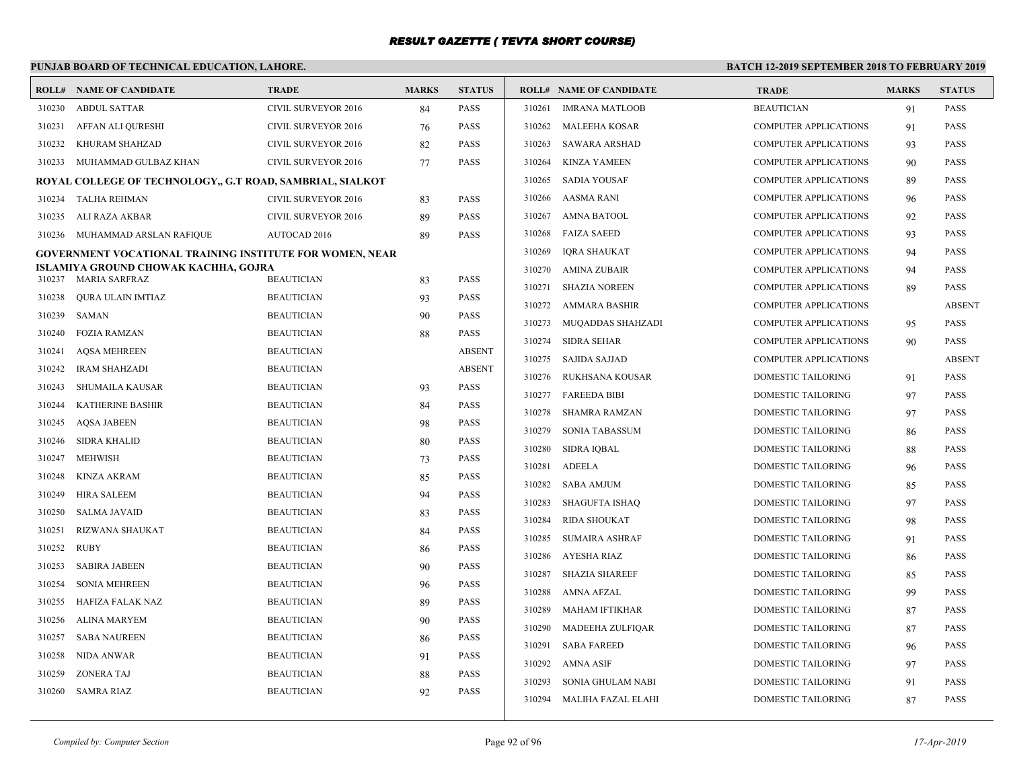# **PUNJAB BOARD OF TECHNICAL EDUCATION, LAHORE.**

|        | <b>ROLL# NAME OF CANDIDATE</b>                            | <b>TRADE</b>               | <b>MARKS</b> | <b>STATUS</b> |        | <b>ROLL# NAME OF CANDIDATE</b> | <b>TRADE</b>                 | <b>MARKS</b> | <b>STATUS</b> |
|--------|-----------------------------------------------------------|----------------------------|--------------|---------------|--------|--------------------------------|------------------------------|--------------|---------------|
| 310230 | <b>ABDUL SATTAR</b>                                       | <b>CIVIL SURVEYOR 2016</b> | 84           | <b>PASS</b>   | 310261 | <b>IMRANA MATLOOB</b>          | <b>BEAUTICIAN</b>            | 91           | <b>PASS</b>   |
| 310231 | AFFAN ALI QURESHI                                         | CIVIL SURVEYOR 2016        | 76           | <b>PASS</b>   | 310262 | <b>MALEEHA KOSAR</b>           | <b>COMPUTER APPLICATIONS</b> | 91           | <b>PASS</b>   |
| 310232 | KHURAM SHAHZAD                                            | <b>CIVIL SURVEYOR 2016</b> | 82           | <b>PASS</b>   | 310263 | <b>SAWARA ARSHAD</b>           | <b>COMPUTER APPLICATIONS</b> | 93           | <b>PASS</b>   |
| 310233 | MUHAMMAD GULBAZ KHAN                                      | CIVIL SURVEYOR 2016        | 77           | <b>PASS</b>   | 310264 | <b>KINZA YAMEEN</b>            | <b>COMPUTER APPLICATIONS</b> | 90           | PASS          |
|        | ROYAL COLLEGE OF TECHNOLOGY., G.T ROAD, SAMBRIAL, SIALKOT |                            |              |               | 310265 | <b>SADIA YOUSAF</b>            | <b>COMPUTER APPLICATIONS</b> | 89           | PASS          |
| 310234 | TALHA REHMAN                                              | <b>CIVIL SURVEYOR 2016</b> | 83           | <b>PASS</b>   | 310266 | AASMA RANI                     | <b>COMPUTER APPLICATIONS</b> | 96           | <b>PASS</b>   |
| 310235 | ALI RAZA AKBAR                                            | CIVIL SURVEYOR 2016        | 89           | <b>PASS</b>   | 310267 | <b>AMNA BATOOL</b>             | <b>COMPUTER APPLICATIONS</b> | 92           | <b>PASS</b>   |
| 310236 | MUHAMMAD ARSLAN RAFIQUE                                   | <b>AUTOCAD 2016</b>        | 89           | <b>PASS</b>   | 310268 | <b>FAIZA SAEED</b>             | <b>COMPUTER APPLICATIONS</b> | 93           | PASS          |
|        | GOVERNMENT VOCATIONAL TRAINING INSTITUTE FOR WOMEN, NEAR  |                            |              |               | 310269 | IQRA SHAUKAT                   | <b>COMPUTER APPLICATIONS</b> | 94           | PASS          |
|        | ISLAMIYA GROUND CHOWAK KACHHA, GOJRA                      |                            |              |               | 310270 | <b>AMINA ZUBAIR</b>            | <b>COMPUTER APPLICATIONS</b> | 94           | <b>PASS</b>   |
|        | 310237 MARIA SARFRAZ                                      | <b>BEAUTICIAN</b>          | 83           | <b>PASS</b>   | 310271 | <b>SHAZIA NOREEN</b>           | <b>COMPUTER APPLICATIONS</b> | 89           | <b>PASS</b>   |
| 310238 | <b>OURA ULAIN IMTIAZ</b>                                  | <b>BEAUTICIAN</b>          | 93           | <b>PASS</b>   | 310272 | <b>AMMARA BASHIR</b>           | COMPUTER APPLICATIONS        |              | <b>ABSENT</b> |
| 310239 | <b>SAMAN</b>                                              | <b>BEAUTICIAN</b>          | 90           | <b>PASS</b>   | 310273 | MUQADDAS SHAHZADI              | <b>COMPUTER APPLICATIONS</b> | 95           | PASS          |
| 310240 | FOZIA RAMZAN                                              | <b>BEAUTICIAN</b>          | 88           | <b>PASS</b>   | 310274 | <b>SIDRA SEHAR</b>             | <b>COMPUTER APPLICATIONS</b> | 90           | <b>PASS</b>   |
| 310241 | <b>AOSA MEHREEN</b>                                       | <b>BEAUTICIAN</b>          |              | <b>ABSENT</b> | 310275 | SAJIDA SAJJAD                  | <b>COMPUTER APPLICATIONS</b> |              | <b>ABSENT</b> |
| 310242 | <b>IRAM SHAHZADI</b>                                      | <b>BEAUTICIAN</b>          |              | <b>ABSENT</b> | 310276 | RUKHSANA KOUSAR                | DOMESTIC TAILORING           | 91           | <b>PASS</b>   |
| 310243 | <b>SHUMAILA KAUSAR</b>                                    | <b>BEAUTICIAN</b>          | 93           | <b>PASS</b>   | 310277 | <b>FAREEDA BIBI</b>            | <b>DOMESTIC TAILORING</b>    | 97           | <b>PASS</b>   |
| 310244 | <b>KATHERINE BASHIR</b>                                   | <b>BEAUTICIAN</b>          | 84           | <b>PASS</b>   | 310278 | SHAMRA RAMZAN                  | DOMESTIC TAILORING           | 97           | <b>PASS</b>   |
| 310245 | <b>AQSA JABEEN</b>                                        | <b>BEAUTICIAN</b>          | 98           | <b>PASS</b>   | 310279 | <b>SONIA TABASSUM</b>          | <b>DOMESTIC TAILORING</b>    | 86           | <b>PASS</b>   |
| 310246 | <b>SIDRA KHALID</b>                                       | <b>BEAUTICIAN</b>          | 80           | <b>PASS</b>   | 310280 | <b>SIDRA IQBAL</b>             | DOMESTIC TAILORING           | 88           | <b>PASS</b>   |
| 310247 | <b>MEHWISH</b>                                            | <b>BEAUTICIAN</b>          | 73           | <b>PASS</b>   | 310281 | <b>ADEELA</b>                  | <b>DOMESTIC TAILORING</b>    | 96           | <b>PASS</b>   |
| 310248 | KINZA AKRAM                                               | <b>BEAUTICIAN</b>          | 85           | <b>PASS</b>   | 310282 | <b>SABA AMJUM</b>              | <b>DOMESTIC TAILORING</b>    | 85           | <b>PASS</b>   |
| 310249 | HIRA SALEEM                                               | <b>BEAUTICIAN</b>          | 94           | <b>PASS</b>   | 310283 | <b>SHAGUFTA ISHAO</b>          | <b>DOMESTIC TAILORING</b>    | 97           | <b>PASS</b>   |
| 310250 | <b>SALMA JAVAID</b>                                       | <b>BEAUTICIAN</b>          | 83           | <b>PASS</b>   | 310284 | <b>RIDA SHOUKAT</b>            | DOMESTIC TAILORING           | 98           | PASS          |
| 310251 | <b>RIZWANA SHAUKAT</b>                                    | <b>BEAUTICIAN</b>          | 84           | <b>PASS</b>   | 310285 | <b>SUMAIRA ASHRAF</b>          | <b>DOMESTIC TAILORING</b>    | 91           | PASS          |
| 310252 | <b>RUBY</b>                                               | <b>BEAUTICIAN</b>          | 86           | <b>PASS</b>   | 310286 | AYESHA RIAZ                    | <b>DOMESTIC TAILORING</b>    | 86           | <b>PASS</b>   |
| 310253 | <b>SABIRA JABEEN</b>                                      | <b>BEAUTICIAN</b>          | 90           | <b>PASS</b>   | 310287 | <b>SHAZIA SHAREEF</b>          | DOMESTIC TAILORING           | 85           | <b>PASS</b>   |
| 310254 | <b>SONIA MEHREEN</b>                                      | <b>BEAUTICIAN</b>          | 96           | <b>PASS</b>   | 310288 | AMNA AFZAL                     | DOMESTIC TAILORING           | 99           | <b>PASS</b>   |
| 310255 | HAFIZA FALAK NAZ                                          | <b>BEAUTICIAN</b>          | 89           | <b>PASS</b>   | 310289 | <b>MAHAM IFTIKHAR</b>          | DOMESTIC TAILORING           | 87           | PASS          |
| 310256 | <b>ALINA MARYEM</b>                                       | <b>BEAUTICIAN</b>          | 90           | <b>PASS</b>   | 310290 | MADEEHA ZULFIQAR               | <b>DOMESTIC TAILORING</b>    | 87           | PASS          |
| 310257 | <b>SABA NAUREEN</b>                                       | <b>BEAUTICIAN</b>          | 86           | <b>PASS</b>   | 310291 | <b>SABA FAREED</b>             | <b>DOMESTIC TAILORING</b>    | 96           | <b>PASS</b>   |
| 310258 | NIDA ANWAR                                                | <b>BEAUTICIAN</b>          | 91           | <b>PASS</b>   | 310292 | AMNA ASIF                      | DOMESTIC TAILORING           | 97           | <b>PASS</b>   |
| 310259 | <b>ZONERA TAJ</b>                                         | <b>BEAUTICIAN</b>          | 88           | <b>PASS</b>   | 310293 | SONIA GHULAM NABI              | DOMESTIC TAILORING           | 91           | PASS          |
|        | 310260 SAMRA RIAZ                                         | <b>BEAUTICIAN</b>          | 92           | <b>PASS</b>   |        | 310294 MALIHA FAZAL ELAHI      | <b>DOMESTIC TAILORING</b>    | 87           | <b>PASS</b>   |
|        |                                                           |                            |              |               |        |                                |                              |              |               |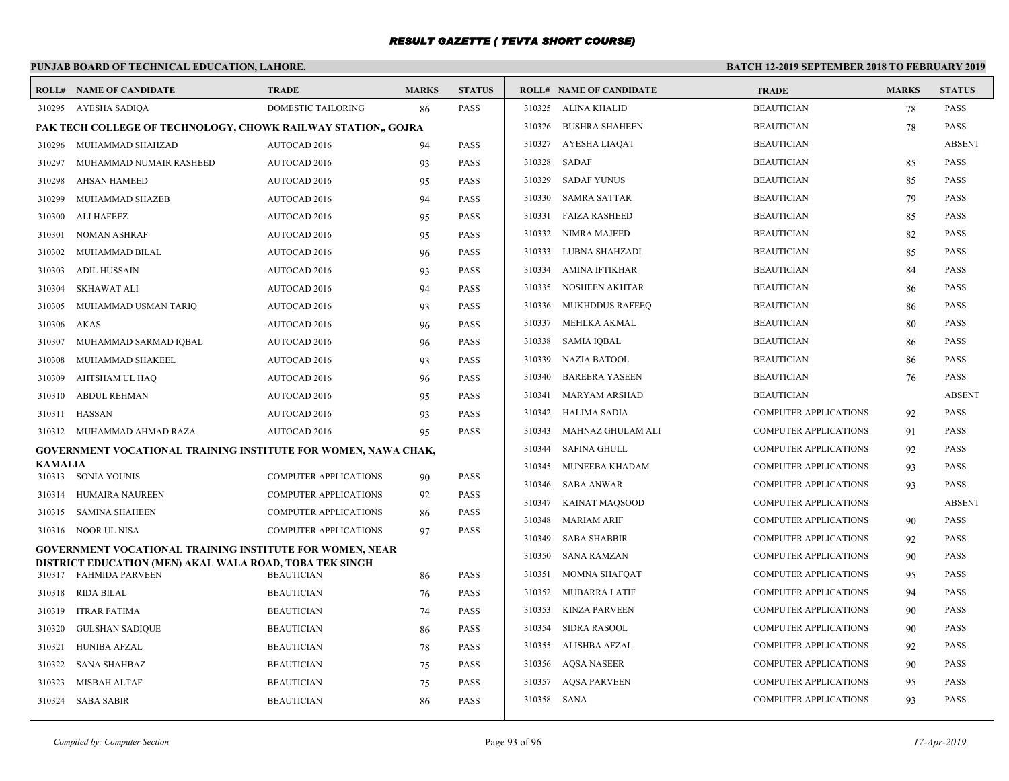# **PUNJAB BOARD OF TECHNICAL EDUCATION, LAHORE.**

|         | <b>ROLL# NAME OF CANDIDATE</b>                                                                                      | <b>TRADE</b>                 | <b>MARKS</b> | <b>STATUS</b> |             | <b>ROLL# NAME OF CANDIDATE</b> | <b>TRADE</b>                 | <b>MARKS</b> | <b>STATUS</b> |
|---------|---------------------------------------------------------------------------------------------------------------------|------------------------------|--------------|---------------|-------------|--------------------------------|------------------------------|--------------|---------------|
| 310295  | AYESHA SADIQA                                                                                                       | DOMESTIC TAILORING           | 86           | <b>PASS</b>   |             | 310325 ALINA KHALID            | <b>BEAUTICIAN</b>            | 78           | <b>PASS</b>   |
|         | PAK TECH COLLEGE OF TECHNOLOGY, CHOWK RAILWAY STATION,, GOJRA                                                       |                              |              |               | 310326      | <b>BUSHRA SHAHEEN</b>          | <b>BEAUTICIAN</b>            | 78           | <b>PASS</b>   |
| 310296  | MUHAMMAD SHAHZAD                                                                                                    | AUTOCAD 2016                 | 94           | <b>PASS</b>   | 310327      | AYESHA LIAQAT                  | <b>BEAUTICIAN</b>            |              | <b>ABSENT</b> |
| 310297  | MUHAMMAD NUMAIR RASHEED                                                                                             | AUTOCAD 2016                 | 93           | <b>PASS</b>   | 310328      | SADAF                          | <b>BEAUTICIAN</b>            | 85           | <b>PASS</b>   |
| 310298  | <b>AHSAN HAMEED</b>                                                                                                 | AUTOCAD 2016                 | 95           | <b>PASS</b>   | 310329      | <b>SADAF YUNUS</b>             | <b>BEAUTICIAN</b>            | 85           | <b>PASS</b>   |
| 310299  | MUHAMMAD SHAZEB                                                                                                     | AUTOCAD 2016                 | 94           | <b>PASS</b>   |             | 310330 SAMRA SATTAR            | <b>BEAUTICIAN</b>            | 79           | <b>PASS</b>   |
| 310300  | ALI HAFEEZ                                                                                                          | AUTOCAD 2016                 | 95           | <b>PASS</b>   | 310331      | FAIZA RASHEED                  | <b>BEAUTICIAN</b>            | 85           | <b>PASS</b>   |
| 310301  | <b>NOMAN ASHRAF</b>                                                                                                 | AUTOCAD 2016                 | 95           | <b>PASS</b>   |             | 310332 NIMRA MAJEED            | <b>BEAUTICIAN</b>            | 82           | <b>PASS</b>   |
| 310302  | MUHAMMAD BILAL                                                                                                      | AUTOCAD 2016                 | 96           | <b>PASS</b>   | 310333      | LUBNA SHAHZADI                 | <b>BEAUTICIAN</b>            | 85           | <b>PASS</b>   |
| 310303  | <b>ADIL HUSSAIN</b>                                                                                                 | <b>AUTOCAD 2016</b>          | 93           | <b>PASS</b>   | 310334      | AMINA IFTIKHAR                 | <b>BEAUTICIAN</b>            | 84           | <b>PASS</b>   |
| 310304  | SKHAWAT ALI                                                                                                         | AUTOCAD 2016                 | 94           | <b>PASS</b>   | 310335      | <b>NOSHEEN AKHTAR</b>          | <b>BEAUTICIAN</b>            | 86           | <b>PASS</b>   |
| 310305  | MUHAMMAD USMAN TARIO                                                                                                | AUTOCAD 2016                 | 93           | <b>PASS</b>   | 310336      | <b>MUKHDDUS RAFEEQ</b>         | <b>BEAUTICIAN</b>            | 86           | <b>PASS</b>   |
| 310306  | AKAS                                                                                                                | AUTOCAD 2016                 | 96           | <b>PASS</b>   | 310337      | MEHLKA AKMAL                   | <b>BEAUTICIAN</b>            | 80           | <b>PASS</b>   |
| 310307  | MUHAMMAD SARMAD IQBAL                                                                                               | <b>AUTOCAD 2016</b>          | 96           | <b>PASS</b>   |             | 310338 SAMIA IQBAL             | <b>BEAUTICIAN</b>            | 86           | <b>PASS</b>   |
| 310308  | MUHAMMAD SHAKEEL                                                                                                    | AUTOCAD 2016                 | 93           | <b>PASS</b>   |             | 310339 NAZIA BATOOL            | <b>BEAUTICIAN</b>            | 86           | <b>PASS</b>   |
| 310309  | AHTSHAM UL HAQ                                                                                                      | <b>AUTOCAD 2016</b>          | 96           | <b>PASS</b>   | 310340      | <b>BAREERA YASEEN</b>          | <b>BEAUTICIAN</b>            | 76           | <b>PASS</b>   |
| 310310  | <b>ABDUL REHMAN</b>                                                                                                 | AUTOCAD 2016                 | 95           | <b>PASS</b>   | 310341      | MARYAM ARSHAD                  | <b>BEAUTICIAN</b>            |              | <b>ABSENT</b> |
| 310311  | HASSAN                                                                                                              | AUTOCAD 2016                 | 93           | <b>PASS</b>   | 310342      | HALIMA SADIA                   | <b>COMPUTER APPLICATIONS</b> | 92           | <b>PASS</b>   |
|         | 310312 MUHAMMAD AHMAD RAZA                                                                                          | AUTOCAD 2016                 | 95           | <b>PASS</b>   | 310343      | MAHNAZ GHULAM ALI              | <b>COMPUTER APPLICATIONS</b> | 91           | <b>PASS</b>   |
|         | <b>GOVERNMENT VOCATIONAL TRAINING INSTITUTE FOR WOMEN, NAWA CHAK,</b>                                               |                              |              |               | 310344      | <b>SAFINA GHULL</b>            | <b>COMPUTER APPLICATIONS</b> | 92           | <b>PASS</b>   |
| KAMALIA | 310313 SONIA YOUNIS                                                                                                 | <b>COMPUTER APPLICATIONS</b> |              | <b>PASS</b>   | 310345      | MUNEEBA KHADAM                 | <b>COMPUTER APPLICATIONS</b> | 93           | <b>PASS</b>   |
| 310314  | HUMAIRA NAUREEN                                                                                                     | <b>COMPUTER APPLICATIONS</b> | 90<br>92     | <b>PASS</b>   |             | 310346 SABA ANWAR              | <b>COMPUTER APPLICATIONS</b> | 93           | <b>PASS</b>   |
| 310315  | <b>SAMINA SHAHEEN</b>                                                                                               | <b>COMPUTER APPLICATIONS</b> |              | <b>PASS</b>   | 310347      | KAINAT MAOSOOD                 | <b>COMPUTER APPLICATIONS</b> |              | <b>ABSENT</b> |
|         | 310316 NOOR UL NISA                                                                                                 | <b>COMPUTER APPLICATIONS</b> | 86<br>97     | <b>PASS</b>   | 310348      | <b>MARIAM ARIF</b>             | <b>COMPUTER APPLICATIONS</b> | 90           | <b>PASS</b>   |
|         |                                                                                                                     |                              |              |               | 310349      | <b>SABA SHABBIR</b>            | <b>COMPUTER APPLICATIONS</b> | 92           | <b>PASS</b>   |
|         | GOVERNMENT VOCATIONAL TRAINING INSTITUTE FOR WOMEN, NEAR<br>DISTRICT EDUCATION (MEN) AKAL WALA ROAD, TOBA TEK SINGH |                              |              |               | 310350      | <b>SANA RAMZAN</b>             | <b>COMPUTER APPLICATIONS</b> | 90           | PASS          |
|         | 310317 FAHMIDA PARVEEN                                                                                              | <b>BEAUTICIAN</b>            | 86           | <b>PASS</b>   | 310351      | MOMNA SHAFOAT                  | <b>COMPUTER APPLICATIONS</b> | 95           | <b>PASS</b>   |
| 310318  | RIDA BILAL                                                                                                          | <b>BEAUTICIAN</b>            | 76           | <b>PASS</b>   |             | 310352 MUBARRA LATIF           | <b>COMPUTER APPLICATIONS</b> | 94           | <b>PASS</b>   |
| 310319  | <b>ITRAR FATIMA</b>                                                                                                 | <b>BEAUTICIAN</b>            | 74           | <b>PASS</b>   | 310353      | KINZA PARVEEN                  | <b>COMPUTER APPLICATIONS</b> | 90           | <b>PASS</b>   |
| 310320  | GULSHAN SADIQUE                                                                                                     | <b>BEAUTICIAN</b>            | 86           | <b>PASS</b>   | 310354      | <b>SIDRA RASOOL</b>            | <b>COMPUTER APPLICATIONS</b> | 90           | <b>PASS</b>   |
| 310321  | <b>HUNIBA AFZAL</b>                                                                                                 | <b>BEAUTICIAN</b>            | 78           | <b>PASS</b>   |             | 310355 ALISHBA AFZAL           | <b>COMPUTER APPLICATIONS</b> | 92           | <b>PASS</b>   |
| 310322  | SANA SHAHBAZ                                                                                                        | <b>BEAUTICIAN</b>            | 75           | <b>PASS</b>   | 310356      | <b>AQSA NASEER</b>             | <b>COMPUTER APPLICATIONS</b> | 90           | <b>PASS</b>   |
| 310323  | <b>MISBAH ALTAF</b>                                                                                                 | <b>BEAUTICIAN</b>            | 75           | <b>PASS</b>   | 310357      | <b>AQSA PARVEEN</b>            | <b>COMPUTER APPLICATIONS</b> | 95           | <b>PASS</b>   |
|         | 310324 SABA SABIR                                                                                                   | <b>BEAUTICIAN</b>            | 86           | <b>PASS</b>   | 310358 SANA |                                | <b>COMPUTER APPLICATIONS</b> | 93           | <b>PASS</b>   |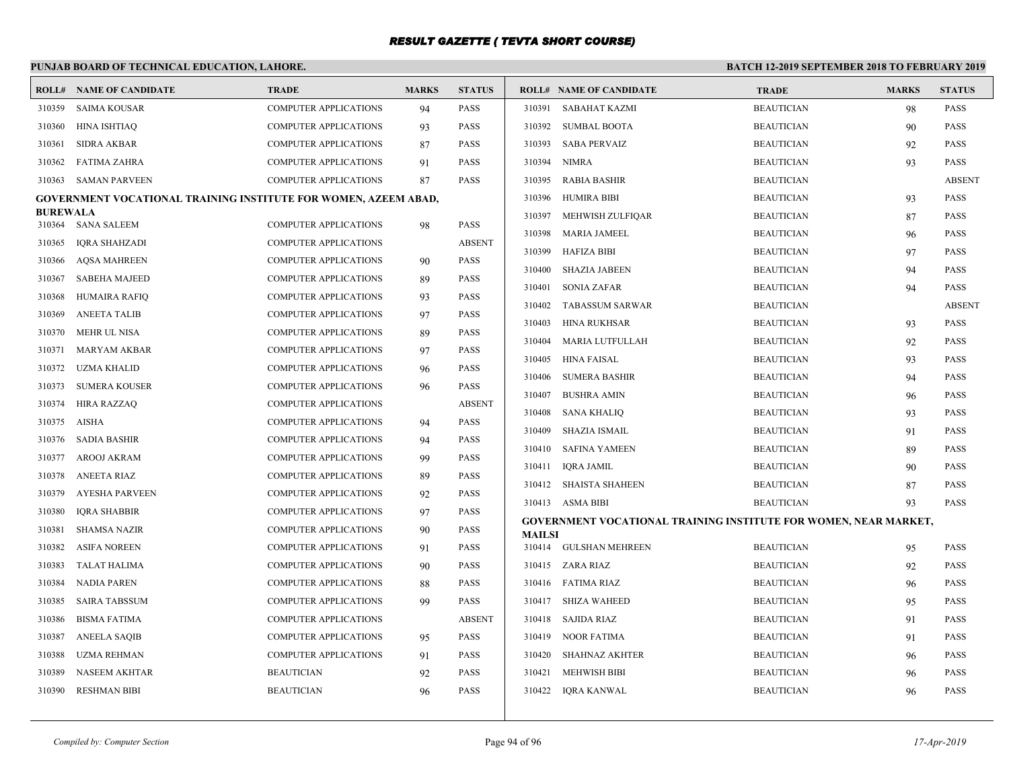#### **PUNJAB BOARD OF TECHNICAL EDUCATION, LAHORE. BATCH 12-2019 SEPTEMBER 2018 TO FEBRUARY 2019 ROLL# NAME OF CANDIDATE TRADE MARKS STATUS ROLL# NAME OF CANDIDATE TRADE MARKS STATUS** 310359 SAIMA KOUSAR COMPUTER APPLICATIONS 94 PASS 310360 HINA ISHTIAQ COMPUTER APPLICATIONS 93 PASS 310361 SIDRA AKBAR COMPUTER APPLICATIONS 87 PASS 310362 FATIMA ZAHRA COMPUTER APPLICATIONS 91 PASS 310363 SAMAN PARVEEN COMPUTER APPLICATIONS 87 PASS **GOVERNMENT VOCATIONAL TRAINING INSTITUTE FOR WOMEN, AZEEM ABAD, BUREWALA** 310364 SANA SALEEM COMPUTER APPLICATIONS 98 PASS 310365 IQRA SHAHZADI COMPUTER APPLICATIONS ABSENT 310366 AQSA MAHREEN COMPUTER APPLICATIONS 90 PASS 310367 SABEHA MAJEED COMPUTER APPLICATIONS 89 PASS 310368 HUMAIRA RAFIQ COMPUTER APPLICATIONS 93 PASS 310369 ANEETA TALIB COMPUTER APPLICATIONS 97 PASS 310370 MEHR UL NISA COMPUTER APPLICATIONS 89 PASS 310371 MARYAM AKBAR COMPUTER APPLICATIONS 97 PASS 310372 UZMA KHALID COMPUTER APPLICATIONS 96 PASS 310373 SUMERA KOUSER COMPUTER APPLICATIONS 96 PASS 310374 HIRA RAZZAQ COMPUTER APPLICATIONS ABSENT 310375 AISHA COMPUTER APPLICATIONS 94 PASS 310376 SADIA BASHIR COMPUTER APPLICATIONS 94 PASS 310377 AROOJ AKRAM COMPUTER APPLICATIONS 99 PASS 310378 ANEETA RIAZ COMPUTER APPLICATIONS 89 PASS 310379 AYESHA PARVEEN COMPUTER APPLICATIONS 92 PASS 310380 IQRA SHABBIR COMPUTER APPLICATIONS 97 PASS 310381 SHAMSA NAZIR COMPUTER APPLICATIONS 90 PASS 310382 ASIFA NOREEN COMPUTER APPLICATIONS 91 PASS 310383 TALAT HALIMA COMPUTER APPLICATIONS 90 PASS 310384 NADIA PAREN COMPUTER APPLICATIONS 88 PASS 310385 SAIRA TABSSUM COMPUTER APPLICATIONS 99 PASS 310386 BISMA FATIMA COMPUTER APPLICATIONS ABSENT 310387 ANEELA SAQIB COMPUTER APPLICATIONS 95 PASS 310388 UZMA REHMAN COMPUTER APPLICATIONS 91 PASS 310389 NASEEM AKHTAR BEAUTICIAN 92 PASS 310390 RESHMAN BIBI BEAUTICIAN 96 PASS 310391 SABAHAT KAZMI BEAUTICIAN 98 PASS 310392 SUMBAL BOOTA BEAUTICIAN 90 PASS 310393 SABA PERVAIZ BEAUTICIAN 92 PASS 310394 NIMRA BEAUTICIAN 93 PASS 310395 RABIA BASHIR BEAUTICIAN ABSENT 310396 HUMIRA BIBI BEAUTICIAN 93 PASS 310397 MEHWISH ZULFIQAR BEAUTICIAN 87 PASS 310398 MARIA JAMEEL BEAUTICIAN 96 PASS 310399 HAFIZA BIBI BEAUTICIAN 97 PASS 310400 SHAZIA JABEEN BEAUTICIAN 94 PASS 310401 SONIA ZAFAR BEAUTICIAN 94 PASS 310402 TABASSUM SARWAR BEAUTICIAN ABSENT 310403 HINA RUKHSAR BEAUTICIAN 93 PASS 310404 MARIA LUTFULLAH BEAUTICIAN 92 PASS 310405 HINA FAISAL BEAUTICIAN 93 PASS 310406 SUMERA BASHIR BEAUTICIAN 94 PASS 310407 BUSHRA AMIN BEAUTICIAN 96 PASS 310408 SANA KHALIQ BEAUTICIAN 93 PASS 310409 SHAZIA ISMAIL BEAUTICIAN 91 PASS 310410 SAFINA YAMEEN BEAUTICIAN 89 PASS 310411 IQRA JAMIL BEAUTICIAN 90 PASS 310412 SHAISTA SHAHEEN BEAUTICIAN 87 PASS 310413 ASMA BIBI BEAUTICIAN 93 PASS **GOVERNMENT VOCATIONAL TRAINING INSTITUTE FOR WOMEN, NEAR MARKET, MAILSI** 310414 GULSHAN MEHREEN BEAUTICIAN 95 PASS 310415 ZARA RIAZ BEAUTICIAN 92 PASS 310416 FATIMA RIAZ BEAUTICIAN 96 PASS 310417 SHIZA WAHEED BEAUTICIAN 95 PASS 310418 SAJIDA RIAZ BEAUTICIAN 91 PASS 310419 NOOR FATIMA BEAUTICIAN 91 PASS 310420 SHAHNAZ AKHTER BEAUTICIAN 96 PASS 310421 MEHWISH BIBI BEAUTICIAN BEAUTICIAN 96 PASS 310422 IQRA KANWAL BEAUTICIAN 96 PASS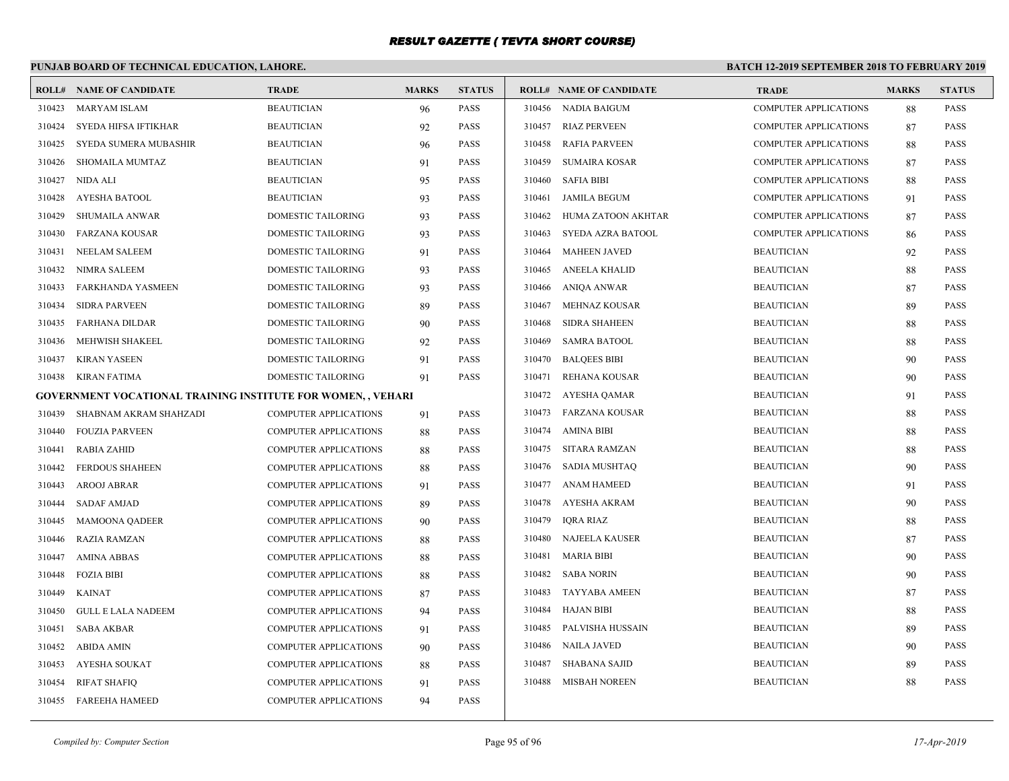# **PUNJAB BOARD OF TECHNICAL EDUCATION, LAHORE.**

|        | <b>ROLL# NAME OF CANDIDATE</b>                               | <b>TRADE</b>                 | <b>MARKS</b> | <b>STATUS</b> |        | <b>ROLL# NAME OF CANDIDATE</b> | <b>TRADE</b>                 | <b>MARKS</b> | <b>STATUS</b> |
|--------|--------------------------------------------------------------|------------------------------|--------------|---------------|--------|--------------------------------|------------------------------|--------------|---------------|
| 310423 | <b>MARYAM ISLAM</b>                                          | <b>BEAUTICIAN</b>            | 96           | <b>PASS</b>   |        | 310456 NADIA BAIGUM            | COMPUTER APPLICATIONS        | 88           | <b>PASS</b>   |
| 310424 | SYEDA HIFSA IFTIKHAR                                         | <b>BEAUTICIAN</b>            | 92           | <b>PASS</b>   | 310457 | <b>RIAZ PERVEEN</b>            | <b>COMPUTER APPLICATIONS</b> | 87           | <b>PASS</b>   |
| 310425 | SYEDA SUMERA MUBASHIR                                        | <b>BEAUTICIAN</b>            | 96           | <b>PASS</b>   | 310458 | RAFIA PARVEEN                  | <b>COMPUTER APPLICATIONS</b> | 88           | <b>PASS</b>   |
| 310426 | SHOMAILA MUMTAZ                                              | <b>BEAUTICIAN</b>            | 91           | <b>PASS</b>   | 310459 | SUMAIRA KOSAR                  | <b>COMPUTER APPLICATIONS</b> | 87           | <b>PASS</b>   |
| 310427 | NIDA ALI                                                     | <b>BEAUTICIAN</b>            | 95           | <b>PASS</b>   | 310460 | <b>SAFIA BIBI</b>              | <b>COMPUTER APPLICATIONS</b> | 88           | <b>PASS</b>   |
| 310428 | <b>AYESHA BATOOL</b>                                         | <b>BEAUTICIAN</b>            | 93           | <b>PASS</b>   | 310461 | JAMILA BEGUM                   | <b>COMPUTER APPLICATIONS</b> | 91           | <b>PASS</b>   |
| 310429 | <b>SHUMAILA ANWAR</b>                                        | DOMESTIC TAILORING           | 93           | <b>PASS</b>   | 310462 | HUMA ZATOON AKHTAR             | <b>COMPUTER APPLICATIONS</b> | 87           | <b>PASS</b>   |
| 310430 | <b>FARZANA KOUSAR</b>                                        | <b>DOMESTIC TAILORING</b>    | 93           | <b>PASS</b>   | 310463 | SYEDA AZRA BATOOL              | <b>COMPUTER APPLICATIONS</b> | 86           | <b>PASS</b>   |
| 310431 | NEELAM SALEEM                                                | DOMESTIC TAILORING           | 91           | <b>PASS</b>   | 310464 | <b>MAHEEN JAVED</b>            | <b>BEAUTICIAN</b>            | 92           | PASS          |
| 310432 | NIMRA SALEEM                                                 | <b>DOMESTIC TAILORING</b>    | 93           | <b>PASS</b>   | 310465 | ANEELA KHALID                  | <b>BEAUTICIAN</b>            | 88           | <b>PASS</b>   |
| 310433 | <b>FARKHANDA YASMEEN</b>                                     | <b>DOMESTIC TAILORING</b>    | 93           | <b>PASS</b>   | 310466 | ANIOA ANWAR                    | <b>BEAUTICIAN</b>            | 87           | <b>PASS</b>   |
| 310434 | <b>SIDRA PARVEEN</b>                                         | DOMESTIC TAILORING           | 89           | <b>PASS</b>   | 310467 | MEHNAZ KOUSAR                  | <b>BEAUTICIAN</b>            | 89           | <b>PASS</b>   |
| 310435 | FARHANA DILDAR                                               | DOMESTIC TAILORING           | 90           | <b>PASS</b>   | 310468 | <b>SIDRA SHAHEEN</b>           | <b>BEAUTICIAN</b>            | 88           | PASS          |
| 310436 | MEHWISH SHAKEEL                                              | DOMESTIC TAILORING           | 92           | <b>PASS</b>   | 310469 | <b>SAMRA BATOOL</b>            | <b>BEAUTICIAN</b>            | 88           | <b>PASS</b>   |
| 310437 | <b>KIRAN YASEEN</b>                                          | <b>DOMESTIC TAILORING</b>    | 91           | <b>PASS</b>   | 310470 | <b>BALQEES BIBI</b>            | <b>BEAUTICIAN</b>            | 90           | <b>PASS</b>   |
| 310438 | KIRAN FATIMA                                                 | DOMESTIC TAILORING           | 91           | <b>PASS</b>   | 310471 | REHANA KOUSAR                  | <b>BEAUTICIAN</b>            | 90           | <b>PASS</b>   |
|        | GOVERNMENT VOCATIONAL TRAINING INSTITUTE FOR WOMEN, , VEHARI |                              |              |               | 310472 | AYESHA QAMAR                   | <b>BEAUTICIAN</b>            | 91           | <b>PASS</b>   |
| 310439 | SHABNAM AKRAM SHAHZADI                                       | <b>COMPUTER APPLICATIONS</b> | 91           | <b>PASS</b>   | 310473 | FARZANA KOUSAR                 | <b>BEAUTICIAN</b>            | 88           | <b>PASS</b>   |
| 310440 | <b>FOUZIA PARVEEN</b>                                        | COMPUTER APPLICATIONS        | 88           | <b>PASS</b>   | 310474 | AMINA BIBI                     | <b>BEAUTICIAN</b>            | 88           | <b>PASS</b>   |
| 310441 | RABIA ZAHID                                                  | <b>COMPUTER APPLICATIONS</b> | 88           | <b>PASS</b>   | 310475 | SITARA RAMZAN                  | <b>BEAUTICIAN</b>            | 88           | <b>PASS</b>   |
| 310442 | <b>FERDOUS SHAHEEN</b>                                       | <b>COMPUTER APPLICATIONS</b> | 88           | <b>PASS</b>   |        | 310476 SADIA MUSHTAQ           | <b>BEAUTICIAN</b>            | 90           | <b>PASS</b>   |
| 310443 | <b>AROOJ ABRAR</b>                                           | COMPUTER APPLICATIONS        | 91           | <b>PASS</b>   | 310477 | ANAM HAMEED                    | <b>BEAUTICIAN</b>            | 91           | <b>PASS</b>   |
| 310444 | <b>SADAF AMJAD</b>                                           | COMPUTER APPLICATIONS        | 89           | <b>PASS</b>   | 310478 | AYESHA AKRAM                   | <b>BEAUTICIAN</b>            | 90           | <b>PASS</b>   |
| 310445 | <b>MAMOONA QADEER</b>                                        | <b>COMPUTER APPLICATIONS</b> | 90           | <b>PASS</b>   | 310479 | IQRA RIAZ                      | <b>BEAUTICIAN</b>            | 88           | <b>PASS</b>   |
| 310446 | <b>RAZIA RAMZAN</b>                                          | <b>COMPUTER APPLICATIONS</b> | 88           | <b>PASS</b>   | 310480 | NAJEELA KAUSER                 | <b>BEAUTICIAN</b>            | 87           | <b>PASS</b>   |
| 310447 | <b>AMINA ABBAS</b>                                           | <b>COMPUTER APPLICATIONS</b> | 88           | <b>PASS</b>   | 310481 | MARIA BIBI                     | <b>BEAUTICIAN</b>            | 90           | <b>PASS</b>   |
| 310448 | <b>FOZIA BIBI</b>                                            | <b>COMPUTER APPLICATIONS</b> | 88           | <b>PASS</b>   |        | 310482 SABA NORIN              | <b>BEAUTICIAN</b>            | 90           | <b>PASS</b>   |
| 310449 | <b>KAINAT</b>                                                | <b>COMPUTER APPLICATIONS</b> | 87           | <b>PASS</b>   | 310483 | TAYYABA AMEEN                  | <b>BEAUTICIAN</b>            | 87           | <b>PASS</b>   |
| 310450 | <b>GULL E LALA NADEEM</b>                                    | <b>COMPUTER APPLICATIONS</b> | 94           | <b>PASS</b>   | 310484 | HAJAN BIBI                     | <b>BEAUTICIAN</b>            | 88           | <b>PASS</b>   |
| 310451 | <b>SABA AKBAR</b>                                            | COMPUTER APPLICATIONS        | 91           | <b>PASS</b>   | 310485 | PALVISHA HUSSAIN               | <b>BEAUTICIAN</b>            | 89           | <b>PASS</b>   |
| 310452 | <b>ABIDA AMIN</b>                                            | <b>COMPUTER APPLICATIONS</b> | 90           | <b>PASS</b>   | 310486 | NAILA JAVED                    | <b>BEAUTICIAN</b>            | 90           | PASS          |
| 310453 | AYESHA SOUKAT                                                | <b>COMPUTER APPLICATIONS</b> | 88           | <b>PASS</b>   | 310487 | SHABANA SAJID                  | <b>BEAUTICIAN</b>            | -89          | <b>PASS</b>   |
| 310454 | <b>RIFAT SHAFIQ</b>                                          | <b>COMPUTER APPLICATIONS</b> | 91           | <b>PASS</b>   | 310488 | <b>MISBAH NOREEN</b>           | <b>BEAUTICIAN</b>            | 88           | <b>PASS</b>   |
| 310455 | <b>FAREEHA HAMEED</b>                                        | <b>COMPUTER APPLICATIONS</b> | 94           | <b>PASS</b>   |        |                                |                              |              |               |